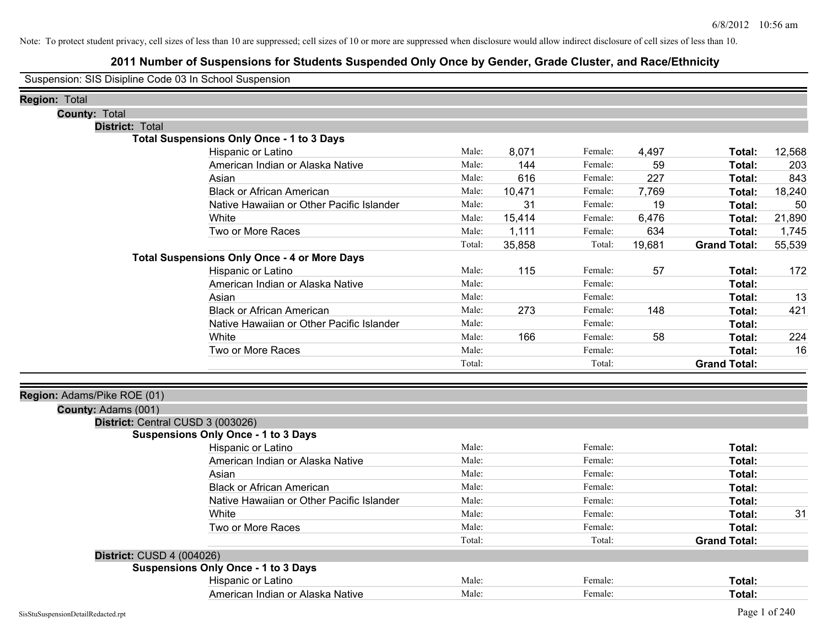# **2011 Number of Suspensions for Students Suspended Only Once by Gender, Grade Cluster, and Race/Ethnicity**

Suspension: SIS Disipline Code 03 In School Suspension

| <b>Region: Total</b>        |                                                     |        |        |         |        |                     |        |
|-----------------------------|-----------------------------------------------------|--------|--------|---------|--------|---------------------|--------|
| <b>County: Total</b>        |                                                     |        |        |         |        |                     |        |
| District: Total             |                                                     |        |        |         |        |                     |        |
|                             | <b>Total Suspensions Only Once - 1 to 3 Days</b>    |        |        |         |        |                     |        |
|                             | Hispanic or Latino                                  | Male:  | 8,071  | Female: | 4,497  | Total:              | 12,568 |
|                             | American Indian or Alaska Native                    | Male:  | 144    | Female: | 59     | Total:              | 203    |
|                             | Asian                                               | Male:  | 616    | Female: | 227    | Total:              | 843    |
|                             | <b>Black or African American</b>                    | Male:  | 10,471 | Female: | 7,769  | Total:              | 18,240 |
|                             | Native Hawaiian or Other Pacific Islander           | Male:  | 31     | Female: | 19     | Total:              | 50     |
|                             | White                                               | Male:  | 15,414 | Female: | 6,476  | Total:              | 21,890 |
|                             | Two or More Races                                   | Male:  | 1,111  | Female: | 634    | Total:              | 1,745  |
|                             |                                                     | Total: | 35,858 | Total:  | 19,681 | <b>Grand Total:</b> | 55,539 |
|                             | <b>Total Suspensions Only Once - 4 or More Days</b> |        |        |         |        |                     |        |
|                             | Hispanic or Latino                                  | Male:  | 115    | Female: | 57     | Total:              | 172    |
|                             | American Indian or Alaska Native                    | Male:  |        | Female: |        | Total:              |        |
|                             | Asian                                               | Male:  |        | Female: |        | Total:              | 13     |
|                             | <b>Black or African American</b>                    | Male:  | 273    | Female: | 148    | Total:              | 421    |
|                             | Native Hawaiian or Other Pacific Islander           | Male:  |        | Female: |        | Total:              |        |
|                             | White                                               | Male:  | 166    | Female: | 58     | Total:              | 224    |
|                             | Two or More Races                                   | Male:  |        | Female: |        | Total:              | 16     |
|                             |                                                     | Total: |        | Total:  |        | <b>Grand Total:</b> |        |
| Region: Adams/Pike ROE (01) |                                                     |        |        |         |        |                     |        |
| County: Adams (001)         |                                                     |        |        |         |        |                     |        |
|                             | District: Central CUSD 3 (003026)                   |        |        |         |        |                     |        |
|                             | <b>Suspensions Only Once - 1 to 3 Days</b>          |        |        |         |        |                     |        |
|                             | Hispanic or Latino                                  | Male:  |        | Female: |        | Total:              |        |
|                             | American Indian or Alaska Native                    | Male:  |        | Female: |        | Total:              |        |
|                             | Asian                                               | Male:  |        | Female: |        | Total:              |        |
|                             | <b>Black or African American</b>                    | Male:  |        | Female: |        | Total:              |        |
|                             | Native Hawaiian or Other Pacific Islander           | Male:  |        | Female: |        | Total:              |        |
|                             | White                                               | Male:  |        | Female: |        | Total:              | 31     |
|                             | Two or More Races                                   | Male:  |        | Female: |        | Total:              |        |
|                             |                                                     | Total: |        | Total:  |        | <b>Grand Total:</b> |        |
| District: CUSD 4 (004026)   |                                                     |        |        |         |        |                     |        |
|                             | <b>Suspensions Only Once - 1 to 3 Days</b>          |        |        |         |        |                     |        |
|                             | Hispanic or Latino                                  | Male:  |        | Female: |        | Total:              |        |
|                             | American Indian or Alaska Native                    | Male:  |        | Female: |        | Total:              |        |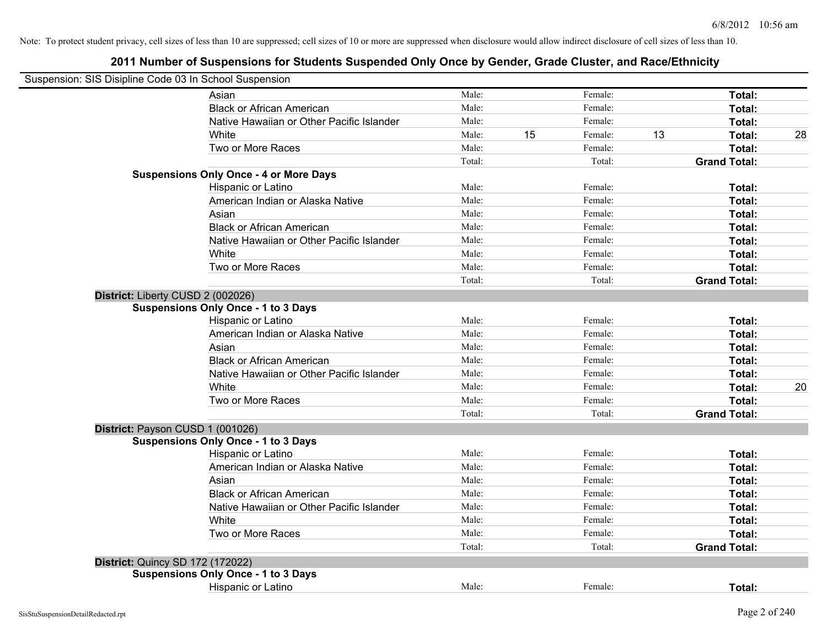| Suspension: SIS Disipline Code 03 In School Suspension |                                               |        |    |         |    |                     |    |
|--------------------------------------------------------|-----------------------------------------------|--------|----|---------|----|---------------------|----|
|                                                        | Asian                                         | Male:  |    | Female: |    | Total:              |    |
|                                                        | <b>Black or African American</b>              | Male:  |    | Female: |    | Total:              |    |
|                                                        | Native Hawaiian or Other Pacific Islander     | Male:  |    | Female: |    | Total:              |    |
|                                                        | White                                         | Male:  | 15 | Female: | 13 | Total:              | 28 |
|                                                        | Two or More Races                             | Male:  |    | Female: |    | Total:              |    |
|                                                        |                                               | Total: |    | Total:  |    | <b>Grand Total:</b> |    |
|                                                        | <b>Suspensions Only Once - 4 or More Days</b> |        |    |         |    |                     |    |
|                                                        | Hispanic or Latino                            | Male:  |    | Female: |    | Total:              |    |
|                                                        | American Indian or Alaska Native              | Male:  |    | Female: |    | Total:              |    |
|                                                        | Asian                                         | Male:  |    | Female: |    | Total:              |    |
|                                                        | <b>Black or African American</b>              | Male:  |    | Female: |    | Total:              |    |
|                                                        | Native Hawaiian or Other Pacific Islander     | Male:  |    | Female: |    | Total:              |    |
|                                                        | White                                         | Male:  |    | Female: |    | Total:              |    |
|                                                        | Two or More Races                             | Male:  |    | Female: |    | Total:              |    |
|                                                        |                                               | Total: |    | Total:  |    | <b>Grand Total:</b> |    |
| District: Liberty CUSD 2 (002026)                      |                                               |        |    |         |    |                     |    |
|                                                        | <b>Suspensions Only Once - 1 to 3 Days</b>    |        |    |         |    |                     |    |
|                                                        | Hispanic or Latino                            | Male:  |    | Female: |    | Total:              |    |
|                                                        | American Indian or Alaska Native              | Male:  |    | Female: |    | Total:              |    |
|                                                        | Asian                                         | Male:  |    | Female: |    | Total:              |    |
|                                                        | <b>Black or African American</b>              | Male:  |    | Female: |    | Total:              |    |
|                                                        | Native Hawaiian or Other Pacific Islander     | Male:  |    | Female: |    | Total:              |    |
|                                                        | White                                         | Male:  |    | Female: |    | Total:              | 20 |
|                                                        | Two or More Races                             | Male:  |    | Female: |    | Total:              |    |
|                                                        |                                               | Total: |    | Total:  |    | <b>Grand Total:</b> |    |
| District: Payson CUSD 1 (001026)                       |                                               |        |    |         |    |                     |    |
|                                                        | <b>Suspensions Only Once - 1 to 3 Days</b>    |        |    |         |    |                     |    |
|                                                        | Hispanic or Latino                            | Male:  |    | Female: |    | Total:              |    |
|                                                        | American Indian or Alaska Native              | Male:  |    | Female: |    | Total:              |    |
|                                                        | Asian                                         | Male:  |    | Female: |    | Total:              |    |
|                                                        | <b>Black or African American</b>              | Male:  |    | Female: |    | Total:              |    |
|                                                        | Native Hawaiian or Other Pacific Islander     | Male:  |    | Female: |    | Total:              |    |
|                                                        | White                                         | Male:  |    | Female: |    | Total:              |    |
|                                                        | Two or More Races                             | Male:  |    | Female: |    | Total:              |    |
|                                                        |                                               | Total: |    | Total:  |    | <b>Grand Total:</b> |    |
| <b>District: Quincy SD 172 (172022)</b>                |                                               |        |    |         |    |                     |    |
|                                                        | <b>Suspensions Only Once - 1 to 3 Days</b>    |        |    |         |    |                     |    |
|                                                        | Hispanic or Latino                            | Male:  |    | Female: |    | Total:              |    |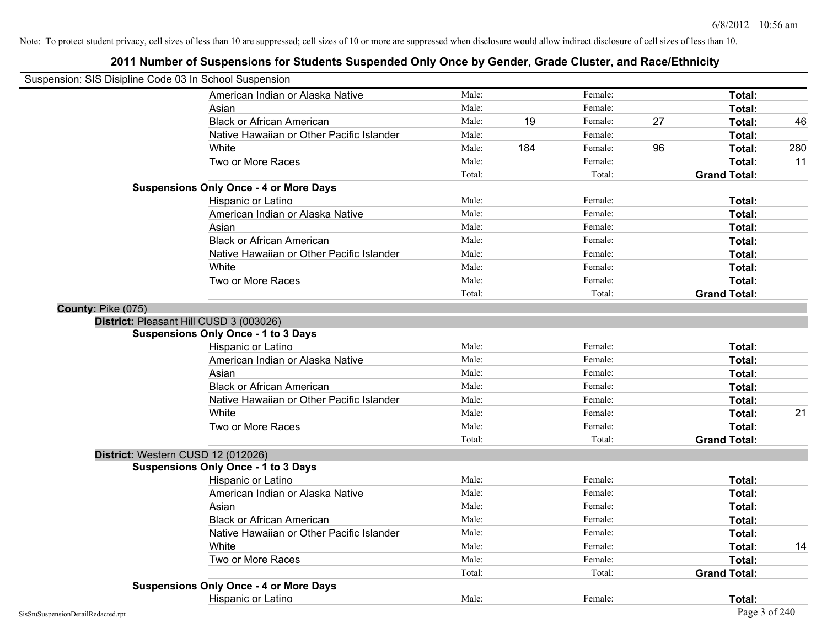| Suspension: SIS Disipline Code 03 In School Suspension |                                               |        |     |         |    |                     |     |
|--------------------------------------------------------|-----------------------------------------------|--------|-----|---------|----|---------------------|-----|
|                                                        | American Indian or Alaska Native              | Male:  |     | Female: |    | Total:              |     |
|                                                        | Asian                                         | Male:  |     | Female: |    | Total:              |     |
|                                                        | <b>Black or African American</b>              | Male:  | 19  | Female: | 27 | Total:              | 46  |
|                                                        | Native Hawaiian or Other Pacific Islander     | Male:  |     | Female: |    | Total:              |     |
|                                                        | White                                         | Male:  | 184 | Female: | 96 | Total:              | 280 |
|                                                        | Two or More Races                             | Male:  |     | Female: |    | Total:              | 11  |
|                                                        |                                               | Total: |     | Total:  |    | <b>Grand Total:</b> |     |
|                                                        | <b>Suspensions Only Once - 4 or More Days</b> |        |     |         |    |                     |     |
|                                                        | Hispanic or Latino                            | Male:  |     | Female: |    | Total:              |     |
|                                                        | American Indian or Alaska Native              | Male:  |     | Female: |    | Total:              |     |
|                                                        | Asian                                         | Male:  |     | Female: |    | Total:              |     |
|                                                        | <b>Black or African American</b>              | Male:  |     | Female: |    | Total:              |     |
|                                                        | Native Hawaiian or Other Pacific Islander     | Male:  |     | Female: |    | Total:              |     |
|                                                        | White                                         | Male:  |     | Female: |    | Total:              |     |
|                                                        | Two or More Races                             | Male:  |     | Female: |    | Total:              |     |
|                                                        |                                               | Total: |     | Total:  |    | <b>Grand Total:</b> |     |
| County: Pike (075)                                     |                                               |        |     |         |    |                     |     |
|                                                        | District: Pleasant Hill CUSD 3 (003026)       |        |     |         |    |                     |     |
|                                                        | <b>Suspensions Only Once - 1 to 3 Days</b>    |        |     |         |    |                     |     |
|                                                        | Hispanic or Latino                            | Male:  |     | Female: |    | Total:              |     |
|                                                        | American Indian or Alaska Native              | Male:  |     | Female: |    | Total:              |     |
|                                                        | Asian                                         | Male:  |     | Female: |    | Total:              |     |
|                                                        | <b>Black or African American</b>              | Male:  |     | Female: |    | Total:              |     |
|                                                        | Native Hawaiian or Other Pacific Islander     | Male:  |     | Female: |    | Total:              |     |
|                                                        | White                                         | Male:  |     | Female: |    | Total:              | 21  |
|                                                        | Two or More Races                             | Male:  |     | Female: |    | Total:              |     |
|                                                        |                                               | Total: |     | Total:  |    | <b>Grand Total:</b> |     |
| District: Western CUSD 12 (012026)                     |                                               |        |     |         |    |                     |     |
|                                                        | <b>Suspensions Only Once - 1 to 3 Days</b>    |        |     |         |    |                     |     |
|                                                        | Hispanic or Latino                            | Male:  |     | Female: |    | Total:              |     |
|                                                        | American Indian or Alaska Native              | Male:  |     | Female: |    | Total:              |     |
|                                                        | Asian                                         | Male:  |     | Female: |    | Total:              |     |
|                                                        | <b>Black or African American</b>              | Male:  |     | Female: |    | Total:              |     |
|                                                        | Native Hawaiian or Other Pacific Islander     | Male:  |     | Female: |    | Total:              |     |
|                                                        | White                                         | Male:  |     | Female: |    | Total:              | 14  |
|                                                        | Two or More Races                             | Male:  |     | Female: |    | Total:              |     |
|                                                        |                                               | Total: |     | Total:  |    | <b>Grand Total:</b> |     |
|                                                        | <b>Suspensions Only Once - 4 or More Days</b> |        |     |         |    |                     |     |
|                                                        | Hispanic or Latino                            | Male:  |     | Female: |    | Total:              |     |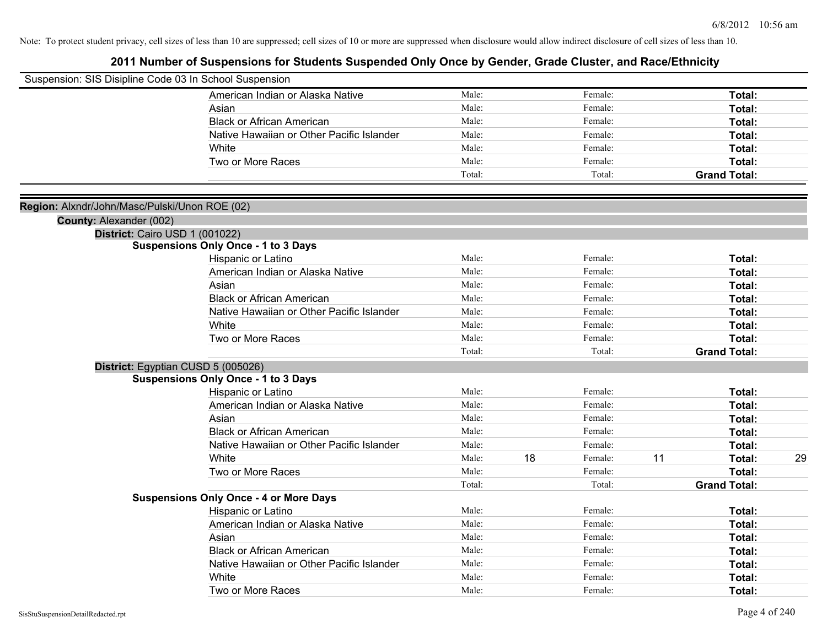| Suspension: SIS Disipline Code 03 In School Suspension |                                               |                |    |                    |    |                     |    |
|--------------------------------------------------------|-----------------------------------------------|----------------|----|--------------------|----|---------------------|----|
|                                                        | American Indian or Alaska Native              | Male:          |    | Female:            |    | Total:              |    |
|                                                        | Asian                                         | Male:          |    | Female:            |    | Total:              |    |
|                                                        | <b>Black or African American</b>              | Male:          |    | Female:            |    | Total:              |    |
|                                                        | Native Hawaiian or Other Pacific Islander     | Male:          |    | Female:            |    | Total:              |    |
|                                                        | White                                         | Male:          |    | Female:            |    | Total:              |    |
|                                                        | Two or More Races                             | Male:          |    | Female:            |    | Total:              |    |
|                                                        |                                               | Total:         |    | Total:             |    | <b>Grand Total:</b> |    |
|                                                        |                                               |                |    |                    |    |                     |    |
| Region: Alxndr/John/Masc/Pulski/Unon ROE (02)          |                                               |                |    |                    |    |                     |    |
| County: Alexander (002)                                |                                               |                |    |                    |    |                     |    |
| District: Cairo USD 1 (001022)                         |                                               |                |    |                    |    |                     |    |
|                                                        | <b>Suspensions Only Once - 1 to 3 Days</b>    |                |    |                    |    |                     |    |
|                                                        | Hispanic or Latino                            | Male:          |    | Female:            |    | Total:              |    |
|                                                        | American Indian or Alaska Native              | Male:          |    | Female:            |    | Total:              |    |
|                                                        | Asian                                         | Male:          |    | Female:            |    | Total:              |    |
|                                                        | <b>Black or African American</b>              | Male:          |    | Female:            |    | Total:              |    |
|                                                        | Native Hawaiian or Other Pacific Islander     | Male:          |    | Female:            |    | Total:              |    |
|                                                        | White                                         | Male:<br>Male: |    | Female:<br>Female: |    | Total:              |    |
|                                                        | Two or More Races                             |                |    |                    |    | Total:              |    |
|                                                        |                                               | Total:         |    | Total:             |    | <b>Grand Total:</b> |    |
|                                                        | District: Egyptian CUSD 5 (005026)            |                |    |                    |    |                     |    |
|                                                        | <b>Suspensions Only Once - 1 to 3 Days</b>    | Male:          |    | Female:            |    | Total:              |    |
|                                                        | Hispanic or Latino                            |                |    |                    |    |                     |    |
|                                                        | American Indian or Alaska Native              | Male:          |    | Female:            |    | Total:              |    |
|                                                        | Asian<br><b>Black or African American</b>     | Male:          |    | Female:            |    | Total:              |    |
|                                                        | Native Hawaiian or Other Pacific Islander     | Male:<br>Male: |    | Female:<br>Female: |    | Total:              |    |
|                                                        | White                                         | Male:          | 18 | Female:            | 11 | Total:              |    |
|                                                        | Two or More Races                             | Male:          |    | Female:            |    | Total:<br>Total:    | 29 |
|                                                        |                                               | Total:         |    | Total:             |    |                     |    |
|                                                        | <b>Suspensions Only Once - 4 or More Days</b> |                |    |                    |    | <b>Grand Total:</b> |    |
|                                                        | Hispanic or Latino                            | Male:          |    | Female:            |    | Total:              |    |
|                                                        | American Indian or Alaska Native              | Male:          |    | Female:            |    | Total:              |    |
|                                                        | Asian                                         | Male:          |    | Female:            |    | Total:              |    |
|                                                        | <b>Black or African American</b>              | Male:          |    | Female:            |    | Total:              |    |
|                                                        | Native Hawaiian or Other Pacific Islander     | Male:          |    | Female:            |    | Total:              |    |
|                                                        | White                                         | Male:          |    | Female:            |    | Total:              |    |
|                                                        |                                               |                |    |                    |    |                     |    |
|                                                        | Two or More Races                             | Male:          |    | Female:            |    | Total:              |    |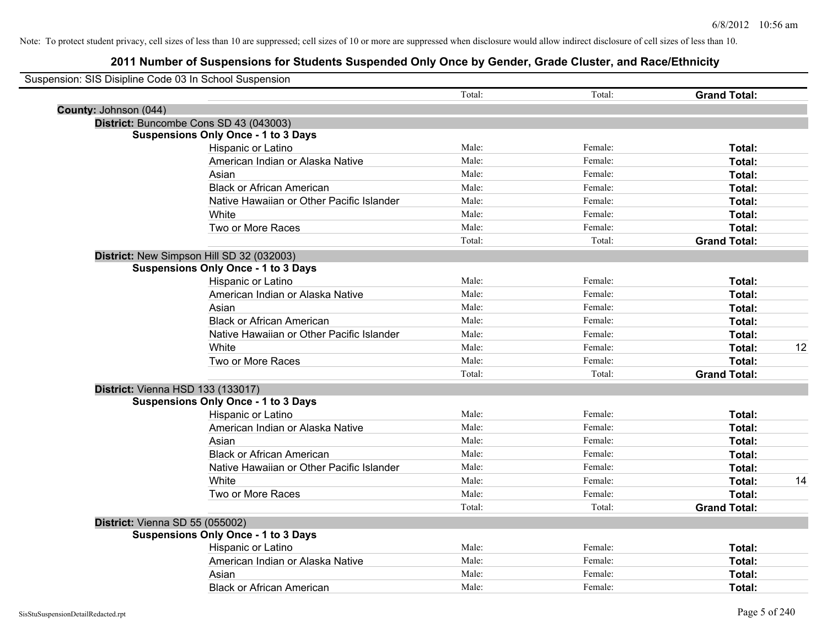| Suspension: SIS Disipline Code 03 In School Suspension |                                            |        |         |                     |    |
|--------------------------------------------------------|--------------------------------------------|--------|---------|---------------------|----|
|                                                        |                                            | Total: | Total:  | <b>Grand Total:</b> |    |
| County: Johnson (044)                                  |                                            |        |         |                     |    |
|                                                        | District: Buncombe Cons SD 43 (043003)     |        |         |                     |    |
|                                                        | <b>Suspensions Only Once - 1 to 3 Days</b> |        |         |                     |    |
|                                                        | Hispanic or Latino                         | Male:  | Female: | Total:              |    |
|                                                        | American Indian or Alaska Native           | Male:  | Female: | Total:              |    |
|                                                        | Asian                                      | Male:  | Female: | Total:              |    |
|                                                        | <b>Black or African American</b>           | Male:  | Female: | Total:              |    |
|                                                        | Native Hawaiian or Other Pacific Islander  | Male:  | Female: | Total:              |    |
|                                                        | White                                      | Male:  | Female: | Total:              |    |
|                                                        | Two or More Races                          | Male:  | Female: | Total:              |    |
|                                                        |                                            | Total: | Total:  | <b>Grand Total:</b> |    |
|                                                        | District: New Simpson Hill SD 32 (032003)  |        |         |                     |    |
|                                                        | <b>Suspensions Only Once - 1 to 3 Days</b> |        |         |                     |    |
|                                                        | Hispanic or Latino                         | Male:  | Female: | Total:              |    |
|                                                        | American Indian or Alaska Native           | Male:  | Female: | Total:              |    |
|                                                        | Asian                                      | Male:  | Female: | Total:              |    |
|                                                        | <b>Black or African American</b>           | Male:  | Female: | Total:              |    |
|                                                        | Native Hawaiian or Other Pacific Islander  | Male:  | Female: | Total:              |    |
|                                                        | White                                      | Male:  | Female: | Total:              | 12 |
|                                                        | Two or More Races                          | Male:  | Female: | Total:              |    |
|                                                        |                                            | Total: | Total:  | <b>Grand Total:</b> |    |
|                                                        | District: Vienna HSD 133 (133017)          |        |         |                     |    |
|                                                        | <b>Suspensions Only Once - 1 to 3 Days</b> |        |         |                     |    |
|                                                        | Hispanic or Latino                         | Male:  | Female: | Total:              |    |
|                                                        | American Indian or Alaska Native           | Male:  | Female: | Total:              |    |
|                                                        | Asian                                      | Male:  | Female: | Total:              |    |
|                                                        | <b>Black or African American</b>           | Male:  | Female: | Total:              |    |
|                                                        | Native Hawaiian or Other Pacific Islander  | Male:  | Female: | Total:              |    |
|                                                        | White                                      | Male:  | Female: | Total:              | 14 |
|                                                        | Two or More Races                          | Male:  | Female: | Total:              |    |
|                                                        |                                            | Total: | Total:  | <b>Grand Total:</b> |    |
| District: Vienna SD 55 (055002)                        |                                            |        |         |                     |    |
|                                                        | <b>Suspensions Only Once - 1 to 3 Days</b> |        |         |                     |    |
|                                                        | Hispanic or Latino                         | Male:  | Female: | Total:              |    |
|                                                        | American Indian or Alaska Native           | Male:  | Female: | Total:              |    |
|                                                        | Asian                                      | Male:  | Female: | Total:              |    |
|                                                        | <b>Black or African American</b>           | Male:  | Female: | Total:              |    |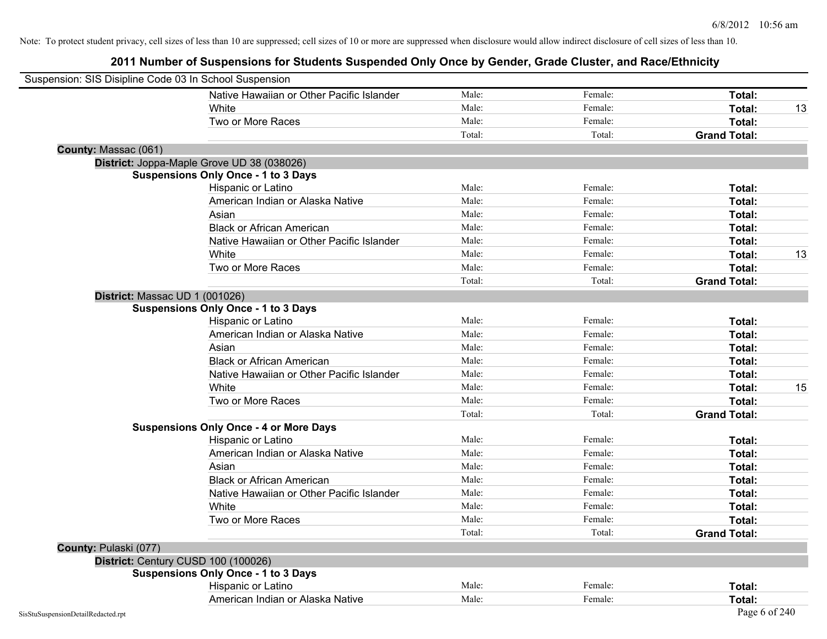| Suspension: SIS Disipline Code 03 In School Suspension |                                               |        |         |                     |    |
|--------------------------------------------------------|-----------------------------------------------|--------|---------|---------------------|----|
|                                                        | Native Hawaiian or Other Pacific Islander     | Male:  | Female: | Total:              |    |
|                                                        | White                                         | Male:  | Female: | Total:              | 13 |
|                                                        | Two or More Races                             | Male:  | Female: | Total:              |    |
|                                                        |                                               | Total: | Total:  | <b>Grand Total:</b> |    |
| County: Massac (061)                                   |                                               |        |         |                     |    |
|                                                        | District: Joppa-Maple Grove UD 38 (038026)    |        |         |                     |    |
|                                                        | <b>Suspensions Only Once - 1 to 3 Days</b>    |        |         |                     |    |
|                                                        | Hispanic or Latino                            | Male:  | Female: | Total:              |    |
|                                                        | American Indian or Alaska Native              | Male:  | Female: | Total:              |    |
|                                                        | Asian                                         | Male:  | Female: | Total:              |    |
|                                                        | <b>Black or African American</b>              | Male:  | Female: | Total:              |    |
|                                                        | Native Hawaiian or Other Pacific Islander     | Male:  | Female: | Total:              |    |
|                                                        | White                                         | Male:  | Female: | Total:              | 13 |
|                                                        | Two or More Races                             | Male:  | Female: | Total:              |    |
|                                                        |                                               | Total: | Total:  | <b>Grand Total:</b> |    |
| District: Massac UD 1 (001026)                         |                                               |        |         |                     |    |
|                                                        | <b>Suspensions Only Once - 1 to 3 Days</b>    |        |         |                     |    |
|                                                        | Hispanic or Latino                            | Male:  | Female: | Total:              |    |
|                                                        | American Indian or Alaska Native              | Male:  | Female: | Total:              |    |
|                                                        | Asian                                         | Male:  | Female: | Total:              |    |
|                                                        | <b>Black or African American</b>              | Male:  | Female: | Total:              |    |
|                                                        | Native Hawaiian or Other Pacific Islander     | Male:  | Female: | Total:              |    |
|                                                        | White                                         | Male:  | Female: | Total:              | 15 |
|                                                        | Two or More Races                             | Male:  | Female: | Total:              |    |
|                                                        |                                               | Total: | Total:  | <b>Grand Total:</b> |    |
|                                                        | <b>Suspensions Only Once - 4 or More Days</b> |        |         |                     |    |
|                                                        | Hispanic or Latino                            | Male:  | Female: | Total:              |    |
|                                                        | American Indian or Alaska Native              | Male:  | Female: | Total:              |    |
|                                                        | Asian                                         | Male:  | Female: | Total:              |    |
|                                                        | <b>Black or African American</b>              | Male:  | Female: | Total:              |    |
|                                                        | Native Hawaiian or Other Pacific Islander     | Male:  | Female: | Total:              |    |
|                                                        | White                                         | Male:  | Female: | Total:              |    |
|                                                        | Two or More Races                             | Male:  | Female: | Total:              |    |
|                                                        |                                               | Total: | Total:  | <b>Grand Total:</b> |    |
| County: Pulaski (077)                                  |                                               |        |         |                     |    |
| District: Century CUSD 100 (100026)                    |                                               |        |         |                     |    |
|                                                        | <b>Suspensions Only Once - 1 to 3 Days</b>    |        |         |                     |    |
|                                                        | Hispanic or Latino                            | Male:  | Female: | Total:              |    |
|                                                        | American Indian or Alaska Native              | Male:  | Female: | Total:              |    |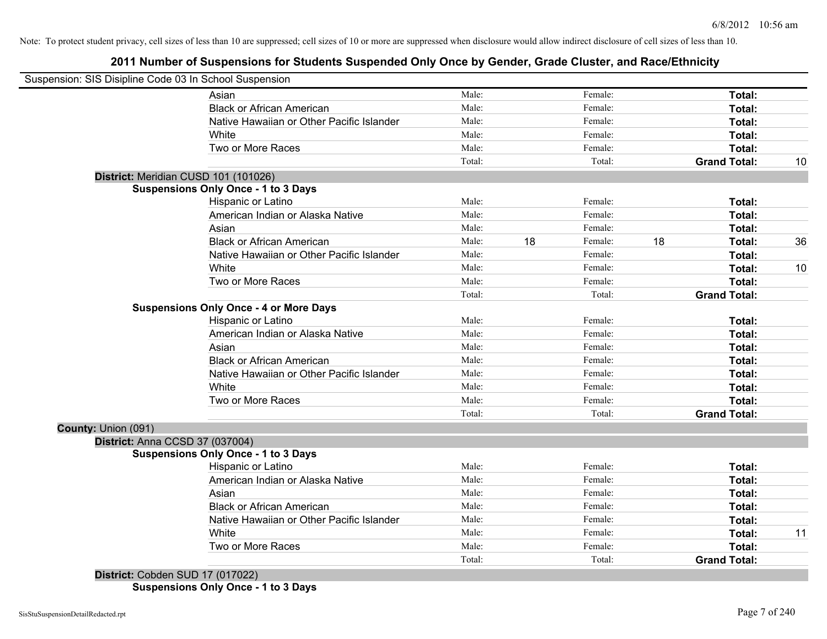# **2011 Number of Suspensions for Students Suspended Only Once by Gender, Grade Cluster, and Race/Ethnicity**

| Suspension: SIS Disipline Code 03 In School Suspension |        |               |                     |                  |
|--------------------------------------------------------|--------|---------------|---------------------|------------------|
| Asian                                                  | Male:  | Female:       |                     | Total:           |
| <b>Black or African American</b>                       | Male:  | Female:       |                     | Total:           |
| Native Hawaiian or Other Pacific Islander              | Male:  | Female:       |                     | Total:           |
| White                                                  | Male:  | Female:       |                     | Total:           |
| Two or More Races                                      | Male:  | Female:       |                     | Total:           |
|                                                        | Total: | Total:        | <b>Grand Total:</b> | 10               |
| District: Meridian CUSD 101 (101026)                   |        |               |                     |                  |
| <b>Suspensions Only Once - 1 to 3 Days</b>             |        |               |                     |                  |
| Hispanic or Latino                                     | Male:  | Female:       |                     | Total:           |
| American Indian or Alaska Native                       | Male:  | Female:       |                     | Total:           |
| Asian                                                  | Male:  | Female:       |                     | Total:           |
| <b>Black or African American</b>                       | Male:  | 18<br>Female: | 18                  | 36<br>Total:     |
| Native Hawaiian or Other Pacific Islander              | Male:  | Female:       |                     | Total:           |
| White                                                  | Male:  | Female:       |                     | 10<br>Total:     |
| Two or More Races                                      | Male:  | Female:       |                     | <b>Total:</b>    |
|                                                        | Total: | Total:        | <b>Grand Total:</b> |                  |
| <b>Suspensions Only Once - 4 or More Days</b>          |        |               |                     |                  |
| Hispanic or Latino                                     | Male:  | Female:       |                     | Total:           |
| American Indian or Alaska Native                       | Male:  | Female:       |                     | Total:           |
| Asian                                                  | Male:  | Female:       |                     | Total:           |
| <b>Black or African American</b>                       | Male:  | Female:       |                     | Total:           |
| Native Hawaiian or Other Pacific Islander              | Male:  | Female:       |                     | Total:           |
| White                                                  | Male:  | Female:       |                     | Total:           |
| Two or More Races                                      | Male:  | Female:       |                     | Total:           |
|                                                        | Total: | Total:        | <b>Grand Total:</b> |                  |
| County: Union (091)                                    |        |               |                     |                  |
| District: Anna CCSD 37 (037004)                        |        |               |                     |                  |
| <b>Suspensions Only Once - 1 to 3 Days</b>             | Male:  | Female:       |                     |                  |
| Hispanic or Latino<br>American Indian or Alaska Native | Male:  | Female:       |                     | Total:<br>Total: |
| Asian                                                  | Male:  | Female:       |                     |                  |
| <b>Black or African American</b>                       | Male:  | Female:       |                     | Total:           |
| Native Hawaiian or Other Pacific Islander              | Male:  | Female:       |                     | Total:           |
|                                                        |        |               |                     | Total:           |
| White                                                  | Male:  | Female:       |                     | Total:<br>11     |
| Two or More Races                                      | Male:  | Female:       |                     | Total:           |
| Dichthat (Cahden CID 17 (017022)                       | Total: | Total:        | <b>Grand Total:</b> |                  |

**District:** Cobden SUD 17 (017022) **Suspensions Only Once - 1 to 3 Days**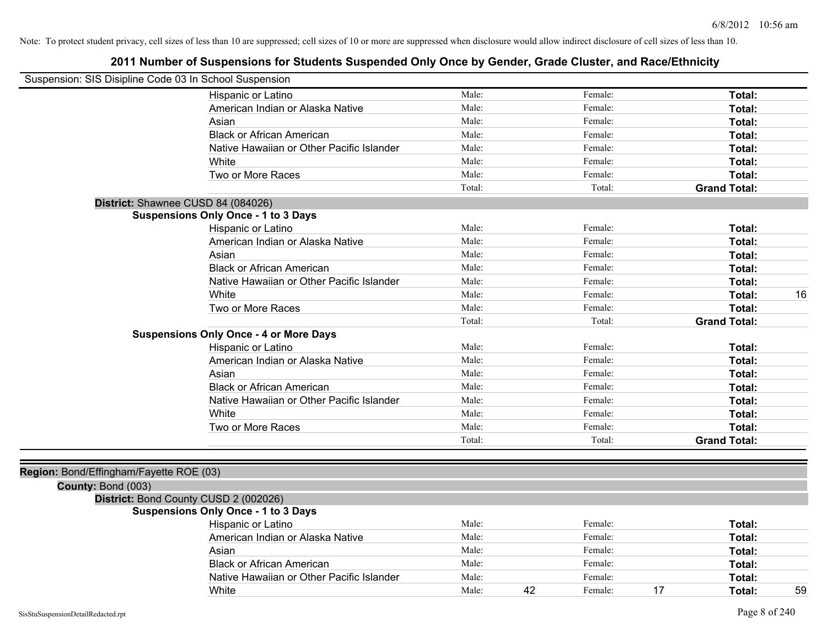| Suspension: SIS Disipline Code 03 In School Suspension |                                               |        |    |         |                     |        |    |
|--------------------------------------------------------|-----------------------------------------------|--------|----|---------|---------------------|--------|----|
|                                                        | Hispanic or Latino                            | Male:  |    | Female: |                     | Total: |    |
|                                                        | American Indian or Alaska Native              | Male:  |    | Female: |                     | Total: |    |
|                                                        | Asian                                         | Male:  |    | Female: |                     | Total: |    |
|                                                        | <b>Black or African American</b>              | Male:  |    | Female: |                     | Total: |    |
|                                                        | Native Hawaiian or Other Pacific Islander     | Male:  |    | Female: |                     | Total: |    |
|                                                        | White                                         | Male:  |    | Female: |                     | Total: |    |
|                                                        | Two or More Races                             | Male:  |    | Female: |                     | Total: |    |
|                                                        |                                               | Total: |    | Total:  | <b>Grand Total:</b> |        |    |
| District: Shawnee CUSD 84 (084026)                     |                                               |        |    |         |                     |        |    |
|                                                        | <b>Suspensions Only Once - 1 to 3 Days</b>    |        |    |         |                     |        |    |
|                                                        | Hispanic or Latino                            | Male:  |    | Female: |                     | Total: |    |
|                                                        | American Indian or Alaska Native              | Male:  |    | Female: |                     | Total: |    |
|                                                        | Asian                                         | Male:  |    | Female: |                     | Total: |    |
|                                                        | <b>Black or African American</b>              | Male:  |    | Female: |                     | Total: |    |
|                                                        | Native Hawaiian or Other Pacific Islander     | Male:  |    | Female: |                     | Total: |    |
|                                                        | White                                         | Male:  |    | Female: |                     | Total: | 16 |
|                                                        | Two or More Races                             | Male:  |    | Female: |                     | Total: |    |
|                                                        |                                               | Total: |    | Total:  | <b>Grand Total:</b> |        |    |
|                                                        | <b>Suspensions Only Once - 4 or More Days</b> |        |    |         |                     |        |    |
|                                                        | Hispanic or Latino                            | Male:  |    | Female: |                     | Total: |    |
|                                                        | American Indian or Alaska Native              | Male:  |    | Female: |                     | Total: |    |
|                                                        | Asian                                         | Male:  |    | Female: |                     | Total: |    |
|                                                        | <b>Black or African American</b>              | Male:  |    | Female: |                     | Total: |    |
|                                                        | Native Hawaiian or Other Pacific Islander     | Male:  |    | Female: |                     | Total: |    |
|                                                        | White                                         | Male:  |    | Female: |                     | Total: |    |
|                                                        | Two or More Races                             | Male:  |    | Female: |                     | Total: |    |
|                                                        |                                               | Total: |    | Total:  | <b>Grand Total:</b> |        |    |
|                                                        |                                               |        |    |         |                     |        |    |
| Region: Bond/Effingham/Fayette ROE (03)                |                                               |        |    |         |                     |        |    |
| County: Bond (003)                                     |                                               |        |    |         |                     |        |    |
|                                                        | District: Bond County CUSD 2 (002026)         |        |    |         |                     |        |    |
|                                                        | <b>Suspensions Only Once - 1 to 3 Days</b>    |        |    |         |                     |        |    |
|                                                        | Hispanic or Latino                            | Male:  |    | Female: |                     | Total: |    |
|                                                        | American Indian or Alaska Native              | Male:  |    | Female: |                     | Total: |    |
|                                                        | Asian                                         | Male:  |    | Female: |                     | Total: |    |
|                                                        | <b>Black or African American</b>              | Male:  |    | Female: |                     | Total: |    |
|                                                        | Native Hawaiian or Other Pacific Islander     | Male:  |    | Female: |                     | Total: |    |
|                                                        | White                                         | Male:  | 42 | Female: | 17                  | Total: | 59 |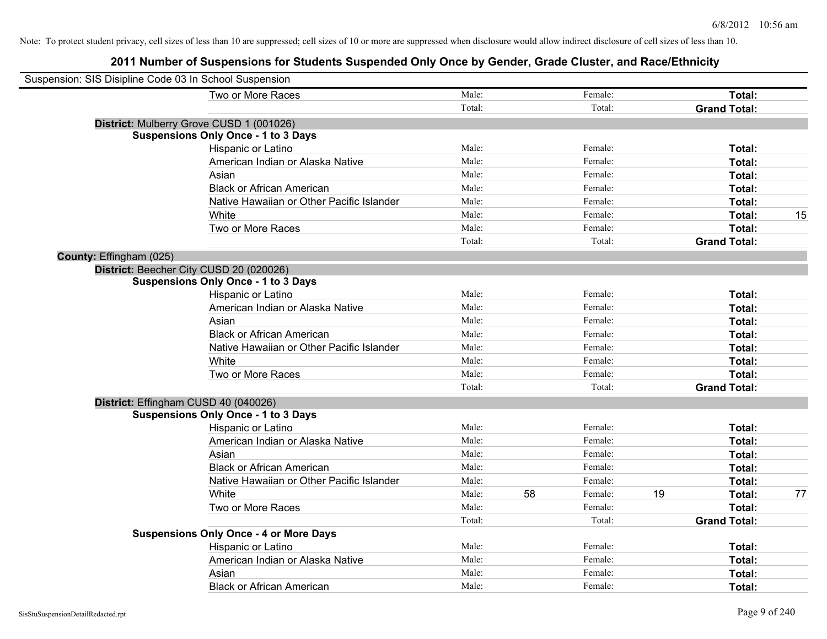| Suspension: SIS Disipline Code 03 In School Suspension |                                               |        |    |         |    |                     |    |
|--------------------------------------------------------|-----------------------------------------------|--------|----|---------|----|---------------------|----|
|                                                        | Two or More Races                             | Male:  |    | Female: |    | Total:              |    |
|                                                        |                                               | Total: |    | Total:  |    | <b>Grand Total:</b> |    |
|                                                        | District: Mulberry Grove CUSD 1 (001026)      |        |    |         |    |                     |    |
|                                                        | <b>Suspensions Only Once - 1 to 3 Days</b>    |        |    |         |    |                     |    |
|                                                        | Hispanic or Latino                            | Male:  |    | Female: |    | Total:              |    |
|                                                        | American Indian or Alaska Native              | Male:  |    | Female: |    | Total:              |    |
|                                                        | Asian                                         | Male:  |    | Female: |    | Total:              |    |
|                                                        | <b>Black or African American</b>              | Male:  |    | Female: |    | Total:              |    |
|                                                        | Native Hawaiian or Other Pacific Islander     | Male:  |    | Female: |    | Total:              |    |
|                                                        | White                                         | Male:  |    | Female: |    | Total:              | 15 |
|                                                        | Two or More Races                             | Male:  |    | Female: |    | Total:              |    |
|                                                        |                                               | Total: |    | Total:  |    | <b>Grand Total:</b> |    |
| County: Effingham (025)                                |                                               |        |    |         |    |                     |    |
|                                                        | District: Beecher City CUSD 20 (020026)       |        |    |         |    |                     |    |
|                                                        | <b>Suspensions Only Once - 1 to 3 Days</b>    |        |    |         |    |                     |    |
|                                                        | Hispanic or Latino                            | Male:  |    | Female: |    | Total:              |    |
|                                                        | American Indian or Alaska Native              | Male:  |    | Female: |    | Total:              |    |
|                                                        | Asian                                         | Male:  |    | Female: |    | Total:              |    |
|                                                        | <b>Black or African American</b>              | Male:  |    | Female: |    | Total:              |    |
|                                                        | Native Hawaiian or Other Pacific Islander     | Male:  |    | Female: |    | Total:              |    |
|                                                        | White                                         | Male:  |    | Female: |    | Total:              |    |
|                                                        | Two or More Races                             | Male:  |    | Female: |    | Total:              |    |
|                                                        |                                               | Total: |    | Total:  |    | <b>Grand Total:</b> |    |
|                                                        | District: Effingham CUSD 40 (040026)          |        |    |         |    |                     |    |
|                                                        | <b>Suspensions Only Once - 1 to 3 Days</b>    |        |    |         |    |                     |    |
|                                                        | Hispanic or Latino                            | Male:  |    | Female: |    | Total:              |    |
|                                                        | American Indian or Alaska Native              | Male:  |    | Female: |    | Total:              |    |
|                                                        | Asian                                         | Male:  |    | Female: |    | Total:              |    |
|                                                        | <b>Black or African American</b>              | Male:  |    | Female: |    | Total:              |    |
|                                                        | Native Hawaiian or Other Pacific Islander     | Male:  |    | Female: |    | Total:              |    |
|                                                        | White                                         | Male:  | 58 | Female: | 19 | Total:              | 77 |
|                                                        | Two or More Races                             | Male:  |    | Female: |    | Total:              |    |
|                                                        |                                               | Total: |    | Total:  |    | <b>Grand Total:</b> |    |
|                                                        | <b>Suspensions Only Once - 4 or More Days</b> |        |    |         |    |                     |    |
|                                                        | Hispanic or Latino                            | Male:  |    | Female: |    | Total:              |    |
|                                                        | American Indian or Alaska Native              | Male:  |    | Female: |    | Total:              |    |
|                                                        | Asian                                         | Male:  |    | Female: |    | Total:              |    |
|                                                        | <b>Black or African American</b>              | Male:  |    | Female: |    | Total:              |    |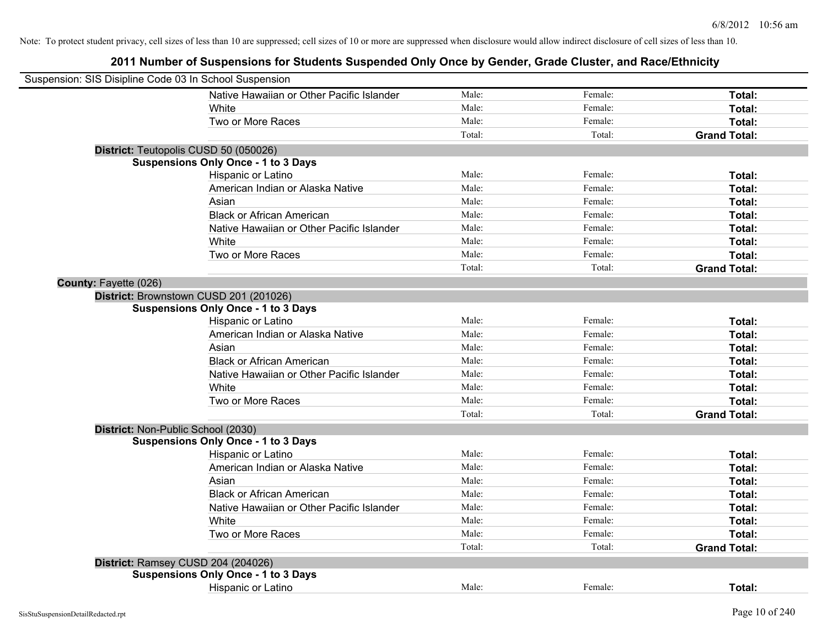| Suspension: SIS Disipline Code 03 In School Suspension |                                            |        |         |                     |
|--------------------------------------------------------|--------------------------------------------|--------|---------|---------------------|
|                                                        | Native Hawaiian or Other Pacific Islander  | Male:  | Female: | Total:              |
|                                                        | White                                      | Male:  | Female: | Total:              |
|                                                        | Two or More Races                          | Male:  | Female: | Total:              |
|                                                        |                                            | Total: | Total:  | <b>Grand Total:</b> |
| District: Teutopolis CUSD 50 (050026)                  |                                            |        |         |                     |
|                                                        | <b>Suspensions Only Once - 1 to 3 Days</b> |        |         |                     |
|                                                        | Hispanic or Latino                         | Male:  | Female: | Total:              |
|                                                        | American Indian or Alaska Native           | Male:  | Female: | Total:              |
|                                                        | Asian                                      | Male:  | Female: | Total:              |
|                                                        | <b>Black or African American</b>           | Male:  | Female: | Total:              |
|                                                        | Native Hawaiian or Other Pacific Islander  | Male:  | Female: | Total:              |
|                                                        | White                                      | Male:  | Female: | Total:              |
|                                                        | Two or More Races                          | Male:  | Female: | Total:              |
|                                                        |                                            | Total: | Total:  | <b>Grand Total:</b> |
| County: Fayette (026)                                  |                                            |        |         |                     |
| District: Brownstown CUSD 201 (201026)                 |                                            |        |         |                     |
|                                                        | <b>Suspensions Only Once - 1 to 3 Days</b> |        |         |                     |
|                                                        | Hispanic or Latino                         | Male:  | Female: | Total:              |
|                                                        | American Indian or Alaska Native           | Male:  | Female: | Total:              |
|                                                        | Asian                                      | Male:  | Female: | Total:              |
|                                                        | <b>Black or African American</b>           | Male:  | Female: | Total:              |
|                                                        | Native Hawaiian or Other Pacific Islander  | Male:  | Female: | Total:              |
|                                                        | White                                      | Male:  | Female: | Total:              |
|                                                        | Two or More Races                          | Male:  | Female: | Total:              |
|                                                        |                                            | Total: | Total:  | <b>Grand Total:</b> |
| District: Non-Public School (2030)                     |                                            |        |         |                     |
|                                                        | <b>Suspensions Only Once - 1 to 3 Days</b> |        |         |                     |
|                                                        | Hispanic or Latino                         | Male:  | Female: | Total:              |
|                                                        | American Indian or Alaska Native           | Male:  | Female: | Total:              |
|                                                        | Asian                                      | Male:  | Female: | Total:              |
|                                                        | <b>Black or African American</b>           | Male:  | Female: | Total:              |
|                                                        | Native Hawaiian or Other Pacific Islander  | Male:  | Female: | Total:              |
|                                                        | White                                      | Male:  | Female: | Total:              |
|                                                        | Two or More Races                          | Male:  | Female: | Total:              |
|                                                        |                                            | Total: | Total:  | <b>Grand Total:</b> |
| District: Ramsey CUSD 204 (204026)                     |                                            |        |         |                     |
|                                                        | <b>Suspensions Only Once - 1 to 3 Days</b> |        |         |                     |
|                                                        | <b>Hispanic or Latino</b>                  | Male:  | Female: | Total:              |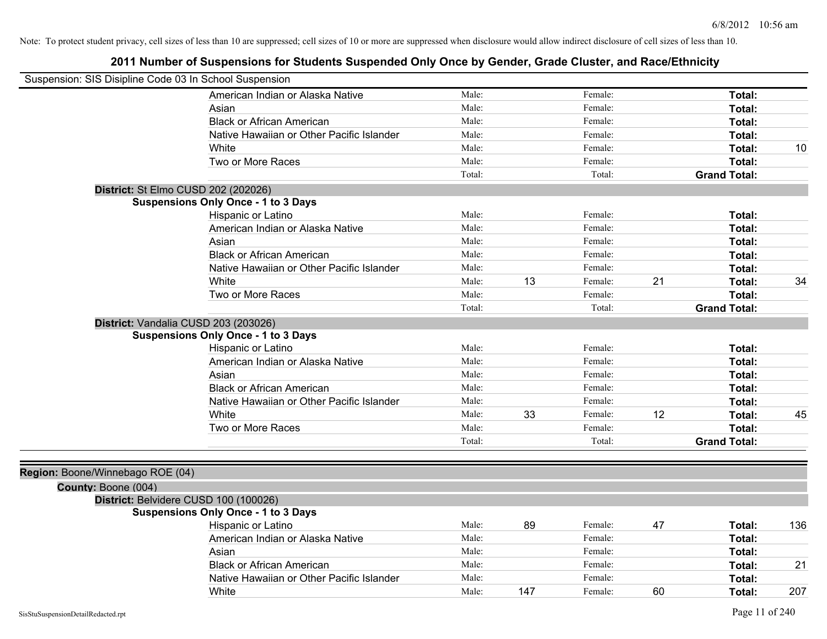|                                  | Suspension: SIS Disipline Code 03 In School Suspension |        |     |         |    |                     |     |
|----------------------------------|--------------------------------------------------------|--------|-----|---------|----|---------------------|-----|
|                                  | American Indian or Alaska Native                       | Male:  |     | Female: |    | Total:              |     |
|                                  | Asian                                                  | Male:  |     | Female: |    | Total:              |     |
|                                  | <b>Black or African American</b>                       | Male:  |     | Female: |    | Total:              |     |
|                                  | Native Hawaiian or Other Pacific Islander              | Male:  |     | Female: |    | Total:              |     |
|                                  | White                                                  | Male:  |     | Female: |    | Total:              | 10  |
|                                  | Two or More Races                                      | Male:  |     | Female: |    | Total:              |     |
|                                  |                                                        | Total: |     | Total:  |    | <b>Grand Total:</b> |     |
|                                  | District: St Elmo CUSD 202 (202026)                    |        |     |         |    |                     |     |
|                                  | <b>Suspensions Only Once - 1 to 3 Days</b>             |        |     |         |    |                     |     |
|                                  | Hispanic or Latino                                     | Male:  |     | Female: |    | Total:              |     |
|                                  | American Indian or Alaska Native                       | Male:  |     | Female: |    | Total:              |     |
|                                  | Asian                                                  | Male:  |     | Female: |    | Total:              |     |
|                                  | <b>Black or African American</b>                       | Male:  |     | Female: |    | Total:              |     |
|                                  | Native Hawaiian or Other Pacific Islander              | Male:  |     | Female: |    | Total:              |     |
|                                  | White                                                  | Male:  | 13  | Female: | 21 | Total:              | 34  |
|                                  | Two or More Races                                      | Male:  |     | Female: |    | Total:              |     |
|                                  |                                                        | Total: |     | Total:  |    | <b>Grand Total:</b> |     |
|                                  | District: Vandalia CUSD 203 (203026)                   |        |     |         |    |                     |     |
|                                  | <b>Suspensions Only Once - 1 to 3 Days</b>             |        |     |         |    |                     |     |
|                                  | Hispanic or Latino                                     | Male:  |     | Female: |    | Total:              |     |
|                                  | American Indian or Alaska Native                       | Male:  |     | Female: |    | Total:              |     |
|                                  | Asian                                                  | Male:  |     | Female: |    | Total:              |     |
|                                  | <b>Black or African American</b>                       | Male:  |     | Female: |    | Total:              |     |
|                                  | Native Hawaiian or Other Pacific Islander              | Male:  |     | Female: |    | Total:              |     |
|                                  | White                                                  | Male:  | 33  | Female: | 12 | Total:              | 45  |
|                                  | Two or More Races                                      | Male:  |     | Female: |    | Total:              |     |
|                                  |                                                        | Total: |     | Total:  |    | <b>Grand Total:</b> |     |
|                                  |                                                        |        |     |         |    |                     |     |
| Region: Boone/Winnebago ROE (04) |                                                        |        |     |         |    |                     |     |
| County: Boone (004)              |                                                        |        |     |         |    |                     |     |
|                                  | District: Belvidere CUSD 100 (100026)                  |        |     |         |    |                     |     |
|                                  | <b>Suspensions Only Once - 1 to 3 Days</b>             |        |     |         |    |                     |     |
|                                  | Hispanic or Latino                                     | Male:  | 89  | Female: | 47 | Total:              | 136 |
|                                  | American Indian or Alaska Native                       | Male:  |     | Female: |    | Total:              |     |
|                                  | Asian                                                  | Male:  |     | Female: |    | Total:              |     |
|                                  | <b>Black or African American</b>                       | Male:  |     | Female: |    | Total:              | 21  |
|                                  | Native Hawaiian or Other Pacific Islander              | Male:  |     | Female: |    | Total:              |     |
|                                  | White                                                  | Male:  | 147 | Female: | 60 | Total:              | 207 |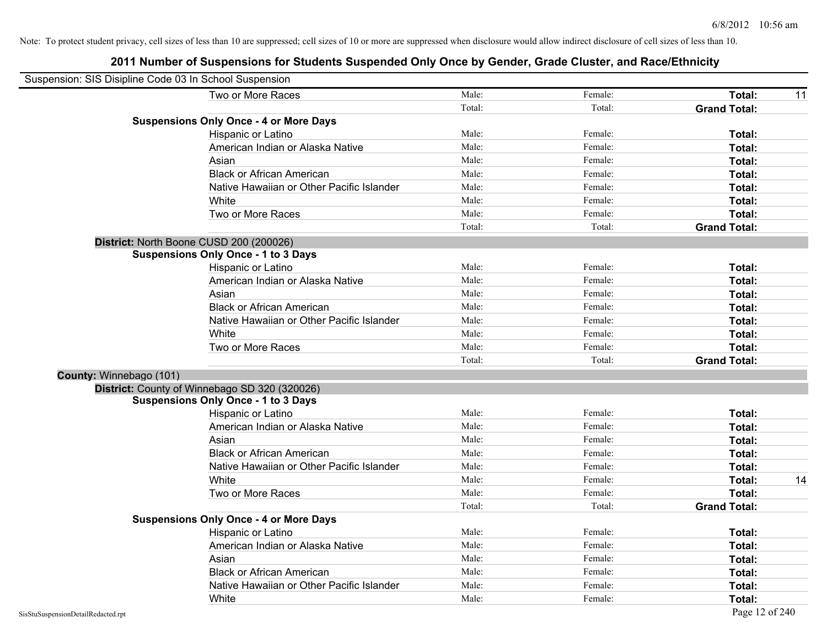|                         | Suspension: SIS Disipline Code 03 In School Suspension |        |         |                     |    |
|-------------------------|--------------------------------------------------------|--------|---------|---------------------|----|
|                         | Two or More Races                                      | Male:  | Female: | Total:              | 11 |
|                         |                                                        | Total: | Total:  | <b>Grand Total:</b> |    |
|                         | <b>Suspensions Only Once - 4 or More Days</b>          |        |         |                     |    |
|                         | Hispanic or Latino                                     | Male:  | Female: | Total:              |    |
|                         | American Indian or Alaska Native                       | Male:  | Female: | Total:              |    |
|                         | Asian                                                  | Male:  | Female: | Total:              |    |
|                         | <b>Black or African American</b>                       | Male:  | Female: | Total:              |    |
|                         | Native Hawaiian or Other Pacific Islander              | Male:  | Female: | Total:              |    |
|                         | White                                                  | Male:  | Female: | Total:              |    |
|                         | Two or More Races                                      | Male:  | Female: | Total:              |    |
|                         |                                                        | Total: | Total:  | <b>Grand Total:</b> |    |
|                         | District: North Boone CUSD 200 (200026)                |        |         |                     |    |
|                         | <b>Suspensions Only Once - 1 to 3 Days</b>             |        |         |                     |    |
|                         | Hispanic or Latino                                     | Male:  | Female: | Total:              |    |
|                         | American Indian or Alaska Native                       | Male:  | Female: | Total:              |    |
|                         | Asian                                                  | Male:  | Female: | Total:              |    |
|                         | <b>Black or African American</b>                       | Male:  | Female: | Total:              |    |
|                         | Native Hawaiian or Other Pacific Islander              | Male:  | Female: | Total:              |    |
|                         | White                                                  | Male:  | Female: | Total:              |    |
|                         | Two or More Races                                      | Male:  | Female: | Total:              |    |
|                         |                                                        | Total: | Total:  | <b>Grand Total:</b> |    |
| County: Winnebago (101) |                                                        |        |         |                     |    |
|                         | District: County of Winnebago SD 320 (320026)          |        |         |                     |    |
|                         | <b>Suspensions Only Once - 1 to 3 Days</b>             |        |         |                     |    |
|                         | Hispanic or Latino                                     | Male:  | Female: | Total:              |    |
|                         | American Indian or Alaska Native                       | Male:  | Female: | Total:              |    |
|                         | Asian                                                  | Male:  | Female: | Total:              |    |
|                         | <b>Black or African American</b>                       | Male:  | Female: | Total:              |    |
|                         | Native Hawaiian or Other Pacific Islander              | Male:  | Female: | Total:              |    |
|                         | White                                                  | Male:  | Female: | Total:              | 14 |
|                         | Two or More Races                                      | Male:  | Female: | Total:              |    |
|                         |                                                        | Total: | Total:  | <b>Grand Total:</b> |    |
|                         | <b>Suspensions Only Once - 4 or More Days</b>          |        |         |                     |    |
|                         | Hispanic or Latino                                     | Male:  | Female: | Total:              |    |
|                         | American Indian or Alaska Native                       | Male:  | Female: | Total:              |    |
|                         | Asian                                                  | Male:  | Female: | Total:              |    |
|                         | <b>Black or African American</b>                       | Male:  | Female: | Total:              |    |
|                         | Native Hawaiian or Other Pacific Islander              | Male:  | Female: | Total:              |    |
|                         | White                                                  | Male:  | Female: | Total:              |    |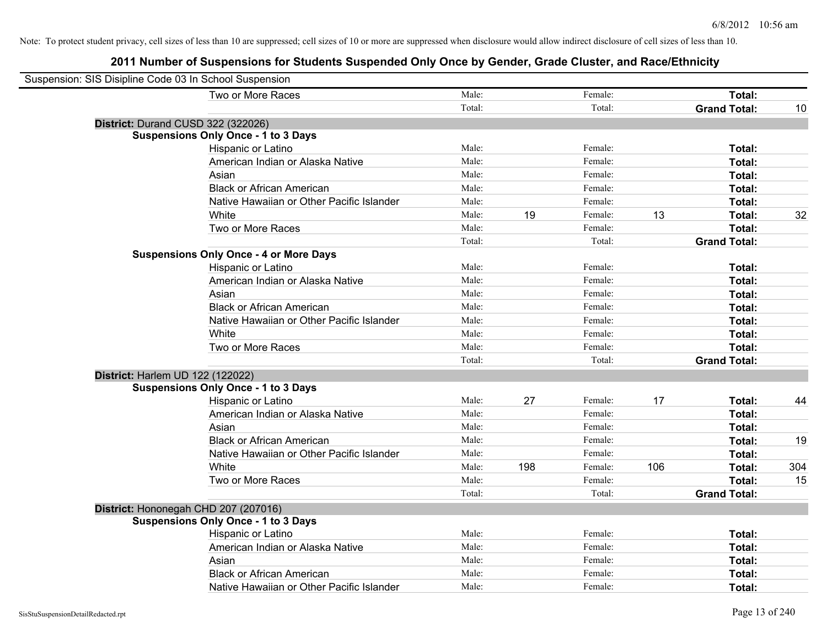| Suspension: SIS Disipline Code 03 In School Suspension |                                               |        |     |         |     |                     |     |
|--------------------------------------------------------|-----------------------------------------------|--------|-----|---------|-----|---------------------|-----|
|                                                        | Two or More Races                             | Male:  |     | Female: |     | Total:              |     |
|                                                        |                                               | Total: |     | Total:  |     | <b>Grand Total:</b> | 10  |
| District: Durand CUSD 322 (322026)                     |                                               |        |     |         |     |                     |     |
|                                                        | <b>Suspensions Only Once - 1 to 3 Days</b>    |        |     |         |     |                     |     |
|                                                        | Hispanic or Latino                            | Male:  |     | Female: |     | Total:              |     |
|                                                        | American Indian or Alaska Native              | Male:  |     | Female: |     | Total:              |     |
|                                                        | Asian                                         | Male:  |     | Female: |     | Total:              |     |
|                                                        | <b>Black or African American</b>              | Male:  |     | Female: |     | Total:              |     |
|                                                        | Native Hawaiian or Other Pacific Islander     | Male:  |     | Female: |     | Total:              |     |
|                                                        | White                                         | Male:  | 19  | Female: | 13  | Total:              | 32  |
|                                                        | Two or More Races                             | Male:  |     | Female: |     | Total:              |     |
|                                                        |                                               | Total: |     | Total:  |     | <b>Grand Total:</b> |     |
|                                                        | <b>Suspensions Only Once - 4 or More Days</b> |        |     |         |     |                     |     |
|                                                        | Hispanic or Latino                            | Male:  |     | Female: |     | Total:              |     |
|                                                        | American Indian or Alaska Native              | Male:  |     | Female: |     | Total:              |     |
|                                                        | Asian                                         | Male:  |     | Female: |     | Total:              |     |
|                                                        | <b>Black or African American</b>              | Male:  |     | Female: |     | Total:              |     |
|                                                        | Native Hawaiian or Other Pacific Islander     | Male:  |     | Female: |     | Total:              |     |
|                                                        | White                                         | Male:  |     | Female: |     | Total:              |     |
|                                                        | Two or More Races                             | Male:  |     | Female: |     | Total:              |     |
|                                                        |                                               | Total: |     | Total:  |     | <b>Grand Total:</b> |     |
| District: Harlem UD 122 (122022)                       |                                               |        |     |         |     |                     |     |
|                                                        | <b>Suspensions Only Once - 1 to 3 Days</b>    |        |     |         |     |                     |     |
|                                                        | Hispanic or Latino                            | Male:  | 27  | Female: | 17  | Total:              | 44  |
|                                                        | American Indian or Alaska Native              | Male:  |     | Female: |     | Total:              |     |
|                                                        | Asian                                         | Male:  |     | Female: |     | Total:              |     |
|                                                        | <b>Black or African American</b>              | Male:  |     | Female: |     | Total:              | 19  |
|                                                        | Native Hawaiian or Other Pacific Islander     | Male:  |     | Female: |     | Total:              |     |
|                                                        | White                                         | Male:  | 198 | Female: | 106 | Total:              | 304 |
|                                                        | Two or More Races                             | Male:  |     | Female: |     | Total:              | 15  |
|                                                        |                                               | Total: |     | Total:  |     | <b>Grand Total:</b> |     |
| District: Hononegah CHD 207 (207016)                   |                                               |        |     |         |     |                     |     |
|                                                        | <b>Suspensions Only Once - 1 to 3 Days</b>    |        |     |         |     |                     |     |
|                                                        | Hispanic or Latino                            | Male:  |     | Female: |     | Total:              |     |
|                                                        | American Indian or Alaska Native              | Male:  |     | Female: |     | Total:              |     |
|                                                        | Asian                                         | Male:  |     | Female: |     | Total:              |     |
|                                                        | <b>Black or African American</b>              | Male:  |     | Female: |     | Total:              |     |
|                                                        | Native Hawaiian or Other Pacific Islander     | Male:  |     | Female: |     | Total:              |     |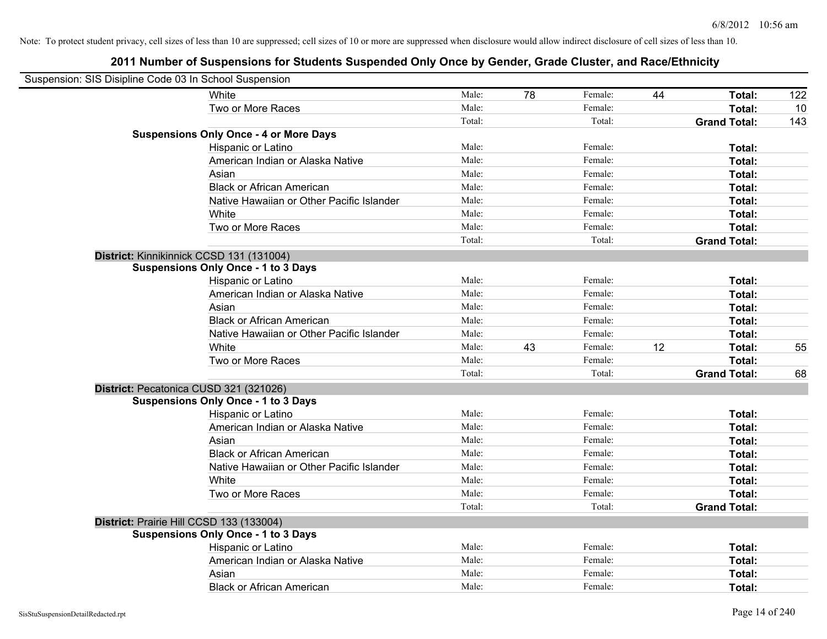| Suspension: SIS Disipline Code 03 In School Suspension |        |    |         |    |                     |     |
|--------------------------------------------------------|--------|----|---------|----|---------------------|-----|
| White                                                  | Male:  | 78 | Female: | 44 | Total:              | 122 |
| Two or More Races                                      | Male:  |    | Female: |    | Total:              | 10  |
|                                                        | Total: |    | Total:  |    | <b>Grand Total:</b> | 143 |
| <b>Suspensions Only Once - 4 or More Days</b>          |        |    |         |    |                     |     |
| Hispanic or Latino                                     | Male:  |    | Female: |    | Total:              |     |
| American Indian or Alaska Native                       | Male:  |    | Female: |    | Total:              |     |
| Asian                                                  | Male:  |    | Female: |    | Total:              |     |
| <b>Black or African American</b>                       | Male:  |    | Female: |    | Total:              |     |
| Native Hawaiian or Other Pacific Islander              | Male:  |    | Female: |    | Total:              |     |
| White                                                  | Male:  |    | Female: |    | Total:              |     |
| Two or More Races                                      | Male:  |    | Female: |    | Total:              |     |
|                                                        | Total: |    | Total:  |    | <b>Grand Total:</b> |     |
| District: Kinnikinnick CCSD 131 (131004)               |        |    |         |    |                     |     |
| <b>Suspensions Only Once - 1 to 3 Days</b>             |        |    |         |    |                     |     |
| Hispanic or Latino                                     | Male:  |    | Female: |    | Total:              |     |
| American Indian or Alaska Native                       | Male:  |    | Female: |    | Total:              |     |
| Asian                                                  | Male:  |    | Female: |    | Total:              |     |
| <b>Black or African American</b>                       | Male:  |    | Female: |    | Total:              |     |
| Native Hawaiian or Other Pacific Islander              | Male:  |    | Female: |    | Total:              |     |
| White                                                  | Male:  | 43 | Female: | 12 | Total:              | 55  |
| Two or More Races                                      | Male:  |    | Female: |    | Total:              |     |
|                                                        | Total: |    | Total:  |    | <b>Grand Total:</b> | 68  |
| District: Pecatonica CUSD 321 (321026)                 |        |    |         |    |                     |     |
| <b>Suspensions Only Once - 1 to 3 Days</b>             |        |    |         |    |                     |     |
| Hispanic or Latino                                     | Male:  |    | Female: |    | Total:              |     |
| American Indian or Alaska Native                       | Male:  |    | Female: |    | Total:              |     |
| Asian                                                  | Male:  |    | Female: |    | Total:              |     |
| <b>Black or African American</b>                       | Male:  |    | Female: |    | Total:              |     |
| Native Hawaiian or Other Pacific Islander              | Male:  |    | Female: |    | Total:              |     |
| White                                                  | Male:  |    | Female: |    | Total:              |     |
| Two or More Races                                      | Male:  |    | Female: |    | Total:              |     |
|                                                        | Total: |    | Total:  |    | <b>Grand Total:</b> |     |
| District: Prairie Hill CCSD 133 (133004)               |        |    |         |    |                     |     |
| <b>Suspensions Only Once - 1 to 3 Days</b>             |        |    |         |    |                     |     |
| Hispanic or Latino                                     | Male:  |    | Female: |    | Total:              |     |
| American Indian or Alaska Native                       | Male:  |    | Female: |    | Total:              |     |
| Asian                                                  | Male:  |    | Female: |    | Total:              |     |
| <b>Black or African American</b>                       | Male:  |    | Female: |    | Total:              |     |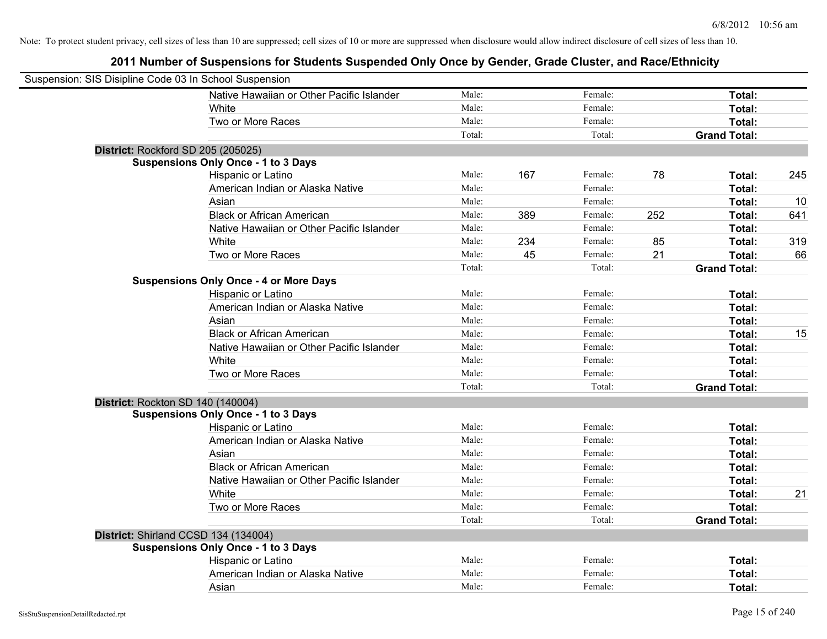| Suspension: SIS Disipline Code 03 In School Suspension |                                               |        |     |         |     |                     |     |
|--------------------------------------------------------|-----------------------------------------------|--------|-----|---------|-----|---------------------|-----|
|                                                        | Native Hawaiian or Other Pacific Islander     | Male:  |     | Female: |     | Total:              |     |
|                                                        | White                                         | Male:  |     | Female: |     | Total:              |     |
|                                                        | Two or More Races                             | Male:  |     | Female: |     | Total:              |     |
|                                                        |                                               | Total: |     | Total:  |     | <b>Grand Total:</b> |     |
| District: Rockford SD 205 (205025)                     |                                               |        |     |         |     |                     |     |
|                                                        | <b>Suspensions Only Once - 1 to 3 Days</b>    |        |     |         |     |                     |     |
|                                                        | Hispanic or Latino                            | Male:  | 167 | Female: | 78  | Total:              | 245 |
|                                                        | American Indian or Alaska Native              | Male:  |     | Female: |     | Total:              |     |
|                                                        | Asian                                         | Male:  |     | Female: |     | Total:              | 10  |
|                                                        | <b>Black or African American</b>              | Male:  | 389 | Female: | 252 | Total:              | 641 |
|                                                        | Native Hawaiian or Other Pacific Islander     | Male:  |     | Female: |     | Total:              |     |
|                                                        | White                                         | Male:  | 234 | Female: | 85  | Total:              | 319 |
|                                                        | Two or More Races                             | Male:  | 45  | Female: | 21  | Total:              | 66  |
|                                                        |                                               | Total: |     | Total:  |     | <b>Grand Total:</b> |     |
|                                                        | <b>Suspensions Only Once - 4 or More Days</b> |        |     |         |     |                     |     |
|                                                        | Hispanic or Latino                            | Male:  |     | Female: |     | Total:              |     |
|                                                        | American Indian or Alaska Native              | Male:  |     | Female: |     | Total:              |     |
|                                                        | Asian                                         | Male:  |     | Female: |     | Total:              |     |
|                                                        | <b>Black or African American</b>              | Male:  |     | Female: |     | Total:              | 15  |
|                                                        | Native Hawaiian or Other Pacific Islander     | Male:  |     | Female: |     | Total:              |     |
|                                                        | White                                         | Male:  |     | Female: |     | Total:              |     |
|                                                        | Two or More Races                             | Male:  |     | Female: |     | Total:              |     |
|                                                        |                                               | Total: |     | Total:  |     | <b>Grand Total:</b> |     |
| District: Rockton SD 140 (140004)                      |                                               |        |     |         |     |                     |     |
|                                                        | <b>Suspensions Only Once - 1 to 3 Days</b>    |        |     |         |     |                     |     |
|                                                        | Hispanic or Latino                            | Male:  |     | Female: |     | Total:              |     |
|                                                        | American Indian or Alaska Native              | Male:  |     | Female: |     | Total:              |     |
|                                                        | Asian                                         | Male:  |     | Female: |     | Total:              |     |
|                                                        | <b>Black or African American</b>              | Male:  |     | Female: |     | Total:              |     |
|                                                        | Native Hawaiian or Other Pacific Islander     | Male:  |     | Female: |     | Total:              |     |
|                                                        | White                                         | Male:  |     | Female: |     | Total:              | 21  |
|                                                        | Two or More Races                             | Male:  |     | Female: |     | Total:              |     |
|                                                        |                                               | Total: |     | Total:  |     | <b>Grand Total:</b> |     |
| District: Shirland CCSD 134 (134004)                   |                                               |        |     |         |     |                     |     |
|                                                        | <b>Suspensions Only Once - 1 to 3 Days</b>    |        |     |         |     |                     |     |
|                                                        | Hispanic or Latino                            | Male:  |     | Female: |     | Total:              |     |
|                                                        | American Indian or Alaska Native              | Male:  |     | Female: |     | Total:              |     |
|                                                        | Asian                                         | Male:  |     | Female: |     | Total:              |     |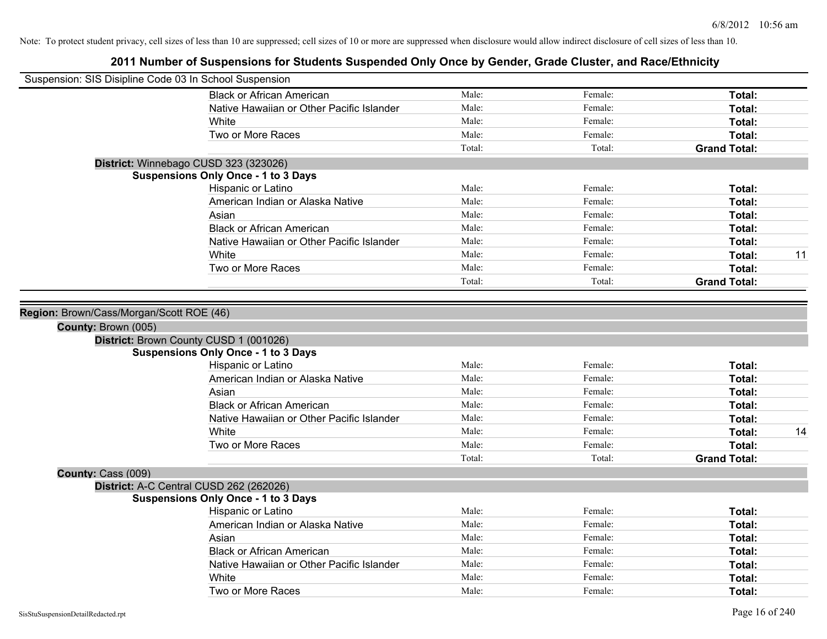| Suspension: SIS Disipline Code 03 In School Suspension |                                            |        |         |                     |    |
|--------------------------------------------------------|--------------------------------------------|--------|---------|---------------------|----|
|                                                        | <b>Black or African American</b>           | Male:  | Female: | Total:              |    |
|                                                        | Native Hawaiian or Other Pacific Islander  | Male:  | Female: | Total:              |    |
|                                                        | White                                      | Male:  | Female: | Total:              |    |
|                                                        | Two or More Races                          | Male:  | Female: | Total:              |    |
|                                                        |                                            | Total: | Total:  | <b>Grand Total:</b> |    |
|                                                        | District: Winnebago CUSD 323 (323026)      |        |         |                     |    |
|                                                        | <b>Suspensions Only Once - 1 to 3 Days</b> |        |         |                     |    |
|                                                        | Hispanic or Latino                         | Male:  | Female: | Total:              |    |
|                                                        | American Indian or Alaska Native           | Male:  | Female: | Total:              |    |
|                                                        | Asian                                      | Male:  | Female: | Total:              |    |
|                                                        | <b>Black or African American</b>           | Male:  | Female: | Total:              |    |
|                                                        | Native Hawaiian or Other Pacific Islander  | Male:  | Female: | Total:              |    |
|                                                        | White                                      | Male:  | Female: | Total:              | 11 |
|                                                        | Two or More Races                          | Male:  | Female: | Total:              |    |
|                                                        |                                            | Total: | Total:  | <b>Grand Total:</b> |    |
| County: Brown (005)                                    | District: Brown County CUSD 1 (001026)     |        |         |                     |    |
|                                                        | <b>Suspensions Only Once - 1 to 3 Days</b> |        |         |                     |    |
|                                                        | Hispanic or Latino                         | Male:  | Female: | Total:              |    |
|                                                        | American Indian or Alaska Native           | Male:  | Female: | Total:              |    |
|                                                        | Asian                                      | Male:  | Female: | Total:              |    |
|                                                        | <b>Black or African American</b>           | Male:  | Female: | Total:              |    |
|                                                        | Native Hawaiian or Other Pacific Islander  | Male:  | Female: | Total:              |    |
|                                                        | White                                      | Male:  | Female: | Total:              | 14 |
|                                                        | Two or More Races                          | Male:  | Female: | Total:              |    |
|                                                        |                                            | Total: | Total:  | <b>Grand Total:</b> |    |
| County: Cass (009)                                     |                                            |        |         |                     |    |
|                                                        | District: A-C Central CUSD 262 (262026)    |        |         |                     |    |
|                                                        | <b>Suspensions Only Once - 1 to 3 Days</b> |        |         |                     |    |
|                                                        | Hispanic or Latino                         | Male:  | Female: | Total:              |    |
|                                                        | American Indian or Alaska Native           | Male:  | Female: | Total:              |    |
|                                                        | Asian                                      | Male:  | Female: | Total:              |    |
|                                                        | <b>Black or African American</b>           | Male:  | Female: | Total:              |    |
|                                                        | Native Hawaiian or Other Pacific Islander  | Male:  | Female: | Total:              |    |
|                                                        | White                                      | Male:  | Female: | Total:              |    |
|                                                        | Two or More Races                          | Male:  | Female: | Total:              |    |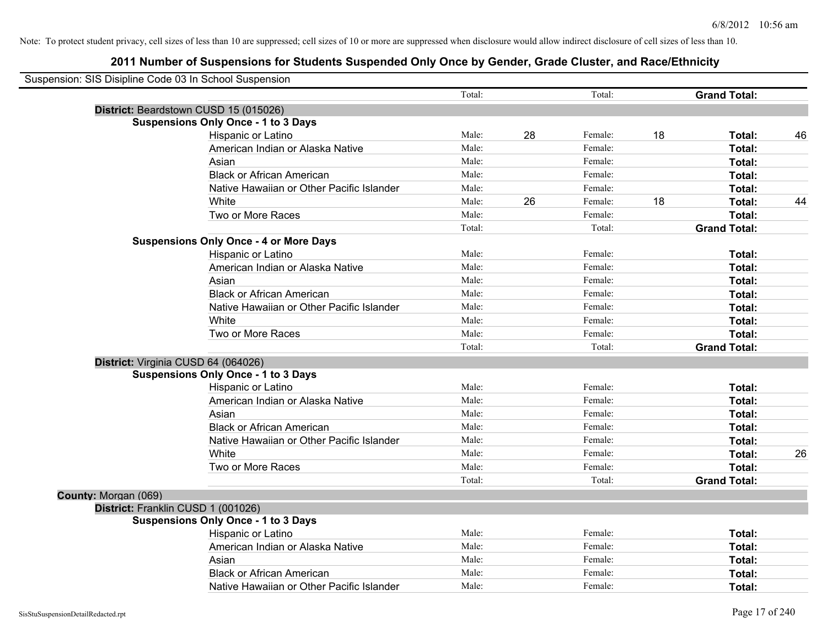| Suspension: SIS Disipline Code 03 In School Suspension |                                               |        |    |         |    |                     |    |
|--------------------------------------------------------|-----------------------------------------------|--------|----|---------|----|---------------------|----|
|                                                        |                                               | Total: |    | Total:  |    | <b>Grand Total:</b> |    |
|                                                        | District: Beardstown CUSD 15 (015026)         |        |    |         |    |                     |    |
|                                                        | <b>Suspensions Only Once - 1 to 3 Days</b>    |        |    |         |    |                     |    |
|                                                        | Hispanic or Latino                            | Male:  | 28 | Female: | 18 | Total:              | 46 |
|                                                        | American Indian or Alaska Native              | Male:  |    | Female: |    | Total:              |    |
|                                                        | Asian                                         | Male:  |    | Female: |    | Total:              |    |
|                                                        | <b>Black or African American</b>              | Male:  |    | Female: |    | Total:              |    |
|                                                        | Native Hawaiian or Other Pacific Islander     | Male:  |    | Female: |    | Total:              |    |
|                                                        | White                                         | Male:  | 26 | Female: | 18 | Total:              | 44 |
|                                                        | Two or More Races                             | Male:  |    | Female: |    | Total:              |    |
|                                                        |                                               | Total: |    | Total:  |    | <b>Grand Total:</b> |    |
|                                                        | <b>Suspensions Only Once - 4 or More Days</b> |        |    |         |    |                     |    |
|                                                        | Hispanic or Latino                            | Male:  |    | Female: |    | Total:              |    |
|                                                        | American Indian or Alaska Native              | Male:  |    | Female: |    | Total:              |    |
|                                                        | Asian                                         | Male:  |    | Female: |    | Total:              |    |
|                                                        | <b>Black or African American</b>              | Male:  |    | Female: |    | Total:              |    |
|                                                        | Native Hawaiian or Other Pacific Islander     | Male:  |    | Female: |    | Total:              |    |
|                                                        | White                                         | Male:  |    | Female: |    | Total:              |    |
|                                                        | Two or More Races                             | Male:  |    | Female: |    | Total:              |    |
|                                                        |                                               | Total: |    | Total:  |    | <b>Grand Total:</b> |    |
|                                                        | District: Virginia CUSD 64 (064026)           |        |    |         |    |                     |    |
|                                                        | <b>Suspensions Only Once - 1 to 3 Days</b>    |        |    |         |    |                     |    |
|                                                        | Hispanic or Latino                            | Male:  |    | Female: |    | Total:              |    |
|                                                        | American Indian or Alaska Native              | Male:  |    | Female: |    | Total:              |    |
|                                                        | Asian                                         | Male:  |    | Female: |    | Total:              |    |
|                                                        | <b>Black or African American</b>              | Male:  |    | Female: |    | Total:              |    |
|                                                        | Native Hawaiian or Other Pacific Islander     | Male:  |    | Female: |    | Total:              |    |
|                                                        | White                                         | Male:  |    | Female: |    | Total:              | 26 |
|                                                        | Two or More Races                             | Male:  |    | Female: |    | Total:              |    |
|                                                        |                                               | Total: |    | Total:  |    | <b>Grand Total:</b> |    |
| County: Morgan (069)                                   |                                               |        |    |         |    |                     |    |
|                                                        | District: Franklin CUSD 1 (001026)            |        |    |         |    |                     |    |
|                                                        | <b>Suspensions Only Once - 1 to 3 Days</b>    |        |    |         |    |                     |    |
|                                                        | Hispanic or Latino                            | Male:  |    | Female: |    | Total:              |    |
|                                                        | American Indian or Alaska Native              | Male:  |    | Female: |    | Total:              |    |
|                                                        | Asian                                         | Male:  |    | Female: |    | Total:              |    |
|                                                        | <b>Black or African American</b>              | Male:  |    | Female: |    | Total:              |    |
|                                                        | Native Hawaiian or Other Pacific Islander     | Male:  |    | Female: |    | Total:              |    |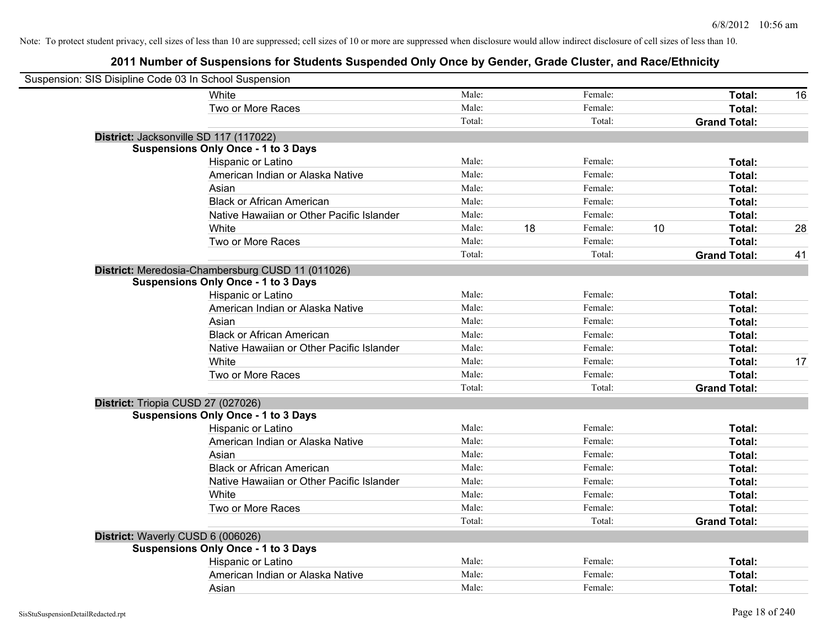| Suspension: SIS Disipline Code 03 In School Suspension |                                                   |        |    |         |    |                     |    |
|--------------------------------------------------------|---------------------------------------------------|--------|----|---------|----|---------------------|----|
|                                                        | White                                             | Male:  |    | Female: |    | Total:              | 16 |
|                                                        | Two or More Races                                 | Male:  |    | Female: |    | Total:              |    |
|                                                        |                                                   | Total: |    | Total:  |    | <b>Grand Total:</b> |    |
| District: Jacksonville SD 117 (117022)                 |                                                   |        |    |         |    |                     |    |
|                                                        | <b>Suspensions Only Once - 1 to 3 Days</b>        |        |    |         |    |                     |    |
|                                                        | Hispanic or Latino                                | Male:  |    | Female: |    | Total:              |    |
|                                                        | American Indian or Alaska Native                  | Male:  |    | Female: |    | Total:              |    |
|                                                        | Asian                                             | Male:  |    | Female: |    | Total:              |    |
|                                                        | <b>Black or African American</b>                  | Male:  |    | Female: |    | Total:              |    |
|                                                        | Native Hawaiian or Other Pacific Islander         | Male:  |    | Female: |    | Total:              |    |
|                                                        | White                                             | Male:  | 18 | Female: | 10 | Total:              | 28 |
|                                                        | Two or More Races                                 | Male:  |    | Female: |    | Total:              |    |
|                                                        |                                                   | Total: |    | Total:  |    | <b>Grand Total:</b> | 41 |
|                                                        | District: Meredosia-Chambersburg CUSD 11 (011026) |        |    |         |    |                     |    |
|                                                        | <b>Suspensions Only Once - 1 to 3 Days</b>        |        |    |         |    |                     |    |
|                                                        | Hispanic or Latino                                | Male:  |    | Female: |    | Total:              |    |
|                                                        | American Indian or Alaska Native                  | Male:  |    | Female: |    | Total:              |    |
|                                                        | Asian                                             | Male:  |    | Female: |    | Total:              |    |
|                                                        | <b>Black or African American</b>                  | Male:  |    | Female: |    | Total:              |    |
|                                                        | Native Hawaiian or Other Pacific Islander         | Male:  |    | Female: |    | Total:              |    |
|                                                        | White                                             | Male:  |    | Female: |    | Total:              | 17 |
|                                                        | Two or More Races                                 | Male:  |    | Female: |    | Total:              |    |
|                                                        |                                                   | Total: |    | Total:  |    | <b>Grand Total:</b> |    |
| District: Triopia CUSD 27 (027026)                     |                                                   |        |    |         |    |                     |    |
|                                                        | <b>Suspensions Only Once - 1 to 3 Days</b>        |        |    |         |    |                     |    |
|                                                        | Hispanic or Latino                                | Male:  |    | Female: |    | Total:              |    |
|                                                        | American Indian or Alaska Native                  | Male:  |    | Female: |    | Total:              |    |
|                                                        | Asian                                             | Male:  |    | Female: |    | Total:              |    |
|                                                        | <b>Black or African American</b>                  | Male:  |    | Female: |    | Total:              |    |
|                                                        | Native Hawaiian or Other Pacific Islander         | Male:  |    | Female: |    | Total:              |    |
|                                                        | White                                             | Male:  |    | Female: |    | Total:              |    |
|                                                        | Two or More Races                                 | Male:  |    | Female: |    | Total:              |    |
|                                                        |                                                   | Total: |    | Total:  |    | <b>Grand Total:</b> |    |
| District: Waverly CUSD 6 (006026)                      |                                                   |        |    |         |    |                     |    |
|                                                        | <b>Suspensions Only Once - 1 to 3 Days</b>        |        |    |         |    |                     |    |
|                                                        | Hispanic or Latino                                | Male:  |    | Female: |    | Total:              |    |
|                                                        | American Indian or Alaska Native                  | Male:  |    | Female: |    | Total:              |    |
|                                                        | Asian                                             | Male:  |    | Female: |    | Total:              |    |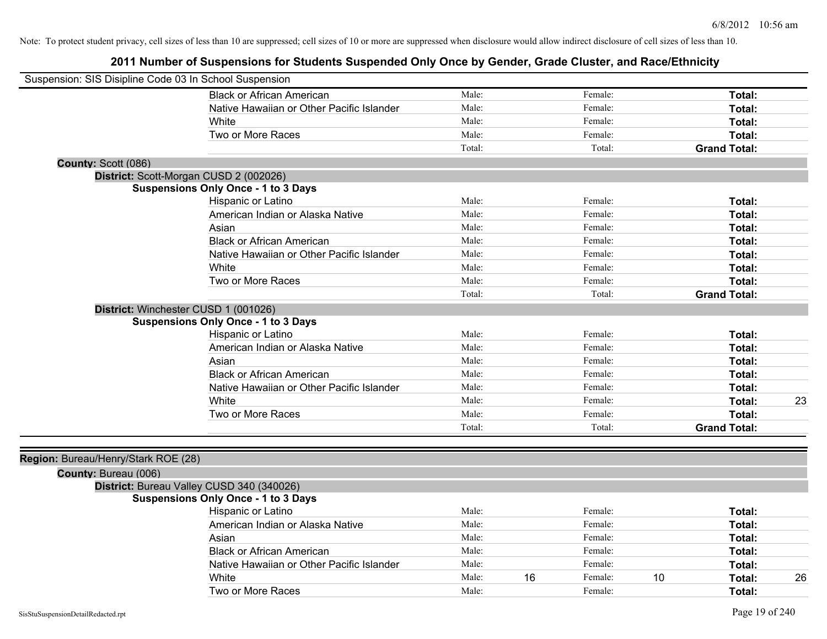| Suspension: SIS Disipline Code 03 In School Suspension      |                                            |        |    |         |    |                     |    |
|-------------------------------------------------------------|--------------------------------------------|--------|----|---------|----|---------------------|----|
|                                                             | <b>Black or African American</b>           | Male:  |    | Female: |    | Total:              |    |
|                                                             | Native Hawaiian or Other Pacific Islander  | Male:  |    | Female: |    | Total:              |    |
|                                                             | <b>White</b>                               | Male:  |    | Female: |    | <b>Total:</b>       |    |
|                                                             | Two or More Races                          | Male:  |    | Female: |    | Total:              |    |
|                                                             |                                            | Total: |    | Total:  |    | <b>Grand Total:</b> |    |
| County: Scott (086)                                         |                                            |        |    |         |    |                     |    |
|                                                             | District: Scott-Morgan CUSD 2 (002026)     |        |    |         |    |                     |    |
|                                                             | <b>Suspensions Only Once - 1 to 3 Days</b> |        |    |         |    |                     |    |
|                                                             | Hispanic or Latino                         | Male:  |    | Female: |    | Total:              |    |
|                                                             | American Indian or Alaska Native           | Male:  |    | Female: |    | Total:              |    |
|                                                             | Asian                                      | Male:  |    | Female: |    | Total:              |    |
|                                                             | <b>Black or African American</b>           | Male:  |    | Female: |    | Total:              |    |
|                                                             | Native Hawaiian or Other Pacific Islander  | Male:  |    | Female: |    | Total:              |    |
|                                                             | White                                      | Male:  |    | Female: |    | Total:              |    |
|                                                             | Two or More Races                          | Male:  |    | Female: |    | Total:              |    |
|                                                             |                                            | Total: |    | Total:  |    | <b>Grand Total:</b> |    |
| District: Winchester CUSD 1 (001026)                        |                                            |        |    |         |    |                     |    |
|                                                             | <b>Suspensions Only Once - 1 to 3 Days</b> |        |    |         |    |                     |    |
|                                                             | Hispanic or Latino                         | Male:  |    | Female: |    | Total:              |    |
|                                                             | American Indian or Alaska Native           | Male:  |    | Female: |    | Total:              |    |
|                                                             | Asian                                      | Male:  |    | Female: |    | Total:              |    |
|                                                             | <b>Black or African American</b>           | Male:  |    | Female: |    | Total:              |    |
|                                                             | Native Hawaiian or Other Pacific Islander  | Male:  |    | Female: |    | Total:              |    |
|                                                             | White                                      | Male:  |    | Female: |    | Total:              | 23 |
|                                                             | Two or More Races                          | Male:  |    | Female: |    | Total:              |    |
|                                                             |                                            | Total: |    | Total:  |    | <b>Grand Total:</b> |    |
| Region: Bureau/Henry/Stark ROE (28)<br>County: Bureau (006) |                                            |        |    |         |    |                     |    |
|                                                             | District: Bureau Valley CUSD 340 (340026)  |        |    |         |    |                     |    |
|                                                             | <b>Suspensions Only Once - 1 to 3 Days</b> |        |    |         |    |                     |    |
|                                                             | Hispanic or Latino                         | Male:  |    | Female: |    | Total:              |    |
|                                                             | American Indian or Alaska Native           | Male:  |    | Female: |    | Total:              |    |
|                                                             | Asian                                      | Male:  |    | Female: |    | Total:              |    |
|                                                             | <b>Black or African American</b>           | Male:  |    | Female: |    | Total:              |    |
|                                                             | Native Hawaiian or Other Pacific Islander  | Male:  |    | Female: |    | Total:              |    |
|                                                             | White                                      | Male:  | 16 | Female: | 10 | Total:              | 26 |
|                                                             | Two or More Races                          | Male:  |    | Female: |    | Total:              |    |
|                                                             |                                            |        |    |         |    |                     |    |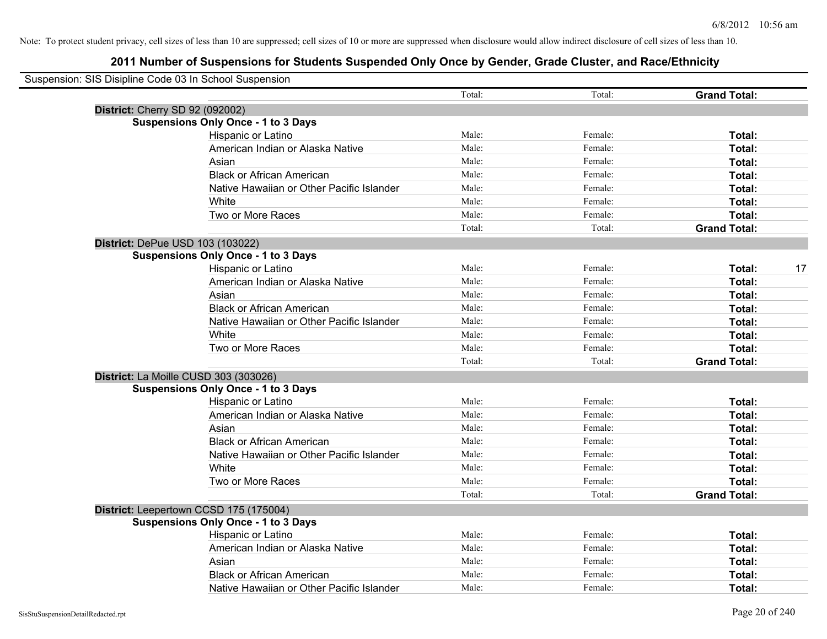| Suspension: SIS Disipline Code 03 In School Suspension |                                            |        |         |                     |    |
|--------------------------------------------------------|--------------------------------------------|--------|---------|---------------------|----|
|                                                        |                                            | Total: | Total:  | <b>Grand Total:</b> |    |
| <b>District: Cherry SD 92 (092002)</b>                 |                                            |        |         |                     |    |
|                                                        | <b>Suspensions Only Once - 1 to 3 Days</b> |        |         |                     |    |
|                                                        | Hispanic or Latino                         | Male:  | Female: | Total:              |    |
|                                                        | American Indian or Alaska Native           | Male:  | Female: | Total:              |    |
|                                                        | Asian                                      | Male:  | Female: | Total:              |    |
|                                                        | <b>Black or African American</b>           | Male:  | Female: | Total:              |    |
|                                                        | Native Hawaiian or Other Pacific Islander  | Male:  | Female: | Total:              |    |
|                                                        | White                                      | Male:  | Female: | Total:              |    |
|                                                        | Two or More Races                          | Male:  | Female: | Total:              |    |
|                                                        |                                            | Total: | Total:  | <b>Grand Total:</b> |    |
| District: DePue USD 103 (103022)                       |                                            |        |         |                     |    |
|                                                        | <b>Suspensions Only Once - 1 to 3 Days</b> |        |         |                     |    |
|                                                        | Hispanic or Latino                         | Male:  | Female: | Total:              | 17 |
|                                                        | American Indian or Alaska Native           | Male:  | Female: | Total:              |    |
|                                                        | Asian                                      | Male:  | Female: | Total:              |    |
|                                                        | <b>Black or African American</b>           | Male:  | Female: | Total:              |    |
|                                                        | Native Hawaiian or Other Pacific Islander  | Male:  | Female: | Total:              |    |
|                                                        | White                                      | Male:  | Female: | Total:              |    |
|                                                        | Two or More Races                          | Male:  | Female: | Total:              |    |
|                                                        |                                            | Total: | Total:  | <b>Grand Total:</b> |    |
|                                                        | District: La Moille CUSD 303 (303026)      |        |         |                     |    |
|                                                        | <b>Suspensions Only Once - 1 to 3 Days</b> |        |         |                     |    |
|                                                        | Hispanic or Latino                         | Male:  | Female: | Total:              |    |
|                                                        | American Indian or Alaska Native           | Male:  | Female: | Total:              |    |
|                                                        | Asian                                      | Male:  | Female: | Total:              |    |
|                                                        | <b>Black or African American</b>           | Male:  | Female: | Total:              |    |
|                                                        | Native Hawaiian or Other Pacific Islander  | Male:  | Female: | Total:              |    |
|                                                        | White                                      | Male:  | Female: | Total:              |    |
|                                                        | Two or More Races                          | Male:  | Female: | Total:              |    |
|                                                        |                                            | Total: | Total:  | <b>Grand Total:</b> |    |
|                                                        | District: Leepertown CCSD 175 (175004)     |        |         |                     |    |
|                                                        | <b>Suspensions Only Once - 1 to 3 Days</b> |        |         |                     |    |
|                                                        | Hispanic or Latino                         | Male:  | Female: | Total:              |    |
|                                                        | American Indian or Alaska Native           | Male:  | Female: | Total:              |    |
|                                                        | Asian                                      | Male:  | Female: | Total:              |    |
|                                                        | <b>Black or African American</b>           | Male:  | Female: | Total:              |    |
|                                                        | Native Hawaiian or Other Pacific Islander  | Male:  | Female: | Total:              |    |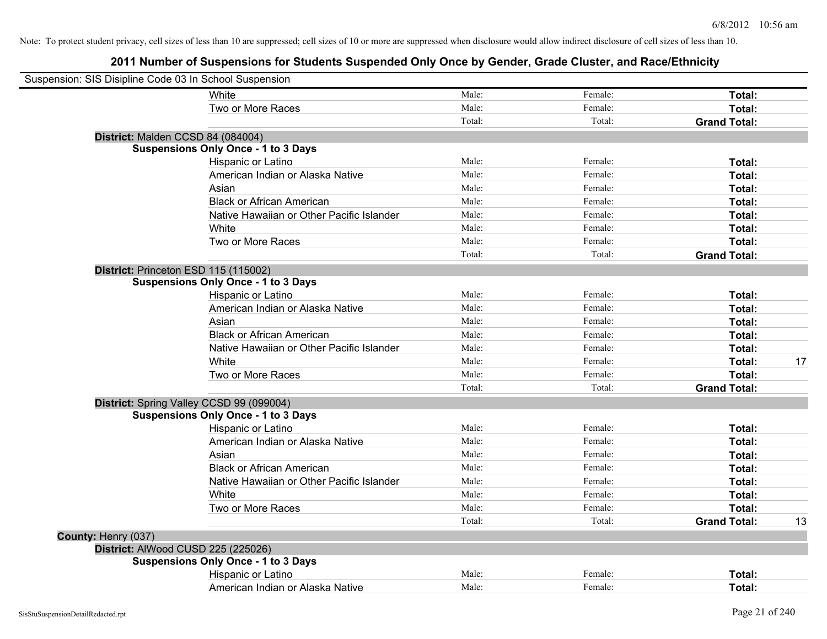| Suspension: SIS Disipline Code 03 In School Suspension |                                            |        |         |                     |    |
|--------------------------------------------------------|--------------------------------------------|--------|---------|---------------------|----|
|                                                        | <b>White</b>                               | Male:  | Female: | Total:              |    |
|                                                        | Two or More Races                          | Male:  | Female: | Total:              |    |
|                                                        |                                            | Total: | Total:  | <b>Grand Total:</b> |    |
| District: Malden CCSD 84 (084004)                      |                                            |        |         |                     |    |
|                                                        | <b>Suspensions Only Once - 1 to 3 Days</b> |        |         |                     |    |
|                                                        | Hispanic or Latino                         | Male:  | Female: | Total:              |    |
|                                                        | American Indian or Alaska Native           | Male:  | Female: | Total:              |    |
|                                                        | Asian                                      | Male:  | Female: | Total:              |    |
|                                                        | <b>Black or African American</b>           | Male:  | Female: | Total:              |    |
|                                                        | Native Hawaiian or Other Pacific Islander  | Male:  | Female: | Total:              |    |
|                                                        | White                                      | Male:  | Female: | Total:              |    |
|                                                        | Two or More Races                          | Male:  | Female: | Total:              |    |
|                                                        |                                            | Total: | Total:  | <b>Grand Total:</b> |    |
| District: Princeton ESD 115 (115002)                   |                                            |        |         |                     |    |
|                                                        | <b>Suspensions Only Once - 1 to 3 Days</b> |        |         |                     |    |
|                                                        | Hispanic or Latino                         | Male:  | Female: | Total:              |    |
|                                                        | American Indian or Alaska Native           | Male:  | Female: | Total:              |    |
|                                                        | Asian                                      | Male:  | Female: | Total:              |    |
|                                                        | <b>Black or African American</b>           | Male:  | Female: | Total:              |    |
|                                                        | Native Hawaiian or Other Pacific Islander  | Male:  | Female: | Total:              |    |
|                                                        | White                                      | Male:  | Female: | Total:              | 17 |
|                                                        | Two or More Races                          | Male:  | Female: | Total:              |    |
|                                                        |                                            | Total: | Total:  | <b>Grand Total:</b> |    |
|                                                        | District: Spring Valley CCSD 99 (099004)   |        |         |                     |    |
|                                                        | <b>Suspensions Only Once - 1 to 3 Days</b> |        |         |                     |    |
|                                                        | Hispanic or Latino                         | Male:  | Female: | Total:              |    |
|                                                        | American Indian or Alaska Native           | Male:  | Female: | Total:              |    |
|                                                        | Asian                                      | Male:  | Female: | Total:              |    |
|                                                        | <b>Black or African American</b>           | Male:  | Female: | Total:              |    |
|                                                        | Native Hawaiian or Other Pacific Islander  | Male:  | Female: | Total:              |    |
|                                                        | White                                      | Male:  | Female: | Total:              |    |
|                                                        | Two or More Races                          | Male:  | Female: | Total:              |    |
|                                                        |                                            | Total: | Total:  | <b>Grand Total:</b> | 13 |
| County: Henry (037)                                    |                                            |        |         |                     |    |
| District: AlWood CUSD 225 (225026)                     |                                            |        |         |                     |    |
|                                                        | <b>Suspensions Only Once - 1 to 3 Days</b> |        |         |                     |    |
|                                                        | Hispanic or Latino                         | Male:  | Female: | Total:              |    |
|                                                        | American Indian or Alaska Native           | Male:  | Female: | Total:              |    |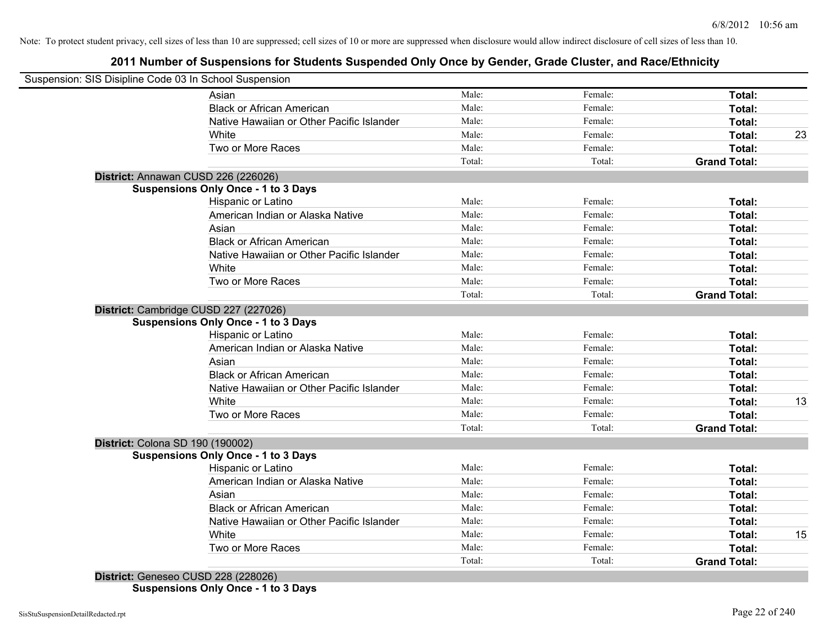# **2011 Number of Suspensions for Students Suspended Only Once by Gender, Grade Cluster, and Race/Ethnicity**

|                                  | Suspension: SIS Disipline Code 03 In School Suspension |        |         |                     |    |
|----------------------------------|--------------------------------------------------------|--------|---------|---------------------|----|
|                                  | Asian                                                  | Male:  | Female: | Total:              |    |
|                                  | <b>Black or African American</b>                       | Male:  | Female: | Total:              |    |
|                                  | Native Hawaiian or Other Pacific Islander              | Male:  | Female: | Total:              |    |
|                                  | White                                                  | Male:  | Female: | Total:              | 23 |
|                                  | Two or More Races                                      | Male:  | Female: | Total:              |    |
|                                  |                                                        | Total: | Total:  | <b>Grand Total:</b> |    |
|                                  | District: Annawan CUSD 226 (226026)                    |        |         |                     |    |
|                                  | <b>Suspensions Only Once - 1 to 3 Days</b>             |        |         |                     |    |
|                                  | <b>Hispanic or Latino</b>                              | Male:  | Female: | Total:              |    |
|                                  | American Indian or Alaska Native                       | Male:  | Female: | Total:              |    |
|                                  | Asian                                                  | Male:  | Female: | Total:              |    |
|                                  | <b>Black or African American</b>                       | Male:  | Female: | Total:              |    |
|                                  | Native Hawaiian or Other Pacific Islander              | Male:  | Female: | Total:              |    |
|                                  | White                                                  | Male:  | Female: | Total:              |    |
|                                  | Two or More Races                                      | Male:  | Female: | Total:              |    |
|                                  |                                                        | Total: | Total:  | <b>Grand Total:</b> |    |
|                                  | District: Cambridge CUSD 227 (227026)                  |        |         |                     |    |
|                                  | <b>Suspensions Only Once - 1 to 3 Days</b>             |        |         |                     |    |
|                                  | Hispanic or Latino                                     | Male:  | Female: | Total:              |    |
|                                  | American Indian or Alaska Native                       | Male:  | Female: | Total:              |    |
|                                  | Asian                                                  | Male:  | Female: | Total:              |    |
|                                  | <b>Black or African American</b>                       | Male:  | Female: | Total:              |    |
|                                  | Native Hawaiian or Other Pacific Islander              | Male:  | Female: | Total:              |    |
|                                  | White                                                  | Male:  | Female: | Total:              | 13 |
|                                  | Two or More Races                                      | Male:  | Female: | Total:              |    |
|                                  |                                                        | Total: | Total:  | <b>Grand Total:</b> |    |
| District: Colona SD 190 (190002) |                                                        |        |         |                     |    |
|                                  | <b>Suspensions Only Once - 1 to 3 Days</b>             |        |         |                     |    |
|                                  | Hispanic or Latino                                     | Male:  | Female: | Total:              |    |
|                                  | American Indian or Alaska Native                       | Male:  | Female: | Total:              |    |
|                                  | Asian                                                  | Male:  | Female: | Total:              |    |
|                                  | <b>Black or African American</b>                       | Male:  | Female: | Total:              |    |
|                                  | Native Hawaiian or Other Pacific Islander              | Male:  | Female: | Total:              |    |
|                                  | White                                                  | Male:  | Female: | Total:              | 15 |
|                                  | Two or More Races                                      | Male:  | Female: | Total:              |    |
|                                  |                                                        | Total: | Total:  | <b>Grand Total:</b> |    |

**Suspensions Only Once - 1 to 3 Days**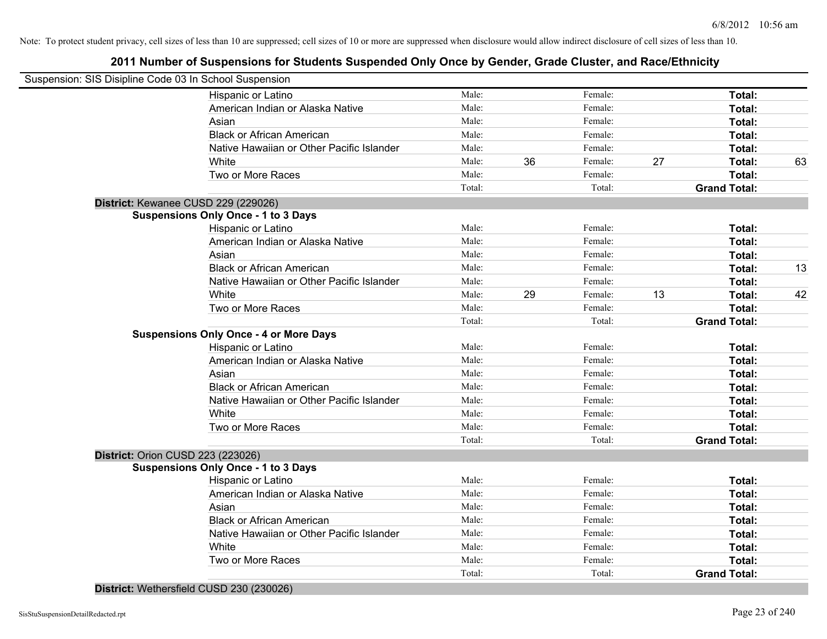| Suspension: SIS Disipline Code 03 In School Suspension |        |    |         |    |                     |    |
|--------------------------------------------------------|--------|----|---------|----|---------------------|----|
| Hispanic or Latino                                     | Male:  |    | Female: |    | Total:              |    |
| American Indian or Alaska Native                       | Male:  |    | Female: |    | Total:              |    |
| Asian                                                  | Male:  |    | Female: |    | Total:              |    |
| <b>Black or African American</b>                       | Male:  |    | Female: |    | Total:              |    |
| Native Hawaiian or Other Pacific Islander              | Male:  |    | Female: |    | Total:              |    |
| White                                                  | Male:  | 36 | Female: | 27 | Total:              | 63 |
| Two or More Races                                      | Male:  |    | Female: |    | Total:              |    |
|                                                        | Total: |    | Total:  |    | <b>Grand Total:</b> |    |
| District: Kewanee CUSD 229 (229026)                    |        |    |         |    |                     |    |
| <b>Suspensions Only Once - 1 to 3 Days</b>             |        |    |         |    |                     |    |
| Hispanic or Latino                                     | Male:  |    | Female: |    | Total:              |    |
| American Indian or Alaska Native                       | Male:  |    | Female: |    | Total:              |    |
| Asian                                                  | Male:  |    | Female: |    | Total:              |    |
| <b>Black or African American</b>                       | Male:  |    | Female: |    | Total:              | 13 |
| Native Hawaiian or Other Pacific Islander              | Male:  |    | Female: |    | Total:              |    |
| White                                                  | Male:  | 29 | Female: | 13 | Total:              | 42 |
| Two or More Races                                      | Male:  |    | Female: |    | Total:              |    |
|                                                        | Total: |    | Total:  |    | <b>Grand Total:</b> |    |
| <b>Suspensions Only Once - 4 or More Days</b>          |        |    |         |    |                     |    |
| Hispanic or Latino                                     | Male:  |    | Female: |    | Total:              |    |
| American Indian or Alaska Native                       | Male:  |    | Female: |    | Total:              |    |
| Asian                                                  | Male:  |    | Female: |    | Total:              |    |
| <b>Black or African American</b>                       | Male:  |    | Female: |    | Total:              |    |
| Native Hawaiian or Other Pacific Islander              | Male:  |    | Female: |    | Total:              |    |
| White                                                  | Male:  |    | Female: |    | Total:              |    |
| Two or More Races                                      | Male:  |    | Female: |    | Total:              |    |
|                                                        | Total: |    | Total:  |    | <b>Grand Total:</b> |    |
| District: Orion CUSD 223 (223026)                      |        |    |         |    |                     |    |
| <b>Suspensions Only Once - 1 to 3 Days</b>             |        |    |         |    |                     |    |
| Hispanic or Latino                                     | Male:  |    | Female: |    | Total:              |    |
| American Indian or Alaska Native                       | Male:  |    | Female: |    | Total:              |    |
| Asian                                                  | Male:  |    | Female: |    | Total:              |    |
| <b>Black or African American</b>                       | Male:  |    | Female: |    | Total:              |    |
| Native Hawaiian or Other Pacific Islander              | Male:  |    | Female: |    | Total:              |    |
| White                                                  | Male:  |    | Female: |    | Total:              |    |
| Two or More Races                                      | Male:  |    | Female: |    | Total:              |    |
|                                                        | Total: |    | Total:  |    | <b>Grand Total:</b> |    |
| District: Wethersfield CUSD 230 (230026)               |        |    |         |    |                     |    |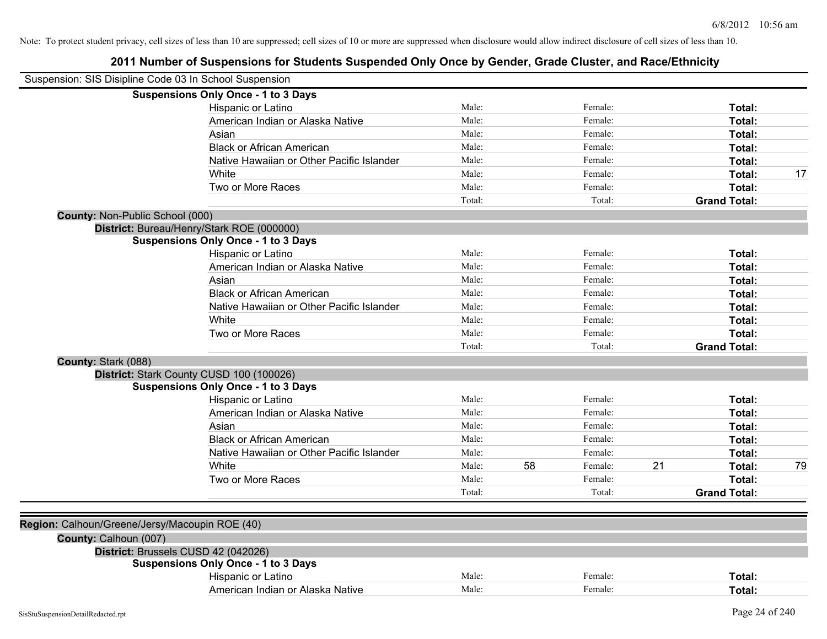|                                        | Suspension: SIS Disipline Code 03 In School Suspension |        |    |         |    |                     |    |
|----------------------------------------|--------------------------------------------------------|--------|----|---------|----|---------------------|----|
|                                        | <b>Suspensions Only Once - 1 to 3 Days</b>             |        |    |         |    |                     |    |
|                                        | Hispanic or Latino                                     | Male:  |    | Female: |    | Total:              |    |
|                                        | American Indian or Alaska Native                       | Male:  |    | Female: |    | Total:              |    |
|                                        | Asian                                                  | Male:  |    | Female: |    | Total:              |    |
|                                        | <b>Black or African American</b>                       | Male:  |    | Female: |    | Total:              |    |
|                                        | Native Hawaiian or Other Pacific Islander              | Male:  |    | Female: |    | Total:              |    |
|                                        | White                                                  | Male:  |    | Female: |    | Total:              | 17 |
|                                        | Two or More Races                                      | Male:  |    | Female: |    | Total:              |    |
|                                        |                                                        | Total: |    | Total:  |    | <b>Grand Total:</b> |    |
| <b>County: Non-Public School (000)</b> |                                                        |        |    |         |    |                     |    |
|                                        | District: Bureau/Henry/Stark ROE (000000)              |        |    |         |    |                     |    |
|                                        | <b>Suspensions Only Once - 1 to 3 Days</b>             |        |    |         |    |                     |    |
|                                        | Hispanic or Latino                                     | Male:  |    | Female: |    | Total:              |    |
|                                        | American Indian or Alaska Native                       | Male:  |    | Female: |    | Total:              |    |
|                                        | Asian                                                  | Male:  |    | Female: |    | Total:              |    |
|                                        | <b>Black or African American</b>                       | Male:  |    | Female: |    | Total:              |    |
|                                        | Native Hawaiian or Other Pacific Islander              | Male:  |    | Female: |    | <b>Total:</b>       |    |
|                                        | White                                                  | Male:  |    | Female: |    | Total:              |    |
|                                        | Two or More Races                                      | Male:  |    | Female: |    | Total:              |    |
|                                        |                                                        | Total: |    | Total:  |    | <b>Grand Total:</b> |    |
| County: Stark (088)                    |                                                        |        |    |         |    |                     |    |
|                                        | District: Stark County CUSD 100 (100026)               |        |    |         |    |                     |    |
|                                        | <b>Suspensions Only Once - 1 to 3 Days</b>             |        |    |         |    |                     |    |
|                                        | Hispanic or Latino                                     | Male:  |    | Female: |    | Total:              |    |
|                                        | American Indian or Alaska Native                       | Male:  |    | Female: |    | Total:              |    |
|                                        | Asian                                                  | Male:  |    | Female: |    | Total:              |    |
|                                        | <b>Black or African American</b>                       | Male:  |    | Female: |    | Total:              |    |
|                                        | Native Hawaiian or Other Pacific Islander              | Male:  |    | Female: |    | Total:              |    |
|                                        | White                                                  | Male:  | 58 | Female: | 21 | Total:              | 79 |
|                                        | Two or More Races                                      | Male:  |    | Female: |    | Total:              |    |
|                                        |                                                        | Total: |    | Total:  |    | <b>Grand Total:</b> |    |
|                                        |                                                        |        |    |         |    |                     |    |
|                                        | Region: Calhoun/Greene/Jersy/Macoupin ROE (40)         |        |    |         |    |                     |    |
| County: Calhoun (007)                  |                                                        |        |    |         |    |                     |    |
|                                        | District: Brussels CUSD 42 (042026)                    |        |    |         |    |                     |    |
|                                        | <b>Suspensions Only Once - 1 to 3 Days</b>             |        |    |         |    |                     |    |
|                                        | Hispanic or Latino                                     | Male:  |    | Female: |    | Total:              |    |
|                                        | American Indian or Alaska Native                       | Male:  |    | Female: |    | Total:              |    |
|                                        |                                                        |        |    |         |    |                     |    |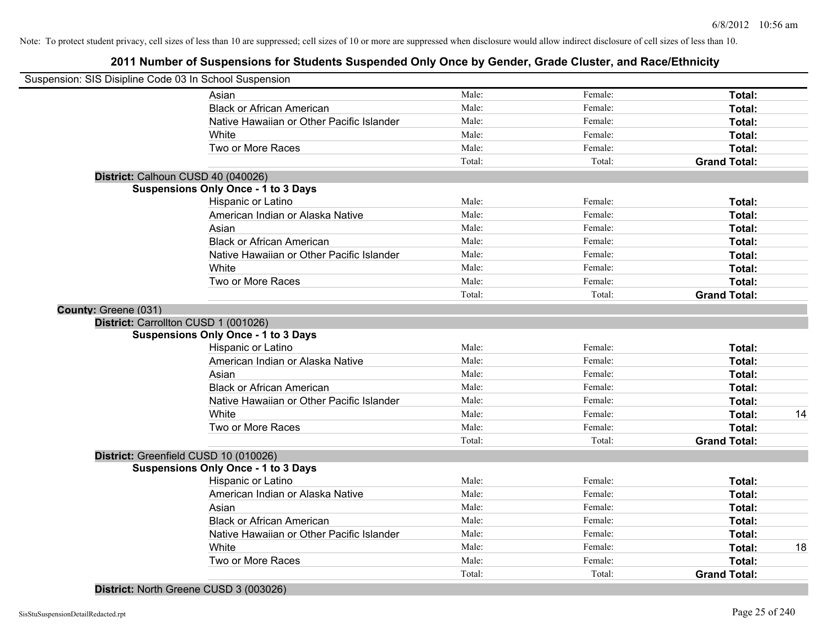# **2011 Number of Suspensions for Students Suspended Only Once by Gender, Grade Cluster, and Race/Ethnicity**

| Suspension: SIS Disipline Code 03 In School Suspension |                                            |        |         |                     |    |
|--------------------------------------------------------|--------------------------------------------|--------|---------|---------------------|----|
|                                                        | Asian                                      | Male:  | Female: | Total:              |    |
|                                                        | <b>Black or African American</b>           | Male:  | Female: | Total:              |    |
|                                                        | Native Hawaiian or Other Pacific Islander  | Male:  | Female: | Total:              |    |
|                                                        | White                                      | Male:  | Female: | Total:              |    |
|                                                        | Two or More Races                          | Male:  | Female: | Total:              |    |
|                                                        |                                            | Total: | Total:  | <b>Grand Total:</b> |    |
| District: Calhoun CUSD 40 (040026)                     |                                            |        |         |                     |    |
|                                                        | <b>Suspensions Only Once - 1 to 3 Days</b> |        |         |                     |    |
|                                                        | Hispanic or Latino                         | Male:  | Female: | Total:              |    |
|                                                        | American Indian or Alaska Native           | Male:  | Female: | <b>Total:</b>       |    |
|                                                        | Asian                                      | Male:  | Female: | Total:              |    |
|                                                        | <b>Black or African American</b>           | Male:  | Female: | Total:              |    |
|                                                        | Native Hawaiian or Other Pacific Islander  | Male:  | Female: | Total:              |    |
|                                                        | White                                      | Male:  | Female: | <b>Total:</b>       |    |
|                                                        | Two or More Races                          | Male:  | Female: | Total:              |    |
|                                                        |                                            | Total: | Total:  | <b>Grand Total:</b> |    |
| County: Greene (031)                                   |                                            |        |         |                     |    |
| District: Carrollton CUSD 1 (001026)                   |                                            |        |         |                     |    |
|                                                        | <b>Suspensions Only Once - 1 to 3 Days</b> |        |         |                     |    |
|                                                        | Hispanic or Latino                         | Male:  | Female: | Total:              |    |
|                                                        | American Indian or Alaska Native           | Male:  | Female: | Total:              |    |
|                                                        | Asian                                      | Male:  | Female: | Total:              |    |
|                                                        | <b>Black or African American</b>           | Male:  | Female: | Total:              |    |
|                                                        | Native Hawaiian or Other Pacific Islander  | Male:  | Female: | Total:              |    |
|                                                        | White                                      | Male:  | Female: | <b>Total:</b>       | 14 |
|                                                        | Two or More Races                          | Male:  | Female: | Total:              |    |
|                                                        |                                            | Total: | Total:  | <b>Grand Total:</b> |    |
|                                                        | District: Greenfield CUSD 10 (010026)      |        |         |                     |    |
|                                                        | <b>Suspensions Only Once - 1 to 3 Days</b> |        |         |                     |    |
|                                                        | Hispanic or Latino                         | Male:  | Female: | Total:              |    |
|                                                        | American Indian or Alaska Native           | Male:  | Female: | Total:              |    |
|                                                        | Asian                                      | Male:  | Female: | Total:              |    |
|                                                        | <b>Black or African American</b>           | Male:  | Female: | Total:              |    |
|                                                        | Native Hawaiian or Other Pacific Islander  | Male:  | Female: | Total:              |    |
|                                                        | White                                      | Male:  | Female: | Total:              | 18 |
|                                                        | Two or More Races                          | Male:  | Female: | Total:              |    |
|                                                        |                                            | Total: | Total:  | <b>Grand Total:</b> |    |

**District:** North Greene CUSD 3 (003026)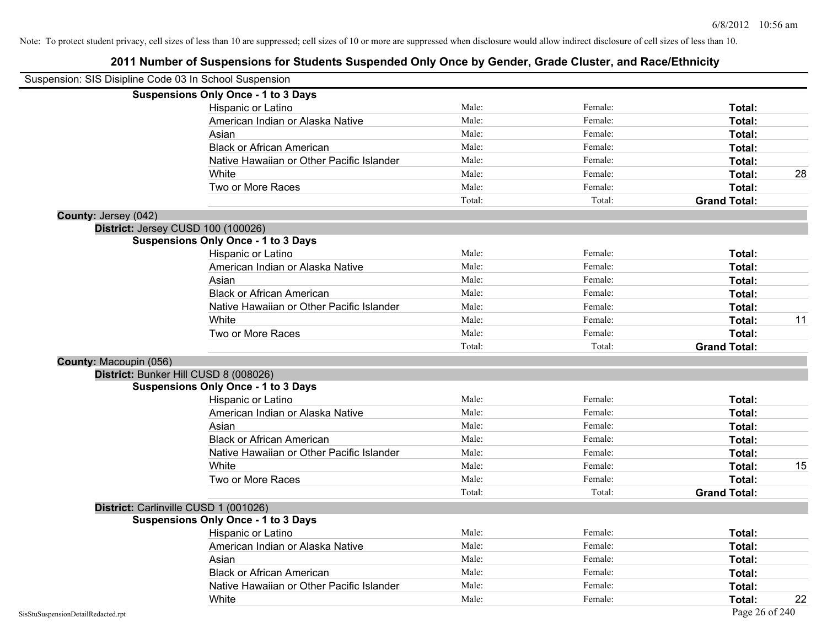| Suspension: SIS Disipline Code 03 In School Suspension |                                            |        |         |                     |    |
|--------------------------------------------------------|--------------------------------------------|--------|---------|---------------------|----|
|                                                        | <b>Suspensions Only Once - 1 to 3 Days</b> |        |         |                     |    |
|                                                        | Hispanic or Latino                         | Male:  | Female: | Total:              |    |
|                                                        | American Indian or Alaska Native           | Male:  | Female: | Total:              |    |
|                                                        | Asian                                      | Male:  | Female: | Total:              |    |
|                                                        | <b>Black or African American</b>           | Male:  | Female: | Total:              |    |
|                                                        | Native Hawaiian or Other Pacific Islander  | Male:  | Female: | Total:              |    |
|                                                        | White                                      | Male:  | Female: | Total:              | 28 |
|                                                        | Two or More Races                          | Male:  | Female: | Total:              |    |
|                                                        |                                            | Total: | Total:  | <b>Grand Total:</b> |    |
| County: Jersey (042)                                   |                                            |        |         |                     |    |
|                                                        | District: Jersey CUSD 100 (100026)         |        |         |                     |    |
|                                                        | <b>Suspensions Only Once - 1 to 3 Days</b> |        |         |                     |    |
|                                                        | Hispanic or Latino                         | Male:  | Female: | Total:              |    |
|                                                        | American Indian or Alaska Native           | Male:  | Female: | Total:              |    |
|                                                        | Asian                                      | Male:  | Female: | Total:              |    |
|                                                        | <b>Black or African American</b>           | Male:  | Female: | Total:              |    |
|                                                        | Native Hawaiian or Other Pacific Islander  | Male:  | Female: | Total:              |    |
|                                                        | White                                      | Male:  | Female: | Total:              | 11 |
|                                                        | Two or More Races                          | Male:  | Female: | Total:              |    |
|                                                        |                                            | Total: | Total:  | <b>Grand Total:</b> |    |
| County: Macoupin (056)                                 |                                            |        |         |                     |    |
|                                                        | District: Bunker Hill CUSD 8 (008026)      |        |         |                     |    |
|                                                        | <b>Suspensions Only Once - 1 to 3 Days</b> |        |         |                     |    |
|                                                        | Hispanic or Latino                         | Male:  | Female: | Total:              |    |
|                                                        | American Indian or Alaska Native           | Male:  | Female: | Total:              |    |
|                                                        | Asian                                      | Male:  | Female: | Total:              |    |
|                                                        | <b>Black or African American</b>           | Male:  | Female: | Total:              |    |
|                                                        | Native Hawaiian or Other Pacific Islander  | Male:  | Female: | Total:              |    |
|                                                        | White                                      | Male:  | Female: | Total:              | 15 |
|                                                        | Two or More Races                          | Male:  | Female: | Total:              |    |
|                                                        |                                            | Total: | Total:  | <b>Grand Total:</b> |    |
|                                                        | District: Carlinville CUSD 1 (001026)      |        |         |                     |    |
|                                                        | <b>Suspensions Only Once - 1 to 3 Days</b> |        |         |                     |    |
|                                                        | Hispanic or Latino                         | Male:  | Female: | Total:              |    |
|                                                        | American Indian or Alaska Native           | Male:  | Female: | Total:              |    |
|                                                        | Asian                                      | Male:  | Female: | Total:              |    |
|                                                        | <b>Black or African American</b>           | Male:  | Female: | Total:              |    |
|                                                        | Native Hawaiian or Other Pacific Islander  | Male:  | Female: | Total:              |    |
|                                                        | White                                      | Male:  | Female: | Total:              | 22 |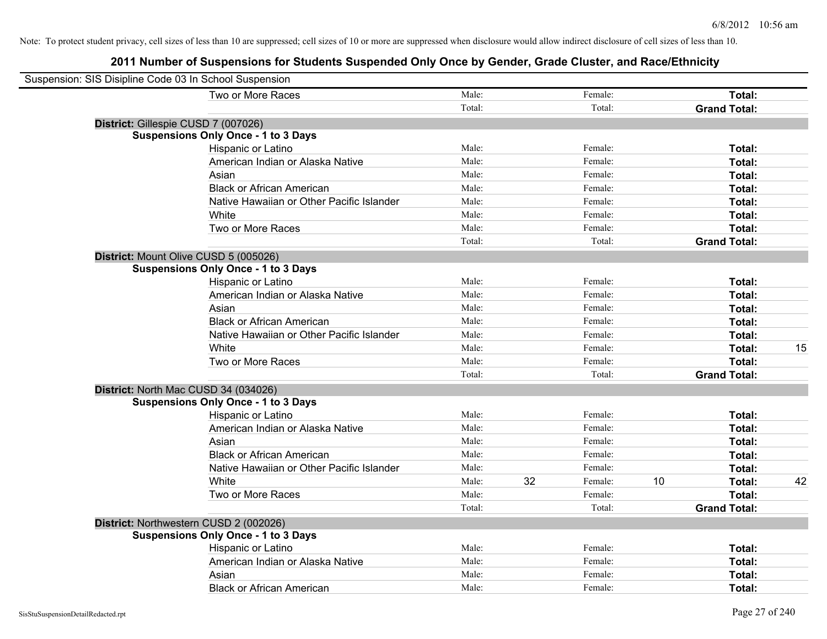| Suspension: SIS Disipline Code 03 In School Suspension |                                            |        |    |         |    |                     |    |
|--------------------------------------------------------|--------------------------------------------|--------|----|---------|----|---------------------|----|
|                                                        | Two or More Races                          | Male:  |    | Female: |    | Total:              |    |
|                                                        |                                            | Total: |    | Total:  |    | <b>Grand Total:</b> |    |
| District: Gillespie CUSD 7 (007026)                    |                                            |        |    |         |    |                     |    |
|                                                        | <b>Suspensions Only Once - 1 to 3 Days</b> |        |    |         |    |                     |    |
|                                                        | Hispanic or Latino                         | Male:  |    | Female: |    | Total:              |    |
|                                                        | American Indian or Alaska Native           | Male:  |    | Female: |    | Total:              |    |
|                                                        | Asian                                      | Male:  |    | Female: |    | Total:              |    |
|                                                        | <b>Black or African American</b>           | Male:  |    | Female: |    | Total:              |    |
|                                                        | Native Hawaiian or Other Pacific Islander  | Male:  |    | Female: |    | Total:              |    |
|                                                        | White                                      | Male:  |    | Female: |    | Total:              |    |
|                                                        | Two or More Races                          | Male:  |    | Female: |    | Total:              |    |
|                                                        |                                            | Total: |    | Total:  |    | <b>Grand Total:</b> |    |
| District: Mount Olive CUSD 5 (005026)                  |                                            |        |    |         |    |                     |    |
|                                                        | <b>Suspensions Only Once - 1 to 3 Days</b> |        |    |         |    |                     |    |
|                                                        | Hispanic or Latino                         | Male:  |    | Female: |    | Total:              |    |
|                                                        | American Indian or Alaska Native           | Male:  |    | Female: |    | Total:              |    |
|                                                        | Asian                                      | Male:  |    | Female: |    | Total:              |    |
|                                                        | <b>Black or African American</b>           | Male:  |    | Female: |    | Total:              |    |
|                                                        | Native Hawaiian or Other Pacific Islander  | Male:  |    | Female: |    | Total:              |    |
|                                                        | White                                      | Male:  |    | Female: |    | Total:              | 15 |
|                                                        | Two or More Races                          | Male:  |    | Female: |    | Total:              |    |
|                                                        |                                            | Total: |    | Total:  |    | <b>Grand Total:</b> |    |
| District: North Mac CUSD 34 (034026)                   |                                            |        |    |         |    |                     |    |
|                                                        | <b>Suspensions Only Once - 1 to 3 Days</b> |        |    |         |    |                     |    |
|                                                        | Hispanic or Latino                         | Male:  |    | Female: |    | Total:              |    |
|                                                        | American Indian or Alaska Native           | Male:  |    | Female: |    | Total:              |    |
|                                                        | Asian                                      | Male:  |    | Female: |    | Total:              |    |
|                                                        | <b>Black or African American</b>           | Male:  |    | Female: |    | Total:              |    |
|                                                        | Native Hawaiian or Other Pacific Islander  | Male:  |    | Female: |    | Total:              |    |
|                                                        | White                                      | Male:  | 32 | Female: | 10 | Total:              | 42 |
|                                                        | Two or More Races                          | Male:  |    | Female: |    | Total:              |    |
|                                                        |                                            | Total: |    | Total:  |    | <b>Grand Total:</b> |    |
| District: Northwestern CUSD 2 (002026)                 |                                            |        |    |         |    |                     |    |
|                                                        | <b>Suspensions Only Once - 1 to 3 Days</b> |        |    |         |    |                     |    |
|                                                        | Hispanic or Latino                         | Male:  |    | Female: |    | Total:              |    |
|                                                        | American Indian or Alaska Native           | Male:  |    | Female: |    | Total:              |    |
|                                                        | Asian                                      | Male:  |    | Female: |    | Total:              |    |
|                                                        | <b>Black or African American</b>           | Male:  |    | Female: |    | Total:              |    |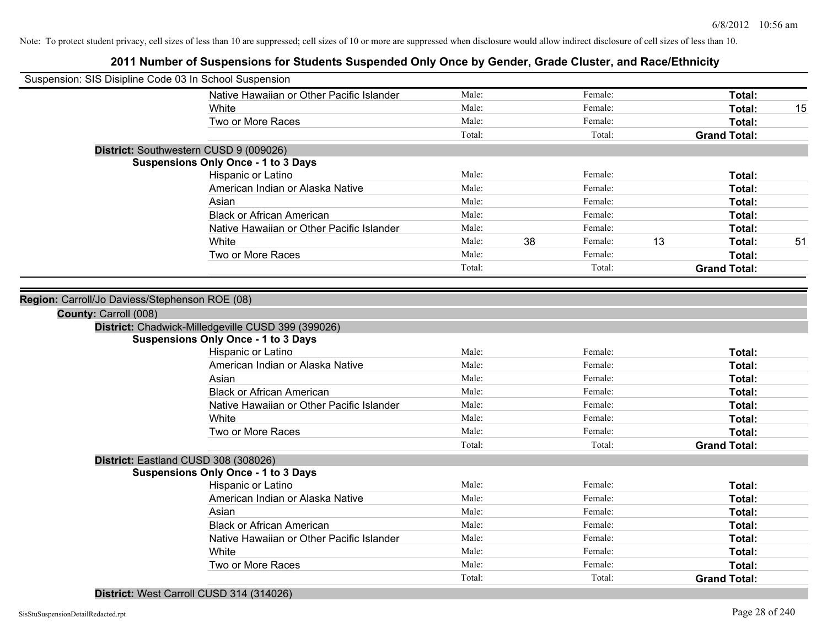# **2011 Number of Suspensions for Students Suspended Only Once by Gender, Grade Cluster, and Race/Ethnicity**

| Suspension: SIS Disipline Code 03 In School Suspension |        |    |         |    |                     |    |
|--------------------------------------------------------|--------|----|---------|----|---------------------|----|
| Native Hawaiian or Other Pacific Islander              | Male:  |    | Female: |    | Total:              |    |
| <b>White</b>                                           | Male:  |    | Female: |    | Total:              | 15 |
| Two or More Races                                      | Male:  |    | Female: |    | Total:              |    |
|                                                        | Total: |    | Total:  |    | <b>Grand Total:</b> |    |
| District: Southwestern CUSD 9 (009026)                 |        |    |         |    |                     |    |
| <b>Suspensions Only Once - 1 to 3 Days</b>             |        |    |         |    |                     |    |
| Hispanic or Latino                                     | Male:  |    | Female: |    | Total:              |    |
| American Indian or Alaska Native                       | Male:  |    | Female: |    | Total:              |    |
| Asian                                                  | Male:  |    | Female: |    | Total:              |    |
| <b>Black or African American</b>                       | Male:  |    | Female: |    | Total:              |    |
| Native Hawaiian or Other Pacific Islander              | Male:  |    | Female: |    | Total:              |    |
| White                                                  | Male:  | 38 | Female: | 13 | Total:              | 51 |
| Two or More Races                                      | Male:  |    | Female: |    | Total:              |    |
|                                                        | Total: |    | Total:  |    | <b>Grand Total:</b> |    |
|                                                        |        |    |         |    |                     |    |
| Region: Carroll/Jo Daviess/Stephenson ROE (08)         |        |    |         |    |                     |    |
| County: Carroll (008)                                  |        |    |         |    |                     |    |
| District: Chadwick-Milledgeville CUSD 399 (399026)     |        |    |         |    |                     |    |
| <b>Suspensions Only Once - 1 to 3 Days</b>             |        |    |         |    |                     |    |
| Hispanic or Latino                                     | Male:  |    | Female: |    | Total:              |    |
| American Indian or Alaska Native                       | Male:  |    | Female: |    | Total:              |    |
| Asian                                                  | Male:  |    | Female: |    | Total:              |    |
| <b>Black or African American</b>                       | Male:  |    | Female: |    | Total:              |    |
| Native Hawaiian or Other Pacific Islander              | Male:  |    | Female: |    | Total:              |    |
| White                                                  | Male:  |    | Female: |    | Total:              |    |
| Two or More Races                                      | Male:  |    | Female: |    | Total:              |    |
|                                                        | Total: |    | Total:  |    | <b>Grand Total:</b> |    |
| District: Eastland CUSD 308 (308026)                   |        |    |         |    |                     |    |
| <b>Suspensions Only Once - 1 to 3 Days</b>             |        |    |         |    |                     |    |
| Hispanic or Latino                                     | Male:  |    | Female: |    | Total:              |    |
| American Indian or Alaska Native                       | Male:  |    | Female: |    | Total:              |    |
| Asian                                                  | Male:  |    | Female: |    | Total:              |    |
| <b>Black or African American</b>                       | Male:  |    | Female: |    | Total:              |    |
| Native Hawaiian or Other Pacific Islander              | Male:  |    | Female: |    | Total:              |    |
| White                                                  | Male:  |    | Female: |    | Total:              |    |
| Two or More Races                                      | Male:  |    | Female: |    | Total:              |    |
|                                                        | Total: |    | Total:  |    | <b>Grand Total:</b> |    |

## **District:** West Carroll CUSD 314 (314026)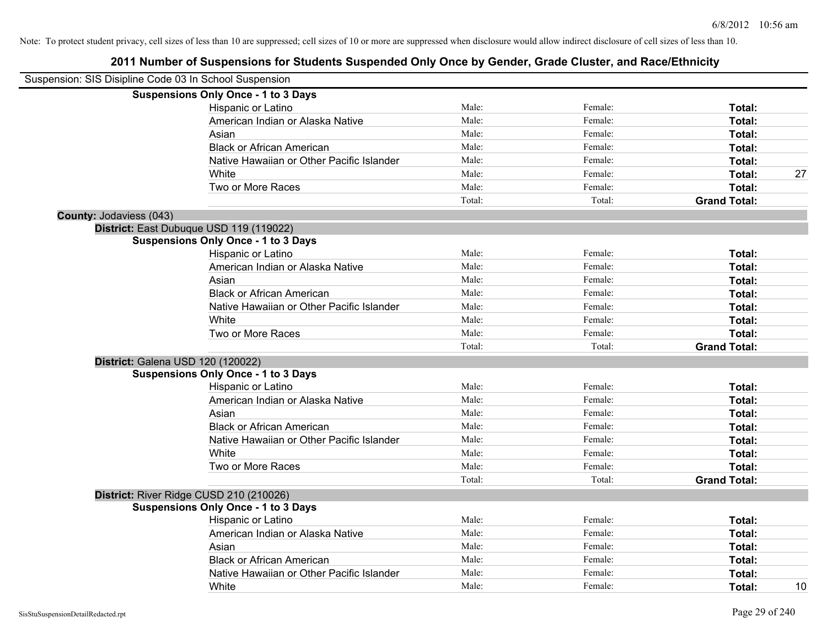| Suspension: SIS Disipline Code 03 In School Suspension |                                            |        |         |                     |
|--------------------------------------------------------|--------------------------------------------|--------|---------|---------------------|
|                                                        | <b>Suspensions Only Once - 1 to 3 Days</b> |        |         |                     |
|                                                        | Hispanic or Latino                         | Male:  | Female: | Total:              |
|                                                        | American Indian or Alaska Native           | Male:  | Female: | Total:              |
|                                                        | Asian                                      | Male:  | Female: | Total:              |
|                                                        | <b>Black or African American</b>           | Male:  | Female: | Total:              |
|                                                        | Native Hawaiian or Other Pacific Islander  | Male:  | Female: | Total:              |
|                                                        | White                                      | Male:  | Female: | Total:<br>27        |
|                                                        | Two or More Races                          | Male:  | Female: | Total:              |
|                                                        |                                            | Total: | Total:  | <b>Grand Total:</b> |
| County: Jodaviess (043)                                |                                            |        |         |                     |
|                                                        | District: East Dubuque USD 119 (119022)    |        |         |                     |
|                                                        | <b>Suspensions Only Once - 1 to 3 Days</b> |        |         |                     |
|                                                        | Hispanic or Latino                         | Male:  | Female: | Total:              |
|                                                        | American Indian or Alaska Native           | Male:  | Female: | Total:              |
|                                                        | Asian                                      | Male:  | Female: | Total:              |
|                                                        | <b>Black or African American</b>           | Male:  | Female: | Total:              |
|                                                        | Native Hawaiian or Other Pacific Islander  | Male:  | Female: | Total:              |
|                                                        | White                                      | Male:  | Female: | Total:              |
|                                                        | Two or More Races                          | Male:  | Female: | Total:              |
|                                                        |                                            | Total: | Total:  | <b>Grand Total:</b> |
|                                                        | District: Galena USD 120 (120022)          |        |         |                     |
|                                                        | <b>Suspensions Only Once - 1 to 3 Days</b> |        |         |                     |
|                                                        | Hispanic or Latino                         | Male:  | Female: | Total:              |
|                                                        | American Indian or Alaska Native           | Male:  | Female: | Total:              |
|                                                        | Asian                                      | Male:  | Female: | Total:              |
|                                                        | <b>Black or African American</b>           | Male:  | Female: | Total:              |
|                                                        | Native Hawaiian or Other Pacific Islander  | Male:  | Female: | Total:              |
|                                                        | White                                      | Male:  | Female: | Total:              |
|                                                        | Two or More Races                          | Male:  | Female: | Total:              |
|                                                        |                                            | Total: | Total:  | <b>Grand Total:</b> |
|                                                        | District: River Ridge CUSD 210 (210026)    |        |         |                     |
|                                                        | <b>Suspensions Only Once - 1 to 3 Days</b> |        |         |                     |
|                                                        | Hispanic or Latino                         | Male:  | Female: | Total:              |
|                                                        | American Indian or Alaska Native           | Male:  | Female: | Total:              |
|                                                        | Asian                                      | Male:  | Female: | Total:              |
|                                                        | <b>Black or African American</b>           | Male:  | Female: | Total:              |
|                                                        | Native Hawaiian or Other Pacific Islander  | Male:  | Female: | Total:              |
|                                                        | White                                      | Male:  | Female: | 10<br>Total:        |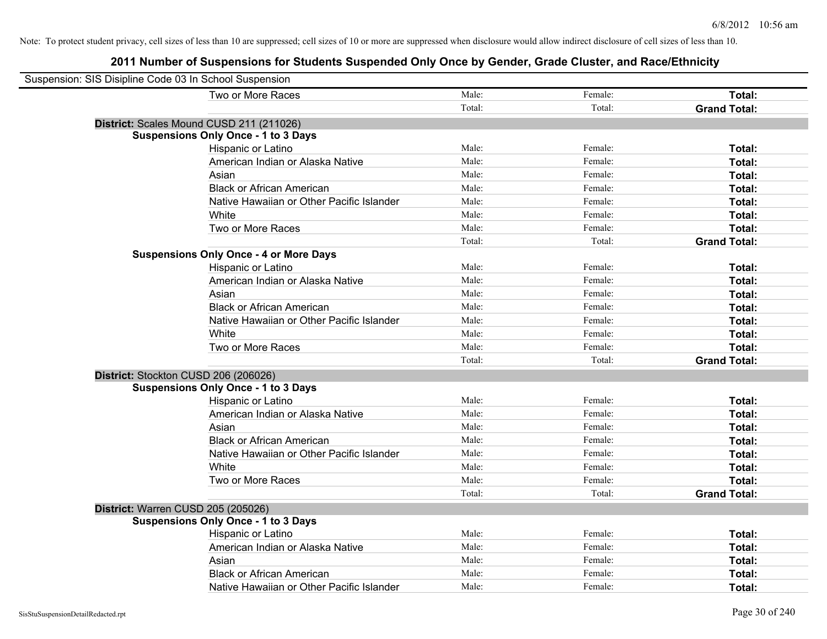| Suspension: SIS Disipline Code 03 In School Suspension |                                               |        |         |                     |
|--------------------------------------------------------|-----------------------------------------------|--------|---------|---------------------|
|                                                        | Two or More Races                             | Male:  | Female: | Total:              |
|                                                        |                                               | Total: | Total:  | <b>Grand Total:</b> |
|                                                        | District: Scales Mound CUSD 211 (211026)      |        |         |                     |
|                                                        | <b>Suspensions Only Once - 1 to 3 Days</b>    |        |         |                     |
|                                                        | Hispanic or Latino                            | Male:  | Female: | Total:              |
|                                                        | American Indian or Alaska Native              | Male:  | Female: | Total:              |
|                                                        | Asian                                         | Male:  | Female: | Total:              |
|                                                        | <b>Black or African American</b>              | Male:  | Female: | Total:              |
|                                                        | Native Hawaiian or Other Pacific Islander     | Male:  | Female: | Total:              |
|                                                        | White                                         | Male:  | Female: | Total:              |
|                                                        | Two or More Races                             | Male:  | Female: | Total:              |
|                                                        |                                               | Total: | Total:  | <b>Grand Total:</b> |
|                                                        | <b>Suspensions Only Once - 4 or More Days</b> |        |         |                     |
|                                                        | Hispanic or Latino                            | Male:  | Female: | Total:              |
|                                                        | American Indian or Alaska Native              | Male:  | Female: | Total:              |
|                                                        | Asian                                         | Male:  | Female: | Total:              |
|                                                        | <b>Black or African American</b>              | Male:  | Female: | Total:              |
|                                                        | Native Hawaiian or Other Pacific Islander     | Male:  | Female: | Total:              |
|                                                        | White                                         | Male:  | Female: | Total:              |
|                                                        | Two or More Races                             | Male:  | Female: | Total:              |
|                                                        |                                               | Total: | Total:  | <b>Grand Total:</b> |
| District: Stockton CUSD 206 (206026)                   |                                               |        |         |                     |
|                                                        | <b>Suspensions Only Once - 1 to 3 Days</b>    |        |         |                     |
|                                                        | Hispanic or Latino                            | Male:  | Female: | Total:              |
|                                                        | American Indian or Alaska Native              | Male:  | Female: | Total:              |
|                                                        | Asian                                         | Male:  | Female: | Total:              |
|                                                        | <b>Black or African American</b>              | Male:  | Female: | Total:              |
|                                                        | Native Hawaiian or Other Pacific Islander     | Male:  | Female: | Total:              |
|                                                        | White                                         | Male:  | Female: | Total:              |
|                                                        | Two or More Races                             | Male:  | Female: | Total:              |
|                                                        |                                               | Total: | Total:  | <b>Grand Total:</b> |
| District: Warren CUSD 205 (205026)                     |                                               |        |         |                     |
|                                                        | <b>Suspensions Only Once - 1 to 3 Days</b>    |        |         |                     |
|                                                        | Hispanic or Latino                            | Male:  | Female: | Total:              |
|                                                        | American Indian or Alaska Native              | Male:  | Female: | Total:              |
|                                                        | Asian                                         | Male:  | Female: | Total:              |
|                                                        | <b>Black or African American</b>              | Male:  | Female: | Total:              |
|                                                        | Native Hawaiian or Other Pacific Islander     | Male:  | Female: | Total:              |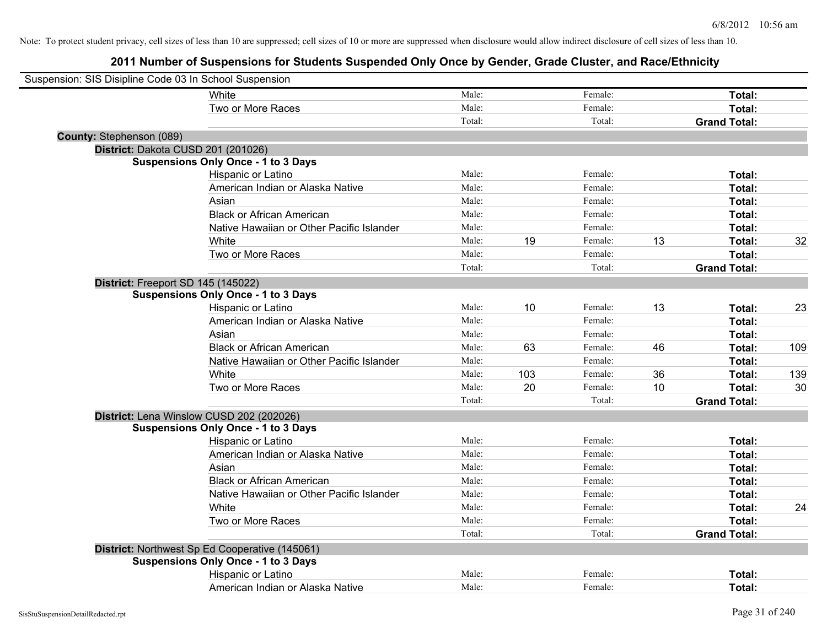| Suspension: SIS Disipline Code 03 In School Suspension |                                                |        |     |         |    |                     |     |
|--------------------------------------------------------|------------------------------------------------|--------|-----|---------|----|---------------------|-----|
|                                                        | White                                          | Male:  |     | Female: |    | Total:              |     |
|                                                        | Two or More Races                              | Male:  |     | Female: |    | Total:              |     |
|                                                        |                                                | Total: |     | Total:  |    | <b>Grand Total:</b> |     |
| <b>County: Stephenson (089)</b>                        |                                                |        |     |         |    |                     |     |
|                                                        | District: Dakota CUSD 201 (201026)             |        |     |         |    |                     |     |
|                                                        | <b>Suspensions Only Once - 1 to 3 Days</b>     |        |     |         |    |                     |     |
|                                                        | Hispanic or Latino                             | Male:  |     | Female: |    | Total:              |     |
|                                                        | American Indian or Alaska Native               | Male:  |     | Female: |    | Total:              |     |
|                                                        | Asian                                          | Male:  |     | Female: |    | Total:              |     |
|                                                        | <b>Black or African American</b>               | Male:  |     | Female: |    | Total:              |     |
|                                                        | Native Hawaiian or Other Pacific Islander      | Male:  |     | Female: |    | Total:              |     |
|                                                        | White                                          | Male:  | 19  | Female: | 13 | Total:              | 32  |
|                                                        | Two or More Races                              | Male:  |     | Female: |    | Total:              |     |
|                                                        |                                                | Total: |     | Total:  |    | <b>Grand Total:</b> |     |
|                                                        | District: Freeport SD 145 (145022)             |        |     |         |    |                     |     |
|                                                        | <b>Suspensions Only Once - 1 to 3 Days</b>     |        |     |         |    |                     |     |
|                                                        | Hispanic or Latino                             | Male:  | 10  | Female: | 13 | Total:              | 23  |
|                                                        | American Indian or Alaska Native               | Male:  |     | Female: |    | Total:              |     |
|                                                        | Asian                                          | Male:  |     | Female: |    | Total:              |     |
|                                                        | <b>Black or African American</b>               | Male:  | 63  | Female: | 46 | Total:              | 109 |
|                                                        | Native Hawaiian or Other Pacific Islander      | Male:  |     | Female: |    | Total:              |     |
|                                                        | White                                          | Male:  | 103 | Female: | 36 | Total:              | 139 |
|                                                        | Two or More Races                              | Male:  | 20  | Female: | 10 | Total:              | 30  |
|                                                        |                                                | Total: |     | Total:  |    | <b>Grand Total:</b> |     |
|                                                        | District: Lena Winslow CUSD 202 (202026)       |        |     |         |    |                     |     |
|                                                        | <b>Suspensions Only Once - 1 to 3 Days</b>     |        |     |         |    |                     |     |
|                                                        | Hispanic or Latino                             | Male:  |     | Female: |    | Total:              |     |
|                                                        | American Indian or Alaska Native               | Male:  |     | Female: |    | Total:              |     |
|                                                        | Asian                                          | Male:  |     | Female: |    | Total:              |     |
|                                                        | <b>Black or African American</b>               | Male:  |     | Female: |    | Total:              |     |
|                                                        | Native Hawaiian or Other Pacific Islander      | Male:  |     | Female: |    | Total:              |     |
|                                                        | White                                          | Male:  |     | Female: |    | Total:              | 24  |
|                                                        | Two or More Races                              | Male:  |     | Female: |    | Total:              |     |
|                                                        |                                                | Total: |     | Total:  |    | <b>Grand Total:</b> |     |
|                                                        | District: Northwest Sp Ed Cooperative (145061) |        |     |         |    |                     |     |
|                                                        | <b>Suspensions Only Once - 1 to 3 Days</b>     |        |     |         |    |                     |     |
|                                                        | Hispanic or Latino                             | Male:  |     | Female: |    | Total:              |     |
|                                                        | American Indian or Alaska Native               | Male:  |     | Female: |    | Total:              |     |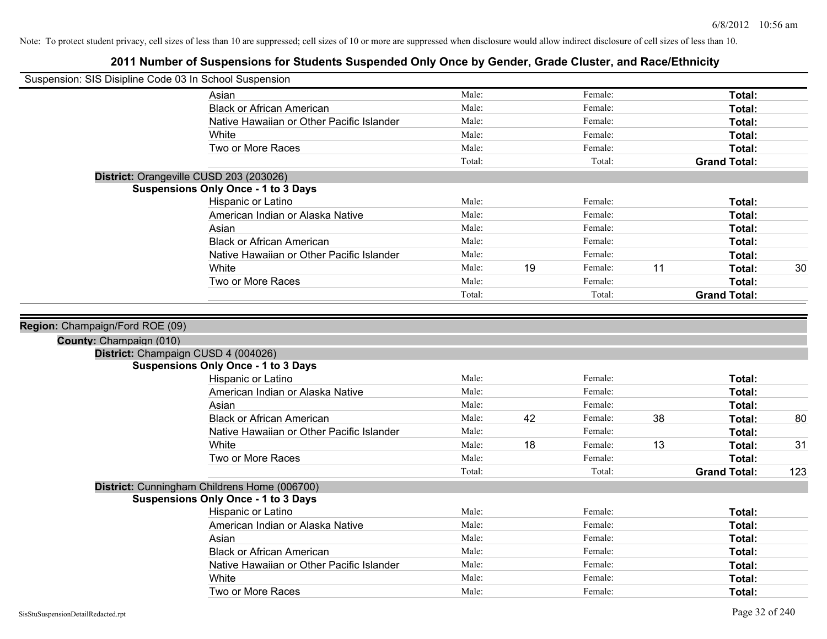| Suspension: SIS Disipline Code 03 In School Suspension         |                                                                                            |                |    |                    |    |                     |     |
|----------------------------------------------------------------|--------------------------------------------------------------------------------------------|----------------|----|--------------------|----|---------------------|-----|
|                                                                | Asian                                                                                      | Male:          |    | Female:            |    | Total:              |     |
|                                                                | <b>Black or African American</b>                                                           | Male:          |    | Female:            |    | Total:              |     |
|                                                                | Native Hawaiian or Other Pacific Islander                                                  | Male:          |    | Female:            |    | Total:              |     |
|                                                                | White                                                                                      | Male:          |    | Female:            |    | Total:              |     |
|                                                                | Two or More Races                                                                          | Male:          |    | Female:            |    | Total:              |     |
|                                                                |                                                                                            | Total:         |    | Total:             |    | <b>Grand Total:</b> |     |
| District: Orangeville CUSD 203 (203026)                        |                                                                                            |                |    |                    |    |                     |     |
|                                                                | <b>Suspensions Only Once - 1 to 3 Days</b>                                                 |                |    |                    |    |                     |     |
|                                                                | Hispanic or Latino                                                                         | Male:          |    | Female:            |    | Total:              |     |
|                                                                | American Indian or Alaska Native                                                           | Male:          |    | Female:            |    | Total:              |     |
|                                                                | Asian                                                                                      | Male:          |    | Female:            |    | Total:              |     |
|                                                                | <b>Black or African American</b>                                                           | Male:          |    | Female:            |    | Total:              |     |
|                                                                | Native Hawaiian or Other Pacific Islander                                                  | Male:          |    | Female:            |    | Total:              |     |
|                                                                | White                                                                                      | Male:          | 19 | Female:            | 11 | Total:              | 30  |
|                                                                | Two or More Races                                                                          | Male:          |    | Female:            |    | Total:              |     |
|                                                                |                                                                                            | Total:         |    | Total:             |    | <b>Grand Total:</b> |     |
| County: Champaign (010)<br>District: Champaign CUSD 4 (004026) |                                                                                            |                |    |                    |    |                     |     |
|                                                                |                                                                                            |                |    |                    |    |                     |     |
|                                                                | <b>Suspensions Only Once - 1 to 3 Days</b>                                                 |                |    |                    |    |                     |     |
|                                                                | Hispanic or Latino                                                                         | Male:          |    | Female:            |    | Total:              |     |
|                                                                | American Indian or Alaska Native                                                           | Male:          |    | Female:            |    | Total:              |     |
|                                                                | Asian<br><b>Black or African American</b>                                                  | Male:          |    | Female:            | 38 | Total:              |     |
|                                                                | Native Hawaiian or Other Pacific Islander                                                  | Male:<br>Male: | 42 | Female:<br>Female: |    | Total:<br>Total:    | 80  |
|                                                                | White                                                                                      | Male:          | 18 | Female:            | 13 | Total:              | 31  |
|                                                                | Two or More Races                                                                          | Male:          |    | Female:            |    | Total:              |     |
|                                                                |                                                                                            | Total:         |    | Total:             |    | <b>Grand Total:</b> | 123 |
|                                                                |                                                                                            |                |    |                    |    |                     |     |
|                                                                | District: Cunningham Childrens Home (006700)<br><b>Suspensions Only Once - 1 to 3 Days</b> |                |    |                    |    |                     |     |
|                                                                | Hispanic or Latino                                                                         | Male:          |    | Female:            |    | Total:              |     |
|                                                                | American Indian or Alaska Native                                                           | Male:          |    | Female:            |    | Total:              |     |
|                                                                | Asian                                                                                      | Male:          |    | Female:            |    | Total:              |     |
|                                                                | <b>Black or African American</b>                                                           | Male:          |    | Female:            |    | Total:              |     |
|                                                                | Native Hawaiian or Other Pacific Islander                                                  | Male:          |    | Female:            |    | Total:              |     |
|                                                                | White                                                                                      | Male:          |    | Female:            |    | Total:              |     |
|                                                                | Two or More Races                                                                          | Male:          |    | Female:            |    | Total:              |     |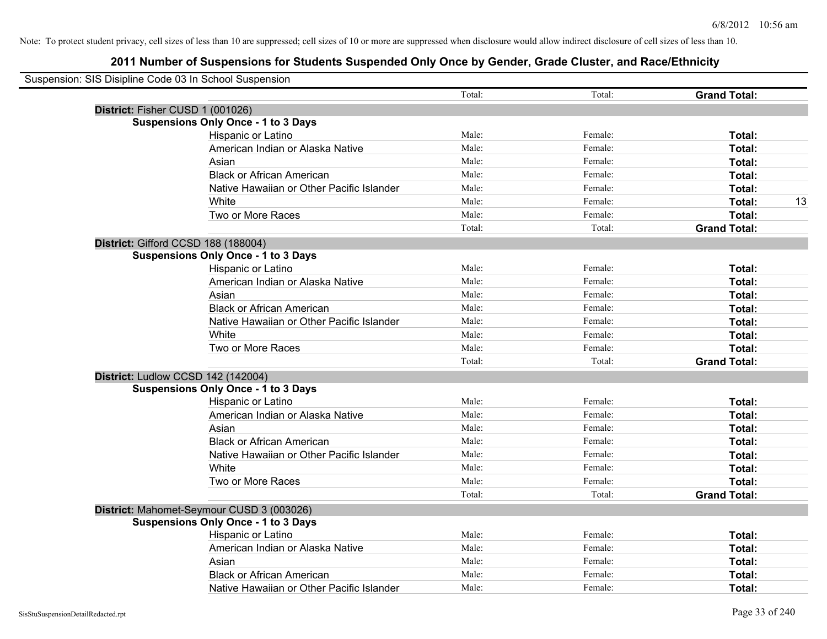| Suspension: SIS Disipline Code 03 In School Suspension |                                            |        |         |                     |    |
|--------------------------------------------------------|--------------------------------------------|--------|---------|---------------------|----|
|                                                        |                                            | Total: | Total:  | <b>Grand Total:</b> |    |
| District: Fisher CUSD 1 (001026)                       |                                            |        |         |                     |    |
|                                                        | <b>Suspensions Only Once - 1 to 3 Days</b> |        |         |                     |    |
|                                                        | Hispanic or Latino                         | Male:  | Female: | Total:              |    |
|                                                        | American Indian or Alaska Native           | Male:  | Female: | Total:              |    |
|                                                        | Asian                                      | Male:  | Female: | Total:              |    |
|                                                        | <b>Black or African American</b>           | Male:  | Female: | Total:              |    |
|                                                        | Native Hawaiian or Other Pacific Islander  | Male:  | Female: | Total:              |    |
|                                                        | White                                      | Male:  | Female: | Total:              | 13 |
|                                                        | Two or More Races                          | Male:  | Female: | Total:              |    |
|                                                        |                                            | Total: | Total:  | <b>Grand Total:</b> |    |
| District: Gifford CCSD 188 (188004)                    |                                            |        |         |                     |    |
|                                                        | <b>Suspensions Only Once - 1 to 3 Days</b> |        |         |                     |    |
|                                                        | Hispanic or Latino                         | Male:  | Female: | Total:              |    |
|                                                        | American Indian or Alaska Native           | Male:  | Female: | Total:              |    |
|                                                        | Asian                                      | Male:  | Female: | Total:              |    |
|                                                        | <b>Black or African American</b>           | Male:  | Female: | Total:              |    |
|                                                        | Native Hawaiian or Other Pacific Islander  | Male:  | Female: | Total:              |    |
|                                                        | White                                      | Male:  | Female: | Total:              |    |
|                                                        | Two or More Races                          | Male:  | Female: | Total:              |    |
|                                                        |                                            | Total: | Total:  | <b>Grand Total:</b> |    |
| District: Ludlow CCSD 142 (142004)                     |                                            |        |         |                     |    |
|                                                        | <b>Suspensions Only Once - 1 to 3 Days</b> |        |         |                     |    |
|                                                        | Hispanic or Latino                         | Male:  | Female: | Total:              |    |
|                                                        | American Indian or Alaska Native           | Male:  | Female: | Total:              |    |
|                                                        | Asian                                      | Male:  | Female: | Total:              |    |
|                                                        | <b>Black or African American</b>           | Male:  | Female: | Total:              |    |
|                                                        | Native Hawaiian or Other Pacific Islander  | Male:  | Female: | Total:              |    |
|                                                        | White                                      | Male:  | Female: | Total:              |    |
|                                                        | Two or More Races                          | Male:  | Female: | Total:              |    |
|                                                        |                                            | Total: | Total:  | <b>Grand Total:</b> |    |
|                                                        | District: Mahomet-Seymour CUSD 3 (003026)  |        |         |                     |    |
|                                                        | <b>Suspensions Only Once - 1 to 3 Days</b> |        |         |                     |    |
|                                                        | Hispanic or Latino                         | Male:  | Female: | Total:              |    |
|                                                        | American Indian or Alaska Native           | Male:  | Female: | Total:              |    |
|                                                        | Asian                                      | Male:  | Female: | Total:              |    |
|                                                        | <b>Black or African American</b>           | Male:  | Female: | Total:              |    |
|                                                        | Native Hawaiian or Other Pacific Islander  | Male:  | Female: | Total:              |    |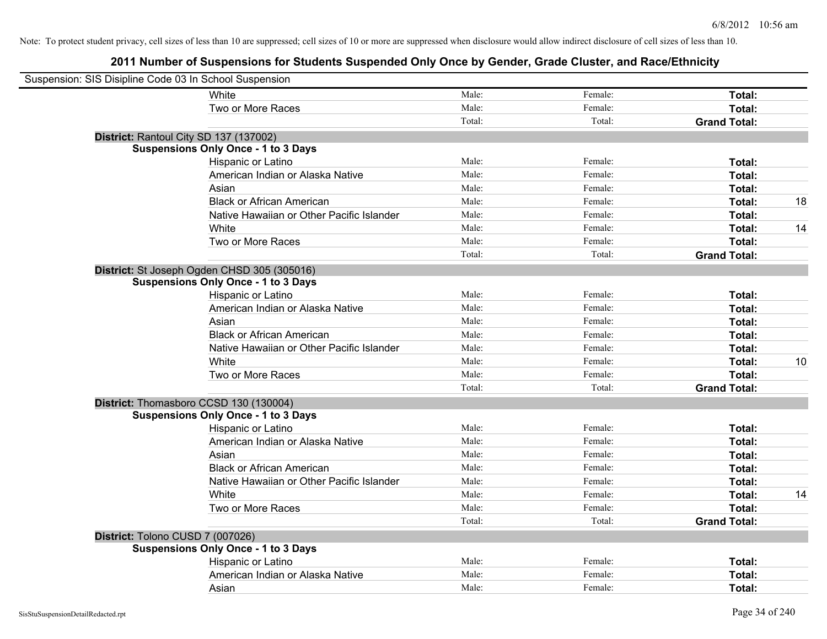| Suspension: SIS Disipline Code 03 In School Suspension |                                                                                           |        |         |                     |    |
|--------------------------------------------------------|-------------------------------------------------------------------------------------------|--------|---------|---------------------|----|
|                                                        | White                                                                                     | Male:  | Female: | Total:              |    |
|                                                        | Two or More Races                                                                         | Male:  | Female: | Total:              |    |
|                                                        |                                                                                           | Total: | Total:  | <b>Grand Total:</b> |    |
| District: Rantoul City SD 137 (137002)                 |                                                                                           |        |         |                     |    |
|                                                        | <b>Suspensions Only Once - 1 to 3 Days</b>                                                |        |         |                     |    |
|                                                        | Hispanic or Latino                                                                        | Male:  | Female: | Total:              |    |
|                                                        | American Indian or Alaska Native                                                          | Male:  | Female: | Total:              |    |
|                                                        | Asian                                                                                     | Male:  | Female: | Total:              |    |
|                                                        | <b>Black or African American</b>                                                          | Male:  | Female: | Total:              | 18 |
|                                                        | Native Hawaiian or Other Pacific Islander                                                 | Male:  | Female: | Total:              |    |
|                                                        | White                                                                                     | Male:  | Female: | Total:              | 14 |
|                                                        | Two or More Races                                                                         | Male:  | Female: | Total:              |    |
|                                                        |                                                                                           | Total: | Total:  | <b>Grand Total:</b> |    |
|                                                        | District: St Joseph Ogden CHSD 305 (305016)<br><b>Suspensions Only Once - 1 to 3 Days</b> |        |         |                     |    |
|                                                        | Hispanic or Latino                                                                        | Male:  | Female: | Total:              |    |
|                                                        | American Indian or Alaska Native                                                          | Male:  | Female: | Total:              |    |
|                                                        | Asian                                                                                     | Male:  | Female: | Total:              |    |
|                                                        | <b>Black or African American</b>                                                          | Male:  | Female: | Total:              |    |
|                                                        | Native Hawaiian or Other Pacific Islander                                                 | Male:  | Female: | Total:              |    |
|                                                        | White                                                                                     | Male:  | Female: | Total:              | 10 |
|                                                        | Two or More Races                                                                         | Male:  | Female: | Total:              |    |
|                                                        |                                                                                           | Total: | Total:  | <b>Grand Total:</b> |    |
|                                                        | District: Thomasboro CCSD 130 (130004)                                                    |        |         |                     |    |
|                                                        | <b>Suspensions Only Once - 1 to 3 Days</b>                                                |        |         |                     |    |
|                                                        | Hispanic or Latino                                                                        | Male:  | Female: | Total:              |    |
|                                                        | American Indian or Alaska Native                                                          | Male:  | Female: | Total:              |    |
|                                                        | Asian                                                                                     | Male:  | Female: | Total:              |    |
|                                                        | <b>Black or African American</b>                                                          | Male:  | Female: | Total:              |    |
|                                                        | Native Hawaiian or Other Pacific Islander                                                 | Male:  | Female: | Total:              |    |
|                                                        | White                                                                                     | Male:  | Female: | Total:              | 14 |
|                                                        | Two or More Races                                                                         | Male:  | Female: | Total:              |    |
|                                                        |                                                                                           | Total: | Total:  | <b>Grand Total:</b> |    |
| District: Tolono CUSD 7 (007026)                       |                                                                                           |        |         |                     |    |
|                                                        | <b>Suspensions Only Once - 1 to 3 Days</b>                                                |        |         |                     |    |
|                                                        | Hispanic or Latino                                                                        | Male:  | Female: | Total:              |    |
|                                                        | American Indian or Alaska Native                                                          | Male:  | Female: | Total:              |    |
|                                                        | Asian                                                                                     | Male:  | Female: | Total:              |    |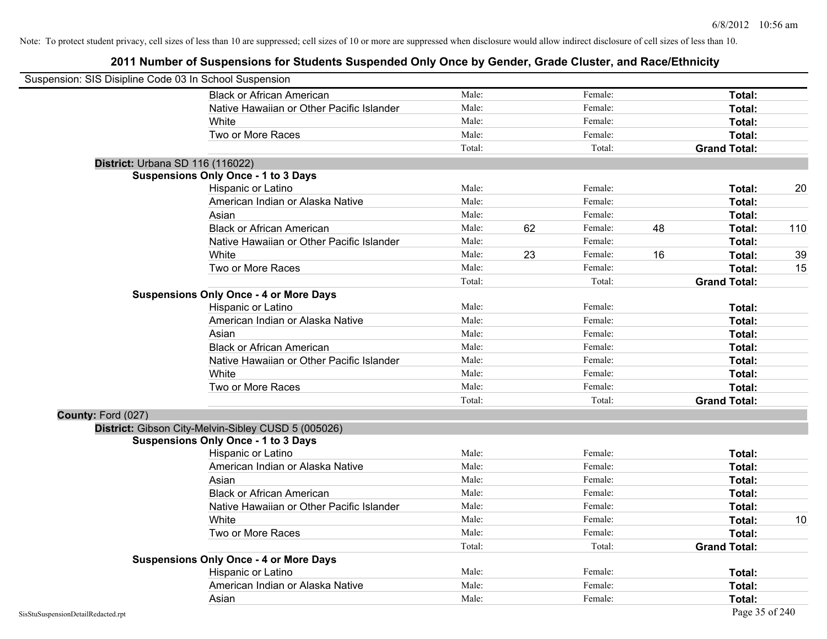| Suspension: SIS Disipline Code 03 In School Suspension |                                                     |        |    |         |    |                     |     |
|--------------------------------------------------------|-----------------------------------------------------|--------|----|---------|----|---------------------|-----|
|                                                        | <b>Black or African American</b>                    | Male:  |    | Female: |    | Total:              |     |
|                                                        | Native Hawaiian or Other Pacific Islander           | Male:  |    | Female: |    | Total:              |     |
|                                                        | White                                               | Male:  |    | Female: |    | Total:              |     |
|                                                        | Two or More Races                                   | Male:  |    | Female: |    | Total:              |     |
|                                                        |                                                     | Total: |    | Total:  |    | <b>Grand Total:</b> |     |
| District: Urbana SD 116 (116022)                       |                                                     |        |    |         |    |                     |     |
|                                                        | <b>Suspensions Only Once - 1 to 3 Days</b>          |        |    |         |    |                     |     |
|                                                        | Hispanic or Latino                                  | Male:  |    | Female: |    | Total:              | 20  |
|                                                        | American Indian or Alaska Native                    | Male:  |    | Female: |    | Total:              |     |
|                                                        | Asian                                               | Male:  |    | Female: |    | Total:              |     |
|                                                        | <b>Black or African American</b>                    | Male:  | 62 | Female: | 48 | Total:              | 110 |
|                                                        | Native Hawaiian or Other Pacific Islander           | Male:  |    | Female: |    | Total:              |     |
|                                                        | White                                               | Male:  | 23 | Female: | 16 | Total:              | 39  |
|                                                        | Two or More Races                                   | Male:  |    | Female: |    | Total:              | 15  |
|                                                        |                                                     | Total: |    | Total:  |    | <b>Grand Total:</b> |     |
|                                                        | <b>Suspensions Only Once - 4 or More Days</b>       |        |    |         |    |                     |     |
|                                                        | Hispanic or Latino                                  | Male:  |    | Female: |    | Total:              |     |
|                                                        | American Indian or Alaska Native                    | Male:  |    | Female: |    | Total:              |     |
|                                                        | Asian                                               | Male:  |    | Female: |    | Total:              |     |
|                                                        | <b>Black or African American</b>                    | Male:  |    | Female: |    | Total:              |     |
|                                                        | Native Hawaiian or Other Pacific Islander           | Male:  |    | Female: |    | Total:              |     |
|                                                        | White                                               | Male:  |    | Female: |    | Total:              |     |
|                                                        | Two or More Races                                   | Male:  |    | Female: |    | Total:              |     |
|                                                        |                                                     | Total: |    | Total:  |    | <b>Grand Total:</b> |     |
| County: Ford (027)                                     |                                                     |        |    |         |    |                     |     |
|                                                        | District: Gibson City-Melvin-Sibley CUSD 5 (005026) |        |    |         |    |                     |     |
|                                                        | <b>Suspensions Only Once - 1 to 3 Days</b>          |        |    |         |    |                     |     |
|                                                        | Hispanic or Latino                                  | Male:  |    | Female: |    | Total:              |     |
|                                                        | American Indian or Alaska Native                    | Male:  |    | Female: |    | Total:              |     |
|                                                        | Asian                                               | Male:  |    | Female: |    | Total:              |     |
|                                                        | <b>Black or African American</b>                    | Male:  |    | Female: |    | Total:              |     |
|                                                        | Native Hawaiian or Other Pacific Islander           | Male:  |    | Female: |    | Total:              |     |
|                                                        | White                                               | Male:  |    | Female: |    | Total:              | 10  |
|                                                        | Two or More Races                                   | Male:  |    | Female: |    | Total:              |     |
|                                                        |                                                     | Total: |    | Total:  |    | <b>Grand Total:</b> |     |
|                                                        | <b>Suspensions Only Once - 4 or More Days</b>       |        |    |         |    |                     |     |
|                                                        | Hispanic or Latino                                  | Male:  |    | Female: |    | Total:              |     |
|                                                        | American Indian or Alaska Native                    | Male:  |    | Female: |    | Total:              |     |
|                                                        | Asian                                               | Male:  |    | Female: |    | Total:              |     |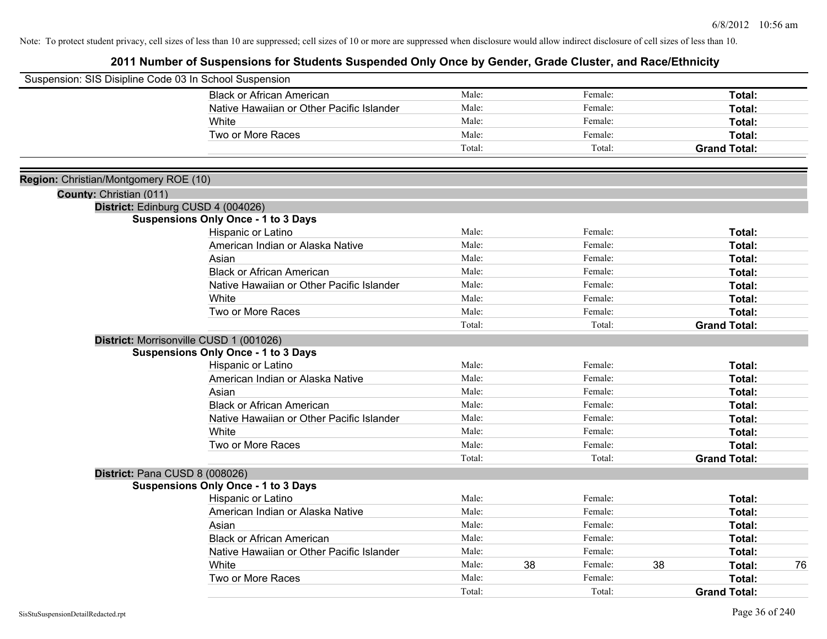| Suspension: SIS Disipline Code 03 In School Suspension |                                            |                |    |                    |    |                     |    |
|--------------------------------------------------------|--------------------------------------------|----------------|----|--------------------|----|---------------------|----|
|                                                        | <b>Black or African American</b>           | Male:          |    | Female:            |    | Total:              |    |
|                                                        | Native Hawaiian or Other Pacific Islander  | Male:          |    | Female:            |    | Total:              |    |
|                                                        | White                                      | Male:          |    | Female:            |    | Total:              |    |
|                                                        | Two or More Races                          | Male:          |    | Female:            |    | Total:              |    |
|                                                        |                                            | Total:         |    | Total:             |    | <b>Grand Total:</b> |    |
|                                                        |                                            |                |    |                    |    |                     |    |
| Region: Christian/Montgomery ROE (10)                  |                                            |                |    |                    |    |                     |    |
| County: Christian (011)                                |                                            |                |    |                    |    |                     |    |
|                                                        | District: Edinburg CUSD 4 (004026)         |                |    |                    |    |                     |    |
|                                                        | <b>Suspensions Only Once - 1 to 3 Days</b> | Male:          |    | Female:            |    |                     |    |
|                                                        | Hispanic or Latino                         | Male:          |    | Female:            |    | Total:              |    |
|                                                        | American Indian or Alaska Native           |                |    |                    |    | Total:              |    |
|                                                        | Asian                                      | Male:<br>Male: |    | Female:<br>Female: |    | Total:              |    |
|                                                        | <b>Black or African American</b>           |                |    |                    |    | Total:              |    |
|                                                        | Native Hawaiian or Other Pacific Islander  | Male:          |    | Female:            |    | Total:              |    |
|                                                        | White                                      | Male:          |    | Female:            |    | Total:              |    |
|                                                        | Two or More Races                          | Male:          |    | Female:            |    | Total:              |    |
|                                                        |                                            | Total:         |    | Total:             |    | <b>Grand Total:</b> |    |
|                                                        | District: Morrisonville CUSD 1 (001026)    |                |    |                    |    |                     |    |
|                                                        | <b>Suspensions Only Once - 1 to 3 Days</b> |                |    |                    |    |                     |    |
|                                                        | Hispanic or Latino                         | Male:          |    | Female:            |    | Total:              |    |
|                                                        | American Indian or Alaska Native           | Male:          |    | Female:            |    | Total:              |    |
|                                                        | Asian                                      | Male:          |    | Female:            |    | Total:              |    |
|                                                        | <b>Black or African American</b>           | Male:          |    | Female:            |    | Total:              |    |
|                                                        | Native Hawaiian or Other Pacific Islander  | Male:          |    | Female:            |    | Total:              |    |
|                                                        | White                                      | Male:          |    | Female:            |    | Total:              |    |
|                                                        | Two or More Races                          | Male:          |    | Female:            |    | Total:              |    |
|                                                        |                                            | Total:         |    | Total:             |    | <b>Grand Total:</b> |    |
| District: Pana CUSD 8 (008026)                         |                                            |                |    |                    |    |                     |    |
|                                                        | <b>Suspensions Only Once - 1 to 3 Days</b> |                |    |                    |    |                     |    |
|                                                        | Hispanic or Latino                         | Male:          |    | Female:            |    | Total:              |    |
|                                                        | American Indian or Alaska Native           | Male:          |    | Female:            |    | Total:              |    |
|                                                        | Asian                                      | Male:          |    | Female:            |    | Total:              |    |
|                                                        | <b>Black or African American</b>           | Male:          |    | Female:            |    | Total:              |    |
|                                                        | Native Hawaiian or Other Pacific Islander  | Male:          |    | Female:            |    | Total:              |    |
|                                                        | White                                      | Male:          | 38 | Female:            | 38 | Total:              | 76 |
|                                                        | Two or More Races                          | Male:          |    | Female:            |    | <b>Total:</b>       |    |
|                                                        |                                            | Total:         |    | Total:             |    | <b>Grand Total:</b> |    |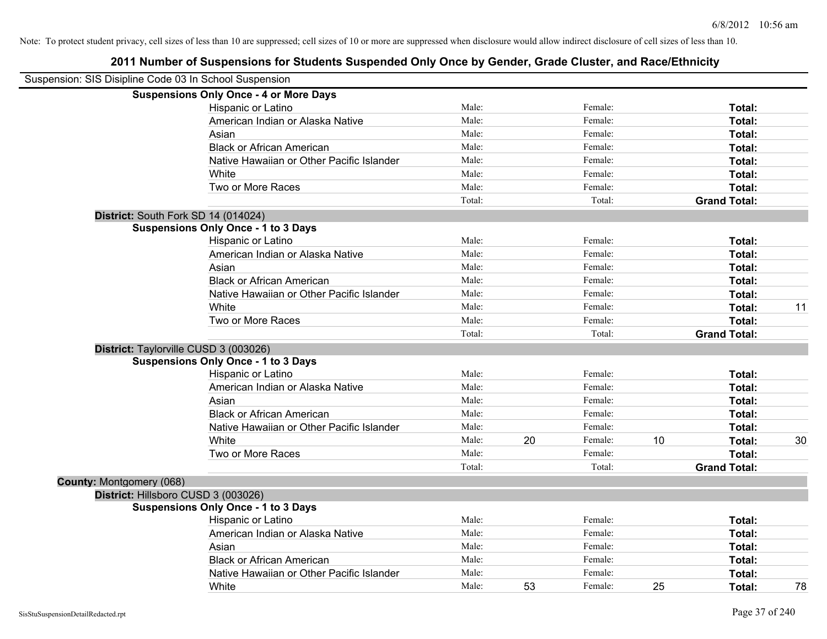|                          | Suspension: SIS Disipline Code 03 In School Suspension |        |    |         |    |                     |    |
|--------------------------|--------------------------------------------------------|--------|----|---------|----|---------------------|----|
|                          | <b>Suspensions Only Once - 4 or More Days</b>          |        |    |         |    |                     |    |
|                          | Hispanic or Latino                                     | Male:  |    | Female: |    | Total:              |    |
|                          | American Indian or Alaska Native                       | Male:  |    | Female: |    | Total:              |    |
|                          | Asian                                                  | Male:  |    | Female: |    | <b>Total:</b>       |    |
|                          | <b>Black or African American</b>                       | Male:  |    | Female: |    | Total:              |    |
|                          | Native Hawaiian or Other Pacific Islander              | Male:  |    | Female: |    | Total:              |    |
|                          | White                                                  | Male:  |    | Female: |    | Total:              |    |
|                          | Two or More Races                                      | Male:  |    | Female: |    | Total:              |    |
|                          |                                                        | Total: |    | Total:  |    | <b>Grand Total:</b> |    |
|                          | District: South Fork SD 14 (014024)                    |        |    |         |    |                     |    |
|                          | <b>Suspensions Only Once - 1 to 3 Days</b>             |        |    |         |    |                     |    |
|                          | Hispanic or Latino                                     | Male:  |    | Female: |    | Total:              |    |
|                          | American Indian or Alaska Native                       | Male:  |    | Female: |    | Total:              |    |
|                          | Asian                                                  | Male:  |    | Female: |    | Total:              |    |
|                          | <b>Black or African American</b>                       | Male:  |    | Female: |    | Total:              |    |
|                          | Native Hawaiian or Other Pacific Islander              | Male:  |    | Female: |    | Total:              |    |
|                          | White                                                  | Male:  |    | Female: |    | Total:              | 11 |
|                          | Two or More Races                                      | Male:  |    | Female: |    | Total:              |    |
|                          |                                                        | Total: |    | Total:  |    | <b>Grand Total:</b> |    |
|                          | District: Taylorville CUSD 3 (003026)                  |        |    |         |    |                     |    |
|                          | <b>Suspensions Only Once - 1 to 3 Days</b>             |        |    |         |    |                     |    |
|                          | Hispanic or Latino                                     | Male:  |    | Female: |    | Total:              |    |
|                          | American Indian or Alaska Native                       | Male:  |    | Female: |    | Total:              |    |
|                          | Asian                                                  | Male:  |    | Female: |    | Total:              |    |
|                          | <b>Black or African American</b>                       | Male:  |    | Female: |    | Total:              |    |
|                          | Native Hawaiian or Other Pacific Islander              | Male:  |    | Female: |    | Total:              |    |
|                          | White                                                  | Male:  | 20 | Female: | 10 | Total:              | 30 |
|                          | Two or More Races                                      | Male:  |    | Female: |    | Total:              |    |
|                          |                                                        | Total: |    | Total:  |    | <b>Grand Total:</b> |    |
| County: Montgomery (068) |                                                        |        |    |         |    |                     |    |
|                          | District: Hillsboro CUSD 3 (003026)                    |        |    |         |    |                     |    |
|                          | <b>Suspensions Only Once - 1 to 3 Days</b>             |        |    |         |    |                     |    |
|                          | Hispanic or Latino                                     | Male:  |    | Female: |    | <b>Total:</b>       |    |
|                          | American Indian or Alaska Native                       | Male:  |    | Female: |    | Total:              |    |
|                          | Asian                                                  | Male:  |    | Female: |    | <b>Total:</b>       |    |
|                          | <b>Black or African American</b>                       | Male:  |    | Female: |    | Total:              |    |
|                          | Native Hawaiian or Other Pacific Islander              | Male:  |    | Female: |    | <b>Total:</b>       |    |
|                          | White                                                  | Male:  | 53 | Female: | 25 | Total:              | 78 |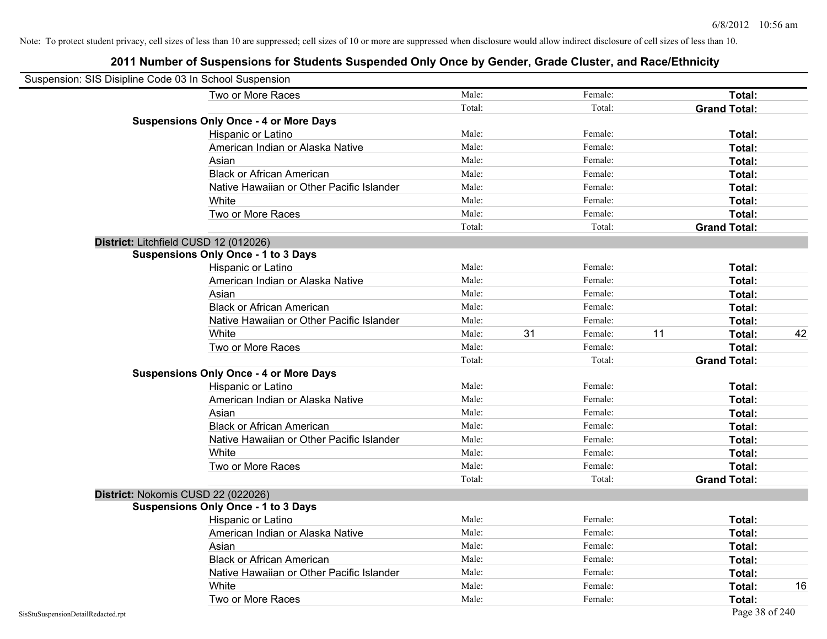| Suspension: SIS Disipline Code 03 In School Suspension |                                               |        |    |         |    |                     |    |
|--------------------------------------------------------|-----------------------------------------------|--------|----|---------|----|---------------------|----|
|                                                        | Two or More Races                             | Male:  |    | Female: |    | Total:              |    |
|                                                        |                                               | Total: |    | Total:  |    | <b>Grand Total:</b> |    |
|                                                        | <b>Suspensions Only Once - 4 or More Days</b> |        |    |         |    |                     |    |
|                                                        | Hispanic or Latino                            | Male:  |    | Female: |    | Total:              |    |
|                                                        | American Indian or Alaska Native              | Male:  |    | Female: |    | Total:              |    |
|                                                        | Asian                                         | Male:  |    | Female: |    | Total:              |    |
|                                                        | <b>Black or African American</b>              | Male:  |    | Female: |    | Total:              |    |
|                                                        | Native Hawaiian or Other Pacific Islander     | Male:  |    | Female: |    | Total:              |    |
|                                                        | White                                         | Male:  |    | Female: |    | Total:              |    |
|                                                        | Two or More Races                             | Male:  |    | Female: |    | Total:              |    |
|                                                        |                                               | Total: |    | Total:  |    | <b>Grand Total:</b> |    |
|                                                        | District: Litchfield CUSD 12 (012026)         |        |    |         |    |                     |    |
|                                                        | <b>Suspensions Only Once - 1 to 3 Days</b>    |        |    |         |    |                     |    |
|                                                        | Hispanic or Latino                            | Male:  |    | Female: |    | Total:              |    |
|                                                        | American Indian or Alaska Native              | Male:  |    | Female: |    | Total:              |    |
|                                                        | Asian                                         | Male:  |    | Female: |    | Total:              |    |
|                                                        | <b>Black or African American</b>              | Male:  |    | Female: |    | Total:              |    |
|                                                        | Native Hawaiian or Other Pacific Islander     | Male:  |    | Female: |    | Total:              |    |
|                                                        | White                                         | Male:  | 31 | Female: | 11 | Total:              | 42 |
|                                                        | Two or More Races                             | Male:  |    | Female: |    | Total:              |    |
|                                                        |                                               | Total: |    | Total:  |    | <b>Grand Total:</b> |    |
|                                                        | <b>Suspensions Only Once - 4 or More Days</b> |        |    |         |    |                     |    |
|                                                        | Hispanic or Latino                            | Male:  |    | Female: |    | Total:              |    |
|                                                        | American Indian or Alaska Native              | Male:  |    | Female: |    | Total:              |    |
|                                                        | Asian                                         | Male:  |    | Female: |    | Total:              |    |
|                                                        | <b>Black or African American</b>              | Male:  |    | Female: |    | Total:              |    |
|                                                        | Native Hawaiian or Other Pacific Islander     | Male:  |    | Female: |    | Total:              |    |
|                                                        | White                                         | Male:  |    | Female: |    | Total:              |    |
|                                                        | Two or More Races                             | Male:  |    | Female: |    | Total:              |    |
|                                                        |                                               | Total: |    | Total:  |    | <b>Grand Total:</b> |    |
|                                                        | District: Nokomis CUSD 22 (022026)            |        |    |         |    |                     |    |
|                                                        | <b>Suspensions Only Once - 1 to 3 Days</b>    |        |    |         |    |                     |    |
|                                                        | Hispanic or Latino                            | Male:  |    | Female: |    | Total:              |    |
|                                                        | American Indian or Alaska Native              | Male:  |    | Female: |    | Total:              |    |
|                                                        | Asian                                         | Male:  |    | Female: |    | Total:              |    |
|                                                        | <b>Black or African American</b>              | Male:  |    | Female: |    | Total:              |    |
|                                                        | Native Hawaiian or Other Pacific Islander     | Male:  |    | Female: |    | Total:              |    |
|                                                        | White                                         | Male:  |    | Female: |    | Total:              | 16 |
|                                                        | Two or More Races                             | Male:  |    | Female: |    | Total:              |    |
| SisStuSuspensionDetailRedacted.rpt                     |                                               |        |    |         |    | Page 38 of 240      |    |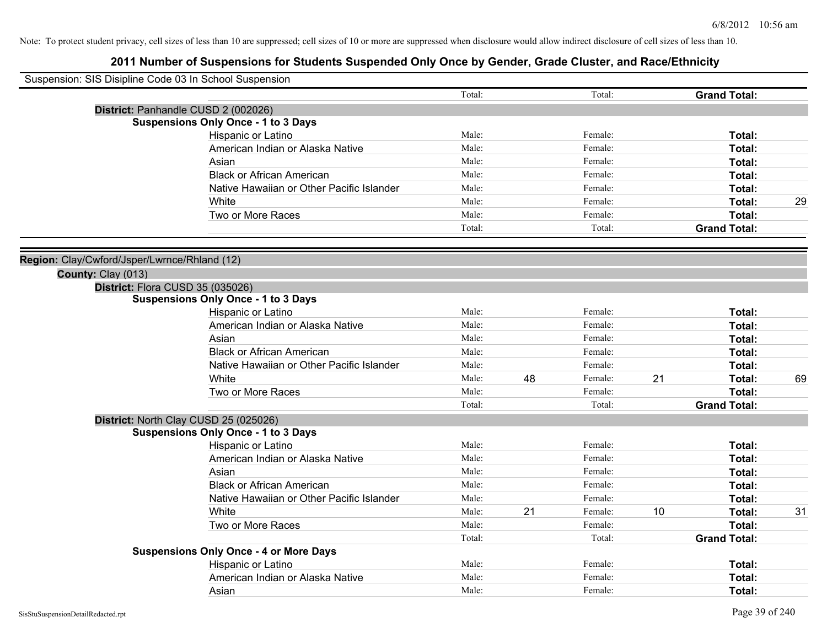| Suspension: SIS Disipline Code 03 In School Suspension |                                               |        |    |         |    |                     |    |
|--------------------------------------------------------|-----------------------------------------------|--------|----|---------|----|---------------------|----|
|                                                        |                                               | Total: |    | Total:  |    | <b>Grand Total:</b> |    |
|                                                        | District: Panhandle CUSD 2 (002026)           |        |    |         |    |                     |    |
|                                                        | <b>Suspensions Only Once - 1 to 3 Days</b>    |        |    |         |    |                     |    |
|                                                        | Hispanic or Latino                            | Male:  |    | Female: |    | Total:              |    |
|                                                        | American Indian or Alaska Native              | Male:  |    | Female: |    | Total:              |    |
|                                                        | Asian                                         | Male:  |    | Female: |    | Total:              |    |
|                                                        | <b>Black or African American</b>              | Male:  |    | Female: |    | Total:              |    |
|                                                        | Native Hawaiian or Other Pacific Islander     | Male:  |    | Female: |    | Total:              |    |
|                                                        | White                                         | Male:  |    | Female: |    | Total:              | 29 |
|                                                        | Two or More Races                             | Male:  |    | Female: |    | Total:              |    |
|                                                        |                                               | Total: |    | Total:  |    | <b>Grand Total:</b> |    |
| Region: Clay/Cwford/Jsper/Lwrnce/Rhland (12)           |                                               |        |    |         |    |                     |    |
| County: Clay (013)                                     |                                               |        |    |         |    |                     |    |
|                                                        | District: Flora CUSD 35 (035026)              |        |    |         |    |                     |    |
|                                                        | <b>Suspensions Only Once - 1 to 3 Days</b>    |        |    |         |    |                     |    |
|                                                        | Hispanic or Latino                            | Male:  |    | Female: |    | Total:              |    |
|                                                        | American Indian or Alaska Native              | Male:  |    | Female: |    | Total:              |    |
|                                                        | Asian                                         | Male:  |    | Female: |    | Total:              |    |
|                                                        | <b>Black or African American</b>              | Male:  |    | Female: |    | Total:              |    |
|                                                        | Native Hawaiian or Other Pacific Islander     | Male:  |    | Female: |    | Total:              |    |
|                                                        | White                                         | Male:  | 48 | Female: | 21 | Total:              | 69 |
|                                                        | Two or More Races                             | Male:  |    | Female: |    | Total:              |    |
|                                                        |                                               | Total: |    | Total:  |    | <b>Grand Total:</b> |    |
|                                                        | District: North Clay CUSD 25 (025026)         |        |    |         |    |                     |    |
|                                                        | <b>Suspensions Only Once - 1 to 3 Days</b>    |        |    |         |    |                     |    |
|                                                        | Hispanic or Latino                            | Male:  |    | Female: |    | Total:              |    |
|                                                        | American Indian or Alaska Native              | Male:  |    | Female: |    | Total:              |    |
|                                                        | Asian                                         | Male:  |    | Female: |    | Total:              |    |
|                                                        | <b>Black or African American</b>              | Male:  |    | Female: |    | Total:              |    |
|                                                        | Native Hawaiian or Other Pacific Islander     | Male:  |    | Female: |    | Total:              |    |
|                                                        | <b>White</b>                                  | Male:  | 21 | Female: | 10 | Total:              | 31 |
|                                                        | Two or More Races                             | Male:  |    | Female: |    | Total:              |    |
|                                                        |                                               | Total: |    | Total:  |    | <b>Grand Total:</b> |    |
|                                                        | <b>Suspensions Only Once - 4 or More Days</b> |        |    |         |    |                     |    |
|                                                        | Hispanic or Latino                            | Male:  |    | Female: |    | Total:              |    |
|                                                        | American Indian or Alaska Native              | Male:  |    | Female: |    | Total:              |    |
|                                                        | Asian                                         | Male:  |    | Female: |    | Total:              |    |
|                                                        |                                               |        |    |         |    |                     |    |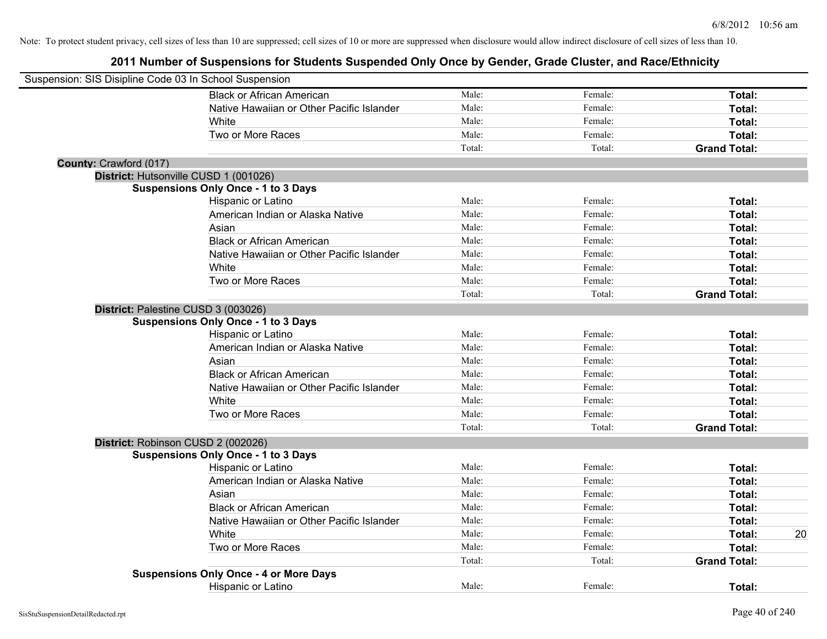| Suspension: SIS Disipline Code 03 In School Suspension |                                               |        |         |                     |    |
|--------------------------------------------------------|-----------------------------------------------|--------|---------|---------------------|----|
|                                                        | <b>Black or African American</b>              | Male:  | Female: | Total:              |    |
|                                                        | Native Hawaiian or Other Pacific Islander     | Male:  | Female: | Total:              |    |
|                                                        | White                                         | Male:  | Female: | Total:              |    |
|                                                        | Two or More Races                             | Male:  | Female: | Total:              |    |
|                                                        |                                               | Total: | Total:  | <b>Grand Total:</b> |    |
| County: Crawford (017)                                 |                                               |        |         |                     |    |
|                                                        | District: Hutsonville CUSD 1 (001026)         |        |         |                     |    |
|                                                        | <b>Suspensions Only Once - 1 to 3 Days</b>    |        |         |                     |    |
|                                                        | Hispanic or Latino                            | Male:  | Female: | Total:              |    |
|                                                        | American Indian or Alaska Native              | Male:  | Female: | Total:              |    |
|                                                        | Asian                                         | Male:  | Female: | Total:              |    |
|                                                        | <b>Black or African American</b>              | Male:  | Female: | Total:              |    |
|                                                        | Native Hawaiian or Other Pacific Islander     | Male:  | Female: | Total:              |    |
|                                                        | White                                         | Male:  | Female: | Total:              |    |
|                                                        | Two or More Races                             | Male:  | Female: | Total:              |    |
|                                                        |                                               | Total: | Total:  | <b>Grand Total:</b> |    |
|                                                        | District: Palestine CUSD 3 (003026)           |        |         |                     |    |
|                                                        | <b>Suspensions Only Once - 1 to 3 Days</b>    |        |         |                     |    |
|                                                        | Hispanic or Latino                            | Male:  | Female: | Total:              |    |
|                                                        | American Indian or Alaska Native              | Male:  | Female: | Total:              |    |
|                                                        | Asian                                         | Male:  | Female: | Total:              |    |
|                                                        | <b>Black or African American</b>              | Male:  | Female: | Total:              |    |
|                                                        | Native Hawaiian or Other Pacific Islander     | Male:  | Female: | Total:              |    |
|                                                        | White                                         | Male:  | Female: | Total:              |    |
|                                                        | Two or More Races                             | Male:  | Female: | Total:              |    |
|                                                        |                                               | Total: | Total:  | <b>Grand Total:</b> |    |
|                                                        |                                               |        |         |                     |    |
|                                                        | District: Robinson CUSD 2 (002026)            |        |         |                     |    |
|                                                        | <b>Suspensions Only Once - 1 to 3 Days</b>    | Male:  | Female: | Total:              |    |
|                                                        | Hispanic or Latino                            | Male:  | Female: |                     |    |
|                                                        | American Indian or Alaska Native              |        |         | Total:              |    |
|                                                        | Asian                                         | Male:  | Female: | Total:              |    |
|                                                        | <b>Black or African American</b>              | Male:  | Female: | Total:              |    |
|                                                        | Native Hawaiian or Other Pacific Islander     | Male:  | Female: | Total:              |    |
|                                                        | White                                         | Male:  | Female: | Total:              | 20 |
|                                                        | Two or More Races                             | Male:  | Female: | Total:              |    |
|                                                        |                                               | Total: | Total:  | <b>Grand Total:</b> |    |
|                                                        | <b>Suspensions Only Once - 4 or More Days</b> |        |         |                     |    |
|                                                        | <b>Hispanic or Latino</b>                     | Male:  | Female: | Total:              |    |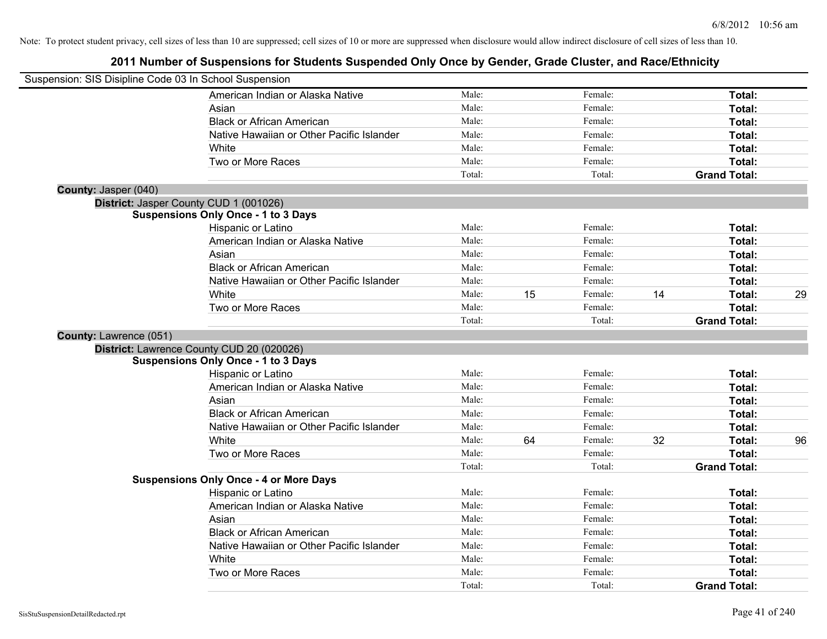| Suspension: SIS Disipline Code 03 In School Suspension |                                               |        |    |         |    |                     |    |
|--------------------------------------------------------|-----------------------------------------------|--------|----|---------|----|---------------------|----|
|                                                        | American Indian or Alaska Native              | Male:  |    | Female: |    | Total:              |    |
|                                                        | Asian                                         | Male:  |    | Female: |    | Total:              |    |
|                                                        | <b>Black or African American</b>              | Male:  |    | Female: |    | Total:              |    |
|                                                        | Native Hawaiian or Other Pacific Islander     | Male:  |    | Female: |    | Total:              |    |
|                                                        | White                                         | Male:  |    | Female: |    | Total:              |    |
|                                                        | Two or More Races                             | Male:  |    | Female: |    | Total:              |    |
|                                                        |                                               | Total: |    | Total:  |    | <b>Grand Total:</b> |    |
| County: Jasper (040)                                   |                                               |        |    |         |    |                     |    |
|                                                        | District: Jasper County CUD 1 (001026)        |        |    |         |    |                     |    |
|                                                        | <b>Suspensions Only Once - 1 to 3 Days</b>    |        |    |         |    |                     |    |
|                                                        | Hispanic or Latino                            | Male:  |    | Female: |    | Total:              |    |
|                                                        | American Indian or Alaska Native              | Male:  |    | Female: |    | Total:              |    |
|                                                        | Asian                                         | Male:  |    | Female: |    | Total:              |    |
|                                                        | <b>Black or African American</b>              | Male:  |    | Female: |    | Total:              |    |
|                                                        | Native Hawaiian or Other Pacific Islander     | Male:  |    | Female: |    | Total:              |    |
|                                                        | White                                         | Male:  | 15 | Female: | 14 | Total:              | 29 |
|                                                        | Two or More Races                             | Male:  |    | Female: |    | Total:              |    |
|                                                        |                                               | Total: |    | Total:  |    | <b>Grand Total:</b> |    |
| County: Lawrence (051)                                 |                                               |        |    |         |    |                     |    |
|                                                        | District: Lawrence County CUD 20 (020026)     |        |    |         |    |                     |    |
|                                                        | <b>Suspensions Only Once - 1 to 3 Days</b>    |        |    |         |    |                     |    |
|                                                        | Hispanic or Latino                            | Male:  |    | Female: |    | Total:              |    |
|                                                        | American Indian or Alaska Native              | Male:  |    | Female: |    | Total:              |    |
|                                                        | Asian                                         | Male:  |    | Female: |    | Total:              |    |
|                                                        | <b>Black or African American</b>              | Male:  |    | Female: |    | Total:              |    |
|                                                        | Native Hawaiian or Other Pacific Islander     | Male:  |    | Female: |    | Total:              |    |
|                                                        | White                                         | Male:  | 64 | Female: | 32 | Total:              | 96 |
|                                                        | Two or More Races                             | Male:  |    | Female: |    | Total:              |    |
|                                                        |                                               | Total: |    | Total:  |    | <b>Grand Total:</b> |    |
|                                                        | <b>Suspensions Only Once - 4 or More Days</b> |        |    |         |    |                     |    |
|                                                        | Hispanic or Latino                            | Male:  |    | Female: |    | Total:              |    |
|                                                        | American Indian or Alaska Native              | Male:  |    | Female: |    | Total:              |    |
|                                                        | Asian                                         | Male:  |    | Female: |    | Total:              |    |
|                                                        | <b>Black or African American</b>              | Male:  |    | Female: |    | Total:              |    |
|                                                        | Native Hawaiian or Other Pacific Islander     | Male:  |    | Female: |    | Total:              |    |
|                                                        | White                                         | Male:  |    | Female: |    | Total:              |    |
|                                                        | Two or More Races                             | Male:  |    | Female: |    | Total:              |    |
|                                                        |                                               | Total: |    | Total:  |    | <b>Grand Total:</b> |    |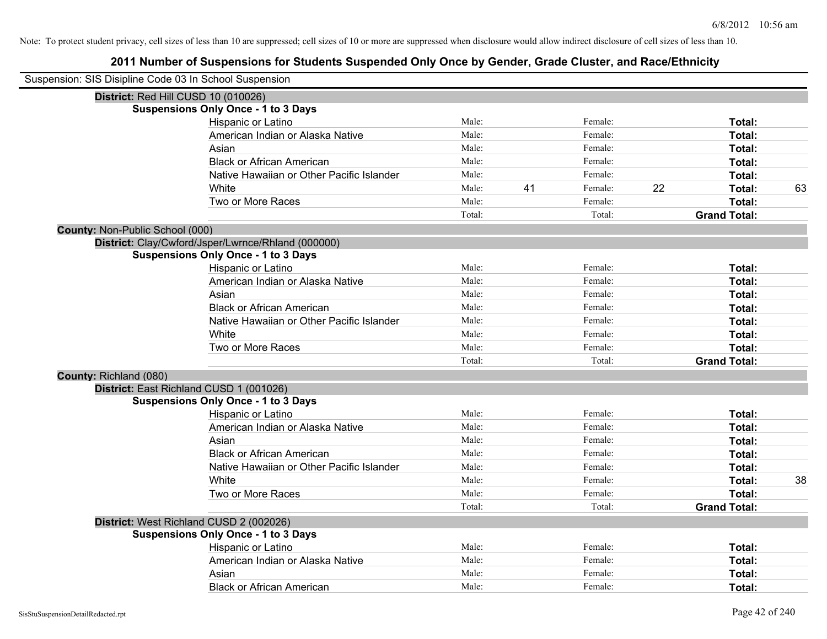| Suspension: SIS Disipline Code 03 In School Suspension |                                                    |        |    |         |    |                     |    |
|--------------------------------------------------------|----------------------------------------------------|--------|----|---------|----|---------------------|----|
|                                                        | District: Red Hill CUSD 10 (010026)                |        |    |         |    |                     |    |
|                                                        | <b>Suspensions Only Once - 1 to 3 Days</b>         |        |    |         |    |                     |    |
|                                                        | Hispanic or Latino                                 | Male:  |    | Female: |    | Total:              |    |
|                                                        | American Indian or Alaska Native                   | Male:  |    | Female: |    | Total:              |    |
|                                                        | Asian                                              | Male:  |    | Female: |    | Total:              |    |
|                                                        | <b>Black or African American</b>                   | Male:  |    | Female: |    | Total:              |    |
|                                                        | Native Hawaiian or Other Pacific Islander          | Male:  |    | Female: |    | Total:              |    |
|                                                        | White                                              | Male:  | 41 | Female: | 22 | Total:              | 63 |
|                                                        | Two or More Races                                  | Male:  |    | Female: |    | Total:              |    |
|                                                        |                                                    | Total: |    | Total:  |    | <b>Grand Total:</b> |    |
| County: Non-Public School (000)                        |                                                    |        |    |         |    |                     |    |
|                                                        | District: Clay/Cwford/Jsper/Lwrnce/Rhland (000000) |        |    |         |    |                     |    |
|                                                        | <b>Suspensions Only Once - 1 to 3 Days</b>         |        |    |         |    |                     |    |
|                                                        | Hispanic or Latino                                 | Male:  |    | Female: |    | Total:              |    |
|                                                        | American Indian or Alaska Native                   | Male:  |    | Female: |    | Total:              |    |
|                                                        | Asian                                              | Male:  |    | Female: |    | Total:              |    |
|                                                        | <b>Black or African American</b>                   | Male:  |    | Female: |    | Total:              |    |
|                                                        | Native Hawaiian or Other Pacific Islander          | Male:  |    | Female: |    | Total:              |    |
|                                                        | White                                              | Male:  |    | Female: |    | Total:              |    |
|                                                        | Two or More Races                                  | Male:  |    | Female: |    | Total:              |    |
|                                                        |                                                    | Total: |    | Total:  |    | <b>Grand Total:</b> |    |
| County: Richland (080)                                 |                                                    |        |    |         |    |                     |    |
|                                                        | District: East Richland CUSD 1 (001026)            |        |    |         |    |                     |    |
|                                                        | <b>Suspensions Only Once - 1 to 3 Days</b>         |        |    |         |    |                     |    |
|                                                        | Hispanic or Latino                                 | Male:  |    | Female: |    | Total:              |    |
|                                                        | American Indian or Alaska Native                   | Male:  |    | Female: |    | Total:              |    |
|                                                        | Asian                                              | Male:  |    | Female: |    | Total:              |    |
|                                                        | <b>Black or African American</b>                   | Male:  |    | Female: |    | Total:              |    |
|                                                        | Native Hawaiian or Other Pacific Islander          | Male:  |    | Female: |    | Total:              |    |
|                                                        | White                                              | Male:  |    | Female: |    | Total:              | 38 |
|                                                        | Two or More Races                                  | Male:  |    | Female: |    | Total:              |    |
|                                                        |                                                    | Total: |    | Total:  |    | <b>Grand Total:</b> |    |
|                                                        | District: West Richland CUSD 2 (002026)            |        |    |         |    |                     |    |
|                                                        | <b>Suspensions Only Once - 1 to 3 Days</b>         |        |    |         |    |                     |    |
|                                                        | Hispanic or Latino                                 | Male:  |    | Female: |    | Total:              |    |
|                                                        | American Indian or Alaska Native                   | Male:  |    | Female: |    | Total:              |    |
|                                                        | Asian                                              | Male:  |    | Female: |    | Total:              |    |
|                                                        | <b>Black or African American</b>                   | Male:  |    | Female: |    | Total:              |    |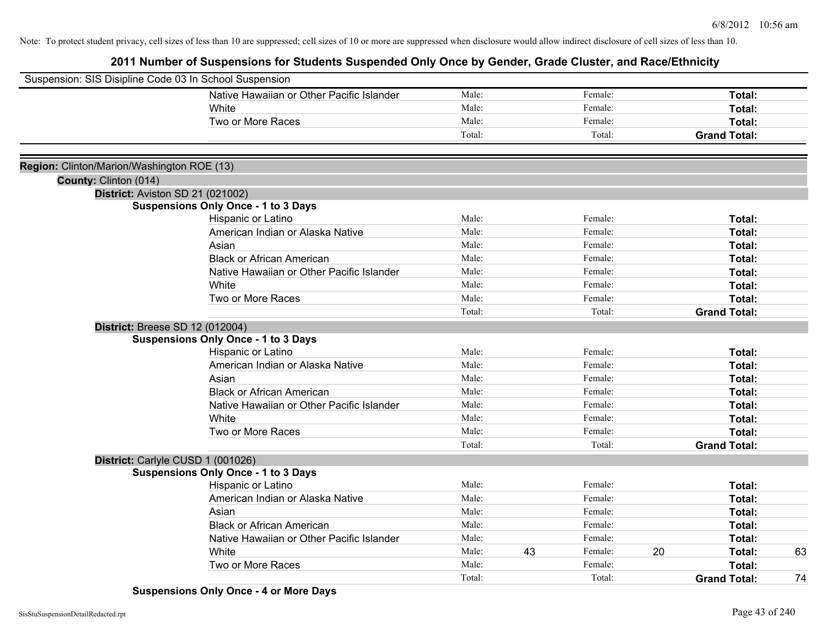| Suspension: SIS Disipline Code 03 In School Suspension |                                            |        |    |         |    |                     |    |
|--------------------------------------------------------|--------------------------------------------|--------|----|---------|----|---------------------|----|
|                                                        | Native Hawaiian or Other Pacific Islander  | Male:  |    | Female: |    | Total:              |    |
|                                                        | White                                      | Male:  |    | Female: |    | Total:              |    |
|                                                        | Two or More Races                          | Male:  |    | Female: |    | Total:              |    |
|                                                        |                                            | Total: |    | Total:  |    | <b>Grand Total:</b> |    |
|                                                        |                                            |        |    |         |    |                     |    |
| Region: Clinton/Marion/Washington ROE (13)             |                                            |        |    |         |    |                     |    |
| County: Clinton (014)                                  |                                            |        |    |         |    |                     |    |
| District: Aviston SD 21 (021002)                       |                                            |        |    |         |    |                     |    |
|                                                        | <b>Suspensions Only Once - 1 to 3 Days</b> |        |    |         |    |                     |    |
|                                                        | Hispanic or Latino                         | Male:  |    | Female: |    | Total:              |    |
|                                                        | American Indian or Alaska Native           | Male:  |    | Female: |    | Total:              |    |
|                                                        | Asian                                      | Male:  |    | Female: |    | Total:              |    |
|                                                        | <b>Black or African American</b>           | Male:  |    | Female: |    | Total:              |    |
|                                                        | Native Hawaiian or Other Pacific Islander  | Male:  |    | Female: |    | Total:              |    |
|                                                        | White                                      | Male:  |    | Female: |    | Total:              |    |
|                                                        | Two or More Races                          | Male:  |    | Female: |    | Total:              |    |
|                                                        |                                            | Total: |    | Total:  |    | <b>Grand Total:</b> |    |
| <b>District: Breese SD 12 (012004)</b>                 |                                            |        |    |         |    |                     |    |
|                                                        | <b>Suspensions Only Once - 1 to 3 Days</b> |        |    |         |    |                     |    |
|                                                        | Hispanic or Latino                         | Male:  |    | Female: |    | Total:              |    |
|                                                        | American Indian or Alaska Native           | Male:  |    | Female: |    | Total:              |    |
|                                                        | Asian                                      | Male:  |    | Female: |    | Total:              |    |
|                                                        | <b>Black or African American</b>           | Male:  |    | Female: |    | Total:              |    |
|                                                        | Native Hawaiian or Other Pacific Islander  | Male:  |    | Female: |    | Total:              |    |
|                                                        | White                                      | Male:  |    | Female: |    | Total:              |    |
|                                                        | Two or More Races                          | Male:  |    | Female: |    | Total:              |    |
|                                                        |                                            | Total: |    | Total:  |    | <b>Grand Total:</b> |    |
| District: Carlyle CUSD 1 (001026)                      |                                            |        |    |         |    |                     |    |
|                                                        | <b>Suspensions Only Once - 1 to 3 Days</b> |        |    |         |    |                     |    |
|                                                        | Hispanic or Latino                         | Male:  |    | Female: |    | Total:              |    |
|                                                        | American Indian or Alaska Native           | Male:  |    | Female: |    | Total:              |    |
|                                                        | Asian                                      | Male:  |    | Female: |    | Total:              |    |
|                                                        | <b>Black or African American</b>           | Male:  |    | Female: |    | Total:              |    |
|                                                        | Native Hawaiian or Other Pacific Islander  | Male:  |    | Female: |    | Total:              |    |
|                                                        | White                                      | Male:  | 43 | Female: | 20 | Total:              | 63 |
|                                                        | Two or More Races                          | Male:  |    | Female: |    | Total:              |    |
|                                                        |                                            | Total: |    | Total:  |    | <b>Grand Total:</b> | 74 |

**Suspensions Only Once - 4 or More Days**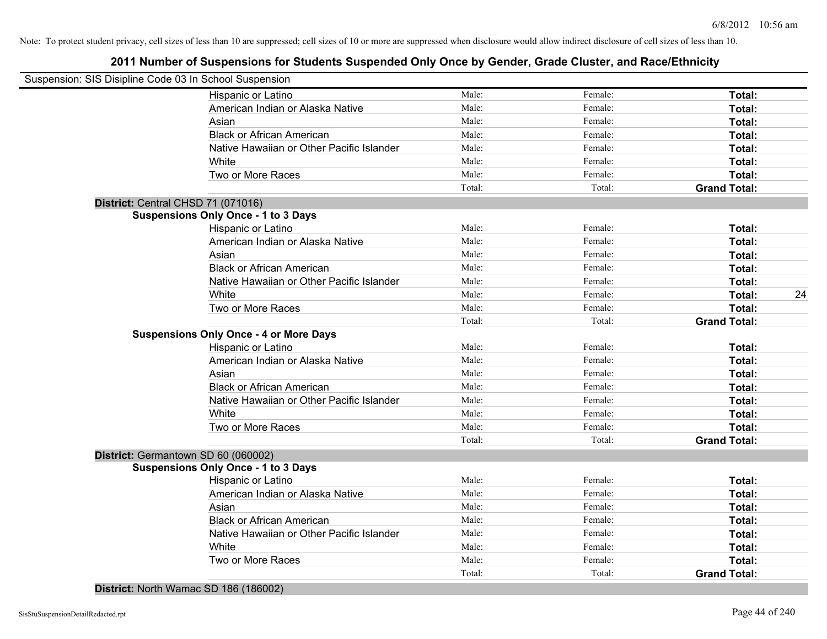| Suspension: SIS Disipline Code 03 In School Suspension |        |         |                     |    |
|--------------------------------------------------------|--------|---------|---------------------|----|
| Hispanic or Latino                                     | Male:  | Female: | Total:              |    |
| American Indian or Alaska Native                       | Male:  | Female: | Total:              |    |
| Asian                                                  | Male:  | Female: | Total:              |    |
| <b>Black or African American</b>                       | Male:  | Female: | Total:              |    |
| Native Hawaiian or Other Pacific Islander              | Male:  | Female: | Total:              |    |
| White                                                  | Male:  | Female: | Total:              |    |
| Two or More Races                                      | Male:  | Female: | Total:              |    |
|                                                        | Total: | Total:  | <b>Grand Total:</b> |    |
| District: Central CHSD 71 (071016)                     |        |         |                     |    |
| <b>Suspensions Only Once - 1 to 3 Days</b>             |        |         |                     |    |
| Hispanic or Latino                                     | Male:  | Female: | Total:              |    |
| American Indian or Alaska Native                       | Male:  | Female: | Total:              |    |
| Asian                                                  | Male:  | Female: | Total:              |    |
| <b>Black or African American</b>                       | Male:  | Female: | Total:              |    |
| Native Hawaiian or Other Pacific Islander              | Male:  | Female: | Total:              |    |
| White                                                  | Male:  | Female: | Total:              | 24 |
| Two or More Races                                      | Male:  | Female: | Total:              |    |
|                                                        | Total: | Total:  | <b>Grand Total:</b> |    |
| <b>Suspensions Only Once - 4 or More Days</b>          |        |         |                     |    |
| Hispanic or Latino                                     | Male:  | Female: | Total:              |    |
| American Indian or Alaska Native                       | Male:  | Female: | Total:              |    |
| Asian                                                  | Male:  | Female: | Total:              |    |
| <b>Black or African American</b>                       | Male:  | Female: | Total:              |    |
| Native Hawaiian or Other Pacific Islander              | Male:  | Female: | Total:              |    |
| White                                                  | Male:  | Female: | Total:              |    |
| Two or More Races                                      | Male:  | Female: | Total:              |    |
|                                                        | Total: | Total:  | <b>Grand Total:</b> |    |
| District: Germantown SD 60 (060002)                    |        |         |                     |    |
| <b>Suspensions Only Once - 1 to 3 Days</b>             |        |         |                     |    |
| Hispanic or Latino                                     | Male:  | Female: | Total:              |    |
| American Indian or Alaska Native                       | Male:  | Female: | Total:              |    |
| Asian                                                  | Male:  | Female: | Total:              |    |
| <b>Black or African American</b>                       | Male:  | Female: | Total:              |    |
| Native Hawaiian or Other Pacific Islander              | Male:  | Female: | Total:              |    |
| White                                                  | Male:  | Female: | Total:              |    |
| Two or More Races                                      | Male:  | Female: | Total:              |    |
|                                                        | Total: | Total:  | <b>Grand Total:</b> |    |
| District: North Wamac SD 186 (186002)                  |        |         |                     |    |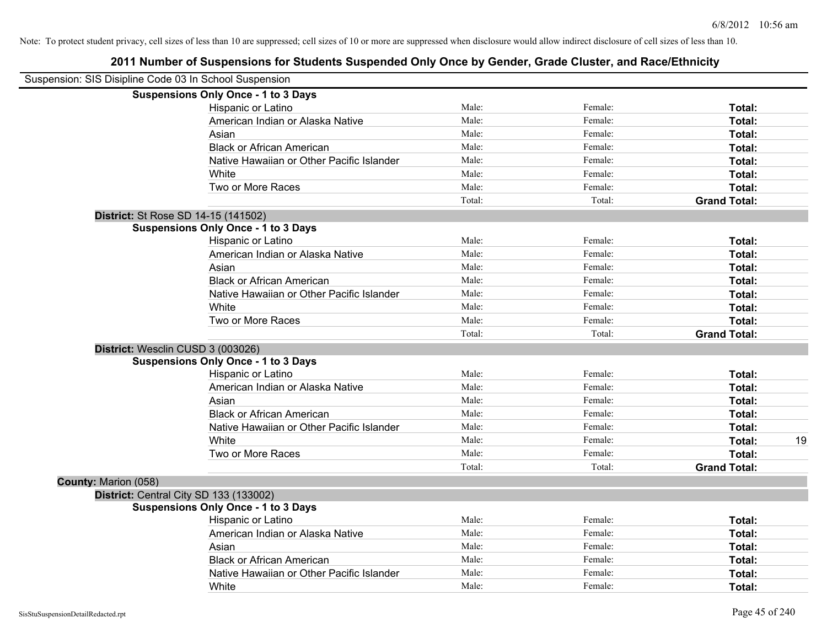|                      | Suspension: SIS Disipline Code 03 In School Suspension |        |         |                     |    |
|----------------------|--------------------------------------------------------|--------|---------|---------------------|----|
|                      | <b>Suspensions Only Once - 1 to 3 Days</b>             |        |         |                     |    |
|                      | Hispanic or Latino                                     | Male:  | Female: | Total:              |    |
|                      | American Indian or Alaska Native                       | Male:  | Female: | <b>Total:</b>       |    |
|                      | Asian                                                  | Male:  | Female: | Total:              |    |
|                      | <b>Black or African American</b>                       | Male:  | Female: | Total:              |    |
|                      | Native Hawaiian or Other Pacific Islander              | Male:  | Female: | Total:              |    |
|                      | White                                                  | Male:  | Female: | Total:              |    |
|                      | Two or More Races                                      | Male:  | Female: | Total:              |    |
|                      |                                                        | Total: | Total:  | <b>Grand Total:</b> |    |
|                      | District: St Rose SD 14-15 (141502)                    |        |         |                     |    |
|                      | <b>Suspensions Only Once - 1 to 3 Days</b>             |        |         |                     |    |
|                      | Hispanic or Latino                                     | Male:  | Female: | <b>Total:</b>       |    |
|                      | American Indian or Alaska Native                       | Male:  | Female: | <b>Total:</b>       |    |
|                      | Asian                                                  | Male:  | Female: | Total:              |    |
|                      | <b>Black or African American</b>                       | Male:  | Female: | Total:              |    |
|                      | Native Hawaiian or Other Pacific Islander              | Male:  | Female: | <b>Total:</b>       |    |
|                      | White                                                  | Male:  | Female: | Total:              |    |
|                      | Two or More Races                                      | Male:  | Female: | Total:              |    |
|                      |                                                        | Total: | Total:  | <b>Grand Total:</b> |    |
|                      | District: Wesclin CUSD 3 (003026)                      |        |         |                     |    |
|                      | <b>Suspensions Only Once - 1 to 3 Days</b>             |        |         |                     |    |
|                      | Hispanic or Latino                                     | Male:  | Female: | Total:              |    |
|                      | American Indian or Alaska Native                       | Male:  | Female: | <b>Total:</b>       |    |
|                      | Asian                                                  | Male:  | Female: | Total:              |    |
|                      | <b>Black or African American</b>                       | Male:  | Female: | Total:              |    |
|                      | Native Hawaiian or Other Pacific Islander              | Male:  | Female: | Total:              |    |
|                      | White                                                  | Male:  | Female: | <b>Total:</b>       | 19 |
|                      | Two or More Races                                      | Male:  | Female: | Total:              |    |
|                      |                                                        | Total: | Total:  | <b>Grand Total:</b> |    |
| County: Marion (058) |                                                        |        |         |                     |    |
|                      | District: Central City SD 133 (133002)                 |        |         |                     |    |
|                      | <b>Suspensions Only Once - 1 to 3 Days</b>             |        |         |                     |    |
|                      | Hispanic or Latino                                     | Male:  | Female: | Total:              |    |
|                      | American Indian or Alaska Native                       | Male:  | Female: | Total:              |    |
|                      | Asian                                                  | Male:  | Female: | Total:              |    |
|                      | <b>Black or African American</b>                       | Male:  | Female: | <b>Total:</b>       |    |
|                      | Native Hawaiian or Other Pacific Islander              | Male:  | Female: | <b>Total:</b>       |    |
|                      | White                                                  | Male:  | Female: | Total:              |    |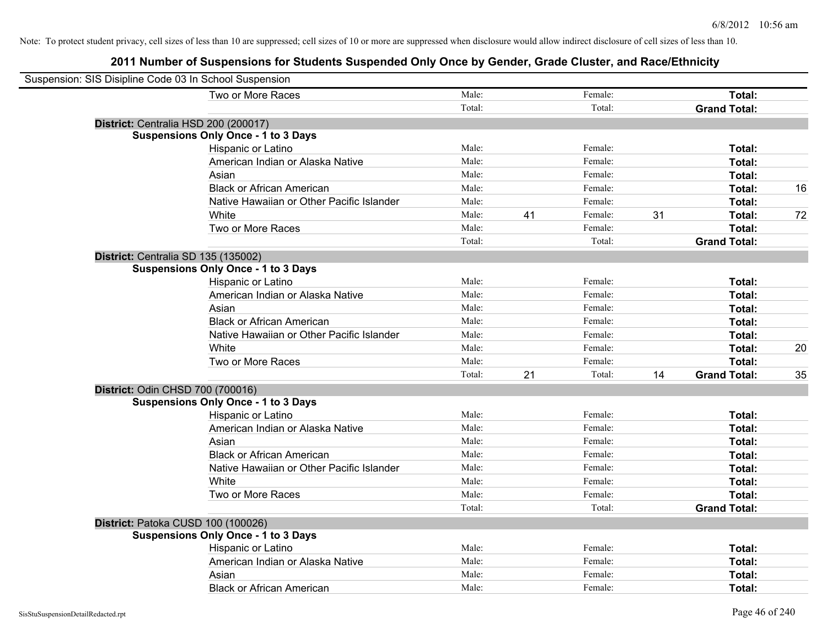| Suspension: SIS Disipline Code 03 In School Suspension |        |    |         |    |                     |    |
|--------------------------------------------------------|--------|----|---------|----|---------------------|----|
| Two or More Races                                      | Male:  |    | Female: |    | Total:              |    |
|                                                        | Total: |    | Total:  |    | <b>Grand Total:</b> |    |
| District: Centralia HSD 200 (200017)                   |        |    |         |    |                     |    |
| <b>Suspensions Only Once - 1 to 3 Days</b>             |        |    |         |    |                     |    |
| Hispanic or Latino                                     | Male:  |    | Female: |    | Total:              |    |
| American Indian or Alaska Native                       | Male:  |    | Female: |    | Total:              |    |
| Asian                                                  | Male:  |    | Female: |    | Total:              |    |
| <b>Black or African American</b>                       | Male:  |    | Female: |    | Total:              | 16 |
| Native Hawaiian or Other Pacific Islander              | Male:  |    | Female: |    | Total:              |    |
| White                                                  | Male:  | 41 | Female: | 31 | Total:              | 72 |
| Two or More Races                                      | Male:  |    | Female: |    | Total:              |    |
|                                                        | Total: |    | Total:  |    | <b>Grand Total:</b> |    |
| District: Centralia SD 135 (135002)                    |        |    |         |    |                     |    |
| <b>Suspensions Only Once - 1 to 3 Days</b>             |        |    |         |    |                     |    |
| Hispanic or Latino                                     | Male:  |    | Female: |    | Total:              |    |
| American Indian or Alaska Native                       | Male:  |    | Female: |    | Total:              |    |
| Asian                                                  | Male:  |    | Female: |    | Total:              |    |
| <b>Black or African American</b>                       | Male:  |    | Female: |    | Total:              |    |
| Native Hawaiian or Other Pacific Islander              | Male:  |    | Female: |    | Total:              |    |
| White                                                  | Male:  |    | Female: |    | Total:              | 20 |
| Two or More Races                                      | Male:  |    | Female: |    | Total:              |    |
|                                                        | Total: | 21 | Total:  | 14 | <b>Grand Total:</b> | 35 |
| District: Odin CHSD 700 (700016)                       |        |    |         |    |                     |    |
| <b>Suspensions Only Once - 1 to 3 Days</b>             |        |    |         |    |                     |    |
| Hispanic or Latino                                     | Male:  |    | Female: |    | Total:              |    |
| American Indian or Alaska Native                       | Male:  |    | Female: |    | Total:              |    |
| Asian                                                  | Male:  |    | Female: |    | Total:              |    |
| <b>Black or African American</b>                       | Male:  |    | Female: |    | Total:              |    |
| Native Hawaiian or Other Pacific Islander              | Male:  |    | Female: |    | Total:              |    |
| White                                                  | Male:  |    | Female: |    | Total:              |    |
| Two or More Races                                      | Male:  |    | Female: |    | Total:              |    |
|                                                        | Total: |    | Total:  |    | <b>Grand Total:</b> |    |
| District: Patoka CUSD 100 (100026)                     |        |    |         |    |                     |    |
| <b>Suspensions Only Once - 1 to 3 Days</b>             |        |    |         |    |                     |    |
| Hispanic or Latino                                     | Male:  |    | Female: |    | Total:              |    |
| American Indian or Alaska Native                       | Male:  |    | Female: |    | Total:              |    |
| Asian                                                  | Male:  |    | Female: |    | Total:              |    |
| <b>Black or African American</b>                       | Male:  |    | Female: |    | Total:              |    |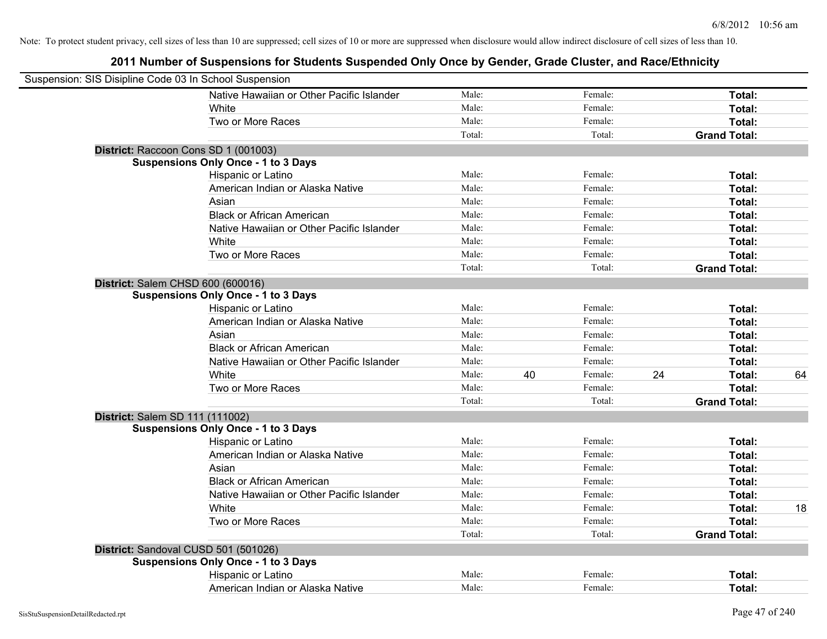| Suspension: SIS Disipline Code 03 In School Suspension |                                            |        |    |         |    |                     |    |
|--------------------------------------------------------|--------------------------------------------|--------|----|---------|----|---------------------|----|
|                                                        | Native Hawaiian or Other Pacific Islander  | Male:  |    | Female: |    | Total:              |    |
|                                                        | White                                      | Male:  |    | Female: |    | Total:              |    |
|                                                        | Two or More Races                          | Male:  |    | Female: |    | Total:              |    |
|                                                        |                                            | Total: |    | Total:  |    | <b>Grand Total:</b> |    |
|                                                        | District: Raccoon Cons SD 1 (001003)       |        |    |         |    |                     |    |
|                                                        | <b>Suspensions Only Once - 1 to 3 Days</b> |        |    |         |    |                     |    |
|                                                        | Hispanic or Latino                         | Male:  |    | Female: |    | Total:              |    |
|                                                        | American Indian or Alaska Native           | Male:  |    | Female: |    | Total:              |    |
|                                                        | Asian                                      | Male:  |    | Female: |    | Total:              |    |
|                                                        | <b>Black or African American</b>           | Male:  |    | Female: |    | Total:              |    |
|                                                        | Native Hawaiian or Other Pacific Islander  | Male:  |    | Female: |    | Total:              |    |
|                                                        | White                                      | Male:  |    | Female: |    | Total:              |    |
|                                                        | Two or More Races                          | Male:  |    | Female: |    | Total:              |    |
|                                                        |                                            | Total: |    | Total:  |    | <b>Grand Total:</b> |    |
| District: Salem CHSD 600 (600016)                      |                                            |        |    |         |    |                     |    |
|                                                        | <b>Suspensions Only Once - 1 to 3 Days</b> |        |    |         |    |                     |    |
|                                                        | Hispanic or Latino                         | Male:  |    | Female: |    | Total:              |    |
|                                                        | American Indian or Alaska Native           | Male:  |    | Female: |    | Total:              |    |
|                                                        | Asian                                      | Male:  |    | Female: |    | Total:              |    |
|                                                        | <b>Black or African American</b>           | Male:  |    | Female: |    | Total:              |    |
|                                                        | Native Hawaiian or Other Pacific Islander  | Male:  |    | Female: |    | Total:              |    |
|                                                        | White                                      | Male:  | 40 | Female: | 24 | Total:              | 64 |
|                                                        | Two or More Races                          | Male:  |    | Female: |    | Total:              |    |
|                                                        |                                            | Total: |    | Total:  |    | <b>Grand Total:</b> |    |
| District: Salem SD 111 (111002)                        |                                            |        |    |         |    |                     |    |
|                                                        | <b>Suspensions Only Once - 1 to 3 Days</b> |        |    |         |    |                     |    |
|                                                        | Hispanic or Latino                         | Male:  |    | Female: |    | Total:              |    |
|                                                        | American Indian or Alaska Native           | Male:  |    | Female: |    | Total:              |    |
|                                                        | Asian                                      | Male:  |    | Female: |    | Total:              |    |
|                                                        | <b>Black or African American</b>           | Male:  |    | Female: |    | Total:              |    |
|                                                        | Native Hawaiian or Other Pacific Islander  | Male:  |    | Female: |    | Total:              |    |
|                                                        | White                                      | Male:  |    | Female: |    | Total:              | 18 |
|                                                        | Two or More Races                          | Male:  |    | Female: |    | Total:              |    |
|                                                        |                                            | Total: |    | Total:  |    | <b>Grand Total:</b> |    |
|                                                        | District: Sandoval CUSD 501 (501026)       |        |    |         |    |                     |    |
|                                                        | <b>Suspensions Only Once - 1 to 3 Days</b> |        |    |         |    |                     |    |
|                                                        | Hispanic or Latino                         | Male:  |    | Female: |    | Total:              |    |
|                                                        | American Indian or Alaska Native           | Male:  |    | Female: |    | Total:              |    |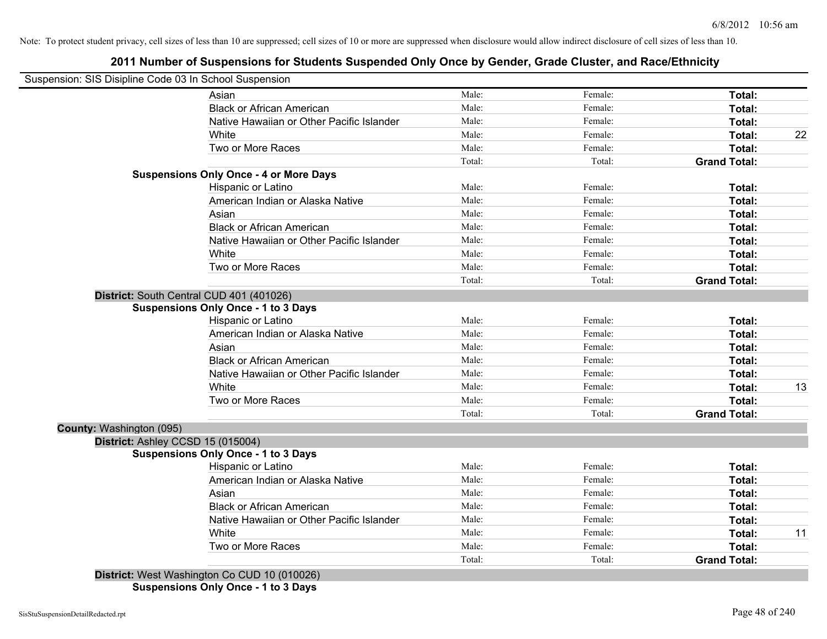## **2011 Number of Suspensions for Students Suspended Only Once by Gender, Grade Cluster, and Race/Ethnicity**

| Suspension: SIS Disipline Code 03 In School Suspension |                                               |        |         |                     |    |
|--------------------------------------------------------|-----------------------------------------------|--------|---------|---------------------|----|
|                                                        | Asian                                         | Male:  | Female: | Total:              |    |
|                                                        | <b>Black or African American</b>              | Male:  | Female: | Total:              |    |
|                                                        | Native Hawaiian or Other Pacific Islander     | Male:  | Female: | Total:              |    |
|                                                        | White                                         | Male:  | Female: | Total:              | 22 |
|                                                        | Two or More Races                             | Male:  | Female: | Total:              |    |
|                                                        |                                               | Total: | Total:  | <b>Grand Total:</b> |    |
|                                                        | <b>Suspensions Only Once - 4 or More Days</b> |        |         |                     |    |
|                                                        | Hispanic or Latino                            | Male:  | Female: | Total:              |    |
|                                                        | American Indian or Alaska Native              | Male:  | Female: | Total:              |    |
|                                                        | Asian                                         | Male:  | Female: | Total:              |    |
|                                                        | <b>Black or African American</b>              | Male:  | Female: | Total:              |    |
|                                                        | Native Hawaiian or Other Pacific Islander     | Male:  | Female: | Total:              |    |
|                                                        | White                                         | Male:  | Female: | Total:              |    |
|                                                        | Two or More Races                             | Male:  | Female: | Total:              |    |
|                                                        |                                               | Total: | Total:  | <b>Grand Total:</b> |    |
|                                                        | District: South Central CUD 401 (401026)      |        |         |                     |    |
|                                                        | <b>Suspensions Only Once - 1 to 3 Days</b>    |        |         |                     |    |
|                                                        | Hispanic or Latino                            | Male:  | Female: | Total:              |    |
|                                                        | American Indian or Alaska Native              | Male:  | Female: | Total:              |    |
|                                                        | Asian                                         | Male:  | Female: | Total:              |    |
|                                                        | <b>Black or African American</b>              | Male:  | Female: | Total:              |    |
|                                                        | Native Hawaiian or Other Pacific Islander     | Male:  | Female: | Total:              |    |
|                                                        | White                                         | Male:  | Female: | Total:              | 13 |
|                                                        | Two or More Races                             | Male:  | Female: | Total:              |    |
|                                                        |                                               | Total: | Total:  | <b>Grand Total:</b> |    |
| County: Washington (095)                               |                                               |        |         |                     |    |
| District: Ashley CCSD 15 (015004)                      |                                               |        |         |                     |    |
|                                                        | <b>Suspensions Only Once - 1 to 3 Days</b>    |        |         |                     |    |
|                                                        | Hispanic or Latino                            | Male:  | Female: | Total:              |    |
|                                                        | American Indian or Alaska Native              | Male:  | Female: | Total:              |    |
|                                                        | Asian                                         | Male:  | Female: | Total:              |    |
|                                                        | <b>Black or African American</b>              | Male:  | Female: | Total:              |    |
|                                                        | Native Hawaiian or Other Pacific Islander     | Male:  | Female: | Total:              |    |
|                                                        | White                                         | Male:  | Female: | Total:              | 11 |
|                                                        | Two or More Races                             | Male:  | Female: | Total:              |    |
|                                                        |                                               | Total: | Total:  | <b>Grand Total:</b> |    |
|                                                        | District: West Washington Co CUD 10 (010026)  |        |         |                     |    |

**Suspensions Only Once - 1 to 3 Days**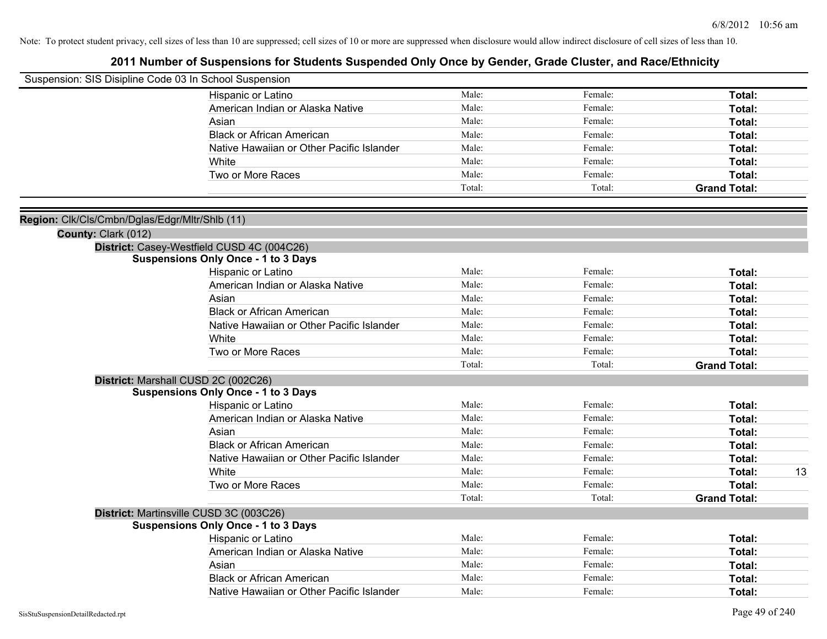| Suspension: SIS Disipline Code 03 In School Suspension |                                            |        |         |                     |    |
|--------------------------------------------------------|--------------------------------------------|--------|---------|---------------------|----|
|                                                        |                                            | Male:  | Female: |                     |    |
|                                                        | Hispanic or Latino                         |        |         | Total:              |    |
|                                                        | American Indian or Alaska Native           | Male:  | Female: | Total:              |    |
|                                                        | Asian                                      | Male:  | Female: | Total:              |    |
|                                                        | <b>Black or African American</b>           | Male:  | Female: | Total:              |    |
|                                                        | Native Hawaiian or Other Pacific Islander  | Male:  | Female: | Total:              |    |
|                                                        | White                                      | Male:  | Female: | Total:              |    |
|                                                        | Two or More Races                          | Male:  | Female: | Total:              |    |
|                                                        |                                            | Total: | Total:  | <b>Grand Total:</b> |    |
|                                                        |                                            |        |         |                     |    |
| Region: Clk/Cls/Cmbn/Dglas/Edgr/Mltr/Shlb (11)         |                                            |        |         |                     |    |
| County: Clark (012)                                    |                                            |        |         |                     |    |
|                                                        | District: Casey-Westfield CUSD 4C (004C26) |        |         |                     |    |
|                                                        | <b>Suspensions Only Once - 1 to 3 Days</b> | Male:  | Female: |                     |    |
|                                                        | Hispanic or Latino                         |        |         | Total:              |    |
|                                                        | American Indian or Alaska Native           | Male:  | Female: | Total:              |    |
|                                                        | Asian                                      | Male:  | Female: | Total:              |    |
|                                                        | <b>Black or African American</b>           | Male:  | Female: | Total:              |    |
|                                                        | Native Hawaiian or Other Pacific Islander  | Male:  | Female: | Total:              |    |
|                                                        | White                                      | Male:  | Female: | Total:              |    |
|                                                        | Two or More Races                          | Male:  | Female: | Total:              |    |
|                                                        |                                            | Total: | Total:  | <b>Grand Total:</b> |    |
|                                                        | District: Marshall CUSD 2C (002C26)        |        |         |                     |    |
|                                                        | <b>Suspensions Only Once - 1 to 3 Days</b> |        |         |                     |    |
|                                                        | Hispanic or Latino                         | Male:  | Female: | Total:              |    |
|                                                        | American Indian or Alaska Native           | Male:  | Female: | Total:              |    |
|                                                        | Asian                                      | Male:  | Female: | Total:              |    |
|                                                        | <b>Black or African American</b>           | Male:  | Female: | Total:              |    |
|                                                        | Native Hawaiian or Other Pacific Islander  | Male:  | Female: | Total:              |    |
|                                                        | White                                      | Male:  | Female: | Total:              | 13 |
|                                                        | Two or More Races                          | Male:  | Female: | Total:              |    |
|                                                        |                                            | Total: | Total:  | <b>Grand Total:</b> |    |
|                                                        | District: Martinsville CUSD 3C (003C26)    |        |         |                     |    |
|                                                        | <b>Suspensions Only Once - 1 to 3 Days</b> |        |         |                     |    |
|                                                        | Hispanic or Latino                         | Male:  | Female: | Total:              |    |
|                                                        | American Indian or Alaska Native           | Male:  | Female: | Total:              |    |
|                                                        | Asian                                      | Male:  | Female: | Total:              |    |
|                                                        | <b>Black or African American</b>           | Male:  | Female: | Total:              |    |
|                                                        | Native Hawaiian or Other Pacific Islander  | Male:  | Female: | Total:              |    |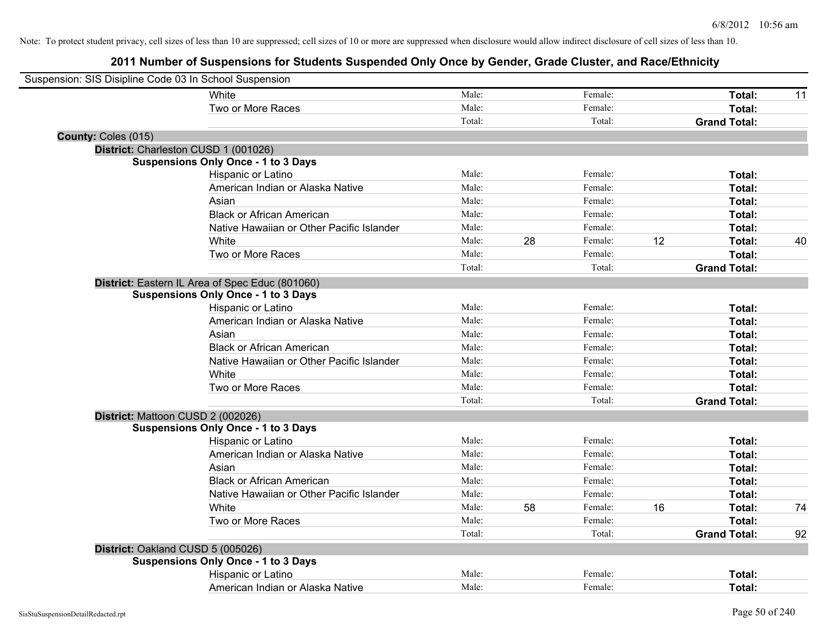| Suspension: SIS Disipline Code 03 In School Suspension |                                                 |        |    |         |    |                     |    |
|--------------------------------------------------------|-------------------------------------------------|--------|----|---------|----|---------------------|----|
|                                                        | White                                           | Male:  |    | Female: |    | Total:              | 11 |
|                                                        | Two or More Races                               | Male:  |    | Female: |    | Total:              |    |
|                                                        |                                                 | Total: |    | Total:  |    | <b>Grand Total:</b> |    |
| County: Coles (015)                                    |                                                 |        |    |         |    |                     |    |
| District: Charleston CUSD 1 (001026)                   |                                                 |        |    |         |    |                     |    |
|                                                        | <b>Suspensions Only Once - 1 to 3 Days</b>      |        |    |         |    |                     |    |
|                                                        | Hispanic or Latino                              | Male:  |    | Female: |    | Total:              |    |
|                                                        | American Indian or Alaska Native                | Male:  |    | Female: |    | Total:              |    |
|                                                        | Asian                                           | Male:  |    | Female: |    | Total:              |    |
|                                                        | <b>Black or African American</b>                | Male:  |    | Female: |    | Total:              |    |
|                                                        | Native Hawaiian or Other Pacific Islander       | Male:  |    | Female: |    | Total:              |    |
|                                                        | White                                           | Male:  | 28 | Female: | 12 | Total:              | 40 |
|                                                        | Two or More Races                               | Male:  |    | Female: |    | Total:              |    |
|                                                        |                                                 | Total: |    | Total:  |    | <b>Grand Total:</b> |    |
|                                                        | District: Eastern IL Area of Spec Educ (801060) |        |    |         |    |                     |    |
|                                                        | <b>Suspensions Only Once - 1 to 3 Days</b>      |        |    |         |    |                     |    |
|                                                        | Hispanic or Latino                              | Male:  |    | Female: |    | Total:              |    |
|                                                        | American Indian or Alaska Native                | Male:  |    | Female: |    | Total:              |    |
|                                                        | Asian                                           | Male:  |    | Female: |    | Total:              |    |
|                                                        | <b>Black or African American</b>                | Male:  |    | Female: |    | Total:              |    |
|                                                        | Native Hawaiian or Other Pacific Islander       | Male:  |    | Female: |    | Total:              |    |
|                                                        | White                                           | Male:  |    | Female: |    | Total:              |    |
|                                                        | Two or More Races                               | Male:  |    | Female: |    | Total:              |    |
|                                                        |                                                 | Total: |    | Total:  |    | <b>Grand Total:</b> |    |
| District: Mattoon CUSD 2 (002026)                      |                                                 |        |    |         |    |                     |    |
|                                                        | <b>Suspensions Only Once - 1 to 3 Days</b>      |        |    |         |    |                     |    |
|                                                        | Hispanic or Latino                              | Male:  |    | Female: |    | Total:              |    |
|                                                        | American Indian or Alaska Native                | Male:  |    | Female: |    | Total:              |    |
|                                                        | Asian                                           | Male:  |    | Female: |    | Total:              |    |
|                                                        | <b>Black or African American</b>                | Male:  |    | Female: |    | Total:              |    |
|                                                        | Native Hawaiian or Other Pacific Islander       | Male:  |    | Female: |    | Total:              |    |
|                                                        | White                                           | Male:  | 58 | Female: | 16 | Total:              | 74 |
|                                                        | Two or More Races                               | Male:  |    | Female: |    | Total:              |    |
|                                                        |                                                 | Total: |    | Total:  |    | <b>Grand Total:</b> | 92 |
| District: Oakland CUSD 5 (005026)                      |                                                 |        |    |         |    |                     |    |
|                                                        | <b>Suspensions Only Once - 1 to 3 Days</b>      |        |    |         |    |                     |    |
|                                                        | Hispanic or Latino                              | Male:  |    | Female: |    | Total:              |    |
|                                                        | American Indian or Alaska Native                | Male:  |    | Female: |    | Total:              |    |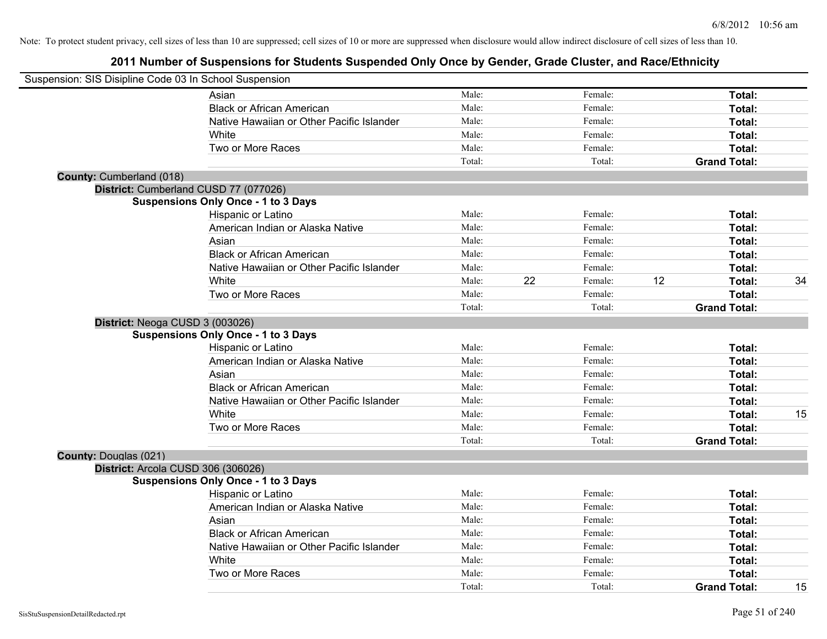|                                 | Suspension: SIS Disipline Code 03 In School Suspension |        |    |         |    |                     |    |
|---------------------------------|--------------------------------------------------------|--------|----|---------|----|---------------------|----|
|                                 | Asian                                                  | Male:  |    | Female: |    | Total:              |    |
|                                 | <b>Black or African American</b>                       | Male:  |    | Female: |    | Total:              |    |
|                                 | Native Hawaiian or Other Pacific Islander              | Male:  |    | Female: |    | Total:              |    |
|                                 | White                                                  | Male:  |    | Female: |    | Total:              |    |
|                                 | Two or More Races                                      | Male:  |    | Female: |    | Total:              |    |
|                                 |                                                        | Total: |    | Total:  |    | <b>Grand Total:</b> |    |
| <b>County: Cumberland (018)</b> |                                                        |        |    |         |    |                     |    |
|                                 | District: Cumberland CUSD 77 (077026)                  |        |    |         |    |                     |    |
|                                 | <b>Suspensions Only Once - 1 to 3 Days</b>             |        |    |         |    |                     |    |
|                                 | Hispanic or Latino                                     | Male:  |    | Female: |    | Total:              |    |
|                                 | American Indian or Alaska Native                       | Male:  |    | Female: |    | Total:              |    |
|                                 | Asian                                                  | Male:  |    | Female: |    | Total:              |    |
|                                 | <b>Black or African American</b>                       | Male:  |    | Female: |    | Total:              |    |
|                                 | Native Hawaiian or Other Pacific Islander              | Male:  |    | Female: |    | Total:              |    |
|                                 | White                                                  | Male:  | 22 | Female: | 12 | Total:              | 34 |
|                                 | Two or More Races                                      | Male:  |    | Female: |    | Total:              |    |
|                                 |                                                        | Total: |    | Total:  |    | <b>Grand Total:</b> |    |
|                                 | District: Neoga CUSD 3 (003026)                        |        |    |         |    |                     |    |
|                                 | <b>Suspensions Only Once - 1 to 3 Days</b>             |        |    |         |    |                     |    |
|                                 | Hispanic or Latino                                     | Male:  |    | Female: |    | Total:              |    |
|                                 | American Indian or Alaska Native                       | Male:  |    | Female: |    | Total:              |    |
|                                 | Asian                                                  | Male:  |    | Female: |    | Total:              |    |
|                                 | <b>Black or African American</b>                       | Male:  |    | Female: |    | Total:              |    |
|                                 | Native Hawaiian or Other Pacific Islander              | Male:  |    | Female: |    | Total:              |    |
|                                 | White                                                  | Male:  |    | Female: |    | Total:              | 15 |
|                                 | Two or More Races                                      | Male:  |    | Female: |    | Total:              |    |
|                                 |                                                        | Total: |    | Total:  |    | <b>Grand Total:</b> |    |
| <b>County: Douglas (021)</b>    |                                                        |        |    |         |    |                     |    |
|                                 | District: Arcola CUSD 306 (306026)                     |        |    |         |    |                     |    |
|                                 | <b>Suspensions Only Once - 1 to 3 Days</b>             |        |    |         |    |                     |    |
|                                 | Hispanic or Latino                                     | Male:  |    | Female: |    | Total:              |    |
|                                 | American Indian or Alaska Native                       | Male:  |    | Female: |    | Total:              |    |
|                                 | Asian                                                  | Male:  |    | Female: |    | Total:              |    |
|                                 | <b>Black or African American</b>                       | Male:  |    | Female: |    | Total:              |    |
|                                 | Native Hawaiian or Other Pacific Islander              | Male:  |    | Female: |    | Total:              |    |
|                                 | White                                                  | Male:  |    | Female: |    | Total:              |    |
|                                 | Two or More Races                                      | Male:  |    | Female: |    | Total:              |    |
|                                 |                                                        | Total: |    | Total:  |    | <b>Grand Total:</b> | 15 |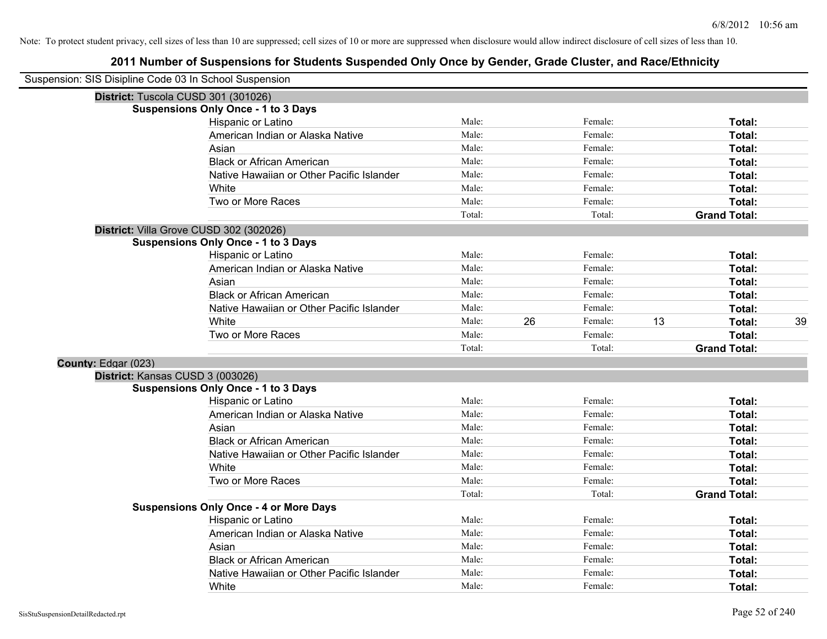| Suspension: SIS Disipline Code 03 In School Suspension |                                               |        |    |         |    |                     |    |
|--------------------------------------------------------|-----------------------------------------------|--------|----|---------|----|---------------------|----|
|                                                        | District: Tuscola CUSD 301 (301026)           |        |    |         |    |                     |    |
|                                                        | <b>Suspensions Only Once - 1 to 3 Days</b>    |        |    |         |    |                     |    |
|                                                        | Hispanic or Latino                            | Male:  |    | Female: |    | Total:              |    |
|                                                        | American Indian or Alaska Native              | Male:  |    | Female: |    | Total:              |    |
|                                                        | Asian                                         | Male:  |    | Female: |    | Total:              |    |
|                                                        | <b>Black or African American</b>              | Male:  |    | Female: |    | Total:              |    |
|                                                        | Native Hawaiian or Other Pacific Islander     | Male:  |    | Female: |    | Total:              |    |
|                                                        | White                                         | Male:  |    | Female: |    | Total:              |    |
|                                                        | Two or More Races                             | Male:  |    | Female: |    | Total:              |    |
|                                                        |                                               | Total: |    | Total:  |    | <b>Grand Total:</b> |    |
|                                                        | District: Villa Grove CUSD 302 (302026)       |        |    |         |    |                     |    |
|                                                        | <b>Suspensions Only Once - 1 to 3 Days</b>    |        |    |         |    |                     |    |
|                                                        | Hispanic or Latino                            | Male:  |    | Female: |    | Total:              |    |
|                                                        | American Indian or Alaska Native              | Male:  |    | Female: |    | Total:              |    |
|                                                        | Asian                                         | Male:  |    | Female: |    | Total:              |    |
|                                                        | <b>Black or African American</b>              | Male:  |    | Female: |    | Total:              |    |
|                                                        | Native Hawaiian or Other Pacific Islander     | Male:  |    | Female: |    | Total:              |    |
|                                                        | White                                         | Male:  | 26 | Female: | 13 | Total:              | 39 |
|                                                        | Two or More Races                             | Male:  |    | Female: |    | <b>Total:</b>       |    |
|                                                        |                                               | Total: |    | Total:  |    | <b>Grand Total:</b> |    |
| County: Edgar (023)                                    |                                               |        |    |         |    |                     |    |
|                                                        | District: Kansas CUSD 3 (003026)              |        |    |         |    |                     |    |
|                                                        | <b>Suspensions Only Once - 1 to 3 Days</b>    |        |    |         |    |                     |    |
|                                                        | Hispanic or Latino                            | Male:  |    | Female: |    | Total:              |    |
|                                                        | American Indian or Alaska Native              | Male:  |    | Female: |    | Total:              |    |
|                                                        | Asian                                         | Male:  |    | Female: |    | Total:              |    |
|                                                        | <b>Black or African American</b>              | Male:  |    | Female: |    | Total:              |    |
|                                                        | Native Hawaiian or Other Pacific Islander     | Male:  |    | Female: |    | Total:              |    |
|                                                        | White                                         | Male:  |    | Female: |    | Total:              |    |
|                                                        | Two or More Races                             | Male:  |    | Female: |    | Total:              |    |
|                                                        |                                               | Total: |    | Total:  |    | <b>Grand Total:</b> |    |
|                                                        | <b>Suspensions Only Once - 4 or More Days</b> |        |    |         |    |                     |    |
|                                                        | Hispanic or Latino                            | Male:  |    | Female: |    | Total:              |    |
|                                                        | American Indian or Alaska Native              | Male:  |    | Female: |    | Total:              |    |
|                                                        | Asian                                         | Male:  |    | Female: |    | Total:              |    |
|                                                        | <b>Black or African American</b>              | Male:  |    | Female: |    | Total:              |    |
|                                                        | Native Hawaiian or Other Pacific Islander     | Male:  |    | Female: |    | <b>Total:</b>       |    |
|                                                        | White                                         | Male:  |    | Female: |    | Total:              |    |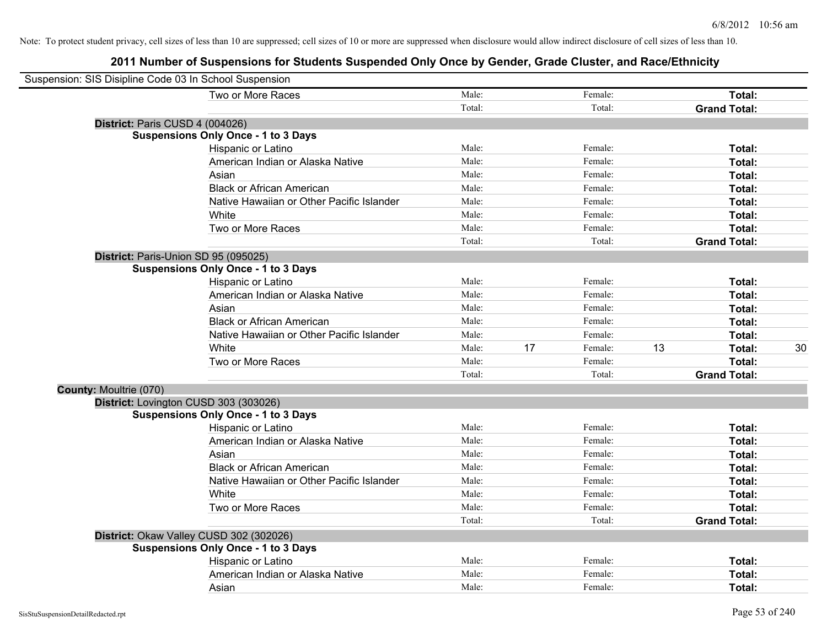| Suspension: SIS Disipline Code 03 In School Suspension |                                            |        |    |         |    |                     |    |
|--------------------------------------------------------|--------------------------------------------|--------|----|---------|----|---------------------|----|
|                                                        | Two or More Races                          | Male:  |    | Female: |    | Total:              |    |
|                                                        |                                            | Total: |    | Total:  |    | <b>Grand Total:</b> |    |
| District: Paris CUSD 4 (004026)                        |                                            |        |    |         |    |                     |    |
|                                                        | <b>Suspensions Only Once - 1 to 3 Days</b> |        |    |         |    |                     |    |
|                                                        | Hispanic or Latino                         | Male:  |    | Female: |    | Total:              |    |
|                                                        | American Indian or Alaska Native           | Male:  |    | Female: |    | Total:              |    |
|                                                        | Asian                                      | Male:  |    | Female: |    | Total:              |    |
|                                                        | <b>Black or African American</b>           | Male:  |    | Female: |    | Total:              |    |
|                                                        | Native Hawaiian or Other Pacific Islander  | Male:  |    | Female: |    | Total:              |    |
|                                                        | White                                      | Male:  |    | Female: |    | Total:              |    |
|                                                        | Two or More Races                          | Male:  |    | Female: |    | Total:              |    |
|                                                        |                                            | Total: |    | Total:  |    | <b>Grand Total:</b> |    |
| District: Paris-Union SD 95 (095025)                   |                                            |        |    |         |    |                     |    |
|                                                        | <b>Suspensions Only Once - 1 to 3 Days</b> |        |    |         |    |                     |    |
|                                                        | Hispanic or Latino                         | Male:  |    | Female: |    | Total:              |    |
|                                                        | American Indian or Alaska Native           | Male:  |    | Female: |    | Total:              |    |
|                                                        | Asian                                      | Male:  |    | Female: |    | Total:              |    |
|                                                        | <b>Black or African American</b>           | Male:  |    | Female: |    | Total:              |    |
|                                                        | Native Hawaiian or Other Pacific Islander  | Male:  |    | Female: |    | Total:              |    |
|                                                        | White                                      | Male:  | 17 | Female: | 13 | Total:              | 30 |
|                                                        | Two or More Races                          | Male:  |    | Female: |    | Total:              |    |
|                                                        |                                            | Total: |    | Total:  |    | <b>Grand Total:</b> |    |
| County: Moultrie (070)                                 |                                            |        |    |         |    |                     |    |
|                                                        | District: Lovington CUSD 303 (303026)      |        |    |         |    |                     |    |
|                                                        | <b>Suspensions Only Once - 1 to 3 Days</b> |        |    |         |    |                     |    |
|                                                        | Hispanic or Latino                         | Male:  |    | Female: |    | Total:              |    |
|                                                        | American Indian or Alaska Native           | Male:  |    | Female: |    | Total:              |    |
|                                                        | Asian                                      | Male:  |    | Female: |    | Total:              |    |
|                                                        | <b>Black or African American</b>           | Male:  |    | Female: |    | Total:              |    |
|                                                        | Native Hawaiian or Other Pacific Islander  | Male:  |    | Female: |    | Total:              |    |
|                                                        | White                                      | Male:  |    | Female: |    | Total:              |    |
|                                                        | Two or More Races                          | Male:  |    | Female: |    | Total:              |    |
|                                                        |                                            | Total: |    | Total:  |    | <b>Grand Total:</b> |    |
|                                                        | District: Okaw Valley CUSD 302 (302026)    |        |    |         |    |                     |    |
|                                                        | <b>Suspensions Only Once - 1 to 3 Days</b> |        |    |         |    |                     |    |
|                                                        | Hispanic or Latino                         | Male:  |    | Female: |    | Total:              |    |
|                                                        | American Indian or Alaska Native           | Male:  |    | Female: |    | Total:              |    |
|                                                        | Asian                                      | Male:  |    | Female: |    | Total:              |    |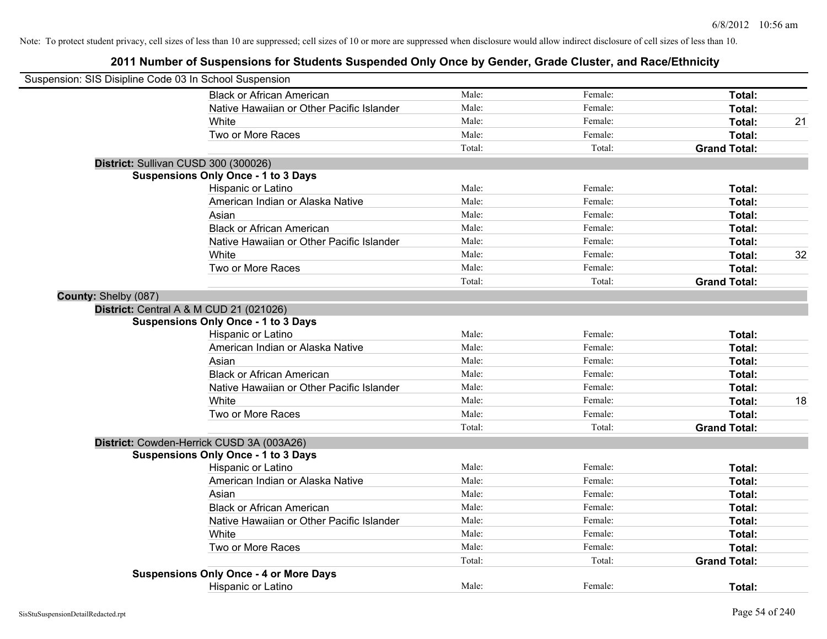| Suspension: SIS Disipline Code 03 In School Suspension |                                               |        |         |                     |    |
|--------------------------------------------------------|-----------------------------------------------|--------|---------|---------------------|----|
|                                                        | <b>Black or African American</b>              | Male:  | Female: | Total:              |    |
|                                                        | Native Hawaiian or Other Pacific Islander     | Male:  | Female: | Total:              |    |
|                                                        | White                                         | Male:  | Female: | Total:              | 21 |
|                                                        | Two or More Races                             | Male:  | Female: | Total:              |    |
|                                                        |                                               | Total: | Total:  | <b>Grand Total:</b> |    |
|                                                        | District: Sullivan CUSD 300 (300026)          |        |         |                     |    |
|                                                        | <b>Suspensions Only Once - 1 to 3 Days</b>    |        |         |                     |    |
|                                                        | Hispanic or Latino                            | Male:  | Female: | Total:              |    |
|                                                        | American Indian or Alaska Native              | Male:  | Female: | Total:              |    |
|                                                        | Asian                                         | Male:  | Female: | Total:              |    |
|                                                        | <b>Black or African American</b>              | Male:  | Female: | Total:              |    |
|                                                        | Native Hawaiian or Other Pacific Islander     | Male:  | Female: | Total:              |    |
|                                                        | White                                         | Male:  | Female: | Total:              | 32 |
|                                                        | Two or More Races                             | Male:  | Female: | Total:              |    |
|                                                        |                                               | Total: | Total:  | <b>Grand Total:</b> |    |
| County: Shelby (087)                                   |                                               |        |         |                     |    |
|                                                        | District: Central A & M CUD 21 (021026)       |        |         |                     |    |
|                                                        | <b>Suspensions Only Once - 1 to 3 Days</b>    |        |         |                     |    |
|                                                        | Hispanic or Latino                            | Male:  | Female: | Total:              |    |
|                                                        | American Indian or Alaska Native              | Male:  | Female: | Total:              |    |
|                                                        | Asian                                         | Male:  | Female: | Total:              |    |
|                                                        | <b>Black or African American</b>              | Male:  | Female: | Total:              |    |
|                                                        | Native Hawaiian or Other Pacific Islander     | Male:  | Female: | Total:              |    |
|                                                        | White                                         | Male:  | Female: | Total:              | 18 |
|                                                        | Two or More Races                             | Male:  | Female: | Total:              |    |
|                                                        |                                               | Total: | Total:  | <b>Grand Total:</b> |    |
|                                                        | District: Cowden-Herrick CUSD 3A (003A26)     |        |         |                     |    |
|                                                        | <b>Suspensions Only Once - 1 to 3 Days</b>    |        |         |                     |    |
|                                                        | Hispanic or Latino                            | Male:  | Female: | Total:              |    |
|                                                        | American Indian or Alaska Native              | Male:  | Female: | Total:              |    |
|                                                        | Asian                                         | Male:  | Female: | Total:              |    |
|                                                        | <b>Black or African American</b>              | Male:  | Female: | Total:              |    |
|                                                        | Native Hawaiian or Other Pacific Islander     | Male:  | Female: | Total:              |    |
|                                                        | White                                         | Male:  | Female: | Total:              |    |
|                                                        | Two or More Races                             | Male:  | Female: | Total:              |    |
|                                                        |                                               | Total: | Total:  | <b>Grand Total:</b> |    |
|                                                        | <b>Suspensions Only Once - 4 or More Days</b> |        |         |                     |    |
|                                                        | <b>Hispanic or Latino</b>                     | Male:  | Female: | Total:              |    |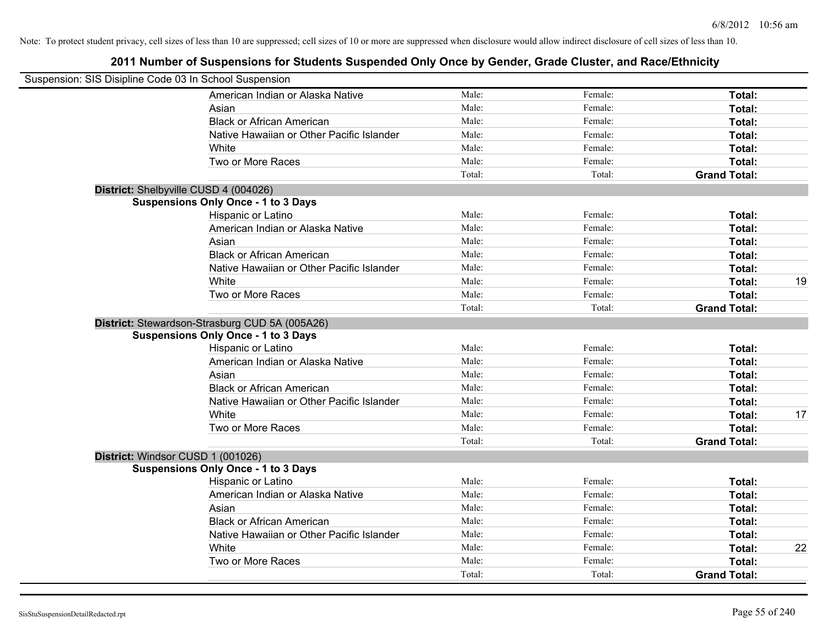| Suspension: SIS Disipline Code 03 In School Suspension |                                                |        |         |                     |    |
|--------------------------------------------------------|------------------------------------------------|--------|---------|---------------------|----|
|                                                        | American Indian or Alaska Native               | Male:  | Female: | Total:              |    |
|                                                        | Asian                                          | Male:  | Female: | Total:              |    |
|                                                        | <b>Black or African American</b>               | Male:  | Female: | Total:              |    |
|                                                        | Native Hawaiian or Other Pacific Islander      | Male:  | Female: | Total:              |    |
|                                                        | White                                          | Male:  | Female: | Total:              |    |
|                                                        | Two or More Races                              | Male:  | Female: | Total:              |    |
|                                                        |                                                | Total: | Total:  | <b>Grand Total:</b> |    |
| District: Shelbyville CUSD 4 (004026)                  |                                                |        |         |                     |    |
|                                                        | <b>Suspensions Only Once - 1 to 3 Days</b>     |        |         |                     |    |
|                                                        | Hispanic or Latino                             | Male:  | Female: | Total:              |    |
|                                                        | American Indian or Alaska Native               | Male:  | Female: | Total:              |    |
|                                                        | Asian                                          | Male:  | Female: | Total:              |    |
|                                                        | <b>Black or African American</b>               | Male:  | Female: | Total:              |    |
|                                                        | Native Hawaiian or Other Pacific Islander      | Male:  | Female: | Total:              |    |
|                                                        | White                                          | Male:  | Female: | Total:              | 19 |
|                                                        | Two or More Races                              | Male:  | Female: | Total:              |    |
|                                                        |                                                | Total: | Total:  | <b>Grand Total:</b> |    |
|                                                        | District: Stewardson-Strasburg CUD 5A (005A26) |        |         |                     |    |
|                                                        | <b>Suspensions Only Once - 1 to 3 Days</b>     |        |         |                     |    |
|                                                        | Hispanic or Latino                             | Male:  | Female: | Total:              |    |
|                                                        | American Indian or Alaska Native               | Male:  | Female: | Total:              |    |
|                                                        | Asian                                          | Male:  | Female: | Total:              |    |
|                                                        | <b>Black or African American</b>               | Male:  | Female: | Total:              |    |
|                                                        | Native Hawaiian or Other Pacific Islander      | Male:  | Female: | Total:              |    |
|                                                        | White                                          | Male:  | Female: | Total:              | 17 |
|                                                        | Two or More Races                              | Male:  | Female: | Total:              |    |
|                                                        |                                                | Total: | Total:  | <b>Grand Total:</b> |    |
| District: Windsor CUSD 1 (001026)                      |                                                |        |         |                     |    |
|                                                        | <b>Suspensions Only Once - 1 to 3 Days</b>     |        |         |                     |    |
|                                                        | Hispanic or Latino                             | Male:  | Female: | Total:              |    |
|                                                        | American Indian or Alaska Native               | Male:  | Female: | Total:              |    |
|                                                        | Asian                                          | Male:  | Female: | Total:              |    |
|                                                        | <b>Black or African American</b>               | Male:  | Female: | Total:              |    |
|                                                        | Native Hawaiian or Other Pacific Islander      | Male:  | Female: | Total:              |    |
|                                                        | White                                          | Male:  | Female: | Total:              | 22 |
|                                                        | Two or More Races                              | Male:  | Female: | Total:              |    |
|                                                        |                                                | Total: | Total:  | <b>Grand Total:</b> |    |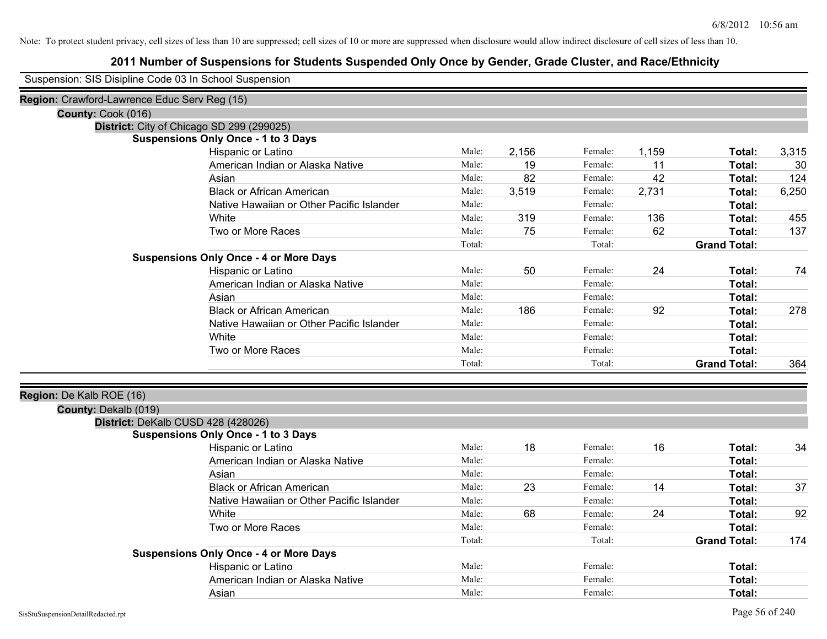| Suspension: SIS Disipline Code 03 In School Suspension |                                           |        |       |         |       |                     |       |
|--------------------------------------------------------|-------------------------------------------|--------|-------|---------|-------|---------------------|-------|
| Region: Crawford-Lawrence Educ Serv Reg (15)           |                                           |        |       |         |       |                     |       |
| County: Cook (016)                                     |                                           |        |       |         |       |                     |       |
| District: City of Chicago SD 299 (299025)              |                                           |        |       |         |       |                     |       |
| <b>Suspensions Only Once - 1 to 3 Days</b>             |                                           |        |       |         |       |                     |       |
| Hispanic or Latino                                     |                                           | Male:  | 2,156 | Female: | 1,159 | Total:              | 3,315 |
| American Indian or Alaska Native                       |                                           | Male:  | 19    | Female: | 11    | Total:              | 30    |
| Asian                                                  |                                           | Male:  | 82    | Female: | 42    | Total:              | 124   |
| <b>Black or African American</b>                       |                                           | Male:  | 3,519 | Female: | 2,731 | Total:              | 6,250 |
|                                                        | Native Hawaiian or Other Pacific Islander | Male:  |       | Female: |       | Total:              |       |
| White                                                  |                                           | Male:  | 319   | Female: | 136   | Total:              | 455   |
| Two or More Races                                      |                                           | Male:  | 75    | Female: | 62    | Total:              | 137   |
|                                                        |                                           | Total: |       | Total:  |       | <b>Grand Total:</b> |       |
| <b>Suspensions Only Once - 4 or More Days</b>          |                                           |        |       |         |       |                     |       |
| Hispanic or Latino                                     |                                           | Male:  | 50    | Female: | 24    | Total:              | 74    |
| American Indian or Alaska Native                       |                                           | Male:  |       | Female: |       | Total:              |       |
| Asian                                                  |                                           | Male:  |       | Female: |       | Total:              |       |
| <b>Black or African American</b>                       |                                           | Male:  | 186   | Female: | 92    | Total:              | 278   |
|                                                        | Native Hawaiian or Other Pacific Islander | Male:  |       | Female: |       | Total:              |       |
| White                                                  |                                           | Male:  |       | Female: |       | Total:              |       |
| Two or More Races                                      |                                           | Male:  |       | Female: |       | Total:              |       |
|                                                        |                                           | Total: |       | Total:  |       | <b>Grand Total:</b> | 364   |
| Region: De Kalb ROE (16)                               |                                           |        |       |         |       |                     |       |
| County: Dekalb (019)                                   |                                           |        |       |         |       |                     |       |
| District: DeKalb CUSD 428 (428026)                     |                                           |        |       |         |       |                     |       |
| <b>Suspensions Only Once - 1 to 3 Days</b>             |                                           |        |       |         |       |                     |       |
| Hispanic or Latino                                     |                                           | Male:  | 18    | Female: | 16    | Total:              | 34    |
| American Indian or Alaska Native                       |                                           | Male:  |       | Female: |       | Total:              |       |
| Asian                                                  |                                           | Male:  |       | Female: |       | Total:              |       |
| <b>Black or African American</b>                       |                                           | Male:  | 23    | Female: | 14    | Total:              | 37    |
|                                                        | Native Hawaiian or Other Pacific Islander | Male:  |       | Female: |       | Total:              |       |
| White                                                  |                                           | Male:  | 68    | Female: | 24    | Total:              | 92    |
| Two or More Races                                      |                                           | Male:  |       | Female: |       | Total:              |       |
|                                                        |                                           | Total: |       | Total:  |       | <b>Grand Total:</b> | 174   |
| <b>Suspensions Only Once - 4 or More Days</b>          |                                           |        |       |         |       |                     |       |
| Hispanic or Latino                                     |                                           | Male:  |       | Female: |       | Total:              |       |
| American Indian or Alaska Native                       |                                           | Male:  |       | Female: |       | Total:              |       |
| Asian                                                  |                                           | Male:  |       | Female: |       | Total:              |       |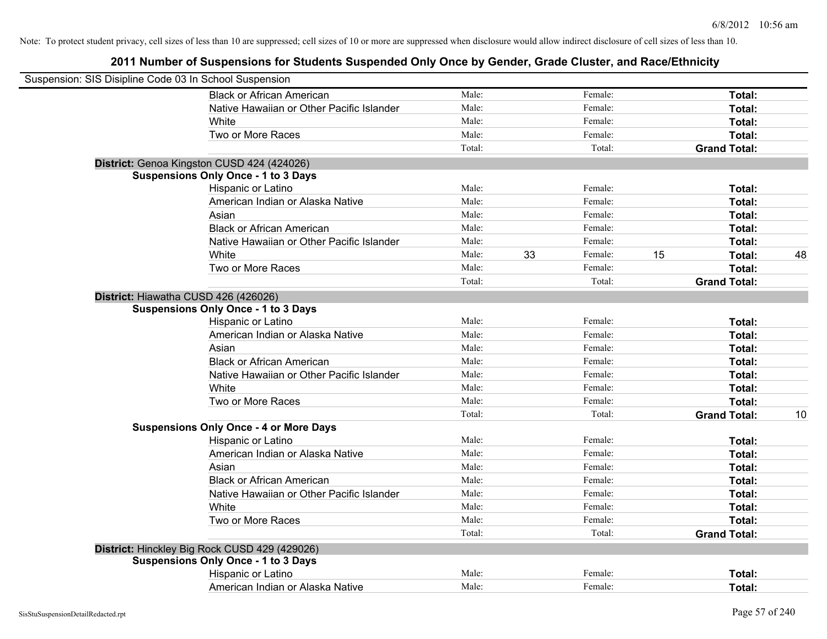| Suspension: SIS Disipline Code 03 In School Suspension |                                               |        |    |         |    |                     |    |
|--------------------------------------------------------|-----------------------------------------------|--------|----|---------|----|---------------------|----|
|                                                        | <b>Black or African American</b>              | Male:  |    | Female: |    | Total:              |    |
|                                                        | Native Hawaiian or Other Pacific Islander     | Male:  |    | Female: |    | Total:              |    |
|                                                        | White                                         | Male:  |    | Female: |    | Total:              |    |
|                                                        | Two or More Races                             | Male:  |    | Female: |    | Total:              |    |
|                                                        |                                               | Total: |    | Total:  |    | <b>Grand Total:</b> |    |
|                                                        | District: Genoa Kingston CUSD 424 (424026)    |        |    |         |    |                     |    |
|                                                        | <b>Suspensions Only Once - 1 to 3 Days</b>    |        |    |         |    |                     |    |
|                                                        | Hispanic or Latino                            | Male:  |    | Female: |    | Total:              |    |
|                                                        | American Indian or Alaska Native              | Male:  |    | Female: |    | Total:              |    |
|                                                        | Asian                                         | Male:  |    | Female: |    | Total:              |    |
|                                                        | <b>Black or African American</b>              | Male:  |    | Female: |    | Total:              |    |
|                                                        | Native Hawaiian or Other Pacific Islander     | Male:  |    | Female: |    | Total:              |    |
|                                                        | White                                         | Male:  | 33 | Female: | 15 | Total:              | 48 |
|                                                        | Two or More Races                             | Male:  |    | Female: |    | Total:              |    |
|                                                        |                                               | Total: |    | Total:  |    | <b>Grand Total:</b> |    |
|                                                        | District: Hiawatha CUSD 426 (426026)          |        |    |         |    |                     |    |
|                                                        | <b>Suspensions Only Once - 1 to 3 Days</b>    |        |    |         |    |                     |    |
|                                                        | Hispanic or Latino                            | Male:  |    | Female: |    | Total:              |    |
|                                                        | American Indian or Alaska Native              | Male:  |    | Female: |    | Total:              |    |
|                                                        | Asian                                         | Male:  |    | Female: |    | Total:              |    |
|                                                        | <b>Black or African American</b>              | Male:  |    | Female: |    | Total:              |    |
|                                                        | Native Hawaiian or Other Pacific Islander     | Male:  |    | Female: |    | Total:              |    |
|                                                        | White                                         | Male:  |    | Female: |    | Total:              |    |
|                                                        | Two or More Races                             | Male:  |    | Female: |    | Total:              |    |
|                                                        |                                               | Total: |    | Total:  |    | <b>Grand Total:</b> | 10 |
|                                                        | <b>Suspensions Only Once - 4 or More Days</b> |        |    |         |    |                     |    |
|                                                        | Hispanic or Latino                            | Male:  |    | Female: |    | Total:              |    |
|                                                        | American Indian or Alaska Native              | Male:  |    | Female: |    | Total:              |    |
|                                                        | Asian                                         | Male:  |    | Female: |    | Total:              |    |
|                                                        | <b>Black or African American</b>              | Male:  |    | Female: |    | Total:              |    |
|                                                        | Native Hawaiian or Other Pacific Islander     | Male:  |    | Female: |    | Total:              |    |
|                                                        | White                                         | Male:  |    | Female: |    | Total:              |    |
|                                                        | Two or More Races                             | Male:  |    | Female: |    | Total:              |    |
|                                                        |                                               | Total: |    | Total:  |    | <b>Grand Total:</b> |    |
|                                                        | District: Hinckley Big Rock CUSD 429 (429026) |        |    |         |    |                     |    |
|                                                        | <b>Suspensions Only Once - 1 to 3 Days</b>    |        |    |         |    |                     |    |
|                                                        | Hispanic or Latino                            | Male:  |    | Female: |    | Total:              |    |
|                                                        | American Indian or Alaska Native              | Male:  |    | Female: |    | Total:              |    |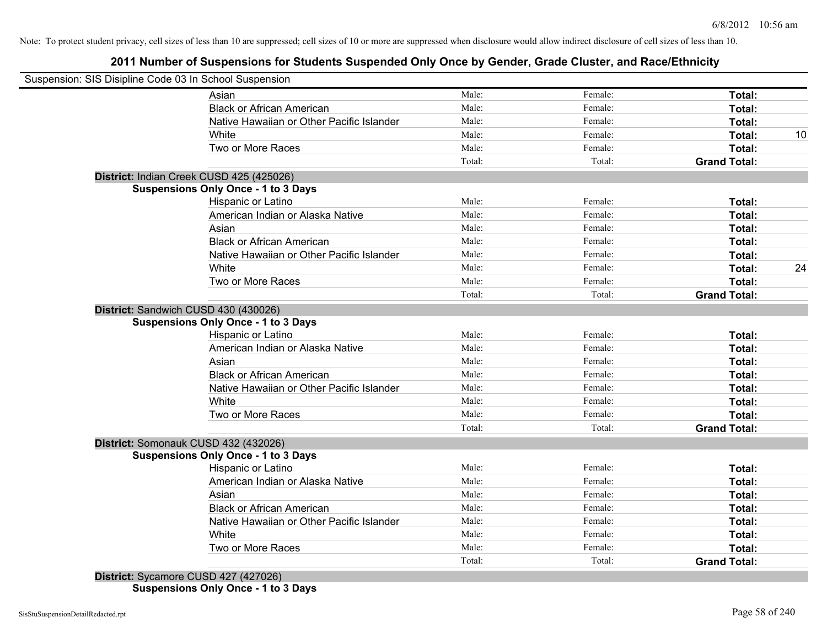## **2011 Number of Suspensions for Students Suspended Only Once by Gender, Grade Cluster, and Race/Ethnicity**

| Suspension: SIS Disipline Code 03 In School Suspension |        |         |                     |    |
|--------------------------------------------------------|--------|---------|---------------------|----|
| Asian                                                  | Male:  | Female: | Total:              |    |
| <b>Black or African American</b>                       | Male:  | Female: | Total:              |    |
| Native Hawaiian or Other Pacific Islander              | Male:  | Female: | Total:              |    |
| White                                                  | Male:  | Female: | Total:              | 10 |
| Two or More Races                                      | Male:  | Female: | Total:              |    |
|                                                        | Total: | Total:  | <b>Grand Total:</b> |    |
| District: Indian Creek CUSD 425 (425026)               |        |         |                     |    |
| <b>Suspensions Only Once - 1 to 3 Days</b>             |        |         |                     |    |
| Hispanic or Latino                                     | Male:  | Female: | Total:              |    |
| American Indian or Alaska Native                       | Male:  | Female: | Total:              |    |
| Asian                                                  | Male:  | Female: | Total:              |    |
| <b>Black or African American</b>                       | Male:  | Female: | Total:              |    |
| Native Hawaiian or Other Pacific Islander              | Male:  | Female: | Total:              |    |
| White                                                  | Male:  | Female: | Total:              | 24 |
| Two or More Races                                      | Male:  | Female: | Total:              |    |
|                                                        | Total: | Total:  | <b>Grand Total:</b> |    |
| District: Sandwich CUSD 430 (430026)                   |        |         |                     |    |
| <b>Suspensions Only Once - 1 to 3 Days</b>             |        |         |                     |    |
| Hispanic or Latino                                     | Male:  | Female: | Total:              |    |
| American Indian or Alaska Native                       | Male:  | Female: | Total:              |    |
| Asian                                                  | Male:  | Female: | Total:              |    |
| <b>Black or African American</b>                       | Male:  | Female: | Total:              |    |
| Native Hawaiian or Other Pacific Islander              | Male:  | Female: | Total:              |    |
| White                                                  | Male:  | Female: | Total:              |    |
| Two or More Races                                      | Male:  | Female: | Total:              |    |
|                                                        | Total: | Total:  | <b>Grand Total:</b> |    |
| District: Somonauk CUSD 432 (432026)                   |        |         |                     |    |
| <b>Suspensions Only Once - 1 to 3 Days</b>             |        |         |                     |    |
| Hispanic or Latino                                     | Male:  | Female: | Total:              |    |
| American Indian or Alaska Native                       | Male:  | Female: | Total:              |    |
| Asian                                                  | Male:  | Female: | Total:              |    |
| <b>Black or African American</b>                       | Male:  | Female: | Total:              |    |
| Native Hawaiian or Other Pacific Islander              | Male:  | Female: | Total:              |    |
| White                                                  | Male:  | Female: | Total:              |    |
| Two or More Races                                      | Male:  | Female: | <b>Total:</b>       |    |
|                                                        | Total: |         |                     |    |

**Suspensions Only Once - 1 to 3 Days**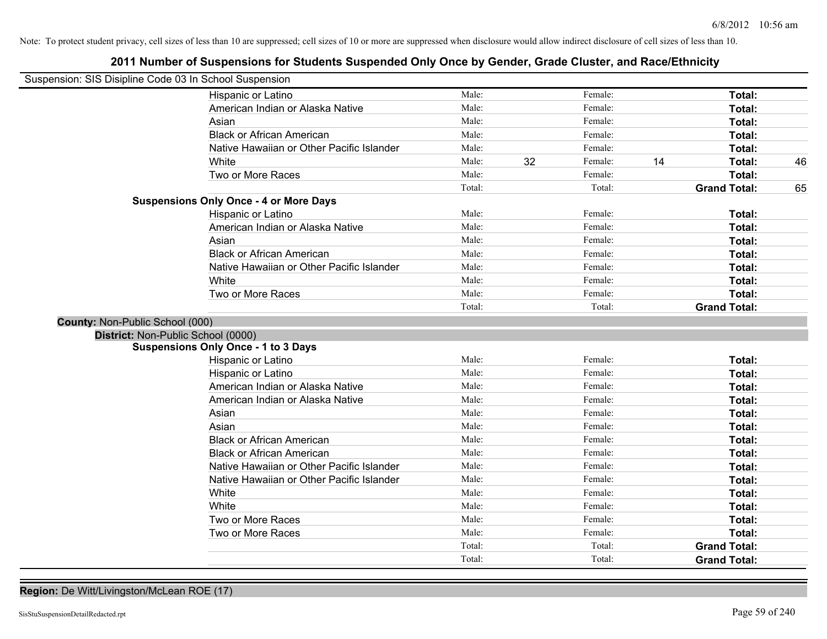## **2011 Number of Suspensions for Students Suspended Only Once by Gender, Grade Cluster, and Race/Ethnicity**

| Suspension: SIS Disipline Code 03 In School Suspension |                                               |        |               |    |                     |    |
|--------------------------------------------------------|-----------------------------------------------|--------|---------------|----|---------------------|----|
|                                                        | Hispanic or Latino                            | Male:  | Female:       |    | Total:              |    |
|                                                        | American Indian or Alaska Native              | Male:  | Female:       |    | Total:              |    |
|                                                        | Asian                                         | Male:  | Female:       |    | Total:              |    |
|                                                        | <b>Black or African American</b>              | Male:  | Female:       |    | Total:              |    |
|                                                        | Native Hawaiian or Other Pacific Islander     | Male:  | Female:       |    | Total:              |    |
|                                                        | White                                         | Male:  | 32<br>Female: | 14 | Total:              | 46 |
|                                                        | Two or More Races                             | Male:  | Female:       |    | Total:              |    |
|                                                        |                                               | Total: | Total:        |    | <b>Grand Total:</b> | 65 |
|                                                        | <b>Suspensions Only Once - 4 or More Days</b> |        |               |    |                     |    |
|                                                        | Hispanic or Latino                            | Male:  | Female:       |    | Total:              |    |
|                                                        | American Indian or Alaska Native              | Male:  | Female:       |    | Total:              |    |
|                                                        | Asian                                         | Male:  | Female:       |    | Total:              |    |
|                                                        | <b>Black or African American</b>              | Male:  | Female:       |    | Total:              |    |
|                                                        | Native Hawaiian or Other Pacific Islander     | Male:  | Female:       |    | Total:              |    |
|                                                        | White                                         | Male:  | Female:       |    | Total:              |    |
|                                                        | Two or More Races                             | Male:  | Female:       |    | Total:              |    |
|                                                        |                                               | Total: | Total:        |    | <b>Grand Total:</b> |    |
| County: Non-Public School (000)                        |                                               |        |               |    |                     |    |
| District: Non-Public School (0000)                     |                                               |        |               |    |                     |    |
|                                                        | <b>Suspensions Only Once - 1 to 3 Days</b>    |        |               |    |                     |    |
|                                                        | Hispanic or Latino                            | Male:  | Female:       |    | Total:              |    |
|                                                        | Hispanic or Latino                            | Male:  | Female:       |    | Total:              |    |
|                                                        | American Indian or Alaska Native              | Male:  | Female:       |    | Total:              |    |
|                                                        | American Indian or Alaska Native              | Male:  | Female:       |    | Total:              |    |
|                                                        | Asian                                         | Male:  | Female:       |    | Total:              |    |
|                                                        | Asian                                         | Male:  | Female:       |    | Total:              |    |
|                                                        | <b>Black or African American</b>              | Male:  | Female:       |    | Total:              |    |
|                                                        | <b>Black or African American</b>              | Male:  | Female:       |    | Total:              |    |
|                                                        | Native Hawaiian or Other Pacific Islander     | Male:  | Female:       |    | Total:              |    |
|                                                        | Native Hawaiian or Other Pacific Islander     | Male:  | Female:       |    | Total:              |    |
|                                                        | White                                         | Male:  | Female:       |    | Total:              |    |
|                                                        | White                                         | Male:  | Female:       |    | Total:              |    |
|                                                        | Two or More Races                             | Male:  | Female:       |    | Total:              |    |
|                                                        | Two or More Races                             | Male:  | Female:       |    | Total:              |    |
|                                                        |                                               | Total: | Total:        |    | <b>Grand Total:</b> |    |
|                                                        |                                               | Total: | Total:        |    | <b>Grand Total:</b> |    |

# **Region:** De Witt/Livingston/McLean ROE (17)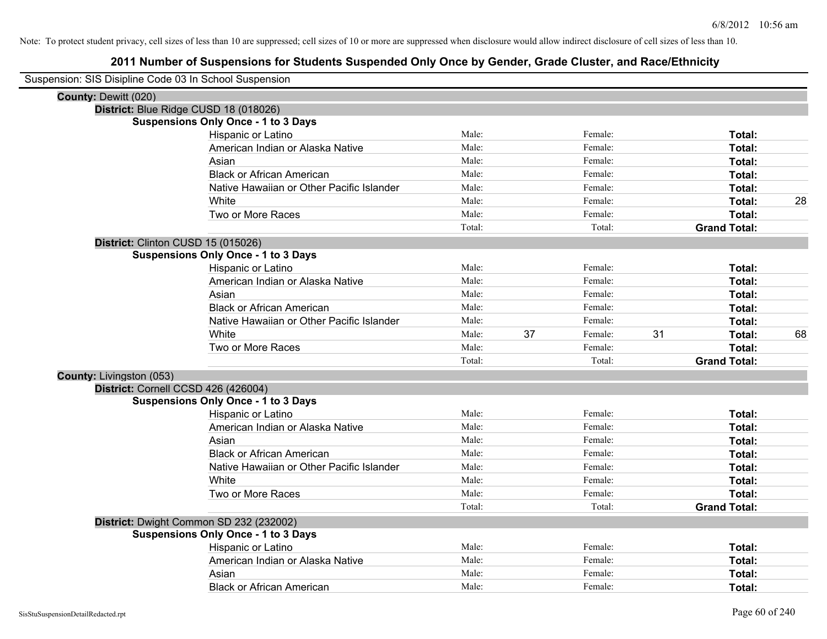| Suspension: SIS Disipline Code 03 In School Suspension |                                            |        |    |         |    |                     |    |
|--------------------------------------------------------|--------------------------------------------|--------|----|---------|----|---------------------|----|
| <b>County: Dewitt (020)</b>                            |                                            |        |    |         |    |                     |    |
|                                                        | District: Blue Ridge CUSD 18 (018026)      |        |    |         |    |                     |    |
|                                                        | <b>Suspensions Only Once - 1 to 3 Days</b> |        |    |         |    |                     |    |
|                                                        | Hispanic or Latino                         | Male:  |    | Female: |    | Total:              |    |
|                                                        | American Indian or Alaska Native           | Male:  |    | Female: |    | Total:              |    |
|                                                        | Asian                                      | Male:  |    | Female: |    | Total:              |    |
|                                                        | <b>Black or African American</b>           | Male:  |    | Female: |    | Total:              |    |
|                                                        | Native Hawaiian or Other Pacific Islander  | Male:  |    | Female: |    | Total:              |    |
|                                                        | White                                      | Male:  |    | Female: |    | Total:              | 28 |
|                                                        | Two or More Races                          | Male:  |    | Female: |    | Total:              |    |
|                                                        |                                            | Total: |    | Total:  |    | <b>Grand Total:</b> |    |
|                                                        | District: Clinton CUSD 15 (015026)         |        |    |         |    |                     |    |
|                                                        | <b>Suspensions Only Once - 1 to 3 Days</b> |        |    |         |    |                     |    |
|                                                        | Hispanic or Latino                         | Male:  |    | Female: |    | Total:              |    |
|                                                        | American Indian or Alaska Native           | Male:  |    | Female: |    | Total:              |    |
|                                                        | Asian                                      | Male:  |    | Female: |    | Total:              |    |
|                                                        | <b>Black or African American</b>           | Male:  |    | Female: |    | Total:              |    |
|                                                        | Native Hawaiian or Other Pacific Islander  | Male:  |    | Female: |    | Total:              |    |
|                                                        | White                                      | Male:  | 37 | Female: | 31 | Total:              | 68 |
|                                                        | Two or More Races                          | Male:  |    | Female: |    | Total:              |    |
|                                                        |                                            | Total: |    | Total:  |    | <b>Grand Total:</b> |    |
| County: Livingston (053)                               |                                            |        |    |         |    |                     |    |
|                                                        | District: Cornell CCSD 426 (426004)        |        |    |         |    |                     |    |
|                                                        | <b>Suspensions Only Once - 1 to 3 Days</b> |        |    |         |    |                     |    |
|                                                        | Hispanic or Latino                         | Male:  |    | Female: |    | Total:              |    |
|                                                        | American Indian or Alaska Native           | Male:  |    | Female: |    | Total:              |    |
|                                                        | Asian                                      | Male:  |    | Female: |    | Total:              |    |
|                                                        | <b>Black or African American</b>           | Male:  |    | Female: |    | Total:              |    |
|                                                        | Native Hawaiian or Other Pacific Islander  | Male:  |    | Female: |    | Total:              |    |
|                                                        | White                                      | Male:  |    | Female: |    | Total:              |    |
|                                                        | Two or More Races                          | Male:  |    | Female: |    | Total:              |    |
|                                                        |                                            | Total: |    | Total:  |    | <b>Grand Total:</b> |    |
|                                                        | District: Dwight Common SD 232 (232002)    |        |    |         |    |                     |    |
|                                                        | <b>Suspensions Only Once - 1 to 3 Days</b> |        |    |         |    |                     |    |
|                                                        | Hispanic or Latino                         | Male:  |    | Female: |    | Total:              |    |
|                                                        | American Indian or Alaska Native           | Male:  |    | Female: |    | Total:              |    |
|                                                        | Asian                                      | Male:  |    | Female: |    | Total:              |    |
|                                                        | <b>Black or African American</b>           | Male:  |    | Female: |    | Total:              |    |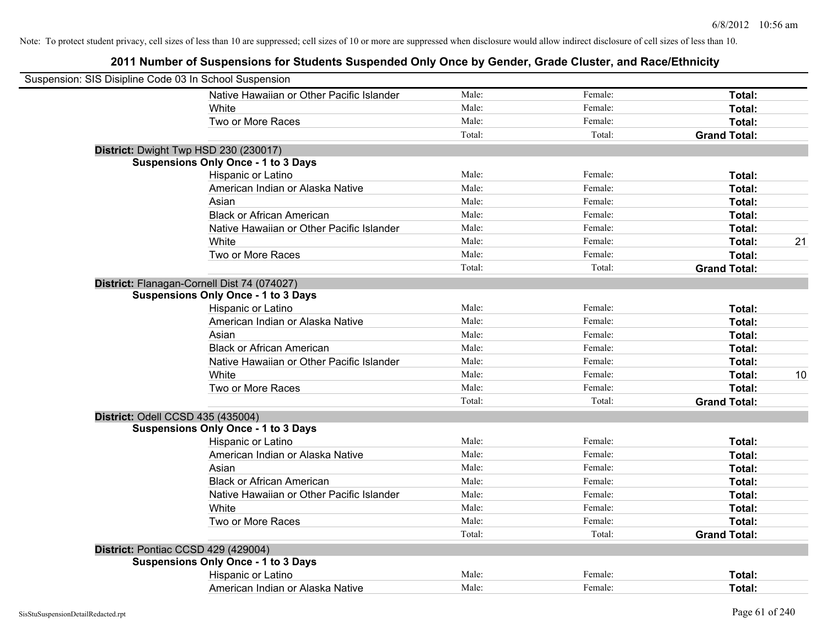| Suspension: SIS Disipline Code 03 In School Suspension |                                             |        |         |                     |    |
|--------------------------------------------------------|---------------------------------------------|--------|---------|---------------------|----|
|                                                        | Native Hawaiian or Other Pacific Islander   | Male:  | Female: | Total:              |    |
|                                                        | White                                       | Male:  | Female: | Total:              |    |
|                                                        | Two or More Races                           | Male:  | Female: | Total:              |    |
|                                                        |                                             | Total: | Total:  | <b>Grand Total:</b> |    |
|                                                        | District: Dwight Twp HSD 230 (230017)       |        |         |                     |    |
|                                                        | <b>Suspensions Only Once - 1 to 3 Days</b>  |        |         |                     |    |
|                                                        | Hispanic or Latino                          | Male:  | Female: | Total:              |    |
|                                                        | American Indian or Alaska Native            | Male:  | Female: | Total:              |    |
|                                                        | Asian                                       | Male:  | Female: | Total:              |    |
|                                                        | <b>Black or African American</b>            | Male:  | Female: | Total:              |    |
|                                                        | Native Hawaiian or Other Pacific Islander   | Male:  | Female: | Total:              |    |
|                                                        | White                                       | Male:  | Female: | Total:              | 21 |
|                                                        | Two or More Races                           | Male:  | Female: | Total:              |    |
|                                                        |                                             | Total: | Total:  | <b>Grand Total:</b> |    |
|                                                        | District: Flanagan-Cornell Dist 74 (074027) |        |         |                     |    |
|                                                        | <b>Suspensions Only Once - 1 to 3 Days</b>  |        |         |                     |    |
|                                                        | Hispanic or Latino                          | Male:  | Female: | Total:              |    |
|                                                        | American Indian or Alaska Native            | Male:  | Female: | Total:              |    |
|                                                        | Asian                                       | Male:  | Female: | Total:              |    |
|                                                        | <b>Black or African American</b>            | Male:  | Female: | Total:              |    |
|                                                        | Native Hawaiian or Other Pacific Islander   | Male:  | Female: | Total:              |    |
|                                                        | White                                       | Male:  | Female: | Total:              | 10 |
|                                                        | Two or More Races                           | Male:  | Female: | Total:              |    |
|                                                        |                                             | Total: | Total:  | <b>Grand Total:</b> |    |
| District: Odell CCSD 435 (435004)                      |                                             |        |         |                     |    |
|                                                        | <b>Suspensions Only Once - 1 to 3 Days</b>  |        |         |                     |    |
|                                                        | Hispanic or Latino                          | Male:  | Female: | Total:              |    |
|                                                        | American Indian or Alaska Native            | Male:  | Female: | Total:              |    |
|                                                        | Asian                                       | Male:  | Female: | Total:              |    |
|                                                        | <b>Black or African American</b>            | Male:  | Female: | Total:              |    |
|                                                        | Native Hawaiian or Other Pacific Islander   | Male:  | Female: | Total:              |    |
|                                                        | White                                       | Male:  | Female: | Total:              |    |
|                                                        | Two or More Races                           | Male:  | Female: | Total:              |    |
|                                                        |                                             | Total: | Total:  | <b>Grand Total:</b> |    |
|                                                        | District: Pontiac CCSD 429 (429004)         |        |         |                     |    |
|                                                        | <b>Suspensions Only Once - 1 to 3 Days</b>  |        |         |                     |    |
|                                                        | Hispanic or Latino                          | Male:  | Female: | Total:              |    |
|                                                        | American Indian or Alaska Native            | Male:  | Female: | Total:              |    |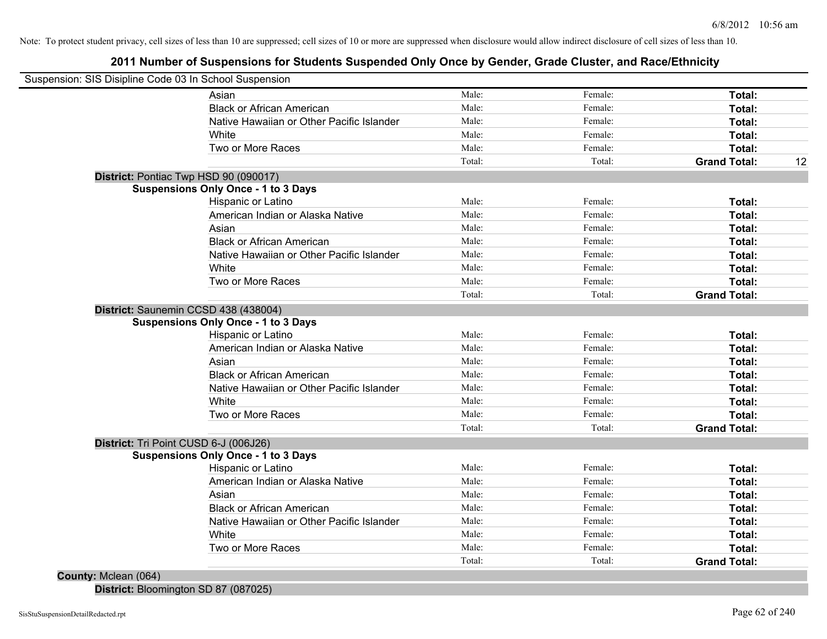## **2011 Number of Suspensions for Students Suspended Only Once by Gender, Grade Cluster, and Race/Ethnicity**

| Suspension: SIS Disipline Code 03 In School Suspension |        |         |                     |    |
|--------------------------------------------------------|--------|---------|---------------------|----|
| Asian                                                  | Male:  | Female: | Total:              |    |
| <b>Black or African American</b>                       | Male:  | Female: | Total:              |    |
| Native Hawaiian or Other Pacific Islander              | Male:  | Female: | Total:              |    |
| <b>White</b>                                           | Male:  | Female: | Total:              |    |
| Two or More Races                                      | Male:  | Female: | Total:              |    |
|                                                        | Total: | Total:  | <b>Grand Total:</b> | 12 |
| District: Pontiac Twp HSD 90 (090017)                  |        |         |                     |    |
| <b>Suspensions Only Once - 1 to 3 Days</b>             |        |         |                     |    |
| Hispanic or Latino                                     | Male:  | Female: | Total:              |    |
| American Indian or Alaska Native                       | Male:  | Female: | Total:              |    |
| Asian                                                  | Male:  | Female: | Total:              |    |
| <b>Black or African American</b>                       | Male:  | Female: | Total:              |    |
| Native Hawaiian or Other Pacific Islander              | Male:  | Female: | Total:              |    |
| White                                                  | Male:  | Female: | Total:              |    |
| Two or More Races                                      | Male:  | Female: | Total:              |    |
|                                                        | Total: | Total:  | <b>Grand Total:</b> |    |
| District: Saunemin CCSD 438 (438004)                   |        |         |                     |    |
| <b>Suspensions Only Once - 1 to 3 Days</b>             |        |         |                     |    |
| Hispanic or Latino                                     | Male:  | Female: | Total:              |    |
| American Indian or Alaska Native                       | Male:  | Female: | Total:              |    |
| Asian                                                  | Male:  | Female: | Total:              |    |
| <b>Black or African American</b>                       | Male:  | Female: | Total:              |    |
| Native Hawaiian or Other Pacific Islander              | Male:  | Female: | Total:              |    |
| White                                                  | Male:  | Female: | Total:              |    |
| Two or More Races                                      | Male:  | Female: | Total:              |    |
|                                                        | Total: | Total:  | <b>Grand Total:</b> |    |
| District: Tri Point CUSD 6-J (006J26)                  |        |         |                     |    |
| <b>Suspensions Only Once - 1 to 3 Days</b>             |        |         |                     |    |
| Hispanic or Latino                                     | Male:  | Female: | Total:              |    |
| American Indian or Alaska Native                       | Male:  | Female: | Total:              |    |
| Asian                                                  | Male:  | Female: | Total:              |    |
| <b>Black or African American</b>                       | Male:  | Female: | Total:              |    |
| Native Hawaiian or Other Pacific Islander              | Male:  | Female: | Total:              |    |
| White                                                  | Male:  | Female: | Total:              |    |
| Two or More Races                                      | Male:  | Female: | Total:              |    |
|                                                        | Total: | Total:  | <b>Grand Total:</b> |    |
| County: Mclean (064)                                   |        |         |                     |    |

**District:** Bloomington SD 87 (087025)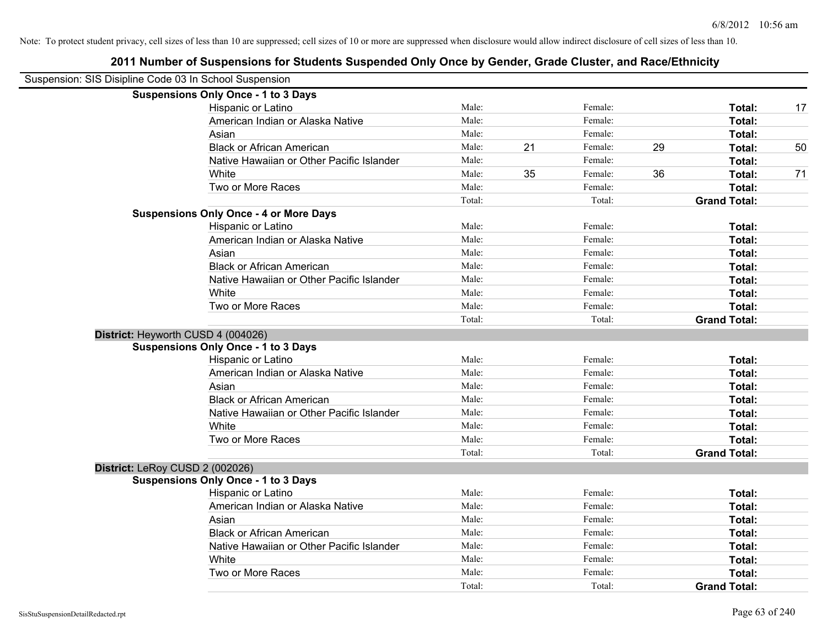|                                                        | 2011 Number of Suspensions for Students Suspended Only Once by Gender, Grade Cluster, and Race/Ethnicity |        |    |         |    |                     |    |
|--------------------------------------------------------|----------------------------------------------------------------------------------------------------------|--------|----|---------|----|---------------------|----|
| Suspension: SIS Disipline Code 03 In School Suspension |                                                                                                          |        |    |         |    |                     |    |
|                                                        | <b>Suspensions Only Once - 1 to 3 Days</b>                                                               |        |    |         |    |                     |    |
|                                                        | Hispanic or Latino                                                                                       | Male:  |    | Female: |    | Total:              | 17 |
|                                                        | American Indian or Alaska Native                                                                         | Male:  |    | Female: |    | Total:              |    |
|                                                        | Asian                                                                                                    | Male:  |    | Female: |    | Total:              |    |
|                                                        | <b>Black or African American</b>                                                                         | Male:  | 21 | Female: | 29 | Total:              | 50 |
|                                                        | Native Hawaiian or Other Pacific Islander                                                                | Male:  |    | Female: |    | Total:              |    |
|                                                        | White                                                                                                    | Male:  | 35 | Female: | 36 | Total:              | 71 |
|                                                        | Two or More Races                                                                                        | Male:  |    | Female: |    | Total:              |    |
|                                                        |                                                                                                          | Total: |    | Total:  |    | <b>Grand Total:</b> |    |
|                                                        | <b>Suspensions Only Once - 4 or More Days</b>                                                            |        |    |         |    |                     |    |
|                                                        | Hispanic or Latino                                                                                       | Male:  |    | Female: |    | Total:              |    |
|                                                        | American Indian or Alaska Native                                                                         | Male:  |    | Female: |    | Total:              |    |
|                                                        | Asian                                                                                                    | Male:  |    | Female: |    | Total:              |    |
|                                                        | <b>Black or African American</b>                                                                         | Male:  |    | Female: |    | Total:              |    |
|                                                        | Native Hawaiian or Other Pacific Islander                                                                | Male:  |    | Female: |    | Total:              |    |
|                                                        | White                                                                                                    | Male:  |    | Female: |    | Total:              |    |
|                                                        | Two or More Races                                                                                        | Male:  |    | Female: |    | Total:              |    |
|                                                        |                                                                                                          | Total: |    | Total:  |    | <b>Grand Total:</b> |    |
| District: Heyworth CUSD 4 (004026)                     |                                                                                                          |        |    |         |    |                     |    |
|                                                        | <b>Suspensions Only Once - 1 to 3 Days</b>                                                               |        |    |         |    |                     |    |
|                                                        | Hispanic or Latino                                                                                       | Male:  |    | Female: |    | Total:              |    |
|                                                        | American Indian or Alaska Native                                                                         | Male:  |    | Female: |    | Total:              |    |
|                                                        | Asian                                                                                                    | Male:  |    | Female: |    | Total:              |    |
|                                                        | <b>Black or African American</b>                                                                         | Male:  |    | Female: |    | Total:              |    |
|                                                        | Native Hawaiian or Other Pacific Islander                                                                | Male:  |    | Female: |    | Total:              |    |
|                                                        | White                                                                                                    | Male:  |    | Female: |    | Total:              |    |
|                                                        | Two or More Races                                                                                        | Male:  |    | Female: |    | Total:              |    |
|                                                        |                                                                                                          | Total: |    | Total:  |    | <b>Grand Total:</b> |    |
| District: LeRoy CUSD 2 (002026)                        |                                                                                                          |        |    |         |    |                     |    |
|                                                        | <b>Suspensions Only Once - 1 to 3 Days</b>                                                               |        |    |         |    |                     |    |
|                                                        | Hispanic or Latino                                                                                       | Male:  |    | Female: |    | Total:              |    |
|                                                        | American Indian or Alaska Native                                                                         | Male:  |    | Female: |    | Total:              |    |
|                                                        | Asian                                                                                                    | Male:  |    | Female: |    | Total:              |    |
|                                                        | <b>Black or African American</b>                                                                         | Male:  |    | Female: |    | Total:              |    |
|                                                        | Native Hawaiian or Other Pacific Islander                                                                | Male:  |    | Female: |    | Total:              |    |
|                                                        | White                                                                                                    | Male:  |    | Female: |    | Total:              |    |
|                                                        | Two or More Races                                                                                        | Male:  |    | Female: |    | Total:              |    |
|                                                        |                                                                                                          | Total: |    | Total:  |    | <b>Grand Total:</b> |    |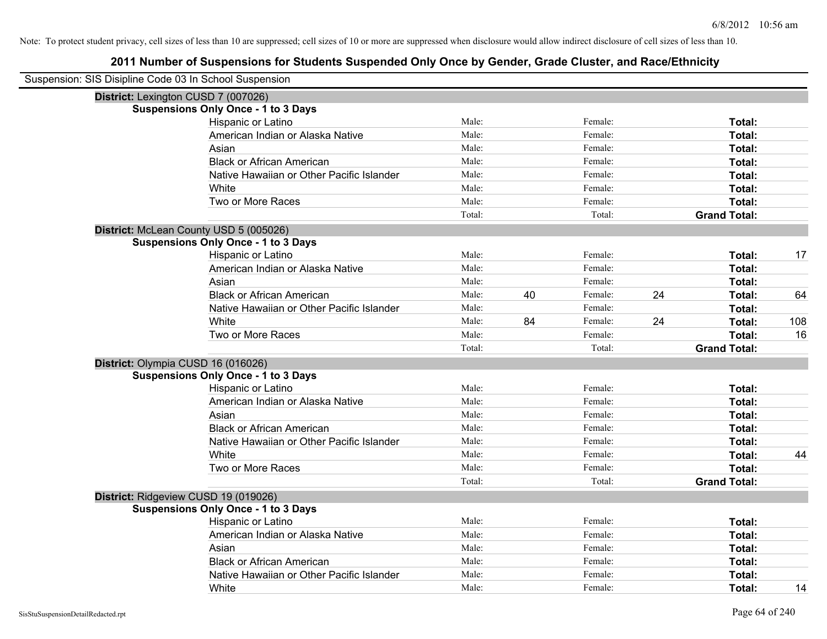| Suspension: SIS Disipline Code 03 In School Suspension |        |    |         |    |                     |     |
|--------------------------------------------------------|--------|----|---------|----|---------------------|-----|
| District: Lexington CUSD 7 (007026)                    |        |    |         |    |                     |     |
| <b>Suspensions Only Once - 1 to 3 Days</b>             |        |    |         |    |                     |     |
| Hispanic or Latino                                     | Male:  |    | Female: |    | Total:              |     |
| American Indian or Alaska Native                       | Male:  |    | Female: |    | Total:              |     |
| Asian                                                  | Male:  |    | Female: |    | Total:              |     |
| <b>Black or African American</b>                       | Male:  |    | Female: |    | Total:              |     |
| Native Hawaiian or Other Pacific Islander              | Male:  |    | Female: |    | Total:              |     |
| White                                                  | Male:  |    | Female: |    | Total:              |     |
| Two or More Races                                      | Male:  |    | Female: |    | Total:              |     |
|                                                        | Total: |    | Total:  |    | <b>Grand Total:</b> |     |
| District: McLean County USD 5 (005026)                 |        |    |         |    |                     |     |
| <b>Suspensions Only Once - 1 to 3 Days</b>             |        |    |         |    |                     |     |
| Hispanic or Latino                                     | Male:  |    | Female: |    | Total:              | 17  |
| American Indian or Alaska Native                       | Male:  |    | Female: |    | Total:              |     |
| Asian                                                  | Male:  |    | Female: |    | Total:              |     |
| <b>Black or African American</b>                       | Male:  | 40 | Female: | 24 | Total:              | 64  |
| Native Hawaiian or Other Pacific Islander              | Male:  |    | Female: |    | Total:              |     |
| White                                                  | Male:  | 84 | Female: | 24 | Total:              | 108 |
| Two or More Races                                      | Male:  |    | Female: |    | Total:              | 16  |
|                                                        | Total: |    | Total:  |    | <b>Grand Total:</b> |     |
| District: Olympia CUSD 16 (016026)                     |        |    |         |    |                     |     |
| <b>Suspensions Only Once - 1 to 3 Days</b>             |        |    |         |    |                     |     |
| Hispanic or Latino                                     | Male:  |    | Female: |    | Total:              |     |
| American Indian or Alaska Native                       | Male:  |    | Female: |    | Total:              |     |
| Asian                                                  | Male:  |    | Female: |    | Total:              |     |
| <b>Black or African American</b>                       | Male:  |    | Female: |    | Total:              |     |
| Native Hawaiian or Other Pacific Islander              | Male:  |    | Female: |    | Total:              |     |
| White                                                  | Male:  |    | Female: |    | Total:              | 44  |
| Two or More Races                                      | Male:  |    | Female: |    | Total:              |     |
|                                                        | Total: |    | Total:  |    | <b>Grand Total:</b> |     |
| District: Ridgeview CUSD 19 (019026)                   |        |    |         |    |                     |     |
| <b>Suspensions Only Once - 1 to 3 Days</b>             |        |    |         |    |                     |     |
| Hispanic or Latino                                     | Male:  |    | Female: |    | Total:              |     |
| American Indian or Alaska Native                       | Male:  |    | Female: |    | Total:              |     |
| Asian                                                  | Male:  |    | Female: |    | Total:              |     |
| <b>Black or African American</b>                       | Male:  |    | Female: |    | Total:              |     |
| Native Hawaiian or Other Pacific Islander              | Male:  |    | Female: |    | Total:              |     |
| White                                                  | Male:  |    | Female: |    | Total:              | 14  |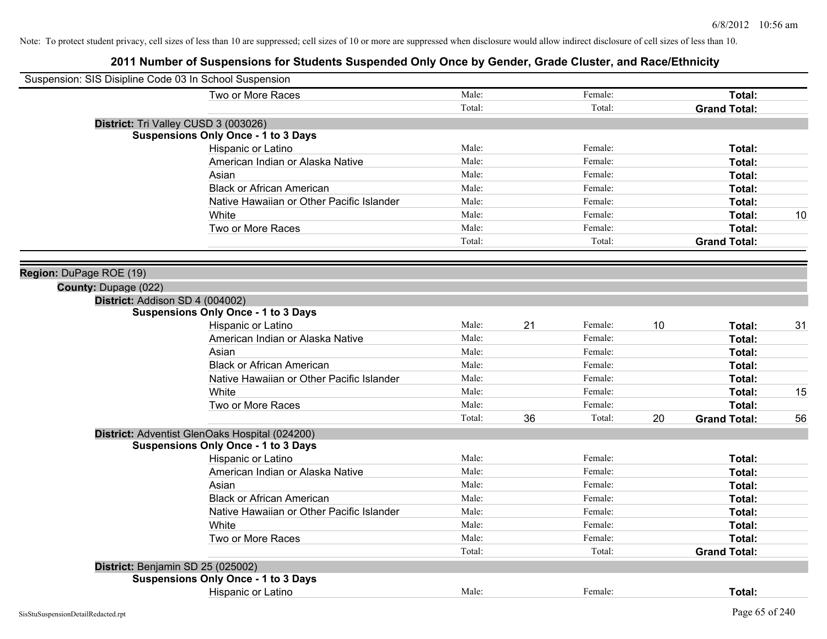| Suspension: SIS Disipline Code 03 In School Suspension |                                                |        |    |         |    |                     |    |
|--------------------------------------------------------|------------------------------------------------|--------|----|---------|----|---------------------|----|
|                                                        | Two or More Races                              | Male:  |    | Female: |    | Total:              |    |
|                                                        |                                                | Total: |    | Total:  |    | <b>Grand Total:</b> |    |
|                                                        | District: Tri Valley CUSD 3 (003026)           |        |    |         |    |                     |    |
|                                                        | <b>Suspensions Only Once - 1 to 3 Days</b>     |        |    |         |    |                     |    |
|                                                        | Hispanic or Latino                             | Male:  |    | Female: |    | Total:              |    |
|                                                        | American Indian or Alaska Native               | Male:  |    | Female: |    | Total:              |    |
|                                                        | Asian                                          | Male:  |    | Female: |    | Total:              |    |
|                                                        | <b>Black or African American</b>               | Male:  |    | Female: |    | Total:              |    |
|                                                        | Native Hawaiian or Other Pacific Islander      | Male:  |    | Female: |    | Total:              |    |
|                                                        | White                                          | Male:  |    | Female: |    | Total:              | 10 |
|                                                        | Two or More Races                              | Male:  |    | Female: |    | Total:              |    |
|                                                        |                                                | Total: |    | Total:  |    | <b>Grand Total:</b> |    |
|                                                        |                                                |        |    |         |    |                     |    |
| Region: DuPage ROE (19)                                |                                                |        |    |         |    |                     |    |
| County: Dupage (022)                                   |                                                |        |    |         |    |                     |    |
| District: Addison SD 4 (004002)                        |                                                |        |    |         |    |                     |    |
|                                                        | <b>Suspensions Only Once - 1 to 3 Days</b>     |        |    |         |    |                     |    |
|                                                        | Hispanic or Latino                             | Male:  | 21 | Female: | 10 | Total:              | 31 |
|                                                        | American Indian or Alaska Native               | Male:  |    | Female: |    | Total:              |    |
|                                                        | Asian                                          | Male:  |    | Female: |    | Total:              |    |
|                                                        | <b>Black or African American</b>               | Male:  |    | Female: |    | Total:              |    |
|                                                        | Native Hawaiian or Other Pacific Islander      | Male:  |    | Female: |    | Total:              |    |
|                                                        | White                                          | Male:  |    | Female: |    | Total:              | 15 |
|                                                        | Two or More Races                              | Male:  |    | Female: |    | Total:              |    |
|                                                        |                                                | Total: | 36 | Total:  | 20 | <b>Grand Total:</b> | 56 |
|                                                        | District: Adventist GlenOaks Hospital (024200) |        |    |         |    |                     |    |
|                                                        | <b>Suspensions Only Once - 1 to 3 Days</b>     |        |    |         |    |                     |    |
|                                                        | Hispanic or Latino                             | Male:  |    | Female: |    | Total:              |    |
|                                                        | American Indian or Alaska Native               | Male:  |    | Female: |    | Total:              |    |
|                                                        | Asian                                          | Male:  |    | Female: |    | Total:              |    |
|                                                        | <b>Black or African American</b>               | Male:  |    | Female: |    | Total:              |    |
|                                                        | Native Hawaiian or Other Pacific Islander      | Male:  |    | Female: |    | Total:              |    |
|                                                        | White                                          | Male:  |    | Female: |    | Total:              |    |
|                                                        | Two or More Races                              | Male:  |    | Female: |    | Total:              |    |
|                                                        |                                                | Total: |    | Total:  |    | <b>Grand Total:</b> |    |
| District: Benjamin SD 25 (025002)                      |                                                |        |    |         |    |                     |    |
|                                                        | <b>Suspensions Only Once - 1 to 3 Days</b>     |        |    |         |    |                     |    |
|                                                        | Hispanic or Latino                             | Male:  |    | Female: |    | Total:              |    |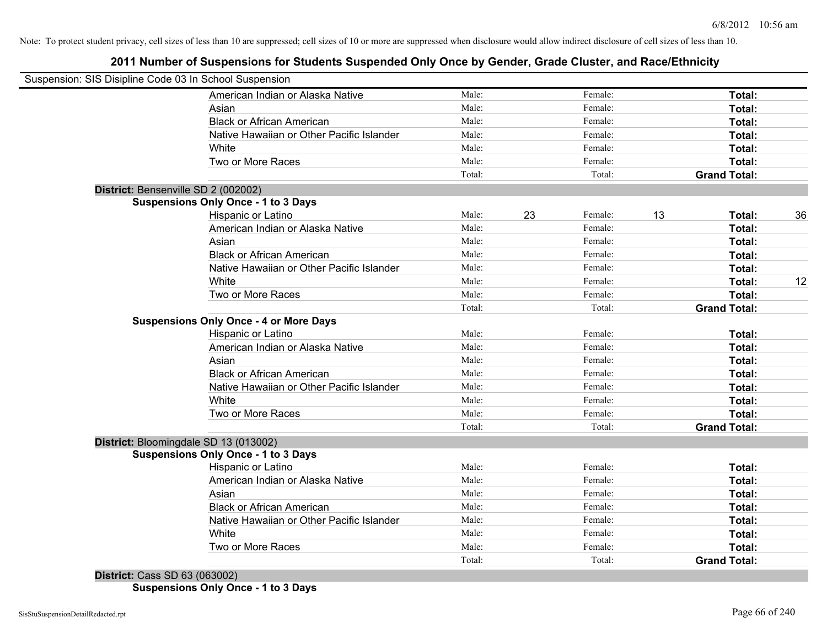## **2011 Number of Suspensions for Students Suspended Only Once by Gender, Grade Cluster, and Race/Ethnicity**

| Suspension: SIS Disipline Code 03 In School Suspension |        |    |         |    |                     |    |
|--------------------------------------------------------|--------|----|---------|----|---------------------|----|
| American Indian or Alaska Native                       | Male:  |    | Female: |    | Total:              |    |
| Asian                                                  | Male:  |    | Female: |    | Total:              |    |
| <b>Black or African American</b>                       | Male:  |    | Female: |    | Total:              |    |
| Native Hawaiian or Other Pacific Islander              | Male:  |    | Female: |    | Total:              |    |
| White                                                  | Male:  |    | Female: |    | Total:              |    |
| Two or More Races                                      | Male:  |    | Female: |    | Total:              |    |
|                                                        | Total: |    | Total:  |    | <b>Grand Total:</b> |    |
| District: Bensenville SD 2 (002002)                    |        |    |         |    |                     |    |
| <b>Suspensions Only Once - 1 to 3 Days</b>             |        |    |         |    |                     |    |
| Hispanic or Latino                                     | Male:  | 23 | Female: | 13 | Total:              | 36 |
| American Indian or Alaska Native                       | Male:  |    | Female: |    | Total:              |    |
| Asian                                                  | Male:  |    | Female: |    | Total:              |    |
| <b>Black or African American</b>                       | Male:  |    | Female: |    | Total:              |    |
| Native Hawaiian or Other Pacific Islander              | Male:  |    | Female: |    | Total:              |    |
| White                                                  | Male:  |    | Female: |    | Total:              | 12 |
| Two or More Races                                      | Male:  |    | Female: |    | Total:              |    |
|                                                        | Total: |    | Total:  |    | <b>Grand Total:</b> |    |
| <b>Suspensions Only Once - 4 or More Days</b>          |        |    |         |    |                     |    |
| Hispanic or Latino                                     | Male:  |    | Female: |    | Total:              |    |
| American Indian or Alaska Native                       | Male:  |    | Female: |    | Total:              |    |
| Asian                                                  | Male:  |    | Female: |    | Total:              |    |
| <b>Black or African American</b>                       | Male:  |    | Female: |    | Total:              |    |
| Native Hawaiian or Other Pacific Islander              | Male:  |    | Female: |    | Total:              |    |
| White                                                  | Male:  |    | Female: |    | Total:              |    |
| Two or More Races                                      | Male:  |    | Female: |    | Total:              |    |
|                                                        | Total: |    | Total:  |    | <b>Grand Total:</b> |    |
| District: Bloomingdale SD 13 (013002)                  |        |    |         |    |                     |    |
| <b>Suspensions Only Once - 1 to 3 Days</b>             |        |    |         |    |                     |    |
| Hispanic or Latino                                     | Male:  |    | Female: |    | Total:              |    |
| American Indian or Alaska Native                       | Male:  |    | Female: |    | Total:              |    |
| Asian                                                  | Male:  |    | Female: |    | Total:              |    |
| <b>Black or African American</b>                       | Male:  |    | Female: |    | Total:              |    |
| Native Hawaiian or Other Pacific Islander              | Male:  |    | Female: |    | Total:              |    |
| White                                                  | Male:  |    | Female: |    | Total:              |    |
| Two or More Races                                      | Male:  |    | Female: |    | Total:              |    |
|                                                        | Total: |    | Total:  |    | <b>Grand Total:</b> |    |
| <b>District: Cass SD 63 (063002)</b>                   |        |    |         |    |                     |    |

**Suspensions Only Once - 1 to 3 Days**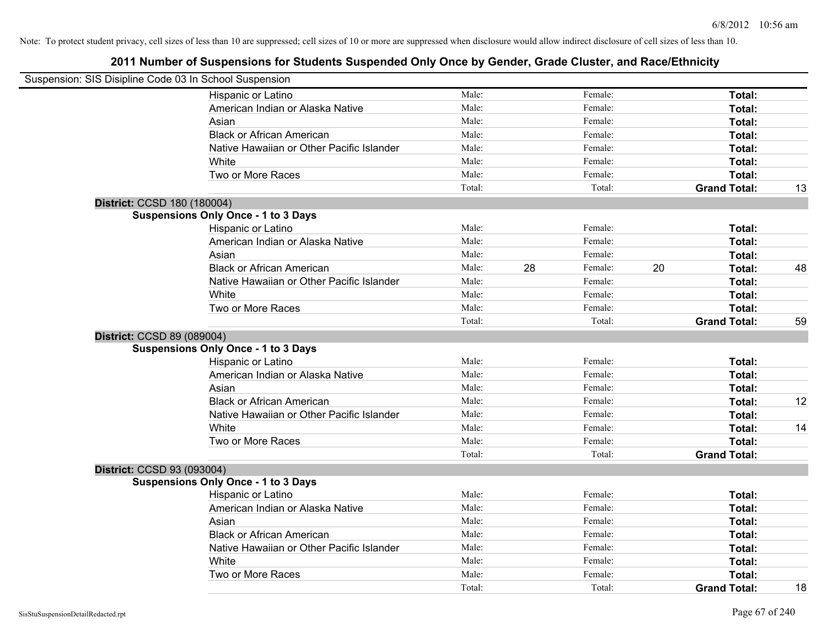|                             | Suspension: SIS Disipline Code 03 In School Suspension |        |    |         |                     |        |    |
|-----------------------------|--------------------------------------------------------|--------|----|---------|---------------------|--------|----|
|                             | Hispanic or Latino                                     | Male:  |    | Female: |                     | Total: |    |
|                             | American Indian or Alaska Native                       | Male:  |    | Female: |                     | Total: |    |
|                             | Asian                                                  | Male:  |    | Female: |                     | Total: |    |
|                             | <b>Black or African American</b>                       | Male:  |    | Female: |                     | Total: |    |
|                             | Native Hawaiian or Other Pacific Islander              | Male:  |    | Female: |                     | Total: |    |
|                             | White                                                  | Male:  |    | Female: |                     | Total: |    |
|                             | Two or More Races                                      | Male:  |    | Female: |                     | Total: |    |
|                             |                                                        | Total: |    | Total:  | <b>Grand Total:</b> |        | 13 |
| District: CCSD 180 (180004) |                                                        |        |    |         |                     |        |    |
|                             | <b>Suspensions Only Once - 1 to 3 Days</b>             |        |    |         |                     |        |    |
|                             | Hispanic or Latino                                     | Male:  |    | Female: |                     | Total: |    |
|                             | American Indian or Alaska Native                       | Male:  |    | Female: |                     | Total: |    |
|                             | Asian                                                  | Male:  |    | Female: |                     | Total: |    |
|                             | <b>Black or African American</b>                       | Male:  | 28 | Female: | 20                  | Total: | 48 |
|                             | Native Hawaiian or Other Pacific Islander              | Male:  |    | Female: |                     | Total: |    |
|                             | White                                                  | Male:  |    | Female: |                     | Total: |    |
|                             | Two or More Races                                      | Male:  |    | Female: |                     | Total: |    |
|                             |                                                        | Total: |    | Total:  | <b>Grand Total:</b> |        | 59 |
| District: CCSD 89 (089004)  |                                                        |        |    |         |                     |        |    |
|                             | <b>Suspensions Only Once - 1 to 3 Days</b>             |        |    |         |                     |        |    |
|                             | Hispanic or Latino                                     | Male:  |    | Female: |                     | Total: |    |
|                             | American Indian or Alaska Native                       | Male:  |    | Female: |                     | Total: |    |
|                             | Asian                                                  | Male:  |    | Female: |                     | Total: |    |
|                             | <b>Black or African American</b>                       | Male:  |    | Female: |                     | Total: | 12 |
|                             | Native Hawaiian or Other Pacific Islander              | Male:  |    | Female: |                     | Total: |    |
|                             | White                                                  | Male:  |    | Female: |                     | Total: | 14 |
|                             | Two or More Races                                      | Male:  |    | Female: |                     | Total: |    |
|                             |                                                        | Total: |    | Total:  | <b>Grand Total:</b> |        |    |
| District: CCSD 93 (093004)  |                                                        |        |    |         |                     |        |    |
|                             | <b>Suspensions Only Once - 1 to 3 Days</b>             |        |    |         |                     |        |    |
|                             | Hispanic or Latino                                     | Male:  |    | Female: |                     | Total: |    |
|                             | American Indian or Alaska Native                       | Male:  |    | Female: |                     | Total: |    |
|                             | Asian                                                  | Male:  |    | Female: |                     | Total: |    |
|                             | <b>Black or African American</b>                       | Male:  |    | Female: |                     | Total: |    |
|                             | Native Hawaiian or Other Pacific Islander              | Male:  |    | Female: |                     | Total: |    |
|                             | White                                                  | Male:  |    | Female: |                     | Total: |    |
|                             | Two or More Races                                      | Male:  |    | Female: |                     | Total: |    |
|                             |                                                        | Total: |    | Total:  | <b>Grand Total:</b> |        | 18 |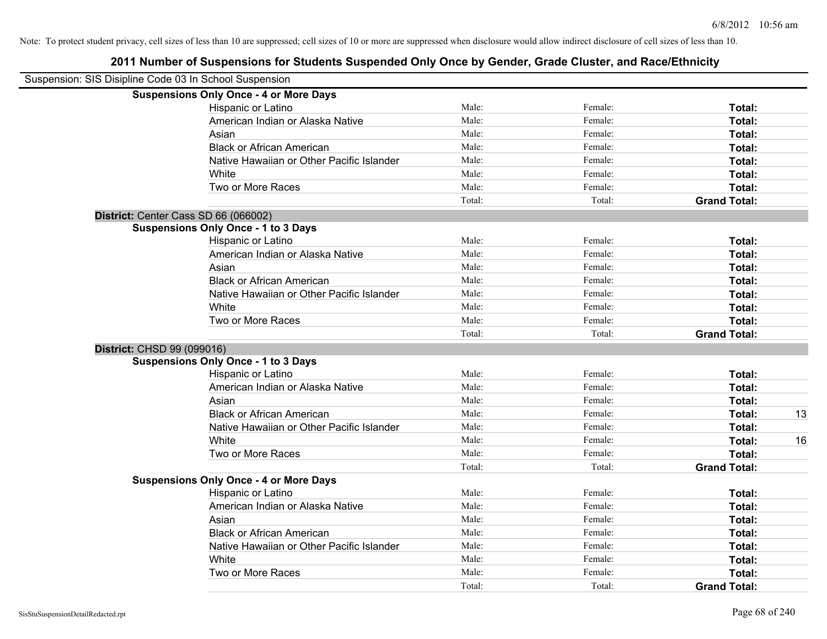| Suspension: SIS Disipline Code 03 In School Suspension |        |         |                     |    |
|--------------------------------------------------------|--------|---------|---------------------|----|
| <b>Suspensions Only Once - 4 or More Days</b>          |        |         |                     |    |
| Hispanic or Latino                                     | Male:  | Female: | Total:              |    |
| American Indian or Alaska Native                       | Male:  | Female: | Total:              |    |
| Asian                                                  | Male:  | Female: | Total:              |    |
| <b>Black or African American</b>                       | Male:  | Female: | Total:              |    |
| Native Hawaiian or Other Pacific Islander              | Male:  | Female: | Total:              |    |
| White                                                  | Male:  | Female: | Total:              |    |
| Two or More Races                                      | Male:  | Female: | Total:              |    |
|                                                        | Total: | Total:  | <b>Grand Total:</b> |    |
| District: Center Cass SD 66 (066002)                   |        |         |                     |    |
| <b>Suspensions Only Once - 1 to 3 Days</b>             |        |         |                     |    |
| Hispanic or Latino                                     | Male:  | Female: | Total:              |    |
| American Indian or Alaska Native                       | Male:  | Female: | <b>Total:</b>       |    |
| Asian                                                  | Male:  | Female: | Total:              |    |
| <b>Black or African American</b>                       | Male:  | Female: | Total:              |    |
| Native Hawaiian or Other Pacific Islander              | Male:  | Female: | Total:              |    |
| White                                                  | Male:  | Female: | Total:              |    |
| Two or More Races                                      | Male:  | Female: | Total:              |    |
|                                                        | Total: | Total:  | <b>Grand Total:</b> |    |
| <b>District: CHSD 99 (099016)</b>                      |        |         |                     |    |
| <b>Suspensions Only Once - 1 to 3 Days</b>             |        |         |                     |    |
| Hispanic or Latino                                     | Male:  | Female: | Total:              |    |
| American Indian or Alaska Native                       | Male:  | Female: | Total:              |    |
| Asian                                                  | Male:  | Female: | Total:              |    |
| <b>Black or African American</b>                       | Male:  | Female: | Total:              | 13 |
| Native Hawaiian or Other Pacific Islander              | Male:  | Female: | Total:              |    |
| White                                                  | Male:  | Female: | Total:              | 16 |
| Two or More Races                                      | Male:  | Female: | Total:              |    |
|                                                        | Total: | Total:  | <b>Grand Total:</b> |    |
| <b>Suspensions Only Once - 4 or More Days</b>          |        |         |                     |    |
| Hispanic or Latino                                     | Male:  | Female: | Total:              |    |
| American Indian or Alaska Native                       | Male:  | Female: | Total:              |    |
| Asian                                                  | Male:  | Female: | Total:              |    |
| <b>Black or African American</b>                       | Male:  | Female: | Total:              |    |
| Native Hawaiian or Other Pacific Islander              | Male:  | Female: | Total:              |    |
| White                                                  | Male:  | Female: | Total:              |    |
| Two or More Races                                      | Male:  | Female: | Total:              |    |
|                                                        | Total: | Total:  | <b>Grand Total:</b> |    |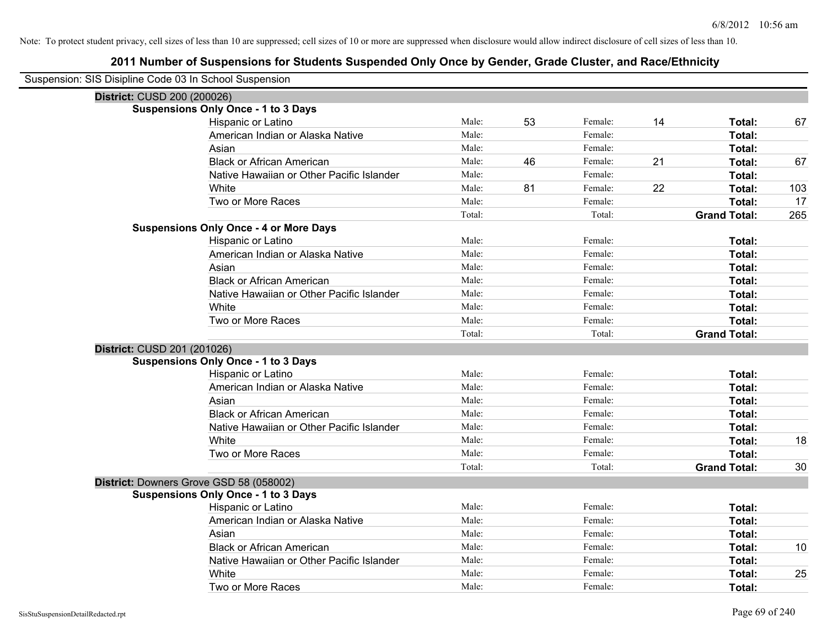| Suspension: SIS Disipline Code 03 In School Suspension |                                               |        |    |         |    |                     |     |
|--------------------------------------------------------|-----------------------------------------------|--------|----|---------|----|---------------------|-----|
| District: CUSD 200 (200026)                            |                                               |        |    |         |    |                     |     |
|                                                        | <b>Suspensions Only Once - 1 to 3 Days</b>    |        |    |         |    |                     |     |
|                                                        | Hispanic or Latino                            | Male:  | 53 | Female: | 14 | Total:              | 67  |
|                                                        | American Indian or Alaska Native              | Male:  |    | Female: |    | Total:              |     |
|                                                        | Asian                                         | Male:  |    | Female: |    | Total:              |     |
|                                                        | <b>Black or African American</b>              | Male:  | 46 | Female: | 21 | Total:              | 67  |
|                                                        | Native Hawaiian or Other Pacific Islander     | Male:  |    | Female: |    | Total:              |     |
|                                                        | White                                         | Male:  | 81 | Female: | 22 | Total:              | 103 |
|                                                        | Two or More Races                             | Male:  |    | Female: |    | Total:              | 17  |
|                                                        |                                               | Total: |    | Total:  |    | <b>Grand Total:</b> | 265 |
|                                                        | <b>Suspensions Only Once - 4 or More Days</b> |        |    |         |    |                     |     |
|                                                        | Hispanic or Latino                            | Male:  |    | Female: |    | Total:              |     |
|                                                        | American Indian or Alaska Native              | Male:  |    | Female: |    | Total:              |     |
|                                                        | Asian                                         | Male:  |    | Female: |    | Total:              |     |
|                                                        | <b>Black or African American</b>              | Male:  |    | Female: |    | <b>Total:</b>       |     |
|                                                        | Native Hawaiian or Other Pacific Islander     | Male:  |    | Female: |    | Total:              |     |
|                                                        | White                                         | Male:  |    | Female: |    | Total:              |     |
|                                                        | Two or More Races                             | Male:  |    | Female: |    | Total:              |     |
|                                                        |                                               | Total: |    | Total:  |    | <b>Grand Total:</b> |     |
| District: CUSD 201 (201026)                            |                                               |        |    |         |    |                     |     |
|                                                        | <b>Suspensions Only Once - 1 to 3 Days</b>    |        |    |         |    |                     |     |
|                                                        | Hispanic or Latino                            | Male:  |    | Female: |    | Total:              |     |
|                                                        | American Indian or Alaska Native              | Male:  |    | Female: |    | Total:              |     |
|                                                        | Asian                                         | Male:  |    | Female: |    | Total:              |     |
|                                                        | <b>Black or African American</b>              | Male:  |    | Female: |    | Total:              |     |
|                                                        | Native Hawaiian or Other Pacific Islander     | Male:  |    | Female: |    | Total:              |     |
|                                                        | White                                         | Male:  |    | Female: |    | Total:              | 18  |
|                                                        | Two or More Races                             | Male:  |    | Female: |    | Total:              |     |
|                                                        |                                               | Total: |    | Total:  |    | <b>Grand Total:</b> | 30  |
| District: Downers Grove GSD 58 (058002)                |                                               |        |    |         |    |                     |     |
|                                                        | <b>Suspensions Only Once - 1 to 3 Days</b>    |        |    |         |    |                     |     |
|                                                        | Hispanic or Latino                            | Male:  |    | Female: |    | Total:              |     |
|                                                        | American Indian or Alaska Native              | Male:  |    | Female: |    | Total:              |     |
|                                                        | Asian                                         | Male:  |    | Female: |    | Total:              |     |
|                                                        | <b>Black or African American</b>              | Male:  |    | Female: |    | Total:              | 10  |
|                                                        | Native Hawaiian or Other Pacific Islander     | Male:  |    | Female: |    | Total:              |     |
|                                                        | White                                         | Male:  |    | Female: |    | Total:              | 25  |
|                                                        | Two or More Races                             | Male:  |    | Female: |    | Total:              |     |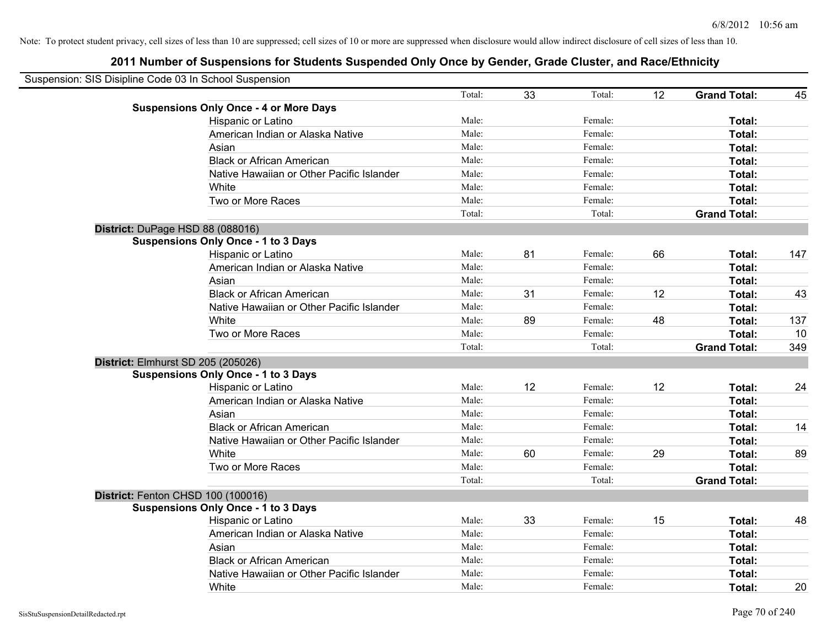| Suspension: SIS Disipline Code 03 In School Suspension |                                               |        |    |         |    |                     |     |
|--------------------------------------------------------|-----------------------------------------------|--------|----|---------|----|---------------------|-----|
|                                                        |                                               | Total: | 33 | Total:  | 12 | <b>Grand Total:</b> | 45  |
|                                                        | <b>Suspensions Only Once - 4 or More Days</b> |        |    |         |    |                     |     |
|                                                        | Hispanic or Latino                            | Male:  |    | Female: |    | Total:              |     |
|                                                        | American Indian or Alaska Native              | Male:  |    | Female: |    | <b>Total:</b>       |     |
|                                                        | Asian                                         | Male:  |    | Female: |    | Total:              |     |
|                                                        | <b>Black or African American</b>              | Male:  |    | Female: |    | Total:              |     |
|                                                        | Native Hawaiian or Other Pacific Islander     | Male:  |    | Female: |    | Total:              |     |
|                                                        | White                                         | Male:  |    | Female: |    | Total:              |     |
|                                                        | Two or More Races                             | Male:  |    | Female: |    | Total:              |     |
|                                                        |                                               | Total: |    | Total:  |    | <b>Grand Total:</b> |     |
|                                                        | District: DuPage HSD 88 (088016)              |        |    |         |    |                     |     |
|                                                        | <b>Suspensions Only Once - 1 to 3 Days</b>    |        |    |         |    |                     |     |
|                                                        | Hispanic or Latino                            | Male:  | 81 | Female: | 66 | Total:              | 147 |
|                                                        | American Indian or Alaska Native              | Male:  |    | Female: |    | Total:              |     |
|                                                        | Asian                                         | Male:  |    | Female: |    | Total:              |     |
|                                                        | <b>Black or African American</b>              | Male:  | 31 | Female: | 12 | Total:              | 43  |
|                                                        | Native Hawaiian or Other Pacific Islander     | Male:  |    | Female: |    | Total:              |     |
|                                                        | White                                         | Male:  | 89 | Female: | 48 | Total:              | 137 |
|                                                        | Two or More Races                             | Male:  |    | Female: |    | Total:              | 10  |
|                                                        |                                               | Total: |    | Total:  |    | <b>Grand Total:</b> | 349 |
|                                                        | District: Elmhurst SD 205 (205026)            |        |    |         |    |                     |     |
|                                                        | <b>Suspensions Only Once - 1 to 3 Days</b>    |        |    |         |    |                     |     |
|                                                        | Hispanic or Latino                            | Male:  | 12 | Female: | 12 | Total:              | 24  |
|                                                        | American Indian or Alaska Native              | Male:  |    | Female: |    | Total:              |     |
|                                                        | Asian                                         | Male:  |    | Female: |    | Total:              |     |
|                                                        | <b>Black or African American</b>              | Male:  |    | Female: |    | Total:              | 14  |
|                                                        | Native Hawaiian or Other Pacific Islander     | Male:  |    | Female: |    | Total:              |     |
|                                                        | White                                         | Male:  | 60 | Female: | 29 | Total:              | 89  |
|                                                        | Two or More Races                             | Male:  |    | Female: |    | Total:              |     |
|                                                        |                                               | Total: |    | Total:  |    | <b>Grand Total:</b> |     |
|                                                        | District: Fenton CHSD 100 (100016)            |        |    |         |    |                     |     |
|                                                        | <b>Suspensions Only Once - 1 to 3 Days</b>    |        |    |         |    |                     |     |
|                                                        | Hispanic or Latino                            | Male:  | 33 | Female: | 15 | Total:              | 48  |
|                                                        | American Indian or Alaska Native              | Male:  |    | Female: |    | Total:              |     |
|                                                        | Asian                                         | Male:  |    | Female: |    | Total:              |     |
|                                                        | <b>Black or African American</b>              | Male:  |    | Female: |    | Total:              |     |
|                                                        | Native Hawaiian or Other Pacific Islander     | Male:  |    | Female: |    | Total:              |     |
|                                                        | White                                         | Male:  |    | Female: |    | Total:              | 20  |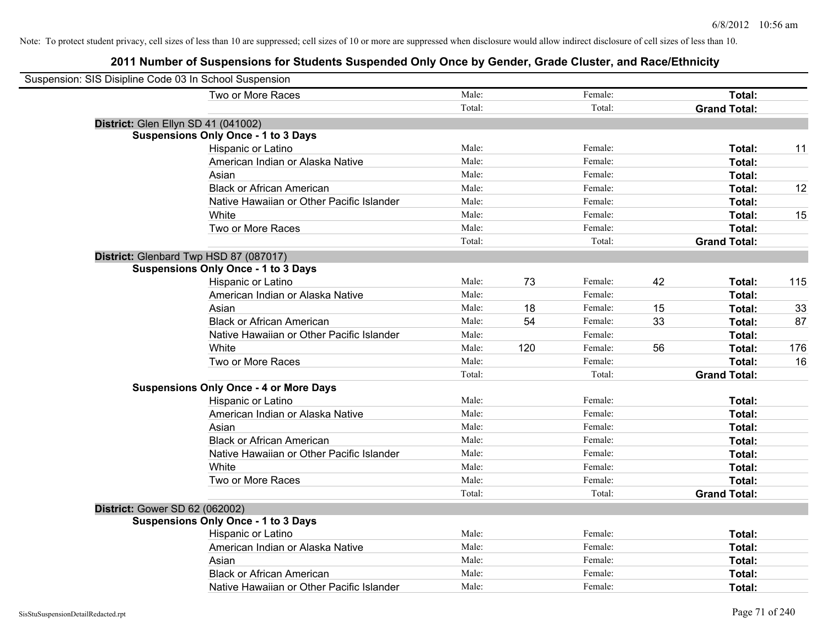| Suspension: SIS Disipline Code 03 In School Suspension |                                               |        |     |         |    |                     |     |
|--------------------------------------------------------|-----------------------------------------------|--------|-----|---------|----|---------------------|-----|
|                                                        | Two or More Races                             | Male:  |     | Female: |    | Total:              |     |
|                                                        |                                               | Total: |     | Total:  |    | <b>Grand Total:</b> |     |
|                                                        | District: Glen Ellyn SD 41 (041002)           |        |     |         |    |                     |     |
|                                                        | <b>Suspensions Only Once - 1 to 3 Days</b>    |        |     |         |    |                     |     |
|                                                        | Hispanic or Latino                            | Male:  |     | Female: |    | Total:              | 11  |
|                                                        | American Indian or Alaska Native              | Male:  |     | Female: |    | <b>Total:</b>       |     |
|                                                        | Asian                                         | Male:  |     | Female: |    | Total:              |     |
|                                                        | <b>Black or African American</b>              | Male:  |     | Female: |    | Total:              | 12  |
|                                                        | Native Hawaiian or Other Pacific Islander     | Male:  |     | Female: |    | Total:              |     |
|                                                        | White                                         | Male:  |     | Female: |    | Total:              | 15  |
|                                                        | Two or More Races                             | Male:  |     | Female: |    | Total:              |     |
|                                                        |                                               | Total: |     | Total:  |    | <b>Grand Total:</b> |     |
|                                                        | District: Glenbard Twp HSD 87 (087017)        |        |     |         |    |                     |     |
|                                                        | <b>Suspensions Only Once - 1 to 3 Days</b>    |        |     |         |    |                     |     |
|                                                        | Hispanic or Latino                            | Male:  | 73  | Female: | 42 | Total:              | 115 |
|                                                        | American Indian or Alaska Native              | Male:  |     | Female: |    | Total:              |     |
|                                                        | Asian                                         | Male:  | 18  | Female: | 15 | Total:              | 33  |
|                                                        | <b>Black or African American</b>              | Male:  | 54  | Female: | 33 | Total:              | 87  |
|                                                        | Native Hawaiian or Other Pacific Islander     | Male:  |     | Female: |    | Total:              |     |
|                                                        | White                                         | Male:  | 120 | Female: | 56 | Total:              | 176 |
|                                                        | Two or More Races                             | Male:  |     | Female: |    | Total:              | 16  |
|                                                        |                                               | Total: |     | Total:  |    | <b>Grand Total:</b> |     |
|                                                        | <b>Suspensions Only Once - 4 or More Days</b> |        |     |         |    |                     |     |
|                                                        | Hispanic or Latino                            | Male:  |     | Female: |    | Total:              |     |
|                                                        | American Indian or Alaska Native              | Male:  |     | Female: |    | Total:              |     |
|                                                        | Asian                                         | Male:  |     | Female: |    | Total:              |     |
|                                                        | <b>Black or African American</b>              | Male:  |     | Female: |    | Total:              |     |
|                                                        | Native Hawaiian or Other Pacific Islander     | Male:  |     | Female: |    | Total:              |     |
|                                                        | White                                         | Male:  |     | Female: |    | Total:              |     |
|                                                        | Two or More Races                             | Male:  |     | Female: |    | Total:              |     |
|                                                        |                                               | Total: |     | Total:  |    | <b>Grand Total:</b> |     |
| <b>District: Gower SD 62 (062002)</b>                  |                                               |        |     |         |    |                     |     |
|                                                        | <b>Suspensions Only Once - 1 to 3 Days</b>    |        |     |         |    |                     |     |
|                                                        | Hispanic or Latino                            | Male:  |     | Female: |    | Total:              |     |
|                                                        | American Indian or Alaska Native              | Male:  |     | Female: |    | Total:              |     |
|                                                        | Asian                                         | Male:  |     | Female: |    | Total:              |     |
|                                                        | <b>Black or African American</b>              | Male:  |     | Female: |    | <b>Total:</b>       |     |
|                                                        | Native Hawaiian or Other Pacific Islander     | Male:  |     | Female: |    | Total:              |     |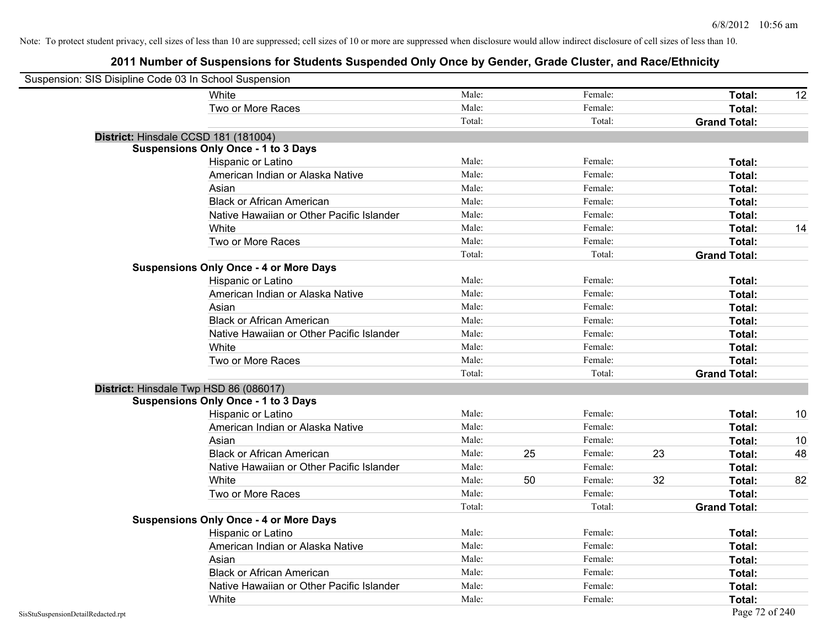| Suspension: SIS Disipline Code 03 In School Suspension |                                               |        |    |         |    |                     |    |
|--------------------------------------------------------|-----------------------------------------------|--------|----|---------|----|---------------------|----|
|                                                        | <b>White</b>                                  | Male:  |    | Female: |    | Total:              | 12 |
|                                                        | Two or More Races                             | Male:  |    | Female: |    | Total:              |    |
|                                                        |                                               | Total: |    | Total:  |    | <b>Grand Total:</b> |    |
| District: Hinsdale CCSD 181 (181004)                   |                                               |        |    |         |    |                     |    |
|                                                        | <b>Suspensions Only Once - 1 to 3 Days</b>    |        |    |         |    |                     |    |
|                                                        | Hispanic or Latino                            | Male:  |    | Female: |    | Total:              |    |
|                                                        | American Indian or Alaska Native              | Male:  |    | Female: |    | Total:              |    |
|                                                        | Asian                                         | Male:  |    | Female: |    | Total:              |    |
|                                                        | <b>Black or African American</b>              | Male:  |    | Female: |    | Total:              |    |
|                                                        | Native Hawaiian or Other Pacific Islander     | Male:  |    | Female: |    | Total:              |    |
|                                                        | White                                         | Male:  |    | Female: |    | Total:              | 14 |
|                                                        | Two or More Races                             | Male:  |    | Female: |    | Total:              |    |
|                                                        |                                               | Total: |    | Total:  |    | <b>Grand Total:</b> |    |
|                                                        | <b>Suspensions Only Once - 4 or More Days</b> |        |    |         |    |                     |    |
|                                                        | Hispanic or Latino                            | Male:  |    | Female: |    | Total:              |    |
|                                                        | American Indian or Alaska Native              | Male:  |    | Female: |    | Total:              |    |
|                                                        | Asian                                         | Male:  |    | Female: |    | Total:              |    |
|                                                        | <b>Black or African American</b>              | Male:  |    | Female: |    | Total:              |    |
|                                                        | Native Hawaiian or Other Pacific Islander     | Male:  |    | Female: |    | Total:              |    |
|                                                        | White                                         | Male:  |    | Female: |    | Total:              |    |
|                                                        | Two or More Races                             | Male:  |    | Female: |    | Total:              |    |
|                                                        |                                               | Total: |    | Total:  |    | <b>Grand Total:</b> |    |
| District: Hinsdale Twp HSD 86 (086017)                 |                                               |        |    |         |    |                     |    |
|                                                        | <b>Suspensions Only Once - 1 to 3 Days</b>    |        |    |         |    |                     |    |
|                                                        | Hispanic or Latino                            | Male:  |    | Female: |    | Total:              | 10 |
|                                                        | American Indian or Alaska Native              | Male:  |    | Female: |    | Total:              |    |
|                                                        | Asian                                         | Male:  |    | Female: |    | Total:              | 10 |
|                                                        | <b>Black or African American</b>              | Male:  | 25 | Female: | 23 | Total:              | 48 |
|                                                        | Native Hawaiian or Other Pacific Islander     | Male:  |    | Female: |    | Total:              |    |
|                                                        | White                                         | Male:  | 50 | Female: | 32 | Total:              | 82 |
|                                                        | Two or More Races                             | Male:  |    | Female: |    | Total:              |    |
|                                                        |                                               | Total: |    | Total:  |    | <b>Grand Total:</b> |    |
|                                                        | <b>Suspensions Only Once - 4 or More Days</b> |        |    |         |    |                     |    |
|                                                        | Hispanic or Latino                            | Male:  |    | Female: |    | Total:              |    |
|                                                        | American Indian or Alaska Native              | Male:  |    | Female: |    | Total:              |    |
|                                                        | Asian                                         | Male:  |    | Female: |    | Total:              |    |
|                                                        | <b>Black or African American</b>              | Male:  |    | Female: |    | Total:              |    |
|                                                        | Native Hawaiian or Other Pacific Islander     | Male:  |    | Female: |    | Total:              |    |
|                                                        | White                                         | Male:  |    | Female: |    | Total:              |    |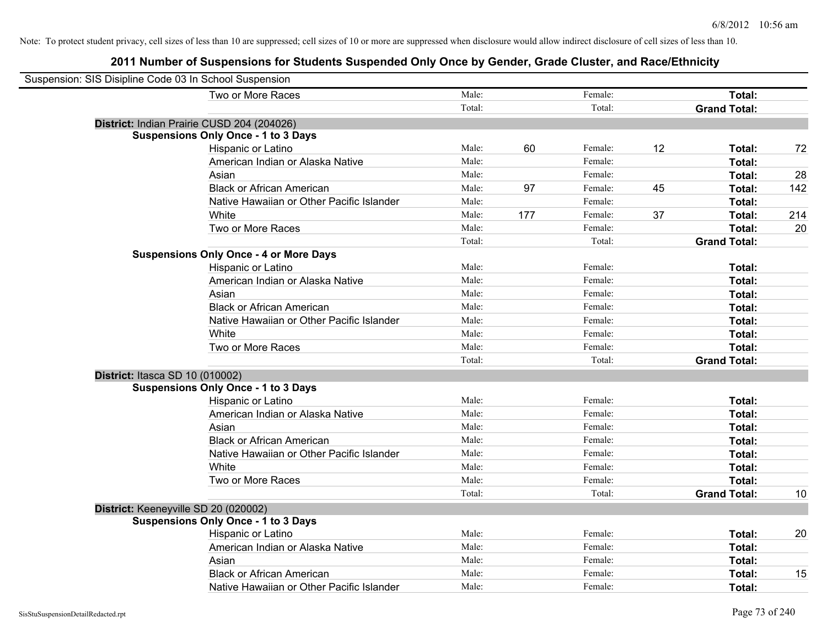| Suspension: SIS Disipline Code 03 In School Suspension |        |     |         |    |                     |     |
|--------------------------------------------------------|--------|-----|---------|----|---------------------|-----|
| Two or More Races                                      | Male:  |     | Female: |    | Total:              |     |
|                                                        | Total: |     | Total:  |    | <b>Grand Total:</b> |     |
| District: Indian Prairie CUSD 204 (204026)             |        |     |         |    |                     |     |
| <b>Suspensions Only Once - 1 to 3 Days</b>             |        |     |         |    |                     |     |
| Hispanic or Latino                                     | Male:  | 60  | Female: | 12 | Total:              | 72  |
| American Indian or Alaska Native                       | Male:  |     | Female: |    | Total:              |     |
| Asian                                                  | Male:  |     | Female: |    | Total:              | 28  |
| <b>Black or African American</b>                       | Male:  | 97  | Female: | 45 | Total:              | 142 |
| Native Hawaiian or Other Pacific Islander              | Male:  |     | Female: |    | Total:              |     |
| White                                                  | Male:  | 177 | Female: | 37 | Total:              | 214 |
| Two or More Races                                      | Male:  |     | Female: |    | Total:              | 20  |
|                                                        | Total: |     | Total:  |    | <b>Grand Total:</b> |     |
| <b>Suspensions Only Once - 4 or More Days</b>          |        |     |         |    |                     |     |
| Hispanic or Latino                                     | Male:  |     | Female: |    | Total:              |     |
| American Indian or Alaska Native                       | Male:  |     | Female: |    | Total:              |     |
| Asian                                                  | Male:  |     | Female: |    | Total:              |     |
| <b>Black or African American</b>                       | Male:  |     | Female: |    | Total:              |     |
| Native Hawaiian or Other Pacific Islander              | Male:  |     | Female: |    | Total:              |     |
| White                                                  | Male:  |     | Female: |    | Total:              |     |
| Two or More Races                                      | Male:  |     | Female: |    | Total:              |     |
|                                                        | Total: |     | Total:  |    | <b>Grand Total:</b> |     |
| District: Itasca SD 10 (010002)                        |        |     |         |    |                     |     |
| <b>Suspensions Only Once - 1 to 3 Days</b>             |        |     |         |    |                     |     |
| Hispanic or Latino                                     | Male:  |     | Female: |    | Total:              |     |
| American Indian or Alaska Native                       | Male:  |     | Female: |    | Total:              |     |
| Asian                                                  | Male:  |     | Female: |    | Total:              |     |
| <b>Black or African American</b>                       | Male:  |     | Female: |    | Total:              |     |
| Native Hawaiian or Other Pacific Islander              | Male:  |     | Female: |    | Total:              |     |
| White                                                  | Male:  |     | Female: |    | Total:              |     |
| Two or More Races                                      | Male:  |     | Female: |    | Total:              |     |
|                                                        | Total: |     | Total:  |    | <b>Grand Total:</b> | 10  |
| District: Keeneyville SD 20 (020002)                   |        |     |         |    |                     |     |
| <b>Suspensions Only Once - 1 to 3 Days</b>             |        |     |         |    |                     |     |
| Hispanic or Latino                                     | Male:  |     | Female: |    | Total:              | 20  |
| American Indian or Alaska Native                       | Male:  |     | Female: |    | Total:              |     |
| Asian                                                  | Male:  |     | Female: |    | Total:              |     |
| <b>Black or African American</b>                       | Male:  |     | Female: |    | Total:              | 15  |
| Native Hawaiian or Other Pacific Islander              | Male:  |     | Female: |    | Total:              |     |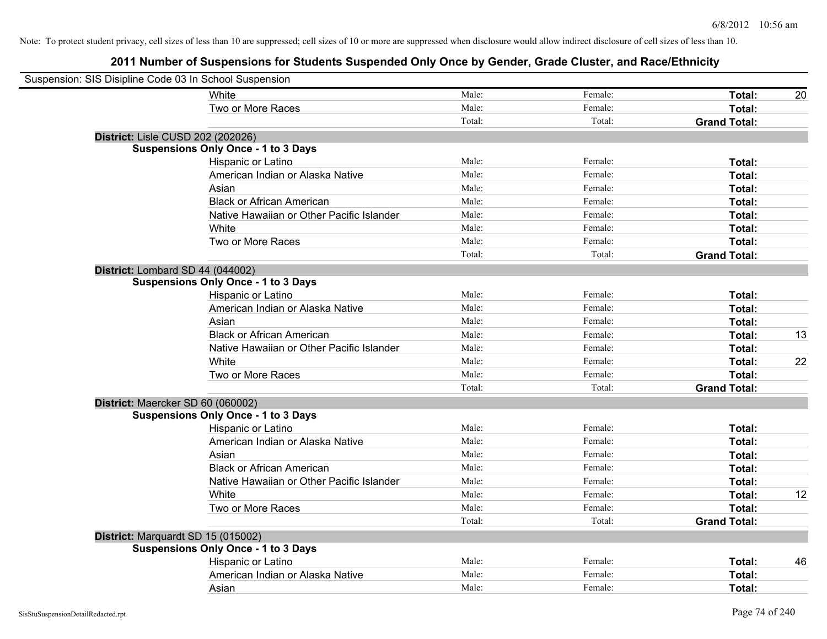| Suspension: SIS Disipline Code 03 In School Suspension |                                            |        |         |                     |    |
|--------------------------------------------------------|--------------------------------------------|--------|---------|---------------------|----|
|                                                        | White                                      | Male:  | Female: | Total:              | 20 |
|                                                        | Two or More Races                          | Male:  | Female: | <b>Total:</b>       |    |
|                                                        |                                            | Total: | Total:  | <b>Grand Total:</b> |    |
| District: Lisle CUSD 202 (202026)                      |                                            |        |         |                     |    |
|                                                        | <b>Suspensions Only Once - 1 to 3 Days</b> |        |         |                     |    |
|                                                        | Hispanic or Latino                         | Male:  | Female: | Total:              |    |
|                                                        | American Indian or Alaska Native           | Male:  | Female: | Total:              |    |
|                                                        | Asian                                      | Male:  | Female: | Total:              |    |
|                                                        | <b>Black or African American</b>           | Male:  | Female: | Total:              |    |
|                                                        | Native Hawaiian or Other Pacific Islander  | Male:  | Female: | Total:              |    |
|                                                        | White                                      | Male:  | Female: | Total:              |    |
|                                                        | Two or More Races                          | Male:  | Female: | Total:              |    |
|                                                        |                                            | Total: | Total:  | <b>Grand Total:</b> |    |
| District: Lombard SD 44 (044002)                       |                                            |        |         |                     |    |
|                                                        | <b>Suspensions Only Once - 1 to 3 Days</b> |        |         |                     |    |
|                                                        | Hispanic or Latino                         | Male:  | Female: | Total:              |    |
|                                                        | American Indian or Alaska Native           | Male:  | Female: | Total:              |    |
|                                                        | Asian                                      | Male:  | Female: | Total:              |    |
|                                                        | <b>Black or African American</b>           | Male:  | Female: | Total:              | 13 |
|                                                        | Native Hawaiian or Other Pacific Islander  | Male:  | Female: | Total:              |    |
|                                                        | White                                      | Male:  | Female: | Total:              | 22 |
|                                                        | Two or More Races                          | Male:  | Female: | Total:              |    |
|                                                        |                                            | Total: | Total:  | <b>Grand Total:</b> |    |
| District: Maercker SD 60 (060002)                      |                                            |        |         |                     |    |
|                                                        | <b>Suspensions Only Once - 1 to 3 Days</b> |        |         |                     |    |
|                                                        | Hispanic or Latino                         | Male:  | Female: | Total:              |    |
|                                                        | American Indian or Alaska Native           | Male:  | Female: | Total:              |    |
|                                                        | Asian                                      | Male:  | Female: | Total:              |    |
|                                                        | <b>Black or African American</b>           | Male:  | Female: | Total:              |    |
|                                                        | Native Hawaiian or Other Pacific Islander  | Male:  | Female: | Total:              |    |
|                                                        | White                                      | Male:  | Female: | Total:              | 12 |
|                                                        | Two or More Races                          | Male:  | Female: | Total:              |    |
|                                                        |                                            | Total: | Total:  | <b>Grand Total:</b> |    |
| District: Marquardt SD 15 (015002)                     |                                            |        |         |                     |    |
|                                                        | <b>Suspensions Only Once - 1 to 3 Days</b> |        |         |                     |    |
|                                                        | Hispanic or Latino                         | Male:  | Female: | Total:              | 46 |
|                                                        | American Indian or Alaska Native           | Male:  | Female: | <b>Total:</b>       |    |
|                                                        | Asian                                      | Male:  | Female: | Total:              |    |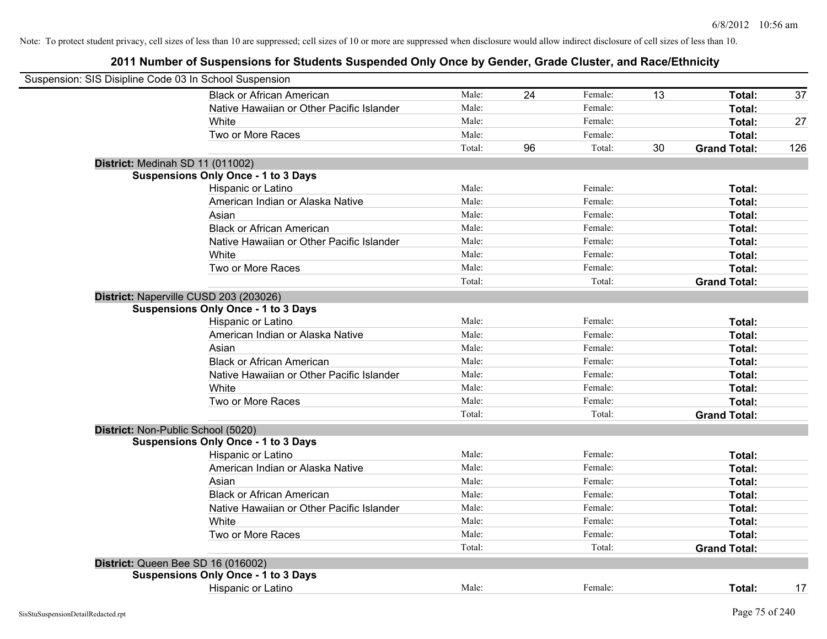| Suspension: SIS Disipline Code 03 In School Suspension |                                            |        |    |         |    |                     |     |
|--------------------------------------------------------|--------------------------------------------|--------|----|---------|----|---------------------|-----|
|                                                        | <b>Black or African American</b>           | Male:  | 24 | Female: | 13 | Total:              | 37  |
|                                                        | Native Hawaiian or Other Pacific Islander  | Male:  |    | Female: |    | Total:              |     |
|                                                        | White                                      | Male:  |    | Female: |    | Total:              | 27  |
|                                                        | Two or More Races                          | Male:  |    | Female: |    | Total:              |     |
|                                                        |                                            | Total: | 96 | Total:  | 30 | <b>Grand Total:</b> | 126 |
| District: Medinah SD 11 (011002)                       |                                            |        |    |         |    |                     |     |
|                                                        | <b>Suspensions Only Once - 1 to 3 Days</b> |        |    |         |    |                     |     |
|                                                        | Hispanic or Latino                         | Male:  |    | Female: |    | Total:              |     |
|                                                        | American Indian or Alaska Native           | Male:  |    | Female: |    | Total:              |     |
|                                                        | Asian                                      | Male:  |    | Female: |    | Total:              |     |
|                                                        | <b>Black or African American</b>           | Male:  |    | Female: |    | Total:              |     |
|                                                        | Native Hawaiian or Other Pacific Islander  | Male:  |    | Female: |    | Total:              |     |
|                                                        | White                                      | Male:  |    | Female: |    | Total:              |     |
|                                                        | Two or More Races                          | Male:  |    | Female: |    | Total:              |     |
|                                                        |                                            | Total: |    | Total:  |    | <b>Grand Total:</b> |     |
|                                                        | District: Naperville CUSD 203 (203026)     |        |    |         |    |                     |     |
|                                                        | <b>Suspensions Only Once - 1 to 3 Days</b> |        |    |         |    |                     |     |
|                                                        | Hispanic or Latino                         | Male:  |    | Female: |    | Total:              |     |
|                                                        | American Indian or Alaska Native           | Male:  |    | Female: |    | Total:              |     |
|                                                        | Asian                                      | Male:  |    | Female: |    | Total:              |     |
|                                                        | <b>Black or African American</b>           | Male:  |    | Female: |    | Total:              |     |
|                                                        | Native Hawaiian or Other Pacific Islander  | Male:  |    | Female: |    | Total:              |     |
|                                                        | White                                      | Male:  |    | Female: |    | Total:              |     |
|                                                        | Two or More Races                          | Male:  |    | Female: |    | Total:              |     |
|                                                        |                                            | Total: |    | Total:  |    | <b>Grand Total:</b> |     |
| District: Non-Public School (5020)                     |                                            |        |    |         |    |                     |     |
|                                                        | <b>Suspensions Only Once - 1 to 3 Days</b> |        |    |         |    |                     |     |
|                                                        | Hispanic or Latino                         | Male:  |    | Female: |    | Total:              |     |
|                                                        | American Indian or Alaska Native           | Male:  |    | Female: |    | Total:              |     |
|                                                        | Asian                                      | Male:  |    | Female: |    | Total:              |     |
|                                                        | <b>Black or African American</b>           | Male:  |    | Female: |    | Total:              |     |
|                                                        | Native Hawaiian or Other Pacific Islander  | Male:  |    | Female: |    | Total:              |     |
|                                                        | White                                      | Male:  |    | Female: |    | Total:              |     |
|                                                        | Two or More Races                          | Male:  |    | Female: |    | Total:              |     |
|                                                        |                                            | Total: |    | Total:  |    | <b>Grand Total:</b> |     |
|                                                        | District: Queen Bee SD 16 (016002)         |        |    |         |    |                     |     |
|                                                        | <b>Suspensions Only Once - 1 to 3 Days</b> |        |    |         |    |                     |     |
|                                                        | Hispanic or Latino                         | Male:  |    | Female: |    | Total:              | 17  |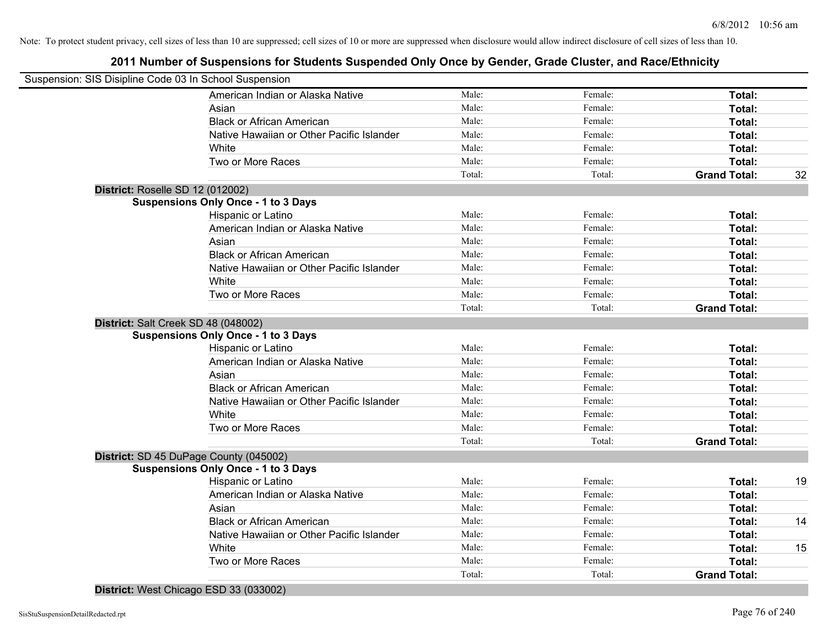# **2011 Number of Suspensions for Students Suspended Only Once by Gender, Grade Cluster, and Race/Ethnicity**

| Suspension: SIS Disipline Code 03 In School Suspension |                                           |        |         |                     |    |
|--------------------------------------------------------|-------------------------------------------|--------|---------|---------------------|----|
|                                                        | American Indian or Alaska Native          | Male:  | Female: | Total:              |    |
| Asian                                                  |                                           | Male:  | Female: | Total:              |    |
| <b>Black or African American</b>                       |                                           | Male:  | Female: | Total:              |    |
|                                                        | Native Hawaiian or Other Pacific Islander | Male:  | Female: | Total:              |    |
| White                                                  |                                           | Male:  | Female: | Total:              |    |
| Two or More Races                                      |                                           | Male:  | Female: | Total:              |    |
|                                                        |                                           | Total: | Total:  | <b>Grand Total:</b> | 32 |
| District: Roselle SD 12 (012002)                       |                                           |        |         |                     |    |
| <b>Suspensions Only Once - 1 to 3 Days</b>             |                                           |        |         |                     |    |
| Hispanic or Latino                                     |                                           | Male:  | Female: | Total:              |    |
|                                                        | American Indian or Alaska Native          | Male:  | Female: | Total:              |    |
| Asian                                                  |                                           | Male:  | Female: | Total:              |    |
| <b>Black or African American</b>                       |                                           | Male:  | Female: | Total:              |    |
|                                                        | Native Hawaiian or Other Pacific Islander | Male:  | Female: | Total:              |    |
| White                                                  |                                           | Male:  | Female: | Total:              |    |
| Two or More Races                                      |                                           | Male:  | Female: | Total:              |    |
|                                                        |                                           | Total: | Total:  | <b>Grand Total:</b> |    |
| District: Salt Creek SD 48 (048002)                    |                                           |        |         |                     |    |
| <b>Suspensions Only Once - 1 to 3 Days</b>             |                                           |        |         |                     |    |
| Hispanic or Latino                                     |                                           | Male:  | Female: | Total:              |    |
|                                                        | American Indian or Alaska Native          | Male:  | Female: | Total:              |    |
| Asian                                                  |                                           | Male:  | Female: | Total:              |    |
| <b>Black or African American</b>                       |                                           | Male:  | Female: | Total:              |    |
|                                                        | Native Hawaiian or Other Pacific Islander | Male:  | Female: | Total:              |    |
| White                                                  |                                           | Male:  | Female: | Total:              |    |
| Two or More Races                                      |                                           | Male:  | Female: | Total:              |    |
|                                                        |                                           | Total: | Total:  | <b>Grand Total:</b> |    |
| District: SD 45 DuPage County (045002)                 |                                           |        |         |                     |    |
| <b>Suspensions Only Once - 1 to 3 Days</b>             |                                           |        |         |                     |    |
| Hispanic or Latino                                     |                                           | Male:  | Female: | Total:              | 19 |
|                                                        | American Indian or Alaska Native          | Male:  | Female: | Total:              |    |
| Asian                                                  |                                           | Male:  | Female: | Total:              |    |
| <b>Black or African American</b>                       |                                           | Male:  | Female: | Total:              | 14 |
|                                                        | Native Hawaiian or Other Pacific Islander | Male:  | Female: | Total:              |    |
| White                                                  |                                           | Male:  | Female: | Total:              | 15 |
| Two or More Races                                      |                                           | Male:  | Female: | Total:              |    |
|                                                        |                                           | Total: | Total:  | <b>Grand Total:</b> |    |
|                                                        |                                           |        |         |                     |    |

**District:** West Chicago ESD 33 (033002)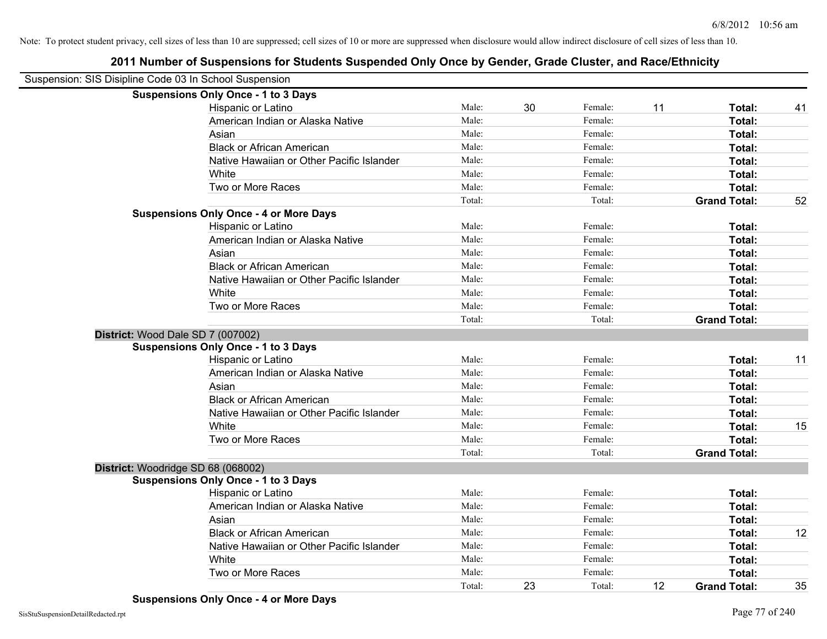| Suspension: SIS Disipline Code 03 In School Suspension |                                               |        |    |         |    |                     |    |
|--------------------------------------------------------|-----------------------------------------------|--------|----|---------|----|---------------------|----|
|                                                        | <b>Suspensions Only Once - 1 to 3 Days</b>    |        |    |         |    |                     |    |
|                                                        | Hispanic or Latino                            | Male:  | 30 | Female: | 11 | Total:              | 41 |
|                                                        | American Indian or Alaska Native              | Male:  |    | Female: |    | Total:              |    |
|                                                        | Asian                                         | Male:  |    | Female: |    | <b>Total:</b>       |    |
|                                                        | <b>Black or African American</b>              | Male:  |    | Female: |    | Total:              |    |
|                                                        | Native Hawaiian or Other Pacific Islander     | Male:  |    | Female: |    | Total:              |    |
|                                                        | White                                         | Male:  |    | Female: |    | Total:              |    |
|                                                        | Two or More Races                             | Male:  |    | Female: |    | Total:              |    |
|                                                        |                                               | Total: |    | Total:  |    | <b>Grand Total:</b> | 52 |
|                                                        | <b>Suspensions Only Once - 4 or More Days</b> |        |    |         |    |                     |    |
|                                                        | Hispanic or Latino                            | Male:  |    | Female: |    | Total:              |    |
|                                                        | American Indian or Alaska Native              | Male:  |    | Female: |    | Total:              |    |
|                                                        | Asian                                         | Male:  |    | Female: |    | Total:              |    |
|                                                        | <b>Black or African American</b>              | Male:  |    | Female: |    | Total:              |    |
|                                                        | Native Hawaiian or Other Pacific Islander     | Male:  |    | Female: |    | Total:              |    |
|                                                        | White                                         | Male:  |    | Female: |    | Total:              |    |
|                                                        | Two or More Races                             | Male:  |    | Female: |    | Total:              |    |
|                                                        |                                               | Total: |    | Total:  |    | <b>Grand Total:</b> |    |
| District: Wood Dale SD 7 (007002)                      |                                               |        |    |         |    |                     |    |
|                                                        | <b>Suspensions Only Once - 1 to 3 Days</b>    |        |    |         |    |                     |    |
|                                                        | Hispanic or Latino                            | Male:  |    | Female: |    | Total:              | 11 |
|                                                        | American Indian or Alaska Native              | Male:  |    | Female: |    | Total:              |    |
|                                                        | Asian                                         | Male:  |    | Female: |    | Total:              |    |
|                                                        | <b>Black or African American</b>              | Male:  |    | Female: |    | Total:              |    |
|                                                        | Native Hawaiian or Other Pacific Islander     | Male:  |    | Female: |    | Total:              |    |
|                                                        | White                                         | Male:  |    | Female: |    | Total:              | 15 |
|                                                        | Two or More Races                             | Male:  |    | Female: |    | Total:              |    |
|                                                        |                                               | Total: |    | Total:  |    | <b>Grand Total:</b> |    |
| District: Woodridge SD 68 (068002)                     |                                               |        |    |         |    |                     |    |
|                                                        | <b>Suspensions Only Once - 1 to 3 Days</b>    |        |    |         |    |                     |    |
|                                                        | Hispanic or Latino                            | Male:  |    | Female: |    | Total:              |    |
|                                                        | American Indian or Alaska Native              | Male:  |    | Female: |    | Total:              |    |
|                                                        | Asian                                         | Male:  |    | Female: |    | Total:              |    |
|                                                        | <b>Black or African American</b>              | Male:  |    | Female: |    | Total:              | 12 |
|                                                        | Native Hawaiian or Other Pacific Islander     | Male:  |    | Female: |    | Total:              |    |
|                                                        | White                                         | Male:  |    | Female: |    | Total:              |    |
|                                                        | Two or More Races                             | Male:  |    | Female: |    | Total:              |    |
|                                                        |                                               | Total: | 23 | Total:  | 12 | <b>Grand Total:</b> | 35 |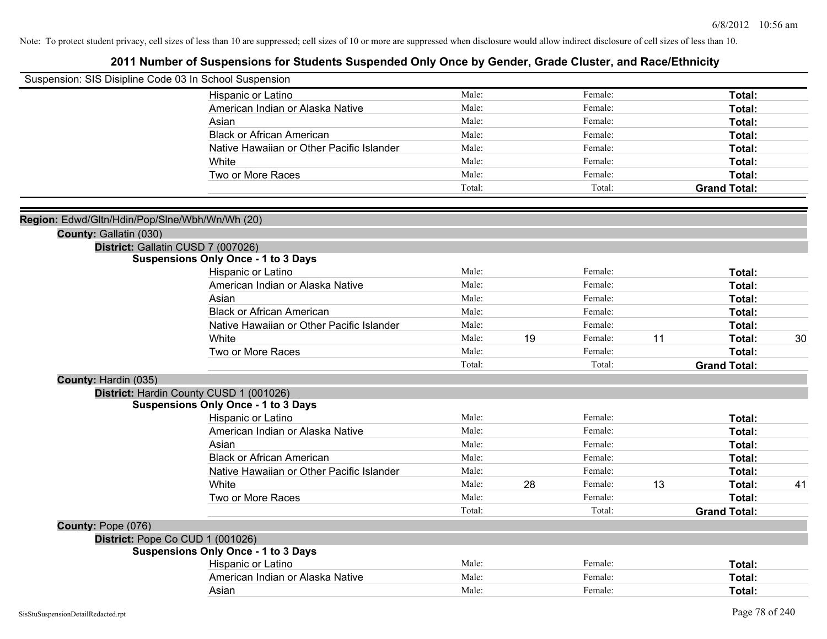| Suspension: SIS Disipline Code 03 In School Suspension |                                            |        |    |         |    |                     |    |
|--------------------------------------------------------|--------------------------------------------|--------|----|---------|----|---------------------|----|
|                                                        | Hispanic or Latino                         | Male:  |    | Female: |    | Total:              |    |
|                                                        | American Indian or Alaska Native           | Male:  |    | Female: |    | Total:              |    |
|                                                        | Asian                                      | Male:  |    | Female: |    | Total:              |    |
|                                                        | <b>Black or African American</b>           | Male:  |    | Female: |    | Total:              |    |
|                                                        | Native Hawaiian or Other Pacific Islander  | Male:  |    | Female: |    | Total:              |    |
|                                                        | White                                      | Male:  |    | Female: |    | Total:              |    |
|                                                        | Two or More Races                          | Male:  |    | Female: |    | Total:              |    |
|                                                        |                                            | Total: |    | Total:  |    | <b>Grand Total:</b> |    |
| Region: Edwd/Gltn/Hdin/Pop/Slne/Wbh/Wn/Wh (20)         |                                            |        |    |         |    |                     |    |
| County: Gallatin (030)                                 |                                            |        |    |         |    |                     |    |
|                                                        | District: Gallatin CUSD 7 (007026)         |        |    |         |    |                     |    |
|                                                        | <b>Suspensions Only Once - 1 to 3 Days</b> |        |    |         |    |                     |    |
|                                                        | Hispanic or Latino                         | Male:  |    | Female: |    | Total:              |    |
|                                                        | American Indian or Alaska Native           | Male:  |    | Female: |    | Total:              |    |
|                                                        | Asian                                      | Male:  |    | Female: |    | Total:              |    |
|                                                        | <b>Black or African American</b>           | Male:  |    | Female: |    | Total:              |    |
|                                                        | Native Hawaiian or Other Pacific Islander  | Male:  |    | Female: |    | Total:              |    |
|                                                        | White                                      | Male:  | 19 | Female: | 11 | Total:              | 30 |
|                                                        | Two or More Races                          | Male:  |    | Female: |    | Total:              |    |
|                                                        |                                            | Total: |    | Total:  |    | <b>Grand Total:</b> |    |
| County: Hardin (035)                                   |                                            |        |    |         |    |                     |    |
|                                                        | District: Hardin County CUSD 1 (001026)    |        |    |         |    |                     |    |
|                                                        | <b>Suspensions Only Once - 1 to 3 Days</b> |        |    |         |    |                     |    |
|                                                        | Hispanic or Latino                         | Male:  |    | Female: |    | Total:              |    |
|                                                        | American Indian or Alaska Native           | Male:  |    | Female: |    | Total:              |    |
|                                                        | Asian                                      | Male:  |    | Female: |    | Total:              |    |
|                                                        | <b>Black or African American</b>           | Male:  |    | Female: |    | Total:              |    |
|                                                        | Native Hawaiian or Other Pacific Islander  | Male:  |    | Female: |    | Total:              |    |
|                                                        | White                                      | Male:  | 28 | Female: | 13 | Total:              | 41 |
|                                                        | Two or More Races                          | Male:  |    | Female: |    | Total:              |    |
|                                                        |                                            | Total: |    | Total:  |    | <b>Grand Total:</b> |    |
| County: Pope (076)                                     |                                            |        |    |         |    |                     |    |
|                                                        | District: Pope Co CUD 1 (001026)           |        |    |         |    |                     |    |
|                                                        | <b>Suspensions Only Once - 1 to 3 Days</b> |        |    |         |    |                     |    |
|                                                        | Hispanic or Latino                         | Male:  |    | Female: |    | Total:              |    |
|                                                        | American Indian or Alaska Native           | Male:  |    | Female: |    | Total:              |    |
|                                                        | Asian                                      | Male:  |    | Female: |    | Total:              |    |
|                                                        |                                            |        |    |         |    |                     |    |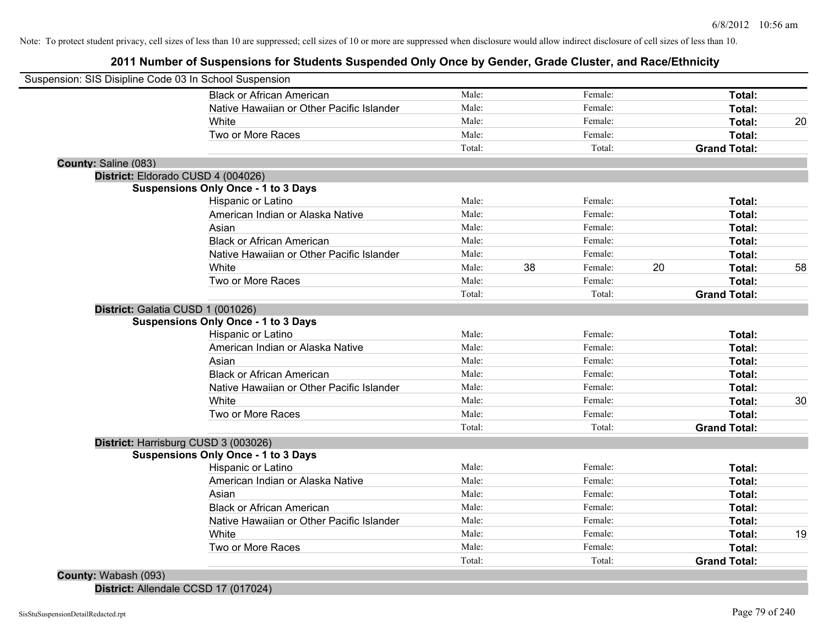**2011 Number of Suspensions for Students Suspended Only Once by Gender, Grade Cluster, and Race/Ethnicity**

| Male:<br>Male: |                                                    | Female: |                                                     | Total: |                                                                                                                                            |
|----------------|----------------------------------------------------|---------|-----------------------------------------------------|--------|--------------------------------------------------------------------------------------------------------------------------------------------|
|                |                                                    |         |                                                     |        |                                                                                                                                            |
|                |                                                    | Female: |                                                     | Total: |                                                                                                                                            |
| Male:          |                                                    | Female: |                                                     | Total: | 20                                                                                                                                         |
| Male:          |                                                    | Female: |                                                     | Total: |                                                                                                                                            |
| Total:         |                                                    | Total:  |                                                     |        |                                                                                                                                            |
|                |                                                    |         |                                                     |        |                                                                                                                                            |
|                |                                                    |         |                                                     |        |                                                                                                                                            |
|                |                                                    |         |                                                     |        |                                                                                                                                            |
|                |                                                    |         |                                                     |        |                                                                                                                                            |
|                |                                                    |         |                                                     |        |                                                                                                                                            |
|                |                                                    |         |                                                     |        |                                                                                                                                            |
|                |                                                    |         |                                                     |        |                                                                                                                                            |
| Male:          |                                                    | Female: |                                                     | Total: |                                                                                                                                            |
| Male:          |                                                    | Female: |                                                     | Total: | 58                                                                                                                                         |
| Male:          |                                                    | Female: |                                                     | Total: |                                                                                                                                            |
| Total:         |                                                    | Total:  |                                                     |        |                                                                                                                                            |
|                |                                                    |         |                                                     |        |                                                                                                                                            |
|                |                                                    |         |                                                     |        |                                                                                                                                            |
| Male:          |                                                    | Female: |                                                     | Total: |                                                                                                                                            |
| Male:          |                                                    | Female: |                                                     | Total: |                                                                                                                                            |
|                |                                                    | Female: |                                                     |        |                                                                                                                                            |
| Male:          |                                                    | Female: |                                                     | Total: |                                                                                                                                            |
| Male:          |                                                    | Female: |                                                     | Total: |                                                                                                                                            |
| Male:          |                                                    | Female: |                                                     | Total: | 30                                                                                                                                         |
| Male:          |                                                    | Female: |                                                     | Total: |                                                                                                                                            |
| Total:         |                                                    | Total:  |                                                     |        |                                                                                                                                            |
|                |                                                    |         |                                                     |        |                                                                                                                                            |
|                |                                                    |         |                                                     |        |                                                                                                                                            |
| Male:          |                                                    | Female: |                                                     | Total: |                                                                                                                                            |
|                |                                                    |         |                                                     | Total: |                                                                                                                                            |
| Male:          |                                                    | Female: |                                                     | Total: |                                                                                                                                            |
| Male:          |                                                    | Female: |                                                     | Total: |                                                                                                                                            |
| Male:          |                                                    | Female: |                                                     | Total: |                                                                                                                                            |
| Male:          |                                                    | Female: |                                                     | Total: | 19                                                                                                                                         |
| Male:          |                                                    | Female: |                                                     | Total: |                                                                                                                                            |
| Total:         |                                                    | Total:  |                                                     |        |                                                                                                                                            |
|                | Male:<br>Male:<br>Male:<br>Male:<br>Male:<br>Male: | 38      | Female:<br>Female:<br>Female:<br>Female:<br>Female: | 20     | <b>Grand Total:</b><br>Total:<br>Total:<br>Total:<br>Total:<br><b>Grand Total:</b><br>Total:<br><b>Grand Total:</b><br><b>Grand Total:</b> |

**District:** Allendale CCSD 17 (017024)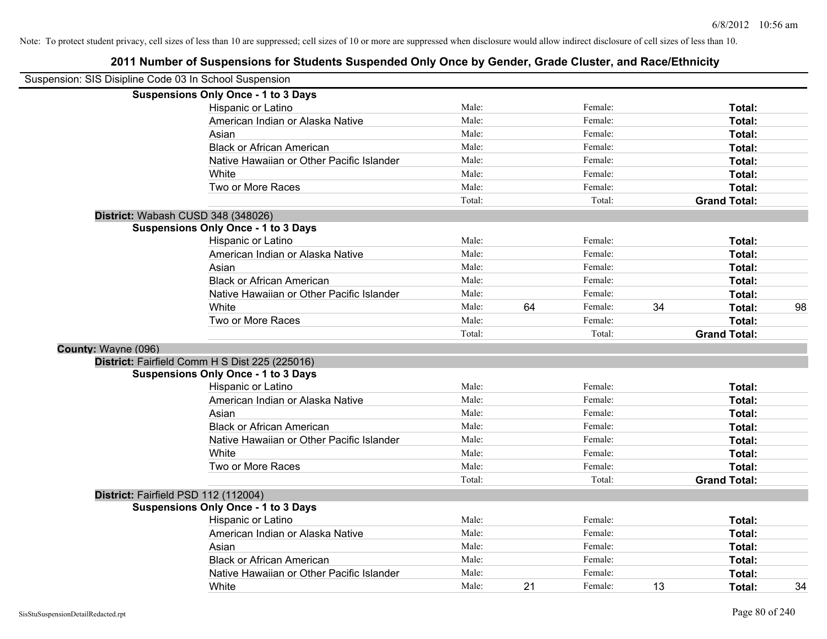|                     | Suspension: SIS Disipline Code 03 In School Suspension |        |    |         |    |                     |    |
|---------------------|--------------------------------------------------------|--------|----|---------|----|---------------------|----|
|                     | <b>Suspensions Only Once - 1 to 3 Days</b>             |        |    |         |    |                     |    |
|                     | Hispanic or Latino                                     | Male:  |    | Female: |    | Total:              |    |
|                     | American Indian or Alaska Native                       | Male:  |    | Female: |    | Total:              |    |
|                     | Asian                                                  | Male:  |    | Female: |    | Total:              |    |
|                     | <b>Black or African American</b>                       | Male:  |    | Female: |    | Total:              |    |
|                     | Native Hawaiian or Other Pacific Islander              | Male:  |    | Female: |    | Total:              |    |
|                     | White                                                  | Male:  |    | Female: |    | Total:              |    |
|                     | Two or More Races                                      | Male:  |    | Female: |    | Total:              |    |
|                     |                                                        | Total: |    | Total:  |    | <b>Grand Total:</b> |    |
|                     | District: Wabash CUSD 348 (348026)                     |        |    |         |    |                     |    |
|                     | <b>Suspensions Only Once - 1 to 3 Days</b>             |        |    |         |    |                     |    |
|                     | Hispanic or Latino                                     | Male:  |    | Female: |    | Total:              |    |
|                     | American Indian or Alaska Native                       | Male:  |    | Female: |    | Total:              |    |
|                     | Asian                                                  | Male:  |    | Female: |    | Total:              |    |
|                     | <b>Black or African American</b>                       | Male:  |    | Female: |    | Total:              |    |
|                     | Native Hawaiian or Other Pacific Islander              | Male:  |    | Female: |    | Total:              |    |
|                     | White                                                  | Male:  | 64 | Female: | 34 | Total:              | 98 |
|                     | Two or More Races                                      | Male:  |    | Female: |    | Total:              |    |
|                     |                                                        | Total: |    | Total:  |    | <b>Grand Total:</b> |    |
| County: Wayne (096) |                                                        |        |    |         |    |                     |    |
|                     | District: Fairfield Comm H S Dist 225 (225016)         |        |    |         |    |                     |    |
|                     | <b>Suspensions Only Once - 1 to 3 Days</b>             |        |    |         |    |                     |    |
|                     | Hispanic or Latino                                     | Male:  |    | Female: |    | Total:              |    |
|                     | American Indian or Alaska Native                       | Male:  |    | Female: |    | Total:              |    |
|                     | Asian                                                  | Male:  |    | Female: |    | Total:              |    |
|                     | <b>Black or African American</b>                       | Male:  |    | Female: |    | Total:              |    |
|                     | Native Hawaiian or Other Pacific Islander              | Male:  |    | Female: |    | Total:              |    |
|                     | White                                                  | Male:  |    | Female: |    | Total:              |    |
|                     | Two or More Races                                      | Male:  |    | Female: |    | Total:              |    |
|                     |                                                        | Total: |    | Total:  |    | <b>Grand Total:</b> |    |
|                     | District: Fairfield PSD 112 (112004)                   |        |    |         |    |                     |    |
|                     | <b>Suspensions Only Once - 1 to 3 Days</b>             |        |    |         |    |                     |    |
|                     | Hispanic or Latino                                     | Male:  |    | Female: |    | Total:              |    |
|                     | American Indian or Alaska Native                       | Male:  |    | Female: |    | Total:              |    |
|                     | Asian                                                  | Male:  |    | Female: |    | Total:              |    |
|                     | <b>Black or African American</b>                       | Male:  |    | Female: |    | Total:              |    |
|                     | Native Hawaiian or Other Pacific Islander              | Male:  |    | Female: |    | <b>Total:</b>       |    |
|                     | White                                                  | Male:  | 21 | Female: | 13 | Total:              | 34 |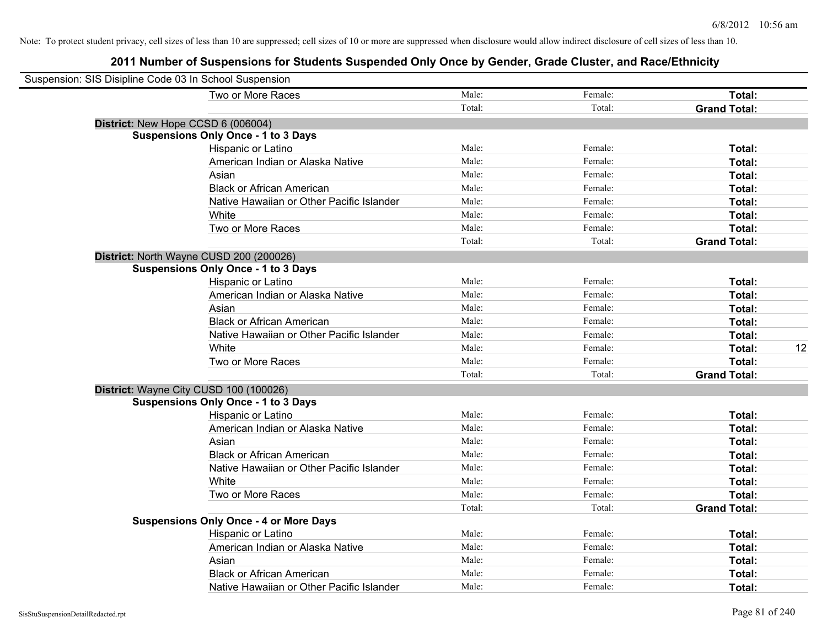| Suspension: SIS Disipline Code 03 In School Suspension |                                               |        |         |                     |    |
|--------------------------------------------------------|-----------------------------------------------|--------|---------|---------------------|----|
|                                                        | Two or More Races                             | Male:  | Female: | Total:              |    |
|                                                        |                                               | Total: | Total:  | <b>Grand Total:</b> |    |
| District: New Hope CCSD 6 (006004)                     |                                               |        |         |                     |    |
|                                                        | <b>Suspensions Only Once - 1 to 3 Days</b>    |        |         |                     |    |
|                                                        | Hispanic or Latino                            | Male:  | Female: | Total:              |    |
|                                                        | American Indian or Alaska Native              | Male:  | Female: | Total:              |    |
|                                                        | Asian                                         | Male:  | Female: | Total:              |    |
|                                                        | <b>Black or African American</b>              | Male:  | Female: | Total:              |    |
|                                                        | Native Hawaiian or Other Pacific Islander     | Male:  | Female: | Total:              |    |
|                                                        | White                                         | Male:  | Female: | Total:              |    |
|                                                        | Two or More Races                             | Male:  | Female: | Total:              |    |
|                                                        |                                               | Total: | Total:  | <b>Grand Total:</b> |    |
|                                                        | District: North Wayne CUSD 200 (200026)       |        |         |                     |    |
|                                                        | <b>Suspensions Only Once - 1 to 3 Days</b>    |        |         |                     |    |
|                                                        | Hispanic or Latino                            | Male:  | Female: | Total:              |    |
|                                                        | American Indian or Alaska Native              | Male:  | Female: | Total:              |    |
|                                                        | Asian                                         | Male:  | Female: | Total:              |    |
|                                                        | <b>Black or African American</b>              | Male:  | Female: | Total:              |    |
|                                                        | Native Hawaiian or Other Pacific Islander     | Male:  | Female: | Total:              |    |
|                                                        | White                                         | Male:  | Female: | Total:              | 12 |
|                                                        | Two or More Races                             | Male:  | Female: | Total:              |    |
|                                                        |                                               | Total: | Total:  | <b>Grand Total:</b> |    |
|                                                        | District: Wayne City CUSD 100 (100026)        |        |         |                     |    |
|                                                        | <b>Suspensions Only Once - 1 to 3 Days</b>    |        |         |                     |    |
|                                                        | Hispanic or Latino                            | Male:  | Female: | Total:              |    |
|                                                        | American Indian or Alaska Native              | Male:  | Female: | Total:              |    |
|                                                        | Asian                                         | Male:  | Female: | Total:              |    |
|                                                        | <b>Black or African American</b>              | Male:  | Female: | Total:              |    |
|                                                        | Native Hawaiian or Other Pacific Islander     | Male:  | Female: | Total:              |    |
|                                                        | White                                         | Male:  | Female: | Total:              |    |
|                                                        | Two or More Races                             | Male:  | Female: | Total:              |    |
|                                                        |                                               | Total: | Total:  | <b>Grand Total:</b> |    |
|                                                        | <b>Suspensions Only Once - 4 or More Days</b> |        |         |                     |    |
|                                                        | Hispanic or Latino                            | Male:  | Female: | Total:              |    |
|                                                        | American Indian or Alaska Native              | Male:  | Female: | Total:              |    |
|                                                        | Asian                                         | Male:  | Female: | Total:              |    |
|                                                        | <b>Black or African American</b>              | Male:  | Female: | Total:              |    |
|                                                        | Native Hawaiian or Other Pacific Islander     | Male:  | Female: | Total:              |    |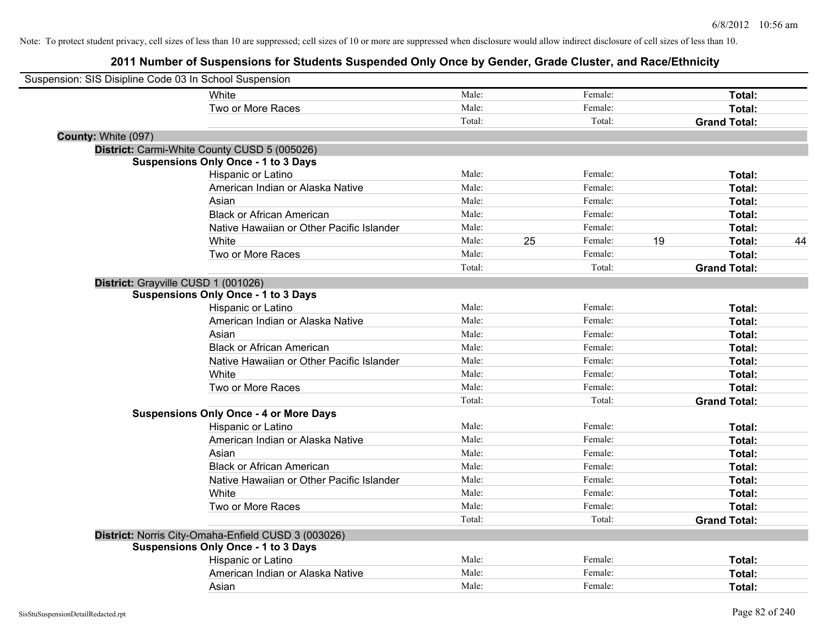| Suspension: SIS Disipline Code 03 In School Suspension |                                               |        |    |         |    |                     |    |
|--------------------------------------------------------|-----------------------------------------------|--------|----|---------|----|---------------------|----|
| White                                                  |                                               | Male:  |    | Female: |    | Total:              |    |
|                                                        | Two or More Races                             | Male:  |    | Female: |    | Total:              |    |
|                                                        |                                               | Total: |    | Total:  |    | <b>Grand Total:</b> |    |
| County: White (097)                                    |                                               |        |    |         |    |                     |    |
| District: Carmi-White County CUSD 5 (005026)           |                                               |        |    |         |    |                     |    |
| <b>Suspensions Only Once - 1 to 3 Days</b>             |                                               |        |    |         |    |                     |    |
|                                                        | Hispanic or Latino                            | Male:  |    | Female: |    | Total:              |    |
|                                                        | American Indian or Alaska Native              | Male:  |    | Female: |    | Total:              |    |
| Asian                                                  |                                               | Male:  |    | Female: |    | Total:              |    |
|                                                        | <b>Black or African American</b>              | Male:  |    | Female: |    | Total:              |    |
|                                                        | Native Hawaiian or Other Pacific Islander     | Male:  |    | Female: |    | <b>Total:</b>       |    |
| White                                                  |                                               | Male:  | 25 | Female: | 19 | Total:              | 44 |
|                                                        | Two or More Races                             | Male:  |    | Female: |    | Total:              |    |
|                                                        |                                               | Total: |    | Total:  |    | <b>Grand Total:</b> |    |
| District: Grayville CUSD 1 (001026)                    |                                               |        |    |         |    |                     |    |
| <b>Suspensions Only Once - 1 to 3 Days</b>             |                                               |        |    |         |    |                     |    |
|                                                        | Hispanic or Latino                            | Male:  |    | Female: |    | Total:              |    |
|                                                        | American Indian or Alaska Native              | Male:  |    | Female: |    | Total:              |    |
| Asian                                                  |                                               | Male:  |    | Female: |    | Total:              |    |
|                                                        | <b>Black or African American</b>              | Male:  |    | Female: |    | Total:              |    |
|                                                        | Native Hawaiian or Other Pacific Islander     | Male:  |    | Female: |    | Total:              |    |
| White                                                  |                                               | Male:  |    | Female: |    | Total:              |    |
|                                                        | Two or More Races                             | Male:  |    | Female: |    | Total:              |    |
|                                                        |                                               | Total: |    | Total:  |    | <b>Grand Total:</b> |    |
|                                                        | <b>Suspensions Only Once - 4 or More Days</b> |        |    |         |    |                     |    |
|                                                        | Hispanic or Latino                            | Male:  |    | Female: |    | Total:              |    |
|                                                        | American Indian or Alaska Native              | Male:  |    | Female: |    | Total:              |    |
| Asian                                                  |                                               | Male:  |    | Female: |    | Total:              |    |
|                                                        | <b>Black or African American</b>              | Male:  |    | Female: |    | Total:              |    |
|                                                        | Native Hawaiian or Other Pacific Islander     | Male:  |    | Female: |    | Total:              |    |
| White                                                  |                                               | Male:  |    | Female: |    | Total:              |    |
|                                                        | Two or More Races                             | Male:  |    | Female: |    | Total:              |    |
|                                                        |                                               | Total: |    | Total:  |    | <b>Grand Total:</b> |    |
| District: Norris City-Omaha-Enfield CUSD 3 (003026)    |                                               |        |    |         |    |                     |    |
| <b>Suspensions Only Once - 1 to 3 Days</b>             |                                               |        |    |         |    |                     |    |
|                                                        | Hispanic or Latino                            | Male:  |    | Female: |    | Total:              |    |
|                                                        | American Indian or Alaska Native              | Male:  |    | Female: |    | Total:              |    |
| Asian                                                  |                                               | Male:  |    | Female: |    | Total:              |    |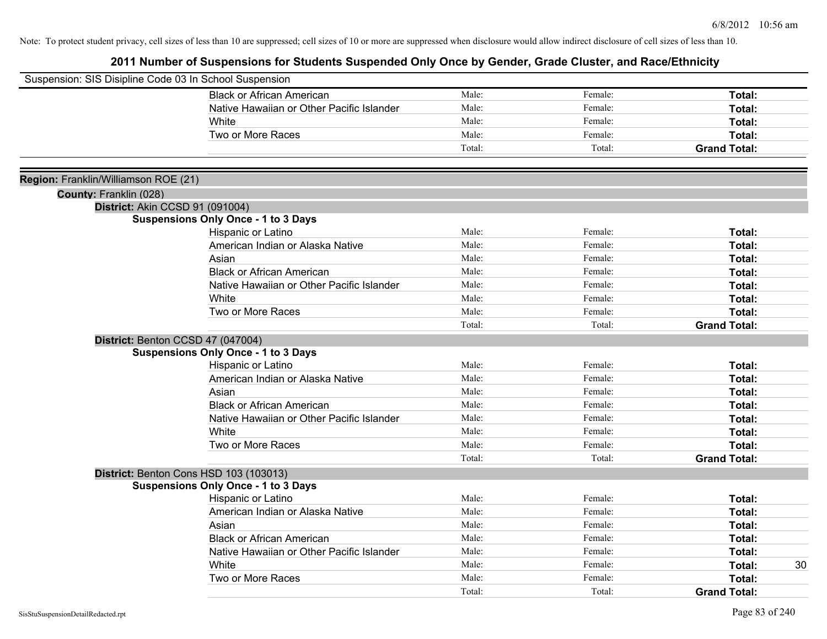| Suspension: SIS Disipline Code 03 In School Suspension |                                            |        |         |                     |
|--------------------------------------------------------|--------------------------------------------|--------|---------|---------------------|
|                                                        | <b>Black or African American</b>           | Male:  | Female: | Total:              |
|                                                        | Native Hawaiian or Other Pacific Islander  | Male:  | Female: | Total:              |
|                                                        | White                                      | Male:  | Female: | Total:              |
|                                                        | Two or More Races                          | Male:  | Female: | Total:              |
|                                                        |                                            | Total: | Total:  | <b>Grand Total:</b> |
|                                                        |                                            |        |         |                     |
| Region: Franklin/Williamson ROE (21)                   |                                            |        |         |                     |
| County: Franklin (028)                                 |                                            |        |         |                     |
| District: Akin CCSD 91 (091004)                        |                                            |        |         |                     |
|                                                        | <b>Suspensions Only Once - 1 to 3 Days</b> |        |         |                     |
|                                                        | Hispanic or Latino                         | Male:  | Female: | Total:              |
|                                                        | American Indian or Alaska Native           | Male:  | Female: | Total:              |
|                                                        | Asian                                      | Male:  | Female: | Total:              |
|                                                        | <b>Black or African American</b>           | Male:  | Female: | Total:              |
|                                                        | Native Hawaiian or Other Pacific Islander  | Male:  | Female: | Total:              |
|                                                        | White                                      | Male:  | Female: | Total:              |
|                                                        | Two or More Races                          | Male:  | Female: | Total:              |
|                                                        |                                            | Total: | Total:  | <b>Grand Total:</b> |
|                                                        | District: Benton CCSD 47 (047004)          |        |         |                     |
|                                                        | <b>Suspensions Only Once - 1 to 3 Days</b> |        |         |                     |
|                                                        | Hispanic or Latino                         | Male:  | Female: | Total:              |
|                                                        | American Indian or Alaska Native           | Male:  | Female: | Total:              |
|                                                        | Asian                                      | Male:  | Female: | Total:              |
|                                                        | <b>Black or African American</b>           | Male:  | Female: | Total:              |
|                                                        | Native Hawaiian or Other Pacific Islander  | Male:  | Female: | Total:              |
|                                                        | White                                      | Male:  | Female: | Total:              |
|                                                        | Two or More Races                          | Male:  | Female: | Total:              |
|                                                        |                                            | Total: | Total:  | <b>Grand Total:</b> |
|                                                        | District: Benton Cons HSD 103 (103013)     |        |         |                     |
|                                                        | <b>Suspensions Only Once - 1 to 3 Days</b> |        |         |                     |
|                                                        | Hispanic or Latino                         | Male:  | Female: | Total:              |
|                                                        | American Indian or Alaska Native           | Male:  | Female: | Total:              |
|                                                        | Asian                                      | Male:  | Female: | Total:              |
|                                                        | <b>Black or African American</b>           | Male:  | Female: | Total:              |
|                                                        | Native Hawaiian or Other Pacific Islander  | Male:  | Female: | Total:              |
|                                                        | White                                      | Male:  | Female: | Total:<br>30        |
|                                                        | Two or More Races                          | Male:  | Female: | Total:              |
|                                                        |                                            | Total: | Total:  | <b>Grand Total:</b> |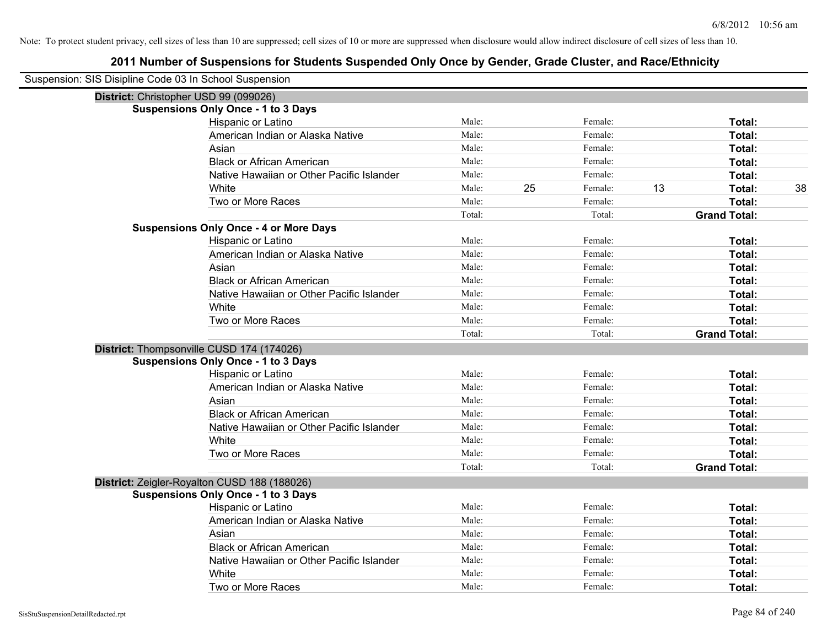| Suspension: SIS Disipline Code 03 In School Suspension |                                               |        |    |         |    |                     |    |
|--------------------------------------------------------|-----------------------------------------------|--------|----|---------|----|---------------------|----|
| District: Christopher USD 99 (099026)                  |                                               |        |    |         |    |                     |    |
|                                                        | <b>Suspensions Only Once - 1 to 3 Days</b>    |        |    |         |    |                     |    |
|                                                        | Hispanic or Latino                            | Male:  |    | Female: |    | Total:              |    |
|                                                        | American Indian or Alaska Native              | Male:  |    | Female: |    | Total:              |    |
|                                                        | Asian                                         | Male:  |    | Female: |    | Total:              |    |
|                                                        | <b>Black or African American</b>              | Male:  |    | Female: |    | Total:              |    |
|                                                        | Native Hawaiian or Other Pacific Islander     | Male:  |    | Female: |    | Total:              |    |
|                                                        | White                                         | Male:  | 25 | Female: | 13 | Total:              | 38 |
|                                                        | Two or More Races                             | Male:  |    | Female: |    | Total:              |    |
|                                                        |                                               | Total: |    | Total:  |    | <b>Grand Total:</b> |    |
|                                                        | <b>Suspensions Only Once - 4 or More Days</b> |        |    |         |    |                     |    |
|                                                        | Hispanic or Latino                            | Male:  |    | Female: |    | Total:              |    |
|                                                        | American Indian or Alaska Native              | Male:  |    | Female: |    | Total:              |    |
|                                                        | Asian                                         | Male:  |    | Female: |    | Total:              |    |
|                                                        | <b>Black or African American</b>              | Male:  |    | Female: |    | Total:              |    |
|                                                        | Native Hawaiian or Other Pacific Islander     | Male:  |    | Female: |    | Total:              |    |
|                                                        | White                                         | Male:  |    | Female: |    | Total:              |    |
|                                                        | Two or More Races                             | Male:  |    | Female: |    | Total:              |    |
|                                                        |                                               | Total: |    | Total:  |    | <b>Grand Total:</b> |    |
|                                                        | District: Thompsonville CUSD 174 (174026)     |        |    |         |    |                     |    |
|                                                        | <b>Suspensions Only Once - 1 to 3 Days</b>    |        |    |         |    |                     |    |
|                                                        | Hispanic or Latino                            | Male:  |    | Female: |    | Total:              |    |
|                                                        | American Indian or Alaska Native              | Male:  |    | Female: |    | Total:              |    |
|                                                        | Asian                                         | Male:  |    | Female: |    | Total:              |    |
|                                                        | <b>Black or African American</b>              | Male:  |    | Female: |    | Total:              |    |
|                                                        | Native Hawaiian or Other Pacific Islander     | Male:  |    | Female: |    | Total:              |    |
|                                                        | White                                         | Male:  |    | Female: |    | Total:              |    |
|                                                        | Two or More Races                             | Male:  |    | Female: |    | Total:              |    |
|                                                        |                                               | Total: |    | Total:  |    | <b>Grand Total:</b> |    |
|                                                        | District: Zeigler-Royalton CUSD 188 (188026)  |        |    |         |    |                     |    |
|                                                        | <b>Suspensions Only Once - 1 to 3 Days</b>    |        |    |         |    |                     |    |
|                                                        | Hispanic or Latino                            | Male:  |    | Female: |    | Total:              |    |
|                                                        | American Indian or Alaska Native              | Male:  |    | Female: |    | Total:              |    |
|                                                        | Asian                                         | Male:  |    | Female: |    | Total:              |    |
|                                                        | <b>Black or African American</b>              | Male:  |    | Female: |    | Total:              |    |
|                                                        | Native Hawaiian or Other Pacific Islander     | Male:  |    | Female: |    | Total:              |    |
|                                                        | White                                         | Male:  |    | Female: |    | Total:              |    |
|                                                        | Two or More Races                             | Male:  |    | Female: |    | Total:              |    |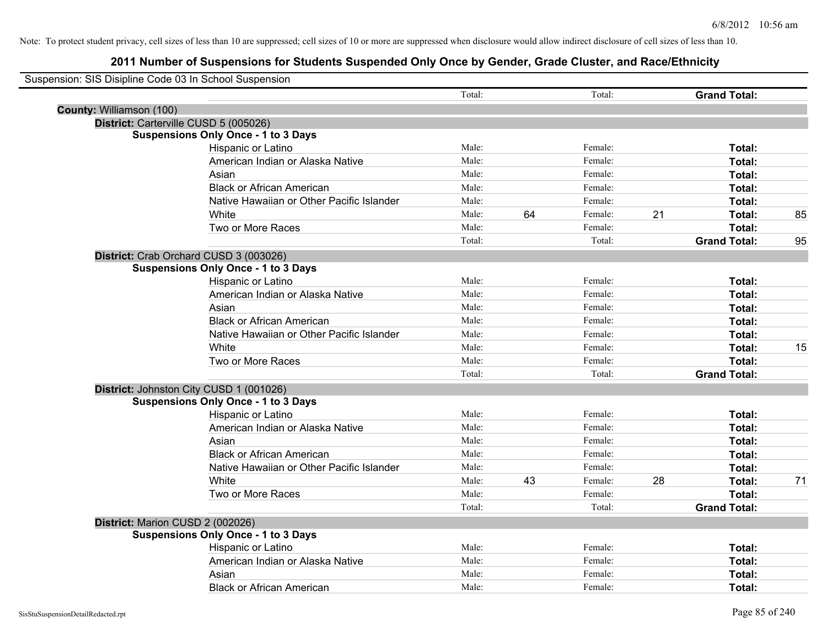| Suspension: SIS Disipline Code 03 In School Suspension |                                            |        |    |         |    |                     |    |
|--------------------------------------------------------|--------------------------------------------|--------|----|---------|----|---------------------|----|
|                                                        |                                            | Total: |    | Total:  |    | <b>Grand Total:</b> |    |
| County: Williamson (100)                               |                                            |        |    |         |    |                     |    |
|                                                        | District: Carterville CUSD 5 (005026)      |        |    |         |    |                     |    |
|                                                        | <b>Suspensions Only Once - 1 to 3 Days</b> |        |    |         |    |                     |    |
|                                                        | Hispanic or Latino                         | Male:  |    | Female: |    | Total:              |    |
|                                                        | American Indian or Alaska Native           | Male:  |    | Female: |    | Total:              |    |
|                                                        | Asian                                      | Male:  |    | Female: |    | Total:              |    |
|                                                        | <b>Black or African American</b>           | Male:  |    | Female: |    | Total:              |    |
|                                                        | Native Hawaiian or Other Pacific Islander  | Male:  |    | Female: |    | Total:              |    |
|                                                        | White                                      | Male:  | 64 | Female: | 21 | Total:              | 85 |
|                                                        | Two or More Races                          | Male:  |    | Female: |    | Total:              |    |
|                                                        |                                            | Total: |    | Total:  |    | <b>Grand Total:</b> | 95 |
|                                                        | District: Crab Orchard CUSD 3 (003026)     |        |    |         |    |                     |    |
|                                                        | <b>Suspensions Only Once - 1 to 3 Days</b> |        |    |         |    |                     |    |
|                                                        | Hispanic or Latino                         | Male:  |    | Female: |    | Total:              |    |
|                                                        | American Indian or Alaska Native           | Male:  |    | Female: |    | Total:              |    |
|                                                        | Asian                                      | Male:  |    | Female: |    | Total:              |    |
|                                                        | <b>Black or African American</b>           | Male:  |    | Female: |    | Total:              |    |
|                                                        | Native Hawaiian or Other Pacific Islander  | Male:  |    | Female: |    | Total:              |    |
|                                                        | White                                      | Male:  |    | Female: |    | Total:              | 15 |
|                                                        | Two or More Races                          | Male:  |    | Female: |    | Total:              |    |
|                                                        |                                            | Total: |    | Total:  |    | <b>Grand Total:</b> |    |
|                                                        | District: Johnston City CUSD 1 (001026)    |        |    |         |    |                     |    |
|                                                        | <b>Suspensions Only Once - 1 to 3 Days</b> |        |    |         |    |                     |    |
|                                                        | Hispanic or Latino                         | Male:  |    | Female: |    | Total:              |    |
|                                                        | American Indian or Alaska Native           | Male:  |    | Female: |    | Total:              |    |
|                                                        | Asian                                      | Male:  |    | Female: |    | Total:              |    |
|                                                        | <b>Black or African American</b>           | Male:  |    | Female: |    | Total:              |    |
|                                                        | Native Hawaiian or Other Pacific Islander  | Male:  |    | Female: |    | Total:              |    |
|                                                        | <b>White</b>                               | Male:  | 43 | Female: | 28 | Total:              | 71 |
|                                                        | Two or More Races                          | Male:  |    | Female: |    | Total:              |    |
|                                                        |                                            | Total: |    | Total:  |    | <b>Grand Total:</b> |    |
|                                                        | District: Marion CUSD 2 (002026)           |        |    |         |    |                     |    |
|                                                        | <b>Suspensions Only Once - 1 to 3 Days</b> |        |    |         |    |                     |    |
|                                                        | Hispanic or Latino                         | Male:  |    | Female: |    | Total:              |    |
|                                                        | American Indian or Alaska Native           | Male:  |    | Female: |    | Total:              |    |
|                                                        | Asian                                      | Male:  |    | Female: |    | Total:              |    |
|                                                        | <b>Black or African American</b>           | Male:  |    | Female: |    | Total:              |    |
|                                                        |                                            |        |    |         |    |                     |    |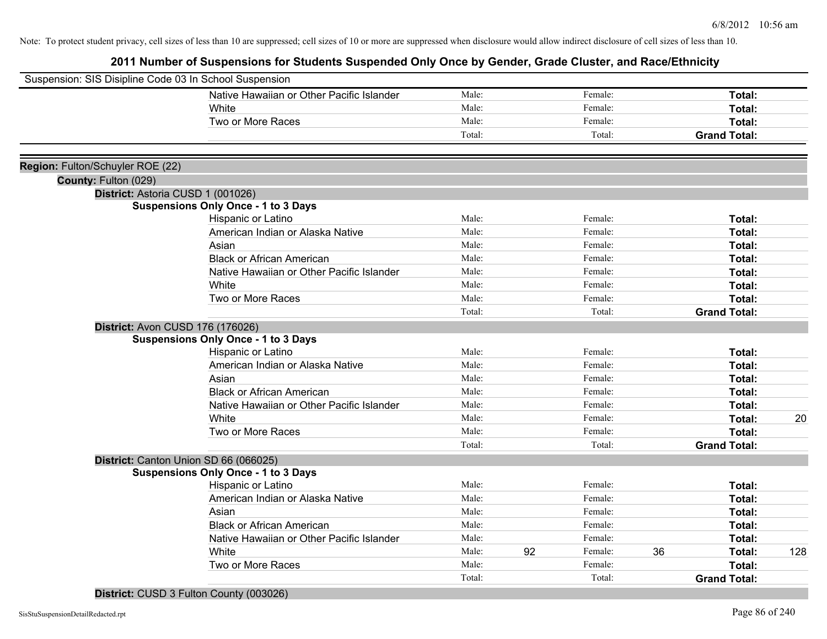| Suspension: SIS Disipline Code 03 In School Suspension |                                            |        |    |         |    |                     |     |
|--------------------------------------------------------|--------------------------------------------|--------|----|---------|----|---------------------|-----|
|                                                        | Native Hawaiian or Other Pacific Islander  | Male:  |    | Female: |    | Total:              |     |
|                                                        | White                                      | Male:  |    | Female: |    | Total:              |     |
|                                                        | Two or More Races                          | Male:  |    | Female: |    | Total:              |     |
|                                                        |                                            | Total: |    | Total:  |    | <b>Grand Total:</b> |     |
|                                                        |                                            |        |    |         |    |                     |     |
| Region: Fulton/Schuyler ROE (22)                       |                                            |        |    |         |    |                     |     |
| County: Fulton (029)                                   |                                            |        |    |         |    |                     |     |
| District: Astoria CUSD 1 (001026)                      |                                            |        |    |         |    |                     |     |
|                                                        | <b>Suspensions Only Once - 1 to 3 Days</b> |        |    |         |    |                     |     |
|                                                        | Hispanic or Latino                         | Male:  |    | Female: |    | Total:              |     |
|                                                        | American Indian or Alaska Native           | Male:  |    | Female: |    | Total:              |     |
|                                                        | Asian                                      | Male:  |    | Female: |    | Total:              |     |
|                                                        | <b>Black or African American</b>           | Male:  |    | Female: |    | Total:              |     |
|                                                        | Native Hawaiian or Other Pacific Islander  | Male:  |    | Female: |    | Total:              |     |
|                                                        | White                                      | Male:  |    | Female: |    | Total:              |     |
|                                                        | Two or More Races                          | Male:  |    | Female: |    | Total:              |     |
|                                                        |                                            | Total: |    | Total:  |    | <b>Grand Total:</b> |     |
| <b>District: Avon CUSD 176 (176026)</b>                |                                            |        |    |         |    |                     |     |
|                                                        | <b>Suspensions Only Once - 1 to 3 Days</b> |        |    |         |    |                     |     |
|                                                        | Hispanic or Latino                         | Male:  |    | Female: |    | Total:              |     |
|                                                        | American Indian or Alaska Native           | Male:  |    | Female: |    | Total:              |     |
|                                                        | Asian                                      | Male:  |    | Female: |    | Total:              |     |
|                                                        | <b>Black or African American</b>           | Male:  |    | Female: |    | Total:              |     |
|                                                        | Native Hawaiian or Other Pacific Islander  | Male:  |    | Female: |    | Total:              |     |
|                                                        | White                                      | Male:  |    | Female: |    | Total:              | 20  |
|                                                        | Two or More Races                          | Male:  |    | Female: |    | Total:              |     |
|                                                        |                                            | Total: |    | Total:  |    | <b>Grand Total:</b> |     |
|                                                        | District: Canton Union SD 66 (066025)      |        |    |         |    |                     |     |
|                                                        | <b>Suspensions Only Once - 1 to 3 Days</b> |        |    |         |    |                     |     |
|                                                        | Hispanic or Latino                         | Male:  |    | Female: |    | Total:              |     |
|                                                        | American Indian or Alaska Native           | Male:  |    | Female: |    | Total:              |     |
|                                                        | Asian                                      | Male:  |    | Female: |    | Total:              |     |
|                                                        | <b>Black or African American</b>           | Male:  |    | Female: |    | Total:              |     |
|                                                        | Native Hawaiian or Other Pacific Islander  | Male:  |    | Female: |    | Total:              |     |
|                                                        | White                                      | Male:  | 92 | Female: | 36 | Total:              | 128 |
|                                                        | Two or More Races                          | Male:  |    | Female: |    | Total:              |     |
|                                                        |                                            | Total: |    | Total:  |    | <b>Grand Total:</b> |     |
|                                                        |                                            |        |    |         |    |                     |     |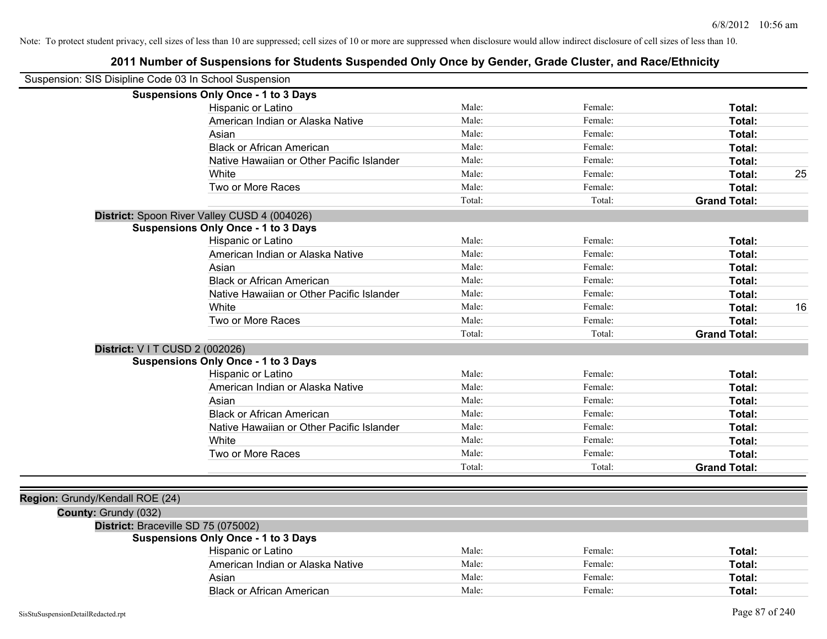| Suspension: SIS Disipline Code 03 In School Suspension |                                              |        |         |                     |
|--------------------------------------------------------|----------------------------------------------|--------|---------|---------------------|
|                                                        | <b>Suspensions Only Once - 1 to 3 Days</b>   |        |         |                     |
|                                                        | Hispanic or Latino                           | Male:  | Female: | Total:              |
|                                                        | American Indian or Alaska Native             | Male:  | Female: | Total:              |
|                                                        | Asian                                        | Male:  | Female: | Total:              |
|                                                        | <b>Black or African American</b>             | Male:  | Female: | Total:              |
|                                                        | Native Hawaiian or Other Pacific Islander    | Male:  | Female: | Total:              |
|                                                        | White                                        | Male:  | Female: | 25<br>Total:        |
|                                                        | Two or More Races                            | Male:  | Female: | Total:              |
|                                                        |                                              | Total: | Total:  | <b>Grand Total:</b> |
|                                                        | District: Spoon River Valley CUSD 4 (004026) |        |         |                     |
|                                                        | <b>Suspensions Only Once - 1 to 3 Days</b>   |        |         |                     |
|                                                        | Hispanic or Latino                           | Male:  | Female: | Total:              |
|                                                        | American Indian or Alaska Native             | Male:  | Female: | Total:              |
|                                                        | Asian                                        | Male:  | Female: | Total:              |
|                                                        | <b>Black or African American</b>             | Male:  | Female: | Total:              |
|                                                        | Native Hawaiian or Other Pacific Islander    | Male:  | Female: | Total:              |
|                                                        | White                                        | Male:  | Female: | 16<br><b>Total:</b> |
|                                                        | Two or More Races                            | Male:  | Female: | Total:              |
|                                                        |                                              | Total: | Total:  | <b>Grand Total:</b> |
|                                                        | <b>District:</b> V I T CUSD 2 (002026)       |        |         |                     |
|                                                        | <b>Suspensions Only Once - 1 to 3 Days</b>   |        |         |                     |
|                                                        | Hispanic or Latino                           | Male:  | Female: | Total:              |
|                                                        | American Indian or Alaska Native             | Male:  | Female: | Total:              |
|                                                        | Asian                                        | Male:  | Female: | Total:              |
|                                                        | <b>Black or African American</b>             | Male:  | Female: | Total:              |
|                                                        | Native Hawaiian or Other Pacific Islander    | Male:  | Female: | Total:              |
|                                                        | White                                        | Male:  | Female: | Total:              |
|                                                        | Two or More Races                            | Male:  | Female: | Total:              |
|                                                        |                                              | Total: | Total:  | <b>Grand Total:</b> |
|                                                        |                                              |        |         |                     |
| Region: Grundy/Kendall ROE (24)                        |                                              |        |         |                     |
| County: Grundy (032)                                   |                                              |        |         |                     |
|                                                        | District: Braceville SD 75 (075002)          |        |         |                     |
|                                                        | <b>Suspensions Only Once - 1 to 3 Days</b>   |        |         |                     |
|                                                        | Hispanic or Latino                           | Male:  | Female: | Total:              |
|                                                        | American Indian or Alaska Native             | Male:  | Female: | Total:              |
|                                                        | Asian                                        | Male:  | Female: | <b>Total:</b>       |
|                                                        | <b>Black or African American</b>             | Male:  | Female: | Total:              |
|                                                        |                                              |        |         |                     |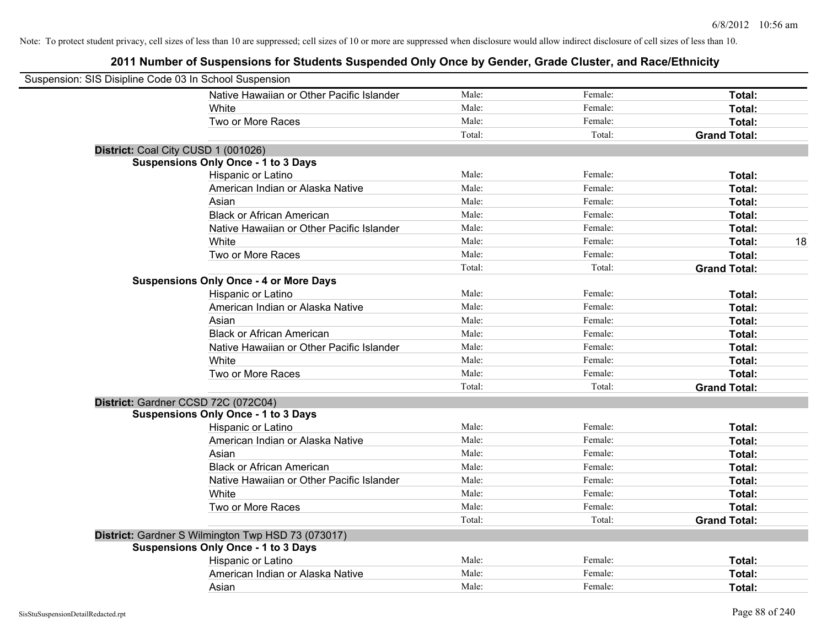| Suspension: SIS Disipline Code 03 In School Suspension |                                                    |        |         |                     |
|--------------------------------------------------------|----------------------------------------------------|--------|---------|---------------------|
|                                                        | Native Hawaiian or Other Pacific Islander          | Male:  | Female: | Total:              |
|                                                        | White                                              | Male:  | Female: | Total:              |
|                                                        | Two or More Races                                  | Male:  | Female: | Total:              |
|                                                        |                                                    | Total: | Total:  | <b>Grand Total:</b> |
| District: Coal City CUSD 1 (001026)                    |                                                    |        |         |                     |
|                                                        | <b>Suspensions Only Once - 1 to 3 Days</b>         |        |         |                     |
|                                                        | Hispanic or Latino                                 | Male:  | Female: | Total:              |
|                                                        | American Indian or Alaska Native                   | Male:  | Female: | Total:              |
|                                                        | Asian                                              | Male:  | Female: | Total:              |
|                                                        | <b>Black or African American</b>                   | Male:  | Female: | Total:              |
|                                                        | Native Hawaiian or Other Pacific Islander          | Male:  | Female: | Total:              |
|                                                        | White                                              | Male:  | Female: | 18<br>Total:        |
|                                                        | Two or More Races                                  | Male:  | Female: | Total:              |
|                                                        |                                                    | Total: | Total:  | <b>Grand Total:</b> |
|                                                        | <b>Suspensions Only Once - 4 or More Days</b>      |        |         |                     |
|                                                        | Hispanic or Latino                                 | Male:  | Female: | Total:              |
|                                                        | American Indian or Alaska Native                   | Male:  | Female: | Total:              |
|                                                        | Asian                                              | Male:  | Female: | Total:              |
|                                                        | <b>Black or African American</b>                   | Male:  | Female: | Total:              |
|                                                        | Native Hawaiian or Other Pacific Islander          | Male:  | Female: | Total:              |
|                                                        | White                                              | Male:  | Female: | Total:              |
|                                                        | Two or More Races                                  | Male:  | Female: | Total:              |
|                                                        |                                                    | Total: | Total:  | <b>Grand Total:</b> |
| District: Gardner CCSD 72C (072C04)                    |                                                    |        |         |                     |
|                                                        | <b>Suspensions Only Once - 1 to 3 Days</b>         |        |         |                     |
|                                                        | Hispanic or Latino                                 | Male:  | Female: | Total:              |
|                                                        | American Indian or Alaska Native                   | Male:  | Female: | Total:              |
|                                                        | Asian                                              | Male:  | Female: | Total:              |
|                                                        | <b>Black or African American</b>                   | Male:  | Female: | Total:              |
|                                                        | Native Hawaiian or Other Pacific Islander          | Male:  | Female: | Total:              |
|                                                        | White                                              | Male:  | Female: | Total:              |
|                                                        | Two or More Races                                  | Male:  | Female: | Total:              |
|                                                        |                                                    | Total: | Total:  | <b>Grand Total:</b> |
|                                                        | District: Gardner S Wilmington Twp HSD 73 (073017) |        |         |                     |
|                                                        | <b>Suspensions Only Once - 1 to 3 Days</b>         |        |         |                     |
|                                                        | Hispanic or Latino                                 | Male:  | Female: | Total:              |
|                                                        | American Indian or Alaska Native                   | Male:  | Female: | Total:              |
|                                                        | Asian                                              | Male:  | Female: | Total:              |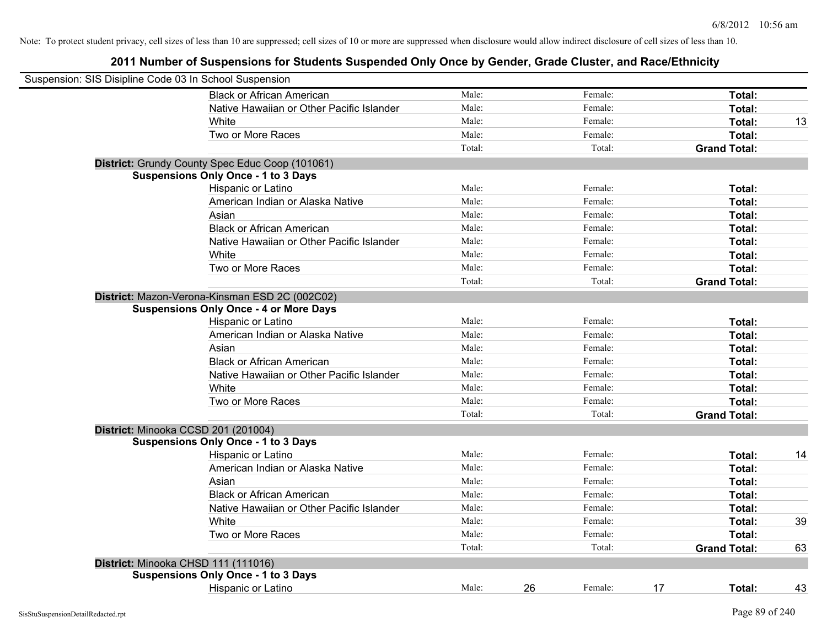| Suspension: SIS Disipline Code 03 In School Suspension |                                                 |        |    |         |    |                     |    |
|--------------------------------------------------------|-------------------------------------------------|--------|----|---------|----|---------------------|----|
|                                                        | <b>Black or African American</b>                | Male:  |    | Female: |    | Total:              |    |
|                                                        | Native Hawaiian or Other Pacific Islander       | Male:  |    | Female: |    | Total:              |    |
|                                                        | White                                           | Male:  |    | Female: |    | Total:              | 13 |
|                                                        | Two or More Races                               | Male:  |    | Female: |    | Total:              |    |
|                                                        |                                                 | Total: |    | Total:  |    | <b>Grand Total:</b> |    |
|                                                        | District: Grundy County Spec Educ Coop (101061) |        |    |         |    |                     |    |
|                                                        | <b>Suspensions Only Once - 1 to 3 Days</b>      |        |    |         |    |                     |    |
|                                                        | Hispanic or Latino                              | Male:  |    | Female: |    | Total:              |    |
|                                                        | American Indian or Alaska Native                | Male:  |    | Female: |    | Total:              |    |
|                                                        | Asian                                           | Male:  |    | Female: |    | Total:              |    |
|                                                        | <b>Black or African American</b>                | Male:  |    | Female: |    | Total:              |    |
|                                                        | Native Hawaiian or Other Pacific Islander       | Male:  |    | Female: |    | Total:              |    |
|                                                        | White                                           | Male:  |    | Female: |    | Total:              |    |
|                                                        | Two or More Races                               | Male:  |    | Female: |    | Total:              |    |
|                                                        |                                                 | Total: |    | Total:  |    | <b>Grand Total:</b> |    |
|                                                        | District: Mazon-Verona-Kinsman ESD 2C (002C02)  |        |    |         |    |                     |    |
|                                                        | <b>Suspensions Only Once - 4 or More Days</b>   |        |    |         |    |                     |    |
|                                                        | Hispanic or Latino                              | Male:  |    | Female: |    | Total:              |    |
|                                                        | American Indian or Alaska Native                | Male:  |    | Female: |    | Total:              |    |
|                                                        | Asian                                           | Male:  |    | Female: |    | Total:              |    |
|                                                        | <b>Black or African American</b>                | Male:  |    | Female: |    | Total:              |    |
|                                                        | Native Hawaiian or Other Pacific Islander       | Male:  |    | Female: |    | Total:              |    |
|                                                        | White                                           | Male:  |    | Female: |    | Total:              |    |
|                                                        | Two or More Races                               | Male:  |    | Female: |    | Total:              |    |
|                                                        |                                                 | Total: |    | Total:  |    | <b>Grand Total:</b> |    |
|                                                        | District: Minooka CCSD 201 (201004)             |        |    |         |    |                     |    |
|                                                        | <b>Suspensions Only Once - 1 to 3 Days</b>      |        |    |         |    |                     |    |
|                                                        | Hispanic or Latino                              | Male:  |    | Female: |    | Total:              | 14 |
|                                                        | American Indian or Alaska Native                | Male:  |    | Female: |    | Total:              |    |
|                                                        | Asian                                           | Male:  |    | Female: |    | Total:              |    |
|                                                        | <b>Black or African American</b>                | Male:  |    | Female: |    | Total:              |    |
|                                                        | Native Hawaiian or Other Pacific Islander       | Male:  |    | Female: |    | Total:              |    |
|                                                        | White                                           | Male:  |    | Female: |    | Total:              | 39 |
|                                                        | Two or More Races                               | Male:  |    | Female: |    | Total:              |    |
|                                                        |                                                 | Total: |    | Total:  |    | <b>Grand Total:</b> | 63 |
|                                                        | District: Minooka CHSD 111 (111016)             |        |    |         |    |                     |    |
|                                                        | <b>Suspensions Only Once - 1 to 3 Days</b>      |        |    |         |    |                     |    |
|                                                        | <b>Hispanic or Latino</b>                       | Male:  | 26 | Female: | 17 | Total:              | 43 |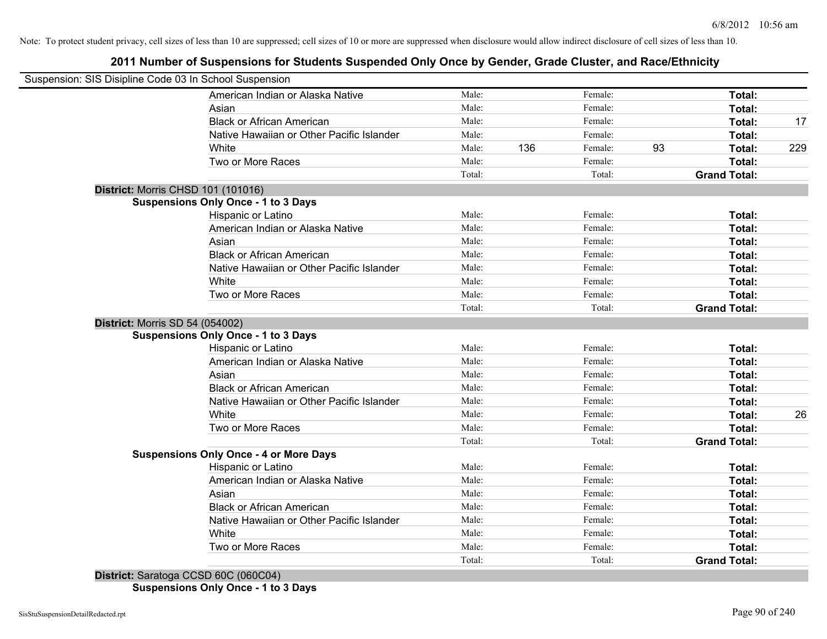# **2011 Number of Suspensions for Students Suspended Only Once by Gender, Grade Cluster, and Race/Ethnicity**

| Suspension: SIS Disipline Code 03 In School Suspension |        |     |         |    |                     |     |
|--------------------------------------------------------|--------|-----|---------|----|---------------------|-----|
| American Indian or Alaska Native                       | Male:  |     | Female: |    | Total:              |     |
| Asian                                                  | Male:  |     | Female: |    | Total:              |     |
| <b>Black or African American</b>                       | Male:  |     | Female: |    | Total:              | 17  |
| Native Hawaiian or Other Pacific Islander              | Male:  |     | Female: |    | Total:              |     |
| White                                                  | Male:  | 136 | Female: | 93 | Total:              | 229 |
| Two or More Races                                      | Male:  |     | Female: |    | Total:              |     |
|                                                        | Total: |     | Total:  |    | <b>Grand Total:</b> |     |
| District: Morris CHSD 101 (101016)                     |        |     |         |    |                     |     |
| <b>Suspensions Only Once - 1 to 3 Days</b>             |        |     |         |    |                     |     |
| Hispanic or Latino                                     | Male:  |     | Female: |    | Total:              |     |
| American Indian or Alaska Native                       | Male:  |     | Female: |    | Total:              |     |
| Asian                                                  | Male:  |     | Female: |    | Total:              |     |
| <b>Black or African American</b>                       | Male:  |     | Female: |    | Total:              |     |
| Native Hawaiian or Other Pacific Islander              | Male:  |     | Female: |    | Total:              |     |
| White                                                  | Male:  |     | Female: |    | Total:              |     |
| Two or More Races                                      | Male:  |     | Female: |    | Total:              |     |
|                                                        | Total: |     | Total:  |    | <b>Grand Total:</b> |     |
| District: Morris SD 54 (054002)                        |        |     |         |    |                     |     |
| <b>Suspensions Only Once - 1 to 3 Days</b>             |        |     |         |    |                     |     |
| Hispanic or Latino                                     | Male:  |     | Female: |    | Total:              |     |
| American Indian or Alaska Native                       | Male:  |     | Female: |    | Total:              |     |
| Asian                                                  | Male:  |     | Female: |    | Total:              |     |
| <b>Black or African American</b>                       | Male:  |     | Female: |    | Total:              |     |
| Native Hawaiian or Other Pacific Islander              | Male:  |     | Female: |    | Total:              |     |
| White                                                  | Male:  |     | Female: |    | Total:              | 26  |
| Two or More Races                                      | Male:  |     | Female: |    | Total:              |     |
|                                                        | Total: |     | Total:  |    | <b>Grand Total:</b> |     |
| <b>Suspensions Only Once - 4 or More Days</b>          |        |     |         |    |                     |     |
| Hispanic or Latino                                     | Male:  |     | Female: |    | Total:              |     |
| American Indian or Alaska Native                       | Male:  |     | Female: |    | Total:              |     |
| Asian                                                  | Male:  |     | Female: |    | Total:              |     |
| <b>Black or African American</b>                       | Male:  |     | Female: |    | Total:              |     |
| Native Hawaiian or Other Pacific Islander              | Male:  |     | Female: |    | Total:              |     |
| White                                                  | Male:  |     | Female: |    | Total:              |     |
| Two or More Races                                      | Male:  |     | Female: |    | Total:              |     |
| $D_{i}$ to the Canada on COCD COC (000004)             | Total: |     | Total:  |    | <b>Grand Total:</b> |     |

**District:** Saratoga CCSD 60C (060C04) **Suspensions Only Once - 1 to 3 Days**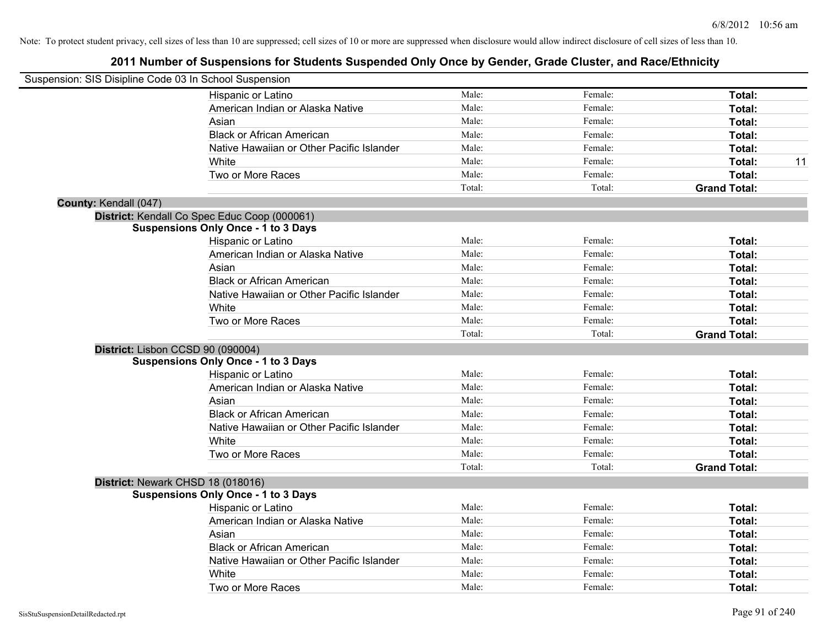| Suspension: SIS Disipline Code 03 In School Suspension |                                              |        |         |                     |    |
|--------------------------------------------------------|----------------------------------------------|--------|---------|---------------------|----|
|                                                        | Hispanic or Latino                           | Male:  | Female: | Total:              |    |
|                                                        | American Indian or Alaska Native             | Male:  | Female: | Total:              |    |
|                                                        | Asian                                        | Male:  | Female: | Total:              |    |
|                                                        | <b>Black or African American</b>             | Male:  | Female: | Total:              |    |
|                                                        | Native Hawaiian or Other Pacific Islander    | Male:  | Female: | Total:              |    |
|                                                        | White                                        | Male:  | Female: | Total:              | 11 |
|                                                        | Two or More Races                            | Male:  | Female: | Total:              |    |
|                                                        |                                              | Total: | Total:  | <b>Grand Total:</b> |    |
| County: Kendall (047)                                  |                                              |        |         |                     |    |
|                                                        | District: Kendall Co Spec Educ Coop (000061) |        |         |                     |    |
|                                                        | <b>Suspensions Only Once - 1 to 3 Days</b>   |        |         |                     |    |
|                                                        | Hispanic or Latino                           | Male:  | Female: | Total:              |    |
|                                                        | American Indian or Alaska Native             | Male:  | Female: | Total:              |    |
|                                                        | Asian                                        | Male:  | Female: | Total:              |    |
|                                                        | <b>Black or African American</b>             | Male:  | Female: | Total:              |    |
|                                                        | Native Hawaiian or Other Pacific Islander    | Male:  | Female: | Total:              |    |
|                                                        | White                                        | Male:  | Female: | Total:              |    |
|                                                        | Two or More Races                            | Male:  | Female: | Total:              |    |
|                                                        |                                              | Total: | Total:  | <b>Grand Total:</b> |    |
| District: Lisbon CCSD 90 (090004)                      |                                              |        |         |                     |    |
|                                                        | <b>Suspensions Only Once - 1 to 3 Days</b>   |        |         |                     |    |
|                                                        | Hispanic or Latino                           | Male:  | Female: | Total:              |    |
|                                                        | American Indian or Alaska Native             | Male:  | Female: | Total:              |    |
|                                                        | Asian                                        | Male:  | Female: | Total:              |    |
|                                                        | <b>Black or African American</b>             | Male:  | Female: | Total:              |    |
|                                                        | Native Hawaiian or Other Pacific Islander    | Male:  | Female: | Total:              |    |
|                                                        | White                                        | Male:  | Female: | Total:              |    |
|                                                        | Two or More Races                            | Male:  | Female: | Total:              |    |
|                                                        |                                              | Total: | Total:  | <b>Grand Total:</b> |    |
| District: Newark CHSD 18 (018016)                      |                                              |        |         |                     |    |
|                                                        | <b>Suspensions Only Once - 1 to 3 Days</b>   |        |         |                     |    |
|                                                        | Hispanic or Latino                           | Male:  | Female: | Total:              |    |
|                                                        | American Indian or Alaska Native             | Male:  | Female: | Total:              |    |
|                                                        | Asian                                        | Male:  | Female: | Total:              |    |
|                                                        | <b>Black or African American</b>             | Male:  | Female: | Total:              |    |
|                                                        | Native Hawaiian or Other Pacific Islander    | Male:  | Female: | Total:              |    |
|                                                        | White                                        | Male:  | Female: | Total:              |    |
|                                                        | Two or More Races                            | Male:  | Female: | Total:              |    |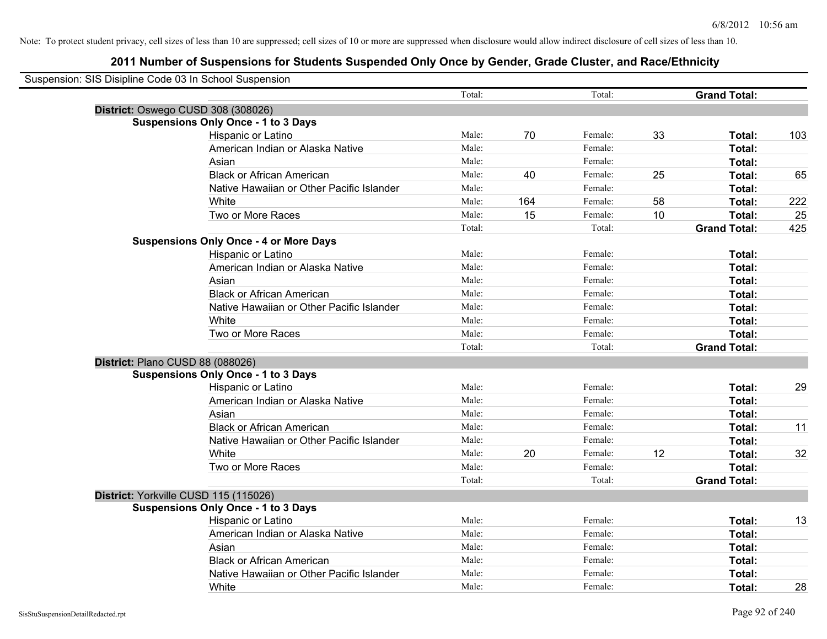| Suspension: SIS Disipline Code 03 In School Suspension |                                               |        |     |         |    |                     |     |
|--------------------------------------------------------|-----------------------------------------------|--------|-----|---------|----|---------------------|-----|
|                                                        |                                               | Total: |     | Total:  |    | <b>Grand Total:</b> |     |
|                                                        | District: Oswego CUSD 308 (308026)            |        |     |         |    |                     |     |
|                                                        | <b>Suspensions Only Once - 1 to 3 Days</b>    |        |     |         |    |                     |     |
|                                                        | Hispanic or Latino                            | Male:  | 70  | Female: | 33 | Total:              | 103 |
|                                                        | American Indian or Alaska Native              | Male:  |     | Female: |    | Total:              |     |
|                                                        | Asian                                         | Male:  |     | Female: |    | Total:              |     |
|                                                        | <b>Black or African American</b>              | Male:  | 40  | Female: | 25 | Total:              | 65  |
|                                                        | Native Hawaiian or Other Pacific Islander     | Male:  |     | Female: |    | Total:              |     |
|                                                        | White                                         | Male:  | 164 | Female: | 58 | Total:              | 222 |
|                                                        | Two or More Races                             | Male:  | 15  | Female: | 10 | Total:              | 25  |
|                                                        |                                               | Total: |     | Total:  |    | <b>Grand Total:</b> | 425 |
|                                                        | <b>Suspensions Only Once - 4 or More Days</b> |        |     |         |    |                     |     |
|                                                        | Hispanic or Latino                            | Male:  |     | Female: |    | Total:              |     |
|                                                        | American Indian or Alaska Native              | Male:  |     | Female: |    | Total:              |     |
|                                                        | Asian                                         | Male:  |     | Female: |    | Total:              |     |
|                                                        | <b>Black or African American</b>              | Male:  |     | Female: |    | Total:              |     |
|                                                        | Native Hawaiian or Other Pacific Islander     | Male:  |     | Female: |    | Total:              |     |
|                                                        | White                                         | Male:  |     | Female: |    | Total:              |     |
|                                                        | Two or More Races                             | Male:  |     | Female: |    | Total:              |     |
|                                                        |                                               | Total: |     | Total:  |    | <b>Grand Total:</b> |     |
|                                                        | District: Plano CUSD 88 (088026)              |        |     |         |    |                     |     |
|                                                        | <b>Suspensions Only Once - 1 to 3 Days</b>    |        |     |         |    |                     |     |
|                                                        | Hispanic or Latino                            | Male:  |     | Female: |    | Total:              | 29  |
|                                                        | American Indian or Alaska Native              | Male:  |     | Female: |    | Total:              |     |
|                                                        | Asian                                         | Male:  |     | Female: |    | Total:              |     |
|                                                        | <b>Black or African American</b>              | Male:  |     | Female: |    | Total:              | 11  |
|                                                        | Native Hawaiian or Other Pacific Islander     | Male:  |     | Female: |    | Total:              |     |
|                                                        | White                                         | Male:  | 20  | Female: | 12 | Total:              | 32  |
|                                                        | Two or More Races                             | Male:  |     | Female: |    | Total:              |     |
|                                                        |                                               | Total: |     | Total:  |    | <b>Grand Total:</b> |     |
|                                                        | District: Yorkville CUSD 115 (115026)         |        |     |         |    |                     |     |
|                                                        | <b>Suspensions Only Once - 1 to 3 Days</b>    |        |     |         |    |                     |     |
|                                                        | Hispanic or Latino                            | Male:  |     | Female: |    | Total:              | 13  |
|                                                        | American Indian or Alaska Native              | Male:  |     | Female: |    | Total:              |     |
|                                                        | Asian                                         | Male:  |     | Female: |    | Total:              |     |
|                                                        | <b>Black or African American</b>              | Male:  |     | Female: |    | Total:              |     |
|                                                        | Native Hawaiian or Other Pacific Islander     | Male:  |     | Female: |    | Total:              |     |
|                                                        | White                                         | Male:  |     | Female: |    | Total:              | 28  |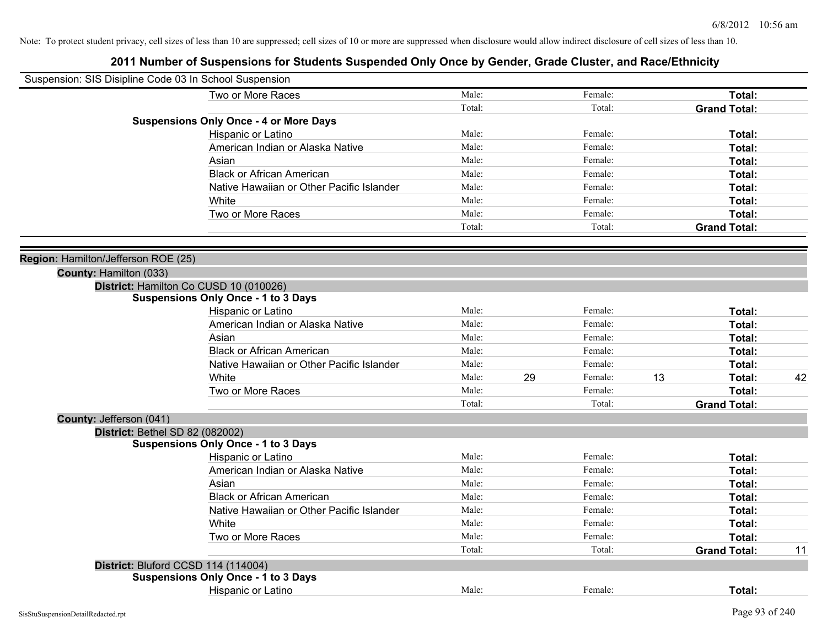| Suspension: SIS Disipline Code 03 In School Suspension     |                                               |        |               |                     |    |
|------------------------------------------------------------|-----------------------------------------------|--------|---------------|---------------------|----|
|                                                            | Two or More Races                             | Male:  | Female:       | Total:              |    |
|                                                            |                                               | Total: | Total:        | <b>Grand Total:</b> |    |
|                                                            | <b>Suspensions Only Once - 4 or More Days</b> |        |               |                     |    |
|                                                            | Hispanic or Latino                            | Male:  | Female:       | Total:              |    |
|                                                            | American Indian or Alaska Native              | Male:  | Female:       | Total:              |    |
|                                                            | Asian                                         | Male:  | Female:       | Total:              |    |
|                                                            | <b>Black or African American</b>              | Male:  | Female:       | Total:              |    |
|                                                            | Native Hawaiian or Other Pacific Islander     | Male:  | Female:       | Total:              |    |
|                                                            | White                                         | Male:  | Female:       | Total:              |    |
|                                                            | Two or More Races                             | Male:  | Female:       | Total:              |    |
|                                                            |                                               | Total: | Total:        | <b>Grand Total:</b> |    |
|                                                            |                                               |        |               |                     |    |
| Region: Hamilton/Jefferson ROE (25)                        |                                               |        |               |                     |    |
| County: Hamilton (033)                                     |                                               |        |               |                     |    |
|                                                            | District: Hamilton Co CUSD 10 (010026)        |        |               |                     |    |
|                                                            | <b>Suspensions Only Once - 1 to 3 Days</b>    |        |               |                     |    |
|                                                            | Hispanic or Latino                            | Male:  | Female:       | Total:              |    |
|                                                            | American Indian or Alaska Native              | Male:  | Female:       | Total:              |    |
|                                                            | Asian                                         | Male:  | Female:       | Total:              |    |
|                                                            | <b>Black or African American</b>              | Male:  | Female:       | Total:              |    |
|                                                            | Native Hawaiian or Other Pacific Islander     | Male:  | Female:       | Total:              |    |
|                                                            | White                                         | Male:  | 29<br>Female: | 13<br>Total:        | 42 |
|                                                            | Two or More Races                             | Male:  | Female:       | Total:              |    |
|                                                            |                                               | Total: | Total:        | <b>Grand Total:</b> |    |
| County: Jefferson (041)<br>District: Bethel SD 82 (082002) |                                               |        |               |                     |    |
|                                                            | <b>Suspensions Only Once - 1 to 3 Days</b>    |        |               |                     |    |
|                                                            | Hispanic or Latino                            | Male:  | Female:       | Total:              |    |
|                                                            | American Indian or Alaska Native              | Male:  | Female:       | Total:              |    |
|                                                            | Asian                                         | Male:  | Female:       | Total:              |    |
|                                                            | <b>Black or African American</b>              | Male:  | Female:       | Total:              |    |
|                                                            | Native Hawaiian or Other Pacific Islander     | Male:  | Female:       | Total:              |    |
|                                                            | White                                         | Male:  | Female:       | Total:              |    |
|                                                            | Two or More Races                             | Male:  | Female:       | Total:              |    |
|                                                            |                                               | Total: | Total:        | <b>Grand Total:</b> | 11 |
|                                                            | District: Bluford CCSD 114 (114004)           |        |               |                     |    |
|                                                            | <b>Suspensions Only Once - 1 to 3 Days</b>    |        |               |                     |    |
|                                                            | Hispanic or Latino                            | Male:  | Female:       | Total:              |    |
|                                                            |                                               |        |               |                     |    |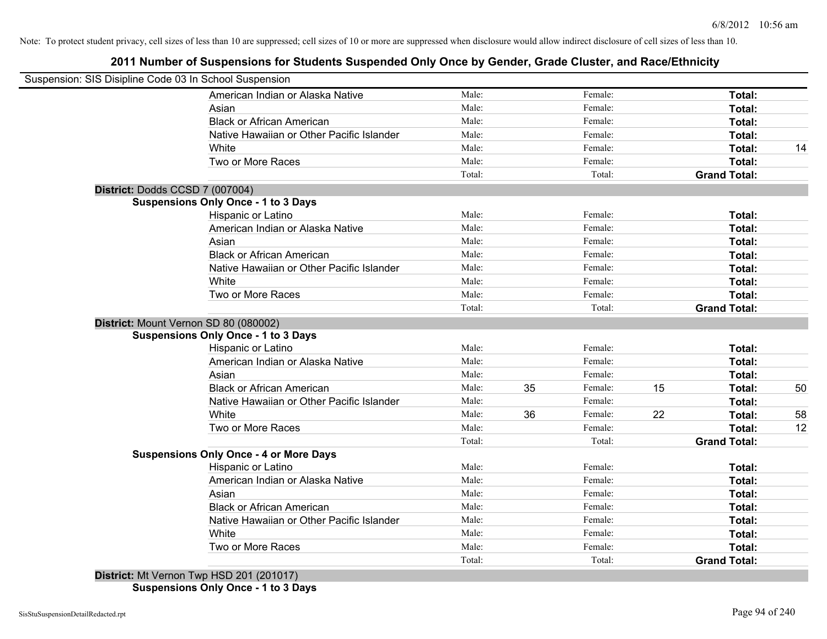# **2011 Number of Suspensions for Students Suspended Only Once by Gender, Grade Cluster, and Race/Ethnicity**

| Suspension: SIS Disipline Code 03 In School Suspension |        |    |         |    |                     |    |
|--------------------------------------------------------|--------|----|---------|----|---------------------|----|
| American Indian or Alaska Native                       | Male:  |    | Female: |    | Total:              |    |
| Asian                                                  | Male:  |    | Female: |    | Total:              |    |
| <b>Black or African American</b>                       | Male:  |    | Female: |    | Total:              |    |
| Native Hawaiian or Other Pacific Islander              | Male:  |    | Female: |    | Total:              |    |
| White                                                  | Male:  |    | Female: |    | Total:              | 14 |
| Two or More Races                                      | Male:  |    | Female: |    | Total:              |    |
|                                                        | Total: |    | Total:  |    | <b>Grand Total:</b> |    |
| District: Dodds CCSD 7 (007004)                        |        |    |         |    |                     |    |
| <b>Suspensions Only Once - 1 to 3 Days</b>             |        |    |         |    |                     |    |
| Hispanic or Latino                                     | Male:  |    | Female: |    | Total:              |    |
| American Indian or Alaska Native                       | Male:  |    | Female: |    | Total:              |    |
| Asian                                                  | Male:  |    | Female: |    | Total:              |    |
| <b>Black or African American</b>                       | Male:  |    | Female: |    | Total:              |    |
| Native Hawaiian or Other Pacific Islander              | Male:  |    | Female: |    | Total:              |    |
| White                                                  | Male:  |    | Female: |    | Total:              |    |
| Two or More Races                                      | Male:  |    | Female: |    | Total:              |    |
|                                                        | Total: |    | Total:  |    | <b>Grand Total:</b> |    |
| District: Mount Vernon SD 80 (080002)                  |        |    |         |    |                     |    |
| <b>Suspensions Only Once - 1 to 3 Days</b>             |        |    |         |    |                     |    |
| Hispanic or Latino                                     | Male:  |    | Female: |    | Total:              |    |
| American Indian or Alaska Native                       | Male:  |    | Female: |    | Total:              |    |
| Asian                                                  | Male:  |    | Female: |    | Total:              |    |
| <b>Black or African American</b>                       | Male:  | 35 | Female: | 15 | Total:              | 50 |
| Native Hawaiian or Other Pacific Islander              | Male:  |    | Female: |    | Total:              |    |
| White                                                  | Male:  | 36 | Female: | 22 | <b>Total:</b>       | 58 |
| Two or More Races                                      | Male:  |    | Female: |    | Total:              | 12 |
|                                                        | Total: |    | Total:  |    | <b>Grand Total:</b> |    |
| <b>Suspensions Only Once - 4 or More Days</b>          |        |    |         |    |                     |    |
| Hispanic or Latino                                     | Male:  |    | Female: |    | Total:              |    |
| American Indian or Alaska Native                       | Male:  |    | Female: |    | Total:              |    |
| Asian                                                  | Male:  |    | Female: |    | Total:              |    |
| <b>Black or African American</b>                       | Male:  |    | Female: |    | Total:              |    |
| Native Hawaiian or Other Pacific Islander              | Male:  |    | Female: |    | Total:              |    |
| White                                                  | Male:  |    | Female: |    | Total:              |    |
| Two or More Races                                      | Male:  |    | Female: |    | Total:              |    |
| $D_{i}$ $(0.04047)$                                    | Total: |    | Total:  |    | <b>Grand Total:</b> |    |

**District:** Mt Vernon Twp HSD 201 (201017)

**Suspensions Only Once - 1 to 3 Days**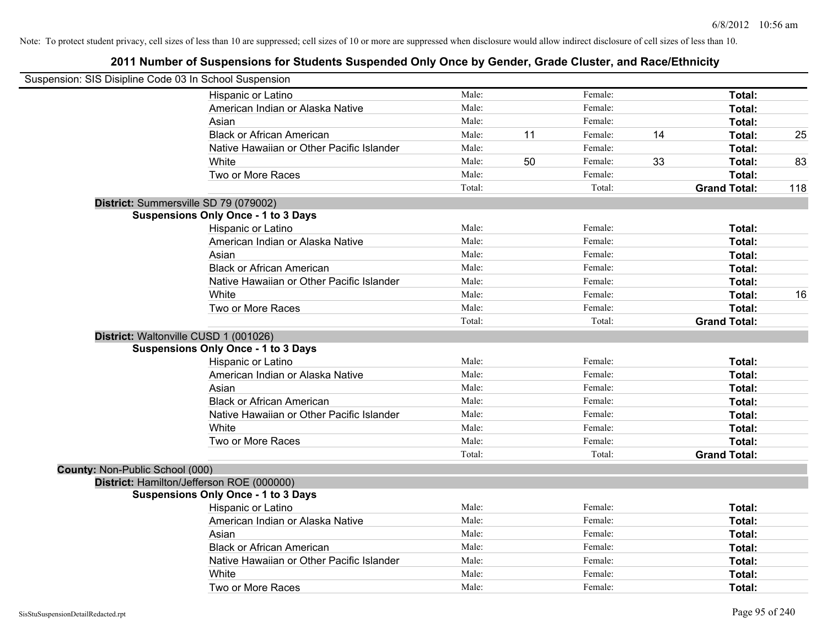|                                 | Suspension: SIS Disipline Code 03 In School Suspension |        |    |         |    |                     |     |
|---------------------------------|--------------------------------------------------------|--------|----|---------|----|---------------------|-----|
|                                 | Hispanic or Latino                                     | Male:  |    | Female: |    | Total:              |     |
|                                 | American Indian or Alaska Native                       | Male:  |    | Female: |    | Total:              |     |
|                                 | Asian                                                  | Male:  |    | Female: |    | Total:              |     |
|                                 | <b>Black or African American</b>                       | Male:  | 11 | Female: | 14 | Total:              | 25  |
|                                 | Native Hawaiian or Other Pacific Islander              | Male:  |    | Female: |    | Total:              |     |
|                                 | White                                                  | Male:  | 50 | Female: | 33 | Total:              | 83  |
|                                 | Two or More Races                                      | Male:  |    | Female: |    | Total:              |     |
|                                 |                                                        | Total: |    | Total:  |    | <b>Grand Total:</b> | 118 |
|                                 | District: Summersville SD 79 (079002)                  |        |    |         |    |                     |     |
|                                 | <b>Suspensions Only Once - 1 to 3 Days</b>             |        |    |         |    |                     |     |
|                                 | Hispanic or Latino                                     | Male:  |    | Female: |    | Total:              |     |
|                                 | American Indian or Alaska Native                       | Male:  |    | Female: |    | Total:              |     |
|                                 | Asian                                                  | Male:  |    | Female: |    | Total:              |     |
|                                 | <b>Black or African American</b>                       | Male:  |    | Female: |    | Total:              |     |
|                                 | Native Hawaiian or Other Pacific Islander              | Male:  |    | Female: |    | Total:              |     |
|                                 | White                                                  | Male:  |    | Female: |    | Total:              | 16  |
|                                 | Two or More Races                                      | Male:  |    | Female: |    | Total:              |     |
|                                 |                                                        | Total: |    | Total:  |    | <b>Grand Total:</b> |     |
|                                 | District: Waltonville CUSD 1 (001026)                  |        |    |         |    |                     |     |
|                                 | <b>Suspensions Only Once - 1 to 3 Days</b>             |        |    |         |    |                     |     |
|                                 | Hispanic or Latino                                     | Male:  |    | Female: |    | Total:              |     |
|                                 | American Indian or Alaska Native                       | Male:  |    | Female: |    | Total:              |     |
|                                 | Asian                                                  | Male:  |    | Female: |    | Total:              |     |
|                                 | <b>Black or African American</b>                       | Male:  |    | Female: |    | Total:              |     |
|                                 | Native Hawaiian or Other Pacific Islander              | Male:  |    | Female: |    | Total:              |     |
|                                 | White                                                  | Male:  |    | Female: |    | Total:              |     |
|                                 | Two or More Races                                      | Male:  |    | Female: |    | Total:              |     |
|                                 |                                                        | Total: |    | Total:  |    | <b>Grand Total:</b> |     |
| County: Non-Public School (000) |                                                        |        |    |         |    |                     |     |
|                                 | District: Hamilton/Jefferson ROE (000000)              |        |    |         |    |                     |     |
|                                 | <b>Suspensions Only Once - 1 to 3 Days</b>             |        |    |         |    |                     |     |
|                                 | Hispanic or Latino                                     | Male:  |    | Female: |    | Total:              |     |
|                                 | American Indian or Alaska Native                       | Male:  |    | Female: |    | Total:              |     |
|                                 | Asian                                                  | Male:  |    | Female: |    | Total:              |     |
|                                 | <b>Black or African American</b>                       | Male:  |    | Female: |    | Total:              |     |
|                                 | Native Hawaiian or Other Pacific Islander              | Male:  |    | Female: |    | Total:              |     |
|                                 | White                                                  | Male:  |    | Female: |    | Total:              |     |
|                                 | Two or More Races                                      | Male:  |    | Female: |    | Total:              |     |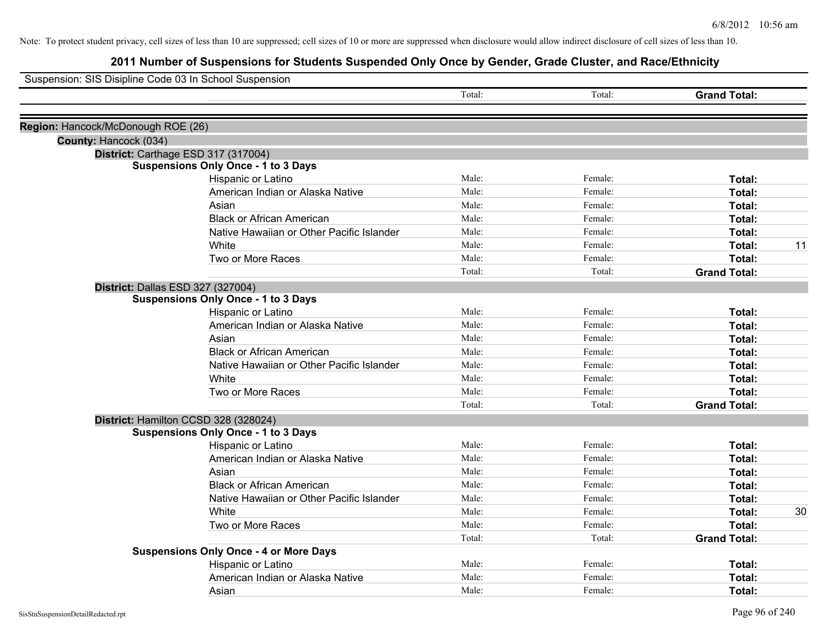| Suspension: SIS Disipline Code 03 In School Suspension |                                                        |        |         |                     |    |
|--------------------------------------------------------|--------------------------------------------------------|--------|---------|---------------------|----|
|                                                        |                                                        | Total: | Total:  | <b>Grand Total:</b> |    |
|                                                        |                                                        |        |         |                     |    |
| Region: Hancock/McDonough ROE (26)                     |                                                        |        |         |                     |    |
| County: Hancock (034)                                  |                                                        |        |         |                     |    |
|                                                        | District: Carthage ESD 317 (317004)                    |        |         |                     |    |
|                                                        | <b>Suspensions Only Once - 1 to 3 Days</b>             | Male:  | Female: |                     |    |
|                                                        | Hispanic or Latino                                     | Male:  | Female: | Total:<br>Total:    |    |
|                                                        | American Indian or Alaska Native                       | Male:  | Female: |                     |    |
|                                                        | Asian<br><b>Black or African American</b>              | Male:  | Female: | Total:              |    |
|                                                        |                                                        | Male:  | Female: | Total:              |    |
|                                                        | Native Hawaiian or Other Pacific Islander<br>White     | Male:  | Female: | Total:              |    |
|                                                        |                                                        | Male:  | Female: | Total:<br>Total:    | 11 |
|                                                        | Two or More Races                                      | Total: | Total:  | <b>Grand Total:</b> |    |
|                                                        |                                                        |        |         |                     |    |
|                                                        | District: Dallas ESD 327 (327004)                      |        |         |                     |    |
|                                                        | <b>Suspensions Only Once - 1 to 3 Days</b>             | Male:  | Female: | Total:              |    |
|                                                        | Hispanic or Latino<br>American Indian or Alaska Native | Male:  | Female: | Total:              |    |
|                                                        | Asian                                                  | Male:  | Female: |                     |    |
|                                                        | <b>Black or African American</b>                       | Male:  | Female: | Total:              |    |
|                                                        | Native Hawaiian or Other Pacific Islander              | Male:  | Female: | Total:              |    |
|                                                        | White                                                  | Male:  | Female: | Total:              |    |
|                                                        | Two or More Races                                      |        |         | Total:              |    |
|                                                        |                                                        | Male:  | Female: | Total:              |    |
|                                                        |                                                        | Total: | Total:  | <b>Grand Total:</b> |    |
|                                                        | District: Hamilton CCSD 328 (328024)                   |        |         |                     |    |
|                                                        | <b>Suspensions Only Once - 1 to 3 Days</b>             | Male:  | Female: |                     |    |
|                                                        | Hispanic or Latino                                     | Male:  |         | Total:              |    |
|                                                        | American Indian or Alaska Native                       |        | Female: | Total:              |    |
|                                                        | Asian                                                  | Male:  | Female: | Total:              |    |
|                                                        | <b>Black or African American</b>                       | Male:  | Female: | Total:              |    |
|                                                        | Native Hawaiian or Other Pacific Islander              | Male:  | Female: | Total:              |    |
|                                                        | White                                                  | Male:  | Female: | Total:              | 30 |
|                                                        | Two or More Races                                      | Male:  | Female: | Total:              |    |
|                                                        |                                                        | Total: | Total:  | <b>Grand Total:</b> |    |
|                                                        | <b>Suspensions Only Once - 4 or More Days</b>          | Male:  | Female: | Total:              |    |
|                                                        | Hispanic or Latino<br>American Indian or Alaska Native | Male:  | Female: | Total:              |    |
|                                                        |                                                        | Male:  | Female: |                     |    |
|                                                        | Asian                                                  |        |         | Total:              |    |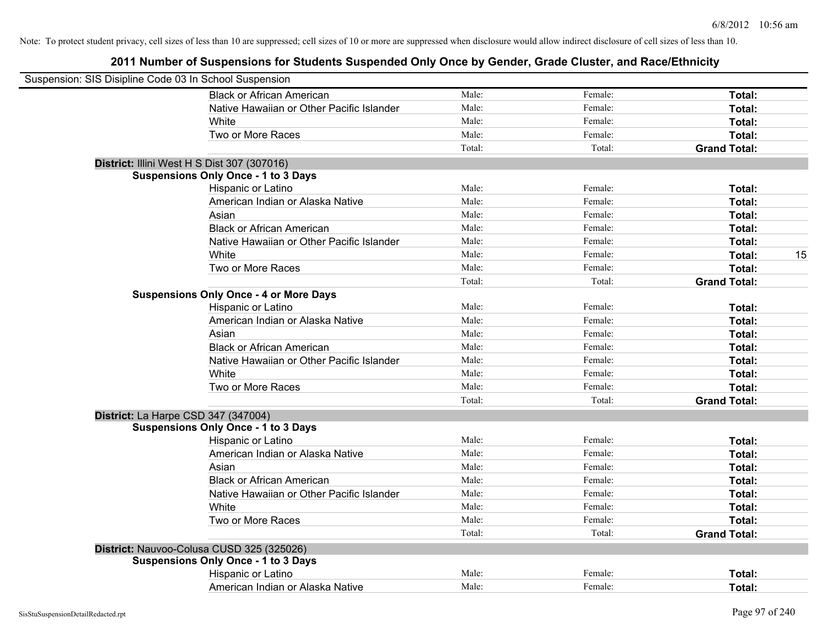| Suspension: SIS Disipline Code 03 In School Suspension |                                               |        |         |                     |
|--------------------------------------------------------|-----------------------------------------------|--------|---------|---------------------|
|                                                        | <b>Black or African American</b>              | Male:  | Female: | Total:              |
|                                                        | Native Hawaiian or Other Pacific Islander     | Male:  | Female: | Total:              |
|                                                        | White                                         | Male:  | Female: | Total:              |
|                                                        | Two or More Races                             | Male:  | Female: | Total:              |
|                                                        |                                               | Total: | Total:  | <b>Grand Total:</b> |
|                                                        | District: Illini West H S Dist 307 (307016)   |        |         |                     |
|                                                        | <b>Suspensions Only Once - 1 to 3 Days</b>    |        |         |                     |
|                                                        | Hispanic or Latino                            | Male:  | Female: | Total:              |
|                                                        | American Indian or Alaska Native              | Male:  | Female: | Total:              |
|                                                        | Asian                                         | Male:  | Female: | Total:              |
|                                                        | <b>Black or African American</b>              | Male:  | Female: | Total:              |
|                                                        | Native Hawaiian or Other Pacific Islander     | Male:  | Female: | Total:              |
|                                                        | White                                         | Male:  | Female: | 15<br>Total:        |
|                                                        | Two or More Races                             | Male:  | Female: | Total:              |
|                                                        |                                               | Total: | Total:  | <b>Grand Total:</b> |
|                                                        | <b>Suspensions Only Once - 4 or More Days</b> |        |         |                     |
|                                                        | Hispanic or Latino                            | Male:  | Female: | Total:              |
|                                                        | American Indian or Alaska Native              | Male:  | Female: | Total:              |
|                                                        | Asian                                         | Male:  | Female: | Total:              |
|                                                        | <b>Black or African American</b>              | Male:  | Female: | Total:              |
|                                                        | Native Hawaiian or Other Pacific Islander     | Male:  | Female: | Total:              |
|                                                        | White                                         | Male:  | Female: | Total:              |
|                                                        | Two or More Races                             | Male:  | Female: | Total:              |
|                                                        |                                               | Total: | Total:  | <b>Grand Total:</b> |
| District: La Harpe CSD 347 (347004)                    |                                               |        |         |                     |
|                                                        | <b>Suspensions Only Once - 1 to 3 Days</b>    |        |         |                     |
|                                                        | Hispanic or Latino                            | Male:  | Female: | Total:              |
|                                                        | American Indian or Alaska Native              | Male:  | Female: | Total:              |
|                                                        | Asian                                         | Male:  | Female: | Total:              |
|                                                        | <b>Black or African American</b>              | Male:  | Female: | Total:              |
|                                                        | Native Hawaiian or Other Pacific Islander     | Male:  | Female: | Total:              |
|                                                        | White                                         | Male:  | Female: | Total:              |
|                                                        | Two or More Races                             | Male:  | Female: | Total:              |
|                                                        |                                               | Total: | Total:  | <b>Grand Total:</b> |
|                                                        | District: Nauvoo-Colusa CUSD 325 (325026)     |        |         |                     |
|                                                        | <b>Suspensions Only Once - 1 to 3 Days</b>    |        |         |                     |
|                                                        | Hispanic or Latino                            | Male:  | Female: | <b>Total:</b>       |
|                                                        | American Indian or Alaska Native              | Male:  | Female: | Total:              |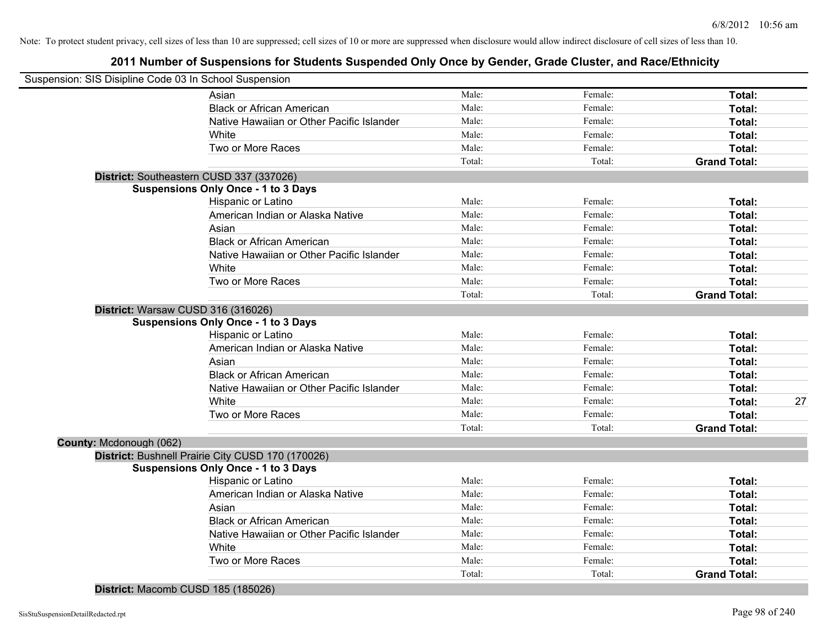# **2011 Number of Suspensions for Students Suspended Only Once by Gender, Grade Cluster, and Race/Ethnicity**

| Suspension: SIS Disipline Code 03 In School Suspension |                                                   |        |         |                     |    |
|--------------------------------------------------------|---------------------------------------------------|--------|---------|---------------------|----|
|                                                        | Asian                                             | Male:  | Female: | Total:              |    |
|                                                        | <b>Black or African American</b>                  | Male:  | Female: | Total:              |    |
|                                                        | Native Hawaiian or Other Pacific Islander         | Male:  | Female: | Total:              |    |
|                                                        | White                                             | Male:  | Female: | Total:              |    |
|                                                        | Two or More Races                                 | Male:  | Female: | <b>Total:</b>       |    |
|                                                        |                                                   | Total: | Total:  | <b>Grand Total:</b> |    |
|                                                        | District: Southeastern CUSD 337 (337026)          |        |         |                     |    |
|                                                        | <b>Suspensions Only Once - 1 to 3 Days</b>        |        |         |                     |    |
|                                                        | Hispanic or Latino                                | Male:  | Female: | Total:              |    |
|                                                        | American Indian or Alaska Native                  | Male:  | Female: | Total:              |    |
|                                                        | Asian                                             | Male:  | Female: | Total:              |    |
|                                                        | <b>Black or African American</b>                  | Male:  | Female: | Total:              |    |
|                                                        | Native Hawaiian or Other Pacific Islander         | Male:  | Female: | Total:              |    |
|                                                        | White                                             | Male:  | Female: | Total:              |    |
|                                                        | Two or More Races                                 | Male:  | Female: | <b>Total:</b>       |    |
|                                                        |                                                   | Total: | Total:  | <b>Grand Total:</b> |    |
|                                                        | District: Warsaw CUSD 316 (316026)                |        |         |                     |    |
|                                                        | <b>Suspensions Only Once - 1 to 3 Days</b>        |        |         |                     |    |
|                                                        | Hispanic or Latino                                | Male:  | Female: | Total:              |    |
|                                                        | American Indian or Alaska Native                  | Male:  | Female: | Total:              |    |
|                                                        | Asian                                             | Male:  | Female: | Total:              |    |
|                                                        | <b>Black or African American</b>                  | Male:  | Female: | Total:              |    |
|                                                        | Native Hawaiian or Other Pacific Islander         | Male:  | Female: | Total:              |    |
|                                                        | White                                             | Male:  | Female: | Total:              | 27 |
|                                                        | Two or More Races                                 | Male:  | Female: | <b>Total:</b>       |    |
|                                                        |                                                   | Total: | Total:  | <b>Grand Total:</b> |    |
| County: Mcdonough (062)                                |                                                   |        |         |                     |    |
|                                                        | District: Bushnell Prairie City CUSD 170 (170026) |        |         |                     |    |
|                                                        | <b>Suspensions Only Once - 1 to 3 Days</b>        |        |         |                     |    |
|                                                        | Hispanic or Latino                                | Male:  | Female: | Total:              |    |
|                                                        | American Indian or Alaska Native                  | Male:  | Female: | Total:              |    |
|                                                        | Asian                                             | Male:  | Female: | Total:              |    |
|                                                        | <b>Black or African American</b>                  | Male:  | Female: | Total:              |    |
|                                                        | Native Hawaiian or Other Pacific Islander         | Male:  | Female: | Total:              |    |
|                                                        | White                                             | Male:  | Female: | Total:              |    |
|                                                        | Two or More Races                                 | Male:  | Female: | <b>Total:</b>       |    |
|                                                        |                                                   | Total: | Total:  | <b>Grand Total:</b> |    |
|                                                        |                                                   |        |         |                     |    |

**District:** Macomb CUSD 185 (185026)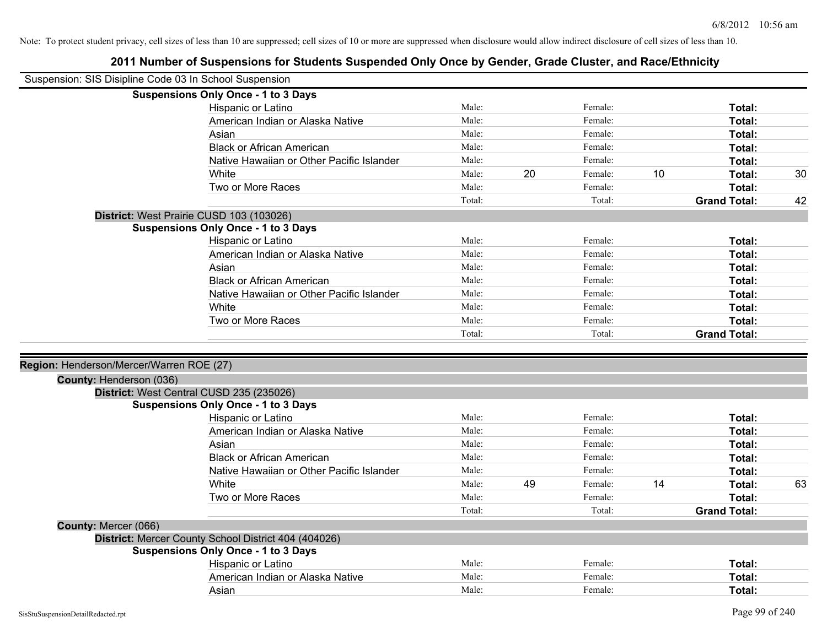| Suspension: SIS Disipline Code 03 In School Suspension |                                                        |        |    |         |    |                     |    |
|--------------------------------------------------------|--------------------------------------------------------|--------|----|---------|----|---------------------|----|
|                                                        | <b>Suspensions Only Once - 1 to 3 Days</b>             |        |    |         |    |                     |    |
|                                                        | Hispanic or Latino                                     | Male:  |    | Female: |    | Total:              |    |
|                                                        | American Indian or Alaska Native                       | Male:  |    | Female: |    | Total:              |    |
|                                                        | Asian                                                  | Male:  |    | Female: |    | Total:              |    |
|                                                        | <b>Black or African American</b>                       | Male:  |    | Female: |    | Total:              |    |
|                                                        | Native Hawaiian or Other Pacific Islander              | Male:  |    | Female: |    | Total:              |    |
|                                                        | White                                                  | Male:  | 20 | Female: | 10 | Total:              | 30 |
|                                                        | Two or More Races                                      | Male:  |    | Female: |    | Total:              |    |
|                                                        |                                                        | Total: |    | Total:  |    | <b>Grand Total:</b> | 42 |
|                                                        | District: West Prairie CUSD 103 (103026)               |        |    |         |    |                     |    |
|                                                        | <b>Suspensions Only Once - 1 to 3 Days</b>             |        |    |         |    |                     |    |
|                                                        | Hispanic or Latino                                     | Male:  |    | Female: |    | Total:              |    |
|                                                        | American Indian or Alaska Native                       | Male:  |    | Female: |    | Total:              |    |
|                                                        | Asian                                                  | Male:  |    | Female: |    | Total:              |    |
|                                                        | <b>Black or African American</b>                       | Male:  |    | Female: |    | Total:              |    |
|                                                        | Native Hawaiian or Other Pacific Islander              | Male:  |    | Female: |    | Total:              |    |
|                                                        | White                                                  | Male:  |    | Female: |    | Total:              |    |
|                                                        | Two or More Races                                      | Male:  |    | Female: |    | <b>Total:</b>       |    |
|                                                        |                                                        | Total: |    | Total:  |    | <b>Grand Total:</b> |    |
|                                                        |                                                        |        |    |         |    |                     |    |
| Region: Henderson/Mercer/Warren ROE (27)               |                                                        |        |    |         |    |                     |    |
| County: Henderson (036)                                |                                                        |        |    |         |    |                     |    |
|                                                        | District: West Central CUSD 235 (235026)               |        |    |         |    |                     |    |
|                                                        | <b>Suspensions Only Once - 1 to 3 Days</b>             |        |    |         |    |                     |    |
|                                                        | Hispanic or Latino                                     | Male:  |    | Female: |    | Total:              |    |
|                                                        | American Indian or Alaska Native                       | Male:  |    | Female: |    | Total:              |    |
|                                                        | Asian                                                  | Male:  |    | Female: |    | Total:              |    |
|                                                        | <b>Black or African American</b>                       | Male:  |    | Female: |    | Total:              |    |
|                                                        | Native Hawaiian or Other Pacific Islander              | Male:  |    | Female: |    | Total:              |    |
|                                                        | White                                                  | Male:  | 49 | Female: | 14 | Total:              | 63 |
|                                                        | Two or More Races                                      | Male:  |    | Female: |    | <b>Total:</b>       |    |
|                                                        |                                                        | Total: |    | Total:  |    | <b>Grand Total:</b> |    |
|                                                        |                                                        |        |    |         |    |                     |    |
|                                                        |                                                        |        |    |         |    |                     |    |
| County: Mercer (066)                                   |                                                        |        |    |         |    |                     |    |
|                                                        | District: Mercer County School District 404 (404026)   |        |    |         |    |                     |    |
|                                                        | <b>Suspensions Only Once - 1 to 3 Days</b>             | Male:  |    | Female: |    |                     |    |
|                                                        | Hispanic or Latino<br>American Indian or Alaska Native | Male:  |    | Female: |    | Total:              |    |
|                                                        | Asian                                                  | Male:  |    | Female: |    | Total:<br>Total:    |    |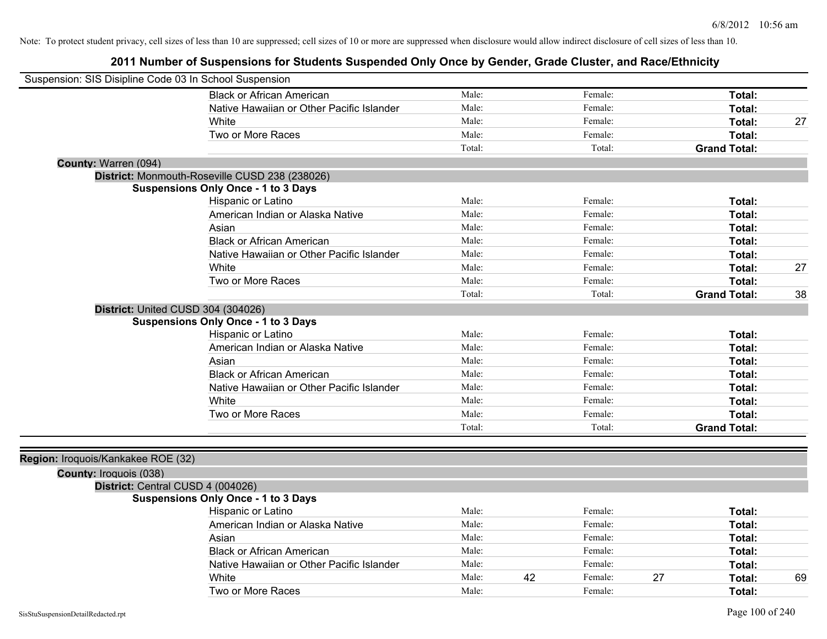| Suspension: SIS Disipline Code 03 In School Suspension |                                                |        |    |         |    |                     |    |
|--------------------------------------------------------|------------------------------------------------|--------|----|---------|----|---------------------|----|
|                                                        | <b>Black or African American</b>               | Male:  |    | Female: |    | Total:              |    |
|                                                        | Native Hawaiian or Other Pacific Islander      | Male:  |    | Female: |    | Total:              |    |
|                                                        | White                                          | Male:  |    | Female: |    | Total:              | 27 |
|                                                        | Two or More Races                              | Male:  |    | Female: |    | Total:              |    |
|                                                        |                                                | Total: |    | Total:  |    | <b>Grand Total:</b> |    |
| County: Warren (094)                                   |                                                |        |    |         |    |                     |    |
|                                                        | District: Monmouth-Roseville CUSD 238 (238026) |        |    |         |    |                     |    |
|                                                        | <b>Suspensions Only Once - 1 to 3 Days</b>     |        |    |         |    |                     |    |
|                                                        | Hispanic or Latino                             | Male:  |    | Female: |    | Total:              |    |
|                                                        | American Indian or Alaska Native               | Male:  |    | Female: |    | Total:              |    |
|                                                        | Asian                                          | Male:  |    | Female: |    | Total:              |    |
|                                                        | <b>Black or African American</b>               | Male:  |    | Female: |    | Total:              |    |
|                                                        | Native Hawaiian or Other Pacific Islander      | Male:  |    | Female: |    | Total:              |    |
|                                                        | White                                          | Male:  |    | Female: |    | Total:              | 27 |
|                                                        | Two or More Races                              | Male:  |    | Female: |    | Total:              |    |
|                                                        |                                                | Total: |    | Total:  |    | <b>Grand Total:</b> | 38 |
| District: United CUSD 304 (304026)                     |                                                |        |    |         |    |                     |    |
|                                                        | <b>Suspensions Only Once - 1 to 3 Days</b>     |        |    |         |    |                     |    |
|                                                        | Hispanic or Latino                             | Male:  |    | Female: |    | Total:              |    |
|                                                        | American Indian or Alaska Native               | Male:  |    | Female: |    | Total:              |    |
|                                                        | Asian                                          | Male:  |    | Female: |    | Total:              |    |
|                                                        | <b>Black or African American</b>               | Male:  |    | Female: |    | Total:              |    |
|                                                        | Native Hawaiian or Other Pacific Islander      | Male:  |    | Female: |    | Total:              |    |
|                                                        | White                                          | Male:  |    | Female: |    | Total:              |    |
|                                                        | Two or More Races                              | Male:  |    | Female: |    | Total:              |    |
|                                                        |                                                | Total: |    | Total:  |    | <b>Grand Total:</b> |    |
|                                                        |                                                |        |    |         |    |                     |    |
| Region: Iroquois/Kankakee ROE (32)                     |                                                |        |    |         |    |                     |    |
| County: Iroquois (038)                                 |                                                |        |    |         |    |                     |    |
| District: Central CUSD 4 (004026)                      |                                                |        |    |         |    |                     |    |
|                                                        | <b>Suspensions Only Once - 1 to 3 Days</b>     |        |    |         |    |                     |    |
|                                                        | Hispanic or Latino                             | Male:  |    | Female: |    | Total:              |    |
|                                                        | American Indian or Alaska Native               | Male:  |    | Female: |    | Total:              |    |
|                                                        | Asian                                          | Male:  |    | Female: |    | Total:              |    |
|                                                        | <b>Black or African American</b>               | Male:  |    | Female: |    | Total:              |    |
|                                                        | Native Hawaiian or Other Pacific Islander      | Male:  |    | Female: |    | Total:              |    |
|                                                        | White                                          | Male:  | 42 | Female: | 27 | Total:              | 69 |
|                                                        | Two or More Races                              | Male:  |    | Female: |    | Total:              |    |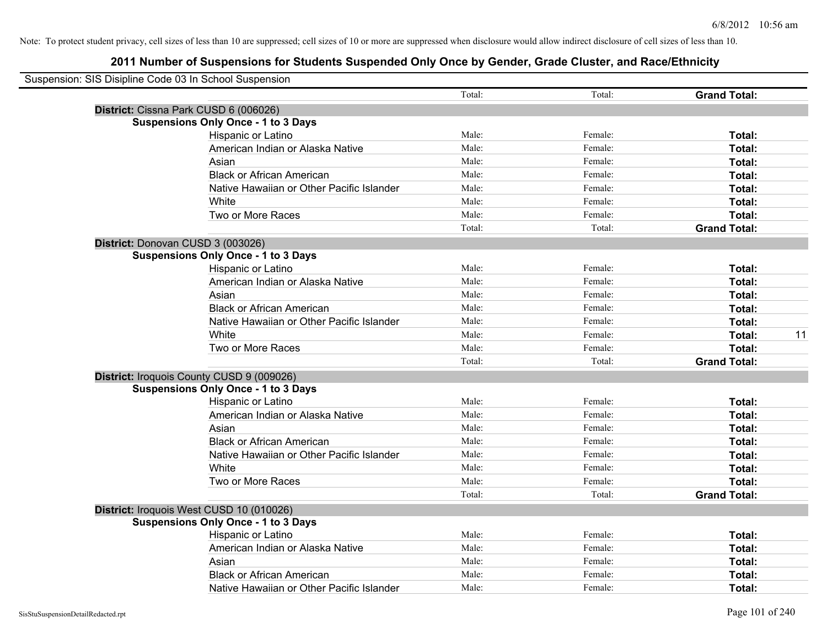| Suspension: SIS Disipline Code 03 In School Suspension |                                            |        |         |                     |    |
|--------------------------------------------------------|--------------------------------------------|--------|---------|---------------------|----|
|                                                        |                                            | Total: | Total:  | <b>Grand Total:</b> |    |
|                                                        | District: Cissna Park CUSD 6 (006026)      |        |         |                     |    |
|                                                        | <b>Suspensions Only Once - 1 to 3 Days</b> |        |         |                     |    |
|                                                        | Hispanic or Latino                         | Male:  | Female: | Total:              |    |
|                                                        | American Indian or Alaska Native           | Male:  | Female: | Total:              |    |
|                                                        | Asian                                      | Male:  | Female: | Total:              |    |
|                                                        | <b>Black or African American</b>           | Male:  | Female: | Total:              |    |
|                                                        | Native Hawaiian or Other Pacific Islander  | Male:  | Female: | Total:              |    |
|                                                        | White                                      | Male:  | Female: | Total:              |    |
|                                                        | Two or More Races                          | Male:  | Female: | Total:              |    |
|                                                        |                                            | Total: | Total:  | <b>Grand Total:</b> |    |
|                                                        | District: Donovan CUSD 3 (003026)          |        |         |                     |    |
|                                                        | <b>Suspensions Only Once - 1 to 3 Days</b> |        |         |                     |    |
|                                                        | Hispanic or Latino                         | Male:  | Female: | Total:              |    |
|                                                        | American Indian or Alaska Native           | Male:  | Female: | Total:              |    |
|                                                        | Asian                                      | Male:  | Female: | Total:              |    |
|                                                        | <b>Black or African American</b>           | Male:  | Female: | Total:              |    |
|                                                        | Native Hawaiian or Other Pacific Islander  | Male:  | Female: | Total:              |    |
|                                                        | White                                      | Male:  | Female: | Total:              | 11 |
|                                                        | Two or More Races                          | Male:  | Female: | Total:              |    |
|                                                        |                                            | Total: | Total:  | <b>Grand Total:</b> |    |
|                                                        | District: Iroquois County CUSD 9 (009026)  |        |         |                     |    |
|                                                        | <b>Suspensions Only Once - 1 to 3 Days</b> |        |         |                     |    |
|                                                        | Hispanic or Latino                         | Male:  | Female: | Total:              |    |
|                                                        | American Indian or Alaska Native           | Male:  | Female: | Total:              |    |
|                                                        | Asian                                      | Male:  | Female: | Total:              |    |
|                                                        | <b>Black or African American</b>           | Male:  | Female: | Total:              |    |
|                                                        | Native Hawaiian or Other Pacific Islander  | Male:  | Female: | Total:              |    |
|                                                        | White                                      | Male:  | Female: | Total:              |    |
|                                                        | Two or More Races                          | Male:  | Female: | Total:              |    |
|                                                        |                                            | Total: | Total:  | <b>Grand Total:</b> |    |
|                                                        | District: Iroquois West CUSD 10 (010026)   |        |         |                     |    |
|                                                        | <b>Suspensions Only Once - 1 to 3 Days</b> |        |         |                     |    |
|                                                        | Hispanic or Latino                         | Male:  | Female: | Total:              |    |
|                                                        | American Indian or Alaska Native           | Male:  | Female: | Total:              |    |
|                                                        | Asian                                      | Male:  | Female: | Total:              |    |
|                                                        | <b>Black or African American</b>           | Male:  | Female: | Total:              |    |
|                                                        | Native Hawaiian or Other Pacific Islander  | Male:  | Female: | Total:              |    |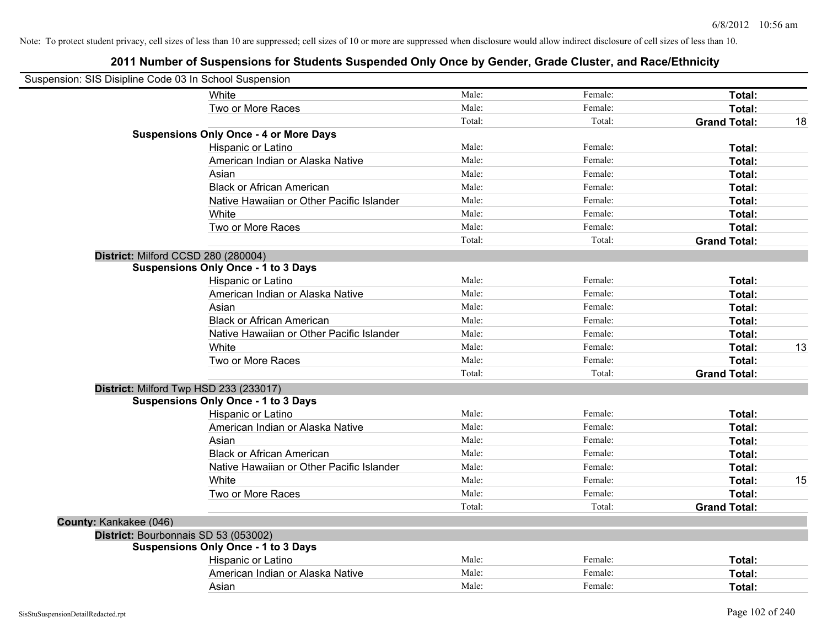| Suspension: SIS Disipline Code 03 In School Suspension |                                               |        |         |                     |    |
|--------------------------------------------------------|-----------------------------------------------|--------|---------|---------------------|----|
|                                                        | White                                         | Male:  | Female: | Total:              |    |
|                                                        | Two or More Races                             | Male:  | Female: | Total:              |    |
|                                                        |                                               | Total: | Total:  | <b>Grand Total:</b> | 18 |
|                                                        | <b>Suspensions Only Once - 4 or More Days</b> |        |         |                     |    |
|                                                        | Hispanic or Latino                            | Male:  | Female: | Total:              |    |
|                                                        | American Indian or Alaska Native              | Male:  | Female: | Total:              |    |
|                                                        | Asian                                         | Male:  | Female: | Total:              |    |
|                                                        | <b>Black or African American</b>              | Male:  | Female: | Total:              |    |
|                                                        | Native Hawaiian or Other Pacific Islander     | Male:  | Female: | Total:              |    |
|                                                        | White                                         | Male:  | Female: | Total:              |    |
|                                                        | Two or More Races                             | Male:  | Female: | Total:              |    |
|                                                        |                                               | Total: | Total:  | <b>Grand Total:</b> |    |
| District: Milford CCSD 280 (280004)                    |                                               |        |         |                     |    |
|                                                        | <b>Suspensions Only Once - 1 to 3 Days</b>    |        |         |                     |    |
|                                                        | Hispanic or Latino                            | Male:  | Female: | Total:              |    |
|                                                        | American Indian or Alaska Native              | Male:  | Female: | Total:              |    |
|                                                        | Asian                                         | Male:  | Female: | Total:              |    |
|                                                        | <b>Black or African American</b>              | Male:  | Female: | Total:              |    |
|                                                        | Native Hawaiian or Other Pacific Islander     | Male:  | Female: | Total:              |    |
|                                                        | White                                         | Male:  | Female: | Total:              | 13 |
|                                                        | Two or More Races                             | Male:  | Female: | Total:              |    |
|                                                        |                                               | Total: | Total:  | <b>Grand Total:</b> |    |
| District: Milford Twp HSD 233 (233017)                 |                                               |        |         |                     |    |
|                                                        | <b>Suspensions Only Once - 1 to 3 Days</b>    |        |         |                     |    |
|                                                        | Hispanic or Latino                            | Male:  | Female: | Total:              |    |
|                                                        | American Indian or Alaska Native              | Male:  | Female: | Total:              |    |
|                                                        | Asian                                         | Male:  | Female: | Total:              |    |
|                                                        | <b>Black or African American</b>              | Male:  | Female: | Total:              |    |
|                                                        | Native Hawaiian or Other Pacific Islander     | Male:  | Female: | Total:              |    |
|                                                        | White                                         | Male:  | Female: | Total:              | 15 |
|                                                        | Two or More Races                             | Male:  | Female: | Total:              |    |
|                                                        |                                               | Total: | Total:  | <b>Grand Total:</b> |    |
| County: Kankakee (046)                                 |                                               |        |         |                     |    |
| District: Bourbonnais SD 53 (053002)                   |                                               |        |         |                     |    |
|                                                        | <b>Suspensions Only Once - 1 to 3 Days</b>    |        |         |                     |    |
|                                                        | Hispanic or Latino                            | Male:  | Female: | Total:              |    |
|                                                        | American Indian or Alaska Native              | Male:  | Female: | Total:              |    |
|                                                        | Asian                                         | Male:  | Female: | Total:              |    |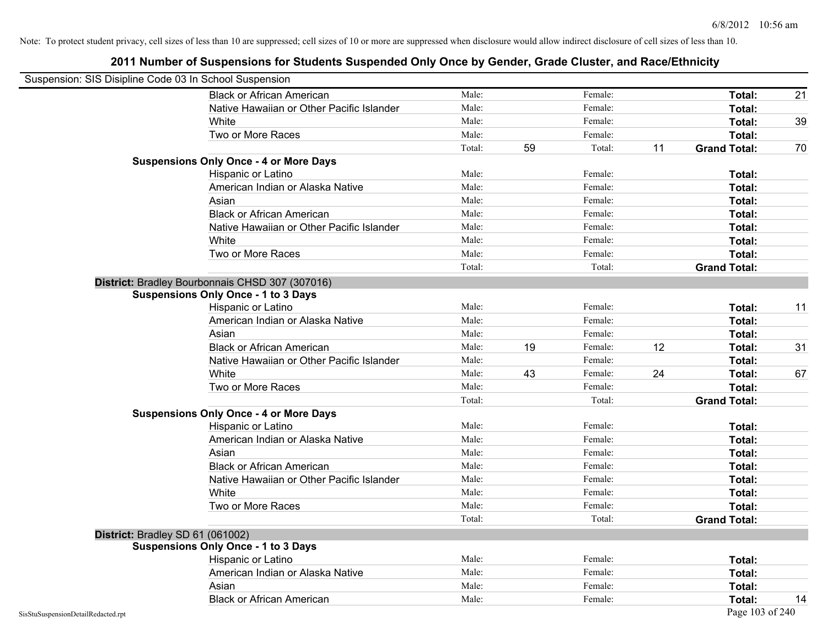| Suspension: SIS Disipline Code 03 In School Suspension |                                                 |        |    |         |    |                     |    |
|--------------------------------------------------------|-------------------------------------------------|--------|----|---------|----|---------------------|----|
|                                                        | <b>Black or African American</b>                | Male:  |    | Female: |    | Total:              | 21 |
|                                                        | Native Hawaiian or Other Pacific Islander       | Male:  |    | Female: |    | Total:              |    |
|                                                        | White                                           | Male:  |    | Female: |    | Total:              | 39 |
|                                                        | Two or More Races                               | Male:  |    | Female: |    | Total:              |    |
|                                                        |                                                 | Total: | 59 | Total:  | 11 | <b>Grand Total:</b> | 70 |
|                                                        | <b>Suspensions Only Once - 4 or More Days</b>   |        |    |         |    |                     |    |
|                                                        | Hispanic or Latino                              | Male:  |    | Female: |    | Total:              |    |
|                                                        | American Indian or Alaska Native                | Male:  |    | Female: |    | Total:              |    |
|                                                        | Asian                                           | Male:  |    | Female: |    | Total:              |    |
|                                                        | <b>Black or African American</b>                | Male:  |    | Female: |    | Total:              |    |
|                                                        | Native Hawaiian or Other Pacific Islander       | Male:  |    | Female: |    | Total:              |    |
|                                                        | White                                           | Male:  |    | Female: |    | Total:              |    |
|                                                        | Two or More Races                               | Male:  |    | Female: |    | Total:              |    |
|                                                        |                                                 | Total: |    | Total:  |    | <b>Grand Total:</b> |    |
|                                                        | District: Bradley Bourbonnais CHSD 307 (307016) |        |    |         |    |                     |    |
|                                                        | <b>Suspensions Only Once - 1 to 3 Days</b>      |        |    |         |    |                     |    |
|                                                        | Hispanic or Latino                              | Male:  |    | Female: |    | Total:              | 11 |
|                                                        | American Indian or Alaska Native                | Male:  |    | Female: |    | Total:              |    |
|                                                        | Asian                                           | Male:  |    | Female: |    | Total:              |    |
|                                                        | <b>Black or African American</b>                | Male:  | 19 | Female: | 12 | Total:              | 31 |
|                                                        | Native Hawaiian or Other Pacific Islander       | Male:  |    | Female: |    | Total:              |    |
|                                                        | White                                           | Male:  | 43 | Female: | 24 | Total:              | 67 |
|                                                        | Two or More Races                               | Male:  |    | Female: |    | Total:              |    |
|                                                        |                                                 | Total: |    | Total:  |    | <b>Grand Total:</b> |    |
|                                                        | <b>Suspensions Only Once - 4 or More Days</b>   |        |    |         |    |                     |    |
|                                                        | Hispanic or Latino                              | Male:  |    | Female: |    | Total:              |    |
|                                                        | American Indian or Alaska Native                | Male:  |    | Female: |    | Total:              |    |
|                                                        | Asian                                           | Male:  |    | Female: |    | Total:              |    |
|                                                        | <b>Black or African American</b>                | Male:  |    | Female: |    | Total:              |    |
|                                                        | Native Hawaiian or Other Pacific Islander       | Male:  |    | Female: |    | Total:              |    |
|                                                        | White                                           | Male:  |    | Female: |    | Total:              |    |
|                                                        | Two or More Races                               | Male:  |    | Female: |    | Total:              |    |
|                                                        |                                                 | Total: |    | Total:  |    | <b>Grand Total:</b> |    |
| District: Bradley SD 61 (061002)                       |                                                 |        |    |         |    |                     |    |
|                                                        | <b>Suspensions Only Once - 1 to 3 Days</b>      |        |    |         |    |                     |    |
|                                                        | Hispanic or Latino                              | Male:  |    | Female: |    | Total:              |    |
|                                                        | American Indian or Alaska Native                | Male:  |    | Female: |    | Total:              |    |
|                                                        | Asian                                           | Male:  |    | Female: |    | Total:              |    |
|                                                        | <b>Black or African American</b>                | Male:  |    | Female: |    | Total:              | 14 |
| SisStuSuspensionDetailRedacted.rpt                     |                                                 |        |    |         |    | Page 103 of 240     |    |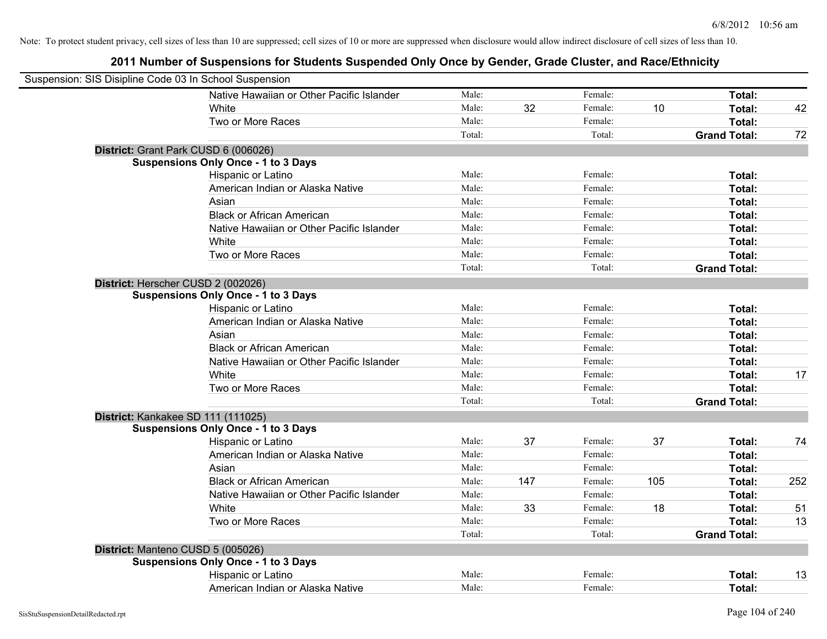| Suspension: SIS Disipline Code 03 In School Suspension |                                            |        |     |         |     |                     |     |
|--------------------------------------------------------|--------------------------------------------|--------|-----|---------|-----|---------------------|-----|
|                                                        | Native Hawaiian or Other Pacific Islander  | Male:  |     | Female: |     | Total:              |     |
|                                                        | White                                      | Male:  | 32  | Female: | 10  | Total:              | 42  |
|                                                        | Two or More Races                          | Male:  |     | Female: |     | Total:              |     |
|                                                        |                                            | Total: |     | Total:  |     | <b>Grand Total:</b> | 72  |
| District: Grant Park CUSD 6 (006026)                   |                                            |        |     |         |     |                     |     |
|                                                        | <b>Suspensions Only Once - 1 to 3 Days</b> |        |     |         |     |                     |     |
|                                                        | Hispanic or Latino                         | Male:  |     | Female: |     | Total:              |     |
|                                                        | American Indian or Alaska Native           | Male:  |     | Female: |     | Total:              |     |
|                                                        | Asian                                      | Male:  |     | Female: |     | Total:              |     |
|                                                        | <b>Black or African American</b>           | Male:  |     | Female: |     | Total:              |     |
|                                                        | Native Hawaiian or Other Pacific Islander  | Male:  |     | Female: |     | Total:              |     |
|                                                        | White                                      | Male:  |     | Female: |     | Total:              |     |
|                                                        | Two or More Races                          | Male:  |     | Female: |     | Total:              |     |
|                                                        |                                            | Total: |     | Total:  |     | <b>Grand Total:</b> |     |
| District: Herscher CUSD 2 (002026)                     |                                            |        |     |         |     |                     |     |
|                                                        | <b>Suspensions Only Once - 1 to 3 Days</b> |        |     |         |     |                     |     |
|                                                        | Hispanic or Latino                         | Male:  |     | Female: |     | Total:              |     |
|                                                        | American Indian or Alaska Native           | Male:  |     | Female: |     | Total:              |     |
|                                                        | Asian                                      | Male:  |     | Female: |     | Total:              |     |
|                                                        | <b>Black or African American</b>           | Male:  |     | Female: |     | Total:              |     |
|                                                        | Native Hawaiian or Other Pacific Islander  | Male:  |     | Female: |     | Total:              |     |
|                                                        | White                                      | Male:  |     | Female: |     | Total:              | 17  |
|                                                        | Two or More Races                          | Male:  |     | Female: |     | Total:              |     |
|                                                        |                                            | Total: |     | Total:  |     | <b>Grand Total:</b> |     |
| District: Kankakee SD 111 (111025)                     |                                            |        |     |         |     |                     |     |
|                                                        | <b>Suspensions Only Once - 1 to 3 Days</b> |        |     |         |     |                     |     |
|                                                        | Hispanic or Latino                         | Male:  | 37  | Female: | 37  | Total:              | 74  |
|                                                        | American Indian or Alaska Native           | Male:  |     | Female: |     | Total:              |     |
|                                                        | Asian                                      | Male:  |     | Female: |     | Total:              |     |
|                                                        | <b>Black or African American</b>           | Male:  | 147 | Female: | 105 | Total:              | 252 |
|                                                        | Native Hawaiian or Other Pacific Islander  | Male:  |     | Female: |     | Total:              |     |
|                                                        | White                                      | Male:  | 33  | Female: | 18  | Total:              | 51  |
|                                                        | Two or More Races                          | Male:  |     | Female: |     | Total:              | 13  |
|                                                        |                                            | Total: |     | Total:  |     | <b>Grand Total:</b> |     |
| District: Manteno CUSD 5 (005026)                      |                                            |        |     |         |     |                     |     |
|                                                        | <b>Suspensions Only Once - 1 to 3 Days</b> |        |     |         |     |                     |     |
|                                                        | Hispanic or Latino                         | Male:  |     | Female: |     | Total:              | 13  |
|                                                        | American Indian or Alaska Native           | Male:  |     | Female: |     | Total:              |     |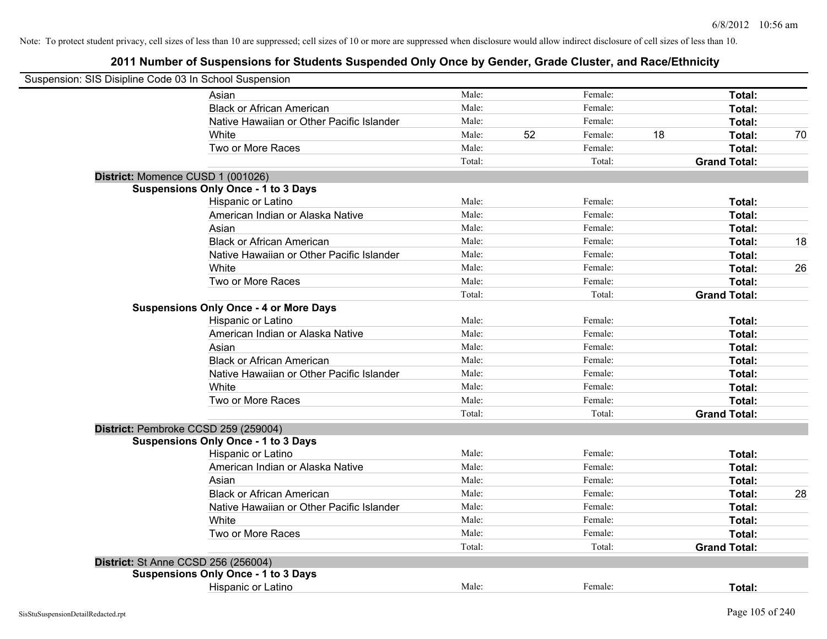| Suspension: SIS Disipline Code 03 In School Suspension |                                               |        |    |         |    |                     |    |
|--------------------------------------------------------|-----------------------------------------------|--------|----|---------|----|---------------------|----|
|                                                        | Asian                                         | Male:  |    | Female: |    | Total:              |    |
|                                                        | <b>Black or African American</b>              | Male:  |    | Female: |    | Total:              |    |
|                                                        | Native Hawaiian or Other Pacific Islander     | Male:  |    | Female: |    | Total:              |    |
|                                                        | White                                         | Male:  | 52 | Female: | 18 | Total:              | 70 |
|                                                        | Two or More Races                             | Male:  |    | Female: |    | Total:              |    |
|                                                        |                                               | Total: |    | Total:  |    | <b>Grand Total:</b> |    |
| District: Momence CUSD 1 (001026)                      |                                               |        |    |         |    |                     |    |
|                                                        | <b>Suspensions Only Once - 1 to 3 Days</b>    |        |    |         |    |                     |    |
|                                                        | Hispanic or Latino                            | Male:  |    | Female: |    | Total:              |    |
|                                                        | American Indian or Alaska Native              | Male:  |    | Female: |    | Total:              |    |
|                                                        | Asian                                         | Male:  |    | Female: |    | Total:              |    |
|                                                        | <b>Black or African American</b>              | Male:  |    | Female: |    | Total:              | 18 |
|                                                        | Native Hawaiian or Other Pacific Islander     | Male:  |    | Female: |    | Total:              |    |
|                                                        | White                                         | Male:  |    | Female: |    | Total:              | 26 |
|                                                        | Two or More Races                             | Male:  |    | Female: |    | Total:              |    |
|                                                        |                                               | Total: |    | Total:  |    | <b>Grand Total:</b> |    |
|                                                        | <b>Suspensions Only Once - 4 or More Days</b> |        |    |         |    |                     |    |
|                                                        | Hispanic or Latino                            | Male:  |    | Female: |    | Total:              |    |
|                                                        | American Indian or Alaska Native              | Male:  |    | Female: |    | Total:              |    |
|                                                        | Asian                                         | Male:  |    | Female: |    | Total:              |    |
|                                                        | <b>Black or African American</b>              | Male:  |    | Female: |    | Total:              |    |
|                                                        | Native Hawaiian or Other Pacific Islander     | Male:  |    | Female: |    | Total:              |    |
|                                                        | White                                         | Male:  |    | Female: |    | Total:              |    |
|                                                        | Two or More Races                             | Male:  |    | Female: |    | Total:              |    |
|                                                        |                                               | Total: |    | Total:  |    | <b>Grand Total:</b> |    |
| District: Pembroke CCSD 259 (259004)                   |                                               |        |    |         |    |                     |    |
|                                                        | <b>Suspensions Only Once - 1 to 3 Days</b>    |        |    |         |    |                     |    |
|                                                        | Hispanic or Latino                            | Male:  |    | Female: |    | Total:              |    |
|                                                        | American Indian or Alaska Native              | Male:  |    | Female: |    | Total:              |    |
|                                                        | Asian                                         | Male:  |    | Female: |    | Total:              |    |
|                                                        | <b>Black or African American</b>              | Male:  |    | Female: |    | Total:              | 28 |
|                                                        | Native Hawaiian or Other Pacific Islander     | Male:  |    | Female: |    | Total:              |    |
|                                                        | White                                         | Male:  |    | Female: |    | Total:              |    |
|                                                        | Two or More Races                             | Male:  |    | Female: |    | Total:              |    |
|                                                        |                                               | Total: |    | Total:  |    | <b>Grand Total:</b> |    |
| <b>District: St Anne CCSD 256 (256004)</b>             |                                               |        |    |         |    |                     |    |
|                                                        | <b>Suspensions Only Once - 1 to 3 Days</b>    |        |    |         |    |                     |    |
|                                                        | Hispanic or Latino                            | Male:  |    | Female: |    | Total:              |    |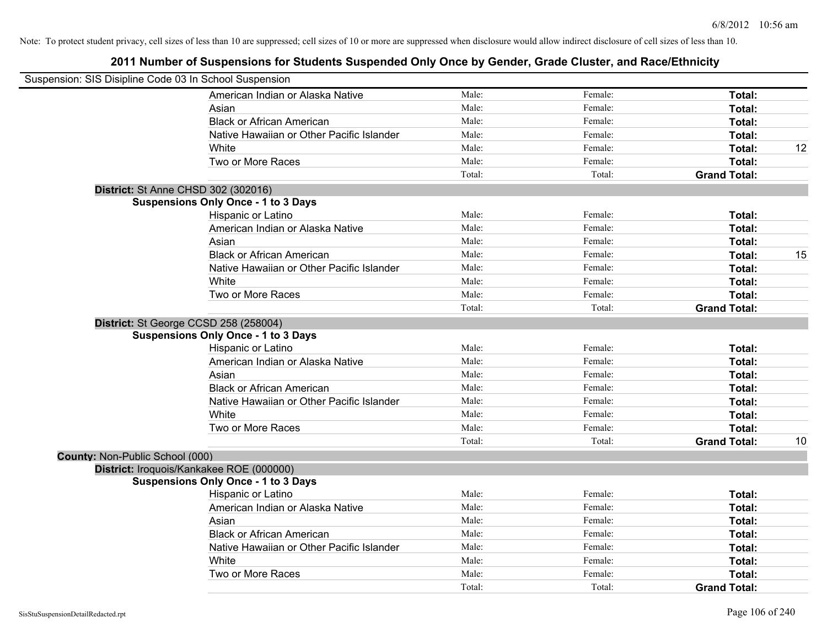| Suspension: SIS Disipline Code 03 In School Suspension |                                            |        |         |                     |    |
|--------------------------------------------------------|--------------------------------------------|--------|---------|---------------------|----|
|                                                        | American Indian or Alaska Native           | Male:  | Female: | Total:              |    |
|                                                        | Asian                                      | Male:  | Female: | Total:              |    |
|                                                        | <b>Black or African American</b>           | Male:  | Female: | Total:              |    |
|                                                        | Native Hawaiian or Other Pacific Islander  | Male:  | Female: | Total:              |    |
|                                                        | White                                      | Male:  | Female: | Total:              | 12 |
|                                                        | Two or More Races                          | Male:  | Female: | Total:              |    |
|                                                        |                                            | Total: | Total:  | <b>Grand Total:</b> |    |
|                                                        | District: St Anne CHSD 302 (302016)        |        |         |                     |    |
|                                                        | <b>Suspensions Only Once - 1 to 3 Days</b> |        |         |                     |    |
|                                                        | Hispanic or Latino                         | Male:  | Female: | Total:              |    |
|                                                        | American Indian or Alaska Native           | Male:  | Female: | Total:              |    |
|                                                        | Asian                                      | Male:  | Female: | Total:              |    |
|                                                        | <b>Black or African American</b>           | Male:  | Female: | Total:              | 15 |
|                                                        | Native Hawaiian or Other Pacific Islander  | Male:  | Female: | Total:              |    |
|                                                        | White                                      | Male:  | Female: | Total:              |    |
|                                                        | Two or More Races                          | Male:  | Female: | Total:              |    |
|                                                        |                                            | Total: | Total:  | <b>Grand Total:</b> |    |
|                                                        | District: St George CCSD 258 (258004)      |        |         |                     |    |
|                                                        | <b>Suspensions Only Once - 1 to 3 Days</b> |        |         |                     |    |
|                                                        | Hispanic or Latino                         | Male:  | Female: | Total:              |    |
|                                                        | American Indian or Alaska Native           | Male:  | Female: | Total:              |    |
|                                                        | Asian                                      | Male:  | Female: | Total:              |    |
|                                                        | <b>Black or African American</b>           | Male:  | Female: | Total:              |    |
|                                                        | Native Hawaiian or Other Pacific Islander  | Male:  | Female: | Total:              |    |
|                                                        | White                                      | Male:  | Female: | Total:              |    |
|                                                        | Two or More Races                          | Male:  | Female: | Total:              |    |
|                                                        |                                            | Total: | Total:  | <b>Grand Total:</b> | 10 |
| County: Non-Public School (000)                        |                                            |        |         |                     |    |
|                                                        | District: Iroquois/Kankakee ROE (000000)   |        |         |                     |    |
|                                                        | <b>Suspensions Only Once - 1 to 3 Days</b> |        |         |                     |    |
|                                                        | Hispanic or Latino                         | Male:  | Female: | Total:              |    |
|                                                        | American Indian or Alaska Native           | Male:  | Female: | Total:              |    |
|                                                        | Asian                                      | Male:  | Female: | Total:              |    |
|                                                        | <b>Black or African American</b>           | Male:  | Female: | Total:              |    |
|                                                        | Native Hawaiian or Other Pacific Islander  | Male:  | Female: | Total:              |    |
|                                                        | White                                      | Male:  | Female: | Total:              |    |
|                                                        | Two or More Races                          | Male:  | Female: | <b>Total:</b>       |    |
|                                                        |                                            | Total: | Total:  | <b>Grand Total:</b> |    |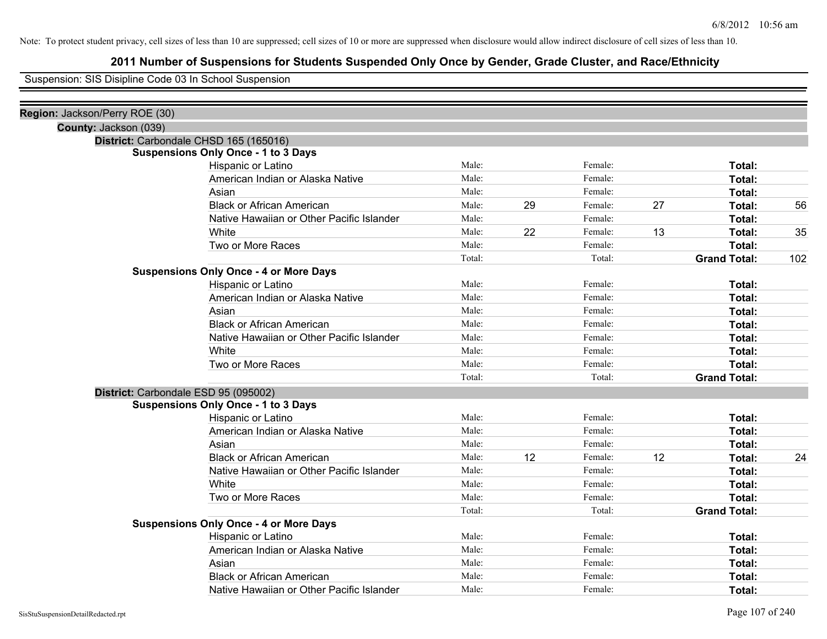# **2011 Number of Suspensions for Students Suspended Only Once by Gender, Grade Cluster, and Race/Ethnicity**

Suspension: SIS Disipline Code 03 In School Suspension

| Region: Jackson/Perry ROE (30) |                                               |        |    |         |    |                     |     |
|--------------------------------|-----------------------------------------------|--------|----|---------|----|---------------------|-----|
| County: Jackson (039)          |                                               |        |    |         |    |                     |     |
|                                | District: Carbondale CHSD 165 (165016)        |        |    |         |    |                     |     |
|                                | <b>Suspensions Only Once - 1 to 3 Days</b>    |        |    |         |    |                     |     |
|                                | Hispanic or Latino                            | Male:  |    | Female: |    | Total:              |     |
|                                | American Indian or Alaska Native              | Male:  |    | Female: |    | Total:              |     |
|                                | Asian                                         | Male:  |    | Female: |    | Total:              |     |
|                                | <b>Black or African American</b>              | Male:  | 29 | Female: | 27 | Total:              | 56  |
|                                | Native Hawaiian or Other Pacific Islander     | Male:  |    | Female: |    | Total:              |     |
|                                | White                                         | Male:  | 22 | Female: | 13 | Total:              | 35  |
|                                | Two or More Races                             | Male:  |    | Female: |    | Total:              |     |
|                                |                                               | Total: |    | Total:  |    | <b>Grand Total:</b> | 102 |
|                                | <b>Suspensions Only Once - 4 or More Days</b> |        |    |         |    |                     |     |
|                                | Hispanic or Latino                            | Male:  |    | Female: |    | Total:              |     |
|                                | American Indian or Alaska Native              | Male:  |    | Female: |    | Total:              |     |
|                                | Asian                                         | Male:  |    | Female: |    | Total:              |     |
|                                | <b>Black or African American</b>              | Male:  |    | Female: |    | Total:              |     |
|                                | Native Hawaiian or Other Pacific Islander     | Male:  |    | Female: |    | Total:              |     |
|                                | White                                         | Male:  |    | Female: |    | Total:              |     |
|                                | Two or More Races                             | Male:  |    | Female: |    | Total:              |     |
|                                |                                               | Total: |    | Total:  |    | <b>Grand Total:</b> |     |
|                                | District: Carbondale ESD 95 (095002)          |        |    |         |    |                     |     |
|                                | <b>Suspensions Only Once - 1 to 3 Days</b>    |        |    |         |    |                     |     |
|                                | Hispanic or Latino                            | Male:  |    | Female: |    | Total:              |     |
|                                | American Indian or Alaska Native              | Male:  |    | Female: |    | Total:              |     |
|                                | Asian                                         | Male:  |    | Female: |    | Total:              |     |
|                                | <b>Black or African American</b>              | Male:  | 12 | Female: | 12 | Total:              | 24  |
|                                | Native Hawaiian or Other Pacific Islander     | Male:  |    | Female: |    | Total:              |     |
|                                | White                                         | Male:  |    | Female: |    | Total:              |     |
|                                | Two or More Races                             | Male:  |    | Female: |    | Total:              |     |
|                                |                                               | Total: |    | Total:  |    | <b>Grand Total:</b> |     |
|                                | <b>Suspensions Only Once - 4 or More Days</b> |        |    |         |    |                     |     |
|                                | Hispanic or Latino                            | Male:  |    | Female: |    | Total:              |     |
|                                | American Indian or Alaska Native              | Male:  |    | Female: |    | Total:              |     |
|                                | Asian                                         | Male:  |    | Female: |    | Total:              |     |
|                                | <b>Black or African American</b>              | Male:  |    | Female: |    | Total:              |     |
|                                | Native Hawaiian or Other Pacific Islander     | Male:  |    | Female: |    | Total:              |     |
|                                |                                               |        |    |         |    |                     |     |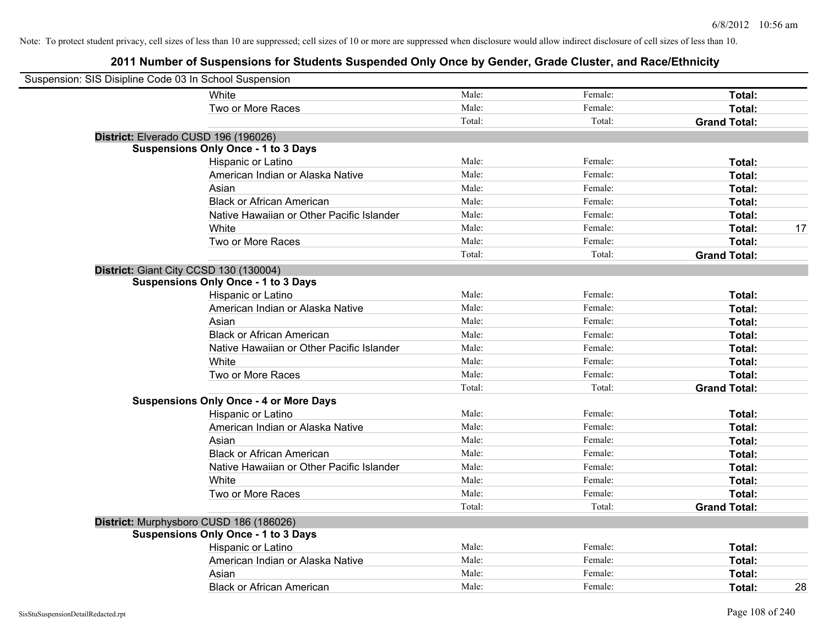| Suspension: SIS Disipline Code 03 In School Suspension |                                               |        |         |                     |
|--------------------------------------------------------|-----------------------------------------------|--------|---------|---------------------|
|                                                        | White                                         | Male:  | Female: | Total:              |
|                                                        | Two or More Races                             | Male:  | Female: | Total:              |
|                                                        |                                               | Total: | Total:  | <b>Grand Total:</b> |
| District: Elverado CUSD 196 (196026)                   |                                               |        |         |                     |
|                                                        | <b>Suspensions Only Once - 1 to 3 Days</b>    |        |         |                     |
|                                                        | Hispanic or Latino                            | Male:  | Female: | Total:              |
|                                                        | American Indian or Alaska Native              | Male:  | Female: | Total:              |
|                                                        | Asian                                         | Male:  | Female: | Total:              |
|                                                        | <b>Black or African American</b>              | Male:  | Female: | Total:              |
|                                                        | Native Hawaiian or Other Pacific Islander     | Male:  | Female: | Total:              |
|                                                        | White                                         | Male:  | Female: | 17<br>Total:        |
|                                                        | Two or More Races                             | Male:  | Female: | Total:              |
|                                                        |                                               | Total: | Total:  | <b>Grand Total:</b> |
| District: Giant City CCSD 130 (130004)                 |                                               |        |         |                     |
|                                                        | <b>Suspensions Only Once - 1 to 3 Days</b>    |        |         |                     |
|                                                        | Hispanic or Latino                            | Male:  | Female: | Total:              |
|                                                        | American Indian or Alaska Native              | Male:  | Female: | Total:              |
|                                                        | Asian                                         | Male:  | Female: | Total:              |
|                                                        | <b>Black or African American</b>              | Male:  | Female: | Total:              |
|                                                        | Native Hawaiian or Other Pacific Islander     | Male:  | Female: | Total:              |
|                                                        | White                                         | Male:  | Female: | Total:              |
|                                                        | Two or More Races                             | Male:  | Female: | Total:              |
|                                                        |                                               | Total: | Total:  | <b>Grand Total:</b> |
|                                                        | <b>Suspensions Only Once - 4 or More Days</b> |        |         |                     |
|                                                        | Hispanic or Latino                            | Male:  | Female: | Total:              |
|                                                        | American Indian or Alaska Native              | Male:  | Female: | Total:              |
|                                                        | Asian                                         | Male:  | Female: | Total:              |
|                                                        | <b>Black or African American</b>              | Male:  | Female: | Total:              |
|                                                        | Native Hawaiian or Other Pacific Islander     | Male:  | Female: | Total:              |
|                                                        | White                                         | Male:  | Female: | Total:              |
|                                                        | Two or More Races                             | Male:  | Female: | Total:              |
|                                                        |                                               | Total: | Total:  | <b>Grand Total:</b> |
|                                                        | District: Murphysboro CUSD 186 (186026)       |        |         |                     |
|                                                        | <b>Suspensions Only Once - 1 to 3 Days</b>    |        |         |                     |
|                                                        | Hispanic or Latino                            | Male:  | Female: | Total:              |
|                                                        | American Indian or Alaska Native              | Male:  | Female: | Total:              |
|                                                        | Asian                                         | Male:  | Female: | Total:              |
|                                                        | <b>Black or African American</b>              | Male:  | Female: | 28<br>Total:        |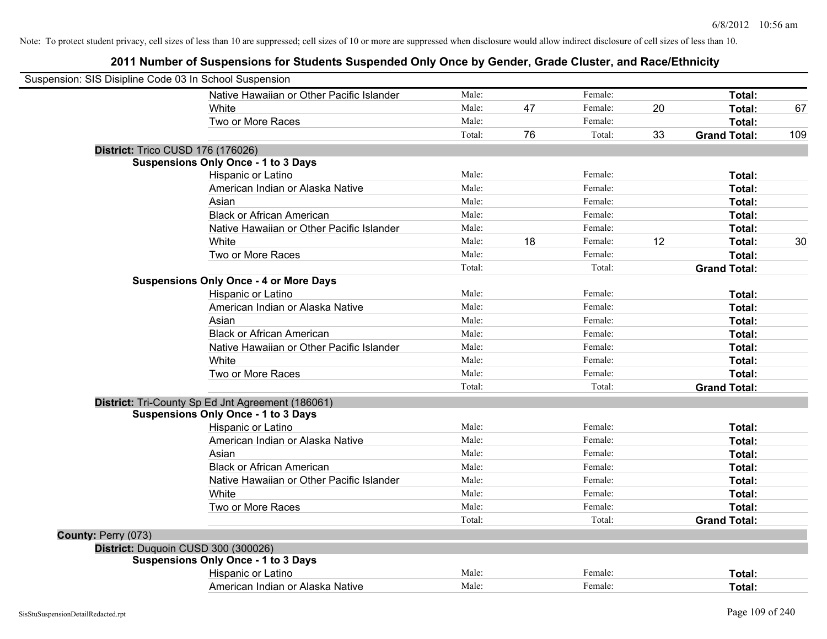| Suspension: SIS Disipline Code 03 In School Suspension |                                                   |        |    |         |    |                     |     |
|--------------------------------------------------------|---------------------------------------------------|--------|----|---------|----|---------------------|-----|
|                                                        | Native Hawaiian or Other Pacific Islander         | Male:  |    | Female: |    | Total:              |     |
|                                                        | White                                             | Male:  | 47 | Female: | 20 | Total:              | 67  |
|                                                        | Two or More Races                                 | Male:  |    | Female: |    | Total:              |     |
|                                                        |                                                   | Total: | 76 | Total:  | 33 | <b>Grand Total:</b> | 109 |
| <b>District: Trico CUSD 176 (176026)</b>               |                                                   |        |    |         |    |                     |     |
|                                                        | <b>Suspensions Only Once - 1 to 3 Days</b>        |        |    |         |    |                     |     |
|                                                        | Hispanic or Latino                                | Male:  |    | Female: |    | Total:              |     |
|                                                        | American Indian or Alaska Native                  | Male:  |    | Female: |    | Total:              |     |
|                                                        | Asian                                             | Male:  |    | Female: |    | Total:              |     |
|                                                        | <b>Black or African American</b>                  | Male:  |    | Female: |    | Total:              |     |
|                                                        | Native Hawaiian or Other Pacific Islander         | Male:  |    | Female: |    | Total:              |     |
|                                                        | White                                             | Male:  | 18 | Female: | 12 | Total:              | 30  |
|                                                        | Two or More Races                                 | Male:  |    | Female: |    | Total:              |     |
|                                                        |                                                   | Total: |    | Total:  |    | <b>Grand Total:</b> |     |
|                                                        | <b>Suspensions Only Once - 4 or More Days</b>     |        |    |         |    |                     |     |
|                                                        | Hispanic or Latino                                | Male:  |    | Female: |    | Total:              |     |
|                                                        | American Indian or Alaska Native                  | Male:  |    | Female: |    | Total:              |     |
|                                                        | Asian                                             | Male:  |    | Female: |    | Total:              |     |
|                                                        | <b>Black or African American</b>                  | Male:  |    | Female: |    | Total:              |     |
|                                                        | Native Hawaiian or Other Pacific Islander         | Male:  |    | Female: |    | Total:              |     |
|                                                        | White                                             | Male:  |    | Female: |    | Total:              |     |
|                                                        | Two or More Races                                 | Male:  |    | Female: |    | Total:              |     |
|                                                        |                                                   | Total: |    | Total:  |    | <b>Grand Total:</b> |     |
|                                                        | District: Tri-County Sp Ed Jnt Agreement (186061) |        |    |         |    |                     |     |
|                                                        | <b>Suspensions Only Once - 1 to 3 Days</b>        |        |    |         |    |                     |     |
|                                                        | Hispanic or Latino                                | Male:  |    | Female: |    | Total:              |     |
|                                                        | American Indian or Alaska Native                  | Male:  |    | Female: |    | Total:              |     |
|                                                        | Asian                                             | Male:  |    | Female: |    | Total:              |     |
|                                                        | <b>Black or African American</b>                  | Male:  |    | Female: |    | Total:              |     |
|                                                        | Native Hawaiian or Other Pacific Islander         | Male:  |    | Female: |    | Total:              |     |
|                                                        | White                                             | Male:  |    | Female: |    | Total:              |     |
|                                                        | Two or More Races                                 | Male:  |    | Female: |    | Total:              |     |
|                                                        |                                                   | Total: |    | Total:  |    | <b>Grand Total:</b> |     |
| County: Perry (073)                                    |                                                   |        |    |         |    |                     |     |
|                                                        | District: Duquoin CUSD 300 (300026)               |        |    |         |    |                     |     |
|                                                        | <b>Suspensions Only Once - 1 to 3 Days</b>        |        |    |         |    |                     |     |
|                                                        | Hispanic or Latino                                | Male:  |    | Female: |    | Total:              |     |
|                                                        | American Indian or Alaska Native                  | Male:  |    | Female: |    | Total:              |     |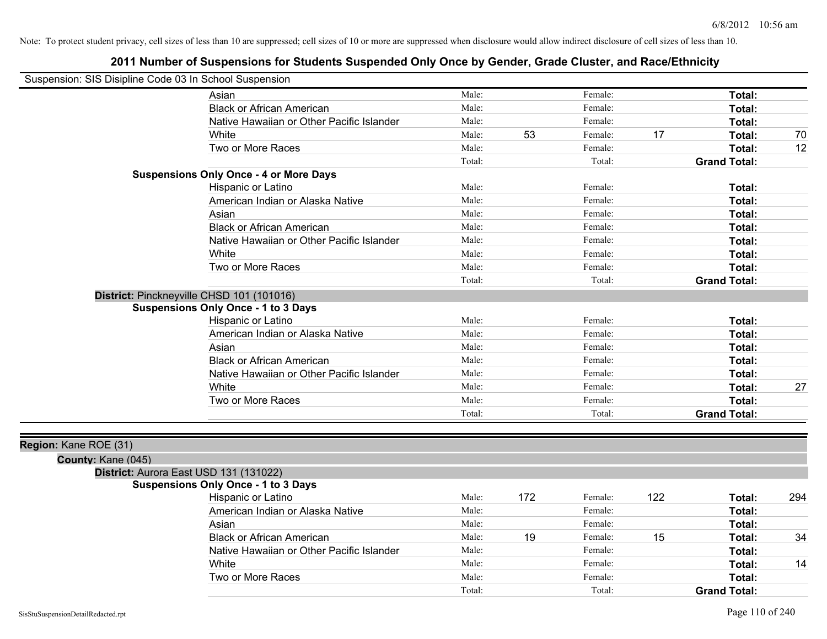| Suspension: SIS Disipline Code 03 In School Suspension |                                               |        |     |         |     |                     |     |
|--------------------------------------------------------|-----------------------------------------------|--------|-----|---------|-----|---------------------|-----|
|                                                        | Asian                                         | Male:  |     | Female: |     | Total:              |     |
|                                                        | <b>Black or African American</b>              | Male:  |     | Female: |     | Total:              |     |
|                                                        | Native Hawaiian or Other Pacific Islander     | Male:  |     | Female: |     | Total:              |     |
|                                                        | White                                         | Male:  | 53  | Female: | 17  | Total:              | 70  |
|                                                        | Two or More Races                             | Male:  |     | Female: |     | Total:              | 12  |
|                                                        |                                               | Total: |     | Total:  |     | <b>Grand Total:</b> |     |
|                                                        | <b>Suspensions Only Once - 4 or More Days</b> |        |     |         |     |                     |     |
|                                                        | Hispanic or Latino                            | Male:  |     | Female: |     | Total:              |     |
|                                                        | American Indian or Alaska Native              | Male:  |     | Female: |     | Total:              |     |
|                                                        | Asian                                         | Male:  |     | Female: |     | Total:              |     |
|                                                        | <b>Black or African American</b>              | Male:  |     | Female: |     | Total:              |     |
|                                                        | Native Hawaiian or Other Pacific Islander     | Male:  |     | Female: |     | Total:              |     |
|                                                        | White                                         | Male:  |     | Female: |     | Total:              |     |
|                                                        | Two or More Races                             | Male:  |     | Female: |     | Total:              |     |
|                                                        |                                               | Total: |     | Total:  |     | <b>Grand Total:</b> |     |
|                                                        | District: Pinckneyville CHSD 101 (101016)     |        |     |         |     |                     |     |
|                                                        | <b>Suspensions Only Once - 1 to 3 Days</b>    |        |     |         |     |                     |     |
|                                                        | Hispanic or Latino                            | Male:  |     | Female: |     | Total:              |     |
|                                                        | American Indian or Alaska Native              | Male:  |     | Female: |     | Total:              |     |
|                                                        | Asian                                         | Male:  |     | Female: |     | Total:              |     |
|                                                        | <b>Black or African American</b>              | Male:  |     | Female: |     | Total:              |     |
|                                                        | Native Hawaiian or Other Pacific Islander     | Male:  |     | Female: |     | Total:              |     |
|                                                        | White                                         | Male:  |     | Female: |     | Total:              | 27  |
|                                                        | Two or More Races                             | Male:  |     | Female: |     | Total:              |     |
|                                                        |                                               | Total: |     | Total:  |     | <b>Grand Total:</b> |     |
|                                                        |                                               |        |     |         |     |                     |     |
| Region: Kane ROE (31)                                  |                                               |        |     |         |     |                     |     |
| County: Kane (045)                                     |                                               |        |     |         |     |                     |     |
|                                                        | District: Aurora East USD 131 (131022)        |        |     |         |     |                     |     |
|                                                        | <b>Suspensions Only Once - 1 to 3 Days</b>    |        |     |         |     |                     |     |
|                                                        | Hispanic or Latino                            | Male:  | 172 | Female: | 122 | Total:              | 294 |
|                                                        | American Indian or Alaska Native              | Male:  |     | Female: |     | Total:              |     |
|                                                        | Asian                                         | Male:  |     | Female: |     | Total:              |     |
|                                                        | <b>Black or African American</b>              | Male:  | 19  | Female: | 15  | Total:              | 34  |
|                                                        | Native Hawaiian or Other Pacific Islander     | Male:  |     | Female: |     | Total:              |     |
|                                                        | White                                         | Male:  |     | Female: |     | Total:              | 14  |
|                                                        | Two or More Races                             | Male:  |     | Female: |     | Total:              |     |
|                                                        |                                               | Total: |     | Total:  |     | <b>Grand Total:</b> |     |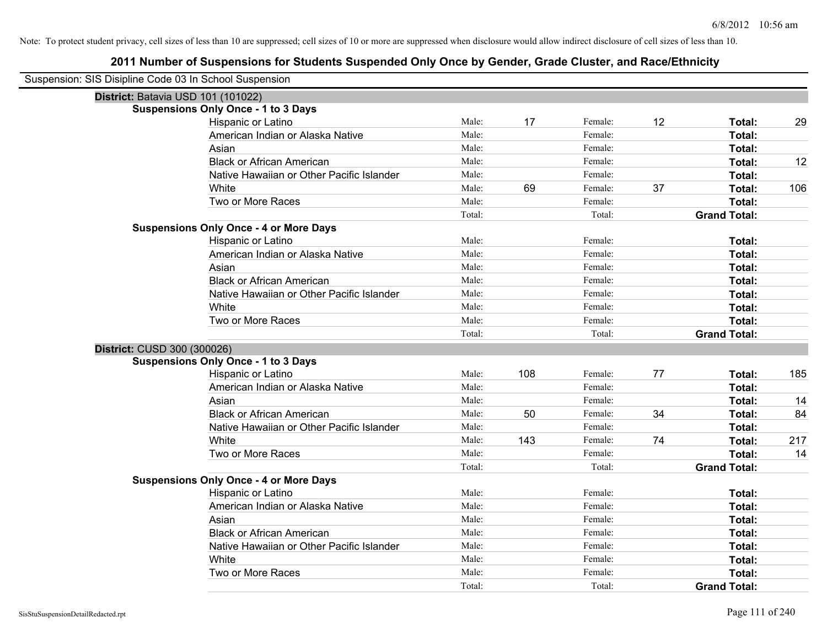| Suspension: SIS Disipline Code 03 In School Suspension |                                               |        |     |         |    |                     |     |
|--------------------------------------------------------|-----------------------------------------------|--------|-----|---------|----|---------------------|-----|
| District: Batavia USD 101 (101022)                     |                                               |        |     |         |    |                     |     |
|                                                        | <b>Suspensions Only Once - 1 to 3 Days</b>    |        |     |         |    |                     |     |
|                                                        | Hispanic or Latino                            | Male:  | 17  | Female: | 12 | Total:              | 29  |
|                                                        | American Indian or Alaska Native              | Male:  |     | Female: |    | Total:              |     |
|                                                        | Asian                                         | Male:  |     | Female: |    | Total:              |     |
|                                                        | <b>Black or African American</b>              | Male:  |     | Female: |    | Total:              | 12  |
|                                                        | Native Hawaiian or Other Pacific Islander     | Male:  |     | Female: |    | Total:              |     |
|                                                        | White                                         | Male:  | 69  | Female: | 37 | Total:              | 106 |
|                                                        | Two or More Races                             | Male:  |     | Female: |    | Total:              |     |
|                                                        |                                               | Total: |     | Total:  |    | <b>Grand Total:</b> |     |
|                                                        | <b>Suspensions Only Once - 4 or More Days</b> |        |     |         |    |                     |     |
|                                                        | Hispanic or Latino                            | Male:  |     | Female: |    | Total:              |     |
|                                                        | American Indian or Alaska Native              | Male:  |     | Female: |    | Total:              |     |
|                                                        | Asian                                         | Male:  |     | Female: |    | Total:              |     |
|                                                        | <b>Black or African American</b>              | Male:  |     | Female: |    | Total:              |     |
|                                                        | Native Hawaiian or Other Pacific Islander     | Male:  |     | Female: |    | Total:              |     |
|                                                        | White                                         | Male:  |     | Female: |    | Total:              |     |
|                                                        | Two or More Races                             | Male:  |     | Female: |    | Total:              |     |
|                                                        |                                               | Total: |     | Total:  |    | <b>Grand Total:</b> |     |
| District: CUSD 300 (300026)                            |                                               |        |     |         |    |                     |     |
|                                                        | <b>Suspensions Only Once - 1 to 3 Days</b>    |        |     |         |    |                     |     |
|                                                        | Hispanic or Latino                            | Male:  | 108 | Female: | 77 | Total:              | 185 |
|                                                        | American Indian or Alaska Native              | Male:  |     | Female: |    | Total:              |     |
|                                                        | Asian                                         | Male:  |     | Female: |    | Total:              | 14  |
|                                                        | <b>Black or African American</b>              | Male:  | 50  | Female: | 34 | Total:              | 84  |
|                                                        | Native Hawaiian or Other Pacific Islander     | Male:  |     | Female: |    | Total:              |     |
|                                                        | White                                         | Male:  | 143 | Female: | 74 | Total:              | 217 |
|                                                        | Two or More Races                             | Male:  |     | Female: |    | Total:              | 14  |
|                                                        |                                               | Total: |     | Total:  |    | <b>Grand Total:</b> |     |
|                                                        | <b>Suspensions Only Once - 4 or More Days</b> |        |     |         |    |                     |     |
|                                                        | Hispanic or Latino                            | Male:  |     | Female: |    | Total:              |     |
|                                                        | American Indian or Alaska Native              | Male:  |     | Female: |    | Total:              |     |
|                                                        | Asian                                         | Male:  |     | Female: |    | Total:              |     |
|                                                        | <b>Black or African American</b>              | Male:  |     | Female: |    | Total:              |     |
|                                                        | Native Hawaiian or Other Pacific Islander     | Male:  |     | Female: |    | Total:              |     |
|                                                        | White                                         | Male:  |     | Female: |    | Total:              |     |
|                                                        | Two or More Races                             | Male:  |     | Female: |    | Total:              |     |
|                                                        |                                               | Total: |     | Total:  |    | <b>Grand Total:</b> |     |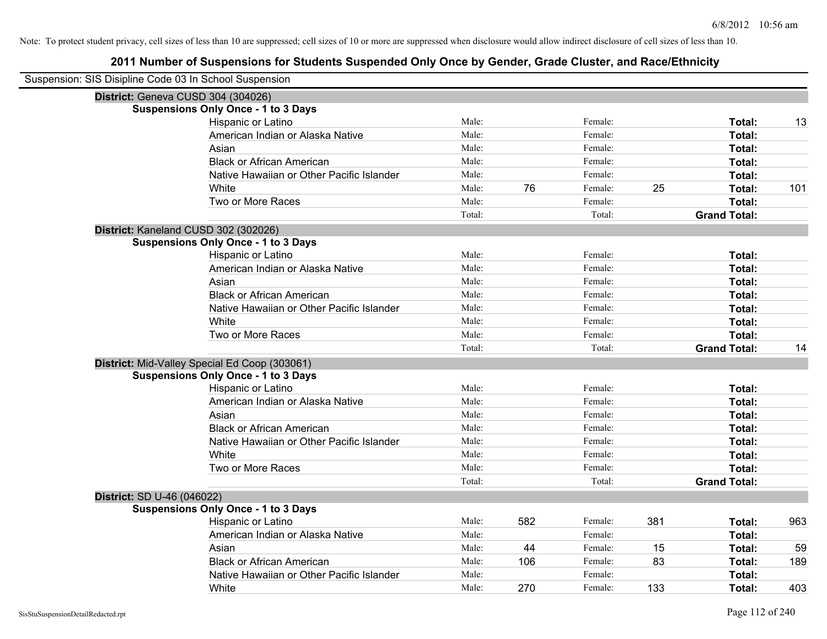| Suspension: SIS Disipline Code 03 In School Suspension |                                               |        |     |         |     |                     |     |
|--------------------------------------------------------|-----------------------------------------------|--------|-----|---------|-----|---------------------|-----|
| District: Geneva CUSD 304 (304026)                     |                                               |        |     |         |     |                     |     |
|                                                        | <b>Suspensions Only Once - 1 to 3 Days</b>    |        |     |         |     |                     |     |
|                                                        | Hispanic or Latino                            | Male:  |     | Female: |     | Total:              | 13  |
|                                                        | American Indian or Alaska Native              | Male:  |     | Female: |     | Total:              |     |
|                                                        | Asian                                         | Male:  |     | Female: |     | Total:              |     |
|                                                        | <b>Black or African American</b>              | Male:  |     | Female: |     | Total:              |     |
|                                                        | Native Hawaiian or Other Pacific Islander     | Male:  |     | Female: |     | Total:              |     |
|                                                        | White                                         | Male:  | 76  | Female: | 25  | Total:              | 101 |
|                                                        | Two or More Races                             | Male:  |     | Female: |     | Total:              |     |
|                                                        |                                               | Total: |     | Total:  |     | <b>Grand Total:</b> |     |
| District: Kaneland CUSD 302 (302026)                   |                                               |        |     |         |     |                     |     |
|                                                        | <b>Suspensions Only Once - 1 to 3 Days</b>    |        |     |         |     |                     |     |
|                                                        | Hispanic or Latino                            | Male:  |     | Female: |     | Total:              |     |
|                                                        | American Indian or Alaska Native              | Male:  |     | Female: |     | Total:              |     |
|                                                        | Asian                                         | Male:  |     | Female: |     | Total:              |     |
|                                                        | <b>Black or African American</b>              | Male:  |     | Female: |     | Total:              |     |
|                                                        | Native Hawaiian or Other Pacific Islander     | Male:  |     | Female: |     | Total:              |     |
|                                                        | White                                         | Male:  |     | Female: |     | Total:              |     |
|                                                        | Two or More Races                             | Male:  |     | Female: |     | Total:              |     |
|                                                        |                                               | Total: |     | Total:  |     | <b>Grand Total:</b> | 14  |
|                                                        | District: Mid-Valley Special Ed Coop (303061) |        |     |         |     |                     |     |
|                                                        | <b>Suspensions Only Once - 1 to 3 Days</b>    |        |     |         |     |                     |     |
|                                                        | Hispanic or Latino                            | Male:  |     | Female: |     | Total:              |     |
|                                                        | American Indian or Alaska Native              | Male:  |     | Female: |     | Total:              |     |
|                                                        | Asian                                         | Male:  |     | Female: |     | Total:              |     |
|                                                        | <b>Black or African American</b>              | Male:  |     | Female: |     | Total:              |     |
|                                                        | Native Hawaiian or Other Pacific Islander     | Male:  |     | Female: |     | Total:              |     |
|                                                        | White                                         | Male:  |     | Female: |     | Total:              |     |
|                                                        | Two or More Races                             | Male:  |     | Female: |     | Total:              |     |
|                                                        |                                               | Total: |     | Total:  |     | <b>Grand Total:</b> |     |
| District: SD U-46 (046022)                             |                                               |        |     |         |     |                     |     |
|                                                        | <b>Suspensions Only Once - 1 to 3 Days</b>    |        |     |         |     |                     |     |
|                                                        | Hispanic or Latino                            | Male:  | 582 | Female: | 381 | Total:              | 963 |
|                                                        | American Indian or Alaska Native              | Male:  |     | Female: |     | Total:              |     |
|                                                        | Asian                                         | Male:  | 44  | Female: | 15  | Total:              | 59  |
|                                                        | <b>Black or African American</b>              | Male:  | 106 | Female: | 83  | Total:              | 189 |
|                                                        | Native Hawaiian or Other Pacific Islander     | Male:  |     | Female: |     | Total:              |     |
|                                                        | White                                         | Male:  | 270 | Female: | 133 | Total:              | 403 |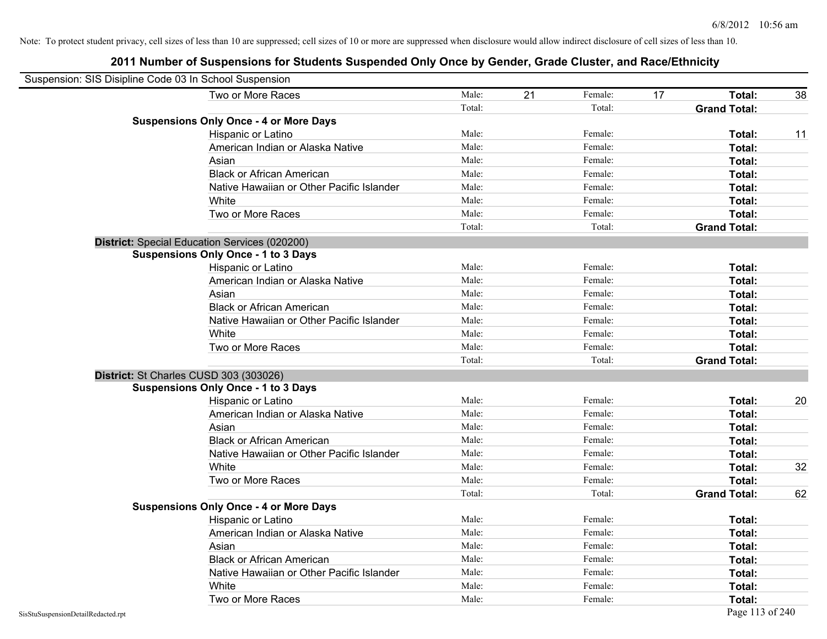| Suspension: SIS Disipline Code 03 In School Suspension |                                               |        |    |         |    |                     |    |
|--------------------------------------------------------|-----------------------------------------------|--------|----|---------|----|---------------------|----|
|                                                        | Two or More Races                             | Male:  | 21 | Female: | 17 | Total:              | 38 |
|                                                        |                                               | Total: |    | Total:  |    | <b>Grand Total:</b> |    |
|                                                        | <b>Suspensions Only Once - 4 or More Days</b> |        |    |         |    |                     |    |
|                                                        | Hispanic or Latino                            | Male:  |    | Female: |    | Total:              | 11 |
|                                                        | American Indian or Alaska Native              | Male:  |    | Female: |    | Total:              |    |
|                                                        | Asian                                         | Male:  |    | Female: |    | Total:              |    |
|                                                        | <b>Black or African American</b>              | Male:  |    | Female: |    | Total:              |    |
|                                                        | Native Hawaiian or Other Pacific Islander     | Male:  |    | Female: |    | Total:              |    |
|                                                        | White                                         | Male:  |    | Female: |    | Total:              |    |
|                                                        | Two or More Races                             | Male:  |    | Female: |    | Total:              |    |
|                                                        |                                               | Total: |    | Total:  |    | <b>Grand Total:</b> |    |
|                                                        | District: Special Education Services (020200) |        |    |         |    |                     |    |
|                                                        | <b>Suspensions Only Once - 1 to 3 Days</b>    |        |    |         |    |                     |    |
|                                                        | Hispanic or Latino                            | Male:  |    | Female: |    | Total:              |    |
|                                                        | American Indian or Alaska Native              | Male:  |    | Female: |    | Total:              |    |
|                                                        | Asian                                         | Male:  |    | Female: |    | Total:              |    |
|                                                        | <b>Black or African American</b>              | Male:  |    | Female: |    | Total:              |    |
|                                                        | Native Hawaiian or Other Pacific Islander     | Male:  |    | Female: |    | Total:              |    |
|                                                        | White                                         | Male:  |    | Female: |    | Total:              |    |
|                                                        | Two or More Races                             | Male:  |    | Female: |    | Total:              |    |
|                                                        |                                               | Total: |    | Total:  |    | <b>Grand Total:</b> |    |
|                                                        | District: St Charles CUSD 303 (303026)        |        |    |         |    |                     |    |
|                                                        | <b>Suspensions Only Once - 1 to 3 Days</b>    |        |    |         |    |                     |    |
|                                                        | Hispanic or Latino                            | Male:  |    | Female: |    | Total:              | 20 |
|                                                        | American Indian or Alaska Native              | Male:  |    | Female: |    | Total:              |    |
|                                                        | Asian                                         | Male:  |    | Female: |    | Total:              |    |
|                                                        | <b>Black or African American</b>              | Male:  |    | Female: |    | Total:              |    |
|                                                        | Native Hawaiian or Other Pacific Islander     | Male:  |    | Female: |    | Total:              |    |
|                                                        | White                                         | Male:  |    | Female: |    | Total:              | 32 |
|                                                        | Two or More Races                             | Male:  |    | Female: |    | Total:              |    |
|                                                        |                                               | Total: |    | Total:  |    | <b>Grand Total:</b> | 62 |
|                                                        | <b>Suspensions Only Once - 4 or More Days</b> |        |    |         |    |                     |    |
|                                                        | Hispanic or Latino                            | Male:  |    | Female: |    | Total:              |    |
|                                                        | American Indian or Alaska Native              | Male:  |    | Female: |    | Total:              |    |
|                                                        | Asian                                         | Male:  |    | Female: |    | Total:              |    |
|                                                        | <b>Black or African American</b>              | Male:  |    | Female: |    | Total:              |    |
|                                                        | Native Hawaiian or Other Pacific Islander     | Male:  |    | Female: |    | Total:              |    |
|                                                        | White                                         | Male:  |    | Female: |    | Total:              |    |
|                                                        | Two or More Races                             | Male:  |    | Female: |    | Total:              |    |
| SisStuSuspensionDetailRedacted.rpt                     |                                               |        |    |         |    | Page 113 of 240     |    |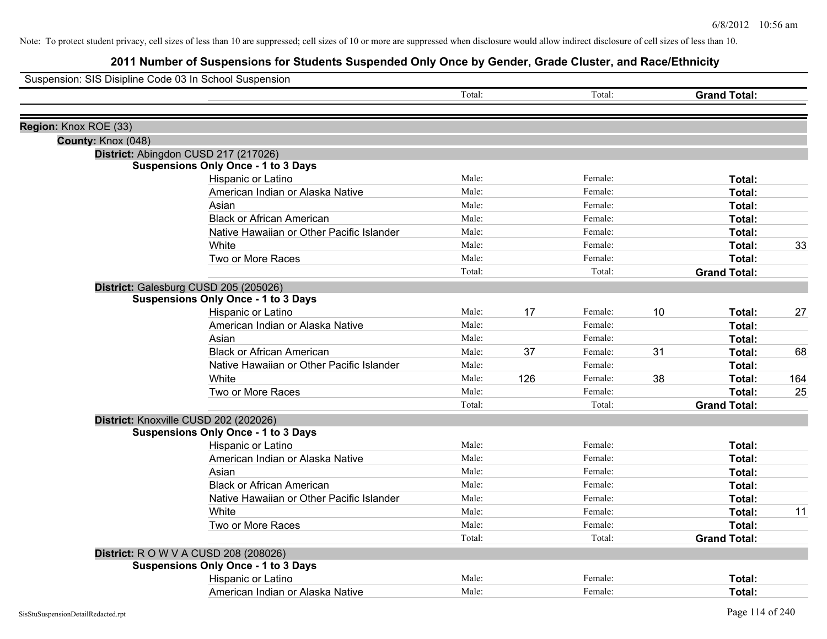| Suspension: SIS Disipline Code 03 In School Suspension |                                              |        |     |         |    |                     |     |
|--------------------------------------------------------|----------------------------------------------|--------|-----|---------|----|---------------------|-----|
|                                                        |                                              | Total: |     | Total:  |    | <b>Grand Total:</b> |     |
| Region: Knox ROE (33)                                  |                                              |        |     |         |    |                     |     |
| County: Knox (048)                                     |                                              |        |     |         |    |                     |     |
|                                                        | District: Abingdon CUSD 217 (217026)         |        |     |         |    |                     |     |
|                                                        | <b>Suspensions Only Once - 1 to 3 Days</b>   |        |     |         |    |                     |     |
|                                                        | Hispanic or Latino                           | Male:  |     | Female: |    | Total:              |     |
|                                                        | American Indian or Alaska Native             | Male:  |     | Female: |    | Total:              |     |
|                                                        | Asian                                        | Male:  |     | Female: |    | Total:              |     |
|                                                        | <b>Black or African American</b>             | Male:  |     | Female: |    | Total:              |     |
|                                                        | Native Hawaiian or Other Pacific Islander    | Male:  |     | Female: |    | Total:              |     |
|                                                        | White                                        | Male:  |     | Female: |    | Total:              | 33  |
|                                                        | Two or More Races                            | Male:  |     | Female: |    | Total:              |     |
|                                                        |                                              | Total: |     | Total:  |    | <b>Grand Total:</b> |     |
|                                                        | District: Galesburg CUSD 205 (205026)        |        |     |         |    |                     |     |
|                                                        | <b>Suspensions Only Once - 1 to 3 Days</b>   |        |     |         |    |                     |     |
|                                                        | Hispanic or Latino                           | Male:  | 17  | Female: | 10 | Total:              | 27  |
|                                                        | American Indian or Alaska Native             | Male:  |     | Female: |    | Total:              |     |
|                                                        | Asian                                        | Male:  |     | Female: |    | Total:              |     |
|                                                        | <b>Black or African American</b>             | Male:  | 37  | Female: | 31 | Total:              | 68  |
|                                                        | Native Hawaiian or Other Pacific Islander    | Male:  |     | Female: |    | Total:              |     |
|                                                        | White                                        | Male:  | 126 | Female: | 38 | Total:              | 164 |
|                                                        | Two or More Races                            | Male:  |     | Female: |    | Total:              | 25  |
|                                                        |                                              | Total: |     | Total:  |    | <b>Grand Total:</b> |     |
|                                                        | District: Knoxville CUSD 202 (202026)        |        |     |         |    |                     |     |
|                                                        | <b>Suspensions Only Once - 1 to 3 Days</b>   |        |     |         |    |                     |     |
|                                                        | Hispanic or Latino                           | Male:  |     | Female: |    | Total:              |     |
|                                                        | American Indian or Alaska Native             | Male:  |     | Female: |    | Total:              |     |
|                                                        | Asian                                        | Male:  |     | Female: |    | Total:              |     |
|                                                        | <b>Black or African American</b>             | Male:  |     | Female: |    | Total:              |     |
|                                                        | Native Hawaiian or Other Pacific Islander    | Male:  |     | Female: |    | Total:              |     |
|                                                        | White                                        | Male:  |     | Female: |    | Total:              | 11  |
|                                                        | Two or More Races                            | Male:  |     | Female: |    | Total:              |     |
|                                                        |                                              | Total: |     | Total:  |    | <b>Grand Total:</b> |     |
|                                                        | <b>District:</b> R O W V A CUSD 208 (208026) |        |     |         |    |                     |     |
|                                                        | <b>Suspensions Only Once - 1 to 3 Days</b>   |        |     |         |    |                     |     |
|                                                        | Hispanic or Latino                           | Male:  |     | Female: |    | Total:              |     |
|                                                        | American Indian or Alaska Native             | Male:  |     | Female: |    | Total:              |     |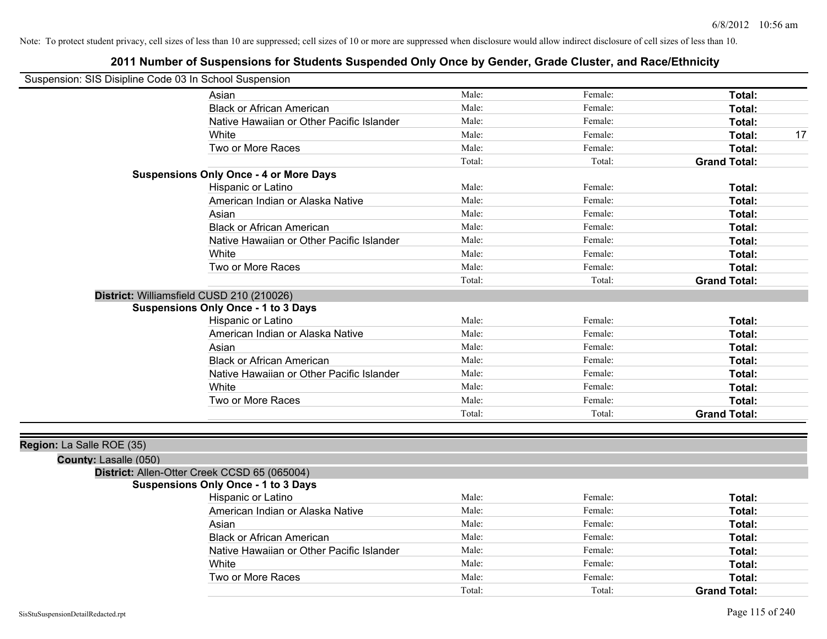## **2011 Number of Suspensions for Students Suspended Only Once by Gender, Grade Cluster, and Race/Ethnicity**

| Suspension: SIS Disipline Code 03 In School Suspension |                                                                                            |        |         |                     |
|--------------------------------------------------------|--------------------------------------------------------------------------------------------|--------|---------|---------------------|
|                                                        | Asian                                                                                      | Male:  | Female: | Total:              |
|                                                        | <b>Black or African American</b>                                                           | Male:  | Female: | Total:              |
|                                                        | Native Hawaiian or Other Pacific Islander                                                  | Male:  | Female: | Total:              |
|                                                        | White                                                                                      | Male:  | Female: | Total:<br>17        |
|                                                        | Two or More Races                                                                          | Male:  | Female: | Total:              |
|                                                        |                                                                                            | Total: | Total:  | <b>Grand Total:</b> |
|                                                        | <b>Suspensions Only Once - 4 or More Days</b>                                              |        |         |                     |
|                                                        | Hispanic or Latino                                                                         | Male:  | Female: | Total:              |
|                                                        | American Indian or Alaska Native                                                           | Male:  | Female: | Total:              |
|                                                        | Asian                                                                                      | Male:  | Female: | Total:              |
|                                                        | <b>Black or African American</b>                                                           | Male:  | Female: | Total:              |
|                                                        | Native Hawaiian or Other Pacific Islander                                                  | Male:  | Female: | Total:              |
|                                                        | White                                                                                      | Male:  | Female: | Total:              |
|                                                        | Two or More Races                                                                          | Male:  | Female: | Total:              |
|                                                        |                                                                                            | Total: | Total:  | <b>Grand Total:</b> |
|                                                        | District: Williamsfield CUSD 210 (210026)                                                  |        |         |                     |
|                                                        | <b>Suspensions Only Once - 1 to 3 Days</b>                                                 |        |         |                     |
|                                                        | Hispanic or Latino                                                                         | Male:  | Female: | Total:              |
|                                                        | American Indian or Alaska Native                                                           | Male:  | Female: | Total:              |
|                                                        | Asian                                                                                      | Male:  | Female: | Total:              |
|                                                        | <b>Black or African American</b>                                                           | Male:  | Female: | Total:              |
|                                                        | Native Hawaiian or Other Pacific Islander                                                  | Male:  | Female: | Total:              |
|                                                        | White                                                                                      | Male:  | Female: | Total:              |
|                                                        | Two or More Races                                                                          | Male:  | Female: | Total:              |
|                                                        |                                                                                            | Total: | Total:  | <b>Grand Total:</b> |
|                                                        |                                                                                            |        |         |                     |
| Region: La Salle ROE (35)                              |                                                                                            |        |         |                     |
| County: Lasalle (050)                                  |                                                                                            |        |         |                     |
|                                                        | District: Allen-Otter Creek CCSD 65 (065004)<br><b>Suspensions Only Once - 1 to 3 Days</b> |        |         |                     |
|                                                        | Hispanic or Latino                                                                         | Male:  | Female: | Total:              |
|                                                        | American Indian or Alaska Native                                                           | Male:  | Female: | Total:              |
|                                                        | Asian                                                                                      | Male:  | Female: |                     |
|                                                        | <b>Black or African American</b>                                                           | Male:  | Female: | Total:              |
|                                                        |                                                                                            | Male:  |         | Total:              |
|                                                        | Native Hawaiian or Other Pacific Islander                                                  | Male:  | Female: | Total:              |
|                                                        | White                                                                                      |        | Female: | Total:              |
|                                                        | Two or More Races                                                                          | Male:  | Female: | Total:              |

Total: Total: **Grand Total:**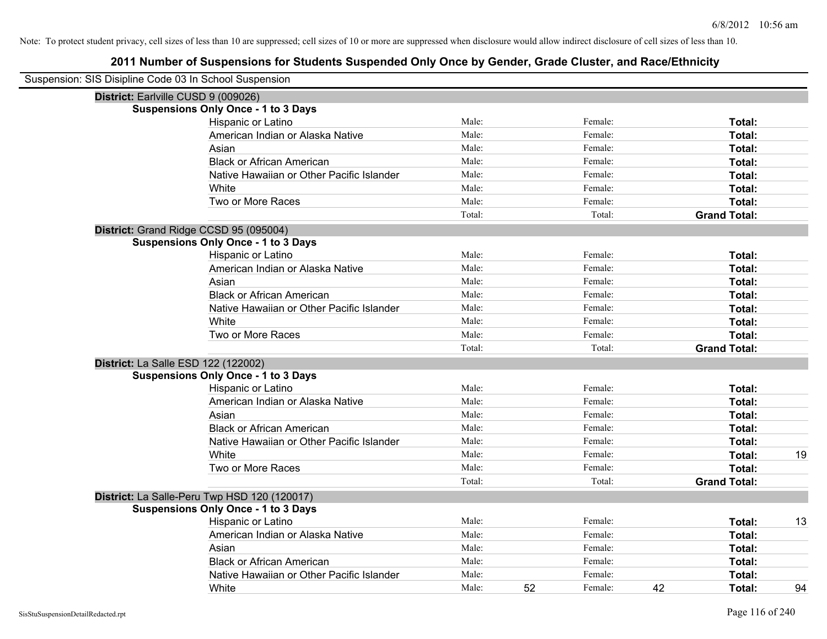| Suspension: SIS Disipline Code 03 In School Suspension |                                              |        |    |         |    |                     |    |
|--------------------------------------------------------|----------------------------------------------|--------|----|---------|----|---------------------|----|
| District: Earlville CUSD 9 (009026)                    |                                              |        |    |         |    |                     |    |
|                                                        | <b>Suspensions Only Once - 1 to 3 Days</b>   |        |    |         |    |                     |    |
|                                                        | Hispanic or Latino                           | Male:  |    | Female: |    | Total:              |    |
|                                                        | American Indian or Alaska Native             | Male:  |    | Female: |    | Total:              |    |
|                                                        | Asian                                        | Male:  |    | Female: |    | Total:              |    |
|                                                        | <b>Black or African American</b>             | Male:  |    | Female: |    | Total:              |    |
|                                                        | Native Hawaiian or Other Pacific Islander    | Male:  |    | Female: |    | Total:              |    |
|                                                        | White                                        | Male:  |    | Female: |    | Total:              |    |
|                                                        | Two or More Races                            | Male:  |    | Female: |    | Total:              |    |
|                                                        |                                              | Total: |    | Total:  |    | <b>Grand Total:</b> |    |
| District: Grand Ridge CCSD 95 (095004)                 |                                              |        |    |         |    |                     |    |
|                                                        | <b>Suspensions Only Once - 1 to 3 Days</b>   |        |    |         |    |                     |    |
|                                                        | Hispanic or Latino                           | Male:  |    | Female: |    | Total:              |    |
|                                                        | American Indian or Alaska Native             | Male:  |    | Female: |    | Total:              |    |
|                                                        | Asian                                        | Male:  |    | Female: |    | Total:              |    |
|                                                        | <b>Black or African American</b>             | Male:  |    | Female: |    | Total:              |    |
|                                                        | Native Hawaiian or Other Pacific Islander    | Male:  |    | Female: |    | Total:              |    |
|                                                        | White                                        | Male:  |    | Female: |    | Total:              |    |
|                                                        | Two or More Races                            | Male:  |    | Female: |    | Total:              |    |
|                                                        |                                              | Total: |    | Total:  |    | <b>Grand Total:</b> |    |
| District: La Salle ESD 122 (122002)                    |                                              |        |    |         |    |                     |    |
|                                                        | <b>Suspensions Only Once - 1 to 3 Days</b>   |        |    |         |    |                     |    |
|                                                        | Hispanic or Latino                           | Male:  |    | Female: |    | Total:              |    |
|                                                        | American Indian or Alaska Native             | Male:  |    | Female: |    | Total:              |    |
|                                                        | Asian                                        | Male:  |    | Female: |    | Total:              |    |
|                                                        | <b>Black or African American</b>             | Male:  |    | Female: |    | Total:              |    |
|                                                        | Native Hawaiian or Other Pacific Islander    | Male:  |    | Female: |    | Total:              |    |
|                                                        | White                                        | Male:  |    | Female: |    | Total:              | 19 |
|                                                        | Two or More Races                            | Male:  |    | Female: |    | Total:              |    |
|                                                        |                                              | Total: |    | Total:  |    | <b>Grand Total:</b> |    |
|                                                        | District: La Salle-Peru Twp HSD 120 (120017) |        |    |         |    |                     |    |
|                                                        | <b>Suspensions Only Once - 1 to 3 Days</b>   |        |    |         |    |                     |    |
|                                                        | Hispanic or Latino                           | Male:  |    | Female: |    | Total:              | 13 |
|                                                        | American Indian or Alaska Native             | Male:  |    | Female: |    | Total:              |    |
|                                                        | Asian                                        | Male:  |    | Female: |    | Total:              |    |
|                                                        | <b>Black or African American</b>             | Male:  |    | Female: |    | <b>Total:</b>       |    |
|                                                        | Native Hawaiian or Other Pacific Islander    | Male:  |    | Female: |    | Total:              |    |
|                                                        | White                                        | Male:  | 52 | Female: | 42 | Total:              | 94 |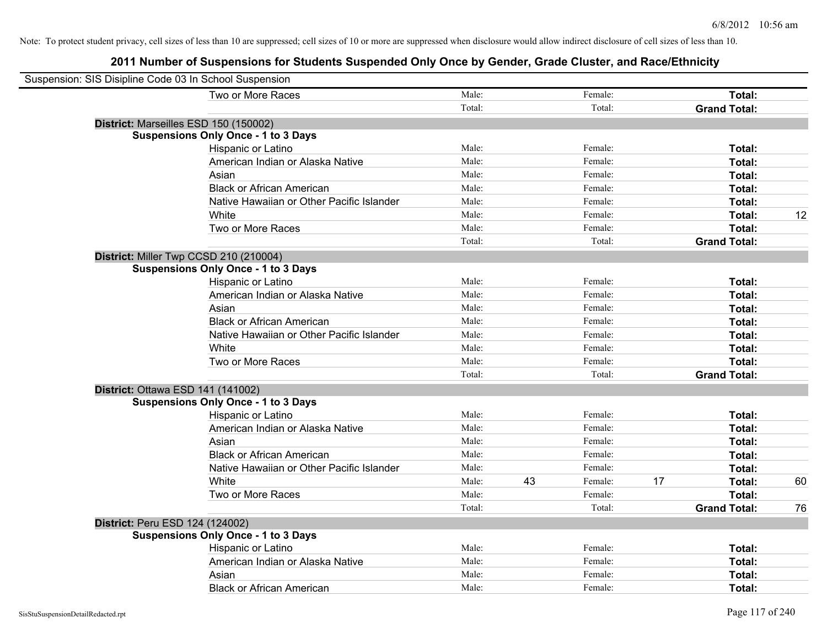| Suspension: SIS Disipline Code 03 In School Suspension |                                            |        |    |         |    |                     |    |
|--------------------------------------------------------|--------------------------------------------|--------|----|---------|----|---------------------|----|
|                                                        | Two or More Races                          | Male:  |    | Female: |    | Total:              |    |
|                                                        |                                            | Total: |    | Total:  |    | <b>Grand Total:</b> |    |
|                                                        | District: Marseilles ESD 150 (150002)      |        |    |         |    |                     |    |
|                                                        | <b>Suspensions Only Once - 1 to 3 Days</b> |        |    |         |    |                     |    |
|                                                        | Hispanic or Latino                         | Male:  |    | Female: |    | Total:              |    |
|                                                        | American Indian or Alaska Native           | Male:  |    | Female: |    | Total:              |    |
|                                                        | Asian                                      | Male:  |    | Female: |    | Total:              |    |
|                                                        | <b>Black or African American</b>           | Male:  |    | Female: |    | Total:              |    |
|                                                        | Native Hawaiian or Other Pacific Islander  | Male:  |    | Female: |    | Total:              |    |
|                                                        | White                                      | Male:  |    | Female: |    | Total:              | 12 |
|                                                        | Two or More Races                          | Male:  |    | Female: |    | Total:              |    |
|                                                        |                                            | Total: |    | Total:  |    | <b>Grand Total:</b> |    |
|                                                        | District: Miller Twp CCSD 210 (210004)     |        |    |         |    |                     |    |
|                                                        | <b>Suspensions Only Once - 1 to 3 Days</b> |        |    |         |    |                     |    |
|                                                        | Hispanic or Latino                         | Male:  |    | Female: |    | Total:              |    |
|                                                        | American Indian or Alaska Native           | Male:  |    | Female: |    | Total:              |    |
|                                                        | Asian                                      | Male:  |    | Female: |    | Total:              |    |
|                                                        | <b>Black or African American</b>           | Male:  |    | Female: |    | Total:              |    |
|                                                        | Native Hawaiian or Other Pacific Islander  | Male:  |    | Female: |    | Total:              |    |
|                                                        | White                                      | Male:  |    | Female: |    | Total:              |    |
|                                                        | Two or More Races                          | Male:  |    | Female: |    | Total:              |    |
|                                                        |                                            | Total: |    | Total:  |    | <b>Grand Total:</b> |    |
|                                                        | District: Ottawa ESD 141 (141002)          |        |    |         |    |                     |    |
|                                                        | <b>Suspensions Only Once - 1 to 3 Days</b> |        |    |         |    |                     |    |
|                                                        | Hispanic or Latino                         | Male:  |    | Female: |    | Total:              |    |
|                                                        | American Indian or Alaska Native           | Male:  |    | Female: |    | Total:              |    |
|                                                        | Asian                                      | Male:  |    | Female: |    | Total:              |    |
|                                                        | <b>Black or African American</b>           | Male:  |    | Female: |    | Total:              |    |
|                                                        | Native Hawaiian or Other Pacific Islander  | Male:  |    | Female: |    | Total:              |    |
|                                                        | White                                      | Male:  | 43 | Female: | 17 | Total:              | 60 |
|                                                        | Two or More Races                          | Male:  |    | Female: |    | Total:              |    |
|                                                        |                                            | Total: |    | Total:  |    | <b>Grand Total:</b> | 76 |
| District: Peru ESD 124 (124002)                        |                                            |        |    |         |    |                     |    |
|                                                        | <b>Suspensions Only Once - 1 to 3 Days</b> |        |    |         |    |                     |    |
|                                                        | Hispanic or Latino                         | Male:  |    | Female: |    | Total:              |    |
|                                                        | American Indian or Alaska Native           | Male:  |    | Female: |    | Total:              |    |
|                                                        | Asian                                      | Male:  |    | Female: |    | Total:              |    |
|                                                        | <b>Black or African American</b>           | Male:  |    | Female: |    | Total:              |    |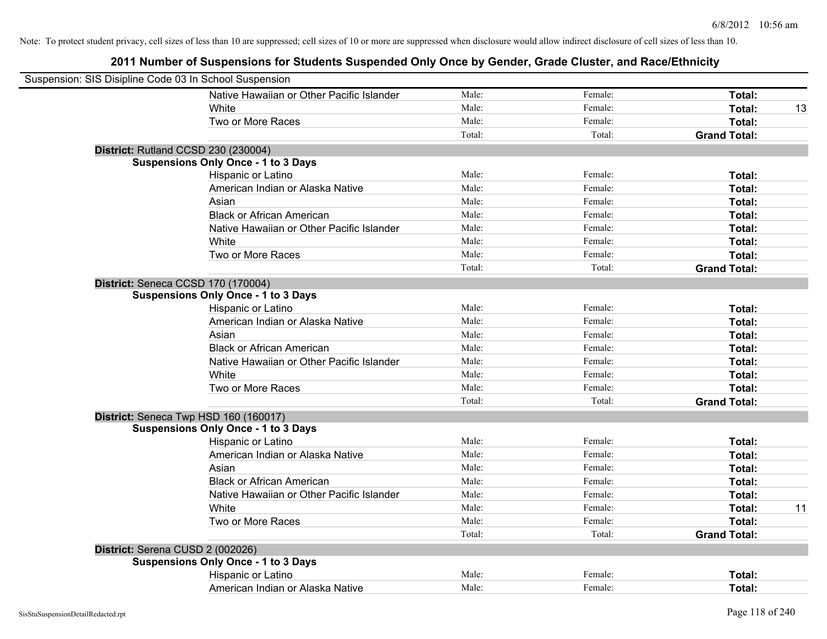| Suspension: SIS Disipline Code 03 In School Suspension |                                            |        |         |                     |    |
|--------------------------------------------------------|--------------------------------------------|--------|---------|---------------------|----|
|                                                        | Native Hawaiian or Other Pacific Islander  | Male:  | Female: | Total:              |    |
|                                                        | White                                      | Male:  | Female: | Total:              | 13 |
|                                                        | Two or More Races                          | Male:  | Female: | Total:              |    |
|                                                        |                                            | Total: | Total:  | <b>Grand Total:</b> |    |
| District: Rutland CCSD 230 (230004)                    |                                            |        |         |                     |    |
|                                                        | <b>Suspensions Only Once - 1 to 3 Days</b> |        |         |                     |    |
|                                                        | Hispanic or Latino                         | Male:  | Female: | Total:              |    |
|                                                        | American Indian or Alaska Native           | Male:  | Female: | Total:              |    |
|                                                        | Asian                                      | Male:  | Female: | Total:              |    |
|                                                        | <b>Black or African American</b>           | Male:  | Female: | Total:              |    |
|                                                        | Native Hawaiian or Other Pacific Islander  | Male:  | Female: | Total:              |    |
|                                                        | White                                      | Male:  | Female: | Total:              |    |
|                                                        | Two or More Races                          | Male:  | Female: | Total:              |    |
|                                                        |                                            | Total: | Total:  | <b>Grand Total:</b> |    |
| District: Seneca CCSD 170 (170004)                     |                                            |        |         |                     |    |
|                                                        | <b>Suspensions Only Once - 1 to 3 Days</b> |        |         |                     |    |
|                                                        | Hispanic or Latino                         | Male:  | Female: | Total:              |    |
|                                                        | American Indian or Alaska Native           | Male:  | Female: | Total:              |    |
|                                                        | Asian                                      | Male:  | Female: | Total:              |    |
|                                                        | <b>Black or African American</b>           | Male:  | Female: | Total:              |    |
|                                                        | Native Hawaiian or Other Pacific Islander  | Male:  | Female: | Total:              |    |
|                                                        | White                                      | Male:  | Female: | Total:              |    |
|                                                        | Two or More Races                          | Male:  | Female: | Total:              |    |
|                                                        |                                            | Total: | Total:  | <b>Grand Total:</b> |    |
|                                                        | District: Seneca Twp HSD 160 (160017)      |        |         |                     |    |
|                                                        | <b>Suspensions Only Once - 1 to 3 Days</b> |        |         |                     |    |
|                                                        | Hispanic or Latino                         | Male:  | Female: | Total:              |    |
|                                                        | American Indian or Alaska Native           | Male:  | Female: | Total:              |    |
|                                                        | Asian                                      | Male:  | Female: | Total:              |    |
|                                                        | <b>Black or African American</b>           | Male:  | Female: | Total:              |    |
|                                                        | Native Hawaiian or Other Pacific Islander  | Male:  | Female: | Total:              |    |
|                                                        | White                                      | Male:  | Female: | Total:              | 11 |
|                                                        | Two or More Races                          | Male:  | Female: | Total:              |    |
|                                                        |                                            | Total: | Total:  | <b>Grand Total:</b> |    |
| District: Serena CUSD 2 (002026)                       |                                            |        |         |                     |    |
|                                                        | <b>Suspensions Only Once - 1 to 3 Days</b> |        |         |                     |    |
|                                                        | Hispanic or Latino                         | Male:  | Female: | Total:              |    |
|                                                        | American Indian or Alaska Native           | Male:  | Female: | Total:              |    |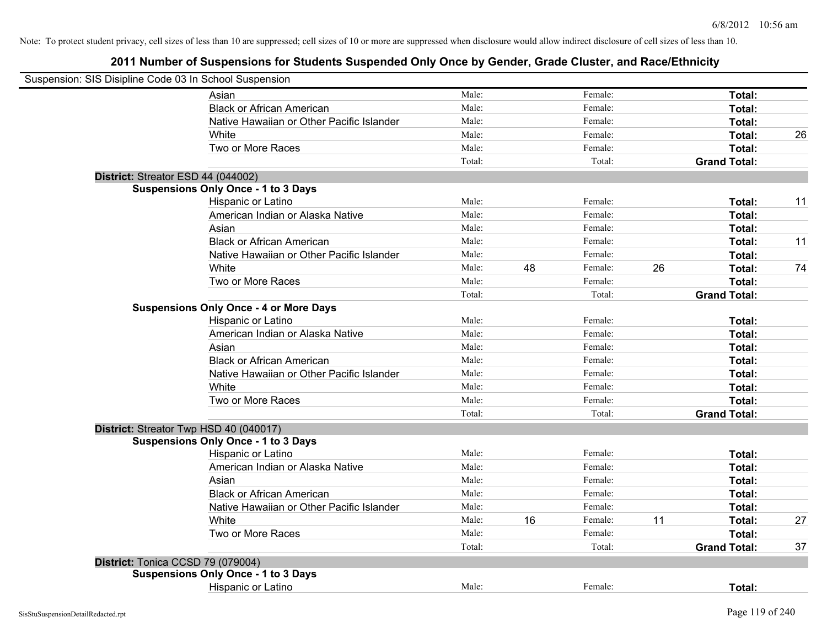| Suspension: SIS Disipline Code 03 In School Suspension |        |    |         |    |                     |    |
|--------------------------------------------------------|--------|----|---------|----|---------------------|----|
| Asian                                                  | Male:  |    | Female: |    | Total:              |    |
| <b>Black or African American</b>                       | Male:  |    | Female: |    | Total:              |    |
| Native Hawaiian or Other Pacific Islander              | Male:  |    | Female: |    | Total:              |    |
| White                                                  | Male:  |    | Female: |    | Total:              | 26 |
| Two or More Races                                      | Male:  |    | Female: |    | Total:              |    |
|                                                        | Total: |    | Total:  |    | <b>Grand Total:</b> |    |
| District: Streator ESD 44 (044002)                     |        |    |         |    |                     |    |
| <b>Suspensions Only Once - 1 to 3 Days</b>             |        |    |         |    |                     |    |
| Hispanic or Latino                                     | Male:  |    | Female: |    | Total:              | 11 |
| American Indian or Alaska Native                       | Male:  |    | Female: |    | Total:              |    |
| Asian                                                  | Male:  |    | Female: |    | Total:              |    |
| <b>Black or African American</b>                       | Male:  |    | Female: |    | Total:              | 11 |
| Native Hawaiian or Other Pacific Islander              | Male:  |    | Female: |    | Total:              |    |
| White                                                  | Male:  | 48 | Female: | 26 | Total:              | 74 |
| Two or More Races                                      | Male:  |    | Female: |    | Total:              |    |
|                                                        | Total: |    | Total:  |    | <b>Grand Total:</b> |    |
| <b>Suspensions Only Once - 4 or More Days</b>          |        |    |         |    |                     |    |
| Hispanic or Latino                                     | Male:  |    | Female: |    | Total:              |    |
| American Indian or Alaska Native                       | Male:  |    | Female: |    | Total:              |    |
| Asian                                                  | Male:  |    | Female: |    | Total:              |    |
| <b>Black or African American</b>                       | Male:  |    | Female: |    | Total:              |    |
| Native Hawaiian or Other Pacific Islander              | Male:  |    | Female: |    | Total:              |    |
| White                                                  | Male:  |    | Female: |    | Total:              |    |
| Two or More Races                                      | Male:  |    | Female: |    | Total:              |    |
|                                                        | Total: |    | Total:  |    | <b>Grand Total:</b> |    |
| District: Streator Twp HSD 40 (040017)                 |        |    |         |    |                     |    |
| <b>Suspensions Only Once - 1 to 3 Days</b>             |        |    |         |    |                     |    |
| Hispanic or Latino                                     | Male:  |    | Female: |    | Total:              |    |
| American Indian or Alaska Native                       | Male:  |    | Female: |    | Total:              |    |
| Asian                                                  | Male:  |    | Female: |    | Total:              |    |
| <b>Black or African American</b>                       | Male:  |    | Female: |    | Total:              |    |
| Native Hawaiian or Other Pacific Islander              | Male:  |    | Female: |    | Total:              |    |
| White                                                  | Male:  | 16 | Female: | 11 | Total:              | 27 |
| Two or More Races                                      | Male:  |    | Female: |    | Total:              |    |
|                                                        | Total: |    | Total:  |    | <b>Grand Total:</b> | 37 |
| District: Tonica CCSD 79 (079004)                      |        |    |         |    |                     |    |
| <b>Suspensions Only Once - 1 to 3 Days</b>             |        |    |         |    |                     |    |
| Hispanic or Latino                                     | Male:  |    | Female: |    | Total:              |    |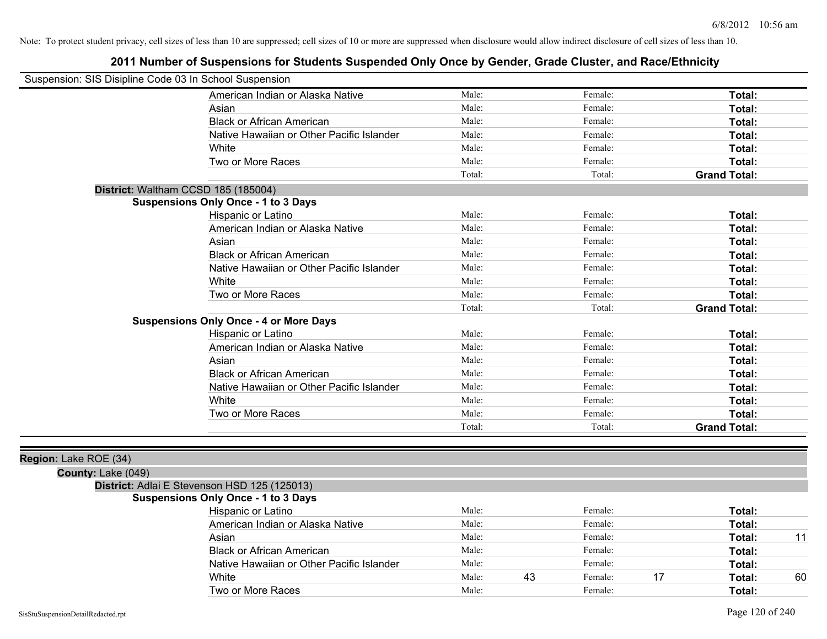## **2011 Number of Suspensions for Students Suspended Only Once by Gender, Grade Cluster, and Race/Ethnicity**

| Suspension: SIS Disipline Code 03 In School Suspension |                                               |        |         |                     |
|--------------------------------------------------------|-----------------------------------------------|--------|---------|---------------------|
|                                                        | American Indian or Alaska Native              | Male:  | Female: | Total:              |
|                                                        | Asian                                         | Male:  | Female: | Total:              |
|                                                        | <b>Black or African American</b>              | Male:  | Female: | Total:              |
|                                                        | Native Hawaiian or Other Pacific Islander     | Male:  | Female: | Total:              |
|                                                        | White                                         | Male:  | Female: | Total:              |
|                                                        | Two or More Races                             | Male:  | Female: | Total:              |
|                                                        |                                               | Total: | Total:  | <b>Grand Total:</b> |
| District: Waltham CCSD 185 (185004)                    |                                               |        |         |                     |
|                                                        | <b>Suspensions Only Once - 1 to 3 Days</b>    |        |         |                     |
|                                                        | Hispanic or Latino                            | Male:  | Female: | Total:              |
|                                                        | American Indian or Alaska Native              | Male:  | Female: | Total:              |
|                                                        | Asian                                         | Male:  | Female: | Total:              |
|                                                        | <b>Black or African American</b>              | Male:  | Female: | Total:              |
|                                                        | Native Hawaiian or Other Pacific Islander     | Male:  | Female: | Total:              |
|                                                        | White                                         | Male:  | Female: | Total:              |
|                                                        | Two or More Races                             | Male:  | Female: | Total:              |
|                                                        |                                               | Total: | Total:  | <b>Grand Total:</b> |
|                                                        | <b>Suspensions Only Once - 4 or More Days</b> |        |         |                     |
|                                                        | Hispanic or Latino                            | Male:  | Female: | Total:              |
|                                                        | American Indian or Alaska Native              | Male:  | Female: | Total:              |
|                                                        | Asian                                         | Male:  | Female: | Total:              |
|                                                        | <b>Black or African American</b>              | Male:  | Female: | Total:              |
|                                                        | Native Hawaiian or Other Pacific Islander     | Male:  | Female: | Total:              |
|                                                        | White                                         | Male:  | Female: | Total:              |
|                                                        | Two or More Races                             | Male:  | Female: | Total:              |
|                                                        |                                               | Total: | Total:  | <b>Grand Total:</b> |
|                                                        |                                               |        |         |                     |
| Region: Lake ROE (34)                                  |                                               |        |         |                     |
| $C_{\text{Alm}+1}$ oko (040)                           |                                               |        |         |                     |

#### **County:** Lake (049) **District:** Adlai E Stevenson HSD 125 (125013)

# **Suspensions Only Once - 1 to 3 Days**

| Hispanic or Latino                        | Male: |    | Female: | Total: |    |
|-------------------------------------------|-------|----|---------|--------|----|
| American Indian or Alaska Native          | Male: |    | Female: | Total: |    |
| Asian                                     | Male: |    | Female: | Total: |    |
| <b>Black or African American</b>          | Male: |    | Female: | Total: |    |
| Native Hawaiian or Other Pacific Islander | Male: |    | Female: | Total: |    |
| White                                     | Male: | 43 | Female: | Total: | 60 |
| Two or More Races                         | Male: |    | Female: | Total: |    |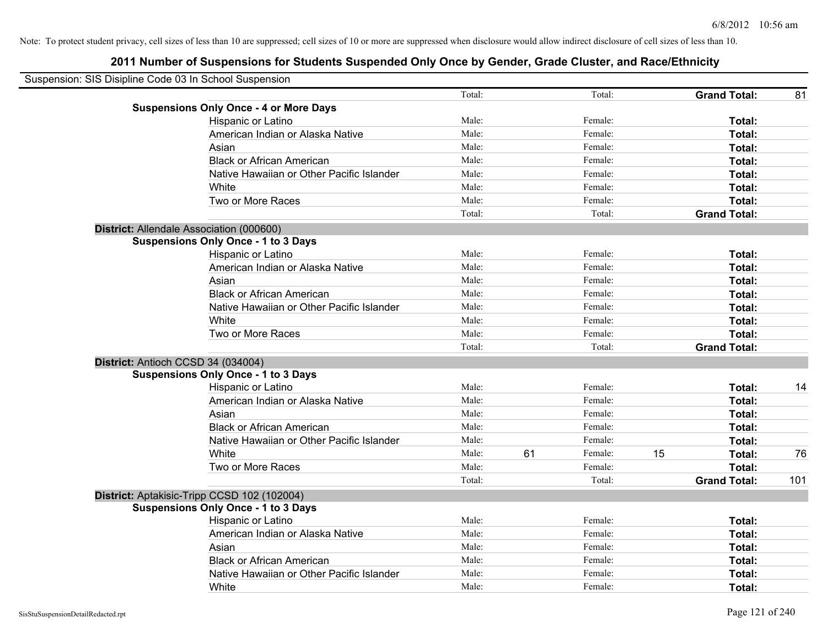| Suspension: SIS Disipline Code 03 In School Suspension |                                               |        |    |         |    |                     |     |
|--------------------------------------------------------|-----------------------------------------------|--------|----|---------|----|---------------------|-----|
|                                                        |                                               | Total: |    | Total:  |    | <b>Grand Total:</b> | 81  |
|                                                        | <b>Suspensions Only Once - 4 or More Days</b> |        |    |         |    |                     |     |
|                                                        | Hispanic or Latino                            | Male:  |    | Female: |    | Total:              |     |
|                                                        | American Indian or Alaska Native              | Male:  |    | Female: |    | Total:              |     |
|                                                        | Asian                                         | Male:  |    | Female: |    | Total:              |     |
|                                                        | <b>Black or African American</b>              | Male:  |    | Female: |    | Total:              |     |
|                                                        | Native Hawaiian or Other Pacific Islander     | Male:  |    | Female: |    | Total:              |     |
|                                                        | White                                         | Male:  |    | Female: |    | Total:              |     |
|                                                        | Two or More Races                             | Male:  |    | Female: |    | Total:              |     |
|                                                        |                                               | Total: |    | Total:  |    | <b>Grand Total:</b> |     |
|                                                        | District: Allendale Association (000600)      |        |    |         |    |                     |     |
|                                                        | <b>Suspensions Only Once - 1 to 3 Days</b>    |        |    |         |    |                     |     |
|                                                        | Hispanic or Latino                            | Male:  |    | Female: |    | Total:              |     |
|                                                        | American Indian or Alaska Native              | Male:  |    | Female: |    | Total:              |     |
|                                                        | Asian                                         | Male:  |    | Female: |    | Total:              |     |
|                                                        | <b>Black or African American</b>              | Male:  |    | Female: |    | Total:              |     |
|                                                        | Native Hawaiian or Other Pacific Islander     | Male:  |    | Female: |    | Total:              |     |
|                                                        | White                                         | Male:  |    | Female: |    | Total:              |     |
|                                                        | Two or More Races                             | Male:  |    | Female: |    | Total:              |     |
|                                                        |                                               | Total: |    | Total:  |    | <b>Grand Total:</b> |     |
|                                                        | District: Antioch CCSD 34 (034004)            |        |    |         |    |                     |     |
|                                                        | <b>Suspensions Only Once - 1 to 3 Days</b>    |        |    |         |    |                     |     |
|                                                        | Hispanic or Latino                            | Male:  |    | Female: |    | Total:              | 14  |
|                                                        | American Indian or Alaska Native              | Male:  |    | Female: |    | Total:              |     |
|                                                        | Asian                                         | Male:  |    | Female: |    | Total:              |     |
|                                                        | <b>Black or African American</b>              | Male:  |    | Female: |    | Total:              |     |
|                                                        | Native Hawaiian or Other Pacific Islander     | Male:  |    | Female: |    | Total:              |     |
|                                                        | White                                         | Male:  | 61 | Female: | 15 | Total:              | 76  |
|                                                        | Two or More Races                             | Male:  |    | Female: |    | Total:              |     |
|                                                        |                                               | Total: |    | Total:  |    | <b>Grand Total:</b> | 101 |
|                                                        | District: Aptakisic-Tripp CCSD 102 (102004)   |        |    |         |    |                     |     |
|                                                        | <b>Suspensions Only Once - 1 to 3 Days</b>    |        |    |         |    |                     |     |
|                                                        | Hispanic or Latino                            | Male:  |    | Female: |    | Total:              |     |
|                                                        | American Indian or Alaska Native              | Male:  |    | Female: |    | Total:              |     |
|                                                        | Asian                                         | Male:  |    | Female: |    | Total:              |     |
|                                                        | <b>Black or African American</b>              | Male:  |    | Female: |    | Total:              |     |
|                                                        | Native Hawaiian or Other Pacific Islander     | Male:  |    | Female: |    | Total:              |     |
|                                                        | White                                         | Male:  |    | Female: |    | Total:              |     |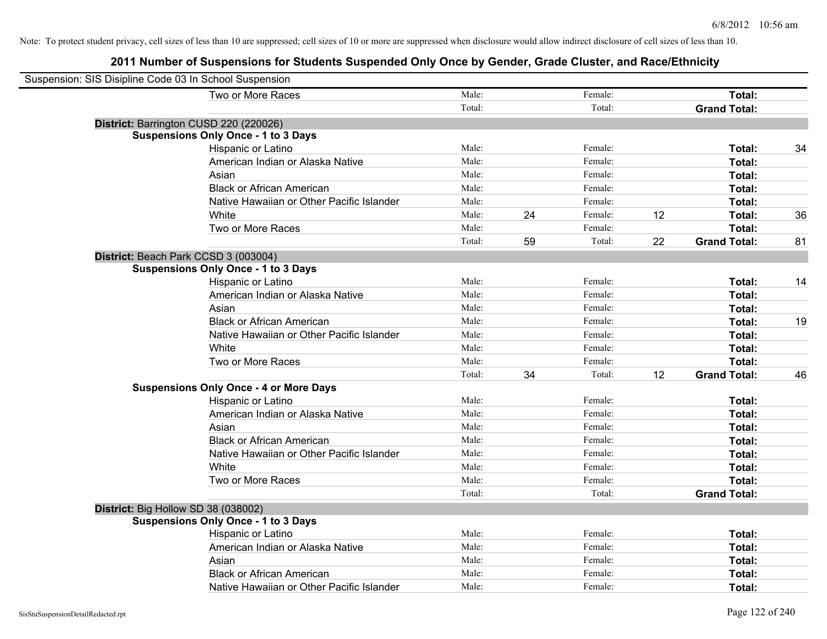| Suspension: SIS Disipline Code 03 In School Suspension |                                               |        |    |         |    |                     |    |
|--------------------------------------------------------|-----------------------------------------------|--------|----|---------|----|---------------------|----|
|                                                        | Two or More Races                             | Male:  |    | Female: |    | Total:              |    |
|                                                        |                                               | Total: |    | Total:  |    | <b>Grand Total:</b> |    |
|                                                        | District: Barrington CUSD 220 (220026)        |        |    |         |    |                     |    |
|                                                        | <b>Suspensions Only Once - 1 to 3 Days</b>    |        |    |         |    |                     |    |
|                                                        | Hispanic or Latino                            | Male:  |    | Female: |    | Total:              | 34 |
|                                                        | American Indian or Alaska Native              | Male:  |    | Female: |    | Total:              |    |
|                                                        | Asian                                         | Male:  |    | Female: |    | Total:              |    |
|                                                        | <b>Black or African American</b>              | Male:  |    | Female: |    | Total:              |    |
|                                                        | Native Hawaiian or Other Pacific Islander     | Male:  |    | Female: |    | Total:              |    |
|                                                        | White                                         | Male:  | 24 | Female: | 12 | Total:              | 36 |
|                                                        | Two or More Races                             | Male:  |    | Female: |    | Total:              |    |
|                                                        |                                               | Total: | 59 | Total:  | 22 | <b>Grand Total:</b> | 81 |
| District: Beach Park CCSD 3 (003004)                   |                                               |        |    |         |    |                     |    |
|                                                        | <b>Suspensions Only Once - 1 to 3 Days</b>    |        |    |         |    |                     |    |
|                                                        | Hispanic or Latino                            | Male:  |    | Female: |    | Total:              | 14 |
|                                                        | American Indian or Alaska Native              | Male:  |    | Female: |    | Total:              |    |
|                                                        | Asian                                         | Male:  |    | Female: |    | Total:              |    |
|                                                        | <b>Black or African American</b>              | Male:  |    | Female: |    | Total:              | 19 |
|                                                        | Native Hawaiian or Other Pacific Islander     | Male:  |    | Female: |    | Total:              |    |
|                                                        | White                                         | Male:  |    | Female: |    | Total:              |    |
|                                                        | Two or More Races                             | Male:  |    | Female: |    | Total:              |    |
|                                                        |                                               | Total: | 34 | Total:  | 12 | <b>Grand Total:</b> | 46 |
|                                                        | <b>Suspensions Only Once - 4 or More Days</b> |        |    |         |    |                     |    |
|                                                        | Hispanic or Latino                            | Male:  |    | Female: |    | Total:              |    |
|                                                        | American Indian or Alaska Native              | Male:  |    | Female: |    | Total:              |    |
|                                                        | Asian                                         | Male:  |    | Female: |    | Total:              |    |
|                                                        | <b>Black or African American</b>              | Male:  |    | Female: |    | Total:              |    |
|                                                        | Native Hawaiian or Other Pacific Islander     | Male:  |    | Female: |    | Total:              |    |
|                                                        | White                                         | Male:  |    | Female: |    | Total:              |    |
|                                                        | Two or More Races                             | Male:  |    | Female: |    | Total:              |    |
|                                                        |                                               | Total: |    | Total:  |    | <b>Grand Total:</b> |    |
| District: Big Hollow SD 38 (038002)                    |                                               |        |    |         |    |                     |    |
|                                                        | <b>Suspensions Only Once - 1 to 3 Days</b>    |        |    |         |    |                     |    |
|                                                        | Hispanic or Latino                            | Male:  |    | Female: |    | Total:              |    |
|                                                        | American Indian or Alaska Native              | Male:  |    | Female: |    | Total:              |    |
|                                                        | Asian                                         | Male:  |    | Female: |    | Total:              |    |
|                                                        | <b>Black or African American</b>              | Male:  |    | Female: |    | Total:              |    |
|                                                        | Native Hawaiian or Other Pacific Islander     | Male:  |    | Female: |    | Total:              |    |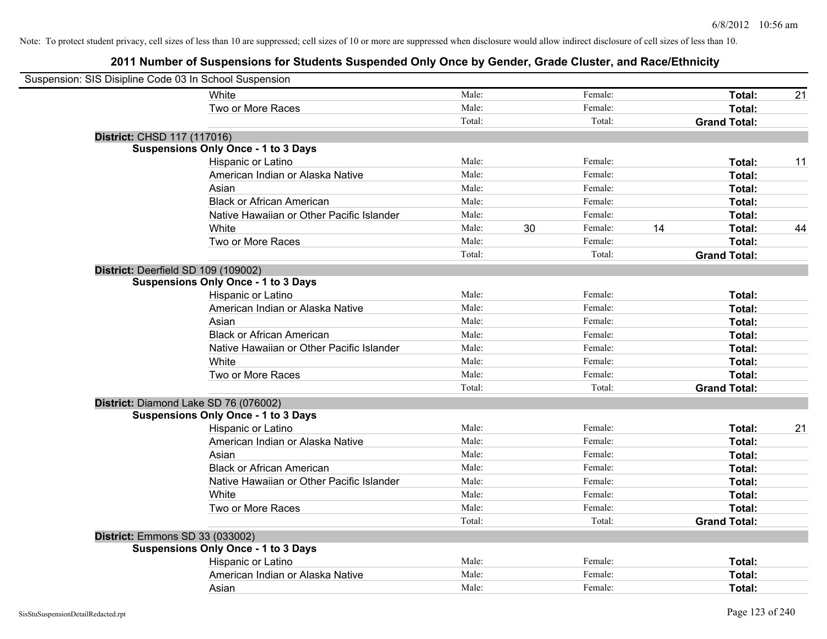| Suspension: SIS Disipline Code 03 In School Suspension |                                            |        |    |         |    |                     |    |
|--------------------------------------------------------|--------------------------------------------|--------|----|---------|----|---------------------|----|
|                                                        | White                                      | Male:  |    | Female: |    | Total:              | 21 |
|                                                        | Two or More Races                          | Male:  |    | Female: |    | Total:              |    |
|                                                        |                                            | Total: |    | Total:  |    | <b>Grand Total:</b> |    |
| District: CHSD 117 (117016)                            |                                            |        |    |         |    |                     |    |
|                                                        | <b>Suspensions Only Once - 1 to 3 Days</b> |        |    |         |    |                     |    |
|                                                        | Hispanic or Latino                         | Male:  |    | Female: |    | Total:              | 11 |
|                                                        | American Indian or Alaska Native           | Male:  |    | Female: |    | Total:              |    |
|                                                        | Asian                                      | Male:  |    | Female: |    | Total:              |    |
|                                                        | <b>Black or African American</b>           | Male:  |    | Female: |    | Total:              |    |
|                                                        | Native Hawaiian or Other Pacific Islander  | Male:  |    | Female: |    | Total:              |    |
|                                                        | White                                      | Male:  | 30 | Female: | 14 | Total:              | 44 |
|                                                        | Two or More Races                          | Male:  |    | Female: |    | Total:              |    |
|                                                        |                                            | Total: |    | Total:  |    | <b>Grand Total:</b> |    |
| District: Deerfield SD 109 (109002)                    |                                            |        |    |         |    |                     |    |
|                                                        | <b>Suspensions Only Once - 1 to 3 Days</b> |        |    |         |    |                     |    |
|                                                        | Hispanic or Latino                         | Male:  |    | Female: |    | Total:              |    |
|                                                        | American Indian or Alaska Native           | Male:  |    | Female: |    | Total:              |    |
|                                                        | Asian                                      | Male:  |    | Female: |    | Total:              |    |
|                                                        | <b>Black or African American</b>           | Male:  |    | Female: |    | Total:              |    |
|                                                        | Native Hawaiian or Other Pacific Islander  | Male:  |    | Female: |    | Total:              |    |
|                                                        | White                                      | Male:  |    | Female: |    | Total:              |    |
|                                                        | Two or More Races                          | Male:  |    | Female: |    | Total:              |    |
|                                                        |                                            | Total: |    | Total:  |    | <b>Grand Total:</b> |    |
| District: Diamond Lake SD 76 (076002)                  |                                            |        |    |         |    |                     |    |
|                                                        | <b>Suspensions Only Once - 1 to 3 Days</b> |        |    |         |    |                     |    |
|                                                        | Hispanic or Latino                         | Male:  |    | Female: |    | Total:              | 21 |
|                                                        | American Indian or Alaska Native           | Male:  |    | Female: |    | Total:              |    |
|                                                        | Asian                                      | Male:  |    | Female: |    | Total:              |    |
|                                                        | <b>Black or African American</b>           | Male:  |    | Female: |    | Total:              |    |
|                                                        | Native Hawaiian or Other Pacific Islander  | Male:  |    | Female: |    | Total:              |    |
|                                                        | White                                      | Male:  |    | Female: |    | Total:              |    |
|                                                        | Two or More Races                          | Male:  |    | Female: |    | Total:              |    |
|                                                        |                                            | Total: |    | Total:  |    | <b>Grand Total:</b> |    |
| District: Emmons SD 33 (033002)                        |                                            |        |    |         |    |                     |    |
|                                                        | <b>Suspensions Only Once - 1 to 3 Days</b> |        |    |         |    |                     |    |
|                                                        | Hispanic or Latino                         | Male:  |    | Female: |    | Total:              |    |
|                                                        | American Indian or Alaska Native           | Male:  |    | Female: |    | Total:              |    |
|                                                        | Asian                                      | Male:  |    | Female: |    | Total:              |    |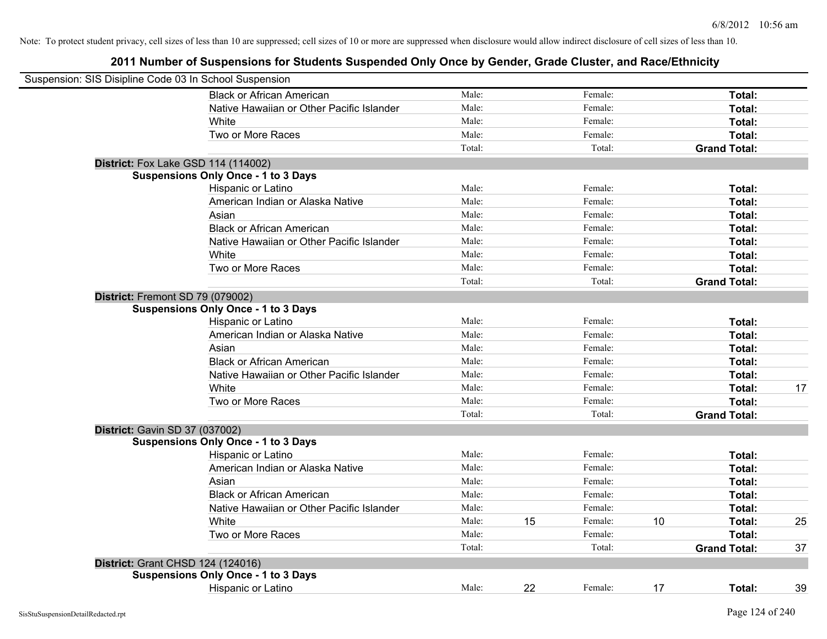| Suspension: SIS Disipline Code 03 In School Suspension |                                            |        |    |         |    |                     |    |
|--------------------------------------------------------|--------------------------------------------|--------|----|---------|----|---------------------|----|
|                                                        | <b>Black or African American</b>           | Male:  |    | Female: |    | Total:              |    |
|                                                        | Native Hawaiian or Other Pacific Islander  | Male:  |    | Female: |    | Total:              |    |
|                                                        | White                                      | Male:  |    | Female: |    | Total:              |    |
|                                                        | Two or More Races                          | Male:  |    | Female: |    | Total:              |    |
|                                                        |                                            | Total: |    | Total:  |    | <b>Grand Total:</b> |    |
|                                                        | <b>District:</b> Fox Lake GSD 114 (114002) |        |    |         |    |                     |    |
|                                                        | <b>Suspensions Only Once - 1 to 3 Days</b> |        |    |         |    |                     |    |
|                                                        | Hispanic or Latino                         | Male:  |    | Female: |    | Total:              |    |
|                                                        | American Indian or Alaska Native           | Male:  |    | Female: |    | Total:              |    |
|                                                        | Asian                                      | Male:  |    | Female: |    | Total:              |    |
|                                                        | <b>Black or African American</b>           | Male:  |    | Female: |    | Total:              |    |
|                                                        | Native Hawaiian or Other Pacific Islander  | Male:  |    | Female: |    | Total:              |    |
|                                                        | White                                      | Male:  |    | Female: |    | Total:              |    |
|                                                        | Two or More Races                          | Male:  |    | Female: |    | Total:              |    |
|                                                        |                                            | Total: |    | Total:  |    | <b>Grand Total:</b> |    |
| District: Fremont SD 79 (079002)                       |                                            |        |    |         |    |                     |    |
|                                                        | <b>Suspensions Only Once - 1 to 3 Days</b> |        |    |         |    |                     |    |
|                                                        | Hispanic or Latino                         | Male:  |    | Female: |    | Total:              |    |
|                                                        | American Indian or Alaska Native           | Male:  |    | Female: |    | Total:              |    |
|                                                        | Asian                                      | Male:  |    | Female: |    | Total:              |    |
|                                                        | <b>Black or African American</b>           | Male:  |    | Female: |    | Total:              |    |
|                                                        | Native Hawaiian or Other Pacific Islander  | Male:  |    | Female: |    | Total:              |    |
|                                                        | White                                      | Male:  |    | Female: |    | Total:              | 17 |
|                                                        | Two or More Races                          | Male:  |    | Female: |    | Total:              |    |
|                                                        |                                            | Total: |    | Total:  |    | <b>Grand Total:</b> |    |
| District: Gavin SD 37 (037002)                         |                                            |        |    |         |    |                     |    |
|                                                        | <b>Suspensions Only Once - 1 to 3 Days</b> |        |    |         |    |                     |    |
|                                                        | Hispanic or Latino                         | Male:  |    | Female: |    | Total:              |    |
|                                                        | American Indian or Alaska Native           | Male:  |    | Female: |    | Total:              |    |
|                                                        | Asian                                      | Male:  |    | Female: |    | Total:              |    |
|                                                        | <b>Black or African American</b>           | Male:  |    | Female: |    | Total:              |    |
|                                                        | Native Hawaiian or Other Pacific Islander  | Male:  |    | Female: |    | Total:              |    |
|                                                        | White                                      | Male:  | 15 | Female: | 10 | Total:              | 25 |
|                                                        | Two or More Races                          | Male:  |    | Female: |    | Total:              |    |
|                                                        |                                            | Total: |    | Total:  |    | <b>Grand Total:</b> | 37 |
| <b>District: Grant CHSD 124 (124016)</b>               |                                            |        |    |         |    |                     |    |
|                                                        | <b>Suspensions Only Once - 1 to 3 Days</b> |        |    |         |    |                     |    |
|                                                        | <b>Hispanic or Latino</b>                  | Male:  | 22 | Female: | 17 | Total:              | 39 |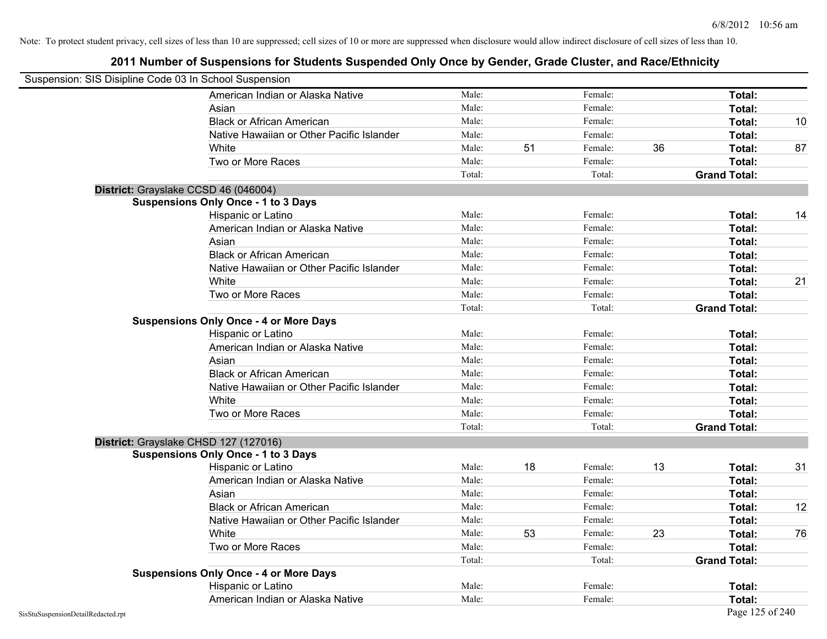| Suspension: SIS Disipline Code 03 In School Suspension |                                               |        |    |         |    |                     |    |
|--------------------------------------------------------|-----------------------------------------------|--------|----|---------|----|---------------------|----|
|                                                        | American Indian or Alaska Native              | Male:  |    | Female: |    | <b>Total:</b>       |    |
|                                                        | Asian                                         | Male:  |    | Female: |    | Total:              |    |
|                                                        | <b>Black or African American</b>              | Male:  |    | Female: |    | Total:              | 10 |
|                                                        | Native Hawaiian or Other Pacific Islander     | Male:  |    | Female: |    | Total:              |    |
|                                                        | White                                         | Male:  | 51 | Female: | 36 | Total:              | 87 |
|                                                        | Two or More Races                             | Male:  |    | Female: |    | Total:              |    |
|                                                        |                                               | Total: |    | Total:  |    | <b>Grand Total:</b> |    |
|                                                        | District: Grayslake CCSD 46 (046004)          |        |    |         |    |                     |    |
|                                                        | <b>Suspensions Only Once - 1 to 3 Days</b>    |        |    |         |    |                     |    |
|                                                        | Hispanic or Latino                            | Male:  |    | Female: |    | Total:              | 14 |
|                                                        | American Indian or Alaska Native              | Male:  |    | Female: |    | Total:              |    |
|                                                        | Asian                                         | Male:  |    | Female: |    | Total:              |    |
|                                                        | <b>Black or African American</b>              | Male:  |    | Female: |    | Total:              |    |
|                                                        | Native Hawaiian or Other Pacific Islander     | Male:  |    | Female: |    | Total:              |    |
|                                                        | White                                         | Male:  |    | Female: |    | Total:              | 21 |
|                                                        | Two or More Races                             | Male:  |    | Female: |    | Total:              |    |
|                                                        |                                               | Total: |    | Total:  |    | <b>Grand Total:</b> |    |
|                                                        | <b>Suspensions Only Once - 4 or More Days</b> |        |    |         |    |                     |    |
|                                                        | Hispanic or Latino                            | Male:  |    | Female: |    | Total:              |    |
|                                                        | American Indian or Alaska Native              | Male:  |    | Female: |    | Total:              |    |
|                                                        | Asian                                         | Male:  |    | Female: |    | Total:              |    |
|                                                        | <b>Black or African American</b>              | Male:  |    | Female: |    | Total:              |    |
|                                                        | Native Hawaiian or Other Pacific Islander     | Male:  |    | Female: |    | Total:              |    |
|                                                        | White                                         | Male:  |    | Female: |    | Total:              |    |
|                                                        | Two or More Races                             | Male:  |    | Female: |    | Total:              |    |
|                                                        |                                               | Total: |    | Total:  |    | <b>Grand Total:</b> |    |
|                                                        | District: Grayslake CHSD 127 (127016)         |        |    |         |    |                     |    |
|                                                        | <b>Suspensions Only Once - 1 to 3 Days</b>    |        |    |         |    |                     |    |
|                                                        | Hispanic or Latino                            | Male:  | 18 | Female: | 13 | Total:              | 31 |
|                                                        | American Indian or Alaska Native              | Male:  |    | Female: |    | Total:              |    |
|                                                        | Asian                                         | Male:  |    | Female: |    | Total:              |    |
|                                                        | <b>Black or African American</b>              | Male:  |    | Female: |    | Total:              | 12 |
|                                                        | Native Hawaiian or Other Pacific Islander     | Male:  |    | Female: |    | Total:              |    |
|                                                        | White                                         | Male:  | 53 | Female: | 23 | Total:              | 76 |
|                                                        | Two or More Races                             | Male:  |    | Female: |    | Total:              |    |
|                                                        |                                               | Total: |    | Total:  |    | <b>Grand Total:</b> |    |
|                                                        | <b>Suspensions Only Once - 4 or More Days</b> |        |    |         |    |                     |    |
|                                                        | Hispanic or Latino                            | Male:  |    | Female: |    | Total:              |    |
|                                                        | American Indian or Alaska Native              | Male:  |    | Female: |    | Total:              |    |
| SisStuSuspensionDetailRedacted.rpt                     |                                               |        |    |         |    | Page 125 of 240     |    |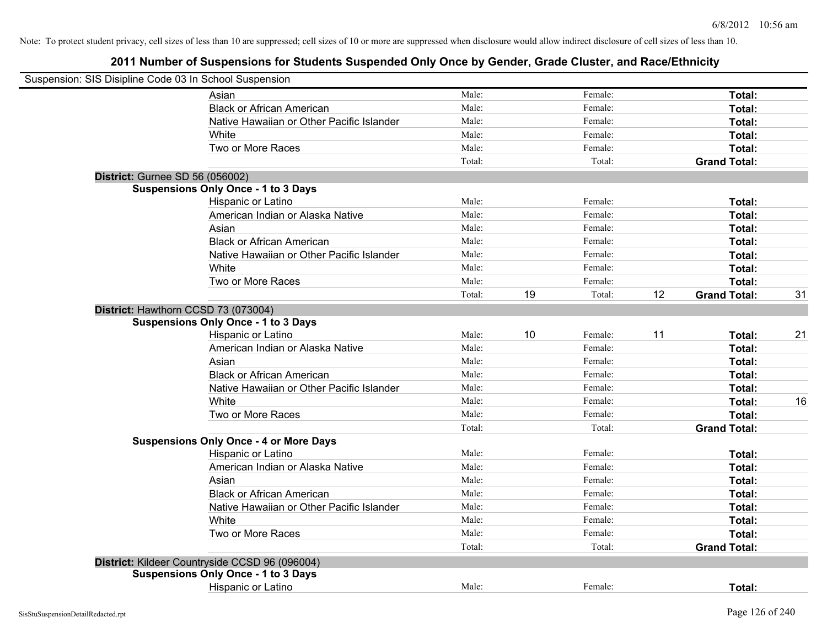| Suspension: SIS Disipline Code 03 In School Suspension |        |    |         |    |                     |    |
|--------------------------------------------------------|--------|----|---------|----|---------------------|----|
| Asian                                                  | Male:  |    | Female: |    | Total:              |    |
| <b>Black or African American</b>                       | Male:  |    | Female: |    | Total:              |    |
| Native Hawaiian or Other Pacific Islander              | Male:  |    | Female: |    | Total:              |    |
| White                                                  | Male:  |    | Female: |    | Total:              |    |
| Two or More Races                                      | Male:  |    | Female: |    | Total:              |    |
|                                                        | Total: |    | Total:  |    | <b>Grand Total:</b> |    |
| District: Gurnee SD 56 (056002)                        |        |    |         |    |                     |    |
| <b>Suspensions Only Once - 1 to 3 Days</b>             |        |    |         |    |                     |    |
| Hispanic or Latino                                     | Male:  |    | Female: |    | Total:              |    |
| American Indian or Alaska Native                       | Male:  |    | Female: |    | Total:              |    |
| Asian                                                  | Male:  |    | Female: |    | Total:              |    |
| <b>Black or African American</b>                       | Male:  |    | Female: |    | Total:              |    |
| Native Hawaiian or Other Pacific Islander              | Male:  |    | Female: |    | Total:              |    |
| White                                                  | Male:  |    | Female: |    | Total:              |    |
| Two or More Races                                      | Male:  |    | Female: |    | Total:              |    |
|                                                        | Total: | 19 | Total:  | 12 | <b>Grand Total:</b> | 31 |
| District: Hawthorn CCSD 73 (073004)                    |        |    |         |    |                     |    |
| <b>Suspensions Only Once - 1 to 3 Days</b>             |        |    |         |    |                     |    |
| Hispanic or Latino                                     | Male:  | 10 | Female: | 11 | Total:              | 21 |
| American Indian or Alaska Native                       | Male:  |    | Female: |    | Total:              |    |
| Asian                                                  | Male:  |    | Female: |    | Total:              |    |
| <b>Black or African American</b>                       | Male:  |    | Female: |    | Total:              |    |
| Native Hawaiian or Other Pacific Islander              | Male:  |    | Female: |    | Total:              |    |
| White                                                  | Male:  |    | Female: |    | Total:              | 16 |
| Two or More Races                                      | Male:  |    | Female: |    | <b>Total:</b>       |    |
|                                                        | Total: |    | Total:  |    | <b>Grand Total:</b> |    |
| <b>Suspensions Only Once - 4 or More Days</b>          |        |    |         |    |                     |    |
| Hispanic or Latino                                     | Male:  |    | Female: |    | Total:              |    |
| American Indian or Alaska Native                       | Male:  |    | Female: |    | Total:              |    |
| Asian                                                  | Male:  |    | Female: |    | Total:              |    |
| <b>Black or African American</b>                       | Male:  |    | Female: |    | Total:              |    |
| Native Hawaiian or Other Pacific Islander              | Male:  |    | Female: |    | Total:              |    |
| <b>White</b>                                           | Male:  |    | Female: |    | Total:              |    |
| Two or More Races                                      | Male:  |    | Female: |    | Total:              |    |
|                                                        | Total: |    | Total:  |    | <b>Grand Total:</b> |    |
| District: Kildeer Countryside CCSD 96 (096004)         |        |    |         |    |                     |    |
| <b>Suspensions Only Once - 1 to 3 Days</b>             |        |    |         |    |                     |    |
| Hispanic or Latino                                     | Male:  |    | Female: |    | Total:              |    |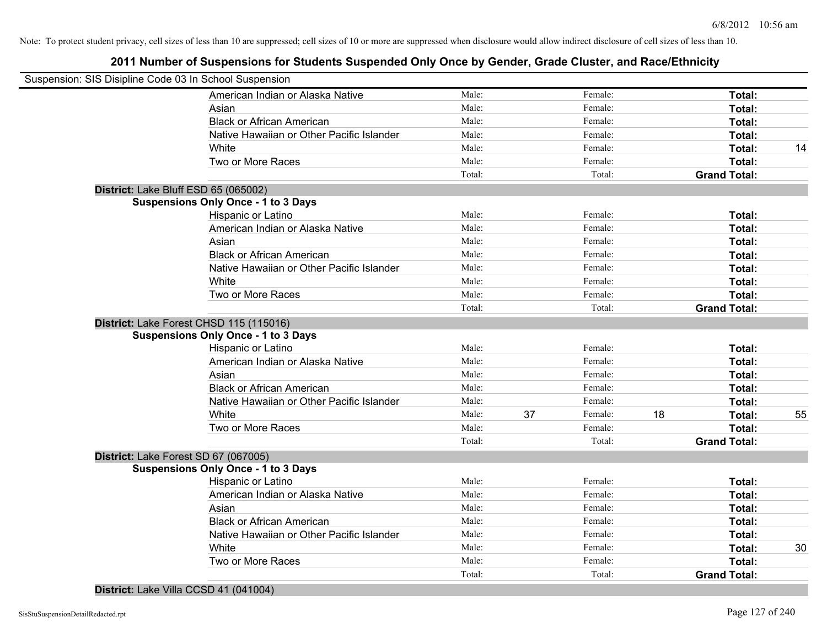## **2011 Number of Suspensions for Students Suspended Only Once by Gender, Grade Cluster, and Race/Ethnicity**

| Suspension: SIS Disipline Code 03 In School Suspension |                                            |        |    |         |    |                     |    |
|--------------------------------------------------------|--------------------------------------------|--------|----|---------|----|---------------------|----|
|                                                        | American Indian or Alaska Native           | Male:  |    | Female: |    | Total:              |    |
|                                                        | Asian                                      | Male:  |    | Female: |    | Total:              |    |
|                                                        | <b>Black or African American</b>           | Male:  |    | Female: |    | Total:              |    |
|                                                        | Native Hawaiian or Other Pacific Islander  | Male:  |    | Female: |    | Total:              |    |
|                                                        | White                                      | Male:  |    | Female: |    | Total:              | 14 |
|                                                        | Two or More Races                          | Male:  |    | Female: |    | Total:              |    |
|                                                        |                                            | Total: |    | Total:  |    | <b>Grand Total:</b> |    |
| District: Lake Bluff ESD 65 (065002)                   |                                            |        |    |         |    |                     |    |
|                                                        | <b>Suspensions Only Once - 1 to 3 Days</b> |        |    |         |    |                     |    |
|                                                        | Hispanic or Latino                         | Male:  |    | Female: |    | Total:              |    |
|                                                        | American Indian or Alaska Native           | Male:  |    | Female: |    | Total:              |    |
|                                                        | Asian                                      | Male:  |    | Female: |    | Total:              |    |
|                                                        | <b>Black or African American</b>           | Male:  |    | Female: |    | Total:              |    |
|                                                        | Native Hawaiian or Other Pacific Islander  | Male:  |    | Female: |    | Total:              |    |
|                                                        | White                                      | Male:  |    | Female: |    | Total:              |    |
|                                                        | Two or More Races                          | Male:  |    | Female: |    | Total:              |    |
|                                                        |                                            | Total: |    | Total:  |    | <b>Grand Total:</b> |    |
|                                                        | District: Lake Forest CHSD 115 (115016)    |        |    |         |    |                     |    |
|                                                        | <b>Suspensions Only Once - 1 to 3 Days</b> |        |    |         |    |                     |    |
|                                                        | Hispanic or Latino                         | Male:  |    | Female: |    | Total:              |    |
|                                                        | American Indian or Alaska Native           | Male:  |    | Female: |    | Total:              |    |
|                                                        | Asian                                      | Male:  |    | Female: |    | Total:              |    |
|                                                        | <b>Black or African American</b>           | Male:  |    | Female: |    | Total:              |    |
|                                                        | Native Hawaiian or Other Pacific Islander  | Male:  |    | Female: |    | Total:              |    |
|                                                        | White                                      | Male:  | 37 | Female: | 18 | Total:              | 55 |
|                                                        | Two or More Races                          | Male:  |    | Female: |    | Total:              |    |
|                                                        |                                            | Total: |    | Total:  |    | <b>Grand Total:</b> |    |
| District: Lake Forest SD 67 (067005)                   |                                            |        |    |         |    |                     |    |
|                                                        | <b>Suspensions Only Once - 1 to 3 Days</b> |        |    |         |    |                     |    |
|                                                        | Hispanic or Latino                         | Male:  |    | Female: |    | Total:              |    |
|                                                        | American Indian or Alaska Native           | Male:  |    | Female: |    | Total:              |    |
|                                                        | Asian                                      | Male:  |    | Female: |    | Total:              |    |
|                                                        | <b>Black or African American</b>           | Male:  |    | Female: |    | Total:              |    |
|                                                        | Native Hawaiian or Other Pacific Islander  | Male:  |    | Female: |    | Total:              |    |
|                                                        | White                                      | Male:  |    | Female: |    | Total:              | 30 |
|                                                        | Two or More Races                          | Male:  |    | Female: |    | Total:              |    |
|                                                        |                                            | Total: |    | Total:  |    | <b>Grand Total:</b> |    |

### **District:** Lake Villa CCSD 41 (041004)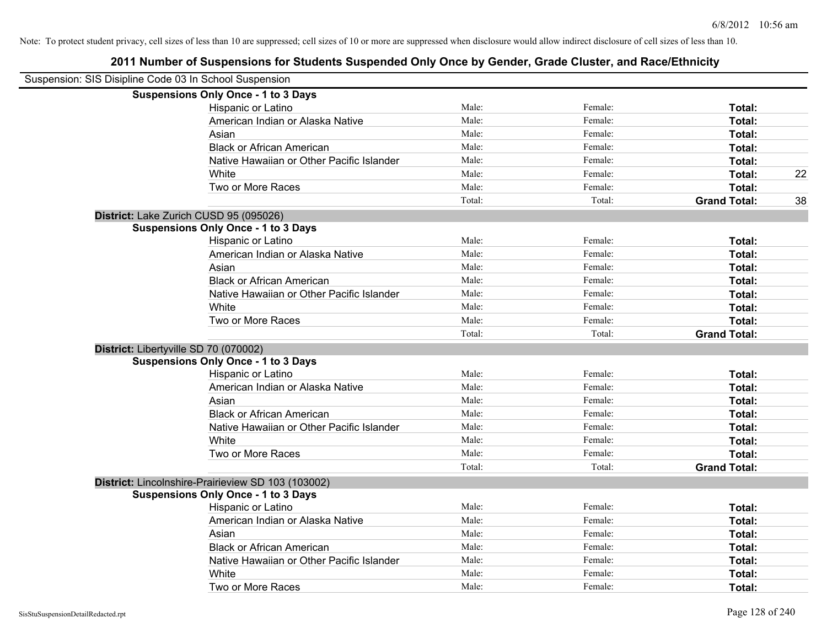| Suspension: SIS Disipline Code 03 In School Suspension |                                                    |        |         |                     |    |
|--------------------------------------------------------|----------------------------------------------------|--------|---------|---------------------|----|
|                                                        | <b>Suspensions Only Once - 1 to 3 Days</b>         |        |         |                     |    |
|                                                        | Hispanic or Latino                                 | Male:  | Female: | Total:              |    |
|                                                        | American Indian or Alaska Native                   | Male:  | Female: | Total:              |    |
|                                                        | Asian                                              | Male:  | Female: | Total:              |    |
|                                                        | <b>Black or African American</b>                   | Male:  | Female: | Total:              |    |
|                                                        | Native Hawaiian or Other Pacific Islander          | Male:  | Female: | Total:              |    |
|                                                        | White                                              | Male:  | Female: | Total:              | 22 |
|                                                        | Two or More Races                                  | Male:  | Female: | Total:              |    |
|                                                        |                                                    | Total: | Total:  | <b>Grand Total:</b> | 38 |
|                                                        | District: Lake Zurich CUSD 95 (095026)             |        |         |                     |    |
|                                                        | <b>Suspensions Only Once - 1 to 3 Days</b>         |        |         |                     |    |
|                                                        | Hispanic or Latino                                 | Male:  | Female: | Total:              |    |
|                                                        | American Indian or Alaska Native                   | Male:  | Female: | Total:              |    |
|                                                        | Asian                                              | Male:  | Female: | Total:              |    |
|                                                        | <b>Black or African American</b>                   | Male:  | Female: | Total:              |    |
|                                                        | Native Hawaiian or Other Pacific Islander          | Male:  | Female: | Total:              |    |
|                                                        | White                                              | Male:  | Female: | Total:              |    |
|                                                        | Two or More Races                                  | Male:  | Female: | Total:              |    |
|                                                        |                                                    | Total: | Total:  | <b>Grand Total:</b> |    |
|                                                        | District: Libertyville SD 70 (070002)              |        |         |                     |    |
|                                                        | <b>Suspensions Only Once - 1 to 3 Days</b>         |        |         |                     |    |
|                                                        | Hispanic or Latino                                 | Male:  | Female: | Total:              |    |
|                                                        | American Indian or Alaska Native                   | Male:  | Female: | Total:              |    |
|                                                        | Asian                                              | Male:  | Female: | Total:              |    |
|                                                        | <b>Black or African American</b>                   | Male:  | Female: | Total:              |    |
|                                                        | Native Hawaiian or Other Pacific Islander          | Male:  | Female: | Total:              |    |
|                                                        | White                                              | Male:  | Female: | Total:              |    |
|                                                        | Two or More Races                                  | Male:  | Female: | Total:              |    |
|                                                        |                                                    | Total: | Total:  | <b>Grand Total:</b> |    |
|                                                        | District: Lincolnshire-Prairieview SD 103 (103002) |        |         |                     |    |
|                                                        | <b>Suspensions Only Once - 1 to 3 Days</b>         |        |         |                     |    |
|                                                        | Hispanic or Latino                                 | Male:  | Female: | Total:              |    |
|                                                        | American Indian or Alaska Native                   | Male:  | Female: | Total:              |    |
|                                                        | Asian                                              | Male:  | Female: | Total:              |    |
|                                                        | <b>Black or African American</b>                   | Male:  | Female: | Total:              |    |
|                                                        | Native Hawaiian or Other Pacific Islander          | Male:  | Female: | Total:              |    |
|                                                        | White                                              | Male:  | Female: | Total:              |    |
|                                                        | Two or More Races                                  | Male:  | Female: | Total:              |    |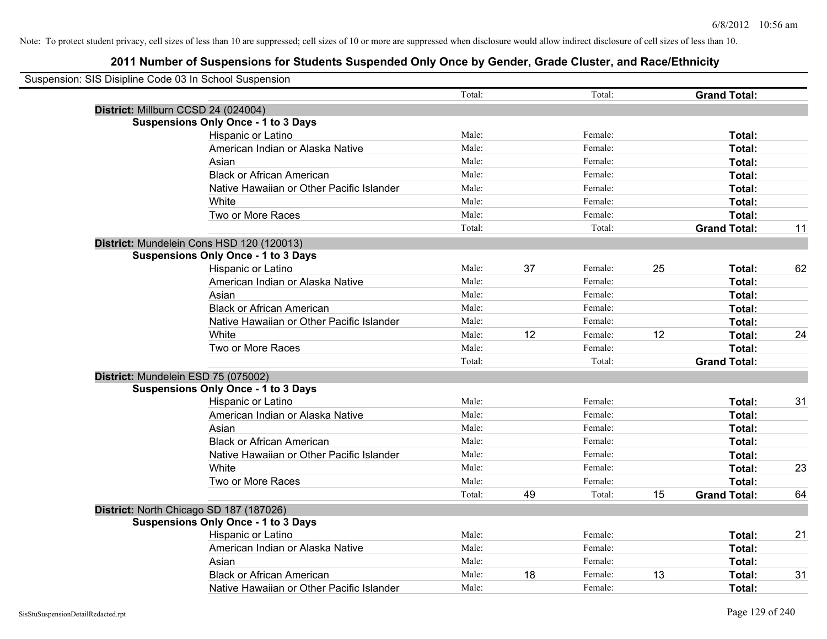| Suspension: SIS Disipline Code 03 In School Suspension |                                            |        |    |         |    |                     |    |
|--------------------------------------------------------|--------------------------------------------|--------|----|---------|----|---------------------|----|
|                                                        |                                            | Total: |    | Total:  |    | <b>Grand Total:</b> |    |
| District: Millburn CCSD 24 (024004)                    |                                            |        |    |         |    |                     |    |
|                                                        | <b>Suspensions Only Once - 1 to 3 Days</b> |        |    |         |    |                     |    |
|                                                        | Hispanic or Latino                         | Male:  |    | Female: |    | Total:              |    |
|                                                        | American Indian or Alaska Native           | Male:  |    | Female: |    | Total:              |    |
|                                                        | Asian                                      | Male:  |    | Female: |    | Total:              |    |
|                                                        | <b>Black or African American</b>           | Male:  |    | Female: |    | Total:              |    |
|                                                        | Native Hawaiian or Other Pacific Islander  | Male:  |    | Female: |    | Total:              |    |
|                                                        | White                                      | Male:  |    | Female: |    | Total:              |    |
|                                                        | Two or More Races                          | Male:  |    | Female: |    | Total:              |    |
|                                                        |                                            | Total: |    | Total:  |    | <b>Grand Total:</b> | 11 |
|                                                        | District: Mundelein Cons HSD 120 (120013)  |        |    |         |    |                     |    |
|                                                        | <b>Suspensions Only Once - 1 to 3 Days</b> |        |    |         |    |                     |    |
|                                                        | Hispanic or Latino                         | Male:  | 37 | Female: | 25 | Total:              | 62 |
|                                                        | American Indian or Alaska Native           | Male:  |    | Female: |    | Total:              |    |
|                                                        | Asian                                      | Male:  |    | Female: |    | Total:              |    |
|                                                        | <b>Black or African American</b>           | Male:  |    | Female: |    | Total:              |    |
|                                                        | Native Hawaiian or Other Pacific Islander  | Male:  |    | Female: |    | Total:              |    |
|                                                        | White                                      | Male:  | 12 | Female: | 12 | Total:              | 24 |
|                                                        | Two or More Races                          | Male:  |    | Female: |    | Total:              |    |
|                                                        |                                            | Total: |    | Total:  |    | <b>Grand Total:</b> |    |
| District: Mundelein ESD 75 (075002)                    |                                            |        |    |         |    |                     |    |
|                                                        | <b>Suspensions Only Once - 1 to 3 Days</b> |        |    |         |    |                     |    |
|                                                        | Hispanic or Latino                         | Male:  |    | Female: |    | Total:              | 31 |
|                                                        | American Indian or Alaska Native           | Male:  |    | Female: |    | Total:              |    |
|                                                        | Asian                                      | Male:  |    | Female: |    | Total:              |    |
|                                                        | <b>Black or African American</b>           | Male:  |    | Female: |    | Total:              |    |
|                                                        | Native Hawaiian or Other Pacific Islander  | Male:  |    | Female: |    | Total:              |    |
|                                                        | White                                      | Male:  |    | Female: |    | Total:              | 23 |
|                                                        | Two or More Races                          | Male:  |    | Female: |    | Total:              |    |
|                                                        |                                            | Total: | 49 | Total:  | 15 | <b>Grand Total:</b> | 64 |
| District: North Chicago SD 187 (187026)                |                                            |        |    |         |    |                     |    |
|                                                        | <b>Suspensions Only Once - 1 to 3 Days</b> |        |    |         |    |                     |    |
|                                                        | Hispanic or Latino                         | Male:  |    | Female: |    | Total:              | 21 |
|                                                        | American Indian or Alaska Native           | Male:  |    | Female: |    | Total:              |    |
|                                                        | Asian                                      | Male:  |    | Female: |    | Total:              |    |
|                                                        | <b>Black or African American</b>           | Male:  | 18 | Female: | 13 | Total:              | 31 |
|                                                        | Native Hawaiian or Other Pacific Islander  | Male:  |    | Female: |    | Total:              |    |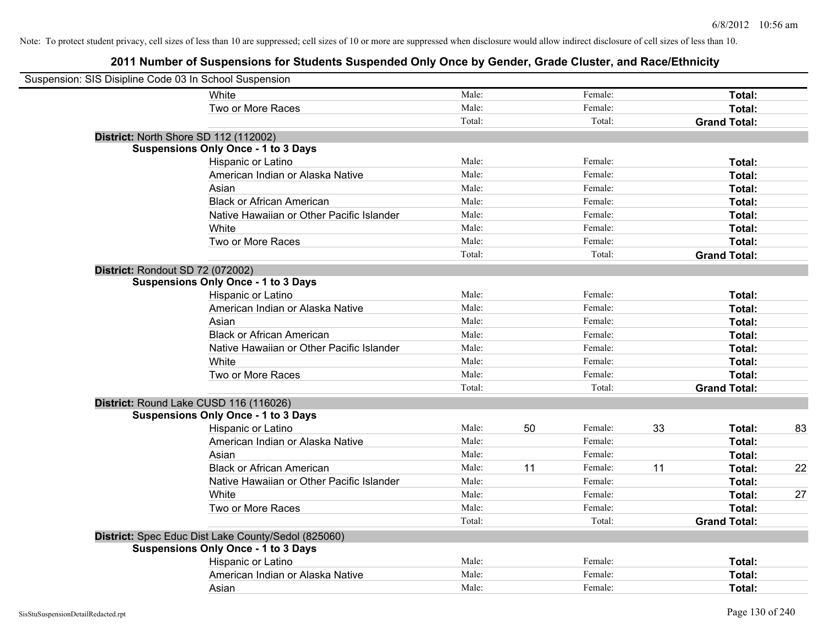| Suspension: SIS Disipline Code 03 In School Suspension |                                                     |        |    |         |    |                     |    |
|--------------------------------------------------------|-----------------------------------------------------|--------|----|---------|----|---------------------|----|
|                                                        | White                                               | Male:  |    | Female: |    | Total:              |    |
|                                                        | Two or More Races                                   | Male:  |    | Female: |    | Total:              |    |
|                                                        |                                                     | Total: |    | Total:  |    | <b>Grand Total:</b> |    |
| District: North Shore SD 112 (112002)                  |                                                     |        |    |         |    |                     |    |
|                                                        | <b>Suspensions Only Once - 1 to 3 Days</b>          |        |    |         |    |                     |    |
|                                                        | Hispanic or Latino                                  | Male:  |    | Female: |    | Total:              |    |
|                                                        | American Indian or Alaska Native                    | Male:  |    | Female: |    | Total:              |    |
|                                                        | Asian                                               | Male:  |    | Female: |    | Total:              |    |
|                                                        | <b>Black or African American</b>                    | Male:  |    | Female: |    | Total:              |    |
|                                                        | Native Hawaiian or Other Pacific Islander           | Male:  |    | Female: |    | Total:              |    |
|                                                        | White                                               | Male:  |    | Female: |    | Total:              |    |
|                                                        | Two or More Races                                   | Male:  |    | Female: |    | Total:              |    |
|                                                        |                                                     | Total: |    | Total:  |    | <b>Grand Total:</b> |    |
| District: Rondout SD 72 (072002)                       |                                                     |        |    |         |    |                     |    |
|                                                        | <b>Suspensions Only Once - 1 to 3 Days</b>          |        |    |         |    |                     |    |
|                                                        | Hispanic or Latino                                  | Male:  |    | Female: |    | Total:              |    |
|                                                        | American Indian or Alaska Native                    | Male:  |    | Female: |    | Total:              |    |
|                                                        | Asian                                               | Male:  |    | Female: |    | Total:              |    |
|                                                        | <b>Black or African American</b>                    | Male:  |    | Female: |    | Total:              |    |
|                                                        | Native Hawaiian or Other Pacific Islander           | Male:  |    | Female: |    | Total:              |    |
|                                                        | White                                               | Male:  |    | Female: |    | Total:              |    |
|                                                        | Two or More Races                                   | Male:  |    | Female: |    | Total:              |    |
|                                                        |                                                     | Total: |    | Total:  |    | <b>Grand Total:</b> |    |
| District: Round Lake CUSD 116 (116026)                 |                                                     |        |    |         |    |                     |    |
|                                                        | <b>Suspensions Only Once - 1 to 3 Days</b>          |        |    |         |    |                     |    |
|                                                        | Hispanic or Latino                                  | Male:  | 50 | Female: | 33 | Total:              | 83 |
|                                                        | American Indian or Alaska Native                    | Male:  |    | Female: |    | Total:              |    |
|                                                        | Asian                                               | Male:  |    | Female: |    | Total:              |    |
|                                                        | <b>Black or African American</b>                    | Male:  | 11 | Female: | 11 | Total:              | 22 |
|                                                        | Native Hawaiian or Other Pacific Islander           | Male:  |    | Female: |    | Total:              |    |
|                                                        | White                                               | Male:  |    | Female: |    | Total:              | 27 |
|                                                        | Two or More Races                                   | Male:  |    | Female: |    | Total:              |    |
|                                                        |                                                     | Total: |    | Total:  |    | <b>Grand Total:</b> |    |
|                                                        | District: Spec Educ Dist Lake County/Sedol (825060) |        |    |         |    |                     |    |
|                                                        | <b>Suspensions Only Once - 1 to 3 Days</b>          |        |    |         |    |                     |    |
|                                                        | Hispanic or Latino                                  | Male:  |    | Female: |    | Total:              |    |
|                                                        | American Indian or Alaska Native                    | Male:  |    | Female: |    | Total:              |    |
|                                                        | Asian                                               | Male:  |    | Female: |    | Total:              |    |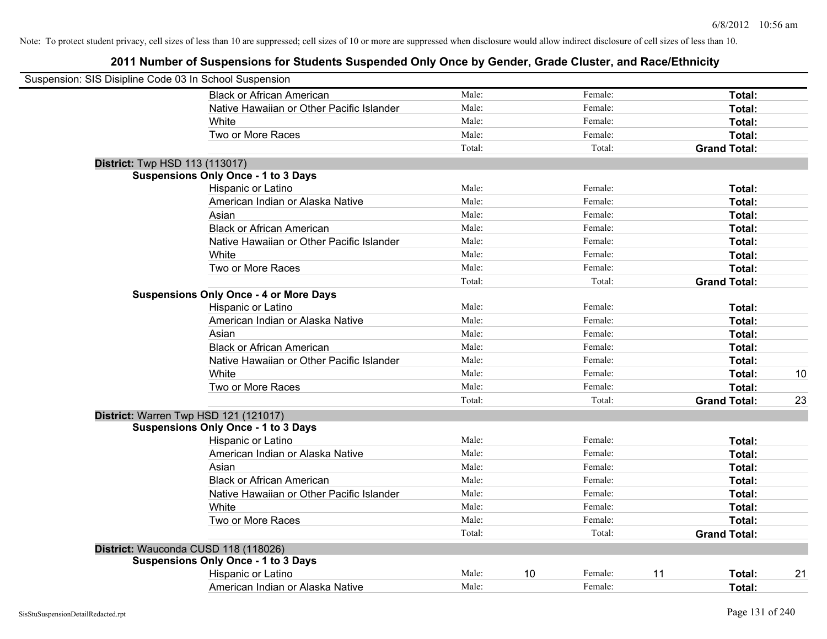| Suspension: SIS Disipline Code 03 In School Suspension |                                               |        |    |         |                     |    |
|--------------------------------------------------------|-----------------------------------------------|--------|----|---------|---------------------|----|
|                                                        | <b>Black or African American</b>              | Male:  |    | Female: | Total:              |    |
|                                                        | Native Hawaiian or Other Pacific Islander     | Male:  |    | Female: | Total:              |    |
|                                                        | White                                         | Male:  |    | Female: | Total:              |    |
|                                                        | Two or More Races                             | Male:  |    | Female: | Total:              |    |
|                                                        |                                               | Total: |    | Total:  | <b>Grand Total:</b> |    |
| <b>District:</b> Twp HSD 113 (113017)                  |                                               |        |    |         |                     |    |
|                                                        | <b>Suspensions Only Once - 1 to 3 Days</b>    |        |    |         |                     |    |
|                                                        | Hispanic or Latino                            | Male:  |    | Female: | Total:              |    |
|                                                        | American Indian or Alaska Native              | Male:  |    | Female: | Total:              |    |
|                                                        | Asian                                         | Male:  |    | Female: | Total:              |    |
|                                                        | <b>Black or African American</b>              | Male:  |    | Female: | Total:              |    |
|                                                        | Native Hawaiian or Other Pacific Islander     | Male:  |    | Female: | Total:              |    |
|                                                        | White                                         | Male:  |    | Female: | Total:              |    |
|                                                        | Two or More Races                             | Male:  |    | Female: | Total:              |    |
|                                                        |                                               | Total: |    | Total:  | <b>Grand Total:</b> |    |
|                                                        | <b>Suspensions Only Once - 4 or More Days</b> |        |    |         |                     |    |
|                                                        | Hispanic or Latino                            | Male:  |    | Female: | Total:              |    |
|                                                        | American Indian or Alaska Native              | Male:  |    | Female: | Total:              |    |
|                                                        | Asian                                         | Male:  |    | Female: | Total:              |    |
|                                                        | <b>Black or African American</b>              | Male:  |    | Female: | Total:              |    |
|                                                        | Native Hawaiian or Other Pacific Islander     | Male:  |    | Female: | Total:              |    |
|                                                        | White                                         | Male:  |    | Female: | Total:              | 10 |
|                                                        | Two or More Races                             | Male:  |    | Female: | Total:              |    |
|                                                        |                                               | Total: |    | Total:  | <b>Grand Total:</b> | 23 |
|                                                        | District: Warren Twp HSD 121 (121017)         |        |    |         |                     |    |
|                                                        | <b>Suspensions Only Once - 1 to 3 Days</b>    |        |    |         |                     |    |
|                                                        | Hispanic or Latino                            | Male:  |    | Female: | Total:              |    |
|                                                        | American Indian or Alaska Native              | Male:  |    | Female: | Total:              |    |
|                                                        | Asian                                         | Male:  |    | Female: | Total:              |    |
|                                                        | <b>Black or African American</b>              | Male:  |    | Female: | Total:              |    |
|                                                        | Native Hawaiian or Other Pacific Islander     | Male:  |    | Female: | Total:              |    |
|                                                        | White                                         | Male:  |    | Female: | Total:              |    |
|                                                        | Two or More Races                             | Male:  |    | Female: | Total:              |    |
|                                                        |                                               | Total: |    | Total:  | <b>Grand Total:</b> |    |
|                                                        | District: Wauconda CUSD 118 (118026)          |        |    |         |                     |    |
|                                                        | <b>Suspensions Only Once - 1 to 3 Days</b>    |        |    |         |                     |    |
|                                                        | Hispanic or Latino                            | Male:  | 10 | Female: | 11<br>Total:        | 21 |
|                                                        | American Indian or Alaska Native              | Male:  |    | Female: | Total:              |    |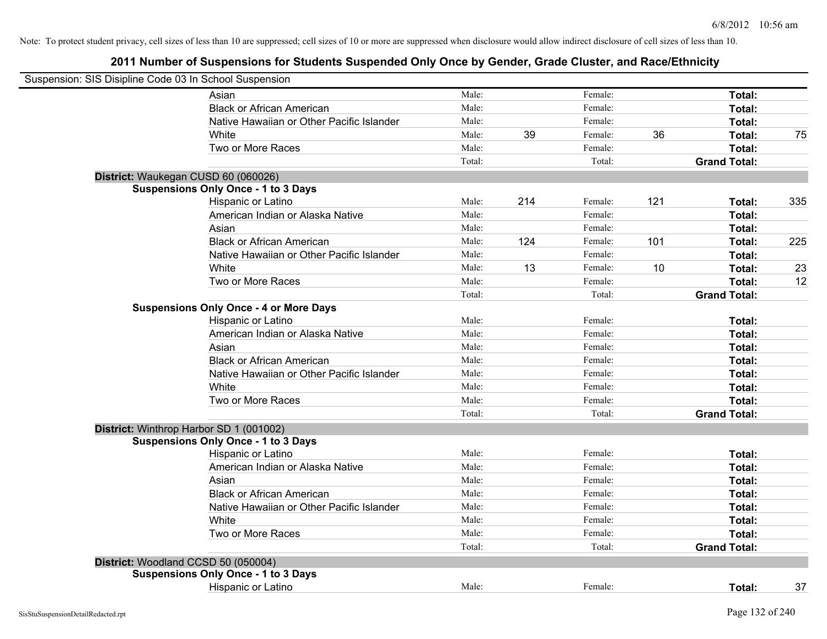| Suspension: SIS Disipline Code 03 In School Suspension |                                               |        |     |         |     |                     |     |
|--------------------------------------------------------|-----------------------------------------------|--------|-----|---------|-----|---------------------|-----|
|                                                        | Asian                                         | Male:  |     | Female: |     | Total:              |     |
|                                                        | <b>Black or African American</b>              | Male:  |     | Female: |     | Total:              |     |
|                                                        | Native Hawaiian or Other Pacific Islander     | Male:  |     | Female: |     | Total:              |     |
|                                                        | White                                         | Male:  | 39  | Female: | 36  | Total:              | 75  |
|                                                        | Two or More Races                             | Male:  |     | Female: |     | <b>Total:</b>       |     |
|                                                        |                                               | Total: |     | Total:  |     | <b>Grand Total:</b> |     |
| District: Waukegan CUSD 60 (060026)                    |                                               |        |     |         |     |                     |     |
|                                                        | <b>Suspensions Only Once - 1 to 3 Days</b>    |        |     |         |     |                     |     |
|                                                        | Hispanic or Latino                            | Male:  | 214 | Female: | 121 | Total:              | 335 |
|                                                        | American Indian or Alaska Native              | Male:  |     | Female: |     | Total:              |     |
|                                                        | Asian                                         | Male:  |     | Female: |     | Total:              |     |
|                                                        | <b>Black or African American</b>              | Male:  | 124 | Female: | 101 | Total:              | 225 |
|                                                        | Native Hawaiian or Other Pacific Islander     | Male:  |     | Female: |     | Total:              |     |
|                                                        | White                                         | Male:  | 13  | Female: | 10  | Total:              | 23  |
|                                                        | Two or More Races                             | Male:  |     | Female: |     | Total:              | 12  |
|                                                        |                                               | Total: |     | Total:  |     | <b>Grand Total:</b> |     |
|                                                        | <b>Suspensions Only Once - 4 or More Days</b> |        |     |         |     |                     |     |
|                                                        | Hispanic or Latino                            | Male:  |     | Female: |     | Total:              |     |
|                                                        | American Indian or Alaska Native              | Male:  |     | Female: |     | Total:              |     |
|                                                        | Asian                                         | Male:  |     | Female: |     | Total:              |     |
|                                                        | <b>Black or African American</b>              | Male:  |     | Female: |     | Total:              |     |
|                                                        | Native Hawaiian or Other Pacific Islander     | Male:  |     | Female: |     | Total:              |     |
|                                                        | White                                         | Male:  |     | Female: |     | Total:              |     |
|                                                        | Two or More Races                             | Male:  |     | Female: |     | Total:              |     |
|                                                        |                                               | Total: |     | Total:  |     | <b>Grand Total:</b> |     |
|                                                        | District: Winthrop Harbor SD 1 (001002)       |        |     |         |     |                     |     |
|                                                        | <b>Suspensions Only Once - 1 to 3 Days</b>    |        |     |         |     |                     |     |
|                                                        | Hispanic or Latino                            | Male:  |     | Female: |     | Total:              |     |
|                                                        | American Indian or Alaska Native              | Male:  |     | Female: |     | Total:              |     |
|                                                        | Asian                                         | Male:  |     | Female: |     | Total:              |     |
|                                                        | <b>Black or African American</b>              | Male:  |     | Female: |     | Total:              |     |
|                                                        | Native Hawaiian or Other Pacific Islander     | Male:  |     | Female: |     | Total:              |     |
|                                                        | White                                         | Male:  |     | Female: |     | Total:              |     |
|                                                        | Two or More Races                             | Male:  |     | Female: |     | Total:              |     |
|                                                        |                                               | Total: |     | Total:  |     | <b>Grand Total:</b> |     |
| District: Woodland CCSD 50 (050004)                    |                                               |        |     |         |     |                     |     |
|                                                        | <b>Suspensions Only Once - 1 to 3 Days</b>    |        |     |         |     |                     |     |
|                                                        | Hispanic or Latino                            | Male:  |     | Female: |     | Total:              | 37  |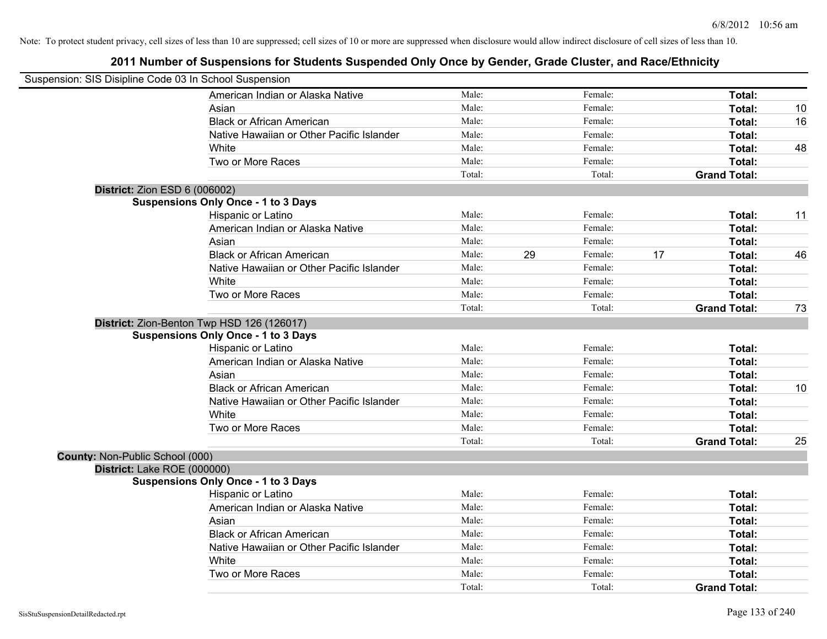| Suspension: SIS Disipline Code 03 In School Suspension |                                            |        |    |         |    |                     |    |
|--------------------------------------------------------|--------------------------------------------|--------|----|---------|----|---------------------|----|
|                                                        | American Indian or Alaska Native           | Male:  |    | Female: |    | Total:              |    |
|                                                        | Asian                                      | Male:  |    | Female: |    | Total:              | 10 |
|                                                        | <b>Black or African American</b>           | Male:  |    | Female: |    | Total:              | 16 |
|                                                        | Native Hawaiian or Other Pacific Islander  | Male:  |    | Female: |    | Total:              |    |
|                                                        | White                                      | Male:  |    | Female: |    | Total:              | 48 |
|                                                        | Two or More Races                          | Male:  |    | Female: |    | Total:              |    |
|                                                        |                                            | Total: |    | Total:  |    | <b>Grand Total:</b> |    |
| <b>District: Zion ESD 6 (006002)</b>                   |                                            |        |    |         |    |                     |    |
|                                                        | <b>Suspensions Only Once - 1 to 3 Days</b> |        |    |         |    |                     |    |
|                                                        | Hispanic or Latino                         | Male:  |    | Female: |    | Total:              | 11 |
|                                                        | American Indian or Alaska Native           | Male:  |    | Female: |    | Total:              |    |
|                                                        | Asian                                      | Male:  |    | Female: |    | Total:              |    |
|                                                        | <b>Black or African American</b>           | Male:  | 29 | Female: | 17 | Total:              | 46 |
|                                                        | Native Hawaiian or Other Pacific Islander  | Male:  |    | Female: |    | Total:              |    |
|                                                        | White                                      | Male:  |    | Female: |    | Total:              |    |
|                                                        | Two or More Races                          | Male:  |    | Female: |    | Total:              |    |
|                                                        |                                            | Total: |    | Total:  |    | <b>Grand Total:</b> | 73 |
|                                                        | District: Zion-Benton Twp HSD 126 (126017) |        |    |         |    |                     |    |
|                                                        | <b>Suspensions Only Once - 1 to 3 Days</b> |        |    |         |    |                     |    |
|                                                        | Hispanic or Latino                         | Male:  |    | Female: |    | Total:              |    |
|                                                        | American Indian or Alaska Native           | Male:  |    | Female: |    | Total:              |    |
|                                                        | Asian                                      | Male:  |    | Female: |    | Total:              |    |
|                                                        | <b>Black or African American</b>           | Male:  |    | Female: |    | Total:              | 10 |
|                                                        | Native Hawaiian or Other Pacific Islander  | Male:  |    | Female: |    | Total:              |    |
|                                                        | White                                      | Male:  |    | Female: |    | Total:              |    |
|                                                        | Two or More Races                          | Male:  |    | Female: |    | Total:              |    |
|                                                        |                                            | Total: |    | Total:  |    | <b>Grand Total:</b> | 25 |
| County: Non-Public School (000)                        |                                            |        |    |         |    |                     |    |
| District: Lake ROE (000000)                            |                                            |        |    |         |    |                     |    |
|                                                        | <b>Suspensions Only Once - 1 to 3 Days</b> |        |    |         |    |                     |    |
|                                                        | Hispanic or Latino                         | Male:  |    | Female: |    | Total:              |    |
|                                                        | American Indian or Alaska Native           | Male:  |    | Female: |    | Total:              |    |
|                                                        | Asian                                      | Male:  |    | Female: |    | Total:              |    |
|                                                        | <b>Black or African American</b>           | Male:  |    | Female: |    | Total:              |    |
|                                                        | Native Hawaiian or Other Pacific Islander  | Male:  |    | Female: |    | Total:              |    |
|                                                        | White                                      | Male:  |    | Female: |    | Total:              |    |
|                                                        | Two or More Races                          | Male:  |    | Female: |    | Total:              |    |
|                                                        |                                            | Total: |    | Total:  |    | <b>Grand Total:</b> |    |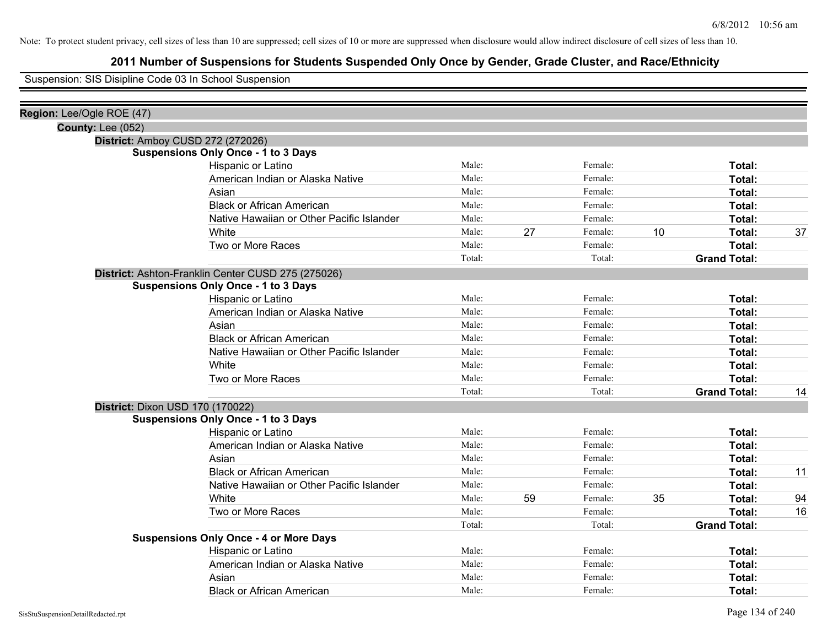## **2011 Number of Suspensions for Students Suspended Only Once by Gender, Grade Cluster, and Race/Ethnicity**

Suspension: SIS Disipline Code 03 In School Suspension

| Region: Lee/Ogle ROE (47) |                                                    |        |    |         |    |                     |    |
|---------------------------|----------------------------------------------------|--------|----|---------|----|---------------------|----|
| <b>County: Lee (052)</b>  |                                                    |        |    |         |    |                     |    |
|                           | District: Amboy CUSD 272 (272026)                  |        |    |         |    |                     |    |
|                           | <b>Suspensions Only Once - 1 to 3 Days</b>         |        |    |         |    |                     |    |
|                           | Hispanic or Latino                                 | Male:  |    | Female: |    | Total:              |    |
|                           | American Indian or Alaska Native                   | Male:  |    | Female: |    | Total:              |    |
|                           | Asian                                              | Male:  |    | Female: |    | Total:              |    |
|                           | <b>Black or African American</b>                   | Male:  |    | Female: |    | Total:              |    |
|                           | Native Hawaiian or Other Pacific Islander          | Male:  |    | Female: |    | Total:              |    |
|                           | White                                              | Male:  | 27 | Female: | 10 | Total:              | 37 |
|                           | Two or More Races                                  | Male:  |    | Female: |    | Total:              |    |
|                           |                                                    | Total: |    | Total:  |    | <b>Grand Total:</b> |    |
|                           | District: Ashton-Franklin Center CUSD 275 (275026) |        |    |         |    |                     |    |
|                           | <b>Suspensions Only Once - 1 to 3 Days</b>         |        |    |         |    |                     |    |
|                           | Hispanic or Latino                                 | Male:  |    | Female: |    | Total:              |    |
|                           | American Indian or Alaska Native                   | Male:  |    | Female: |    | Total:              |    |
|                           | Asian                                              | Male:  |    | Female: |    | Total:              |    |
|                           | <b>Black or African American</b>                   | Male:  |    | Female: |    | Total:              |    |
|                           | Native Hawaiian or Other Pacific Islander          | Male:  |    | Female: |    | Total:              |    |
|                           | White                                              | Male:  |    | Female: |    | Total:              |    |
|                           | Two or More Races                                  | Male:  |    | Female: |    | Total:              |    |
|                           |                                                    | Total: |    | Total:  |    | <b>Grand Total:</b> | 14 |
|                           | <b>District: Dixon USD 170 (170022)</b>            |        |    |         |    |                     |    |
|                           | <b>Suspensions Only Once - 1 to 3 Days</b>         |        |    |         |    |                     |    |
|                           | Hispanic or Latino                                 | Male:  |    | Female: |    | Total:              |    |
|                           | American Indian or Alaska Native                   | Male:  |    | Female: |    | Total:              |    |
|                           | Asian                                              | Male:  |    | Female: |    | Total:              |    |
|                           | <b>Black or African American</b>                   | Male:  |    | Female: |    | Total:              | 11 |
|                           | Native Hawaiian or Other Pacific Islander          | Male:  |    | Female: |    | Total:              |    |
|                           | White                                              | Male:  | 59 | Female: | 35 | Total:              | 94 |
|                           | Two or More Races                                  | Male:  |    | Female: |    | Total:              | 16 |
|                           |                                                    | Total: |    | Total:  |    | <b>Grand Total:</b> |    |
|                           | <b>Suspensions Only Once - 4 or More Days</b>      |        |    |         |    |                     |    |
|                           | Hispanic or Latino                                 | Male:  |    | Female: |    | Total:              |    |
|                           | American Indian or Alaska Native                   | Male:  |    | Female: |    | Total:              |    |
|                           | Asian                                              | Male:  |    | Female: |    | Total:              |    |
|                           | <b>Black or African American</b>                   | Male:  |    | Female: |    | Total:              |    |
|                           |                                                    |        |    |         |    |                     |    |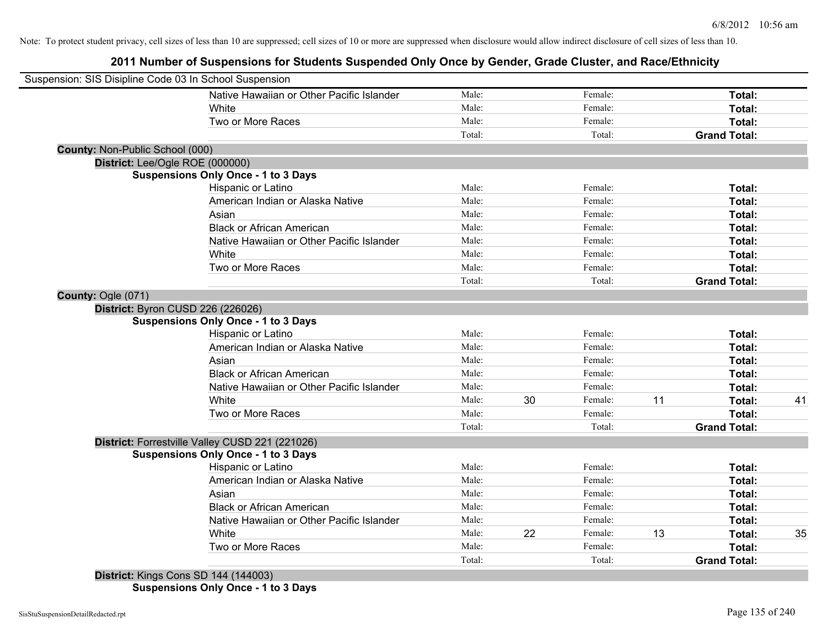**2011 Number of Suspensions for Students Suspended Only Once by Gender, Grade Cluster, and Race/Ethnicity**

| Suspension: SIS Disipline Code 03 In School Suspension |        |               |    |                     |    |
|--------------------------------------------------------|--------|---------------|----|---------------------|----|
| Native Hawaiian or Other Pacific Islander              | Male:  | Female:       |    | Total:              |    |
| White                                                  | Male:  | Female:       |    | Total:              |    |
| Two or More Races                                      | Male:  | Female:       |    | Total:              |    |
|                                                        | Total: | Total:        |    | <b>Grand Total:</b> |    |
| <b>County: Non-Public School (000)</b>                 |        |               |    |                     |    |
| District: Lee/Ogle ROE (000000)                        |        |               |    |                     |    |
| <b>Suspensions Only Once - 1 to 3 Days</b>             |        |               |    |                     |    |
| Hispanic or Latino                                     | Male:  | Female:       |    | Total:              |    |
| American Indian or Alaska Native                       | Male:  | Female:       |    | Total:              |    |
| Asian                                                  | Male:  | Female:       |    | Total:              |    |
| <b>Black or African American</b>                       | Male:  | Female:       |    | Total:              |    |
| Native Hawaiian or Other Pacific Islander              | Male:  | Female:       |    | Total:              |    |
| White                                                  | Male:  | Female:       |    | Total:              |    |
| Two or More Races                                      | Male:  | Female:       |    | Total:              |    |
|                                                        | Total: | Total:        |    | <b>Grand Total:</b> |    |
| County: Ogle (071)                                     |        |               |    |                     |    |
| District: Byron CUSD 226 (226026)                      |        |               |    |                     |    |
| <b>Suspensions Only Once - 1 to 3 Days</b>             |        |               |    |                     |    |
| Hispanic or Latino                                     | Male:  | Female:       |    | Total:              |    |
| American Indian or Alaska Native                       | Male:  | Female:       |    | Total:              |    |
| Asian                                                  | Male:  | Female:       |    | Total:              |    |
| <b>Black or African American</b>                       | Male:  | Female:       |    | Total:              |    |
| Native Hawaiian or Other Pacific Islander              | Male:  | Female:       |    | Total:              |    |
| White                                                  | Male:  | 30<br>Female: | 11 | Total:              | 41 |
| Two or More Races                                      | Male:  | Female:       |    | Total:              |    |
|                                                        | Total: | Total:        |    | <b>Grand Total:</b> |    |
| District: Forrestville Valley CUSD 221 (221026)        |        |               |    |                     |    |
| <b>Suspensions Only Once - 1 to 3 Days</b>             |        |               |    |                     |    |
| Hispanic or Latino                                     | Male:  | Female:       |    | Total:              |    |
| American Indian or Alaska Native                       | Male:  | Female:       |    | Total:              |    |
| Asian                                                  | Male:  | Female:       |    | Total:              |    |
| <b>Black or African American</b>                       | Male:  | Female:       |    | Total:              |    |
| Native Hawaiian or Other Pacific Islander              | Male:  | Female:       |    | Total:              |    |
| White                                                  | Male:  | 22<br>Female: | 13 | Total:              | 35 |
| Two or More Races                                      | Male:  | Female:       |    | Total:              |    |
|                                                        | Total: | Total:        |    | <b>Grand Total:</b> |    |
| District: Kings Cons SD 144 (144003)                   |        |               |    |                     |    |

**Suspensions Only Once - 1 to 3 Days**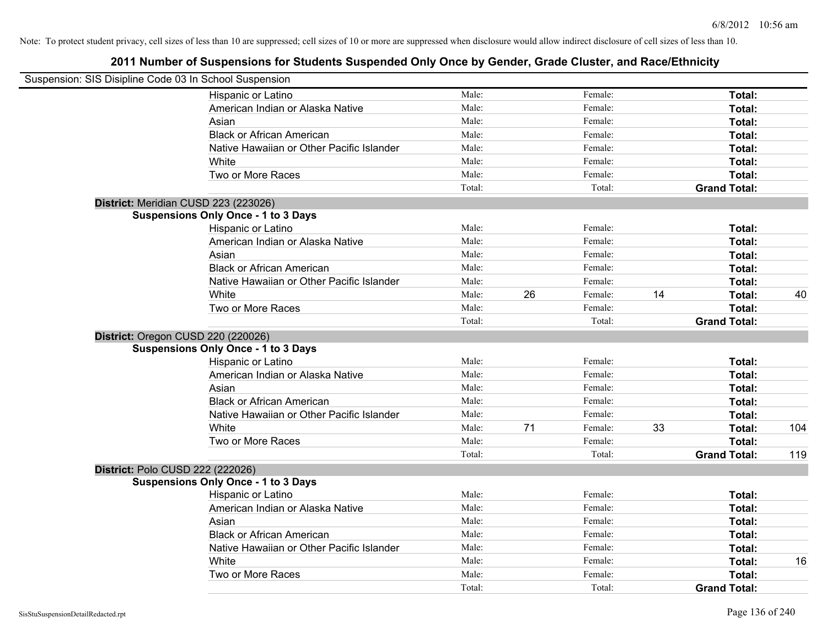| Suspension: SIS Disipline Code 03 In School Suspension |                                            |        |    |         |    |                     |     |
|--------------------------------------------------------|--------------------------------------------|--------|----|---------|----|---------------------|-----|
|                                                        | Hispanic or Latino                         | Male:  |    | Female: |    | Total:              |     |
|                                                        | American Indian or Alaska Native           | Male:  |    | Female: |    | Total:              |     |
|                                                        | Asian                                      | Male:  |    | Female: |    | Total:              |     |
|                                                        | <b>Black or African American</b>           | Male:  |    | Female: |    | Total:              |     |
|                                                        | Native Hawaiian or Other Pacific Islander  | Male:  |    | Female: |    | Total:              |     |
|                                                        | White                                      | Male:  |    | Female: |    | Total:              |     |
|                                                        | Two or More Races                          | Male:  |    | Female: |    | Total:              |     |
|                                                        |                                            | Total: |    | Total:  |    | <b>Grand Total:</b> |     |
|                                                        | District: Meridian CUSD 223 (223026)       |        |    |         |    |                     |     |
|                                                        | <b>Suspensions Only Once - 1 to 3 Days</b> |        |    |         |    |                     |     |
|                                                        | Hispanic or Latino                         | Male:  |    | Female: |    | Total:              |     |
|                                                        | American Indian or Alaska Native           | Male:  |    | Female: |    | Total:              |     |
|                                                        | Asian                                      | Male:  |    | Female: |    | Total:              |     |
|                                                        | <b>Black or African American</b>           | Male:  |    | Female: |    | Total:              |     |
|                                                        | Native Hawaiian or Other Pacific Islander  | Male:  |    | Female: |    | Total:              |     |
|                                                        | White                                      | Male:  | 26 | Female: | 14 | Total:              | 40  |
|                                                        | Two or More Races                          | Male:  |    | Female: |    | Total:              |     |
|                                                        |                                            | Total: |    | Total:  |    | <b>Grand Total:</b> |     |
|                                                        | District: Oregon CUSD 220 (220026)         |        |    |         |    |                     |     |
|                                                        | <b>Suspensions Only Once - 1 to 3 Days</b> |        |    |         |    |                     |     |
|                                                        | Hispanic or Latino                         | Male:  |    | Female: |    | Total:              |     |
|                                                        | American Indian or Alaska Native           | Male:  |    | Female: |    | Total:              |     |
|                                                        | Asian                                      | Male:  |    | Female: |    | Total:              |     |
|                                                        | <b>Black or African American</b>           | Male:  |    | Female: |    | Total:              |     |
|                                                        | Native Hawaiian or Other Pacific Islander  | Male:  |    | Female: |    | Total:              |     |
|                                                        | White                                      | Male:  | 71 | Female: | 33 | Total:              | 104 |
|                                                        | Two or More Races                          | Male:  |    | Female: |    | Total:              |     |
|                                                        |                                            | Total: |    | Total:  |    | <b>Grand Total:</b> | 119 |
|                                                        | District: Polo CUSD 222 (222026)           |        |    |         |    |                     |     |
|                                                        | <b>Suspensions Only Once - 1 to 3 Days</b> |        |    |         |    |                     |     |
|                                                        | Hispanic or Latino                         | Male:  |    | Female: |    | Total:              |     |
|                                                        | American Indian or Alaska Native           | Male:  |    | Female: |    | Total:              |     |
|                                                        | Asian                                      | Male:  |    | Female: |    | Total:              |     |
|                                                        | <b>Black or African American</b>           | Male:  |    | Female: |    | Total:              |     |
|                                                        | Native Hawaiian or Other Pacific Islander  | Male:  |    | Female: |    | Total:              |     |
|                                                        | White                                      | Male:  |    | Female: |    | Total:              | 16  |
|                                                        | Two or More Races                          | Male:  |    | Female: |    | Total:              |     |
|                                                        |                                            | Total: |    | Total:  |    | <b>Grand Total:</b> |     |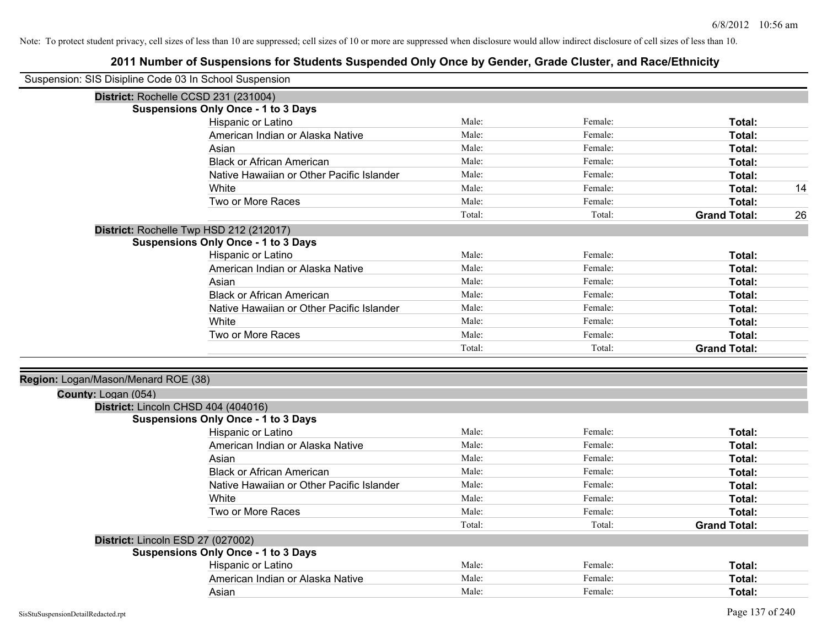| Suspension: SIS Disipline Code 03 In School Suspension |                                            |        |         |                     |    |
|--------------------------------------------------------|--------------------------------------------|--------|---------|---------------------|----|
| District: Rochelle CCSD 231 (231004)                   |                                            |        |         |                     |    |
|                                                        | <b>Suspensions Only Once - 1 to 3 Days</b> |        |         |                     |    |
|                                                        | Hispanic or Latino                         | Male:  | Female: | Total:              |    |
|                                                        | American Indian or Alaska Native           | Male:  | Female: | Total:              |    |
|                                                        | Asian                                      | Male:  | Female: | Total:              |    |
|                                                        | <b>Black or African American</b>           | Male:  | Female: | Total:              |    |
|                                                        | Native Hawaiian or Other Pacific Islander  | Male:  | Female: | Total:              |    |
|                                                        | White                                      | Male:  | Female: | Total:              | 14 |
|                                                        | Two or More Races                          | Male:  | Female: | Total:              |    |
|                                                        |                                            | Total: | Total:  | <b>Grand Total:</b> | 26 |
|                                                        | District: Rochelle Twp HSD 212 (212017)    |        |         |                     |    |
|                                                        | <b>Suspensions Only Once - 1 to 3 Days</b> |        |         |                     |    |
|                                                        | Hispanic or Latino                         | Male:  | Female: | Total:              |    |
|                                                        | American Indian or Alaska Native           | Male:  | Female: | Total:              |    |
|                                                        | Asian                                      | Male:  | Female: | Total:              |    |
|                                                        | <b>Black or African American</b>           | Male:  | Female: | Total:              |    |
|                                                        | Native Hawaiian or Other Pacific Islander  | Male:  | Female: | Total:              |    |
|                                                        | White                                      | Male:  | Female: | Total:              |    |
|                                                        | Two or More Races                          | Male:  | Female: | Total:              |    |
|                                                        |                                            | Total: | Total:  | <b>Grand Total:</b> |    |
|                                                        |                                            |        |         |                     |    |
| Region: Logan/Mason/Menard ROE (38)                    |                                            |        |         |                     |    |
| County: Logan (054)                                    |                                            |        |         |                     |    |
| District: Lincoln CHSD 404 (404016)                    |                                            |        |         |                     |    |
|                                                        | <b>Suspensions Only Once - 1 to 3 Days</b> |        |         |                     |    |
|                                                        | Hispanic or Latino                         | Male:  | Female: | Total:              |    |
|                                                        | American Indian or Alaska Native           | Male:  | Female: | Total:              |    |
|                                                        | Asian                                      | Male:  | Female: | Total:              |    |
|                                                        | <b>Black or African American</b>           | Male:  | Female: | Total:              |    |
|                                                        | Native Hawaiian or Other Pacific Islander  | Male:  | Female: | Total:              |    |
|                                                        | White                                      | Male:  | Female: | Total:              |    |
|                                                        | Two or More Races                          | Male:  | Female: | Total:              |    |
|                                                        |                                            | Total: | Total:  | <b>Grand Total:</b> |    |
| District: Lincoln ESD 27 (027002)                      |                                            |        |         |                     |    |
|                                                        | <b>Suspensions Only Once - 1 to 3 Days</b> |        |         |                     |    |
|                                                        | Hispanic or Latino                         | Male:  | Female: | Total:              |    |
|                                                        | American Indian or Alaska Native           | Male:  | Female: | Total:              |    |
|                                                        | Asian                                      | Male:  | Female: | Total:              |    |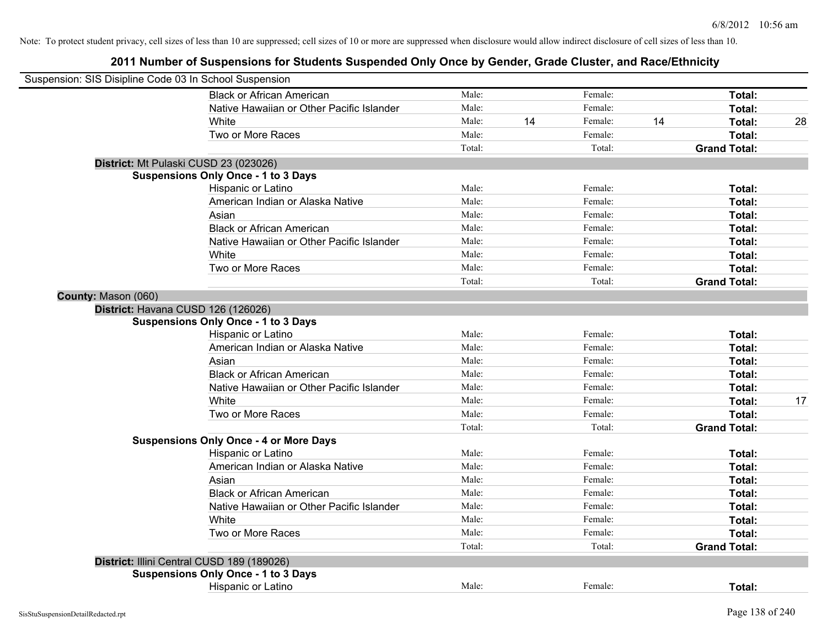| Suspension: SIS Disipline Code 03 In School Suspension |                                               |        |    |         |    |                     |    |
|--------------------------------------------------------|-----------------------------------------------|--------|----|---------|----|---------------------|----|
|                                                        | <b>Black or African American</b>              | Male:  |    | Female: |    | Total:              |    |
|                                                        | Native Hawaiian or Other Pacific Islander     | Male:  |    | Female: |    | Total:              |    |
|                                                        | White                                         | Male:  | 14 | Female: | 14 | Total:              | 28 |
|                                                        | Two or More Races                             | Male:  |    | Female: |    | Total:              |    |
|                                                        |                                               | Total: |    | Total:  |    | <b>Grand Total:</b> |    |
|                                                        | District: Mt Pulaski CUSD 23 (023026)         |        |    |         |    |                     |    |
|                                                        | <b>Suspensions Only Once - 1 to 3 Days</b>    |        |    |         |    |                     |    |
|                                                        | Hispanic or Latino                            | Male:  |    | Female: |    | Total:              |    |
|                                                        | American Indian or Alaska Native              | Male:  |    | Female: |    | Total:              |    |
|                                                        | Asian                                         | Male:  |    | Female: |    | Total:              |    |
|                                                        | <b>Black or African American</b>              | Male:  |    | Female: |    | Total:              |    |
|                                                        | Native Hawaiian or Other Pacific Islander     | Male:  |    | Female: |    | Total:              |    |
|                                                        | White                                         | Male:  |    | Female: |    | Total:              |    |
|                                                        | Two or More Races                             | Male:  |    | Female: |    | Total:              |    |
|                                                        |                                               | Total: |    | Total:  |    | <b>Grand Total:</b> |    |
| County: Mason (060)                                    |                                               |        |    |         |    |                     |    |
|                                                        | District: Havana CUSD 126 (126026)            |        |    |         |    |                     |    |
|                                                        | <b>Suspensions Only Once - 1 to 3 Days</b>    |        |    |         |    |                     |    |
|                                                        | Hispanic or Latino                            | Male:  |    | Female: |    | Total:              |    |
|                                                        | American Indian or Alaska Native              | Male:  |    | Female: |    | Total:              |    |
|                                                        | Asian                                         | Male:  |    | Female: |    | Total:              |    |
|                                                        | <b>Black or African American</b>              | Male:  |    | Female: |    | Total:              |    |
|                                                        | Native Hawaiian or Other Pacific Islander     | Male:  |    | Female: |    | Total:              |    |
|                                                        | White                                         | Male:  |    | Female: |    | <b>Total:</b>       | 17 |
|                                                        | Two or More Races                             | Male:  |    | Female: |    | Total:              |    |
|                                                        |                                               | Total: |    | Total:  |    | <b>Grand Total:</b> |    |
|                                                        | <b>Suspensions Only Once - 4 or More Days</b> |        |    |         |    |                     |    |
|                                                        | Hispanic or Latino                            | Male:  |    | Female: |    | Total:              |    |
|                                                        | American Indian or Alaska Native              | Male:  |    | Female: |    | Total:              |    |
|                                                        | Asian                                         | Male:  |    | Female: |    | Total:              |    |
|                                                        | <b>Black or African American</b>              | Male:  |    | Female: |    | Total:              |    |
|                                                        | Native Hawaiian or Other Pacific Islander     | Male:  |    | Female: |    | Total:              |    |
|                                                        | White                                         | Male:  |    | Female: |    | Total:              |    |
|                                                        | Two or More Races                             | Male:  |    | Female: |    | Total:              |    |
|                                                        |                                               | Total: |    | Total:  |    | <b>Grand Total:</b> |    |
|                                                        | District: Illini Central CUSD 189 (189026)    |        |    |         |    |                     |    |
|                                                        | <b>Suspensions Only Once - 1 to 3 Days</b>    |        |    |         |    |                     |    |
|                                                        | <b>Hispanic or Latino</b>                     | Male:  |    | Female: |    | Total:              |    |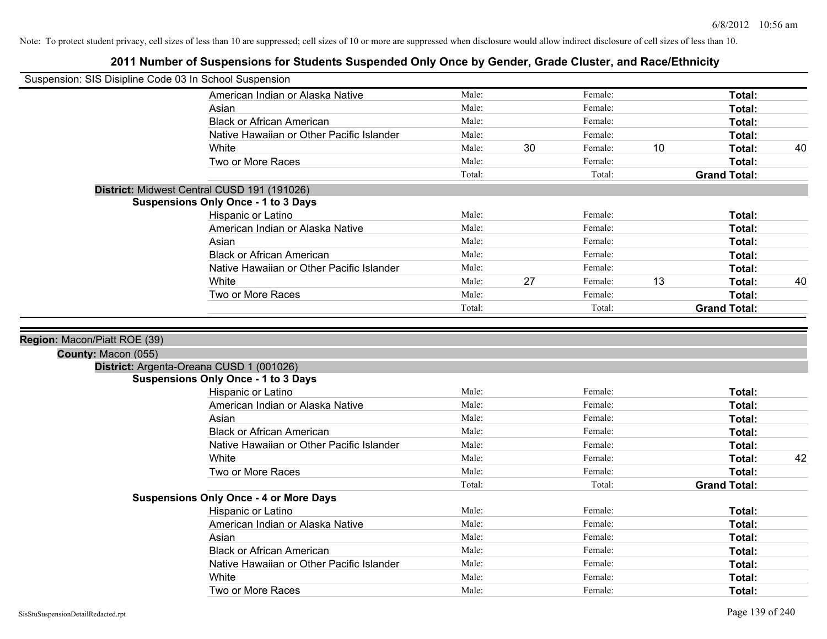| Suspension: SIS Disipline Code 03 In School Suspension |                                               |        |    |         |    |                     |    |
|--------------------------------------------------------|-----------------------------------------------|--------|----|---------|----|---------------------|----|
|                                                        | American Indian or Alaska Native              | Male:  |    | Female: |    | Total:              |    |
|                                                        | Asian                                         | Male:  |    | Female: |    | Total:              |    |
|                                                        | <b>Black or African American</b>              | Male:  |    | Female: |    | Total:              |    |
|                                                        | Native Hawaiian or Other Pacific Islander     | Male:  |    | Female: |    | Total:              |    |
|                                                        | White                                         | Male:  | 30 | Female: | 10 | Total:              | 40 |
|                                                        | Two or More Races                             | Male:  |    | Female: |    | Total:              |    |
|                                                        |                                               | Total: |    | Total:  |    | <b>Grand Total:</b> |    |
|                                                        | District: Midwest Central CUSD 191 (191026)   |        |    |         |    |                     |    |
|                                                        | <b>Suspensions Only Once - 1 to 3 Days</b>    |        |    |         |    |                     |    |
|                                                        | Hispanic or Latino                            | Male:  |    | Female: |    | Total:              |    |
|                                                        | American Indian or Alaska Native              | Male:  |    | Female: |    | Total:              |    |
|                                                        | Asian                                         | Male:  |    | Female: |    | Total:              |    |
|                                                        | <b>Black or African American</b>              | Male:  |    | Female: |    | Total:              |    |
|                                                        | Native Hawaiian or Other Pacific Islander     | Male:  |    | Female: |    | Total:              |    |
|                                                        | White                                         | Male:  | 27 | Female: | 13 | Total:              | 40 |
|                                                        | Two or More Races                             | Male:  |    | Female: |    | Total:              |    |
|                                                        |                                               | Total: |    | Total:  |    | <b>Grand Total:</b> |    |
|                                                        |                                               |        |    |         |    |                     |    |
|                                                        |                                               |        |    |         |    |                     |    |
| Region: Macon/Piatt ROE (39)                           |                                               |        |    |         |    |                     |    |
|                                                        |                                               |        |    |         |    |                     |    |
| County: Macon (055)                                    | District: Argenta-Oreana CUSD 1 (001026)      |        |    |         |    |                     |    |
|                                                        | <b>Suspensions Only Once - 1 to 3 Days</b>    |        |    |         |    |                     |    |
|                                                        | Hispanic or Latino                            | Male:  |    | Female: |    | Total:              |    |
|                                                        | American Indian or Alaska Native              | Male:  |    | Female: |    | Total:              |    |
|                                                        | Asian                                         | Male:  |    | Female: |    | Total:              |    |
|                                                        | <b>Black or African American</b>              | Male:  |    | Female: |    | Total:              |    |
|                                                        | Native Hawaiian or Other Pacific Islander     | Male:  |    | Female: |    | Total:              |    |
|                                                        | White                                         | Male:  |    | Female: |    | Total:              | 42 |
|                                                        | Two or More Races                             | Male:  |    | Female: |    | Total:              |    |
|                                                        |                                               | Total: |    | Total:  |    | <b>Grand Total:</b> |    |
|                                                        | <b>Suspensions Only Once - 4 or More Days</b> |        |    |         |    |                     |    |
|                                                        | Hispanic or Latino                            | Male:  |    | Female: |    | Total:              |    |
|                                                        | American Indian or Alaska Native              | Male:  |    | Female: |    | Total:              |    |
|                                                        | Asian                                         | Male:  |    | Female: |    | Total:              |    |
|                                                        | <b>Black or African American</b>              | Male:  |    | Female: |    | Total:              |    |
|                                                        | Native Hawaiian or Other Pacific Islander     | Male:  |    | Female: |    | Total:              |    |
|                                                        | White                                         | Male:  |    | Female: |    | Total:              |    |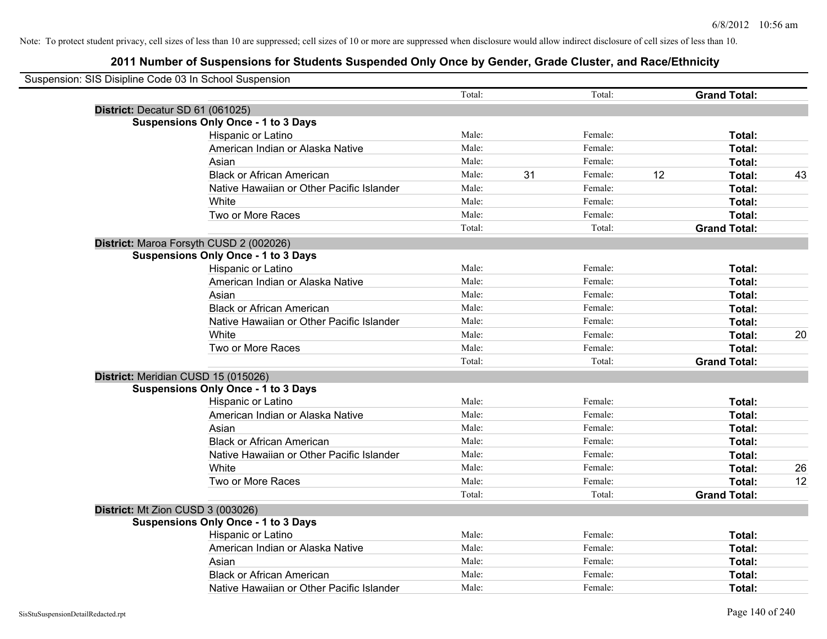| Suspension: SIS Disipline Code 03 In School Suspension |                                            |        |    |         |    |                     |    |
|--------------------------------------------------------|--------------------------------------------|--------|----|---------|----|---------------------|----|
|                                                        |                                            | Total: |    | Total:  |    | <b>Grand Total:</b> |    |
|                                                        | District: Decatur SD 61 (061025)           |        |    |         |    |                     |    |
|                                                        | <b>Suspensions Only Once - 1 to 3 Days</b> |        |    |         |    |                     |    |
|                                                        | Hispanic or Latino                         | Male:  |    | Female: |    | Total:              |    |
|                                                        | American Indian or Alaska Native           | Male:  |    | Female: |    | Total:              |    |
|                                                        | Asian                                      | Male:  |    | Female: |    | Total:              |    |
|                                                        | <b>Black or African American</b>           | Male:  | 31 | Female: | 12 | Total:              | 43 |
|                                                        | Native Hawaiian or Other Pacific Islander  | Male:  |    | Female: |    | Total:              |    |
|                                                        | White                                      | Male:  |    | Female: |    | Total:              |    |
|                                                        | Two or More Races                          | Male:  |    | Female: |    | Total:              |    |
|                                                        |                                            | Total: |    | Total:  |    | <b>Grand Total:</b> |    |
|                                                        | District: Maroa Forsyth CUSD 2 (002026)    |        |    |         |    |                     |    |
|                                                        | <b>Suspensions Only Once - 1 to 3 Days</b> |        |    |         |    |                     |    |
|                                                        | Hispanic or Latino                         | Male:  |    | Female: |    | Total:              |    |
|                                                        | American Indian or Alaska Native           | Male:  |    | Female: |    | Total:              |    |
|                                                        | Asian                                      | Male:  |    | Female: |    | Total:              |    |
|                                                        | <b>Black or African American</b>           | Male:  |    | Female: |    | Total:              |    |
|                                                        | Native Hawaiian or Other Pacific Islander  | Male:  |    | Female: |    | Total:              |    |
|                                                        | White                                      | Male:  |    | Female: |    | Total:              | 20 |
|                                                        | Two or More Races                          | Male:  |    | Female: |    | Total:              |    |
|                                                        |                                            | Total: |    | Total:  |    | <b>Grand Total:</b> |    |
|                                                        | District: Meridian CUSD 15 (015026)        |        |    |         |    |                     |    |
|                                                        | <b>Suspensions Only Once - 1 to 3 Days</b> |        |    |         |    |                     |    |
|                                                        | Hispanic or Latino                         | Male:  |    | Female: |    | Total:              |    |
|                                                        | American Indian or Alaska Native           | Male:  |    | Female: |    | Total:              |    |
|                                                        | Asian                                      | Male:  |    | Female: |    | Total:              |    |
|                                                        | <b>Black or African American</b>           | Male:  |    | Female: |    | Total:              |    |
|                                                        | Native Hawaiian or Other Pacific Islander  | Male:  |    | Female: |    | Total:              |    |
|                                                        | White                                      | Male:  |    | Female: |    | Total:              | 26 |
|                                                        | Two or More Races                          | Male:  |    | Female: |    | Total:              | 12 |
|                                                        |                                            | Total: |    | Total:  |    | <b>Grand Total:</b> |    |
|                                                        | District: Mt Zion CUSD 3 (003026)          |        |    |         |    |                     |    |
|                                                        | <b>Suspensions Only Once - 1 to 3 Days</b> |        |    |         |    |                     |    |
|                                                        | Hispanic or Latino                         | Male:  |    | Female: |    | Total:              |    |
|                                                        | American Indian or Alaska Native           | Male:  |    | Female: |    | Total:              |    |
|                                                        | Asian                                      | Male:  |    | Female: |    | Total:              |    |
|                                                        | <b>Black or African American</b>           | Male:  |    | Female: |    | Total:              |    |
|                                                        | Native Hawaiian or Other Pacific Islander  | Male:  |    | Female: |    | Total:              |    |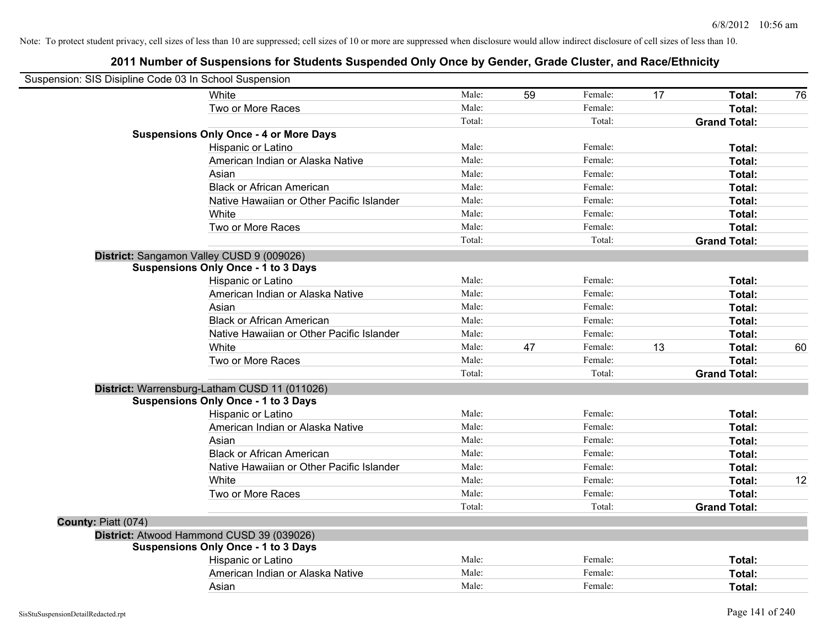| Suspension: SIS Disipline Code 03 In School Suspension |        |    |         |    |                     |    |
|--------------------------------------------------------|--------|----|---------|----|---------------------|----|
| White                                                  | Male:  | 59 | Female: | 17 | Total:              | 76 |
| Two or More Races                                      | Male:  |    | Female: |    | Total:              |    |
|                                                        | Total: |    | Total:  |    | <b>Grand Total:</b> |    |
| <b>Suspensions Only Once - 4 or More Days</b>          |        |    |         |    |                     |    |
| Hispanic or Latino                                     | Male:  |    | Female: |    | Total:              |    |
| American Indian or Alaska Native                       | Male:  |    | Female: |    | Total:              |    |
| Asian                                                  | Male:  |    | Female: |    | Total:              |    |
| <b>Black or African American</b>                       | Male:  |    | Female: |    | Total:              |    |
| Native Hawaiian or Other Pacific Islander              | Male:  |    | Female: |    | Total:              |    |
| White                                                  | Male:  |    | Female: |    | Total:              |    |
| Two or More Races                                      | Male:  |    | Female: |    | Total:              |    |
|                                                        | Total: |    | Total:  |    | <b>Grand Total:</b> |    |
| District: Sangamon Valley CUSD 9 (009026)              |        |    |         |    |                     |    |
| <b>Suspensions Only Once - 1 to 3 Days</b>             |        |    |         |    |                     |    |
| Hispanic or Latino                                     | Male:  |    | Female: |    | Total:              |    |
| American Indian or Alaska Native                       | Male:  |    | Female: |    | Total:              |    |
| Asian                                                  | Male:  |    | Female: |    | Total:              |    |
| <b>Black or African American</b>                       | Male:  |    | Female: |    | Total:              |    |
| Native Hawaiian or Other Pacific Islander              | Male:  |    | Female: |    | Total:              |    |
| White                                                  | Male:  | 47 | Female: | 13 | Total:              | 60 |
| Two or More Races                                      | Male:  |    | Female: |    | Total:              |    |
|                                                        | Total: |    | Total:  |    | <b>Grand Total:</b> |    |
| District: Warrensburg-Latham CUSD 11 (011026)          |        |    |         |    |                     |    |
| <b>Suspensions Only Once - 1 to 3 Days</b>             |        |    |         |    |                     |    |
| Hispanic or Latino                                     | Male:  |    | Female: |    | Total:              |    |
| American Indian or Alaska Native                       | Male:  |    | Female: |    | Total:              |    |
| Asian                                                  | Male:  |    | Female: |    | Total:              |    |
| <b>Black or African American</b>                       | Male:  |    | Female: |    | Total:              |    |
| Native Hawaiian or Other Pacific Islander              | Male:  |    | Female: |    | Total:              |    |
| White                                                  | Male:  |    | Female: |    | Total:              | 12 |
| Two or More Races                                      | Male:  |    | Female: |    | Total:              |    |
|                                                        | Total: |    | Total:  |    | <b>Grand Total:</b> |    |
| County: Piatt (074)                                    |        |    |         |    |                     |    |
| District: Atwood Hammond CUSD 39 (039026)              |        |    |         |    |                     |    |
| <b>Suspensions Only Once - 1 to 3 Days</b>             |        |    |         |    |                     |    |
| Hispanic or Latino                                     | Male:  |    | Female: |    | Total:              |    |
| American Indian or Alaska Native                       | Male:  |    | Female: |    | Total:              |    |
| Asian                                                  | Male:  |    | Female: |    | <b>Total:</b>       |    |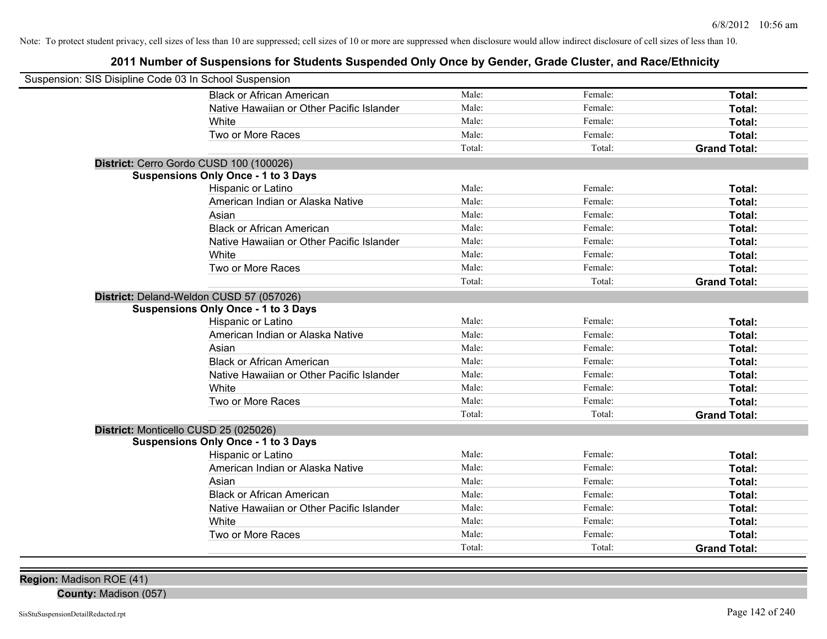## **2011 Number of Suspensions for Students Suspended Only Once by Gender, Grade Cluster, and Race/Ethnicity**

| Suspension: SIS Disipline Code 03 In School Suspension |                                            |        |         |                     |
|--------------------------------------------------------|--------------------------------------------|--------|---------|---------------------|
|                                                        | <b>Black or African American</b>           | Male:  | Female: | Total:              |
|                                                        | Native Hawaiian or Other Pacific Islander  | Male:  | Female: | Total:              |
|                                                        | White                                      | Male:  | Female: | Total:              |
|                                                        | Two or More Races                          | Male:  | Female: | Total:              |
|                                                        |                                            | Total: | Total:  | <b>Grand Total:</b> |
|                                                        | District: Cerro Gordo CUSD 100 (100026)    |        |         |                     |
|                                                        | <b>Suspensions Only Once - 1 to 3 Days</b> |        |         |                     |
|                                                        | Hispanic or Latino                         | Male:  | Female: | Total:              |
|                                                        | American Indian or Alaska Native           | Male:  | Female: | Total:              |
|                                                        | Asian                                      | Male:  | Female: | Total:              |
|                                                        | <b>Black or African American</b>           | Male:  | Female: | Total:              |
|                                                        | Native Hawaiian or Other Pacific Islander  | Male:  | Female: | Total:              |
|                                                        | White                                      | Male:  | Female: | Total:              |
|                                                        | Two or More Races                          | Male:  | Female: | Total:              |
|                                                        |                                            | Total: | Total:  | <b>Grand Total:</b> |
|                                                        | District: Deland-Weldon CUSD 57 (057026)   |        |         |                     |
|                                                        | <b>Suspensions Only Once - 1 to 3 Days</b> |        |         |                     |
|                                                        | Hispanic or Latino                         | Male:  | Female: | Total:              |
|                                                        | American Indian or Alaska Native           | Male:  | Female: | Total:              |
|                                                        | Asian                                      | Male:  | Female: | Total:              |
|                                                        | <b>Black or African American</b>           | Male:  | Female: | Total:              |
|                                                        | Native Hawaiian or Other Pacific Islander  | Male:  | Female: | Total:              |
|                                                        | White                                      | Male:  | Female: | Total:              |
|                                                        | Two or More Races                          | Male:  | Female: | Total:              |
|                                                        |                                            | Total: | Total:  | <b>Grand Total:</b> |
| District: Monticello CUSD 25 (025026)                  |                                            |        |         |                     |
|                                                        | <b>Suspensions Only Once - 1 to 3 Days</b> |        |         |                     |
|                                                        | Hispanic or Latino                         | Male:  | Female: | Total:              |
|                                                        | American Indian or Alaska Native           | Male:  | Female: | Total:              |
|                                                        | Asian                                      | Male:  | Female: | Total:              |
|                                                        | <b>Black or African American</b>           | Male:  | Female: | Total:              |
|                                                        | Native Hawaiian or Other Pacific Islander  | Male:  | Female: | Total:              |
|                                                        | White                                      | Male:  | Female: | Total:              |
|                                                        | Two or More Races                          | Male:  | Female: | Total:              |
|                                                        |                                            | Total: | Total:  | <b>Grand Total:</b> |
|                                                        |                                            |        |         |                     |

**Region:** Madison ROE (41)

**County:** Madison (057)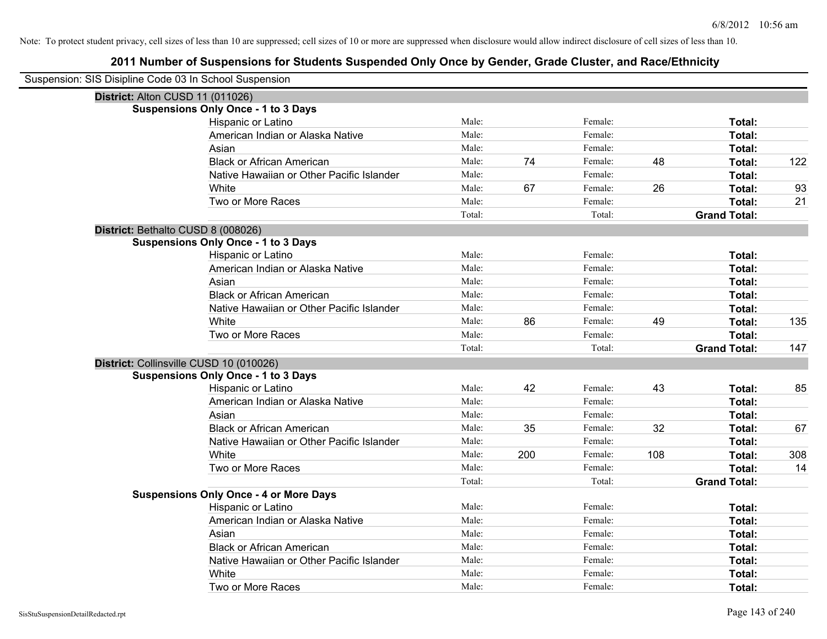| Suspension: SIS Disipline Code 03 In School Suspension |                                               |        |     |         |     |                     |     |
|--------------------------------------------------------|-----------------------------------------------|--------|-----|---------|-----|---------------------|-----|
| District: Alton CUSD 11 (011026)                       |                                               |        |     |         |     |                     |     |
|                                                        | <b>Suspensions Only Once - 1 to 3 Days</b>    |        |     |         |     |                     |     |
|                                                        | Hispanic or Latino                            | Male:  |     | Female: |     | Total:              |     |
|                                                        | American Indian or Alaska Native              | Male:  |     | Female: |     | Total:              |     |
|                                                        | Asian                                         | Male:  |     | Female: |     | Total:              |     |
|                                                        | <b>Black or African American</b>              | Male:  | 74  | Female: | 48  | Total:              | 122 |
|                                                        | Native Hawaiian or Other Pacific Islander     | Male:  |     | Female: |     | Total:              |     |
|                                                        | White                                         | Male:  | 67  | Female: | 26  | Total:              | 93  |
|                                                        | Two or More Races                             | Male:  |     | Female: |     | Total:              | 21  |
|                                                        |                                               | Total: |     | Total:  |     | <b>Grand Total:</b> |     |
| District: Bethalto CUSD 8 (008026)                     |                                               |        |     |         |     |                     |     |
|                                                        | <b>Suspensions Only Once - 1 to 3 Days</b>    |        |     |         |     |                     |     |
|                                                        | Hispanic or Latino                            | Male:  |     | Female: |     | Total:              |     |
|                                                        | American Indian or Alaska Native              | Male:  |     | Female: |     | Total:              |     |
|                                                        | Asian                                         | Male:  |     | Female: |     | Total:              |     |
|                                                        | <b>Black or African American</b>              | Male:  |     | Female: |     | Total:              |     |
|                                                        | Native Hawaiian or Other Pacific Islander     | Male:  |     | Female: |     | Total:              |     |
|                                                        | White                                         | Male:  | 86  | Female: | 49  | Total:              | 135 |
|                                                        | Two or More Races                             | Male:  |     | Female: |     | Total:              |     |
|                                                        |                                               | Total: |     | Total:  |     | <b>Grand Total:</b> | 147 |
| District: Collinsville CUSD 10 (010026)                |                                               |        |     |         |     |                     |     |
|                                                        | <b>Suspensions Only Once - 1 to 3 Days</b>    |        |     |         |     |                     |     |
|                                                        | Hispanic or Latino                            | Male:  | 42  | Female: | 43  | Total:              | 85  |
|                                                        | American Indian or Alaska Native              | Male:  |     | Female: |     | Total:              |     |
|                                                        | Asian                                         | Male:  |     | Female: |     | Total:              |     |
|                                                        | <b>Black or African American</b>              | Male:  | 35  | Female: | 32  | Total:              | 67  |
|                                                        | Native Hawaiian or Other Pacific Islander     | Male:  |     | Female: |     | Total:              |     |
|                                                        | White                                         | Male:  | 200 | Female: | 108 | Total:              | 308 |
|                                                        | Two or More Races                             | Male:  |     | Female: |     | Total:              | 14  |
|                                                        |                                               | Total: |     | Total:  |     | <b>Grand Total:</b> |     |
|                                                        | <b>Suspensions Only Once - 4 or More Days</b> |        |     |         |     |                     |     |
|                                                        | Hispanic or Latino                            | Male:  |     | Female: |     | Total:              |     |
|                                                        | American Indian or Alaska Native              | Male:  |     | Female: |     | Total:              |     |
|                                                        | Asian                                         | Male:  |     | Female: |     | Total:              |     |
|                                                        | <b>Black or African American</b>              | Male:  |     | Female: |     | Total:              |     |
|                                                        | Native Hawaiian or Other Pacific Islander     | Male:  |     | Female: |     | Total:              |     |
|                                                        | White                                         | Male:  |     | Female: |     | Total:              |     |
|                                                        | Two or More Races                             | Male:  |     | Female: |     | Total:              |     |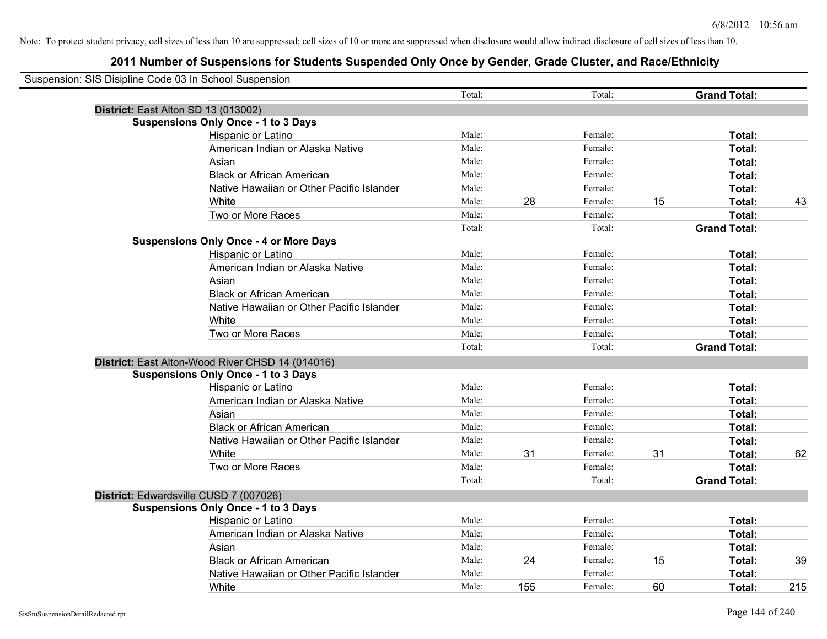| Suspension: SIS Disipline Code 03 In School Suspension |                                                  |        |     |         |    |                     |     |
|--------------------------------------------------------|--------------------------------------------------|--------|-----|---------|----|---------------------|-----|
|                                                        |                                                  | Total: |     | Total:  |    | <b>Grand Total:</b> |     |
| District: East Alton SD 13 (013002)                    |                                                  |        |     |         |    |                     |     |
|                                                        | <b>Suspensions Only Once - 1 to 3 Days</b>       |        |     |         |    |                     |     |
|                                                        | Hispanic or Latino                               | Male:  |     | Female: |    | Total:              |     |
|                                                        | American Indian or Alaska Native                 | Male:  |     | Female: |    | Total:              |     |
|                                                        | Asian                                            | Male:  |     | Female: |    | Total:              |     |
|                                                        | <b>Black or African American</b>                 | Male:  |     | Female: |    | Total:              |     |
|                                                        | Native Hawaiian or Other Pacific Islander        | Male:  |     | Female: |    | Total:              |     |
|                                                        | White                                            | Male:  | 28  | Female: | 15 | Total:              | 43  |
|                                                        | Two or More Races                                | Male:  |     | Female: |    | Total:              |     |
|                                                        |                                                  | Total: |     | Total:  |    | <b>Grand Total:</b> |     |
|                                                        | <b>Suspensions Only Once - 4 or More Days</b>    |        |     |         |    |                     |     |
|                                                        | Hispanic or Latino                               | Male:  |     | Female: |    | Total:              |     |
|                                                        | American Indian or Alaska Native                 | Male:  |     | Female: |    | Total:              |     |
|                                                        | Asian                                            | Male:  |     | Female: |    | Total:              |     |
|                                                        | <b>Black or African American</b>                 | Male:  |     | Female: |    | Total:              |     |
|                                                        | Native Hawaiian or Other Pacific Islander        | Male:  |     | Female: |    | Total:              |     |
|                                                        | White                                            | Male:  |     | Female: |    | Total:              |     |
|                                                        | Two or More Races                                | Male:  |     | Female: |    | Total:              |     |
|                                                        |                                                  | Total: |     | Total:  |    | <b>Grand Total:</b> |     |
|                                                        | District: East Alton-Wood River CHSD 14 (014016) |        |     |         |    |                     |     |
|                                                        | <b>Suspensions Only Once - 1 to 3 Days</b>       |        |     |         |    |                     |     |
|                                                        | Hispanic or Latino                               | Male:  |     | Female: |    | Total:              |     |
|                                                        | American Indian or Alaska Native                 | Male:  |     | Female: |    | Total:              |     |
|                                                        | Asian                                            | Male:  |     | Female: |    | Total:              |     |
|                                                        | <b>Black or African American</b>                 | Male:  |     | Female: |    | Total:              |     |
|                                                        | Native Hawaiian or Other Pacific Islander        | Male:  |     | Female: |    | Total:              |     |
|                                                        | White                                            | Male:  | 31  | Female: | 31 | Total:              | 62  |
|                                                        | Two or More Races                                | Male:  |     | Female: |    | Total:              |     |
|                                                        |                                                  | Total: |     | Total:  |    | <b>Grand Total:</b> |     |
| District: Edwardsville CUSD 7 (007026)                 |                                                  |        |     |         |    |                     |     |
|                                                        | <b>Suspensions Only Once - 1 to 3 Days</b>       |        |     |         |    |                     |     |
|                                                        | Hispanic or Latino                               | Male:  |     | Female: |    | Total:              |     |
|                                                        | American Indian or Alaska Native                 | Male:  |     | Female: |    | Total:              |     |
|                                                        | Asian                                            | Male:  |     | Female: |    | Total:              |     |
|                                                        | <b>Black or African American</b>                 | Male:  | 24  | Female: | 15 | Total:              | 39  |
|                                                        | Native Hawaiian or Other Pacific Islander        | Male:  |     | Female: |    | Total:              |     |
|                                                        | White                                            | Male:  | 155 | Female: | 60 | Total:              | 215 |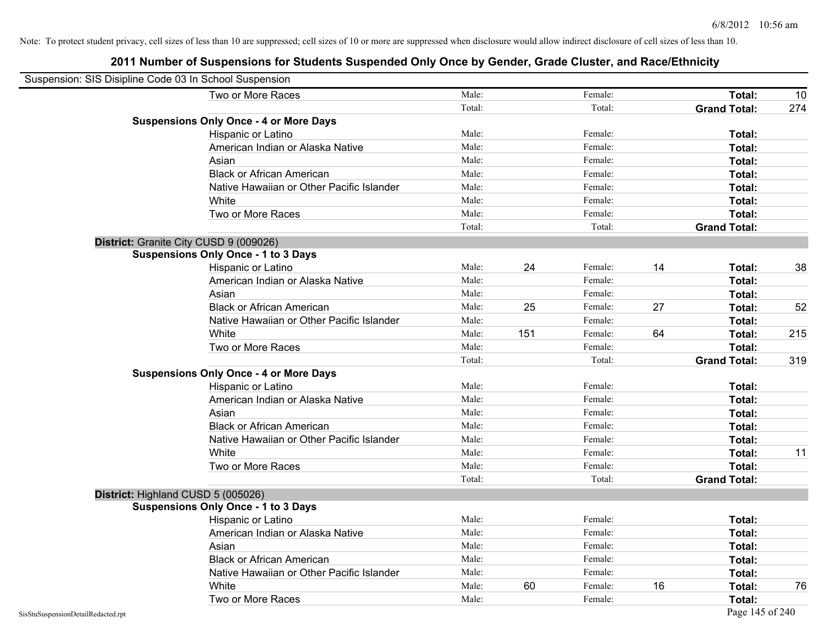| Suspension: SIS Disipline Code 03 In School Suspension |                                               |        |     |         |    |                     |     |
|--------------------------------------------------------|-----------------------------------------------|--------|-----|---------|----|---------------------|-----|
|                                                        | Two or More Races                             | Male:  |     | Female: |    | Total:              | 10  |
|                                                        |                                               | Total: |     | Total:  |    | <b>Grand Total:</b> | 274 |
|                                                        | <b>Suspensions Only Once - 4 or More Days</b> |        |     |         |    |                     |     |
|                                                        | Hispanic or Latino                            | Male:  |     | Female: |    | Total:              |     |
|                                                        | American Indian or Alaska Native              | Male:  |     | Female: |    | Total:              |     |
|                                                        | Asian                                         | Male:  |     | Female: |    | Total:              |     |
|                                                        | <b>Black or African American</b>              | Male:  |     | Female: |    | Total:              |     |
|                                                        | Native Hawaiian or Other Pacific Islander     | Male:  |     | Female: |    | Total:              |     |
|                                                        | White                                         | Male:  |     | Female: |    | Total:              |     |
|                                                        | Two or More Races                             | Male:  |     | Female: |    | Total:              |     |
|                                                        |                                               | Total: |     | Total:  |    | <b>Grand Total:</b> |     |
|                                                        | District: Granite City CUSD 9 (009026)        |        |     |         |    |                     |     |
|                                                        | <b>Suspensions Only Once - 1 to 3 Days</b>    |        |     |         |    |                     |     |
|                                                        | Hispanic or Latino                            | Male:  | 24  | Female: | 14 | Total:              | 38  |
|                                                        | American Indian or Alaska Native              | Male:  |     | Female: |    | Total:              |     |
|                                                        | Asian                                         | Male:  |     | Female: |    | Total:              |     |
|                                                        | <b>Black or African American</b>              | Male:  | 25  | Female: | 27 | Total:              | 52  |
|                                                        | Native Hawaiian or Other Pacific Islander     | Male:  |     | Female: |    | Total:              |     |
|                                                        | White                                         | Male:  | 151 | Female: | 64 | Total:              | 215 |
|                                                        | Two or More Races                             | Male:  |     | Female: |    | Total:              |     |
|                                                        |                                               | Total: |     | Total:  |    | <b>Grand Total:</b> | 319 |
|                                                        | <b>Suspensions Only Once - 4 or More Days</b> |        |     |         |    |                     |     |
|                                                        | Hispanic or Latino                            | Male:  |     | Female: |    | Total:              |     |
|                                                        | American Indian or Alaska Native              | Male:  |     | Female: |    | Total:              |     |
|                                                        | Asian                                         | Male:  |     | Female: |    | Total:              |     |
|                                                        | <b>Black or African American</b>              | Male:  |     | Female: |    | Total:              |     |
|                                                        | Native Hawaiian or Other Pacific Islander     | Male:  |     | Female: |    | Total:              |     |
|                                                        | White                                         | Male:  |     | Female: |    | Total:              | 11  |
|                                                        | Two or More Races                             | Male:  |     | Female: |    | Total:              |     |
|                                                        |                                               | Total: |     | Total:  |    | <b>Grand Total:</b> |     |
|                                                        | District: Highland CUSD 5 (005026)            |        |     |         |    |                     |     |
|                                                        | <b>Suspensions Only Once - 1 to 3 Days</b>    |        |     |         |    |                     |     |
|                                                        | Hispanic or Latino                            | Male:  |     | Female: |    | Total:              |     |
|                                                        | American Indian or Alaska Native              | Male:  |     | Female: |    | Total:              |     |
|                                                        | Asian                                         | Male:  |     | Female: |    | Total:              |     |
|                                                        | <b>Black or African American</b>              | Male:  |     | Female: |    | Total:              |     |
|                                                        | Native Hawaiian or Other Pacific Islander     | Male:  |     | Female: |    | Total:              |     |
|                                                        | White                                         | Male:  | 60  | Female: | 16 | Total:              | 76  |
|                                                        | Two or More Races                             | Male:  |     | Female: |    | Total:              |     |
| SisStuSuspensionDetailRedacted.rpt                     |                                               |        |     |         |    | Page 145 of 240     |     |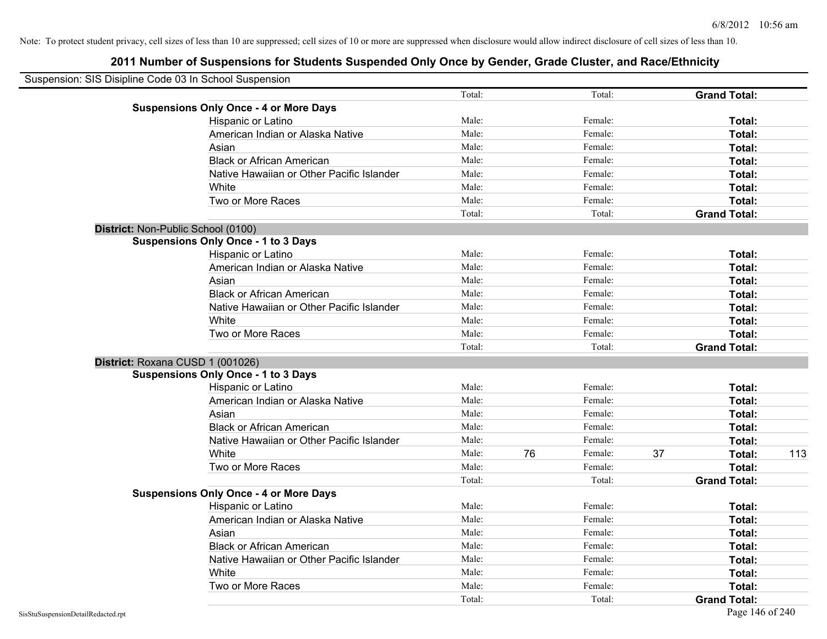| Suspension: SIS Disipline Code 03 In School Suspension |                                               |        |    |         |    |                     |     |
|--------------------------------------------------------|-----------------------------------------------|--------|----|---------|----|---------------------|-----|
|                                                        |                                               | Total: |    | Total:  |    | <b>Grand Total:</b> |     |
|                                                        | <b>Suspensions Only Once - 4 or More Days</b> |        |    |         |    |                     |     |
|                                                        | Hispanic or Latino                            | Male:  |    | Female: |    | Total:              |     |
|                                                        | American Indian or Alaska Native              | Male:  |    | Female: |    | Total:              |     |
|                                                        | Asian                                         | Male:  |    | Female: |    | Total:              |     |
|                                                        | <b>Black or African American</b>              | Male:  |    | Female: |    | Total:              |     |
|                                                        | Native Hawaiian or Other Pacific Islander     | Male:  |    | Female: |    | Total:              |     |
|                                                        | White                                         | Male:  |    | Female: |    | Total:              |     |
|                                                        | Two or More Races                             | Male:  |    | Female: |    | Total:              |     |
|                                                        |                                               | Total: |    | Total:  |    | <b>Grand Total:</b> |     |
| District: Non-Public School (0100)                     |                                               |        |    |         |    |                     |     |
|                                                        | <b>Suspensions Only Once - 1 to 3 Days</b>    |        |    |         |    |                     |     |
|                                                        | Hispanic or Latino                            | Male:  |    | Female: |    | Total:              |     |
|                                                        | American Indian or Alaska Native              | Male:  |    | Female: |    | Total:              |     |
|                                                        | Asian                                         | Male:  |    | Female: |    | Total:              |     |
|                                                        | <b>Black or African American</b>              | Male:  |    | Female: |    | Total:              |     |
|                                                        | Native Hawaiian or Other Pacific Islander     | Male:  |    | Female: |    | Total:              |     |
|                                                        | White                                         | Male:  |    | Female: |    | Total:              |     |
|                                                        | Two or More Races                             | Male:  |    | Female: |    | Total:              |     |
|                                                        |                                               | Total: |    | Total:  |    | <b>Grand Total:</b> |     |
| District: Roxana CUSD 1 (001026)                       |                                               |        |    |         |    |                     |     |
|                                                        | <b>Suspensions Only Once - 1 to 3 Days</b>    |        |    |         |    |                     |     |
|                                                        | Hispanic or Latino                            | Male:  |    | Female: |    | Total:              |     |
|                                                        | American Indian or Alaska Native              | Male:  |    | Female: |    | Total:              |     |
|                                                        | Asian                                         | Male:  |    | Female: |    | Total:              |     |
|                                                        | <b>Black or African American</b>              | Male:  |    | Female: |    | Total:              |     |
|                                                        | Native Hawaiian or Other Pacific Islander     | Male:  |    | Female: |    | Total:              |     |
|                                                        | White                                         | Male:  | 76 | Female: | 37 | Total:              | 113 |
|                                                        | Two or More Races                             | Male:  |    | Female: |    | Total:              |     |
|                                                        |                                               | Total: |    | Total:  |    | <b>Grand Total:</b> |     |
|                                                        | <b>Suspensions Only Once - 4 or More Days</b> |        |    |         |    |                     |     |
|                                                        | Hispanic or Latino                            | Male:  |    | Female: |    | Total:              |     |
|                                                        | American Indian or Alaska Native              | Male:  |    | Female: |    | Total:              |     |
|                                                        | Asian                                         | Male:  |    | Female: |    | Total:              |     |
|                                                        | <b>Black or African American</b>              | Male:  |    | Female: |    | Total:              |     |
|                                                        | Native Hawaiian or Other Pacific Islander     | Male:  |    | Female: |    | Total:              |     |
|                                                        | White                                         | Male:  |    | Female: |    | Total:              |     |
|                                                        | Two or More Races                             | Male:  |    | Female: |    | Total:              |     |
|                                                        |                                               | Total: |    | Total:  |    | <b>Grand Total:</b> |     |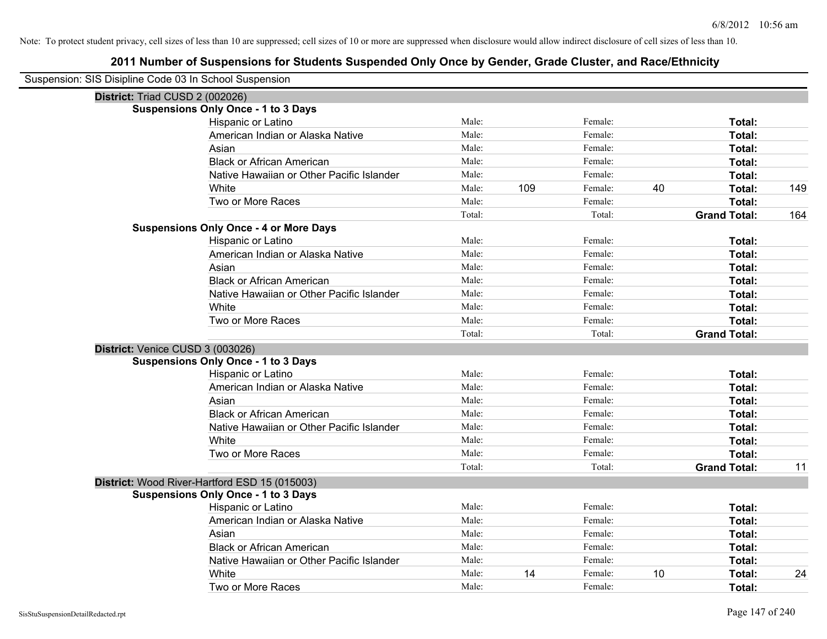| Suspension: SIS Disipline Code 03 In School Suspension |                                               |        |     |         |    |                     |     |
|--------------------------------------------------------|-----------------------------------------------|--------|-----|---------|----|---------------------|-----|
| District: Triad CUSD 2 (002026)                        |                                               |        |     |         |    |                     |     |
|                                                        | <b>Suspensions Only Once - 1 to 3 Days</b>    |        |     |         |    |                     |     |
|                                                        | Hispanic or Latino                            | Male:  |     | Female: |    | Total:              |     |
|                                                        | American Indian or Alaska Native              | Male:  |     | Female: |    | Total:              |     |
|                                                        | Asian                                         | Male:  |     | Female: |    | Total:              |     |
|                                                        | <b>Black or African American</b>              | Male:  |     | Female: |    | Total:              |     |
|                                                        | Native Hawaiian or Other Pacific Islander     | Male:  |     | Female: |    | Total:              |     |
|                                                        | White                                         | Male:  | 109 | Female: | 40 | Total:              | 149 |
|                                                        | Two or More Races                             | Male:  |     | Female: |    | Total:              |     |
|                                                        |                                               | Total: |     | Total:  |    | <b>Grand Total:</b> | 164 |
|                                                        | <b>Suspensions Only Once - 4 or More Days</b> |        |     |         |    |                     |     |
|                                                        | Hispanic or Latino                            | Male:  |     | Female: |    | Total:              |     |
|                                                        | American Indian or Alaska Native              | Male:  |     | Female: |    | Total:              |     |
|                                                        | Asian                                         | Male:  |     | Female: |    | Total:              |     |
|                                                        | <b>Black or African American</b>              | Male:  |     | Female: |    | Total:              |     |
|                                                        | Native Hawaiian or Other Pacific Islander     | Male:  |     | Female: |    | Total:              |     |
|                                                        | White                                         | Male:  |     | Female: |    | Total:              |     |
|                                                        | Two or More Races                             | Male:  |     | Female: |    | Total:              |     |
|                                                        |                                               | Total: |     | Total:  |    | <b>Grand Total:</b> |     |
| District: Venice CUSD 3 (003026)                       |                                               |        |     |         |    |                     |     |
|                                                        | <b>Suspensions Only Once - 1 to 3 Days</b>    |        |     |         |    |                     |     |
|                                                        | Hispanic or Latino                            | Male:  |     | Female: |    | Total:              |     |
|                                                        | American Indian or Alaska Native              | Male:  |     | Female: |    | Total:              |     |
|                                                        | Asian                                         | Male:  |     | Female: |    | Total:              |     |
|                                                        | <b>Black or African American</b>              | Male:  |     | Female: |    | Total:              |     |
|                                                        | Native Hawaiian or Other Pacific Islander     | Male:  |     | Female: |    | Total:              |     |
|                                                        | White                                         | Male:  |     | Female: |    | Total:              |     |
|                                                        | Two or More Races                             | Male:  |     | Female: |    | Total:              |     |
|                                                        |                                               | Total: |     | Total:  |    | <b>Grand Total:</b> | 11  |
|                                                        | District: Wood River-Hartford ESD 15 (015003) |        |     |         |    |                     |     |
|                                                        | <b>Suspensions Only Once - 1 to 3 Days</b>    |        |     |         |    |                     |     |
|                                                        | Hispanic or Latino                            | Male:  |     | Female: |    | Total:              |     |
|                                                        | American Indian or Alaska Native              | Male:  |     | Female: |    | Total:              |     |
|                                                        | Asian                                         | Male:  |     | Female: |    | Total:              |     |
|                                                        | <b>Black or African American</b>              | Male:  |     | Female: |    | Total:              |     |
|                                                        | Native Hawaiian or Other Pacific Islander     | Male:  |     | Female: |    | Total:              |     |
|                                                        | White                                         | Male:  | 14  | Female: | 10 | <b>Total:</b>       | 24  |
|                                                        | Two or More Races                             | Male:  |     | Female: |    | Total:              |     |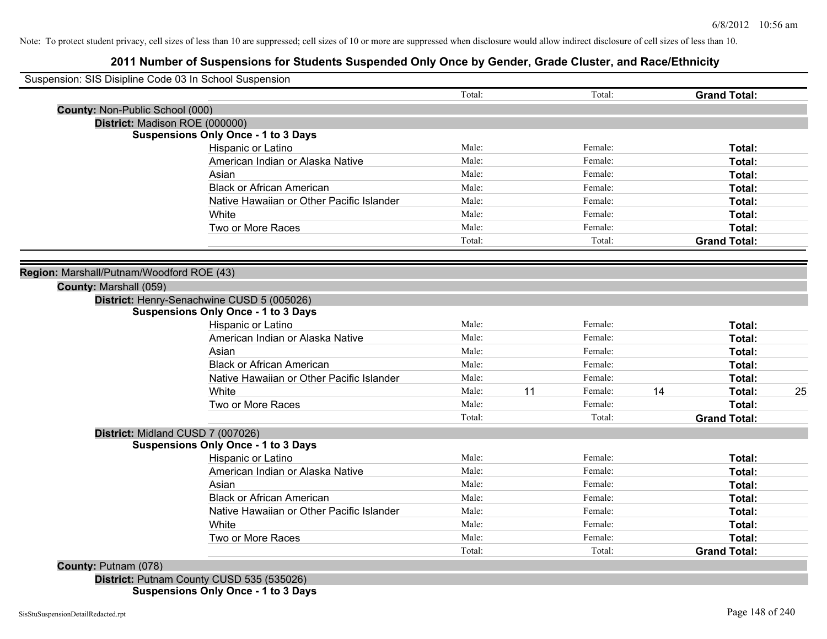# **2011 Number of Suspensions for Students Suspended Only Once by Gender, Grade Cluster, and Race/Ethnicity**

| Suspension: SIS Disipline Code 03 In School Suspension |                                            |                 |    |         |    |                               |    |
|--------------------------------------------------------|--------------------------------------------|-----------------|----|---------|----|-------------------------------|----|
|                                                        |                                            |                 |    |         |    |                               |    |
|                                                        |                                            | Total:          |    | Total:  |    | <b>Grand Total:</b>           |    |
| County: Non-Public School (000)                        |                                            |                 |    |         |    |                               |    |
|                                                        | District: Madison ROE (000000)             |                 |    |         |    |                               |    |
|                                                        | <b>Suspensions Only Once - 1 to 3 Days</b> |                 |    |         |    |                               |    |
|                                                        | Hispanic or Latino                         | Male:           |    | Female: |    | Total:                        |    |
|                                                        | American Indian or Alaska Native           | Male:           |    | Female: |    | Total:                        |    |
|                                                        | Asian                                      | Male:           |    | Female: |    | Total:                        |    |
|                                                        | <b>Black or African American</b>           | Male:           |    | Female: |    | Total:                        |    |
|                                                        | Native Hawaiian or Other Pacific Islander  | Male:           |    | Female: |    | Total:                        |    |
|                                                        | White                                      | Male:           |    | Female: |    | Total:                        |    |
|                                                        | Two or More Races                          | Male:           |    | Female: |    | Total:                        |    |
|                                                        |                                            | Total:          |    | Total:  |    | <b>Grand Total:</b>           |    |
| Region: Marshall/Putnam/Woodford ROE (43)              |                                            |                 |    |         |    |                               |    |
| County: Marshall (059)                                 |                                            |                 |    |         |    |                               |    |
|                                                        | District: Henry-Senachwine CUSD 5 (005026) |                 |    |         |    |                               |    |
|                                                        | <b>Suspensions Only Once - 1 to 3 Days</b> |                 |    |         |    |                               |    |
|                                                        |                                            |                 |    |         |    |                               |    |
|                                                        | Hispanic or Latino                         | Male:           |    | Female: |    | Total:                        |    |
|                                                        | American Indian or Alaska Native           | Male:           |    | Female: |    | Total:                        |    |
|                                                        | Asian                                      | Male:           |    | Female: |    | Total:                        |    |
|                                                        | <b>Black or African American</b>           | Male:           |    | Female: |    | Total:                        |    |
|                                                        | Native Hawaiian or Other Pacific Islander  | Male:           |    | Female: |    | Total:                        |    |
|                                                        | White                                      | Male:           | 11 | Female: | 14 | Total:                        |    |
|                                                        | Two or More Races                          | Male:           |    | Female: |    | Total:                        |    |
|                                                        |                                            | Total:          |    | Total:  |    | <b>Grand Total:</b>           |    |
|                                                        | District: Midland CUSD 7 (007026)          |                 |    |         |    |                               |    |
|                                                        | <b>Suspensions Only Once - 1 to 3 Days</b> |                 |    |         |    |                               |    |
|                                                        | Hispanic or Latino                         | Male:           |    | Female: |    | Total:                        |    |
|                                                        | American Indian or Alaska Native           | Male:           |    | Female: |    | Total:                        |    |
|                                                        | Asian                                      | Male:           |    | Female: |    | Total:                        |    |
|                                                        | <b>Black or African American</b>           | Male:           |    | Female: |    | Total:                        |    |
|                                                        | Native Hawaiian or Other Pacific Islander  | Male:           |    | Female: |    | Total:                        |    |
|                                                        | White                                      | Male:           |    | Female: |    | Total:                        |    |
|                                                        | Two or More Races                          | Male:<br>Total: |    | Female: |    | Total:<br><b>Grand Total:</b> | 25 |

**District:** Putnam County CUSD 535 (535026) **Suspensions Only Once - 1 to 3 Days**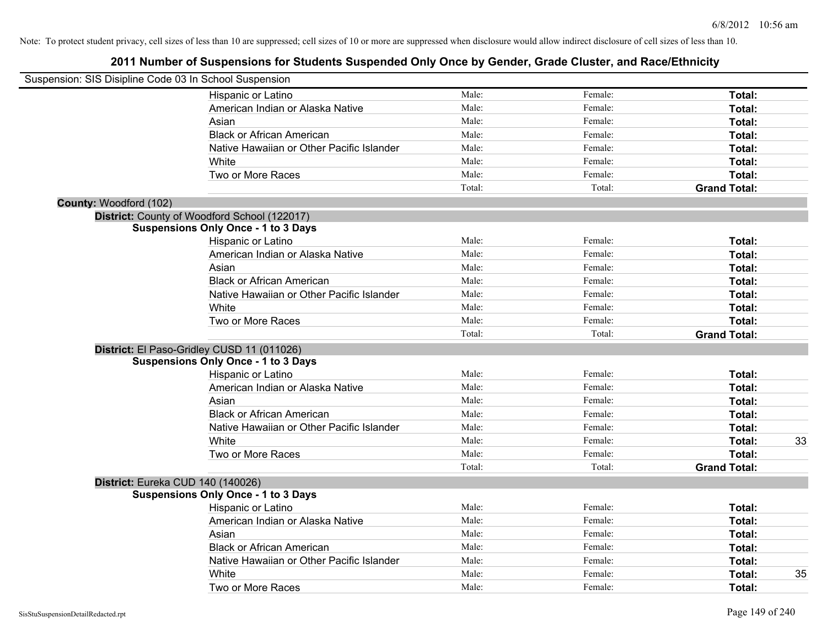| Suspension: SIS Disipline Code 03 In School Suspension |                                              |        |         |                     |
|--------------------------------------------------------|----------------------------------------------|--------|---------|---------------------|
|                                                        | Hispanic or Latino                           | Male:  | Female: | Total:              |
|                                                        | American Indian or Alaska Native             | Male:  | Female: | Total:              |
|                                                        | Asian                                        | Male:  | Female: | Total:              |
|                                                        | <b>Black or African American</b>             | Male:  | Female: | Total:              |
|                                                        | Native Hawaiian or Other Pacific Islander    | Male:  | Female: | Total:              |
|                                                        | White                                        | Male:  | Female: | Total:              |
|                                                        | Two or More Races                            | Male:  | Female: | Total:              |
|                                                        |                                              | Total: | Total:  | <b>Grand Total:</b> |
| County: Woodford (102)                                 |                                              |        |         |                     |
|                                                        | District: County of Woodford School (122017) |        |         |                     |
|                                                        | <b>Suspensions Only Once - 1 to 3 Days</b>   |        |         |                     |
|                                                        | Hispanic or Latino                           | Male:  | Female: | Total:              |
|                                                        | American Indian or Alaska Native             | Male:  | Female: | Total:              |
|                                                        | Asian                                        | Male:  | Female: | Total:              |
|                                                        | <b>Black or African American</b>             | Male:  | Female: | Total:              |
|                                                        | Native Hawaiian or Other Pacific Islander    | Male:  | Female: | Total:              |
|                                                        | White                                        | Male:  | Female: | Total:              |
|                                                        | Two or More Races                            | Male:  | Female: | Total:              |
|                                                        |                                              | Total: | Total:  | <b>Grand Total:</b> |
|                                                        | District: El Paso-Gridley CUSD 11 (011026)   |        |         |                     |
|                                                        | <b>Suspensions Only Once - 1 to 3 Days</b>   |        |         |                     |
|                                                        | Hispanic or Latino                           | Male:  | Female: | Total:              |
|                                                        | American Indian or Alaska Native             | Male:  | Female: | Total:              |
|                                                        | Asian                                        | Male:  | Female: | Total:              |
|                                                        | <b>Black or African American</b>             | Male:  | Female: | Total:              |
|                                                        | Native Hawaiian or Other Pacific Islander    | Male:  | Female: | Total:              |
|                                                        | White                                        | Male:  | Female: | Total:<br>33        |
|                                                        | Two or More Races                            | Male:  | Female: | Total:              |
|                                                        |                                              | Total: | Total:  | <b>Grand Total:</b> |
|                                                        | District: Eureka CUD 140 (140026)            |        |         |                     |
|                                                        | <b>Suspensions Only Once - 1 to 3 Days</b>   |        |         |                     |
|                                                        | Hispanic or Latino                           | Male:  | Female: | Total:              |
|                                                        | American Indian or Alaska Native             | Male:  | Female: | Total:              |
|                                                        | Asian                                        | Male:  | Female: | Total:              |
|                                                        | <b>Black or African American</b>             | Male:  | Female: | Total:              |
|                                                        | Native Hawaiian or Other Pacific Islander    | Male:  | Female: | Total:              |
|                                                        | White                                        | Male:  | Female: | 35<br>Total:        |
|                                                        | Two or More Races                            | Male:  | Female: | Total:              |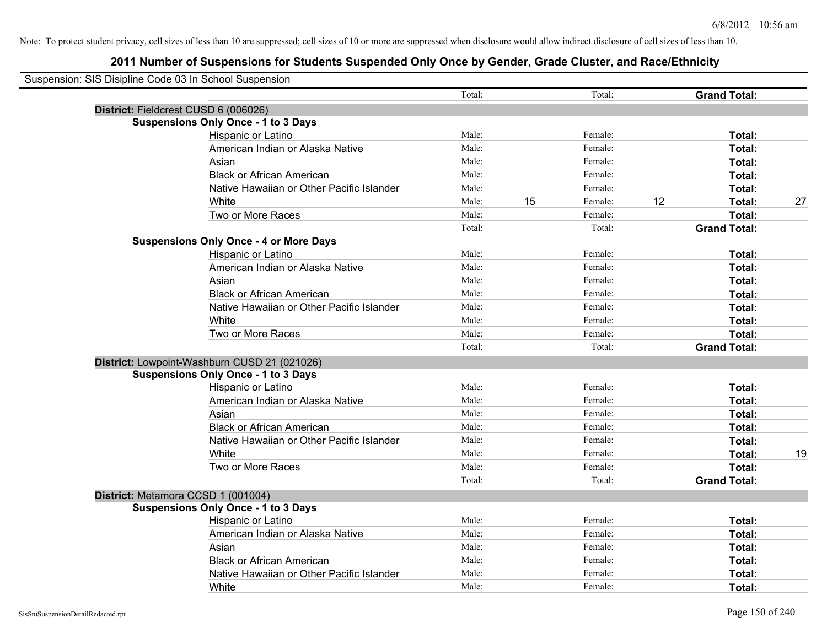| Suspension: SIS Disipline Code 03 In School Suspension |                                               |        |    |         |    |                     |    |
|--------------------------------------------------------|-----------------------------------------------|--------|----|---------|----|---------------------|----|
|                                                        |                                               | Total: |    | Total:  |    | <b>Grand Total:</b> |    |
| District: Fieldcrest CUSD 6 (006026)                   |                                               |        |    |         |    |                     |    |
|                                                        | <b>Suspensions Only Once - 1 to 3 Days</b>    |        |    |         |    |                     |    |
|                                                        | Hispanic or Latino                            | Male:  |    | Female: |    | Total:              |    |
|                                                        | American Indian or Alaska Native              | Male:  |    | Female: |    | Total:              |    |
|                                                        | Asian                                         | Male:  |    | Female: |    | Total:              |    |
|                                                        | <b>Black or African American</b>              | Male:  |    | Female: |    | Total:              |    |
|                                                        | Native Hawaiian or Other Pacific Islander     | Male:  |    | Female: |    | Total:              |    |
|                                                        | White                                         | Male:  | 15 | Female: | 12 | Total:              | 27 |
|                                                        | Two or More Races                             | Male:  |    | Female: |    | Total:              |    |
|                                                        |                                               | Total: |    | Total:  |    | <b>Grand Total:</b> |    |
|                                                        | <b>Suspensions Only Once - 4 or More Days</b> |        |    |         |    |                     |    |
|                                                        | Hispanic or Latino                            | Male:  |    | Female: |    | Total:              |    |
|                                                        | American Indian or Alaska Native              | Male:  |    | Female: |    | Total:              |    |
|                                                        | Asian                                         | Male:  |    | Female: |    | Total:              |    |
|                                                        | <b>Black or African American</b>              | Male:  |    | Female: |    | Total:              |    |
|                                                        | Native Hawaiian or Other Pacific Islander     | Male:  |    | Female: |    | Total:              |    |
|                                                        | White                                         | Male:  |    | Female: |    | Total:              |    |
|                                                        | Two or More Races                             | Male:  |    | Female: |    | Total:              |    |
|                                                        |                                               | Total: |    | Total:  |    | <b>Grand Total:</b> |    |
|                                                        | District: Lowpoint-Washburn CUSD 21 (021026)  |        |    |         |    |                     |    |
|                                                        | <b>Suspensions Only Once - 1 to 3 Days</b>    |        |    |         |    |                     |    |
|                                                        | Hispanic or Latino                            | Male:  |    | Female: |    | Total:              |    |
|                                                        | American Indian or Alaska Native              | Male:  |    | Female: |    | Total:              |    |
|                                                        | Asian                                         | Male:  |    | Female: |    | Total:              |    |
|                                                        | <b>Black or African American</b>              | Male:  |    | Female: |    | Total:              |    |
|                                                        | Native Hawaiian or Other Pacific Islander     | Male:  |    | Female: |    | Total:              |    |
|                                                        | White                                         | Male:  |    | Female: |    | Total:              | 19 |
|                                                        | Two or More Races                             | Male:  |    | Female: |    | Total:              |    |
|                                                        |                                               | Total: |    | Total:  |    | <b>Grand Total:</b> |    |
| District: Metamora CCSD 1 (001004)                     |                                               |        |    |         |    |                     |    |
|                                                        | <b>Suspensions Only Once - 1 to 3 Days</b>    |        |    |         |    |                     |    |
|                                                        | Hispanic or Latino                            | Male:  |    | Female: |    | Total:              |    |
|                                                        | American Indian or Alaska Native              | Male:  |    | Female: |    | Total:              |    |
|                                                        | Asian                                         | Male:  |    | Female: |    | Total:              |    |
|                                                        | <b>Black or African American</b>              | Male:  |    | Female: |    | Total:              |    |
|                                                        | Native Hawaiian or Other Pacific Islander     | Male:  |    | Female: |    | Total:              |    |
|                                                        | White                                         | Male:  |    | Female: |    | Total:              |    |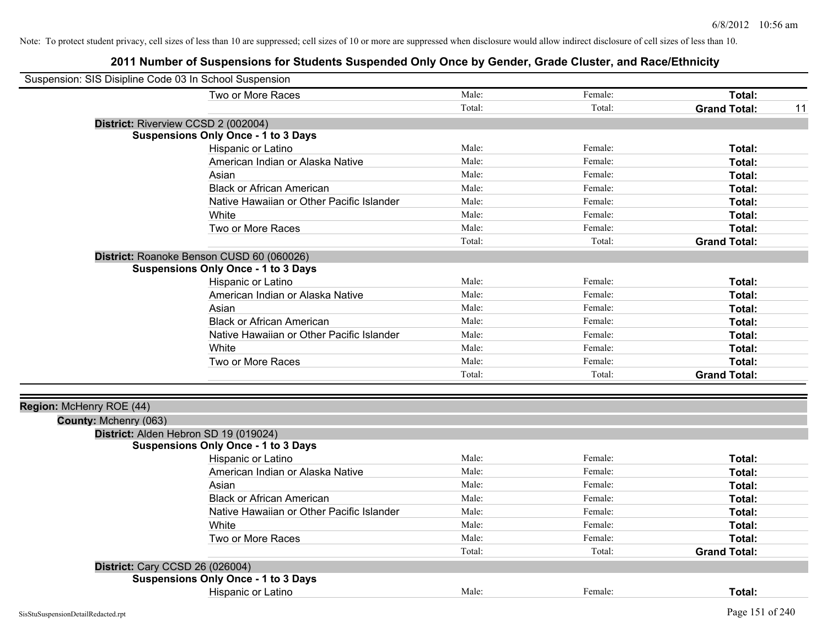| Suspension: SIS Disipline Code 03 In School Suspension |                                            |        |         |                           |
|--------------------------------------------------------|--------------------------------------------|--------|---------|---------------------------|
|                                                        | Two or More Races                          | Male:  | Female: | Total:                    |
|                                                        |                                            | Total: | Total:  | <b>Grand Total:</b><br>11 |
|                                                        | District: Riverview CCSD 2 (002004)        |        |         |                           |
|                                                        | <b>Suspensions Only Once - 1 to 3 Days</b> |        |         |                           |
|                                                        | Hispanic or Latino                         | Male:  | Female: | Total:                    |
|                                                        | American Indian or Alaska Native           | Male:  | Female: | Total:                    |
|                                                        | Asian                                      | Male:  | Female: | Total:                    |
|                                                        | <b>Black or African American</b>           | Male:  | Female: | Total:                    |
|                                                        | Native Hawaiian or Other Pacific Islander  | Male:  | Female: | Total:                    |
|                                                        | White                                      | Male:  | Female: | Total:                    |
|                                                        | Two or More Races                          | Male:  | Female: | Total:                    |
|                                                        |                                            | Total: | Total:  | <b>Grand Total:</b>       |
|                                                        | District: Roanoke Benson CUSD 60 (060026)  |        |         |                           |
|                                                        | <b>Suspensions Only Once - 1 to 3 Days</b> |        |         |                           |
|                                                        | Hispanic or Latino                         | Male:  | Female: | Total:                    |
|                                                        | American Indian or Alaska Native           | Male:  | Female: | Total:                    |
|                                                        | Asian                                      | Male:  | Female: | Total:                    |
|                                                        | <b>Black or African American</b>           | Male:  | Female: | Total:                    |
|                                                        | Native Hawaiian or Other Pacific Islander  | Male:  | Female: | Total:                    |
|                                                        | White                                      | Male:  | Female: | Total:                    |
|                                                        | Two or More Races                          | Male:  | Female: | Total:                    |
|                                                        |                                            | Total: | Total:  | <b>Grand Total:</b>       |
|                                                        |                                            |        |         |                           |
| Region: McHenry ROE (44)                               |                                            |        |         |                           |
| County: Mchenry (063)                                  |                                            |        |         |                           |
|                                                        | District: Alden Hebron SD 19 (019024)      |        |         |                           |
|                                                        | <b>Suspensions Only Once - 1 to 3 Days</b> |        |         |                           |
|                                                        | Hispanic or Latino                         | Male:  | Female: | Total:                    |
|                                                        | American Indian or Alaska Native           | Male:  | Female: | Total:                    |
|                                                        | Asian                                      | Male:  | Female: | Total:                    |
|                                                        | <b>Black or African American</b>           | Male:  | Female: | Total:                    |
|                                                        | Native Hawaiian or Other Pacific Islander  | Male:  | Female: | Total:                    |
|                                                        | White                                      | Male:  | Female: | Total:                    |
|                                                        | Two or More Races                          | Male:  | Female: | Total:                    |
|                                                        |                                            | Total: | Total:  | <b>Grand Total:</b>       |
|                                                        | <b>District: Cary CCSD 26 (026004)</b>     |        |         |                           |
|                                                        | <b>Suspensions Only Once - 1 to 3 Days</b> |        |         |                           |
|                                                        | Hispanic or Latino                         | Male:  | Female: | Total:                    |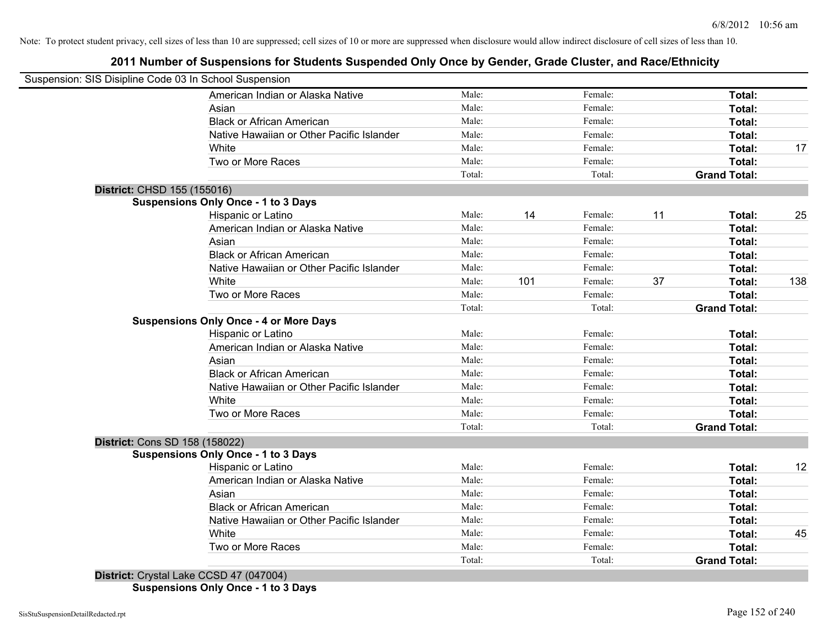## **2011 Number of Suspensions for Students Suspended Only Once by Gender, Grade Cluster, and Race/Ethnicity**

|                                | Suspension: SIS Disipline Code 03 In School Suspension |        |     |         |    |                     |     |
|--------------------------------|--------------------------------------------------------|--------|-----|---------|----|---------------------|-----|
|                                | American Indian or Alaska Native                       | Male:  |     | Female: |    | Total:              |     |
|                                | Asian                                                  | Male:  |     | Female: |    | Total:              |     |
|                                | <b>Black or African American</b>                       | Male:  |     | Female: |    | Total:              |     |
|                                | Native Hawaiian or Other Pacific Islander              | Male:  |     | Female: |    | Total:              |     |
|                                | White                                                  | Male:  |     | Female: |    | Total:              | 17  |
|                                | Two or More Races                                      | Male:  |     | Female: |    | Total:              |     |
|                                |                                                        | Total: |     | Total:  |    | <b>Grand Total:</b> |     |
| District: CHSD 155 (155016)    |                                                        |        |     |         |    |                     |     |
|                                | <b>Suspensions Only Once - 1 to 3 Days</b>             |        |     |         |    |                     |     |
|                                | Hispanic or Latino                                     | Male:  | 14  | Female: | 11 | Total:              | 25  |
|                                | American Indian or Alaska Native                       | Male:  |     | Female: |    | Total:              |     |
|                                | Asian                                                  | Male:  |     | Female: |    | Total:              |     |
|                                | <b>Black or African American</b>                       | Male:  |     | Female: |    | Total:              |     |
|                                | Native Hawaiian or Other Pacific Islander              | Male:  |     | Female: |    | Total:              |     |
|                                | White                                                  | Male:  | 101 | Female: | 37 | Total:              | 138 |
|                                | Two or More Races                                      | Male:  |     | Female: |    | Total:              |     |
|                                |                                                        | Total: |     | Total:  |    | <b>Grand Total:</b> |     |
|                                | <b>Suspensions Only Once - 4 or More Days</b>          |        |     |         |    |                     |     |
|                                | Hispanic or Latino                                     | Male:  |     | Female: |    | Total:              |     |
|                                | American Indian or Alaska Native                       | Male:  |     | Female: |    | Total:              |     |
|                                | Asian                                                  | Male:  |     | Female: |    | Total:              |     |
|                                | <b>Black or African American</b>                       | Male:  |     | Female: |    | Total:              |     |
|                                | Native Hawaiian or Other Pacific Islander              | Male:  |     | Female: |    | Total:              |     |
|                                | White                                                  | Male:  |     | Female: |    | Total:              |     |
|                                | Two or More Races                                      | Male:  |     | Female: |    | Total:              |     |
|                                |                                                        | Total: |     | Total:  |    | <b>Grand Total:</b> |     |
| District: Cons SD 158 (158022) |                                                        |        |     |         |    |                     |     |
|                                | <b>Suspensions Only Once - 1 to 3 Days</b>             |        |     |         |    |                     |     |
|                                | Hispanic or Latino                                     | Male:  |     | Female: |    | Total:              | 12  |
|                                | American Indian or Alaska Native                       | Male:  |     | Female: |    | Total:              |     |
|                                | Asian                                                  | Male:  |     | Female: |    | Total:              |     |
|                                | <b>Black or African American</b>                       | Male:  |     | Female: |    | Total:              |     |
|                                | Native Hawaiian or Other Pacific Islander              | Male:  |     | Female: |    | Total:              |     |
|                                | White                                                  | Male:  |     | Female: |    | Total:              | 45  |
|                                | Two or More Races                                      | Male:  |     | Female: |    | Total:              |     |
|                                |                                                        | Total: |     | Total:  |    | <b>Grand Total:</b> |     |

**Suspensions Only Once - 1 to 3 Days**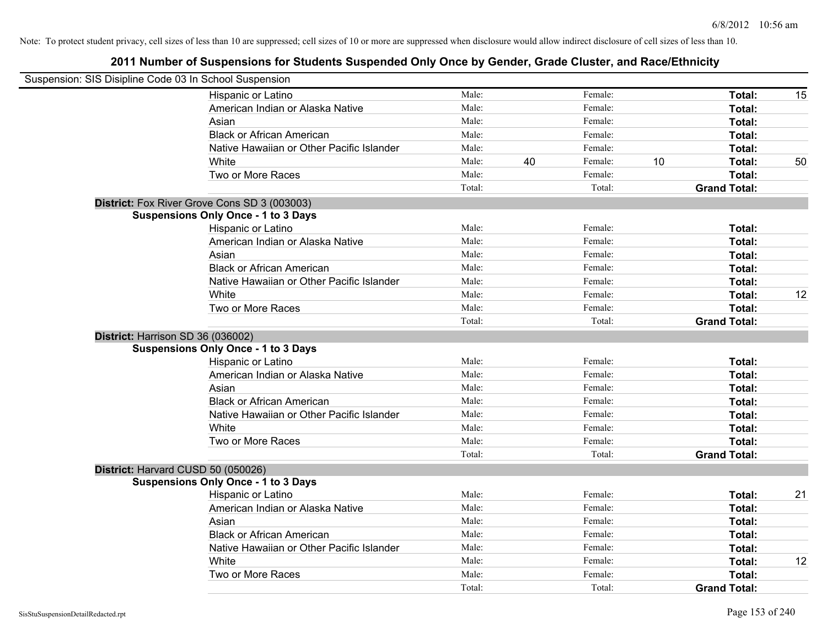| Suspension: SIS Disipline Code 03 In School Suspension |                                              |        |    |         |    |                     |    |
|--------------------------------------------------------|----------------------------------------------|--------|----|---------|----|---------------------|----|
|                                                        | Hispanic or Latino                           | Male:  |    | Female: |    | Total:              | 15 |
|                                                        | American Indian or Alaska Native             | Male:  |    | Female: |    | Total:              |    |
|                                                        | Asian                                        | Male:  |    | Female: |    | Total:              |    |
|                                                        | <b>Black or African American</b>             | Male:  |    | Female: |    | Total:              |    |
|                                                        | Native Hawaiian or Other Pacific Islander    | Male:  |    | Female: |    | Total:              |    |
|                                                        | White                                        | Male:  | 40 | Female: | 10 | Total:              | 50 |
|                                                        | Two or More Races                            | Male:  |    | Female: |    | Total:              |    |
|                                                        |                                              | Total: |    | Total:  |    | <b>Grand Total:</b> |    |
|                                                        | District: Fox River Grove Cons SD 3 (003003) |        |    |         |    |                     |    |
|                                                        | <b>Suspensions Only Once - 1 to 3 Days</b>   |        |    |         |    |                     |    |
|                                                        | Hispanic or Latino                           | Male:  |    | Female: |    | Total:              |    |
|                                                        | American Indian or Alaska Native             | Male:  |    | Female: |    | Total:              |    |
|                                                        | Asian                                        | Male:  |    | Female: |    | Total:              |    |
|                                                        | <b>Black or African American</b>             | Male:  |    | Female: |    | Total:              |    |
|                                                        | Native Hawaiian or Other Pacific Islander    | Male:  |    | Female: |    | Total:              |    |
|                                                        | White                                        | Male:  |    | Female: |    | Total:              | 12 |
|                                                        | Two or More Races                            | Male:  |    | Female: |    | Total:              |    |
|                                                        |                                              | Total: |    | Total:  |    | <b>Grand Total:</b> |    |
|                                                        | District: Harrison SD 36 (036002)            |        |    |         |    |                     |    |
|                                                        | <b>Suspensions Only Once - 1 to 3 Days</b>   |        |    |         |    |                     |    |
|                                                        | Hispanic or Latino                           | Male:  |    | Female: |    | Total:              |    |
|                                                        | American Indian or Alaska Native             | Male:  |    | Female: |    | Total:              |    |
|                                                        | Asian                                        | Male:  |    | Female: |    | Total:              |    |
|                                                        | <b>Black or African American</b>             | Male:  |    | Female: |    | Total:              |    |
|                                                        | Native Hawaiian or Other Pacific Islander    | Male:  |    | Female: |    | Total:              |    |
|                                                        | White                                        | Male:  |    | Female: |    | Total:              |    |
|                                                        | Two or More Races                            | Male:  |    | Female: |    | Total:              |    |
|                                                        |                                              | Total: |    | Total:  |    | <b>Grand Total:</b> |    |
|                                                        | District: Harvard CUSD 50 (050026)           |        |    |         |    |                     |    |
|                                                        | <b>Suspensions Only Once - 1 to 3 Days</b>   |        |    |         |    |                     |    |
|                                                        | Hispanic or Latino                           | Male:  |    | Female: |    | Total:              | 21 |
|                                                        | American Indian or Alaska Native             | Male:  |    | Female: |    | Total:              |    |
|                                                        | Asian                                        | Male:  |    | Female: |    | Total:              |    |
|                                                        | <b>Black or African American</b>             | Male:  |    | Female: |    | Total:              |    |
|                                                        | Native Hawaiian or Other Pacific Islander    | Male:  |    | Female: |    | Total:              |    |
|                                                        | White                                        | Male:  |    | Female: |    | Total:              | 12 |
|                                                        | Two or More Races                            | Male:  |    | Female: |    | Total:              |    |
|                                                        |                                              | Total: |    | Total:  |    | <b>Grand Total:</b> |    |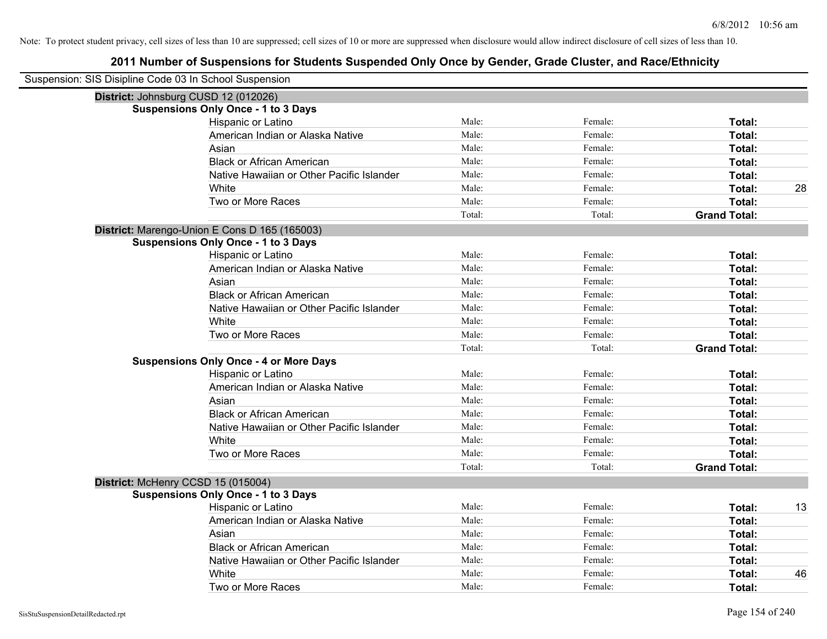| Suspension: SIS Disipline Code 03 In School Suspension |                                               |        |         |                     |    |
|--------------------------------------------------------|-----------------------------------------------|--------|---------|---------------------|----|
| District: Johnsburg CUSD 12 (012026)                   |                                               |        |         |                     |    |
|                                                        | <b>Suspensions Only Once - 1 to 3 Days</b>    |        |         |                     |    |
|                                                        | Hispanic or Latino                            | Male:  | Female: | Total:              |    |
|                                                        | American Indian or Alaska Native              | Male:  | Female: | Total:              |    |
|                                                        | Asian                                         | Male:  | Female: | Total:              |    |
|                                                        | <b>Black or African American</b>              | Male:  | Female: | Total:              |    |
|                                                        | Native Hawaiian or Other Pacific Islander     | Male:  | Female: | Total:              |    |
|                                                        | White                                         | Male:  | Female: | Total:              | 28 |
|                                                        | Two or More Races                             | Male:  | Female: | Total:              |    |
|                                                        |                                               | Total: | Total:  | <b>Grand Total:</b> |    |
|                                                        | District: Marengo-Union E Cons D 165 (165003) |        |         |                     |    |
|                                                        | <b>Suspensions Only Once - 1 to 3 Days</b>    |        |         |                     |    |
|                                                        | Hispanic or Latino                            | Male:  | Female: | Total:              |    |
|                                                        | American Indian or Alaska Native              | Male:  | Female: | Total:              |    |
|                                                        | Asian                                         | Male:  | Female: | Total:              |    |
|                                                        | <b>Black or African American</b>              | Male:  | Female: | Total:              |    |
|                                                        | Native Hawaiian or Other Pacific Islander     | Male:  | Female: | Total:              |    |
|                                                        | White                                         | Male:  | Female: | Total:              |    |
|                                                        | Two or More Races                             | Male:  | Female: | Total:              |    |
|                                                        |                                               | Total: | Total:  | <b>Grand Total:</b> |    |
|                                                        | <b>Suspensions Only Once - 4 or More Days</b> |        |         |                     |    |
|                                                        | Hispanic or Latino                            | Male:  | Female: | Total:              |    |
|                                                        | American Indian or Alaska Native              | Male:  | Female: | Total:              |    |
|                                                        | Asian                                         | Male:  | Female: | Total:              |    |
|                                                        | <b>Black or African American</b>              | Male:  | Female: | Total:              |    |
|                                                        | Native Hawaiian or Other Pacific Islander     | Male:  | Female: | <b>Total:</b>       |    |
|                                                        | White                                         | Male:  | Female: | Total:              |    |
|                                                        | Two or More Races                             | Male:  | Female: | Total:              |    |
|                                                        |                                               | Total: | Total:  | <b>Grand Total:</b> |    |
| District: McHenry CCSD 15 (015004)                     |                                               |        |         |                     |    |
|                                                        | <b>Suspensions Only Once - 1 to 3 Days</b>    |        |         |                     |    |
|                                                        | Hispanic or Latino                            | Male:  | Female: | Total:              | 13 |
|                                                        | American Indian or Alaska Native              | Male:  | Female: | Total:              |    |
|                                                        | Asian                                         | Male:  | Female: | Total:              |    |
|                                                        | <b>Black or African American</b>              | Male:  | Female: | Total:              |    |
|                                                        | Native Hawaiian or Other Pacific Islander     | Male:  | Female: | Total:              |    |
|                                                        | White                                         | Male:  | Female: | Total:              | 46 |
|                                                        | Two or More Races                             | Male:  | Female: | Total:              |    |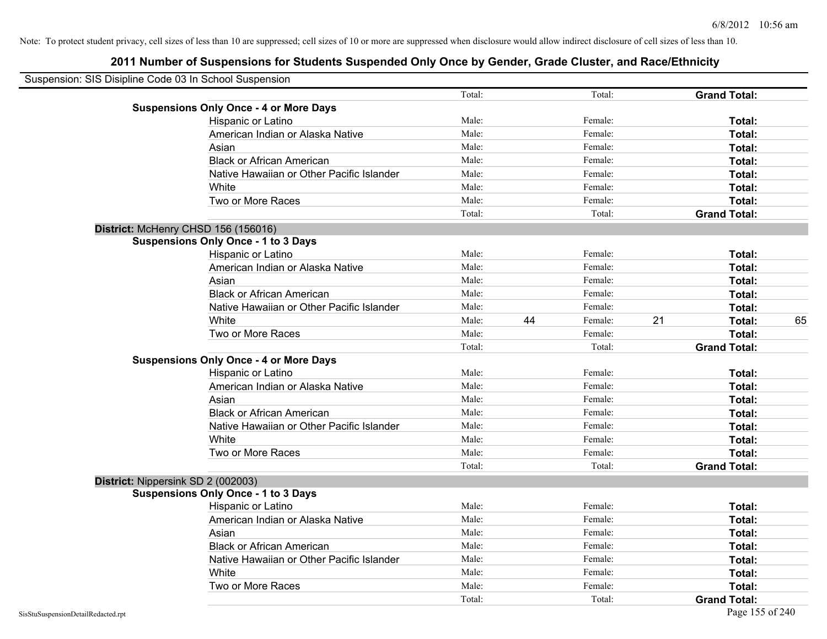| Suspension: SIS Disipline Code 03 In School Suspension |                                               |        |    |         |    |                     |    |
|--------------------------------------------------------|-----------------------------------------------|--------|----|---------|----|---------------------|----|
|                                                        |                                               | Total: |    | Total:  |    | <b>Grand Total:</b> |    |
|                                                        | <b>Suspensions Only Once - 4 or More Days</b> |        |    |         |    |                     |    |
|                                                        | Hispanic or Latino                            | Male:  |    | Female: |    | Total:              |    |
|                                                        | American Indian or Alaska Native              | Male:  |    | Female: |    | Total:              |    |
|                                                        | Asian                                         | Male:  |    | Female: |    | Total:              |    |
|                                                        | <b>Black or African American</b>              | Male:  |    | Female: |    | Total:              |    |
|                                                        | Native Hawaiian or Other Pacific Islander     | Male:  |    | Female: |    | Total:              |    |
|                                                        | White                                         | Male:  |    | Female: |    | Total:              |    |
|                                                        | Two or More Races                             | Male:  |    | Female: |    | Total:              |    |
|                                                        |                                               | Total: |    | Total:  |    | <b>Grand Total:</b> |    |
|                                                        | District: McHenry CHSD 156 (156016)           |        |    |         |    |                     |    |
|                                                        | <b>Suspensions Only Once - 1 to 3 Days</b>    |        |    |         |    |                     |    |
|                                                        | Hispanic or Latino                            | Male:  |    | Female: |    | Total:              |    |
|                                                        | American Indian or Alaska Native              | Male:  |    | Female: |    | Total:              |    |
|                                                        | Asian                                         | Male:  |    | Female: |    | Total:              |    |
|                                                        | <b>Black or African American</b>              | Male:  |    | Female: |    | Total:              |    |
|                                                        | Native Hawaiian or Other Pacific Islander     | Male:  |    | Female: |    | Total:              |    |
|                                                        | White                                         | Male:  | 44 | Female: | 21 | Total:              | 65 |
|                                                        | Two or More Races                             | Male:  |    | Female: |    | Total:              |    |
|                                                        |                                               | Total: |    | Total:  |    | <b>Grand Total:</b> |    |
|                                                        | <b>Suspensions Only Once - 4 or More Days</b> |        |    |         |    |                     |    |
|                                                        | Hispanic or Latino                            | Male:  |    | Female: |    | Total:              |    |
|                                                        | American Indian or Alaska Native              | Male:  |    | Female: |    | Total:              |    |
|                                                        | Asian                                         | Male:  |    | Female: |    | Total:              |    |
|                                                        | <b>Black or African American</b>              | Male:  |    | Female: |    | Total:              |    |
|                                                        | Native Hawaiian or Other Pacific Islander     | Male:  |    | Female: |    | Total:              |    |
|                                                        | White                                         | Male:  |    | Female: |    | Total:              |    |
|                                                        | Two or More Races                             | Male:  |    | Female: |    | Total:              |    |
|                                                        |                                               | Total: |    | Total:  |    | <b>Grand Total:</b> |    |
|                                                        | District: Nippersink SD 2 (002003)            |        |    |         |    |                     |    |
|                                                        | <b>Suspensions Only Once - 1 to 3 Days</b>    |        |    |         |    |                     |    |
|                                                        | Hispanic or Latino                            | Male:  |    | Female: |    | Total:              |    |
|                                                        | American Indian or Alaska Native              | Male:  |    | Female: |    | Total:              |    |
|                                                        | Asian                                         | Male:  |    | Female: |    | Total:              |    |
|                                                        | <b>Black or African American</b>              | Male:  |    | Female: |    | Total:              |    |
|                                                        | Native Hawaiian or Other Pacific Islander     | Male:  |    | Female: |    | Total:              |    |
|                                                        | White                                         | Male:  |    | Female: |    | Total:              |    |
|                                                        | Two or More Races                             | Male:  |    | Female: |    | Total:              |    |
|                                                        |                                               | Total: |    | Total:  |    | <b>Grand Total:</b> |    |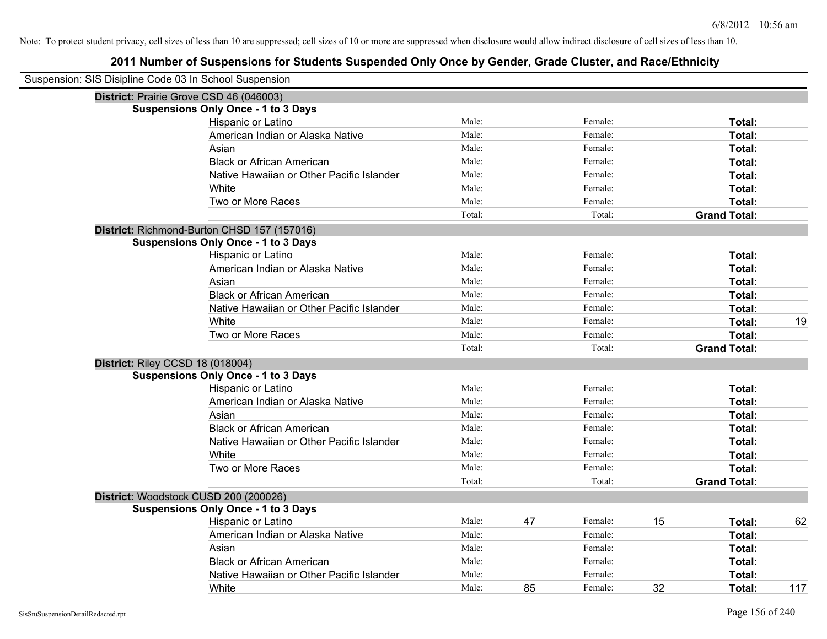| Suspension: SIS Disipline Code 03 In School Suspension |                                             |        |    |         |    |                     |     |
|--------------------------------------------------------|---------------------------------------------|--------|----|---------|----|---------------------|-----|
|                                                        | District: Prairie Grove CSD 46 (046003)     |        |    |         |    |                     |     |
|                                                        | <b>Suspensions Only Once - 1 to 3 Days</b>  |        |    |         |    |                     |     |
|                                                        | Hispanic or Latino                          | Male:  |    | Female: |    | Total:              |     |
|                                                        | American Indian or Alaska Native            | Male:  |    | Female: |    | Total:              |     |
|                                                        | Asian                                       | Male:  |    | Female: |    | Total:              |     |
|                                                        | <b>Black or African American</b>            | Male:  |    | Female: |    | Total:              |     |
|                                                        | Native Hawaiian or Other Pacific Islander   | Male:  |    | Female: |    | Total:              |     |
|                                                        | White                                       | Male:  |    | Female: |    | Total:              |     |
|                                                        | Two or More Races                           | Male:  |    | Female: |    | Total:              |     |
|                                                        |                                             | Total: |    | Total:  |    | <b>Grand Total:</b> |     |
|                                                        | District: Richmond-Burton CHSD 157 (157016) |        |    |         |    |                     |     |
|                                                        | <b>Suspensions Only Once - 1 to 3 Days</b>  |        |    |         |    |                     |     |
|                                                        | Hispanic or Latino                          | Male:  |    | Female: |    | Total:              |     |
|                                                        | American Indian or Alaska Native            | Male:  |    | Female: |    | Total:              |     |
|                                                        | Asian                                       | Male:  |    | Female: |    | Total:              |     |
|                                                        | <b>Black or African American</b>            | Male:  |    | Female: |    | Total:              |     |
|                                                        | Native Hawaiian or Other Pacific Islander   | Male:  |    | Female: |    | Total:              |     |
|                                                        | White                                       | Male:  |    | Female: |    | Total:              | 19  |
|                                                        | Two or More Races                           | Male:  |    | Female: |    | Total:              |     |
|                                                        |                                             | Total: |    | Total:  |    | <b>Grand Total:</b> |     |
|                                                        | District: Riley CCSD 18 (018004)            |        |    |         |    |                     |     |
|                                                        | <b>Suspensions Only Once - 1 to 3 Days</b>  |        |    |         |    |                     |     |
|                                                        | Hispanic or Latino                          | Male:  |    | Female: |    | Total:              |     |
|                                                        | American Indian or Alaska Native            | Male:  |    | Female: |    | Total:              |     |
|                                                        | Asian                                       | Male:  |    | Female: |    | Total:              |     |
|                                                        | <b>Black or African American</b>            | Male:  |    | Female: |    | Total:              |     |
|                                                        | Native Hawaiian or Other Pacific Islander   | Male:  |    | Female: |    | Total:              |     |
|                                                        | White                                       | Male:  |    | Female: |    | Total:              |     |
|                                                        | Two or More Races                           | Male:  |    | Female: |    | Total:              |     |
|                                                        |                                             | Total: |    | Total:  |    | <b>Grand Total:</b> |     |
|                                                        | District: Woodstock CUSD 200 (200026)       |        |    |         |    |                     |     |
|                                                        | <b>Suspensions Only Once - 1 to 3 Days</b>  |        |    |         |    |                     |     |
|                                                        | Hispanic or Latino                          | Male:  | 47 | Female: | 15 | Total:              | 62  |
|                                                        | American Indian or Alaska Native            | Male:  |    | Female: |    | Total:              |     |
|                                                        | Asian                                       | Male:  |    | Female: |    | Total:              |     |
|                                                        | <b>Black or African American</b>            | Male:  |    | Female: |    | Total:              |     |
|                                                        | Native Hawaiian or Other Pacific Islander   | Male:  |    | Female: |    | Total:              |     |
|                                                        | White                                       | Male:  | 85 | Female: | 32 | Total:              | 117 |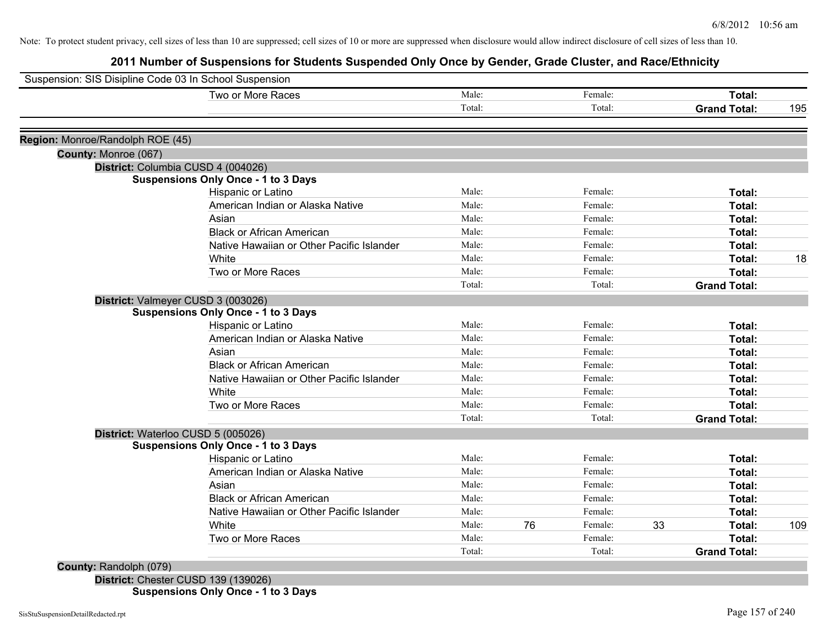## **2011 Number of Suspensions for Students Suspended Only Once by Gender, Grade Cluster, and Race/Ethnicity**

| Two or More Races                          | Male:  |    | Female: |    | Total:              |     |
|--------------------------------------------|--------|----|---------|----|---------------------|-----|
|                                            | Total: |    | Total:  |    | <b>Grand Total:</b> | 195 |
| Region: Monroe/Randolph ROE (45)           |        |    |         |    |                     |     |
| County: Monroe (067)                       |        |    |         |    |                     |     |
| District: Columbia CUSD 4 (004026)         |        |    |         |    |                     |     |
| <b>Suspensions Only Once - 1 to 3 Days</b> |        |    |         |    |                     |     |
| Hispanic or Latino                         | Male:  |    | Female: |    | Total:              |     |
| American Indian or Alaska Native           | Male:  |    | Female: |    | Total:              |     |
| Asian                                      | Male:  |    | Female: |    | Total:              |     |
| <b>Black or African American</b>           | Male:  |    | Female: |    | Total:              |     |
| Native Hawaiian or Other Pacific Islander  | Male:  |    | Female: |    | Total:              |     |
| White                                      | Male:  |    | Female: |    | Total:              | 18  |
| Two or More Races                          | Male:  |    | Female: |    | Total:              |     |
|                                            | Total: |    | Total:  |    | <b>Grand Total:</b> |     |
| District: Valmeyer CUSD 3 (003026)         |        |    |         |    |                     |     |
| <b>Suspensions Only Once - 1 to 3 Days</b> |        |    |         |    |                     |     |
| Hispanic or Latino                         | Male:  |    | Female: |    | Total:              |     |
| American Indian or Alaska Native           | Male:  |    | Female: |    | Total:              |     |
| Asian                                      | Male:  |    | Female: |    | Total:              |     |
| <b>Black or African American</b>           | Male:  |    | Female: |    | Total:              |     |
| Native Hawaiian or Other Pacific Islander  | Male:  |    | Female: |    | Total:              |     |
| White                                      | Male:  |    | Female: |    | Total:              |     |
| Two or More Races                          | Male:  |    | Female: |    | Total:              |     |
|                                            | Total: |    | Total:  |    | <b>Grand Total:</b> |     |
| District: Waterloo CUSD 5 (005026)         |        |    |         |    |                     |     |
| <b>Suspensions Only Once - 1 to 3 Days</b> |        |    |         |    |                     |     |
| Hispanic or Latino                         | Male:  |    | Female: |    | Total:              |     |
| American Indian or Alaska Native           | Male:  |    | Female: |    | Total:              |     |
| Asian                                      | Male:  |    | Female: |    | Total:              |     |
| <b>Black or African American</b>           | Male:  |    | Female: |    | Total:              |     |
| Native Hawaiian or Other Pacific Islander  | Male:  |    | Female: |    | Total:              |     |
| White                                      | Male:  | 76 | Female: | 33 | Total:              | 109 |
| Two or More Races                          | Male:  |    | Female: |    | Total:              |     |
|                                            | Total: |    | Total:  |    | <b>Grand Total:</b> |     |
| County: Randolph (079)                     |        |    |         |    |                     |     |

**District:** Chester CUSD 139 (139026) **Suspensions Only Once - 1 to 3 Days**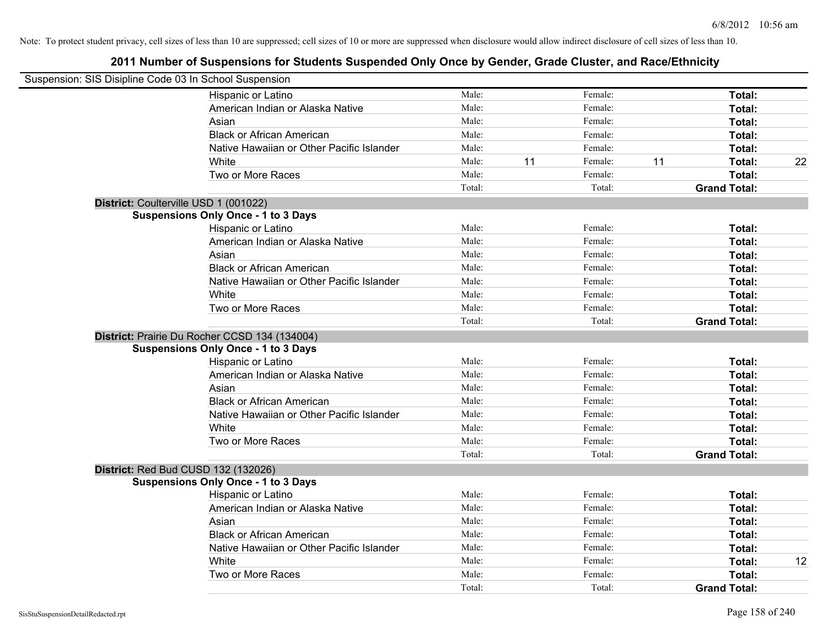| Suspension: SIS Disipline Code 03 In School Suspension |                                               |        |    |         |    |                     |    |
|--------------------------------------------------------|-----------------------------------------------|--------|----|---------|----|---------------------|----|
|                                                        | Hispanic or Latino                            | Male:  |    | Female: |    | Total:              |    |
|                                                        | American Indian or Alaska Native              | Male:  |    | Female: |    | Total:              |    |
|                                                        | Asian                                         | Male:  |    | Female: |    | Total:              |    |
|                                                        | <b>Black or African American</b>              | Male:  |    | Female: |    | Total:              |    |
|                                                        | Native Hawaiian or Other Pacific Islander     | Male:  |    | Female: |    | Total:              |    |
|                                                        | White                                         | Male:  | 11 | Female: | 11 | Total:              | 22 |
|                                                        | Two or More Races                             | Male:  |    | Female: |    | Total:              |    |
|                                                        |                                               | Total: |    | Total:  |    | <b>Grand Total:</b> |    |
| District: Coulterville USD 1 (001022)                  |                                               |        |    |         |    |                     |    |
|                                                        | <b>Suspensions Only Once - 1 to 3 Days</b>    |        |    |         |    |                     |    |
|                                                        | Hispanic or Latino                            | Male:  |    | Female: |    | Total:              |    |
|                                                        | American Indian or Alaska Native              | Male:  |    | Female: |    | Total:              |    |
|                                                        | Asian                                         | Male:  |    | Female: |    | Total:              |    |
|                                                        | <b>Black or African American</b>              | Male:  |    | Female: |    | Total:              |    |
|                                                        | Native Hawaiian or Other Pacific Islander     | Male:  |    | Female: |    | Total:              |    |
|                                                        | White                                         | Male:  |    | Female: |    | Total:              |    |
|                                                        | Two or More Races                             | Male:  |    | Female: |    | Total:              |    |
|                                                        |                                               | Total: |    | Total:  |    | <b>Grand Total:</b> |    |
|                                                        | District: Prairie Du Rocher CCSD 134 (134004) |        |    |         |    |                     |    |
|                                                        | <b>Suspensions Only Once - 1 to 3 Days</b>    |        |    |         |    |                     |    |
|                                                        | Hispanic or Latino                            | Male:  |    | Female: |    | Total:              |    |
|                                                        | American Indian or Alaska Native              | Male:  |    | Female: |    | Total:              |    |
|                                                        | Asian                                         | Male:  |    | Female: |    | Total:              |    |
|                                                        | <b>Black or African American</b>              | Male:  |    | Female: |    | Total:              |    |
|                                                        | Native Hawaiian or Other Pacific Islander     | Male:  |    | Female: |    | Total:              |    |
|                                                        | White                                         | Male:  |    | Female: |    | Total:              |    |
|                                                        | Two or More Races                             | Male:  |    | Female: |    | Total:              |    |
|                                                        |                                               | Total: |    | Total:  |    | <b>Grand Total:</b> |    |
| District: Red Bud CUSD 132 (132026)                    |                                               |        |    |         |    |                     |    |
|                                                        | <b>Suspensions Only Once - 1 to 3 Days</b>    |        |    |         |    |                     |    |
|                                                        | Hispanic or Latino                            | Male:  |    | Female: |    | Total:              |    |
|                                                        | American Indian or Alaska Native              | Male:  |    | Female: |    | Total:              |    |
|                                                        | Asian                                         | Male:  |    | Female: |    | Total:              |    |
|                                                        | <b>Black or African American</b>              | Male:  |    | Female: |    | Total:              |    |
|                                                        | Native Hawaiian or Other Pacific Islander     | Male:  |    | Female: |    | Total:              |    |
|                                                        | White                                         | Male:  |    | Female: |    | Total:              | 12 |
|                                                        | Two or More Races                             | Male:  |    | Female: |    | Total:              |    |
|                                                        |                                               | Total: |    | Total:  |    | <b>Grand Total:</b> |    |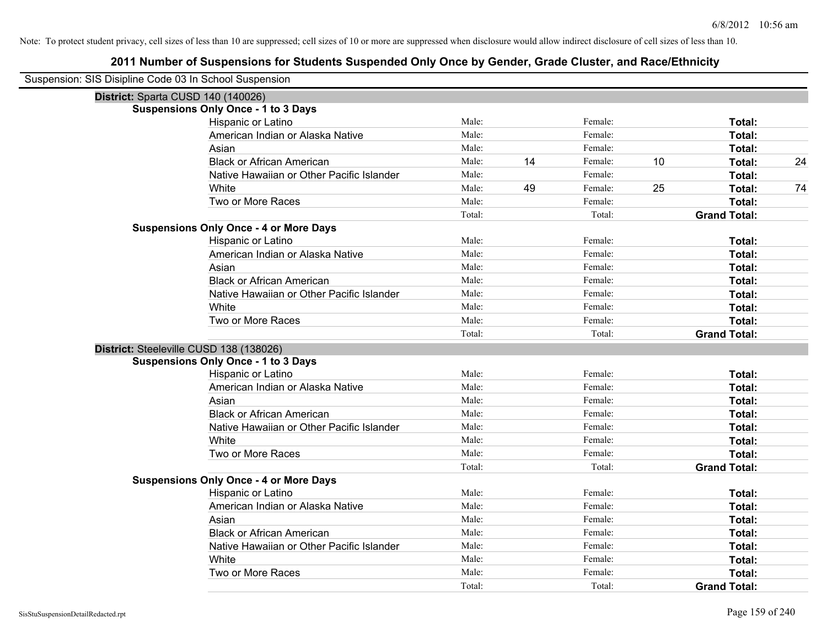| Suspension: SIS Disipline Code 03 In School Suspension |                                               |        |    |         |    |                     |    |
|--------------------------------------------------------|-----------------------------------------------|--------|----|---------|----|---------------------|----|
| District: Sparta CUSD 140 (140026)                     |                                               |        |    |         |    |                     |    |
|                                                        | <b>Suspensions Only Once - 1 to 3 Days</b>    |        |    |         |    |                     |    |
|                                                        | Hispanic or Latino                            | Male:  |    | Female: |    | Total:              |    |
|                                                        | American Indian or Alaska Native              | Male:  |    | Female: |    | Total:              |    |
|                                                        | Asian                                         | Male:  |    | Female: |    | Total:              |    |
|                                                        | <b>Black or African American</b>              | Male:  | 14 | Female: | 10 | Total:              | 24 |
|                                                        | Native Hawaiian or Other Pacific Islander     | Male:  |    | Female: |    | Total:              |    |
|                                                        | White                                         | Male:  | 49 | Female: | 25 | Total:              | 74 |
|                                                        | Two or More Races                             | Male:  |    | Female: |    | Total:              |    |
|                                                        |                                               | Total: |    | Total:  |    | <b>Grand Total:</b> |    |
|                                                        | <b>Suspensions Only Once - 4 or More Days</b> |        |    |         |    |                     |    |
|                                                        | Hispanic or Latino                            | Male:  |    | Female: |    | Total:              |    |
|                                                        | American Indian or Alaska Native              | Male:  |    | Female: |    | Total:              |    |
|                                                        | Asian                                         | Male:  |    | Female: |    | Total:              |    |
|                                                        | <b>Black or African American</b>              | Male:  |    | Female: |    | Total:              |    |
|                                                        | Native Hawaiian or Other Pacific Islander     | Male:  |    | Female: |    | Total:              |    |
|                                                        | White                                         | Male:  |    | Female: |    | Total:              |    |
|                                                        | Two or More Races                             | Male:  |    | Female: |    | Total:              |    |
|                                                        |                                               | Total: |    | Total:  |    | <b>Grand Total:</b> |    |
| District: Steeleville CUSD 138 (138026)                |                                               |        |    |         |    |                     |    |
|                                                        | <b>Suspensions Only Once - 1 to 3 Days</b>    |        |    |         |    |                     |    |
|                                                        | Hispanic or Latino                            | Male:  |    | Female: |    | Total:              |    |
|                                                        | American Indian or Alaska Native              | Male:  |    | Female: |    | Total:              |    |
|                                                        | Asian                                         | Male:  |    | Female: |    | Total:              |    |
|                                                        | <b>Black or African American</b>              | Male:  |    | Female: |    | Total:              |    |
|                                                        | Native Hawaiian or Other Pacific Islander     | Male:  |    | Female: |    | Total:              |    |
|                                                        | White                                         | Male:  |    | Female: |    | Total:              |    |
|                                                        | Two or More Races                             | Male:  |    | Female: |    | Total:              |    |
|                                                        |                                               | Total: |    | Total:  |    | <b>Grand Total:</b> |    |
|                                                        | <b>Suspensions Only Once - 4 or More Days</b> |        |    |         |    |                     |    |
|                                                        | Hispanic or Latino                            | Male:  |    | Female: |    | Total:              |    |
|                                                        | American Indian or Alaska Native              | Male:  |    | Female: |    | Total:              |    |
|                                                        | Asian                                         | Male:  |    | Female: |    | Total:              |    |
|                                                        | <b>Black or African American</b>              | Male:  |    | Female: |    | Total:              |    |
|                                                        | Native Hawaiian or Other Pacific Islander     | Male:  |    | Female: |    | Total:              |    |
|                                                        | White                                         | Male:  |    | Female: |    | Total:              |    |
|                                                        | Two or More Races                             | Male:  |    | Female: |    | Total:              |    |
|                                                        |                                               | Total: |    | Total:  |    | <b>Grand Total:</b> |    |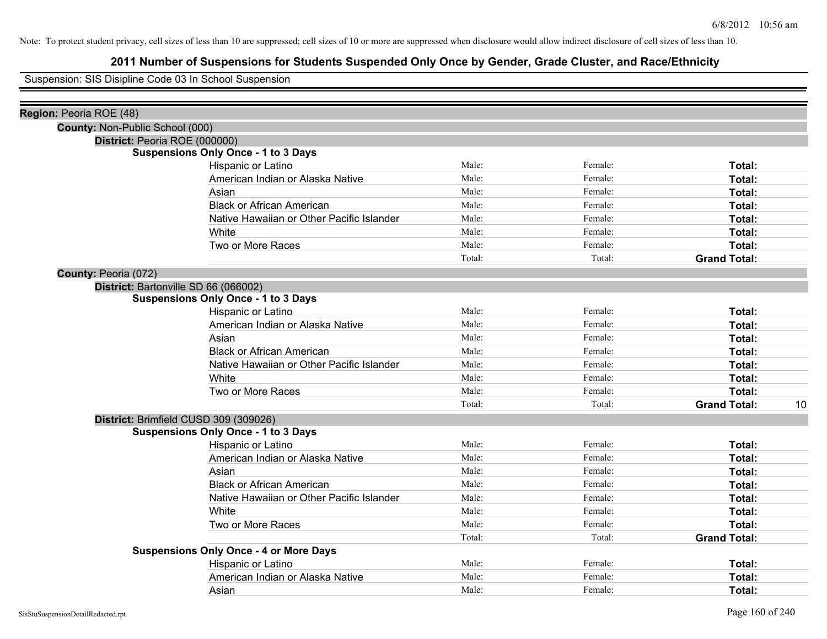## **2011 Number of Suspensions for Students Suspended Only Once by Gender, Grade Cluster, and Race/Ethnicity**

Suspension: SIS Disipline Code 03 In School Suspension

| Region: Peoria ROE (48)         |                                               |        |         |                     |    |
|---------------------------------|-----------------------------------------------|--------|---------|---------------------|----|
| County: Non-Public School (000) |                                               |        |         |                     |    |
|                                 | District: Peoria ROE (000000)                 |        |         |                     |    |
|                                 | <b>Suspensions Only Once - 1 to 3 Days</b>    |        |         |                     |    |
|                                 | Hispanic or Latino                            | Male:  | Female: | Total:              |    |
|                                 | American Indian or Alaska Native              | Male:  | Female: | Total:              |    |
|                                 | Asian                                         | Male:  | Female: | Total:              |    |
|                                 | <b>Black or African American</b>              | Male:  | Female: | Total:              |    |
|                                 | Native Hawaiian or Other Pacific Islander     | Male:  | Female: | Total:              |    |
|                                 | White                                         | Male:  | Female: | Total:              |    |
|                                 | Two or More Races                             | Male:  | Female: | Total:              |    |
|                                 |                                               | Total: | Total:  | <b>Grand Total:</b> |    |
| County: Peoria (072)            |                                               |        |         |                     |    |
|                                 | District: Bartonville SD 66 (066002)          |        |         |                     |    |
|                                 | <b>Suspensions Only Once - 1 to 3 Days</b>    |        |         |                     |    |
|                                 | Hispanic or Latino                            | Male:  | Female: | Total:              |    |
|                                 | American Indian or Alaska Native              | Male:  | Female: | Total:              |    |
|                                 | Asian                                         | Male:  | Female: | Total:              |    |
|                                 | <b>Black or African American</b>              | Male:  | Female: | Total:              |    |
|                                 | Native Hawaiian or Other Pacific Islander     | Male:  | Female: | Total:              |    |
|                                 | White                                         | Male:  | Female: | Total:              |    |
|                                 | Two or More Races                             | Male:  | Female: | Total:              |    |
|                                 |                                               | Total: | Total:  | <b>Grand Total:</b> | 10 |
|                                 | District: Brimfield CUSD 309 (309026)         |        |         |                     |    |
|                                 | <b>Suspensions Only Once - 1 to 3 Days</b>    |        |         |                     |    |
|                                 | Hispanic or Latino                            | Male:  | Female: | Total:              |    |
|                                 | American Indian or Alaska Native              | Male:  | Female: | Total:              |    |
|                                 | Asian                                         | Male:  | Female: | Total:              |    |
|                                 | <b>Black or African American</b>              | Male:  | Female: | Total:              |    |
|                                 | Native Hawaiian or Other Pacific Islander     | Male:  | Female: | Total:              |    |
|                                 | White                                         | Male:  | Female: | <b>Total:</b>       |    |
|                                 | Two or More Races                             | Male:  | Female: | <b>Total:</b>       |    |
|                                 |                                               | Total: | Total:  | <b>Grand Total:</b> |    |
|                                 | <b>Suspensions Only Once - 4 or More Days</b> |        |         |                     |    |
|                                 | Hispanic or Latino                            | Male:  | Female: | Total:              |    |
|                                 | American Indian or Alaska Native              | Male:  | Female: | Total:              |    |
|                                 | Asian                                         | Male:  | Female: | Total:              |    |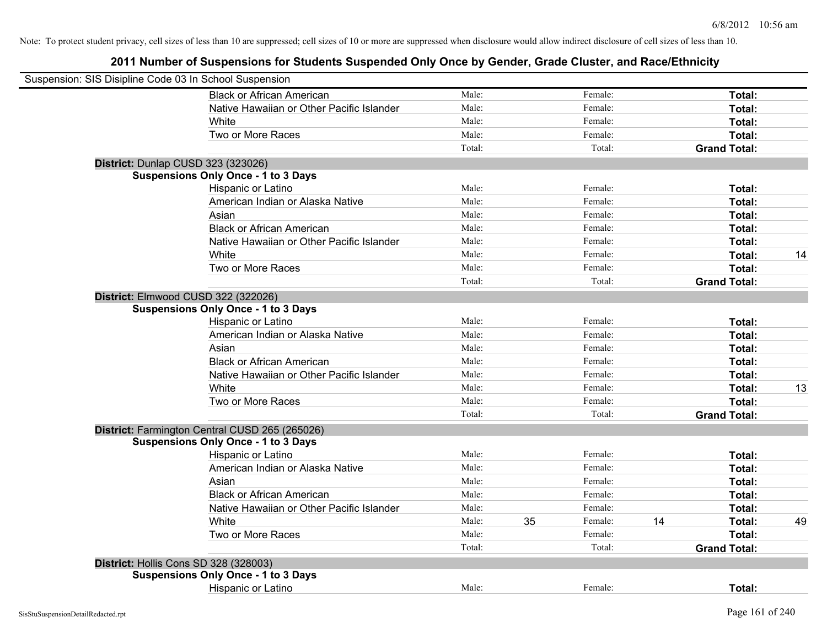| Suspension: SIS Disipline Code 03 In School Suspension |                                                |        |    |         |    |                     |    |
|--------------------------------------------------------|------------------------------------------------|--------|----|---------|----|---------------------|----|
|                                                        | <b>Black or African American</b>               | Male:  |    | Female: |    | Total:              |    |
|                                                        | Native Hawaiian or Other Pacific Islander      | Male:  |    | Female: |    | Total:              |    |
|                                                        | White                                          | Male:  |    | Female: |    | Total:              |    |
|                                                        | Two or More Races                              | Male:  |    | Female: |    | Total:              |    |
|                                                        |                                                | Total: |    | Total:  |    | <b>Grand Total:</b> |    |
|                                                        | District: Dunlap CUSD 323 (323026)             |        |    |         |    |                     |    |
|                                                        | <b>Suspensions Only Once - 1 to 3 Days</b>     |        |    |         |    |                     |    |
|                                                        | Hispanic or Latino                             | Male:  |    | Female: |    | Total:              |    |
|                                                        | American Indian or Alaska Native               | Male:  |    | Female: |    | Total:              |    |
|                                                        | Asian                                          | Male:  |    | Female: |    | Total:              |    |
|                                                        | <b>Black or African American</b>               | Male:  |    | Female: |    | Total:              |    |
|                                                        | Native Hawaiian or Other Pacific Islander      | Male:  |    | Female: |    | Total:              |    |
|                                                        | White                                          | Male:  |    | Female: |    | Total:              | 14 |
|                                                        | Two or More Races                              | Male:  |    | Female: |    | Total:              |    |
|                                                        |                                                | Total: |    | Total:  |    | <b>Grand Total:</b> |    |
|                                                        | District: Elmwood CUSD 322 (322026)            |        |    |         |    |                     |    |
|                                                        | <b>Suspensions Only Once - 1 to 3 Days</b>     |        |    |         |    |                     |    |
|                                                        | Hispanic or Latino                             | Male:  |    | Female: |    | Total:              |    |
|                                                        | American Indian or Alaska Native               | Male:  |    | Female: |    | Total:              |    |
|                                                        | Asian                                          | Male:  |    | Female: |    | Total:              |    |
|                                                        | <b>Black or African American</b>               | Male:  |    | Female: |    | Total:              |    |
|                                                        | Native Hawaiian or Other Pacific Islander      | Male:  |    | Female: |    | Total:              |    |
|                                                        | White                                          | Male:  |    | Female: |    | Total:              | 13 |
|                                                        | Two or More Races                              | Male:  |    | Female: |    | Total:              |    |
|                                                        |                                                | Total: |    | Total:  |    | <b>Grand Total:</b> |    |
|                                                        | District: Farmington Central CUSD 265 (265026) |        |    |         |    |                     |    |
|                                                        | <b>Suspensions Only Once - 1 to 3 Days</b>     |        |    |         |    |                     |    |
|                                                        | Hispanic or Latino                             | Male:  |    | Female: |    | Total:              |    |
|                                                        | American Indian or Alaska Native               | Male:  |    | Female: |    | Total:              |    |
|                                                        | Asian                                          | Male:  |    | Female: |    | Total:              |    |
|                                                        | <b>Black or African American</b>               | Male:  |    | Female: |    | Total:              |    |
|                                                        | Native Hawaiian or Other Pacific Islander      | Male:  |    | Female: |    | Total:              |    |
|                                                        | White                                          | Male:  | 35 | Female: | 14 | Total:              | 49 |
|                                                        | Two or More Races                              | Male:  |    | Female: |    | Total:              |    |
|                                                        |                                                | Total: |    | Total:  |    | <b>Grand Total:</b> |    |
|                                                        | District: Hollis Cons SD 328 (328003)          |        |    |         |    |                     |    |
|                                                        | <b>Suspensions Only Once - 1 to 3 Days</b>     |        |    |         |    |                     |    |
|                                                        | <b>Hispanic or Latino</b>                      | Male:  |    | Female: |    | Total:              |    |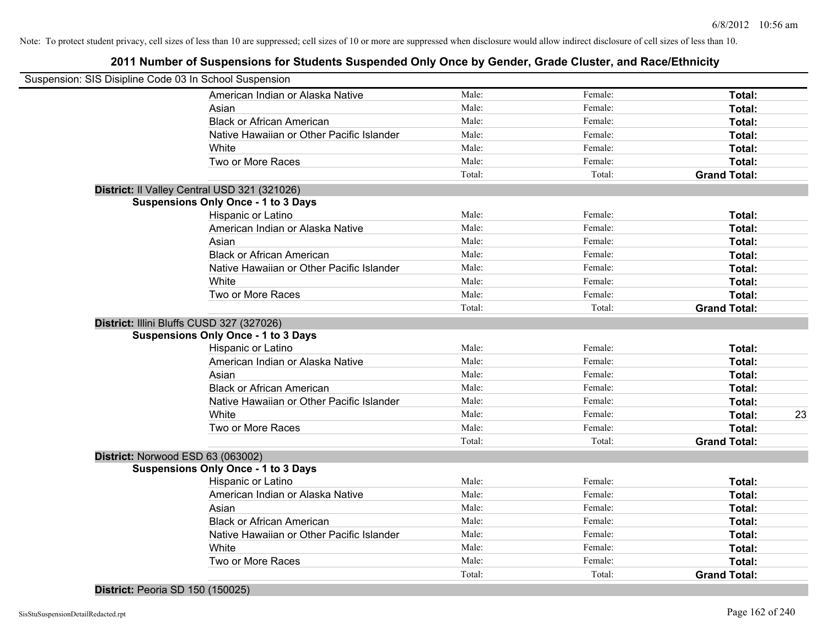## **2011 Number of Suspensions for Students Suspended Only Once by Gender, Grade Cluster, and Race/Ethnicity**

| Suspension: SIS Disipline Code 03 In School Suspension |        |         |                     |    |
|--------------------------------------------------------|--------|---------|---------------------|----|
| American Indian or Alaska Native                       | Male:  | Female: | Total:              |    |
| Asian                                                  | Male:  | Female: | Total:              |    |
| <b>Black or African American</b>                       | Male:  | Female: | Total:              |    |
| Native Hawaiian or Other Pacific Islander              | Male:  | Female: | Total:              |    |
| White                                                  | Male:  | Female: | Total:              |    |
| Two or More Races                                      | Male:  | Female: | Total:              |    |
|                                                        | Total: | Total:  | <b>Grand Total:</b> |    |
| District: Il Valley Central USD 321 (321026)           |        |         |                     |    |
| <b>Suspensions Only Once - 1 to 3 Days</b>             |        |         |                     |    |
| Hispanic or Latino                                     | Male:  | Female: | Total:              |    |
| American Indian or Alaska Native                       | Male:  | Female: | Total:              |    |
| Asian                                                  | Male:  | Female: | Total:              |    |
| <b>Black or African American</b>                       | Male:  | Female: | Total:              |    |
| Native Hawaiian or Other Pacific Islander              | Male:  | Female: | Total:              |    |
| White                                                  | Male:  | Female: | Total:              |    |
| Two or More Races                                      | Male:  | Female: | Total:              |    |
|                                                        | Total: | Total:  | <b>Grand Total:</b> |    |
| District: Illini Bluffs CUSD 327 (327026)              |        |         |                     |    |
| <b>Suspensions Only Once - 1 to 3 Days</b>             |        |         |                     |    |
| Hispanic or Latino                                     | Male:  | Female: | Total:              |    |
| American Indian or Alaska Native                       | Male:  | Female: | Total:              |    |
| Asian                                                  | Male:  | Female: | Total:              |    |
| <b>Black or African American</b>                       | Male:  | Female: | Total:              |    |
| Native Hawaiian or Other Pacific Islander              | Male:  | Female: | Total:              |    |
| White                                                  | Male:  | Female: | Total:              | 23 |
| Two or More Races                                      | Male:  | Female: | Total:              |    |
|                                                        | Total: | Total:  | <b>Grand Total:</b> |    |
| District: Norwood ESD 63 (063002)                      |        |         |                     |    |
| <b>Suspensions Only Once - 1 to 3 Days</b>             |        |         |                     |    |
| Hispanic or Latino                                     | Male:  | Female: | Total:              |    |
| American Indian or Alaska Native                       | Male:  | Female: | Total:              |    |
| Asian                                                  | Male:  | Female: | Total:              |    |
| <b>Black or African American</b>                       | Male:  | Female: | Total:              |    |
| Native Hawaiian or Other Pacific Islander              | Male:  | Female: | Total:              |    |
| White                                                  | Male:  | Female: | Total:              |    |
| Two or More Races                                      | Male:  | Female: | Total:              |    |
|                                                        | Total: | Total:  | <b>Grand Total:</b> |    |
|                                                        |        |         |                     |    |

**District:** Peoria SD 150 (150025)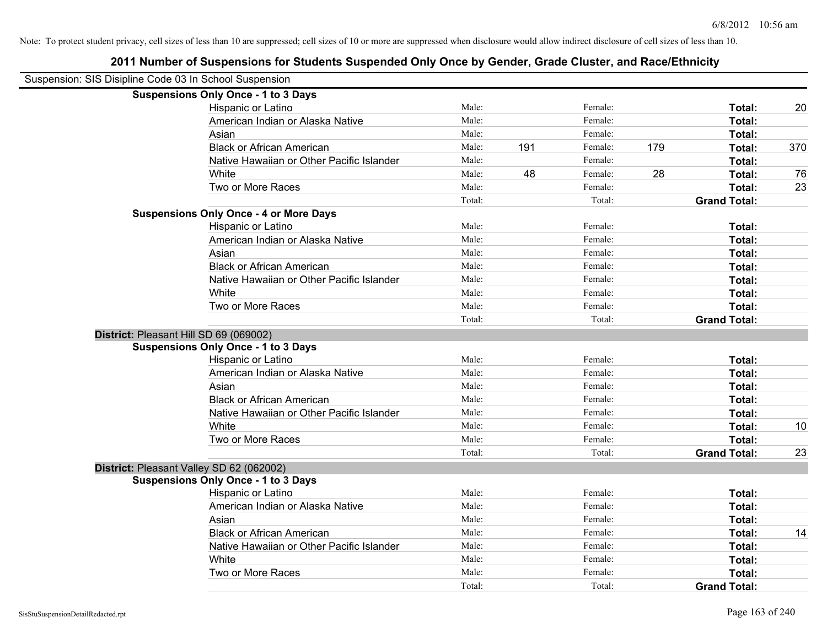| Suspension: SIS Disipline Code 03 In School Suspension |                                               |        |     |         |     |                     |     |
|--------------------------------------------------------|-----------------------------------------------|--------|-----|---------|-----|---------------------|-----|
|                                                        | <b>Suspensions Only Once - 1 to 3 Days</b>    |        |     |         |     |                     |     |
|                                                        | Hispanic or Latino                            | Male:  |     | Female: |     | Total:              | 20  |
|                                                        | American Indian or Alaska Native              | Male:  |     | Female: |     | Total:              |     |
|                                                        | Asian                                         | Male:  |     | Female: |     | Total:              |     |
|                                                        | <b>Black or African American</b>              | Male:  | 191 | Female: | 179 | Total:              | 370 |
|                                                        | Native Hawaiian or Other Pacific Islander     | Male:  |     | Female: |     | Total:              |     |
|                                                        | White                                         | Male:  | 48  | Female: | 28  | Total:              | 76  |
|                                                        | Two or More Races                             | Male:  |     | Female: |     | Total:              | 23  |
|                                                        |                                               | Total: |     | Total:  |     | <b>Grand Total:</b> |     |
|                                                        | <b>Suspensions Only Once - 4 or More Days</b> |        |     |         |     |                     |     |
|                                                        | Hispanic or Latino                            | Male:  |     | Female: |     | Total:              |     |
|                                                        | American Indian or Alaska Native              | Male:  |     | Female: |     | Total:              |     |
|                                                        | Asian                                         | Male:  |     | Female: |     | Total:              |     |
|                                                        | <b>Black or African American</b>              | Male:  |     | Female: |     | Total:              |     |
|                                                        | Native Hawaiian or Other Pacific Islander     | Male:  |     | Female: |     | Total:              |     |
|                                                        | White                                         | Male:  |     | Female: |     | Total:              |     |
|                                                        | Two or More Races                             | Male:  |     | Female: |     | Total:              |     |
|                                                        |                                               | Total: |     | Total:  |     | <b>Grand Total:</b> |     |
| District: Pleasant Hill SD 69 (069002)                 |                                               |        |     |         |     |                     |     |
|                                                        | <b>Suspensions Only Once - 1 to 3 Days</b>    |        |     |         |     |                     |     |
|                                                        | Hispanic or Latino                            | Male:  |     | Female: |     | Total:              |     |
|                                                        | American Indian or Alaska Native              | Male:  |     | Female: |     | Total:              |     |
|                                                        | Asian                                         | Male:  |     | Female: |     | Total:              |     |
|                                                        | <b>Black or African American</b>              | Male:  |     | Female: |     | Total:              |     |
|                                                        | Native Hawaiian or Other Pacific Islander     | Male:  |     | Female: |     | Total:              |     |
|                                                        | White                                         | Male:  |     | Female: |     | Total:              | 10  |
|                                                        | Two or More Races                             | Male:  |     | Female: |     | Total:              |     |
|                                                        |                                               | Total: |     | Total:  |     | <b>Grand Total:</b> | 23  |
| District: Pleasant Valley SD 62 (062002)               |                                               |        |     |         |     |                     |     |
|                                                        | <b>Suspensions Only Once - 1 to 3 Days</b>    |        |     |         |     |                     |     |
|                                                        | Hispanic or Latino                            | Male:  |     | Female: |     | Total:              |     |
|                                                        | American Indian or Alaska Native              | Male:  |     | Female: |     | Total:              |     |
|                                                        | Asian                                         | Male:  |     | Female: |     | Total:              |     |
|                                                        | <b>Black or African American</b>              | Male:  |     | Female: |     | Total:              | 14  |
|                                                        | Native Hawaiian or Other Pacific Islander     | Male:  |     | Female: |     | Total:              |     |
|                                                        | White                                         | Male:  |     | Female: |     | Total:              |     |
|                                                        | Two or More Races                             | Male:  |     | Female: |     | Total:              |     |
|                                                        |                                               | Total: |     | Total:  |     | <b>Grand Total:</b> |     |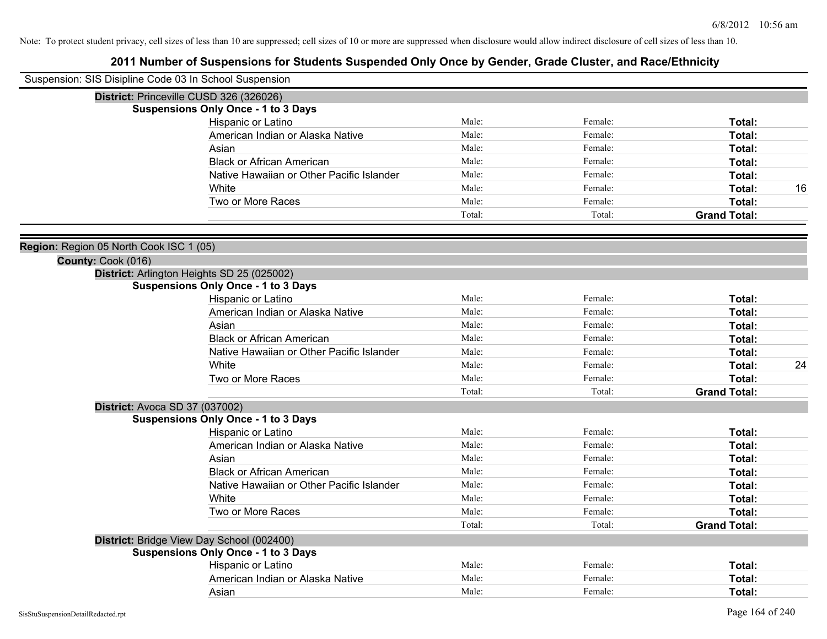| Suspension: SIS Disipline Code 03 In School Suspension        |                                           |        |         |                     |    |
|---------------------------------------------------------------|-------------------------------------------|--------|---------|---------------------|----|
| District: Princeville CUSD 326 (326026)                       |                                           |        |         |                     |    |
| <b>Suspensions Only Once - 1 to 3 Days</b>                    |                                           |        |         |                     |    |
|                                                               | Hispanic or Latino                        | Male:  | Female: | Total:              |    |
|                                                               | American Indian or Alaska Native          | Male:  | Female: | Total:              |    |
| Asian                                                         |                                           | Male:  | Female: | Total:              |    |
|                                                               | <b>Black or African American</b>          | Male:  | Female: | Total:              |    |
|                                                               | Native Hawaiian or Other Pacific Islander | Male:  | Female: | Total:              |    |
| White                                                         |                                           | Male:  | Female: | Total:              | 16 |
|                                                               | Two or More Races                         | Male:  | Female: | Total:              |    |
|                                                               |                                           | Total: | Total:  | <b>Grand Total:</b> |    |
|                                                               |                                           |        |         |                     |    |
| Region: Region 05 North Cook ISC 1 (05)<br>County: Cook (016) |                                           |        |         |                     |    |
| District: Arlington Heights SD 25 (025002)                    |                                           |        |         |                     |    |
| <b>Suspensions Only Once - 1 to 3 Days</b>                    |                                           |        |         |                     |    |
|                                                               | Hispanic or Latino                        | Male:  | Female: | Total:              |    |
|                                                               | American Indian or Alaska Native          | Male:  | Female: | Total:              |    |
| Asian                                                         |                                           | Male:  | Female: | Total:              |    |
|                                                               | <b>Black or African American</b>          | Male:  | Female: | Total:              |    |
|                                                               | Native Hawaiian or Other Pacific Islander | Male:  | Female: | Total:              |    |
| White                                                         |                                           | Male:  | Female: | Total:              | 24 |
|                                                               | Two or More Races                         | Male:  | Female: | Total:              |    |
|                                                               |                                           | Total: | Total:  | <b>Grand Total:</b> |    |
| District: Avoca SD 37 (037002)                                |                                           |        |         |                     |    |
| <b>Suspensions Only Once - 1 to 3 Days</b>                    |                                           |        |         |                     |    |
|                                                               | Hispanic or Latino                        | Male:  | Female: | Total:              |    |
|                                                               | American Indian or Alaska Native          | Male:  | Female: | Total:              |    |
| Asian                                                         |                                           | Male:  | Female: | Total:              |    |
|                                                               | <b>Black or African American</b>          | Male:  | Female: | Total:              |    |
|                                                               | Native Hawaiian or Other Pacific Islander | Male:  | Female: | Total:              |    |
| White                                                         |                                           | Male:  | Female: | Total:              |    |
|                                                               | Two or More Races                         | Male:  | Female: | Total:              |    |
|                                                               |                                           | Total: | Total:  | <b>Grand Total:</b> |    |
| District: Bridge View Day School (002400)                     |                                           |        |         |                     |    |
| <b>Suspensions Only Once - 1 to 3 Days</b>                    |                                           |        |         |                     |    |
|                                                               | Hispanic or Latino                        | Male:  | Female: | Total:              |    |
|                                                               | American Indian or Alaska Native          | Male:  | Female: | Total:              |    |
| Asian                                                         |                                           | Male:  | Female: | Total:              |    |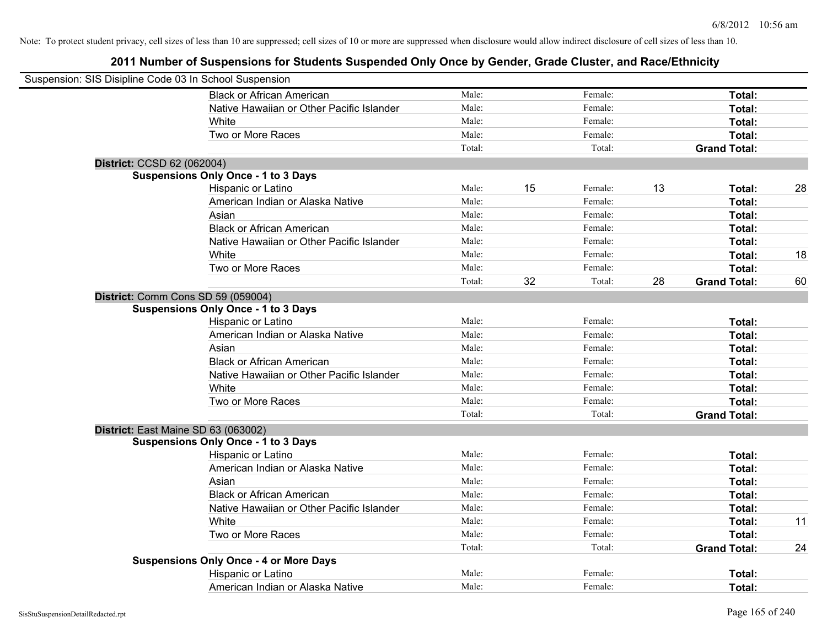| Suspension: SIS Disipline Code 03 In School Suspension |                                               |        |    |         |    |                     |    |
|--------------------------------------------------------|-----------------------------------------------|--------|----|---------|----|---------------------|----|
|                                                        | <b>Black or African American</b>              | Male:  |    | Female: |    | Total:              |    |
|                                                        | Native Hawaiian or Other Pacific Islander     | Male:  |    | Female: |    | Total:              |    |
|                                                        | White                                         | Male:  |    | Female: |    | Total:              |    |
|                                                        | Two or More Races                             | Male:  |    | Female: |    | Total:              |    |
|                                                        |                                               | Total: |    | Total:  |    | <b>Grand Total:</b> |    |
| District: CCSD 62 (062004)                             |                                               |        |    |         |    |                     |    |
|                                                        | <b>Suspensions Only Once - 1 to 3 Days</b>    |        |    |         |    |                     |    |
|                                                        | Hispanic or Latino                            | Male:  | 15 | Female: | 13 | Total:              | 28 |
|                                                        | American Indian or Alaska Native              | Male:  |    | Female: |    | Total:              |    |
|                                                        | Asian                                         | Male:  |    | Female: |    | Total:              |    |
|                                                        | <b>Black or African American</b>              | Male:  |    | Female: |    | Total:              |    |
|                                                        | Native Hawaiian or Other Pacific Islander     | Male:  |    | Female: |    | Total:              |    |
|                                                        | White                                         | Male:  |    | Female: |    | Total:              | 18 |
|                                                        | Two or More Races                             | Male:  |    | Female: |    | Total:              |    |
|                                                        |                                               | Total: | 32 | Total:  | 28 | <b>Grand Total:</b> | 60 |
|                                                        | District: Comm Cons SD 59 (059004)            |        |    |         |    |                     |    |
|                                                        | <b>Suspensions Only Once - 1 to 3 Days</b>    |        |    |         |    |                     |    |
|                                                        | Hispanic or Latino                            | Male:  |    | Female: |    | Total:              |    |
|                                                        | American Indian or Alaska Native              | Male:  |    | Female: |    | Total:              |    |
|                                                        | Asian                                         | Male:  |    | Female: |    | Total:              |    |
|                                                        | <b>Black or African American</b>              | Male:  |    | Female: |    | Total:              |    |
|                                                        | Native Hawaiian or Other Pacific Islander     | Male:  |    | Female: |    | Total:              |    |
|                                                        | White                                         | Male:  |    | Female: |    | Total:              |    |
|                                                        | Two or More Races                             | Male:  |    | Female: |    | Total:              |    |
|                                                        |                                               | Total: |    | Total:  |    | <b>Grand Total:</b> |    |
|                                                        | District: East Maine SD 63 (063002)           |        |    |         |    |                     |    |
|                                                        | <b>Suspensions Only Once - 1 to 3 Days</b>    |        |    |         |    |                     |    |
|                                                        | Hispanic or Latino                            | Male:  |    | Female: |    | Total:              |    |
|                                                        | American Indian or Alaska Native              | Male:  |    | Female: |    | Total:              |    |
|                                                        | Asian                                         | Male:  |    | Female: |    | Total:              |    |
|                                                        | <b>Black or African American</b>              | Male:  |    | Female: |    | Total:              |    |
|                                                        | Native Hawaiian or Other Pacific Islander     | Male:  |    | Female: |    | Total:              |    |
|                                                        | White                                         | Male:  |    | Female: |    | Total:              | 11 |
|                                                        | Two or More Races                             | Male:  |    | Female: |    | Total:              |    |
|                                                        |                                               | Total: |    | Total:  |    | <b>Grand Total:</b> | 24 |
|                                                        | <b>Suspensions Only Once - 4 or More Days</b> |        |    |         |    |                     |    |
|                                                        | Hispanic or Latino                            | Male:  |    | Female: |    | <b>Total:</b>       |    |
|                                                        | American Indian or Alaska Native              | Male:  |    | Female: |    | Total:              |    |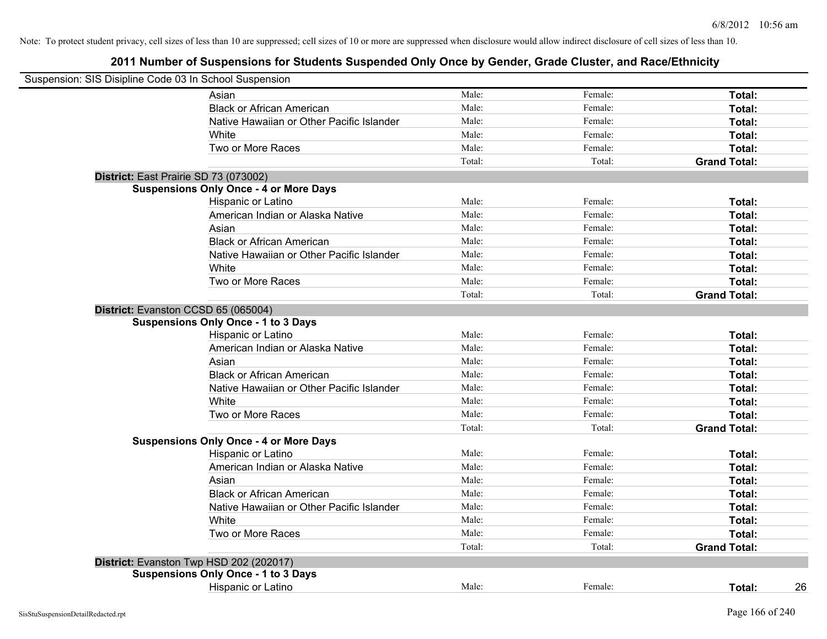| Suspension: SIS Disipline Code 03 In School Suspension |                                               |        |         |                     |
|--------------------------------------------------------|-----------------------------------------------|--------|---------|---------------------|
|                                                        | Asian                                         | Male:  | Female: | Total:              |
|                                                        | <b>Black or African American</b>              | Male:  | Female: | Total:              |
|                                                        | Native Hawaiian or Other Pacific Islander     | Male:  | Female: | Total:              |
|                                                        | White                                         | Male:  | Female: | Total:              |
|                                                        | Two or More Races                             | Male:  | Female: | Total:              |
|                                                        |                                               | Total: | Total:  | <b>Grand Total:</b> |
|                                                        | District: East Prairie SD 73 (073002)         |        |         |                     |
|                                                        | <b>Suspensions Only Once - 4 or More Days</b> |        |         |                     |
|                                                        | Hispanic or Latino                            | Male:  | Female: | Total:              |
|                                                        | American Indian or Alaska Native              | Male:  | Female: | Total:              |
|                                                        | Asian                                         | Male:  | Female: | Total:              |
|                                                        | <b>Black or African American</b>              | Male:  | Female: | Total:              |
|                                                        | Native Hawaiian or Other Pacific Islander     | Male:  | Female: | Total:              |
|                                                        | White                                         | Male:  | Female: | Total:              |
|                                                        | Two or More Races                             | Male:  | Female: | Total:              |
|                                                        |                                               | Total: | Total:  | <b>Grand Total:</b> |
|                                                        | District: Evanston CCSD 65 (065004)           |        |         |                     |
|                                                        | <b>Suspensions Only Once - 1 to 3 Days</b>    |        |         |                     |
|                                                        | Hispanic or Latino                            | Male:  | Female: | Total:              |
|                                                        | American Indian or Alaska Native              | Male:  | Female: | Total:              |
|                                                        | Asian                                         | Male:  | Female: | Total:              |
|                                                        | <b>Black or African American</b>              | Male:  | Female: | Total:              |
|                                                        | Native Hawaiian or Other Pacific Islander     | Male:  | Female: | Total:              |
|                                                        | White                                         | Male:  | Female: | Total:              |
|                                                        | Two or More Races                             | Male:  | Female: | Total:              |
|                                                        |                                               | Total: | Total:  | <b>Grand Total:</b> |
|                                                        | <b>Suspensions Only Once - 4 or More Days</b> |        |         |                     |
|                                                        | Hispanic or Latino                            | Male:  | Female: | Total:              |
|                                                        | American Indian or Alaska Native              | Male:  | Female: | Total:              |
|                                                        | Asian                                         | Male:  | Female: | Total:              |
|                                                        | <b>Black or African American</b>              | Male:  | Female: | Total:              |
|                                                        | Native Hawaiian or Other Pacific Islander     | Male:  | Female: | Total:              |
|                                                        | White                                         | Male:  | Female: | Total:              |
|                                                        | Two or More Races                             | Male:  | Female: | Total:              |
|                                                        |                                               | Total: | Total:  | <b>Grand Total:</b> |
|                                                        | District: Evanston Twp HSD 202 (202017)       |        |         |                     |
|                                                        | <b>Suspensions Only Once - 1 to 3 Days</b>    |        |         |                     |
|                                                        | Hispanic or Latino                            | Male:  | Female: | 26<br>Total:        |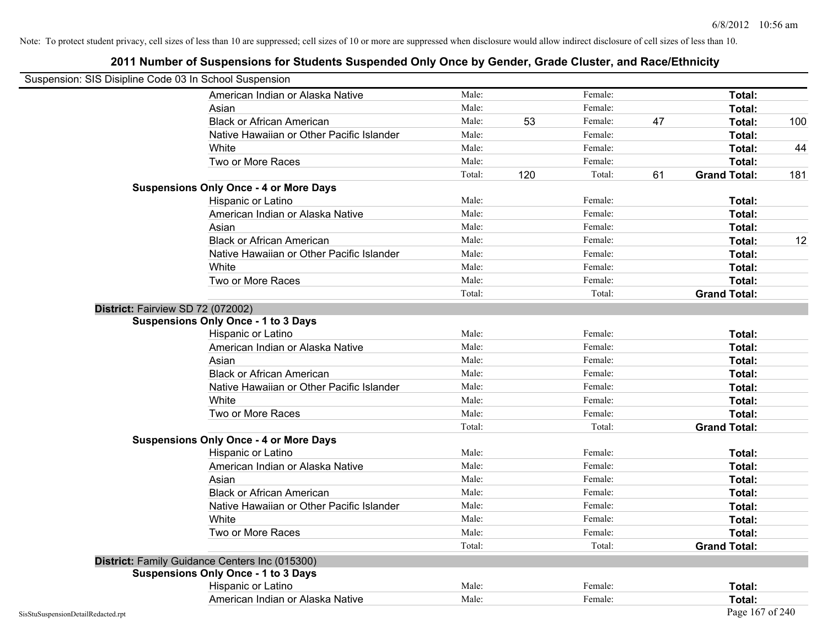| Suspension: SIS Disipline Code 03 In School Suspension |                                                |        |     |         |    |                     |     |
|--------------------------------------------------------|------------------------------------------------|--------|-----|---------|----|---------------------|-----|
|                                                        | American Indian or Alaska Native               | Male:  |     | Female: |    | <b>Total:</b>       |     |
|                                                        | Asian                                          | Male:  |     | Female: |    | Total:              |     |
|                                                        | <b>Black or African American</b>               | Male:  | 53  | Female: | 47 | Total:              | 100 |
|                                                        | Native Hawaiian or Other Pacific Islander      | Male:  |     | Female: |    | Total:              |     |
|                                                        | White                                          | Male:  |     | Female: |    | Total:              | 44  |
|                                                        | Two or More Races                              | Male:  |     | Female: |    | Total:              |     |
|                                                        |                                                | Total: | 120 | Total:  | 61 | <b>Grand Total:</b> | 181 |
|                                                        | <b>Suspensions Only Once - 4 or More Days</b>  |        |     |         |    |                     |     |
|                                                        | Hispanic or Latino                             | Male:  |     | Female: |    | Total:              |     |
|                                                        | American Indian or Alaska Native               | Male:  |     | Female: |    | Total:              |     |
|                                                        | Asian                                          | Male:  |     | Female: |    | Total:              |     |
|                                                        | <b>Black or African American</b>               | Male:  |     | Female: |    | Total:              | 12  |
|                                                        | Native Hawaiian or Other Pacific Islander      | Male:  |     | Female: |    | Total:              |     |
|                                                        | White                                          | Male:  |     | Female: |    | Total:              |     |
|                                                        | Two or More Races                              | Male:  |     | Female: |    | Total:              |     |
|                                                        |                                                | Total: |     | Total:  |    | <b>Grand Total:</b> |     |
|                                                        | District: Fairview SD 72 (072002)              |        |     |         |    |                     |     |
|                                                        | <b>Suspensions Only Once - 1 to 3 Days</b>     |        |     |         |    |                     |     |
|                                                        | Hispanic or Latino                             | Male:  |     | Female: |    | Total:              |     |
|                                                        | American Indian or Alaska Native               | Male:  |     | Female: |    | Total:              |     |
|                                                        | Asian                                          | Male:  |     | Female: |    | Total:              |     |
|                                                        | <b>Black or African American</b>               | Male:  |     | Female: |    | Total:              |     |
|                                                        | Native Hawaiian or Other Pacific Islander      | Male:  |     | Female: |    | Total:              |     |
|                                                        | White                                          | Male:  |     | Female: |    | Total:              |     |
|                                                        | Two or More Races                              | Male:  |     | Female: |    | Total:              |     |
|                                                        |                                                | Total: |     | Total:  |    | <b>Grand Total:</b> |     |
|                                                        | <b>Suspensions Only Once - 4 or More Days</b>  |        |     |         |    |                     |     |
|                                                        | Hispanic or Latino                             | Male:  |     | Female: |    | Total:              |     |
|                                                        | American Indian or Alaska Native               | Male:  |     | Female: |    | Total:              |     |
|                                                        | Asian                                          | Male:  |     | Female: |    | Total:              |     |
|                                                        | <b>Black or African American</b>               | Male:  |     | Female: |    | Total:              |     |
|                                                        | Native Hawaiian or Other Pacific Islander      | Male:  |     | Female: |    | Total:              |     |
|                                                        | White                                          | Male:  |     | Female: |    | Total:              |     |
|                                                        | Two or More Races                              | Male:  |     | Female: |    | Total:              |     |
|                                                        |                                                | Total: |     | Total:  |    | <b>Grand Total:</b> |     |
|                                                        | District: Family Guidance Centers Inc (015300) |        |     |         |    |                     |     |
|                                                        | <b>Suspensions Only Once - 1 to 3 Days</b>     |        |     |         |    |                     |     |
|                                                        | Hispanic or Latino                             | Male:  |     | Female: |    | Total:              |     |
|                                                        | American Indian or Alaska Native               | Male:  |     | Female: |    | Total:              |     |
| SisStuSuspensionDetailRedacted.rpt                     |                                                |        |     |         |    | Page 167 of 240     |     |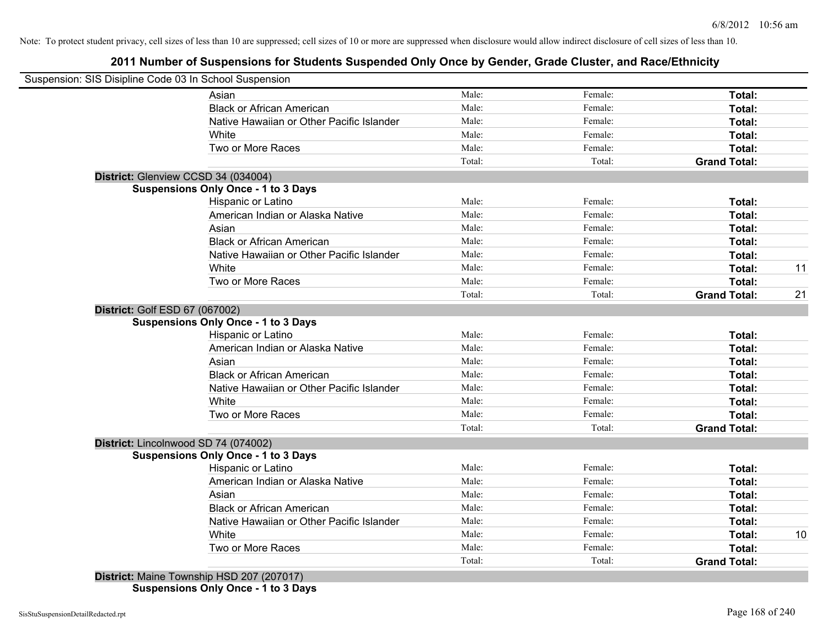## **2011 Number of Suspensions for Students Suspended Only Once by Gender, Grade Cluster, and Race/Ethnicity**

|                                      | Suspension: SIS Disipline Code 03 In School Suspension |                 |                   |                               |    |
|--------------------------------------|--------------------------------------------------------|-----------------|-------------------|-------------------------------|----|
|                                      | Asian                                                  | Male:           | Female:           | Total:                        |    |
|                                      | <b>Black or African American</b>                       | Male:           | Female:           | Total:                        |    |
|                                      | Native Hawaiian or Other Pacific Islander              | Male:           | Female:           | Total:                        |    |
|                                      | White                                                  | Male:           | Female:           | Total:                        |    |
|                                      | Two or More Races                                      | Male:           | Female:           | Total:                        |    |
|                                      |                                                        | Total:          | Total:            | <b>Grand Total:</b>           |    |
| District: Glenview CCSD 34 (034004)  |                                                        |                 |                   |                               |    |
|                                      | <b>Suspensions Only Once - 1 to 3 Days</b>             |                 |                   |                               |    |
|                                      | Hispanic or Latino                                     | Male:           | Female:           | Total:                        |    |
|                                      | American Indian or Alaska Native                       | Male:           | Female:           | Total:                        |    |
|                                      | Asian                                                  | Male:           | Female:           | Total:                        |    |
|                                      | <b>Black or African American</b>                       | Male:           | Female:           | Total:                        |    |
|                                      | Native Hawaiian or Other Pacific Islander              | Male:           | Female:           | Total:                        |    |
|                                      | White                                                  | Male:           | Female:           | Total:                        | 11 |
|                                      | Two or More Races                                      | Male:           | Female:           | Total:                        |    |
|                                      |                                                        | Total:          | Total:            | <b>Grand Total:</b>           | 21 |
| District: Golf ESD 67 (067002)       |                                                        |                 |                   |                               |    |
|                                      | <b>Suspensions Only Once - 1 to 3 Days</b>             |                 |                   |                               |    |
|                                      | Hispanic or Latino                                     | Male:           | Female:           | Total:                        |    |
|                                      | American Indian or Alaska Native                       | Male:           | Female:           | Total:                        |    |
|                                      | Asian                                                  | Male:           | Female:           | Total:                        |    |
|                                      | <b>Black or African American</b>                       | Male:           | Female:           | Total:                        |    |
|                                      | Native Hawaiian or Other Pacific Islander              | Male:           | Female:           | Total:                        |    |
|                                      | White                                                  | Male:           | Female:           | Total:                        |    |
|                                      | Two or More Races                                      | Male:           | Female:           | Total:                        |    |
|                                      |                                                        | Total:          | Total:            | <b>Grand Total:</b>           |    |
| District: Lincolnwood SD 74 (074002) |                                                        |                 |                   |                               |    |
|                                      | <b>Suspensions Only Once - 1 to 3 Days</b>             |                 |                   |                               |    |
|                                      | Hispanic or Latino                                     | Male:           | Female:           | Total:                        |    |
|                                      | American Indian or Alaska Native                       | Male:           | Female:           | Total:                        |    |
|                                      | Asian                                                  | Male:           | Female:           | Total:                        |    |
|                                      |                                                        | Male:           | Female:           | Total:                        |    |
|                                      | <b>Black or African American</b>                       |                 |                   |                               |    |
|                                      | Native Hawaiian or Other Pacific Islander              | Male:           | Female:           | Total:                        |    |
|                                      | White                                                  | Male:           | Female:           | Total:                        | 10 |
|                                      | Two or More Races                                      | Male:<br>Total: | Female:<br>Total: | Total:<br><b>Grand Total:</b> |    |

**Suspensions Only Once - 1 to 3 Days**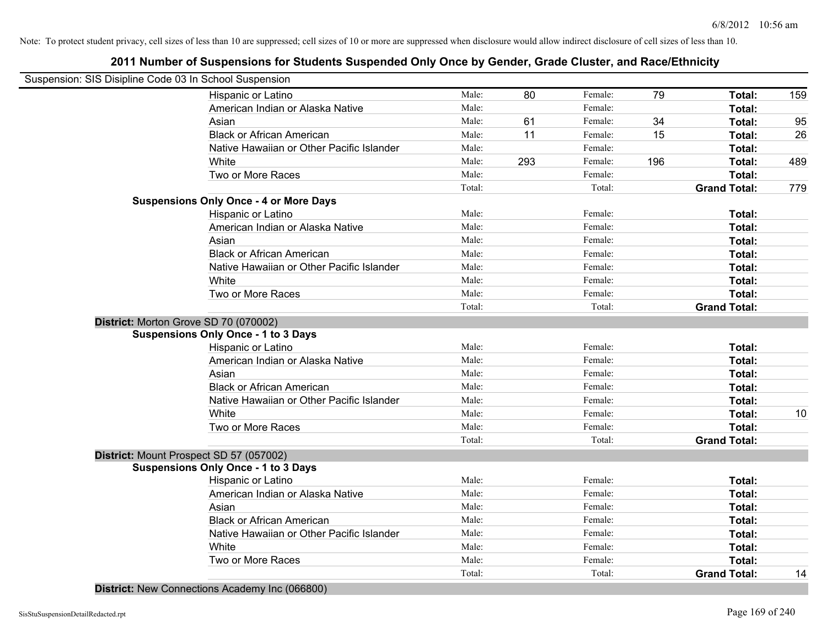| Suspension: SIS Disipline Code 03 In School Suspension |        |     |         |     |                     |     |
|--------------------------------------------------------|--------|-----|---------|-----|---------------------|-----|
| Hispanic or Latino                                     | Male:  | 80  | Female: | 79  | Total:              | 159 |
| American Indian or Alaska Native                       | Male:  |     | Female: |     | Total:              |     |
| Asian                                                  | Male:  | 61  | Female: | 34  | Total:              | 95  |
| <b>Black or African American</b>                       | Male:  | 11  | Female: | 15  | Total:              | 26  |
| Native Hawaiian or Other Pacific Islander              | Male:  |     | Female: |     | Total:              |     |
| White                                                  | Male:  | 293 | Female: | 196 | Total:              | 489 |
| Two or More Races                                      | Male:  |     | Female: |     | Total:              |     |
|                                                        | Total: |     | Total:  |     | <b>Grand Total:</b> | 779 |
| <b>Suspensions Only Once - 4 or More Days</b>          |        |     |         |     |                     |     |
| Hispanic or Latino                                     | Male:  |     | Female: |     | Total:              |     |
| American Indian or Alaska Native                       | Male:  |     | Female: |     | Total:              |     |
| Asian                                                  | Male:  |     | Female: |     | Total:              |     |
| <b>Black or African American</b>                       | Male:  |     | Female: |     | Total:              |     |
| Native Hawaiian or Other Pacific Islander              | Male:  |     | Female: |     | Total:              |     |
| White                                                  | Male:  |     | Female: |     | Total:              |     |
| Two or More Races                                      | Male:  |     | Female: |     | Total:              |     |
|                                                        | Total: |     | Total:  |     | <b>Grand Total:</b> |     |
| District: Morton Grove SD 70 (070002)                  |        |     |         |     |                     |     |
| <b>Suspensions Only Once - 1 to 3 Days</b>             |        |     |         |     |                     |     |
| Hispanic or Latino                                     | Male:  |     | Female: |     | Total:              |     |
| American Indian or Alaska Native                       | Male:  |     | Female: |     | Total:              |     |
| Asian                                                  | Male:  |     | Female: |     | Total:              |     |
| <b>Black or African American</b>                       | Male:  |     | Female: |     | Total:              |     |
| Native Hawaiian or Other Pacific Islander              | Male:  |     | Female: |     | Total:              |     |
| White                                                  | Male:  |     | Female: |     | Total:              | 10  |
| Two or More Races                                      | Male:  |     | Female: |     | Total:              |     |
|                                                        | Total: |     | Total:  |     | <b>Grand Total:</b> |     |
| District: Mount Prospect SD 57 (057002)                |        |     |         |     |                     |     |
| <b>Suspensions Only Once - 1 to 3 Days</b>             |        |     |         |     |                     |     |
| Hispanic or Latino                                     | Male:  |     | Female: |     | Total:              |     |
| American Indian or Alaska Native                       | Male:  |     | Female: |     | Total:              |     |
| Asian                                                  | Male:  |     | Female: |     | Total:              |     |
| <b>Black or African American</b>                       | Male:  |     | Female: |     | Total:              |     |
| Native Hawaiian or Other Pacific Islander              | Male:  |     | Female: |     | Total:              |     |
| White                                                  | Male:  |     | Female: |     | Total:              |     |
| Two or More Races                                      | Male:  |     | Female: |     | Total:              |     |
|                                                        | Total: |     | Total:  |     | <b>Grand Total:</b> | 14  |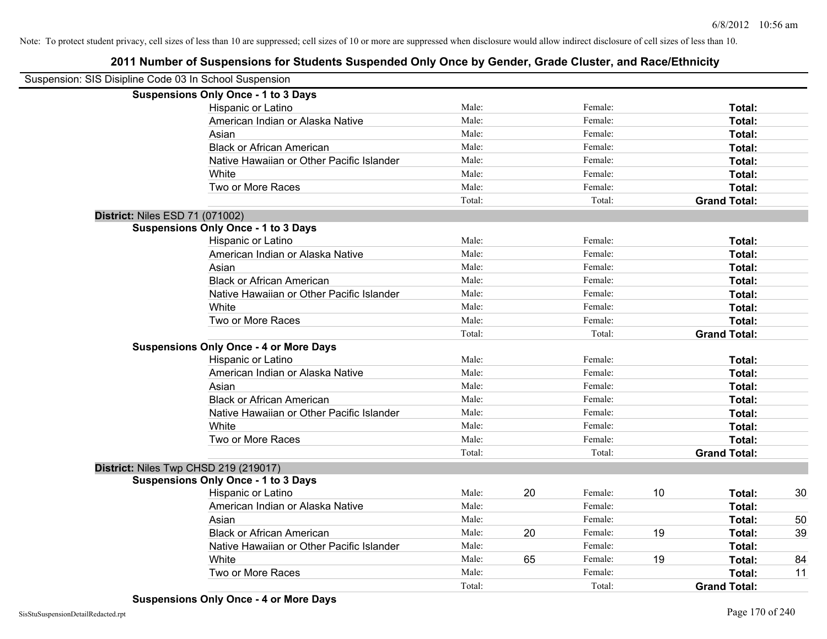| Suspension: SIS Disipline Code 03 In School Suspension |                                               |        |    |         |    |                     |    |
|--------------------------------------------------------|-----------------------------------------------|--------|----|---------|----|---------------------|----|
|                                                        | <b>Suspensions Only Once - 1 to 3 Days</b>    |        |    |         |    |                     |    |
|                                                        | Hispanic or Latino                            | Male:  |    | Female: |    | Total:              |    |
|                                                        | American Indian or Alaska Native              | Male:  |    | Female: |    | Total:              |    |
|                                                        | Asian                                         | Male:  |    | Female: |    | Total:              |    |
|                                                        | <b>Black or African American</b>              | Male:  |    | Female: |    | Total:              |    |
|                                                        | Native Hawaiian or Other Pacific Islander     | Male:  |    | Female: |    | Total:              |    |
|                                                        | White                                         | Male:  |    | Female: |    | Total:              |    |
|                                                        | Two or More Races                             | Male:  |    | Female: |    | Total:              |    |
|                                                        |                                               | Total: |    | Total:  |    | <b>Grand Total:</b> |    |
|                                                        | District: Niles ESD 71 (071002)               |        |    |         |    |                     |    |
|                                                        | <b>Suspensions Only Once - 1 to 3 Days</b>    |        |    |         |    |                     |    |
|                                                        | Hispanic or Latino                            | Male:  |    | Female: |    | Total:              |    |
|                                                        | American Indian or Alaska Native              | Male:  |    | Female: |    | Total:              |    |
|                                                        | Asian                                         | Male:  |    | Female: |    | Total:              |    |
|                                                        | <b>Black or African American</b>              | Male:  |    | Female: |    | Total:              |    |
|                                                        | Native Hawaiian or Other Pacific Islander     | Male:  |    | Female: |    | Total:              |    |
|                                                        | White                                         | Male:  |    | Female: |    | Total:              |    |
|                                                        | Two or More Races                             | Male:  |    | Female: |    | Total:              |    |
|                                                        |                                               | Total: |    | Total:  |    | <b>Grand Total:</b> |    |
|                                                        | <b>Suspensions Only Once - 4 or More Days</b> |        |    |         |    |                     |    |
|                                                        | Hispanic or Latino                            | Male:  |    | Female: |    | Total:              |    |
|                                                        | American Indian or Alaska Native              | Male:  |    | Female: |    | Total:              |    |
|                                                        | Asian                                         | Male:  |    | Female: |    | Total:              |    |
|                                                        | <b>Black or African American</b>              | Male:  |    | Female: |    | Total:              |    |
|                                                        | Native Hawaiian or Other Pacific Islander     | Male:  |    | Female: |    | Total:              |    |
|                                                        | White                                         | Male:  |    | Female: |    | Total:              |    |
|                                                        | Two or More Races                             | Male:  |    | Female: |    | Total:              |    |
|                                                        |                                               | Total: |    | Total:  |    | <b>Grand Total:</b> |    |
|                                                        | District: Niles Twp CHSD 219 (219017)         |        |    |         |    |                     |    |
|                                                        | <b>Suspensions Only Once - 1 to 3 Days</b>    |        |    |         |    |                     |    |
|                                                        | Hispanic or Latino                            | Male:  | 20 | Female: | 10 | Total:              | 30 |
|                                                        | American Indian or Alaska Native              | Male:  |    | Female: |    | Total:              |    |
|                                                        | Asian                                         | Male:  |    | Female: |    | Total:              | 50 |
|                                                        | <b>Black or African American</b>              | Male:  | 20 | Female: | 19 | Total:              | 39 |
|                                                        | Native Hawaiian or Other Pacific Islander     | Male:  |    | Female: |    | Total:              |    |
|                                                        | White                                         | Male:  | 65 | Female: | 19 | Total:              | 84 |
|                                                        | Two or More Races                             | Male:  |    | Female: |    | <b>Total:</b>       | 11 |
|                                                        |                                               | Total: |    | Total:  |    | <b>Grand Total:</b> |    |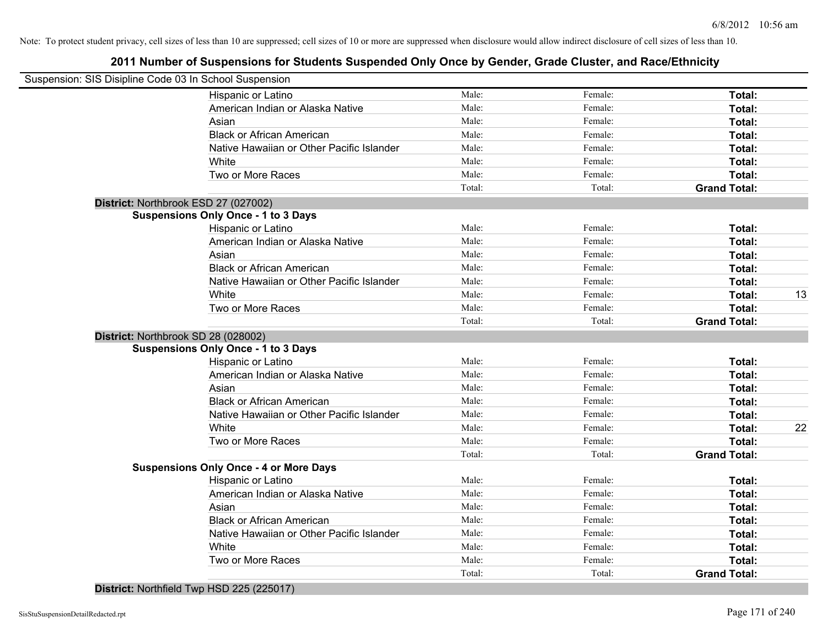## **2011 Number of Suspensions for Students Suspended Only Once by Gender, Grade Cluster, and Race/Ethnicity**

| Suspension: SIS Disipline Code 03 In School Suspension |        |         |                     |    |
|--------------------------------------------------------|--------|---------|---------------------|----|
| Hispanic or Latino                                     | Male:  | Female: | Total:              |    |
| American Indian or Alaska Native                       | Male:  | Female: | Total:              |    |
| Asian                                                  | Male:  | Female: | Total:              |    |
| <b>Black or African American</b>                       | Male:  | Female: | Total:              |    |
| Native Hawaiian or Other Pacific Islander              | Male:  | Female: | Total:              |    |
| White                                                  | Male:  | Female: | Total:              |    |
| Two or More Races                                      | Male:  | Female: | Total:              |    |
|                                                        | Total: | Total:  | <b>Grand Total:</b> |    |
| District: Northbrook ESD 27 (027002)                   |        |         |                     |    |
| <b>Suspensions Only Once - 1 to 3 Days</b>             |        |         |                     |    |
| Hispanic or Latino                                     | Male:  | Female: | Total:              |    |
| American Indian or Alaska Native                       | Male:  | Female: | Total:              |    |
| Asian                                                  | Male:  | Female: | Total:              |    |
| <b>Black or African American</b>                       | Male:  | Female: | Total:              |    |
| Native Hawaiian or Other Pacific Islander              | Male:  | Female: | Total:              |    |
| White                                                  | Male:  | Female: | Total:              | 13 |
| Two or More Races                                      | Male:  | Female: | Total:              |    |
|                                                        | Total: | Total:  | <b>Grand Total:</b> |    |
| District: Northbrook SD 28 (028002)                    |        |         |                     |    |
| <b>Suspensions Only Once - 1 to 3 Days</b>             |        |         |                     |    |
| Hispanic or Latino                                     | Male:  | Female: | Total:              |    |
| American Indian or Alaska Native                       | Male:  | Female: | Total:              |    |
| Asian                                                  | Male:  | Female: | Total:              |    |
| <b>Black or African American</b>                       | Male:  | Female: | Total:              |    |
| Native Hawaiian or Other Pacific Islander              | Male:  | Female: | Total:              |    |
| White                                                  | Male:  | Female: | Total:              | 22 |
| Two or More Races                                      | Male:  | Female: | Total:              |    |
|                                                        | Total: | Total:  | <b>Grand Total:</b> |    |
| <b>Suspensions Only Once - 4 or More Days</b>          |        |         |                     |    |
| Hispanic or Latino                                     | Male:  | Female: | Total:              |    |
| American Indian or Alaska Native                       | Male:  | Female: | Total:              |    |
| Asian                                                  | Male:  | Female: | Total:              |    |
| <b>Black or African American</b>                       | Male:  | Female: | Total:              |    |
| Native Hawaiian or Other Pacific Islander              | Male:  | Female: | Total:              |    |
| White                                                  | Male:  | Female: | Total:              |    |
| Two or More Races                                      | Male:  | Female: | Total:              |    |
|                                                        | Total: | Total:  | <b>Grand Total:</b> |    |
|                                                        |        |         |                     |    |

**District:** Northfield Twp HSD 225 (225017)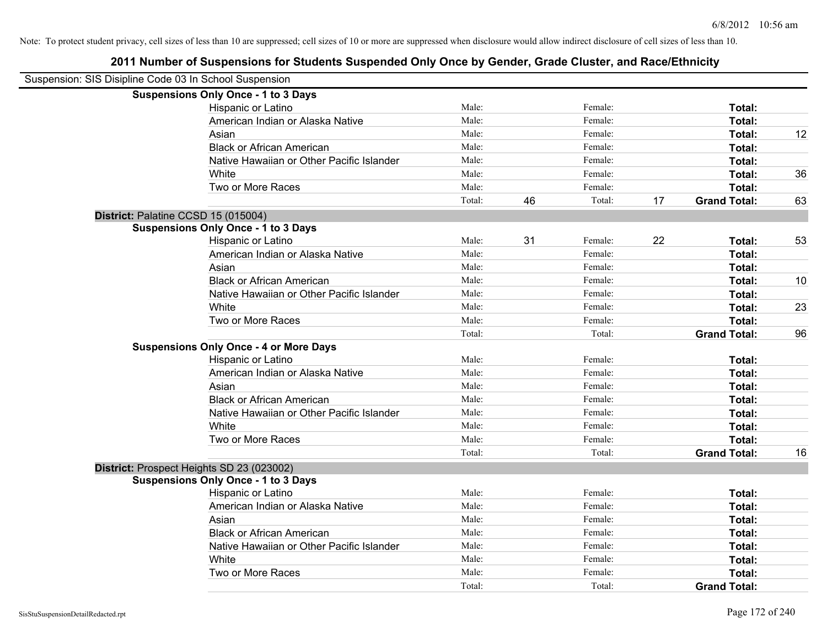| Suspension: SIS Disipline Code 03 In School Suspension |                                               |        |    |         |    |                     |    |
|--------------------------------------------------------|-----------------------------------------------|--------|----|---------|----|---------------------|----|
|                                                        | <b>Suspensions Only Once - 1 to 3 Days</b>    |        |    |         |    |                     |    |
|                                                        | Hispanic or Latino                            | Male:  |    | Female: |    | Total:              |    |
|                                                        | American Indian or Alaska Native              | Male:  |    | Female: |    | Total:              |    |
|                                                        | Asian                                         | Male:  |    | Female: |    | Total:              | 12 |
|                                                        | <b>Black or African American</b>              | Male:  |    | Female: |    | Total:              |    |
|                                                        | Native Hawaiian or Other Pacific Islander     | Male:  |    | Female: |    | Total:              |    |
|                                                        | White                                         | Male:  |    | Female: |    | Total:              | 36 |
|                                                        | Two or More Races                             | Male:  |    | Female: |    | Total:              |    |
|                                                        |                                               | Total: | 46 | Total:  | 17 | <b>Grand Total:</b> | 63 |
| District: Palatine CCSD 15 (015004)                    |                                               |        |    |         |    |                     |    |
|                                                        | <b>Suspensions Only Once - 1 to 3 Days</b>    |        |    |         |    |                     |    |
|                                                        | Hispanic or Latino                            | Male:  | 31 | Female: | 22 | Total:              | 53 |
|                                                        | American Indian or Alaska Native              | Male:  |    | Female: |    | Total:              |    |
|                                                        | Asian                                         | Male:  |    | Female: |    | Total:              |    |
|                                                        | <b>Black or African American</b>              | Male:  |    | Female: |    | Total:              | 10 |
|                                                        | Native Hawaiian or Other Pacific Islander     | Male:  |    | Female: |    | Total:              |    |
|                                                        | White                                         | Male:  |    | Female: |    | Total:              | 23 |
|                                                        | Two or More Races                             | Male:  |    | Female: |    | Total:              |    |
|                                                        |                                               | Total: |    | Total:  |    | <b>Grand Total:</b> | 96 |
|                                                        | <b>Suspensions Only Once - 4 or More Days</b> |        |    |         |    |                     |    |
|                                                        | Hispanic or Latino                            | Male:  |    | Female: |    | Total:              |    |
|                                                        | American Indian or Alaska Native              | Male:  |    | Female: |    | Total:              |    |
|                                                        | Asian                                         | Male:  |    | Female: |    | Total:              |    |
|                                                        | <b>Black or African American</b>              | Male:  |    | Female: |    | Total:              |    |
|                                                        | Native Hawaiian or Other Pacific Islander     | Male:  |    | Female: |    | Total:              |    |
|                                                        | White                                         | Male:  |    | Female: |    | Total:              |    |
|                                                        | Two or More Races                             | Male:  |    | Female: |    | Total:              |    |
|                                                        |                                               | Total: |    | Total:  |    | <b>Grand Total:</b> | 16 |
| District: Prospect Heights SD 23 (023002)              |                                               |        |    |         |    |                     |    |
|                                                        | <b>Suspensions Only Once - 1 to 3 Days</b>    |        |    |         |    |                     |    |
|                                                        | Hispanic or Latino                            | Male:  |    | Female: |    | Total:              |    |
|                                                        | American Indian or Alaska Native              | Male:  |    | Female: |    | Total:              |    |
|                                                        | Asian                                         | Male:  |    | Female: |    | Total:              |    |
|                                                        | <b>Black or African American</b>              | Male:  |    | Female: |    | Total:              |    |
|                                                        | Native Hawaiian or Other Pacific Islander     | Male:  |    | Female: |    | Total:              |    |
|                                                        | White                                         | Male:  |    | Female: |    | Total:              |    |
|                                                        | Two or More Races                             | Male:  |    | Female: |    | Total:              |    |
|                                                        |                                               | Total: |    | Total:  |    | <b>Grand Total:</b> |    |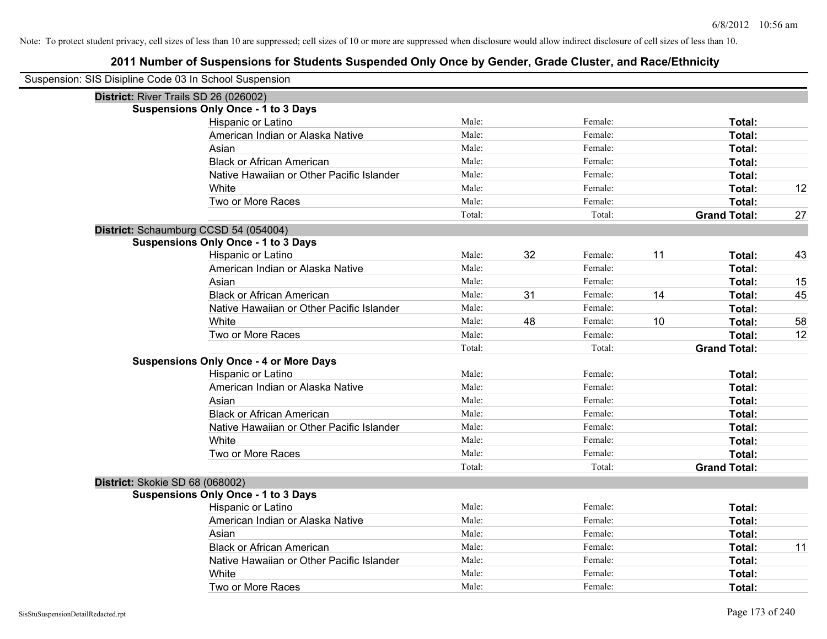| Suspension: SIS Disipline Code 03 In School Suspension |                                               |        |    |         |    |                     |    |
|--------------------------------------------------------|-----------------------------------------------|--------|----|---------|----|---------------------|----|
|                                                        | District: River Trails SD 26 (026002)         |        |    |         |    |                     |    |
|                                                        | <b>Suspensions Only Once - 1 to 3 Days</b>    |        |    |         |    |                     |    |
|                                                        | Hispanic or Latino                            | Male:  |    | Female: |    | Total:              |    |
|                                                        | American Indian or Alaska Native              | Male:  |    | Female: |    | Total:              |    |
|                                                        | Asian                                         | Male:  |    | Female: |    | Total:              |    |
|                                                        | <b>Black or African American</b>              | Male:  |    | Female: |    | Total:              |    |
|                                                        | Native Hawaiian or Other Pacific Islander     | Male:  |    | Female: |    | Total:              |    |
|                                                        | White                                         | Male:  |    | Female: |    | Total:              | 12 |
|                                                        | Two or More Races                             | Male:  |    | Female: |    | Total:              |    |
|                                                        |                                               | Total: |    | Total:  |    | <b>Grand Total:</b> | 27 |
|                                                        | District: Schaumburg CCSD 54 (054004)         |        |    |         |    |                     |    |
|                                                        | <b>Suspensions Only Once - 1 to 3 Days</b>    |        |    |         |    |                     |    |
|                                                        | Hispanic or Latino                            | Male:  | 32 | Female: | 11 | Total:              | 43 |
|                                                        | American Indian or Alaska Native              | Male:  |    | Female: |    | Total:              |    |
|                                                        | Asian                                         | Male:  |    | Female: |    | Total:              | 15 |
|                                                        | <b>Black or African American</b>              | Male:  | 31 | Female: | 14 | Total:              | 45 |
|                                                        | Native Hawaiian or Other Pacific Islander     | Male:  |    | Female: |    | Total:              |    |
|                                                        | White                                         | Male:  | 48 | Female: | 10 | Total:              | 58 |
|                                                        | Two or More Races                             | Male:  |    | Female: |    | Total:              | 12 |
|                                                        |                                               | Total: |    | Total:  |    | <b>Grand Total:</b> |    |
|                                                        | <b>Suspensions Only Once - 4 or More Days</b> |        |    |         |    |                     |    |
|                                                        | Hispanic or Latino                            | Male:  |    | Female: |    | Total:              |    |
|                                                        | American Indian or Alaska Native              | Male:  |    | Female: |    | Total:              |    |
|                                                        | Asian                                         | Male:  |    | Female: |    | Total:              |    |
|                                                        | <b>Black or African American</b>              | Male:  |    | Female: |    | Total:              |    |
|                                                        | Native Hawaiian or Other Pacific Islander     | Male:  |    | Female: |    | Total:              |    |
|                                                        | White                                         | Male:  |    | Female: |    | Total:              |    |
|                                                        | Two or More Races                             | Male:  |    | Female: |    | Total:              |    |
|                                                        |                                               | Total: |    | Total:  |    | <b>Grand Total:</b> |    |
| District: Skokie SD 68 (068002)                        |                                               |        |    |         |    |                     |    |
|                                                        | <b>Suspensions Only Once - 1 to 3 Days</b>    |        |    |         |    |                     |    |
|                                                        | Hispanic or Latino                            | Male:  |    | Female: |    | Total:              |    |
|                                                        | American Indian or Alaska Native              | Male:  |    | Female: |    | Total:              |    |
|                                                        | Asian                                         | Male:  |    | Female: |    | Total:              |    |
|                                                        | <b>Black or African American</b>              | Male:  |    | Female: |    | Total:              | 11 |
|                                                        | Native Hawaiian or Other Pacific Islander     | Male:  |    | Female: |    | Total:              |    |
|                                                        | White                                         | Male:  |    | Female: |    | Total:              |    |
|                                                        | Two or More Races                             | Male:  |    | Female: |    | Total:              |    |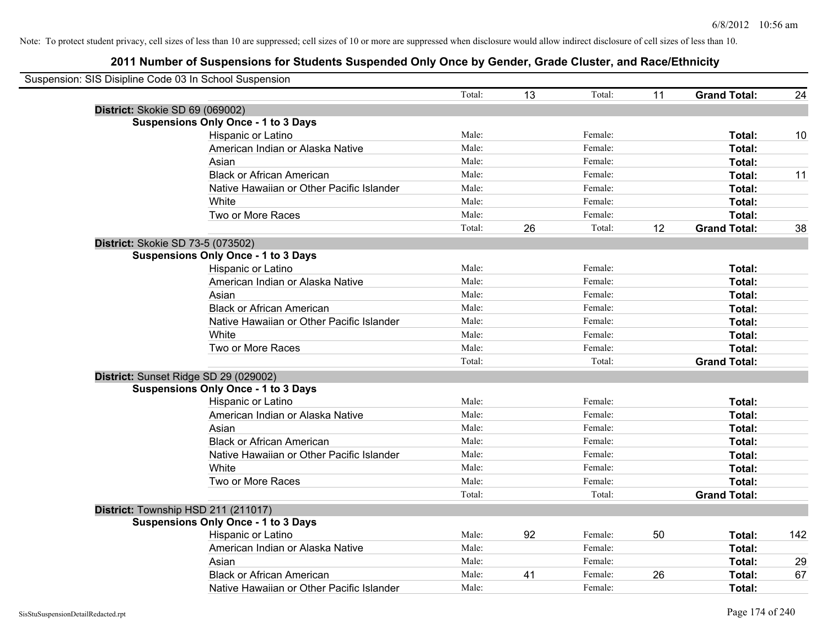| Suspension: SIS Disipline Code 03 In School Suspension |        |    |         |    |                     |     |
|--------------------------------------------------------|--------|----|---------|----|---------------------|-----|
|                                                        | Total: | 13 | Total:  | 11 | <b>Grand Total:</b> | 24  |
| District: Skokie SD 69 (069002)                        |        |    |         |    |                     |     |
| <b>Suspensions Only Once - 1 to 3 Days</b>             |        |    |         |    |                     |     |
| Hispanic or Latino                                     | Male:  |    | Female: |    | Total:              | 10  |
| American Indian or Alaska Native                       | Male:  |    | Female: |    | <b>Total:</b>       |     |
| Asian                                                  | Male:  |    | Female: |    | Total:              |     |
| <b>Black or African American</b>                       | Male:  |    | Female: |    | Total:              | 11  |
| Native Hawaiian or Other Pacific Islander              | Male:  |    | Female: |    | Total:              |     |
| White                                                  | Male:  |    | Female: |    | Total:              |     |
| Two or More Races                                      | Male:  |    | Female: |    | Total:              |     |
|                                                        | Total: | 26 | Total:  | 12 | <b>Grand Total:</b> | 38  |
| District: Skokie SD 73-5 (073502)                      |        |    |         |    |                     |     |
| <b>Suspensions Only Once - 1 to 3 Days</b>             |        |    |         |    |                     |     |
| Hispanic or Latino                                     | Male:  |    | Female: |    | Total:              |     |
| American Indian or Alaska Native                       | Male:  |    | Female: |    | Total:              |     |
| Asian                                                  | Male:  |    | Female: |    | Total:              |     |
| <b>Black or African American</b>                       | Male:  |    | Female: |    | Total:              |     |
| Native Hawaiian or Other Pacific Islander              | Male:  |    | Female: |    | Total:              |     |
| White                                                  | Male:  |    | Female: |    | Total:              |     |
| Two or More Races                                      | Male:  |    | Female: |    | Total:              |     |
|                                                        | Total: |    | Total:  |    | <b>Grand Total:</b> |     |
| District: Sunset Ridge SD 29 (029002)                  |        |    |         |    |                     |     |
| <b>Suspensions Only Once - 1 to 3 Days</b>             |        |    |         |    |                     |     |
| Hispanic or Latino                                     | Male:  |    | Female: |    | Total:              |     |
| American Indian or Alaska Native                       | Male:  |    | Female: |    | Total:              |     |
| Asian                                                  | Male:  |    | Female: |    | Total:              |     |
| <b>Black or African American</b>                       | Male:  |    | Female: |    | Total:              |     |
| Native Hawaiian or Other Pacific Islander              | Male:  |    | Female: |    | Total:              |     |
| White                                                  | Male:  |    | Female: |    | Total:              |     |
| Two or More Races                                      | Male:  |    | Female: |    | Total:              |     |
|                                                        | Total: |    | Total:  |    | <b>Grand Total:</b> |     |
| District: Township HSD 211 (211017)                    |        |    |         |    |                     |     |
| <b>Suspensions Only Once - 1 to 3 Days</b>             |        |    |         |    |                     |     |
| Hispanic or Latino                                     | Male:  | 92 | Female: | 50 | Total:              | 142 |
| American Indian or Alaska Native                       | Male:  |    | Female: |    | Total:              |     |
| Asian                                                  | Male:  |    | Female: |    | Total:              | 29  |
| <b>Black or African American</b>                       | Male:  | 41 | Female: | 26 | Total:              | 67  |
| Native Hawaiian or Other Pacific Islander              | Male:  |    | Female: |    | Total:              |     |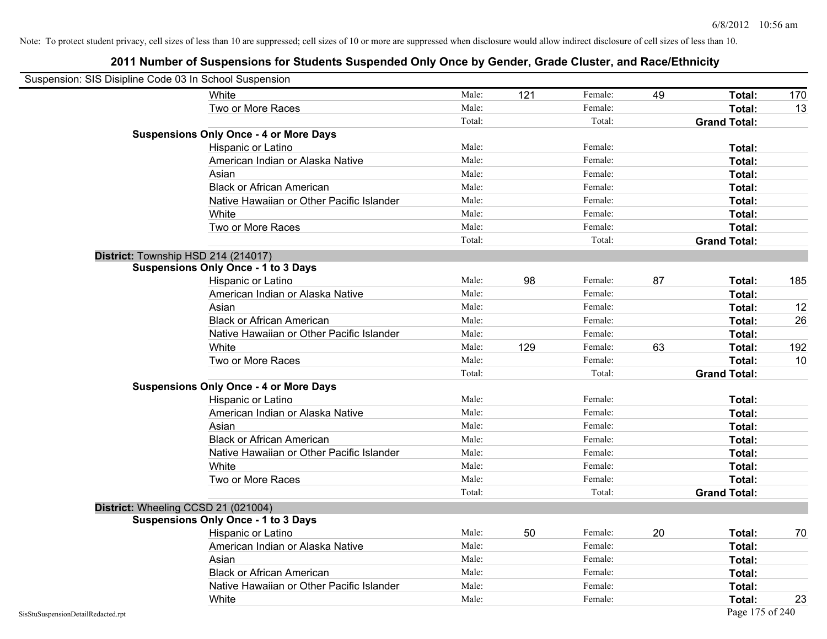|                                    | Suspension: SIS Disipline Code 03 In School Suspension |        |     |         |    |                     |     |
|------------------------------------|--------------------------------------------------------|--------|-----|---------|----|---------------------|-----|
|                                    | White                                                  | Male:  | 121 | Female: | 49 | Total:              | 170 |
|                                    | Two or More Races                                      | Male:  |     | Female: |    | Total:              | 13  |
|                                    |                                                        | Total: |     | Total:  |    | <b>Grand Total:</b> |     |
|                                    | <b>Suspensions Only Once - 4 or More Days</b>          |        |     |         |    |                     |     |
|                                    | Hispanic or Latino                                     | Male:  |     | Female: |    | Total:              |     |
|                                    | American Indian or Alaska Native                       | Male:  |     | Female: |    | Total:              |     |
|                                    | Asian                                                  | Male:  |     | Female: |    | Total:              |     |
|                                    | <b>Black or African American</b>                       | Male:  |     | Female: |    | Total:              |     |
|                                    | Native Hawaiian or Other Pacific Islander              | Male:  |     | Female: |    | Total:              |     |
|                                    | White                                                  | Male:  |     | Female: |    | Total:              |     |
|                                    | Two or More Races                                      | Male:  |     | Female: |    | Total:              |     |
|                                    |                                                        | Total: |     | Total:  |    | <b>Grand Total:</b> |     |
|                                    | District: Township HSD 214 (214017)                    |        |     |         |    |                     |     |
|                                    | <b>Suspensions Only Once - 1 to 3 Days</b>             |        |     |         |    |                     |     |
|                                    | Hispanic or Latino                                     | Male:  | 98  | Female: | 87 | Total:              | 185 |
|                                    | American Indian or Alaska Native                       | Male:  |     | Female: |    | Total:              |     |
|                                    | Asian                                                  | Male:  |     | Female: |    | Total:              | 12  |
|                                    | <b>Black or African American</b>                       | Male:  |     | Female: |    | Total:              | 26  |
|                                    | Native Hawaiian or Other Pacific Islander              | Male:  |     | Female: |    | Total:              |     |
|                                    | White                                                  | Male:  | 129 | Female: | 63 | Total:              | 192 |
|                                    | Two or More Races                                      | Male:  |     | Female: |    | Total:              | 10  |
|                                    |                                                        | Total: |     | Total:  |    | <b>Grand Total:</b> |     |
|                                    | <b>Suspensions Only Once - 4 or More Days</b>          |        |     |         |    |                     |     |
|                                    | Hispanic or Latino                                     | Male:  |     | Female: |    | Total:              |     |
|                                    | American Indian or Alaska Native                       | Male:  |     | Female: |    | Total:              |     |
|                                    | Asian                                                  | Male:  |     | Female: |    | Total:              |     |
|                                    | <b>Black or African American</b>                       | Male:  |     | Female: |    | Total:              |     |
|                                    | Native Hawaiian or Other Pacific Islander              | Male:  |     | Female: |    | Total:              |     |
|                                    | White                                                  | Male:  |     | Female: |    | Total:              |     |
|                                    | Two or More Races                                      | Male:  |     | Female: |    | Total:              |     |
|                                    |                                                        | Total: |     | Total:  |    | <b>Grand Total:</b> |     |
|                                    | District: Wheeling CCSD 21 (021004)                    |        |     |         |    |                     |     |
|                                    | <b>Suspensions Only Once - 1 to 3 Days</b>             |        |     |         |    |                     |     |
|                                    | <b>Hispanic or Latino</b>                              | Male:  | 50  | Female: | 20 | Total:              | 70  |
|                                    | American Indian or Alaska Native                       | Male:  |     | Female: |    | Total:              |     |
|                                    | Asian                                                  | Male:  |     | Female: |    | Total:              |     |
|                                    | <b>Black or African American</b>                       | Male:  |     | Female: |    | Total:              |     |
|                                    | Native Hawaiian or Other Pacific Islander              | Male:  |     | Female: |    | Total:              |     |
|                                    | White                                                  | Male:  |     | Female: |    | Total:              | 23  |
| SisStuSuspensionDetailRedacted.rpt |                                                        |        |     |         |    | Page 175 of 240     |     |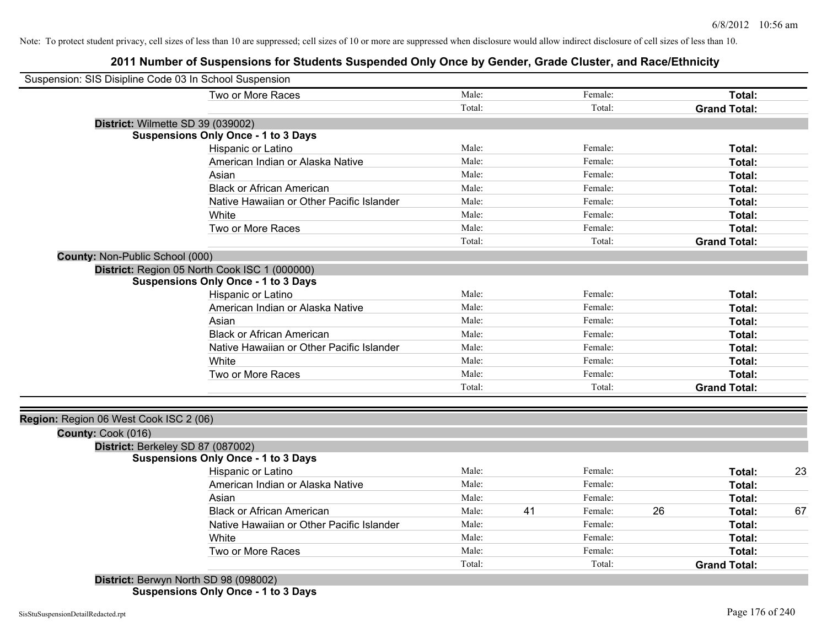## **2011 Number of Suspensions for Students Suspended Only Once by Gender, Grade Cluster, and Race/Ethnicity**

| Suspension: SIS Disipline Code 03 In School Suspension |                                               |        |    |         |    |                     |    |
|--------------------------------------------------------|-----------------------------------------------|--------|----|---------|----|---------------------|----|
|                                                        | Two or More Races                             | Male:  |    | Female: |    | Total:              |    |
|                                                        |                                               | Total: |    | Total:  |    | <b>Grand Total:</b> |    |
| District: Wilmette SD 39 (039002)                      |                                               |        |    |         |    |                     |    |
|                                                        | <b>Suspensions Only Once - 1 to 3 Days</b>    |        |    |         |    |                     |    |
|                                                        | Hispanic or Latino                            | Male:  |    | Female: |    | Total:              |    |
|                                                        | American Indian or Alaska Native              | Male:  |    | Female: |    | Total:              |    |
|                                                        | Asian                                         | Male:  |    | Female: |    | Total:              |    |
|                                                        | <b>Black or African American</b>              | Male:  |    | Female: |    | Total:              |    |
|                                                        | Native Hawaiian or Other Pacific Islander     | Male:  |    | Female: |    | Total:              |    |
|                                                        | White                                         | Male:  |    | Female: |    | Total:              |    |
|                                                        | Two or More Races                             | Male:  |    | Female: |    | Total:              |    |
|                                                        |                                               | Total: |    | Total:  |    | <b>Grand Total:</b> |    |
| <b>County: Non-Public School (000)</b>                 |                                               |        |    |         |    |                     |    |
|                                                        | District: Region 05 North Cook ISC 1 (000000) |        |    |         |    |                     |    |
|                                                        | <b>Suspensions Only Once - 1 to 3 Days</b>    |        |    |         |    |                     |    |
|                                                        | Hispanic or Latino                            | Male:  |    | Female: |    | Total:              |    |
|                                                        | American Indian or Alaska Native              | Male:  |    | Female: |    | Total:              |    |
|                                                        | Asian                                         | Male:  |    | Female: |    | Total:              |    |
|                                                        | <b>Black or African American</b>              | Male:  |    | Female: |    | Total:              |    |
|                                                        | Native Hawaiian or Other Pacific Islander     | Male:  |    | Female: |    | Total:              |    |
|                                                        | White                                         | Male:  |    | Female: |    | Total:              |    |
|                                                        | Two or More Races                             | Male:  |    | Female: |    | Total:              |    |
|                                                        |                                               | Total: |    | Total:  |    | <b>Grand Total:</b> |    |
|                                                        |                                               |        |    |         |    |                     |    |
| Region: Region 06 West Cook ISC 2 (06)                 |                                               |        |    |         |    |                     |    |
| County: Cook (016)                                     |                                               |        |    |         |    |                     |    |
| District: Berkeley SD 87 (087002)                      |                                               |        |    |         |    |                     |    |
|                                                        | <b>Suspensions Only Once - 1 to 3 Days</b>    |        |    |         |    |                     |    |
|                                                        | Hispanic or Latino                            | Male:  |    | Female: |    | Total:              | 23 |
|                                                        | American Indian or Alaska Native              | Male:  |    | Female: |    | Total:              |    |
|                                                        | Asian                                         | Male:  |    | Female: |    | Total:              |    |
|                                                        | <b>Black or African American</b>              | Male:  | 41 | Female: | 26 | Total:              | 67 |
|                                                        | Native Hawaiian or Other Pacific Islander     | Male:  |    | Female: |    | Total:              |    |
|                                                        | White                                         | Male:  |    | Female: |    | Total:              |    |
|                                                        | Two or More Races                             | Male:  |    | Female: |    | Total:              |    |
|                                                        |                                               | Total: |    | Total:  |    | <b>Grand Total:</b> |    |
| District: Berwyn North SD 98 (098002)                  |                                               |        |    |         |    |                     |    |

**Suspensions Only Once - 1 to 3 Days**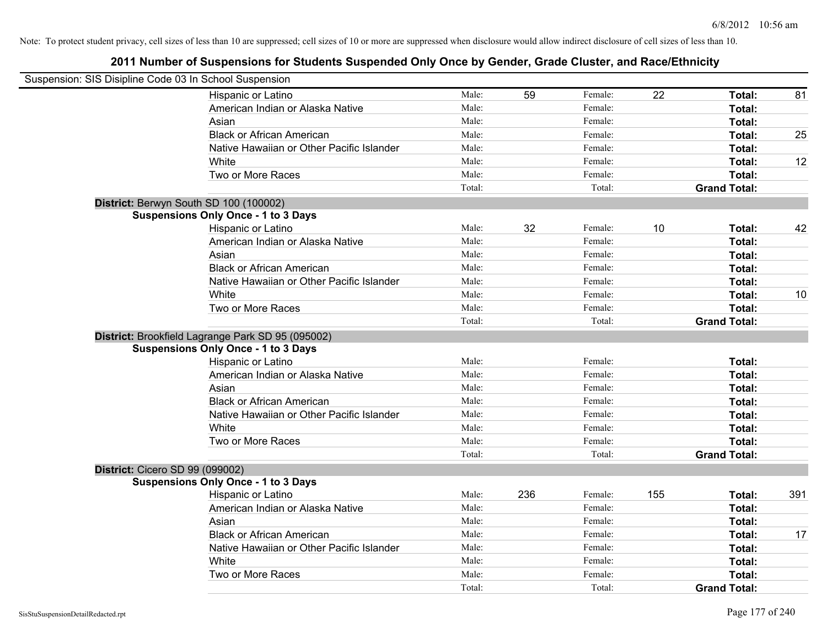| Suspension: SIS Disipline Code 03 In School Suspension |                                                   |        |     |         |     |                     |     |
|--------------------------------------------------------|---------------------------------------------------|--------|-----|---------|-----|---------------------|-----|
|                                                        | Hispanic or Latino                                | Male:  | 59  | Female: | 22  | Total:              | 81  |
|                                                        | American Indian or Alaska Native                  | Male:  |     | Female: |     | Total:              |     |
|                                                        | Asian                                             | Male:  |     | Female: |     | Total:              |     |
|                                                        | <b>Black or African American</b>                  | Male:  |     | Female: |     | Total:              | 25  |
|                                                        | Native Hawaiian or Other Pacific Islander         | Male:  |     | Female: |     | Total:              |     |
|                                                        | White                                             | Male:  |     | Female: |     | Total:              | 12  |
|                                                        | Two or More Races                                 | Male:  |     | Female: |     | Total:              |     |
|                                                        |                                                   | Total: |     | Total:  |     | <b>Grand Total:</b> |     |
| District: Berwyn South SD 100 (100002)                 |                                                   |        |     |         |     |                     |     |
|                                                        | <b>Suspensions Only Once - 1 to 3 Days</b>        |        |     |         |     |                     |     |
|                                                        | Hispanic or Latino                                | Male:  | 32  | Female: | 10  | Total:              | 42  |
|                                                        | American Indian or Alaska Native                  | Male:  |     | Female: |     | Total:              |     |
|                                                        | Asian                                             | Male:  |     | Female: |     | Total:              |     |
|                                                        | <b>Black or African American</b>                  | Male:  |     | Female: |     | Total:              |     |
|                                                        | Native Hawaiian or Other Pacific Islander         | Male:  |     | Female: |     | Total:              |     |
|                                                        | White                                             | Male:  |     | Female: |     | Total:              | 10  |
|                                                        | Two or More Races                                 | Male:  |     | Female: |     | Total:              |     |
|                                                        |                                                   | Total: |     | Total:  |     | <b>Grand Total:</b> |     |
|                                                        | District: Brookfield Lagrange Park SD 95 (095002) |        |     |         |     |                     |     |
|                                                        | <b>Suspensions Only Once - 1 to 3 Days</b>        |        |     |         |     |                     |     |
|                                                        | Hispanic or Latino                                | Male:  |     | Female: |     | Total:              |     |
|                                                        | American Indian or Alaska Native                  | Male:  |     | Female: |     | Total:              |     |
|                                                        | Asian                                             | Male:  |     | Female: |     | Total:              |     |
|                                                        | <b>Black or African American</b>                  | Male:  |     | Female: |     | Total:              |     |
|                                                        | Native Hawaiian or Other Pacific Islander         | Male:  |     | Female: |     | Total:              |     |
|                                                        | White                                             | Male:  |     | Female: |     | Total:              |     |
|                                                        | Two or More Races                                 | Male:  |     | Female: |     | Total:              |     |
|                                                        |                                                   | Total: |     | Total:  |     | <b>Grand Total:</b> |     |
| <b>District: Cicero SD 99 (099002)</b>                 |                                                   |        |     |         |     |                     |     |
|                                                        | <b>Suspensions Only Once - 1 to 3 Days</b>        |        |     |         |     |                     |     |
|                                                        | Hispanic or Latino                                | Male:  | 236 | Female: | 155 | Total:              | 391 |
|                                                        | American Indian or Alaska Native                  | Male:  |     | Female: |     | Total:              |     |
|                                                        | Asian                                             | Male:  |     | Female: |     | Total:              |     |
|                                                        | <b>Black or African American</b>                  | Male:  |     | Female: |     | Total:              | 17  |
|                                                        | Native Hawaiian or Other Pacific Islander         | Male:  |     | Female: |     | Total:              |     |
|                                                        | White                                             | Male:  |     | Female: |     | Total:              |     |
|                                                        | Two or More Races                                 | Male:  |     | Female: |     | Total:              |     |
|                                                        |                                                   | Total: |     | Total:  |     | <b>Grand Total:</b> |     |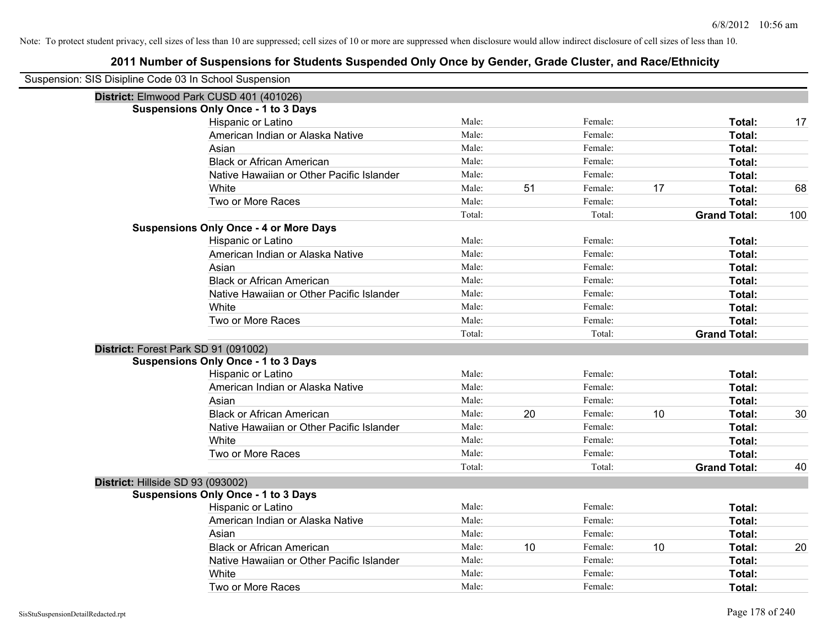| Suspension: SIS Disipline Code 03 In School Suspension |                                               |        |    |         |    |                     |     |
|--------------------------------------------------------|-----------------------------------------------|--------|----|---------|----|---------------------|-----|
|                                                        | District: Elmwood Park CUSD 401 (401026)      |        |    |         |    |                     |     |
|                                                        | <b>Suspensions Only Once - 1 to 3 Days</b>    |        |    |         |    |                     |     |
|                                                        | Hispanic or Latino                            | Male:  |    | Female: |    | Total:              | 17  |
|                                                        | American Indian or Alaska Native              | Male:  |    | Female: |    | Total:              |     |
|                                                        | Asian                                         | Male:  |    | Female: |    | Total:              |     |
|                                                        | <b>Black or African American</b>              | Male:  |    | Female: |    | Total:              |     |
|                                                        | Native Hawaiian or Other Pacific Islander     | Male:  |    | Female: |    | Total:              |     |
|                                                        | White                                         | Male:  | 51 | Female: | 17 | Total:              | 68  |
|                                                        | Two or More Races                             | Male:  |    | Female: |    | Total:              |     |
|                                                        |                                               | Total: |    | Total:  |    | <b>Grand Total:</b> | 100 |
|                                                        | <b>Suspensions Only Once - 4 or More Days</b> |        |    |         |    |                     |     |
|                                                        | Hispanic or Latino                            | Male:  |    | Female: |    | Total:              |     |
|                                                        | American Indian or Alaska Native              | Male:  |    | Female: |    | Total:              |     |
|                                                        | Asian                                         | Male:  |    | Female: |    | Total:              |     |
|                                                        | <b>Black or African American</b>              | Male:  |    | Female: |    | Total:              |     |
|                                                        | Native Hawaiian or Other Pacific Islander     | Male:  |    | Female: |    | Total:              |     |
|                                                        | White                                         | Male:  |    | Female: |    | Total:              |     |
|                                                        | Two or More Races                             | Male:  |    | Female: |    | Total:              |     |
|                                                        |                                               | Total: |    | Total:  |    | <b>Grand Total:</b> |     |
| District: Forest Park SD 91 (091002)                   |                                               |        |    |         |    |                     |     |
|                                                        | <b>Suspensions Only Once - 1 to 3 Days</b>    |        |    |         |    |                     |     |
|                                                        | Hispanic or Latino                            | Male:  |    | Female: |    | Total:              |     |
|                                                        | American Indian or Alaska Native              | Male:  |    | Female: |    | Total:              |     |
|                                                        | Asian                                         | Male:  |    | Female: |    | Total:              |     |
|                                                        | <b>Black or African American</b>              | Male:  | 20 | Female: | 10 | Total:              | 30  |
|                                                        | Native Hawaiian or Other Pacific Islander     | Male:  |    | Female: |    | Total:              |     |
|                                                        | White                                         | Male:  |    | Female: |    | Total:              |     |
|                                                        | Two or More Races                             | Male:  |    | Female: |    | Total:              |     |
|                                                        |                                               | Total: |    | Total:  |    | <b>Grand Total:</b> | 40  |
| District: Hillside SD 93 (093002)                      |                                               |        |    |         |    |                     |     |
|                                                        | <b>Suspensions Only Once - 1 to 3 Days</b>    |        |    |         |    |                     |     |
|                                                        | Hispanic or Latino                            | Male:  |    | Female: |    | Total:              |     |
|                                                        | American Indian or Alaska Native              | Male:  |    | Female: |    | Total:              |     |
|                                                        | Asian                                         | Male:  |    | Female: |    | Total:              |     |
|                                                        | <b>Black or African American</b>              | Male:  | 10 | Female: | 10 | Total:              | 20  |
|                                                        | Native Hawaiian or Other Pacific Islander     | Male:  |    | Female: |    | Total:              |     |
|                                                        | White                                         | Male:  |    | Female: |    | Total:              |     |
|                                                        | Two or More Races                             | Male:  |    | Female: |    | Total:              |     |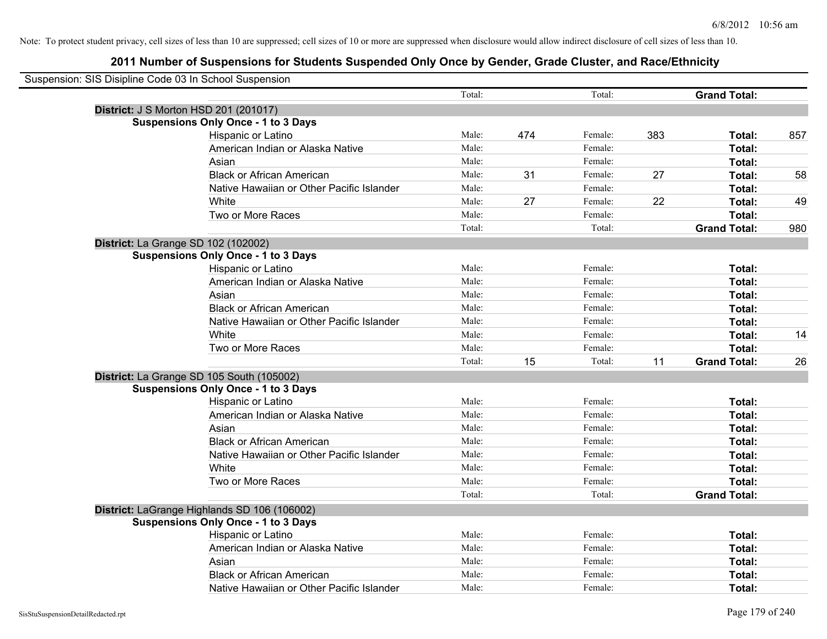| Suspension: SIS Disipline Code 03 In School Suspension |                                              |        |     |         |     |                     |     |
|--------------------------------------------------------|----------------------------------------------|--------|-----|---------|-----|---------------------|-----|
|                                                        |                                              | Total: |     | Total:  |     | <b>Grand Total:</b> |     |
|                                                        | <b>District: J S Morton HSD 201 (201017)</b> |        |     |         |     |                     |     |
|                                                        | <b>Suspensions Only Once - 1 to 3 Days</b>   |        |     |         |     |                     |     |
|                                                        | Hispanic or Latino                           | Male:  | 474 | Female: | 383 | Total:              | 857 |
|                                                        | American Indian or Alaska Native             | Male:  |     | Female: |     | Total:              |     |
|                                                        | Asian                                        | Male:  |     | Female: |     | Total:              |     |
|                                                        | <b>Black or African American</b>             | Male:  | 31  | Female: | 27  | Total:              | 58  |
|                                                        | Native Hawaiian or Other Pacific Islander    | Male:  |     | Female: |     | Total:              |     |
|                                                        | White                                        | Male:  | 27  | Female: | 22  | Total:              | 49  |
|                                                        | Two or More Races                            | Male:  |     | Female: |     | Total:              |     |
|                                                        |                                              | Total: |     | Total:  |     | <b>Grand Total:</b> | 980 |
|                                                        | District: La Grange SD 102 (102002)          |        |     |         |     |                     |     |
|                                                        | <b>Suspensions Only Once - 1 to 3 Days</b>   |        |     |         |     |                     |     |
|                                                        | Hispanic or Latino                           | Male:  |     | Female: |     | Total:              |     |
|                                                        | American Indian or Alaska Native             | Male:  |     | Female: |     | Total:              |     |
|                                                        | Asian                                        | Male:  |     | Female: |     | Total:              |     |
|                                                        | <b>Black or African American</b>             | Male:  |     | Female: |     | Total:              |     |
|                                                        | Native Hawaiian or Other Pacific Islander    | Male:  |     | Female: |     | Total:              |     |
|                                                        | White                                        | Male:  |     | Female: |     | Total:              | 14  |
|                                                        | Two or More Races                            | Male:  |     | Female: |     | Total:              |     |
|                                                        |                                              | Total: | 15  | Total:  | 11  | <b>Grand Total:</b> | 26  |
|                                                        | District: La Grange SD 105 South (105002)    |        |     |         |     |                     |     |
|                                                        | <b>Suspensions Only Once - 1 to 3 Days</b>   |        |     |         |     |                     |     |
|                                                        | Hispanic or Latino                           | Male:  |     | Female: |     | Total:              |     |
|                                                        | American Indian or Alaska Native             | Male:  |     | Female: |     | Total:              |     |
|                                                        | Asian                                        | Male:  |     | Female: |     | Total:              |     |
|                                                        | <b>Black or African American</b>             | Male:  |     | Female: |     | Total:              |     |
|                                                        | Native Hawaiian or Other Pacific Islander    | Male:  |     | Female: |     | Total:              |     |
|                                                        | White                                        | Male:  |     | Female: |     | Total:              |     |
|                                                        | Two or More Races                            | Male:  |     | Female: |     | Total:              |     |
|                                                        |                                              | Total: |     | Total:  |     | <b>Grand Total:</b> |     |
|                                                        | District: LaGrange Highlands SD 106 (106002) |        |     |         |     |                     |     |
|                                                        | <b>Suspensions Only Once - 1 to 3 Days</b>   |        |     |         |     |                     |     |
|                                                        | Hispanic or Latino                           | Male:  |     | Female: |     | Total:              |     |
|                                                        | American Indian or Alaska Native             | Male:  |     | Female: |     | Total:              |     |
|                                                        | Asian                                        | Male:  |     | Female: |     | Total:              |     |
|                                                        | <b>Black or African American</b>             | Male:  |     | Female: |     | Total:              |     |
|                                                        | Native Hawaiian or Other Pacific Islander    | Male:  |     | Female: |     | Total:              |     |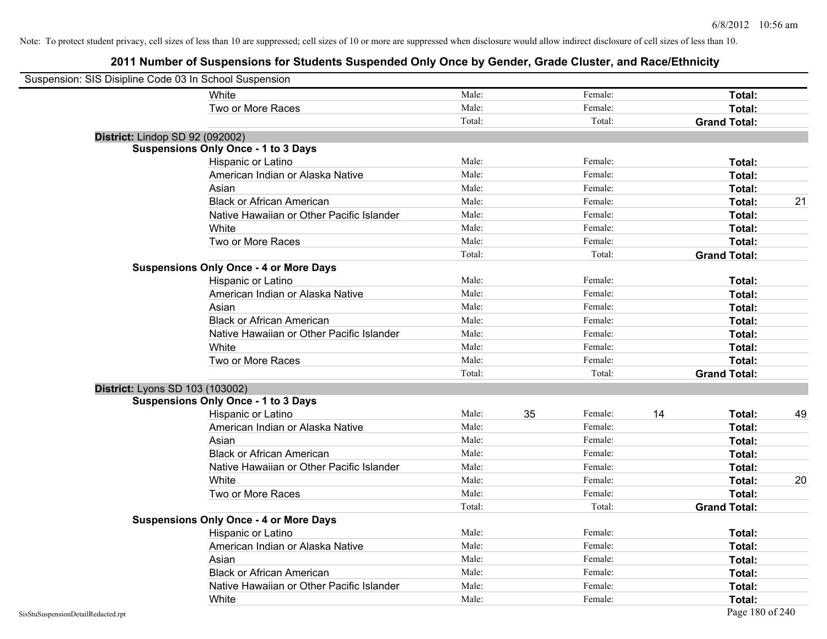| Suspension: SIS Disipline Code 03 In School Suspension |                                               |        |    |         |    |                     |    |
|--------------------------------------------------------|-----------------------------------------------|--------|----|---------|----|---------------------|----|
|                                                        | <b>White</b>                                  | Male:  |    | Female: |    | Total:              |    |
|                                                        | Two or More Races                             | Male:  |    | Female: |    | Total:              |    |
|                                                        |                                               | Total: |    | Total:  |    | <b>Grand Total:</b> |    |
| District: Lindop SD 92 (092002)                        |                                               |        |    |         |    |                     |    |
|                                                        | <b>Suspensions Only Once - 1 to 3 Days</b>    |        |    |         |    |                     |    |
|                                                        | Hispanic or Latino                            | Male:  |    | Female: |    | Total:              |    |
|                                                        | American Indian or Alaska Native              | Male:  |    | Female: |    | Total:              |    |
|                                                        | Asian                                         | Male:  |    | Female: |    | Total:              |    |
|                                                        | <b>Black or African American</b>              | Male:  |    | Female: |    | Total:              | 21 |
|                                                        | Native Hawaiian or Other Pacific Islander     | Male:  |    | Female: |    | Total:              |    |
|                                                        | White                                         | Male:  |    | Female: |    | Total:              |    |
|                                                        | Two or More Races                             | Male:  |    | Female: |    | Total:              |    |
|                                                        |                                               | Total: |    | Total:  |    | <b>Grand Total:</b> |    |
|                                                        | <b>Suspensions Only Once - 4 or More Days</b> |        |    |         |    |                     |    |
|                                                        | Hispanic or Latino                            | Male:  |    | Female: |    | Total:              |    |
|                                                        | American Indian or Alaska Native              | Male:  |    | Female: |    | Total:              |    |
|                                                        | Asian                                         | Male:  |    | Female: |    | Total:              |    |
|                                                        | <b>Black or African American</b>              | Male:  |    | Female: |    | Total:              |    |
|                                                        | Native Hawaiian or Other Pacific Islander     | Male:  |    | Female: |    | Total:              |    |
|                                                        | White                                         | Male:  |    | Female: |    | Total:              |    |
|                                                        | Two or More Races                             | Male:  |    | Female: |    | Total:              |    |
|                                                        |                                               | Total: |    | Total:  |    | <b>Grand Total:</b> |    |
| District: Lyons SD 103 (103002)                        |                                               |        |    |         |    |                     |    |
|                                                        | <b>Suspensions Only Once - 1 to 3 Days</b>    |        |    |         |    |                     |    |
|                                                        | Hispanic or Latino                            | Male:  | 35 | Female: | 14 | Total:              | 49 |
|                                                        | American Indian or Alaska Native              | Male:  |    | Female: |    | Total:              |    |
|                                                        | Asian                                         | Male:  |    | Female: |    | Total:              |    |
|                                                        | <b>Black or African American</b>              | Male:  |    | Female: |    | Total:              |    |
|                                                        | Native Hawaiian or Other Pacific Islander     | Male:  |    | Female: |    | Total:              |    |
|                                                        | White                                         | Male:  |    | Female: |    | Total:              | 20 |
|                                                        | Two or More Races                             | Male:  |    | Female: |    | Total:              |    |
|                                                        |                                               | Total: |    | Total:  |    | <b>Grand Total:</b> |    |
|                                                        | <b>Suspensions Only Once - 4 or More Days</b> |        |    |         |    |                     |    |
|                                                        | Hispanic or Latino                            | Male:  |    | Female: |    | Total:              |    |
|                                                        | American Indian or Alaska Native              | Male:  |    | Female: |    | Total:              |    |
|                                                        | Asian                                         | Male:  |    | Female: |    | Total:              |    |
|                                                        | <b>Black or African American</b>              | Male:  |    | Female: |    | Total:              |    |
|                                                        | Native Hawaiian or Other Pacific Islander     | Male:  |    | Female: |    | Total:              |    |
|                                                        | White                                         | Male:  |    | Female: |    | Total:              |    |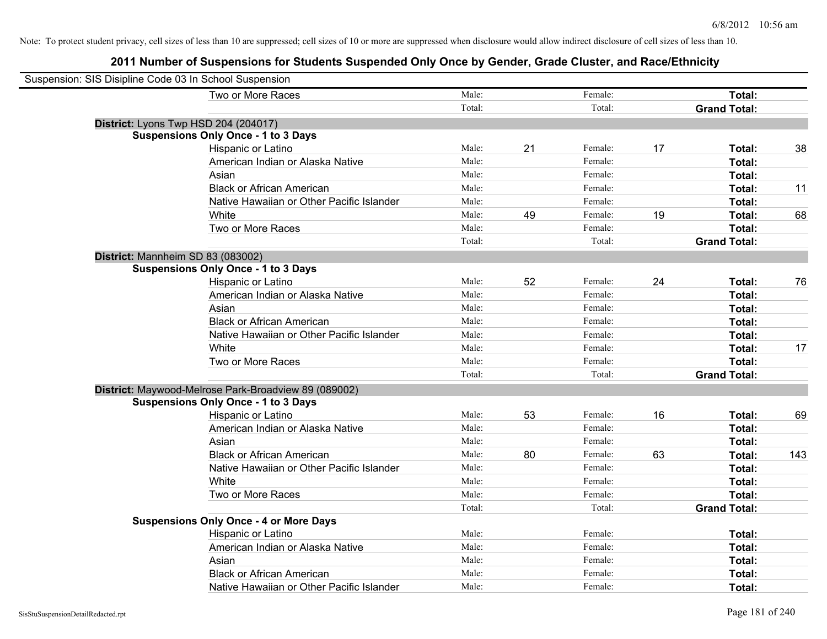| Suspension: SIS Disipline Code 03 In School Suspension |                                                      |        |    |         |    |                     |     |
|--------------------------------------------------------|------------------------------------------------------|--------|----|---------|----|---------------------|-----|
|                                                        | Two or More Races                                    | Male:  |    | Female: |    | Total:              |     |
|                                                        |                                                      | Total: |    | Total:  |    | <b>Grand Total:</b> |     |
| District: Lyons Twp HSD 204 (204017)                   |                                                      |        |    |         |    |                     |     |
|                                                        | <b>Suspensions Only Once - 1 to 3 Days</b>           |        |    |         |    |                     |     |
|                                                        | Hispanic or Latino                                   | Male:  | 21 | Female: | 17 | Total:              | 38  |
|                                                        | American Indian or Alaska Native                     | Male:  |    | Female: |    | Total:              |     |
|                                                        | Asian                                                | Male:  |    | Female: |    | Total:              |     |
|                                                        | <b>Black or African American</b>                     | Male:  |    | Female: |    | Total:              | 11  |
|                                                        | Native Hawaiian or Other Pacific Islander            | Male:  |    | Female: |    | Total:              |     |
|                                                        | White                                                | Male:  | 49 | Female: | 19 | Total:              | 68  |
|                                                        | Two or More Races                                    | Male:  |    | Female: |    | Total:              |     |
|                                                        |                                                      | Total: |    | Total:  |    | <b>Grand Total:</b> |     |
| District: Mannheim SD 83 (083002)                      |                                                      |        |    |         |    |                     |     |
|                                                        | <b>Suspensions Only Once - 1 to 3 Days</b>           |        |    |         |    |                     |     |
|                                                        | Hispanic or Latino                                   | Male:  | 52 | Female: | 24 | Total:              | 76  |
|                                                        | American Indian or Alaska Native                     | Male:  |    | Female: |    | Total:              |     |
|                                                        | Asian                                                | Male:  |    | Female: |    | Total:              |     |
|                                                        | <b>Black or African American</b>                     | Male:  |    | Female: |    | Total:              |     |
|                                                        | Native Hawaiian or Other Pacific Islander            | Male:  |    | Female: |    | Total:              |     |
|                                                        | White                                                | Male:  |    | Female: |    | Total:              | 17  |
|                                                        | Two or More Races                                    | Male:  |    | Female: |    | Total:              |     |
|                                                        |                                                      | Total: |    | Total:  |    | <b>Grand Total:</b> |     |
|                                                        | District: Maywood-Melrose Park-Broadview 89 (089002) |        |    |         |    |                     |     |
|                                                        | <b>Suspensions Only Once - 1 to 3 Days</b>           |        |    |         |    |                     |     |
|                                                        | Hispanic or Latino                                   | Male:  | 53 | Female: | 16 | Total:              | 69  |
|                                                        | American Indian or Alaska Native                     | Male:  |    | Female: |    | Total:              |     |
|                                                        | Asian                                                | Male:  |    | Female: |    | Total:              |     |
|                                                        | <b>Black or African American</b>                     | Male:  | 80 | Female: | 63 | Total:              | 143 |
|                                                        | Native Hawaiian or Other Pacific Islander            | Male:  |    | Female: |    | Total:              |     |
|                                                        | White                                                | Male:  |    | Female: |    | Total:              |     |
|                                                        | Two or More Races                                    | Male:  |    | Female: |    | Total:              |     |
|                                                        |                                                      | Total: |    | Total:  |    | <b>Grand Total:</b> |     |
|                                                        | <b>Suspensions Only Once - 4 or More Days</b>        |        |    |         |    |                     |     |
|                                                        | Hispanic or Latino                                   | Male:  |    | Female: |    | Total:              |     |
|                                                        | American Indian or Alaska Native                     | Male:  |    | Female: |    | Total:              |     |
|                                                        | Asian                                                | Male:  |    | Female: |    | Total:              |     |
|                                                        | <b>Black or African American</b>                     | Male:  |    | Female: |    | Total:              |     |
|                                                        | Native Hawaiian or Other Pacific Islander            | Male:  |    | Female: |    | Total:              |     |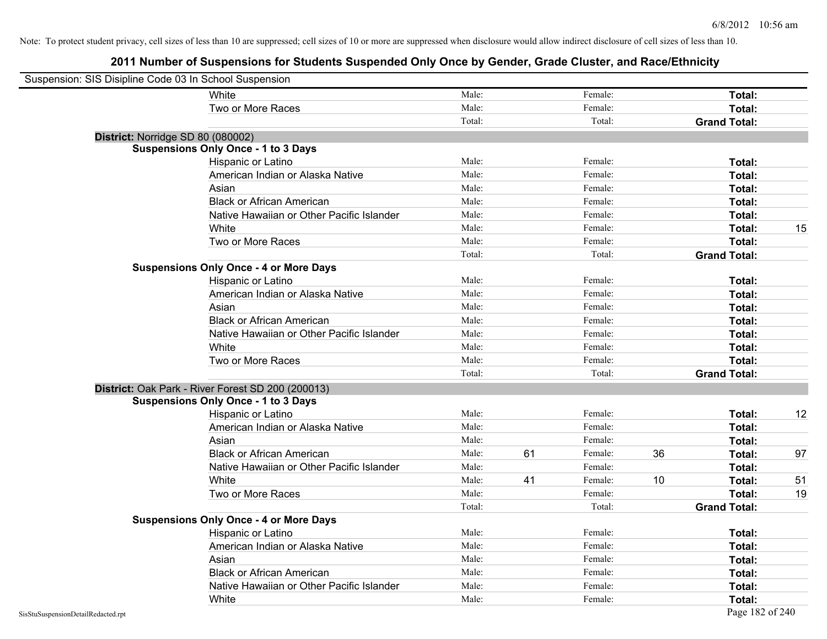| Suspension: SIS Disipline Code 03 In School Suspension |                                                   |        |    |         |    |                     |    |
|--------------------------------------------------------|---------------------------------------------------|--------|----|---------|----|---------------------|----|
|                                                        | <b>White</b>                                      | Male:  |    | Female: |    | Total:              |    |
|                                                        | Two or More Races                                 | Male:  |    | Female: |    | Total:              |    |
|                                                        |                                                   | Total: |    | Total:  |    | <b>Grand Total:</b> |    |
| District: Norridge SD 80 (080002)                      |                                                   |        |    |         |    |                     |    |
|                                                        | <b>Suspensions Only Once - 1 to 3 Days</b>        |        |    |         |    |                     |    |
|                                                        | Hispanic or Latino                                | Male:  |    | Female: |    | Total:              |    |
|                                                        | American Indian or Alaska Native                  | Male:  |    | Female: |    | Total:              |    |
|                                                        | Asian                                             | Male:  |    | Female: |    | Total:              |    |
|                                                        | <b>Black or African American</b>                  | Male:  |    | Female: |    | Total:              |    |
|                                                        | Native Hawaiian or Other Pacific Islander         | Male:  |    | Female: |    | Total:              |    |
|                                                        | White                                             | Male:  |    | Female: |    | Total:              | 15 |
|                                                        | Two or More Races                                 | Male:  |    | Female: |    | Total:              |    |
|                                                        |                                                   | Total: |    | Total:  |    | <b>Grand Total:</b> |    |
|                                                        | <b>Suspensions Only Once - 4 or More Days</b>     |        |    |         |    |                     |    |
|                                                        | Hispanic or Latino                                | Male:  |    | Female: |    | Total:              |    |
|                                                        | American Indian or Alaska Native                  | Male:  |    | Female: |    | Total:              |    |
|                                                        | Asian                                             | Male:  |    | Female: |    | Total:              |    |
|                                                        | <b>Black or African American</b>                  | Male:  |    | Female: |    | Total:              |    |
|                                                        | Native Hawaiian or Other Pacific Islander         | Male:  |    | Female: |    | Total:              |    |
|                                                        | White                                             | Male:  |    | Female: |    | Total:              |    |
|                                                        | Two or More Races                                 | Male:  |    | Female: |    | Total:              |    |
|                                                        |                                                   | Total: |    | Total:  |    | <b>Grand Total:</b> |    |
|                                                        | District: Oak Park - River Forest SD 200 (200013) |        |    |         |    |                     |    |
|                                                        | <b>Suspensions Only Once - 1 to 3 Days</b>        |        |    |         |    |                     |    |
|                                                        | Hispanic or Latino                                | Male:  |    | Female: |    | Total:              | 12 |
|                                                        | American Indian or Alaska Native                  | Male:  |    | Female: |    | Total:              |    |
|                                                        | Asian                                             | Male:  |    | Female: |    | Total:              |    |
|                                                        | <b>Black or African American</b>                  | Male:  | 61 | Female: | 36 | Total:              | 97 |
|                                                        | Native Hawaiian or Other Pacific Islander         | Male:  |    | Female: |    | Total:              |    |
|                                                        | White                                             | Male:  | 41 | Female: | 10 | Total:              | 51 |
|                                                        | Two or More Races                                 | Male:  |    | Female: |    | Total:              | 19 |
|                                                        |                                                   | Total: |    | Total:  |    | <b>Grand Total:</b> |    |
|                                                        | <b>Suspensions Only Once - 4 or More Days</b>     |        |    |         |    |                     |    |
|                                                        | Hispanic or Latino                                | Male:  |    | Female: |    | Total:              |    |
|                                                        | American Indian or Alaska Native                  | Male:  |    | Female: |    | Total:              |    |
|                                                        | Asian                                             | Male:  |    | Female: |    | Total:              |    |
|                                                        | <b>Black or African American</b>                  | Male:  |    | Female: |    | Total:              |    |
|                                                        | Native Hawaiian or Other Pacific Islander         | Male:  |    | Female: |    | Total:              |    |
|                                                        | White                                             | Male:  |    | Female: |    | Total:              |    |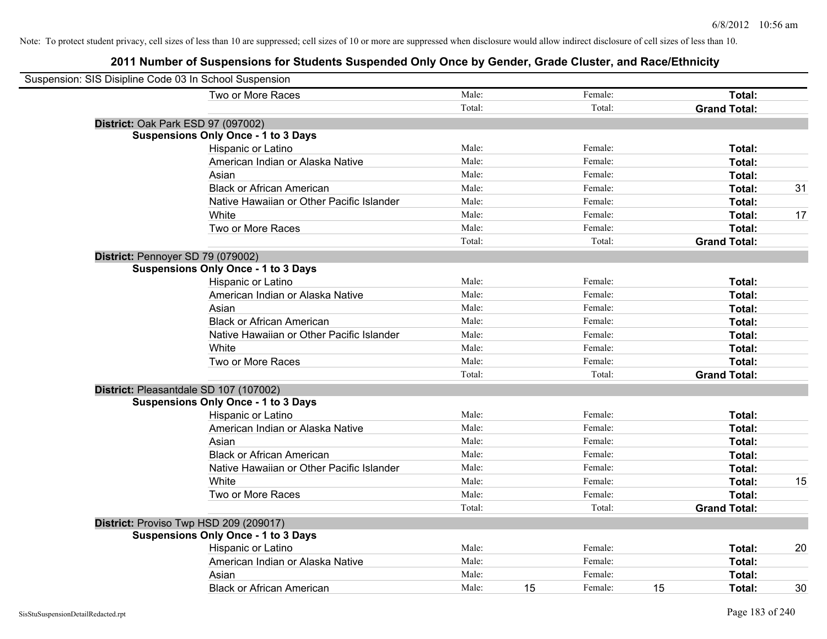| Suspension: SIS Disipline Code 03 In School Suspension |                                            |        |    |         |    |                     |    |
|--------------------------------------------------------|--------------------------------------------|--------|----|---------|----|---------------------|----|
|                                                        | Two or More Races                          | Male:  |    | Female: |    | Total:              |    |
|                                                        |                                            | Total: |    | Total:  |    | <b>Grand Total:</b> |    |
|                                                        | District: Oak Park ESD 97 (097002)         |        |    |         |    |                     |    |
|                                                        | <b>Suspensions Only Once - 1 to 3 Days</b> |        |    |         |    |                     |    |
|                                                        | Hispanic or Latino                         | Male:  |    | Female: |    | Total:              |    |
|                                                        | American Indian or Alaska Native           | Male:  |    | Female: |    | Total:              |    |
|                                                        | Asian                                      | Male:  |    | Female: |    | Total:              |    |
|                                                        | <b>Black or African American</b>           | Male:  |    | Female: |    | Total:              | 31 |
|                                                        | Native Hawaiian or Other Pacific Islander  | Male:  |    | Female: |    | Total:              |    |
|                                                        | White                                      | Male:  |    | Female: |    | Total:              | 17 |
|                                                        | Two or More Races                          | Male:  |    | Female: |    | Total:              |    |
|                                                        |                                            | Total: |    | Total:  |    | <b>Grand Total:</b> |    |
| District: Pennoyer SD 79 (079002)                      |                                            |        |    |         |    |                     |    |
|                                                        | <b>Suspensions Only Once - 1 to 3 Days</b> |        |    |         |    |                     |    |
|                                                        | Hispanic or Latino                         | Male:  |    | Female: |    | Total:              |    |
|                                                        | American Indian or Alaska Native           | Male:  |    | Female: |    | Total:              |    |
|                                                        | Asian                                      | Male:  |    | Female: |    | Total:              |    |
|                                                        | <b>Black or African American</b>           | Male:  |    | Female: |    | Total:              |    |
|                                                        | Native Hawaiian or Other Pacific Islander  | Male:  |    | Female: |    | Total:              |    |
|                                                        | White                                      | Male:  |    | Female: |    | Total:              |    |
|                                                        | Two or More Races                          | Male:  |    | Female: |    | Total:              |    |
|                                                        |                                            | Total: |    | Total:  |    | <b>Grand Total:</b> |    |
|                                                        | District: Pleasantdale SD 107 (107002)     |        |    |         |    |                     |    |
|                                                        | <b>Suspensions Only Once - 1 to 3 Days</b> |        |    |         |    |                     |    |
|                                                        | Hispanic or Latino                         | Male:  |    | Female: |    | Total:              |    |
|                                                        | American Indian or Alaska Native           | Male:  |    | Female: |    | Total:              |    |
|                                                        | Asian                                      | Male:  |    | Female: |    | Total:              |    |
|                                                        | <b>Black or African American</b>           | Male:  |    | Female: |    | Total:              |    |
|                                                        | Native Hawaiian or Other Pacific Islander  | Male:  |    | Female: |    | Total:              |    |
|                                                        | White                                      | Male:  |    | Female: |    | Total:              | 15 |
|                                                        | Two or More Races                          | Male:  |    | Female: |    | Total:              |    |
|                                                        |                                            | Total: |    | Total:  |    | <b>Grand Total:</b> |    |
|                                                        | District: Proviso Twp HSD 209 (209017)     |        |    |         |    |                     |    |
|                                                        | <b>Suspensions Only Once - 1 to 3 Days</b> |        |    |         |    |                     |    |
|                                                        | Hispanic or Latino                         | Male:  |    | Female: |    | Total:              | 20 |
|                                                        | American Indian or Alaska Native           | Male:  |    | Female: |    | Total:              |    |
|                                                        | Asian                                      | Male:  |    | Female: |    | Total:              |    |
|                                                        | <b>Black or African American</b>           | Male:  | 15 | Female: | 15 | Total:              | 30 |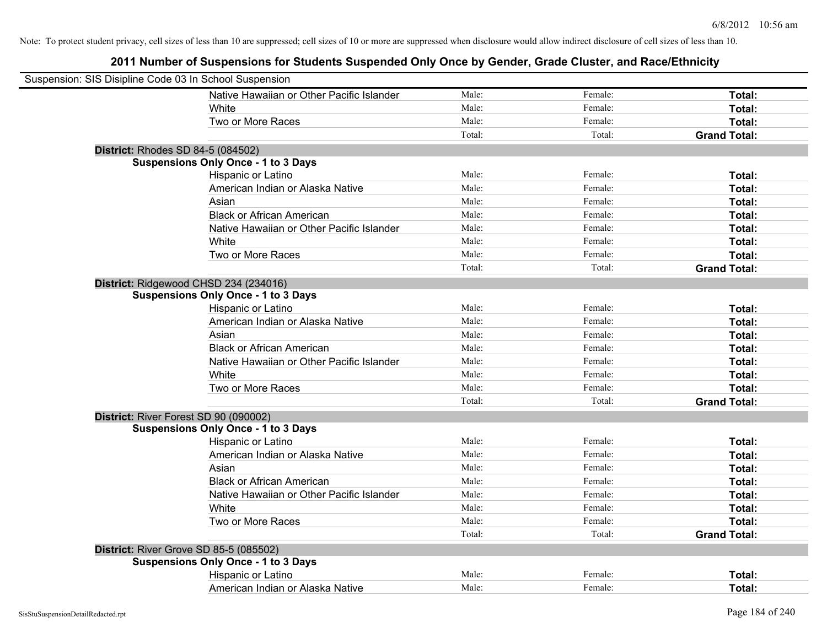| Suspension: SIS Disipline Code 03 In School Suspension |                                            |        |         |                     |
|--------------------------------------------------------|--------------------------------------------|--------|---------|---------------------|
|                                                        | Native Hawaiian or Other Pacific Islander  | Male:  | Female: | Total:              |
|                                                        | White                                      | Male:  | Female: | Total:              |
|                                                        | Two or More Races                          | Male:  | Female: | Total:              |
|                                                        |                                            | Total: | Total:  | <b>Grand Total:</b> |
| <b>District: Rhodes SD 84-5 (084502)</b>               |                                            |        |         |                     |
|                                                        | <b>Suspensions Only Once - 1 to 3 Days</b> |        |         |                     |
|                                                        | Hispanic or Latino                         | Male:  | Female: | Total:              |
|                                                        | American Indian or Alaska Native           | Male:  | Female: | Total:              |
|                                                        | Asian                                      | Male:  | Female: | Total:              |
|                                                        | <b>Black or African American</b>           | Male:  | Female: | Total:              |
|                                                        | Native Hawaiian or Other Pacific Islander  | Male:  | Female: | Total:              |
|                                                        | White                                      | Male:  | Female: | Total:              |
|                                                        | Two or More Races                          | Male:  | Female: | Total:              |
|                                                        |                                            | Total: | Total:  | <b>Grand Total:</b> |
| District: Ridgewood CHSD 234 (234016)                  |                                            |        |         |                     |
|                                                        | <b>Suspensions Only Once - 1 to 3 Days</b> |        |         |                     |
|                                                        | Hispanic or Latino                         | Male:  | Female: | Total:              |
|                                                        | American Indian or Alaska Native           | Male:  | Female: | Total:              |
|                                                        | Asian                                      | Male:  | Female: | Total:              |
|                                                        | <b>Black or African American</b>           | Male:  | Female: | Total:              |
|                                                        | Native Hawaiian or Other Pacific Islander  | Male:  | Female: | Total:              |
|                                                        | White                                      | Male:  | Female: | Total:              |
|                                                        | Two or More Races                          | Male:  | Female: | Total:              |
|                                                        |                                            | Total: | Total:  | <b>Grand Total:</b> |
| District: River Forest SD 90 (090002)                  |                                            |        |         |                     |
|                                                        | <b>Suspensions Only Once - 1 to 3 Days</b> |        |         |                     |
|                                                        | Hispanic or Latino                         | Male:  | Female: | Total:              |
|                                                        | American Indian or Alaska Native           | Male:  | Female: | Total:              |
|                                                        | Asian                                      | Male:  | Female: | Total:              |
|                                                        | <b>Black or African American</b>           | Male:  | Female: | Total:              |
|                                                        | Native Hawaiian or Other Pacific Islander  | Male:  | Female: | Total:              |
|                                                        | White                                      | Male:  | Female: | Total:              |
|                                                        | Two or More Races                          | Male:  | Female: | Total:              |
|                                                        |                                            | Total: | Total:  | <b>Grand Total:</b> |
| <b>District: River Grove SD 85-5 (085502)</b>          |                                            |        |         |                     |
|                                                        | <b>Suspensions Only Once - 1 to 3 Days</b> |        |         |                     |
|                                                        | Hispanic or Latino                         | Male:  | Female: | Total:              |
|                                                        | American Indian or Alaska Native           | Male:  | Female: | Total:              |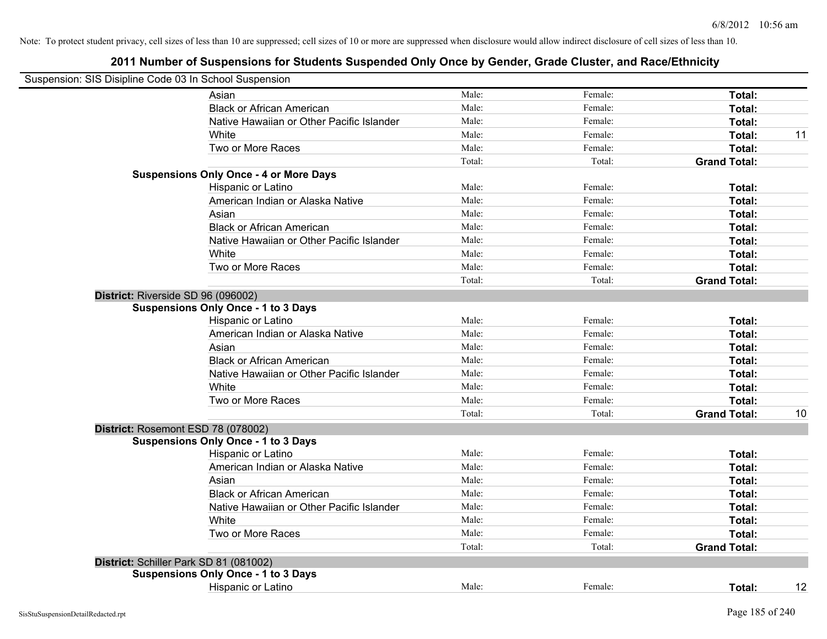| Suspension: SIS Disipline Code 03 In School Suspension |        |         |                     |    |
|--------------------------------------------------------|--------|---------|---------------------|----|
| Asian                                                  | Male:  | Female: | Total:              |    |
| <b>Black or African American</b>                       | Male:  | Female: | Total:              |    |
| Native Hawaiian or Other Pacific Islander              | Male:  | Female: | Total:              |    |
| White                                                  | Male:  | Female: | Total:              | 11 |
| Two or More Races                                      | Male:  | Female: | Total:              |    |
|                                                        | Total: | Total:  | <b>Grand Total:</b> |    |
| <b>Suspensions Only Once - 4 or More Days</b>          |        |         |                     |    |
| Hispanic or Latino                                     | Male:  | Female: | Total:              |    |
| American Indian or Alaska Native                       | Male:  | Female: | Total:              |    |
| Asian                                                  | Male:  | Female: | Total:              |    |
| <b>Black or African American</b>                       | Male:  | Female: | Total:              |    |
| Native Hawaiian or Other Pacific Islander              | Male:  | Female: | Total:              |    |
| White                                                  | Male:  | Female: | Total:              |    |
| Two or More Races                                      | Male:  | Female: | Total:              |    |
|                                                        | Total: | Total:  | <b>Grand Total:</b> |    |
| District: Riverside SD 96 (096002)                     |        |         |                     |    |
| <b>Suspensions Only Once - 1 to 3 Days</b>             |        |         |                     |    |
| Hispanic or Latino                                     | Male:  | Female: | Total:              |    |
| American Indian or Alaska Native                       | Male:  | Female: | Total:              |    |
| Asian                                                  | Male:  | Female: | Total:              |    |
| <b>Black or African American</b>                       | Male:  | Female: | Total:              |    |
| Native Hawaiian or Other Pacific Islander              | Male:  | Female: | Total:              |    |
| White                                                  | Male:  | Female: | Total:              |    |
| Two or More Races                                      | Male:  | Female: | Total:              |    |
|                                                        | Total: | Total:  | <b>Grand Total:</b> | 10 |
| District: Rosemont ESD 78 (078002)                     |        |         |                     |    |
| <b>Suspensions Only Once - 1 to 3 Days</b>             |        |         |                     |    |
| Hispanic or Latino                                     | Male:  | Female: | Total:              |    |
| American Indian or Alaska Native                       | Male:  | Female: | Total:              |    |
| Asian                                                  | Male:  | Female: | Total:              |    |
| <b>Black or African American</b>                       | Male:  | Female: | Total:              |    |
| Native Hawaiian or Other Pacific Islander              | Male:  | Female: | Total:              |    |
| White                                                  | Male:  | Female: | Total:              |    |
| Two or More Races                                      | Male:  | Female: | Total:              |    |
|                                                        | Total: | Total:  | <b>Grand Total:</b> |    |
| District: Schiller Park SD 81 (081002)                 |        |         |                     |    |
| <b>Suspensions Only Once - 1 to 3 Days</b>             |        |         |                     |    |
| Hispanic or Latino                                     | Male:  | Female: | Total:              | 12 |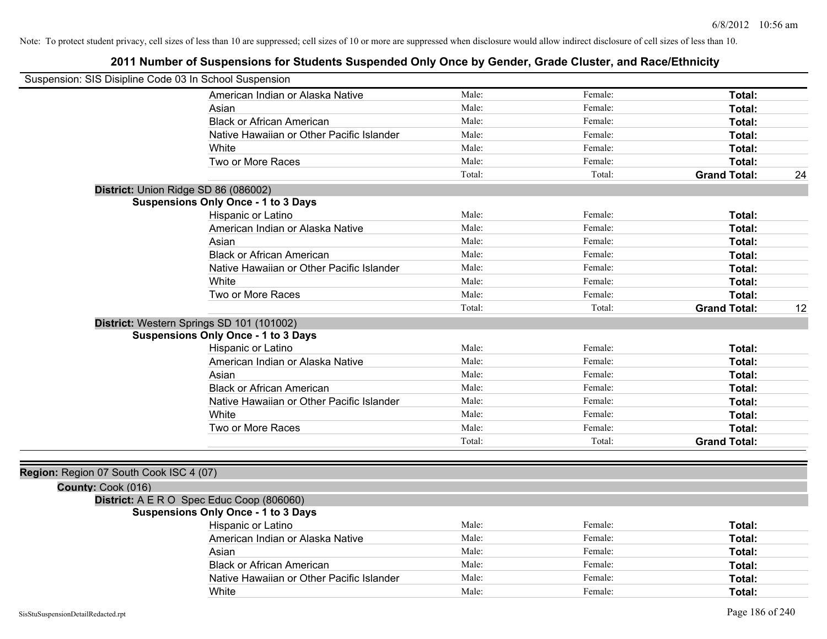| Suspension: SIS Disipline Code 03 In School Suspension |                                            |        |         |                     |    |
|--------------------------------------------------------|--------------------------------------------|--------|---------|---------------------|----|
|                                                        | American Indian or Alaska Native           | Male:  | Female: | Total:              |    |
|                                                        | Asian                                      | Male:  | Female: | Total:              |    |
|                                                        | <b>Black or African American</b>           | Male:  | Female: | Total:              |    |
|                                                        | Native Hawaiian or Other Pacific Islander  | Male:  | Female: | Total:              |    |
|                                                        | White                                      | Male:  | Female: | Total:              |    |
|                                                        | Two or More Races                          | Male:  | Female: | Total:              |    |
|                                                        |                                            | Total: | Total:  | <b>Grand Total:</b> | 24 |
|                                                        | District: Union Ridge SD 86 (086002)       |        |         |                     |    |
|                                                        | <b>Suspensions Only Once - 1 to 3 Days</b> |        |         |                     |    |
|                                                        | Hispanic or Latino                         | Male:  | Female: | Total:              |    |
|                                                        | American Indian or Alaska Native           | Male:  | Female: | Total:              |    |
|                                                        | Asian                                      | Male:  | Female: | Total:              |    |
|                                                        | <b>Black or African American</b>           | Male:  | Female: | Total:              |    |
|                                                        | Native Hawaiian or Other Pacific Islander  | Male:  | Female: | Total:              |    |
|                                                        | White                                      | Male:  | Female: | Total:              |    |
|                                                        | Two or More Races                          | Male:  | Female: | Total:              |    |
|                                                        |                                            | Total: | Total:  | <b>Grand Total:</b> | 12 |
|                                                        | District: Western Springs SD 101 (101002)  |        |         |                     |    |
|                                                        | <b>Suspensions Only Once - 1 to 3 Days</b> |        |         |                     |    |
|                                                        | Hispanic or Latino                         | Male:  | Female: | Total:              |    |
|                                                        | American Indian or Alaska Native           | Male:  | Female: | Total:              |    |
|                                                        | Asian                                      | Male:  | Female: | Total:              |    |
|                                                        | <b>Black or African American</b>           | Male:  | Female: | Total:              |    |
|                                                        | Native Hawaiian or Other Pacific Islander  | Male:  | Female: | Total:              |    |
|                                                        | White                                      | Male:  | Female: | Total:              |    |
|                                                        | Two or More Races                          | Male:  | Female: | Total:              |    |
|                                                        |                                            | Total: | Total:  | <b>Grand Total:</b> |    |
|                                                        |                                            |        |         |                     |    |
| Region: Region 07 South Cook ISC 4 (07)                |                                            |        |         |                     |    |
| County: Cook (016)                                     |                                            |        |         |                     |    |
|                                                        | District: A E R O Spec Educ Coop (806060)  |        |         |                     |    |
|                                                        | <b>Suspensions Only Once - 1 to 3 Days</b> |        |         |                     |    |
|                                                        | Hispanic or Latino                         | Male:  | Female: | Total:              |    |
|                                                        | American Indian or Alaska Native           | Male:  | Female: | Total:              |    |
|                                                        | Asian                                      | Male:  | Female: | Total:              |    |
|                                                        | <b>Black or African American</b>           | Male:  | Female: | Total:              |    |
|                                                        | Native Hawaiian or Other Pacific Islander  | Male:  | Female: | Total:              |    |
|                                                        | White                                      | Male:  | Female: | Total:              |    |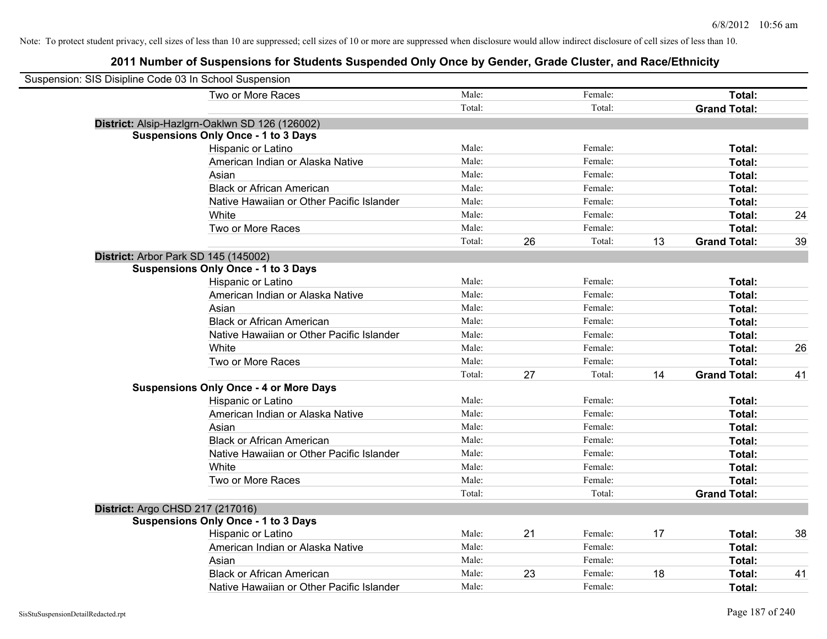| Suspension: SIS Disipline Code 03 In School Suspension |                                                |        |    |         |    |                     |    |
|--------------------------------------------------------|------------------------------------------------|--------|----|---------|----|---------------------|----|
|                                                        | Two or More Races                              | Male:  |    | Female: |    | Total:              |    |
|                                                        |                                                | Total: |    | Total:  |    | <b>Grand Total:</b> |    |
|                                                        | District: Alsip-Hazlgrn-Oaklwn SD 126 (126002) |        |    |         |    |                     |    |
|                                                        | <b>Suspensions Only Once - 1 to 3 Days</b>     |        |    |         |    |                     |    |
|                                                        | Hispanic or Latino                             | Male:  |    | Female: |    | Total:              |    |
|                                                        | American Indian or Alaska Native               | Male:  |    | Female: |    | Total:              |    |
|                                                        | Asian                                          | Male:  |    | Female: |    | Total:              |    |
|                                                        | <b>Black or African American</b>               | Male:  |    | Female: |    | Total:              |    |
|                                                        | Native Hawaiian or Other Pacific Islander      | Male:  |    | Female: |    | Total:              |    |
|                                                        | White                                          | Male:  |    | Female: |    | Total:              | 24 |
|                                                        | Two or More Races                              | Male:  |    | Female: |    | Total:              |    |
|                                                        |                                                | Total: | 26 | Total:  | 13 | <b>Grand Total:</b> | 39 |
| District: Arbor Park SD 145 (145002)                   |                                                |        |    |         |    |                     |    |
|                                                        | <b>Suspensions Only Once - 1 to 3 Days</b>     |        |    |         |    |                     |    |
|                                                        | Hispanic or Latino                             | Male:  |    | Female: |    | Total:              |    |
|                                                        | American Indian or Alaska Native               | Male:  |    | Female: |    | Total:              |    |
|                                                        | Asian                                          | Male:  |    | Female: |    | Total:              |    |
|                                                        | <b>Black or African American</b>               | Male:  |    | Female: |    | Total:              |    |
|                                                        | Native Hawaiian or Other Pacific Islander      | Male:  |    | Female: |    | Total:              |    |
|                                                        | White                                          | Male:  |    | Female: |    | Total:              | 26 |
|                                                        | Two or More Races                              | Male:  |    | Female: |    | Total:              |    |
|                                                        |                                                | Total: | 27 | Total:  | 14 | <b>Grand Total:</b> | 41 |
|                                                        | <b>Suspensions Only Once - 4 or More Days</b>  |        |    |         |    |                     |    |
|                                                        | Hispanic or Latino                             | Male:  |    | Female: |    | Total:              |    |
|                                                        | American Indian or Alaska Native               | Male:  |    | Female: |    | Total:              |    |
|                                                        | Asian                                          | Male:  |    | Female: |    | Total:              |    |
|                                                        | <b>Black or African American</b>               | Male:  |    | Female: |    | Total:              |    |
|                                                        | Native Hawaiian or Other Pacific Islander      | Male:  |    | Female: |    | Total:              |    |
|                                                        | White                                          | Male:  |    | Female: |    | Total:              |    |
|                                                        | Two or More Races                              | Male:  |    | Female: |    | Total:              |    |
|                                                        |                                                | Total: |    | Total:  |    | <b>Grand Total:</b> |    |
| District: Argo CHSD 217 (217016)                       |                                                |        |    |         |    |                     |    |
|                                                        | <b>Suspensions Only Once - 1 to 3 Days</b>     |        |    |         |    |                     |    |
|                                                        | Hispanic or Latino                             | Male:  | 21 | Female: | 17 | Total:              | 38 |
|                                                        | American Indian or Alaska Native               | Male:  |    | Female: |    | Total:              |    |
|                                                        | Asian                                          | Male:  |    | Female: |    | Total:              |    |
|                                                        | <b>Black or African American</b>               | Male:  | 23 | Female: | 18 | Total:              | 41 |
|                                                        | Native Hawaiian or Other Pacific Islander      | Male:  |    | Female: |    | Total:              |    |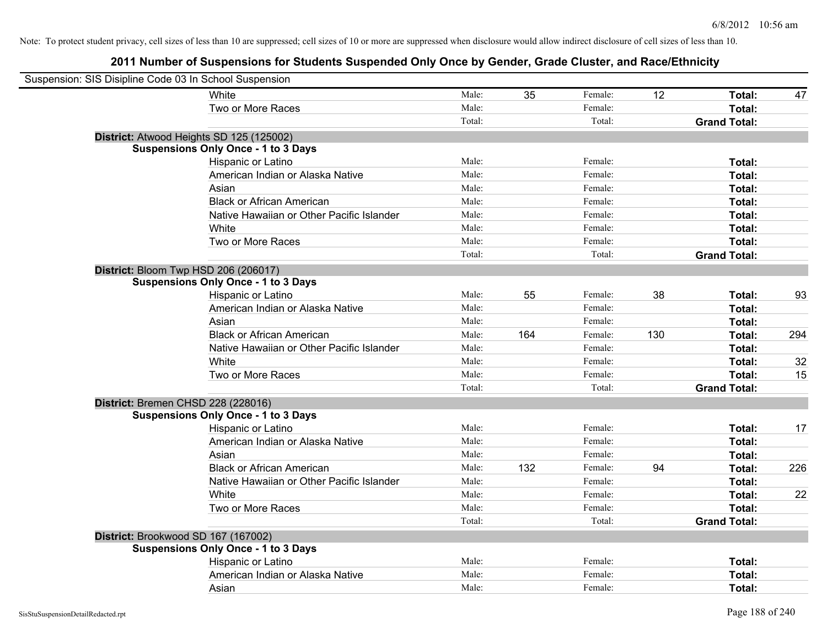| Suspension: SIS Disipline Code 03 In School Suspension |                                            |        |     |         |     |                     |     |
|--------------------------------------------------------|--------------------------------------------|--------|-----|---------|-----|---------------------|-----|
|                                                        | White                                      | Male:  | 35  | Female: | 12  | Total:              | 47  |
|                                                        | Two or More Races                          | Male:  |     | Female: |     | Total:              |     |
|                                                        |                                            | Total: |     | Total:  |     | <b>Grand Total:</b> |     |
| District: Atwood Heights SD 125 (125002)               |                                            |        |     |         |     |                     |     |
|                                                        | <b>Suspensions Only Once - 1 to 3 Days</b> |        |     |         |     |                     |     |
|                                                        | Hispanic or Latino                         | Male:  |     | Female: |     | Total:              |     |
|                                                        | American Indian or Alaska Native           | Male:  |     | Female: |     | Total:              |     |
|                                                        | Asian                                      | Male:  |     | Female: |     | Total:              |     |
|                                                        | <b>Black or African American</b>           | Male:  |     | Female: |     | Total:              |     |
|                                                        | Native Hawaiian or Other Pacific Islander  | Male:  |     | Female: |     | Total:              |     |
|                                                        | White                                      | Male:  |     | Female: |     | Total:              |     |
|                                                        | Two or More Races                          | Male:  |     | Female: |     | Total:              |     |
|                                                        |                                            | Total: |     | Total:  |     | <b>Grand Total:</b> |     |
| District: Bloom Twp HSD 206 (206017)                   |                                            |        |     |         |     |                     |     |
|                                                        | <b>Suspensions Only Once - 1 to 3 Days</b> |        |     |         |     |                     |     |
|                                                        | Hispanic or Latino                         | Male:  | 55  | Female: | 38  | Total:              | 93  |
|                                                        | American Indian or Alaska Native           | Male:  |     | Female: |     | Total:              |     |
|                                                        | Asian                                      | Male:  |     | Female: |     | Total:              |     |
|                                                        | <b>Black or African American</b>           | Male:  | 164 | Female: | 130 | Total:              | 294 |
|                                                        | Native Hawaiian or Other Pacific Islander  | Male:  |     | Female: |     | Total:              |     |
|                                                        | White                                      | Male:  |     | Female: |     | Total:              | 32  |
|                                                        | Two or More Races                          | Male:  |     | Female: |     | Total:              | 15  |
|                                                        |                                            | Total: |     | Total:  |     | <b>Grand Total:</b> |     |
| District: Bremen CHSD 228 (228016)                     |                                            |        |     |         |     |                     |     |
|                                                        | <b>Suspensions Only Once - 1 to 3 Days</b> |        |     |         |     |                     |     |
|                                                        | Hispanic or Latino                         | Male:  |     | Female: |     | Total:              | 17  |
|                                                        | American Indian or Alaska Native           | Male:  |     | Female: |     | Total:              |     |
|                                                        | Asian                                      | Male:  |     | Female: |     | Total:              |     |
|                                                        | <b>Black or African American</b>           | Male:  | 132 | Female: | 94  | Total:              | 226 |
|                                                        | Native Hawaiian or Other Pacific Islander  | Male:  |     | Female: |     | Total:              |     |
|                                                        | White                                      | Male:  |     | Female: |     | Total:              | 22  |
|                                                        | Two or More Races                          | Male:  |     | Female: |     | Total:              |     |
|                                                        |                                            | Total: |     | Total:  |     | <b>Grand Total:</b> |     |
| District: Brookwood SD 167 (167002)                    |                                            |        |     |         |     |                     |     |
|                                                        | <b>Suspensions Only Once - 1 to 3 Days</b> |        |     |         |     |                     |     |
|                                                        | Hispanic or Latino                         | Male:  |     | Female: |     | Total:              |     |
|                                                        | American Indian or Alaska Native           | Male:  |     | Female: |     | Total:              |     |
|                                                        | Asian                                      | Male:  |     | Female: |     | Total:              |     |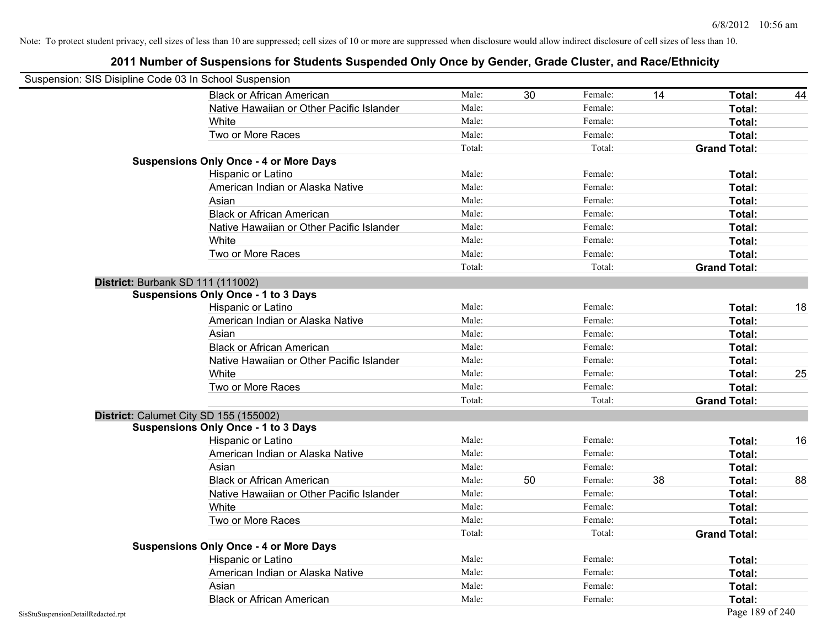| Suspension: SIS Disipline Code 03 In School Suspension |                                               |        |    |         |    |                     |    |
|--------------------------------------------------------|-----------------------------------------------|--------|----|---------|----|---------------------|----|
|                                                        | <b>Black or African American</b>              | Male:  | 30 | Female: | 14 | Total:              | 44 |
|                                                        | Native Hawaiian or Other Pacific Islander     | Male:  |    | Female: |    | Total:              |    |
|                                                        | White                                         | Male:  |    | Female: |    | Total:              |    |
|                                                        | Two or More Races                             | Male:  |    | Female: |    | Total:              |    |
|                                                        |                                               | Total: |    | Total:  |    | <b>Grand Total:</b> |    |
|                                                        | <b>Suspensions Only Once - 4 or More Days</b> |        |    |         |    |                     |    |
|                                                        | Hispanic or Latino                            | Male:  |    | Female: |    | Total:              |    |
|                                                        | American Indian or Alaska Native              | Male:  |    | Female: |    | Total:              |    |
|                                                        | Asian                                         | Male:  |    | Female: |    | Total:              |    |
|                                                        | <b>Black or African American</b>              | Male:  |    | Female: |    | Total:              |    |
|                                                        | Native Hawaiian or Other Pacific Islander     | Male:  |    | Female: |    | Total:              |    |
|                                                        | White                                         | Male:  |    | Female: |    | Total:              |    |
|                                                        | Two or More Races                             | Male:  |    | Female: |    | Total:              |    |
|                                                        |                                               | Total: |    | Total:  |    | <b>Grand Total:</b> |    |
|                                                        | District: Burbank SD 111 (111002)             |        |    |         |    |                     |    |
|                                                        | <b>Suspensions Only Once - 1 to 3 Days</b>    |        |    |         |    |                     |    |
|                                                        | Hispanic or Latino                            | Male:  |    | Female: |    | Total:              | 18 |
|                                                        | American Indian or Alaska Native              | Male:  |    | Female: |    | Total:              |    |
|                                                        | Asian                                         | Male:  |    | Female: |    | Total:              |    |
|                                                        | <b>Black or African American</b>              | Male:  |    | Female: |    | Total:              |    |
|                                                        | Native Hawaiian or Other Pacific Islander     | Male:  |    | Female: |    | Total:              |    |
|                                                        | White                                         | Male:  |    | Female: |    | Total:              | 25 |
|                                                        | Two or More Races                             | Male:  |    | Female: |    | Total:              |    |
|                                                        |                                               | Total: |    | Total:  |    | <b>Grand Total:</b> |    |
|                                                        | District: Calumet City SD 155 (155002)        |        |    |         |    |                     |    |
|                                                        | <b>Suspensions Only Once - 1 to 3 Days</b>    |        |    |         |    |                     |    |
|                                                        | Hispanic or Latino                            | Male:  |    | Female: |    | Total:              | 16 |
|                                                        | American Indian or Alaska Native              | Male:  |    | Female: |    | Total:              |    |
|                                                        | Asian                                         | Male:  |    | Female: |    | Total:              |    |
|                                                        | <b>Black or African American</b>              | Male:  | 50 | Female: | 38 | Total:              | 88 |
|                                                        | Native Hawaiian or Other Pacific Islander     | Male:  |    | Female: |    | Total:              |    |
|                                                        | White                                         | Male:  |    | Female: |    | Total:              |    |
|                                                        | Two or More Races                             | Male:  |    | Female: |    | Total:              |    |
|                                                        |                                               | Total: |    | Total:  |    | <b>Grand Total:</b> |    |
|                                                        | <b>Suspensions Only Once - 4 or More Days</b> |        |    |         |    |                     |    |
|                                                        | Hispanic or Latino                            | Male:  |    | Female: |    | Total:              |    |
|                                                        | American Indian or Alaska Native              | Male:  |    | Female: |    | Total:              |    |
|                                                        | Asian                                         | Male:  |    | Female: |    | Total:              |    |
|                                                        | <b>Black or African American</b>              | Male:  |    | Female: |    | Total:              |    |
| SisStuSuspensionDetailRedacted.rpt                     |                                               |        |    |         |    | Page 189 of 240     |    |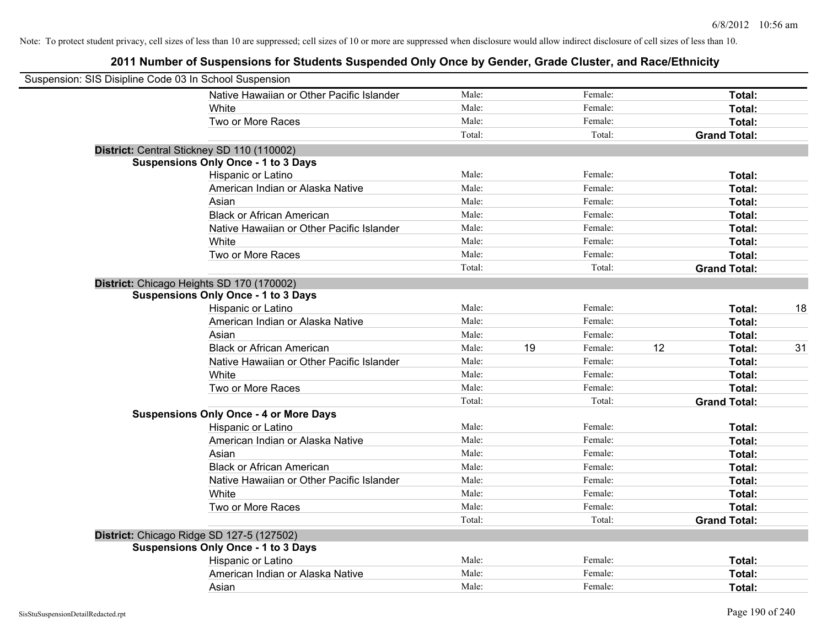| Suspension: SIS Disipline Code 03 In School Suspension |                                               |        |    |         |    |                     |    |
|--------------------------------------------------------|-----------------------------------------------|--------|----|---------|----|---------------------|----|
|                                                        | Native Hawaiian or Other Pacific Islander     | Male:  |    | Female: |    | Total:              |    |
|                                                        | White                                         | Male:  |    | Female: |    | Total:              |    |
|                                                        | Two or More Races                             | Male:  |    | Female: |    | Total:              |    |
|                                                        |                                               | Total: |    | Total:  |    | <b>Grand Total:</b> |    |
| District: Central Stickney SD 110 (110002)             |                                               |        |    |         |    |                     |    |
|                                                        | <b>Suspensions Only Once - 1 to 3 Days</b>    |        |    |         |    |                     |    |
|                                                        | Hispanic or Latino                            | Male:  |    | Female: |    | Total:              |    |
|                                                        | American Indian or Alaska Native              | Male:  |    | Female: |    | Total:              |    |
|                                                        | Asian                                         | Male:  |    | Female: |    | Total:              |    |
|                                                        | <b>Black or African American</b>              | Male:  |    | Female: |    | Total:              |    |
|                                                        | Native Hawaiian or Other Pacific Islander     | Male:  |    | Female: |    | Total:              |    |
|                                                        | White                                         | Male:  |    | Female: |    | Total:              |    |
|                                                        | Two or More Races                             | Male:  |    | Female: |    | Total:              |    |
|                                                        |                                               | Total: |    | Total:  |    | <b>Grand Total:</b> |    |
| District: Chicago Heights SD 170 (170002)              |                                               |        |    |         |    |                     |    |
|                                                        | <b>Suspensions Only Once - 1 to 3 Days</b>    |        |    |         |    |                     |    |
|                                                        | Hispanic or Latino                            | Male:  |    | Female: |    | Total:              | 18 |
|                                                        | American Indian or Alaska Native              | Male:  |    | Female: |    | Total:              |    |
|                                                        | Asian                                         | Male:  |    | Female: |    | Total:              |    |
|                                                        | <b>Black or African American</b>              | Male:  | 19 | Female: | 12 | Total:              | 31 |
|                                                        | Native Hawaiian or Other Pacific Islander     | Male:  |    | Female: |    | Total:              |    |
|                                                        | White                                         | Male:  |    | Female: |    | Total:              |    |
|                                                        | Two or More Races                             | Male:  |    | Female: |    | Total:              |    |
|                                                        |                                               | Total: |    | Total:  |    | <b>Grand Total:</b> |    |
|                                                        | <b>Suspensions Only Once - 4 or More Days</b> |        |    |         |    |                     |    |
|                                                        | Hispanic or Latino                            | Male:  |    | Female: |    | Total:              |    |
|                                                        | American Indian or Alaska Native              | Male:  |    | Female: |    | Total:              |    |
|                                                        | Asian                                         | Male:  |    | Female: |    | Total:              |    |
|                                                        | <b>Black or African American</b>              | Male:  |    | Female: |    | Total:              |    |
|                                                        | Native Hawaiian or Other Pacific Islander     | Male:  |    | Female: |    | Total:              |    |
|                                                        | White                                         | Male:  |    | Female: |    | Total:              |    |
|                                                        | Two or More Races                             | Male:  |    | Female: |    | Total:              |    |
|                                                        |                                               | Total: |    | Total:  |    | <b>Grand Total:</b> |    |
| District: Chicago Ridge SD 127-5 (127502)              |                                               |        |    |         |    |                     |    |
|                                                        | <b>Suspensions Only Once - 1 to 3 Days</b>    |        |    |         |    |                     |    |
|                                                        | Hispanic or Latino                            | Male:  |    | Female: |    | Total:              |    |
|                                                        | American Indian or Alaska Native              | Male:  |    | Female: |    | Total:              |    |
|                                                        | Asian                                         | Male:  |    | Female: |    | Total:              |    |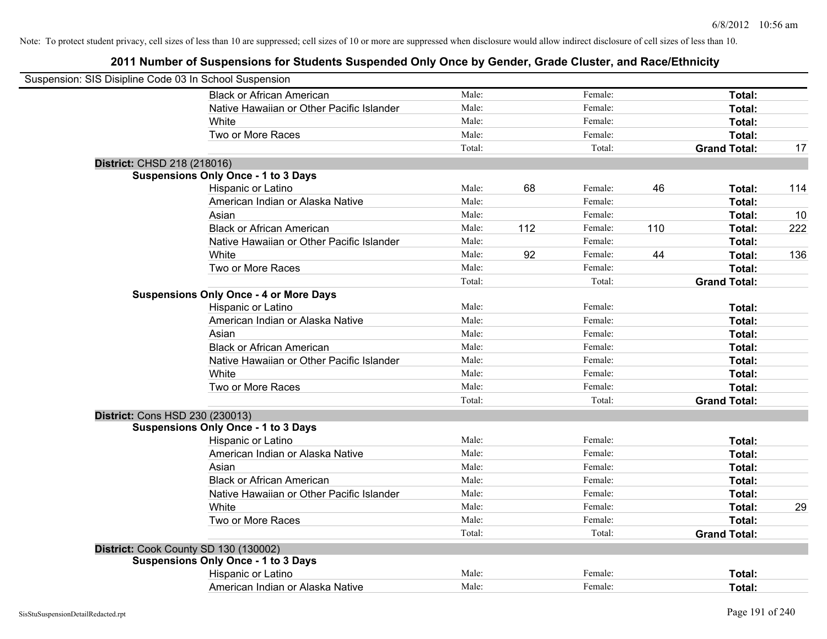| Suspension: SIS Disipline Code 03 In School Suspension |                                               |        |     |         |     |                     |     |
|--------------------------------------------------------|-----------------------------------------------|--------|-----|---------|-----|---------------------|-----|
|                                                        | <b>Black or African American</b>              | Male:  |     | Female: |     | Total:              |     |
|                                                        | Native Hawaiian or Other Pacific Islander     | Male:  |     | Female: |     | Total:              |     |
|                                                        | White                                         | Male:  |     | Female: |     | Total:              |     |
|                                                        | Two or More Races                             | Male:  |     | Female: |     | Total:              |     |
|                                                        |                                               | Total: |     | Total:  |     | <b>Grand Total:</b> | 17  |
| District: CHSD 218 (218016)                            |                                               |        |     |         |     |                     |     |
|                                                        | <b>Suspensions Only Once - 1 to 3 Days</b>    |        |     |         |     |                     |     |
|                                                        | Hispanic or Latino                            | Male:  | 68  | Female: | 46  | Total:              | 114 |
|                                                        | American Indian or Alaska Native              | Male:  |     | Female: |     | Total:              |     |
|                                                        | Asian                                         | Male:  |     | Female: |     | Total:              | 10  |
|                                                        | <b>Black or African American</b>              | Male:  | 112 | Female: | 110 | Total:              | 222 |
|                                                        | Native Hawaiian or Other Pacific Islander     | Male:  |     | Female: |     | Total:              |     |
|                                                        | White                                         | Male:  | 92  | Female: | 44  | Total:              | 136 |
|                                                        | Two or More Races                             | Male:  |     | Female: |     | Total:              |     |
|                                                        |                                               | Total: |     | Total:  |     | <b>Grand Total:</b> |     |
|                                                        | <b>Suspensions Only Once - 4 or More Days</b> |        |     |         |     |                     |     |
|                                                        | Hispanic or Latino                            | Male:  |     | Female: |     | Total:              |     |
|                                                        | American Indian or Alaska Native              | Male:  |     | Female: |     | Total:              |     |
|                                                        | Asian                                         | Male:  |     | Female: |     | Total:              |     |
|                                                        | <b>Black or African American</b>              | Male:  |     | Female: |     | Total:              |     |
|                                                        | Native Hawaiian or Other Pacific Islander     | Male:  |     | Female: |     | Total:              |     |
|                                                        | White                                         | Male:  |     | Female: |     | Total:              |     |
|                                                        | Two or More Races                             | Male:  |     | Female: |     | Total:              |     |
|                                                        |                                               | Total: |     | Total:  |     | <b>Grand Total:</b> |     |
|                                                        | District: Cons HSD 230 (230013)               |        |     |         |     |                     |     |
|                                                        | <b>Suspensions Only Once - 1 to 3 Days</b>    |        |     |         |     |                     |     |
|                                                        | Hispanic or Latino                            | Male:  |     | Female: |     | Total:              |     |
|                                                        | American Indian or Alaska Native              | Male:  |     | Female: |     | Total:              |     |
|                                                        | Asian                                         | Male:  |     | Female: |     | Total:              |     |
|                                                        | <b>Black or African American</b>              | Male:  |     | Female: |     | Total:              |     |
|                                                        | Native Hawaiian or Other Pacific Islander     | Male:  |     | Female: |     | Total:              |     |
|                                                        | White                                         | Male:  |     | Female: |     | Total:              | 29  |
|                                                        | Two or More Races                             | Male:  |     | Female: |     | Total:              |     |
|                                                        |                                               | Total: |     | Total:  |     | <b>Grand Total:</b> |     |
|                                                        | District: Cook County SD 130 (130002)         |        |     |         |     |                     |     |
|                                                        | <b>Suspensions Only Once - 1 to 3 Days</b>    |        |     |         |     |                     |     |
|                                                        | Hispanic or Latino                            | Male:  |     | Female: |     | <b>Total:</b>       |     |
|                                                        | American Indian or Alaska Native              | Male:  |     | Female: |     | Total:              |     |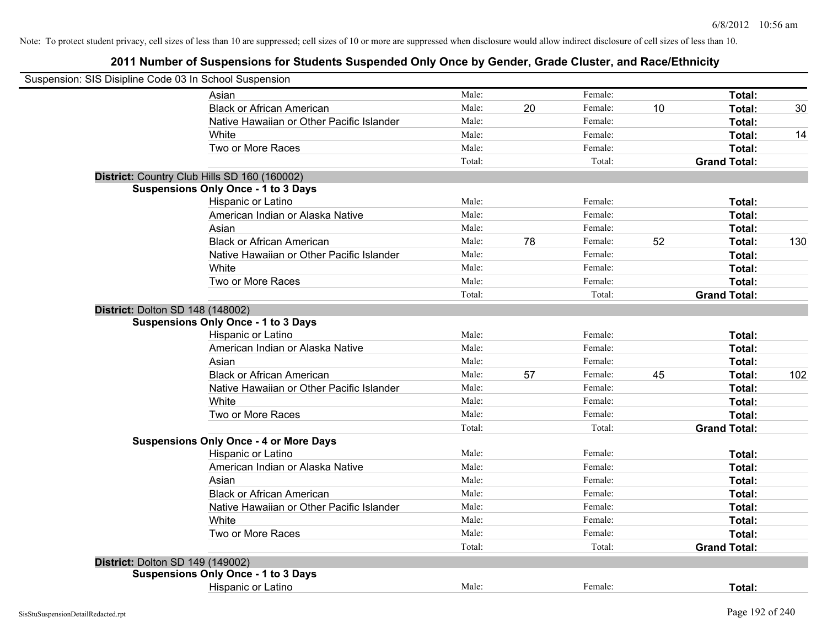| Suspension: SIS Disipline Code 03 In School Suspension |                                               |        |    |         |    |                     |     |
|--------------------------------------------------------|-----------------------------------------------|--------|----|---------|----|---------------------|-----|
|                                                        | Asian                                         | Male:  |    | Female: |    | Total:              |     |
|                                                        | <b>Black or African American</b>              | Male:  | 20 | Female: | 10 | Total:              | 30  |
|                                                        | Native Hawaiian or Other Pacific Islander     | Male:  |    | Female: |    | Total:              |     |
|                                                        | White                                         | Male:  |    | Female: |    | Total:              | 14  |
|                                                        | Two or More Races                             | Male:  |    | Female: |    | Total:              |     |
|                                                        |                                               | Total: |    | Total:  |    | <b>Grand Total:</b> |     |
|                                                        | District: Country Club Hills SD 160 (160002)  |        |    |         |    |                     |     |
|                                                        | <b>Suspensions Only Once - 1 to 3 Days</b>    |        |    |         |    |                     |     |
|                                                        | Hispanic or Latino                            | Male:  |    | Female: |    | Total:              |     |
|                                                        | American Indian or Alaska Native              | Male:  |    | Female: |    | Total:              |     |
|                                                        | Asian                                         | Male:  |    | Female: |    | Total:              |     |
|                                                        | <b>Black or African American</b>              | Male:  | 78 | Female: | 52 | Total:              | 130 |
|                                                        | Native Hawaiian or Other Pacific Islander     | Male:  |    | Female: |    | Total:              |     |
|                                                        | White                                         | Male:  |    | Female: |    | Total:              |     |
|                                                        | Two or More Races                             | Male:  |    | Female: |    | Total:              |     |
|                                                        |                                               | Total: |    | Total:  |    | <b>Grand Total:</b> |     |
| <b>District: Dolton SD 148 (148002)</b>                |                                               |        |    |         |    |                     |     |
|                                                        | <b>Suspensions Only Once - 1 to 3 Days</b>    |        |    |         |    |                     |     |
|                                                        | Hispanic or Latino                            | Male:  |    | Female: |    | Total:              |     |
|                                                        | American Indian or Alaska Native              | Male:  |    | Female: |    | Total:              |     |
|                                                        | Asian                                         | Male:  |    | Female: |    | Total:              |     |
|                                                        | <b>Black or African American</b>              | Male:  | 57 | Female: | 45 | Total:              | 102 |
|                                                        | Native Hawaiian or Other Pacific Islander     | Male:  |    | Female: |    | Total:              |     |
|                                                        | White                                         | Male:  |    | Female: |    | Total:              |     |
|                                                        | Two or More Races                             | Male:  |    | Female: |    | Total:              |     |
|                                                        |                                               | Total: |    | Total:  |    | <b>Grand Total:</b> |     |
|                                                        | <b>Suspensions Only Once - 4 or More Days</b> |        |    |         |    |                     |     |
|                                                        | Hispanic or Latino                            | Male:  |    | Female: |    | Total:              |     |
|                                                        | American Indian or Alaska Native              | Male:  |    | Female: |    | Total:              |     |
|                                                        | Asian                                         | Male:  |    | Female: |    | Total:              |     |
|                                                        | <b>Black or African American</b>              | Male:  |    | Female: |    | Total:              |     |
|                                                        | Native Hawaiian or Other Pacific Islander     | Male:  |    | Female: |    | Total:              |     |
|                                                        | White                                         | Male:  |    | Female: |    | Total:              |     |
|                                                        | Two or More Races                             | Male:  |    | Female: |    | Total:              |     |
|                                                        |                                               | Total: |    | Total:  |    | <b>Grand Total:</b> |     |
| District: Dolton SD 149 (149002)                       |                                               |        |    |         |    |                     |     |
|                                                        | <b>Suspensions Only Once - 1 to 3 Days</b>    |        |    |         |    |                     |     |
|                                                        | Hispanic or Latino                            | Male:  |    | Female: |    | Total:              |     |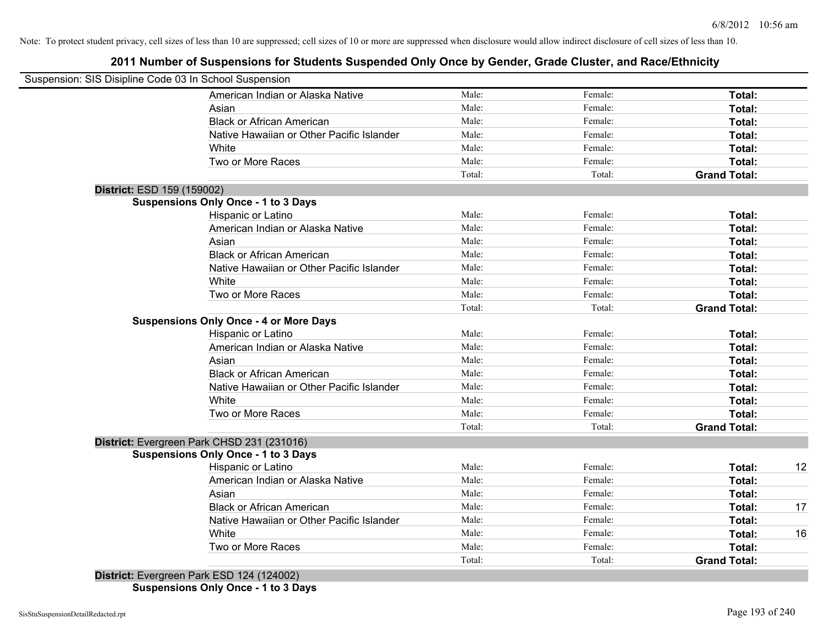# **2011 Number of Suspensions for Students Suspended Only Once by Gender, Grade Cluster, and Race/Ethnicity**

| Suspension: SIS Disipline Code 03 In School Suspension |        |         |                     |    |
|--------------------------------------------------------|--------|---------|---------------------|----|
| American Indian or Alaska Native                       | Male:  | Female: | Total:              |    |
| Asian                                                  | Male:  | Female: | Total:              |    |
| <b>Black or African American</b>                       | Male:  | Female: | Total:              |    |
| Native Hawaiian or Other Pacific Islander              | Male:  | Female: | Total:              |    |
| White                                                  | Male:  | Female: | Total:              |    |
| Two or More Races                                      | Male:  | Female: | Total:              |    |
|                                                        | Total: | Total:  | <b>Grand Total:</b> |    |
| District: ESD 159 (159002)                             |        |         |                     |    |
| <b>Suspensions Only Once - 1 to 3 Days</b>             |        |         |                     |    |
| Hispanic or Latino                                     | Male:  | Female: | Total:              |    |
| American Indian or Alaska Native                       | Male:  | Female: | Total:              |    |
| Asian                                                  | Male:  | Female: | Total:              |    |
| <b>Black or African American</b>                       | Male:  | Female: | Total:              |    |
| Native Hawaiian or Other Pacific Islander              | Male:  | Female: | Total:              |    |
| White                                                  | Male:  | Female: | Total:              |    |
| Two or More Races                                      | Male:  | Female: | Total:              |    |
|                                                        | Total: | Total:  | <b>Grand Total:</b> |    |
| <b>Suspensions Only Once - 4 or More Days</b>          |        |         |                     |    |
| Hispanic or Latino                                     | Male:  | Female: | Total:              |    |
| American Indian or Alaska Native                       | Male:  | Female: | Total:              |    |
| Asian                                                  | Male:  | Female: | Total:              |    |
| <b>Black or African American</b>                       | Male:  | Female: | Total:              |    |
| Native Hawaiian or Other Pacific Islander              | Male:  | Female: | Total:              |    |
| White                                                  | Male:  | Female: | Total:              |    |
| Two or More Races                                      | Male:  | Female: | Total:              |    |
|                                                        | Total: | Total:  | <b>Grand Total:</b> |    |
| District: Evergreen Park CHSD 231 (231016)             |        |         |                     |    |
| <b>Suspensions Only Once - 1 to 3 Days</b>             |        |         |                     |    |
| Hispanic or Latino                                     | Male:  | Female: | Total:              | 12 |
| American Indian or Alaska Native                       | Male:  | Female: | Total:              |    |
| Asian                                                  | Male:  | Female: | Total:              |    |
| <b>Black or African American</b>                       | Male:  | Female: | Total:              | 17 |
| Native Hawaiian or Other Pacific Islander              | Male:  | Female: | Total:              |    |
| White                                                  | Male:  | Female: | Total:              | 16 |
| Two or More Races                                      | Male:  | Female: | <b>Total:</b>       |    |
|                                                        | Total: | Total:  | <b>Grand Total:</b> |    |
| District: Evergreen Park ESD 124 (124002)              |        |         |                     |    |

**Suspensions Only Once - 1 to 3 Days**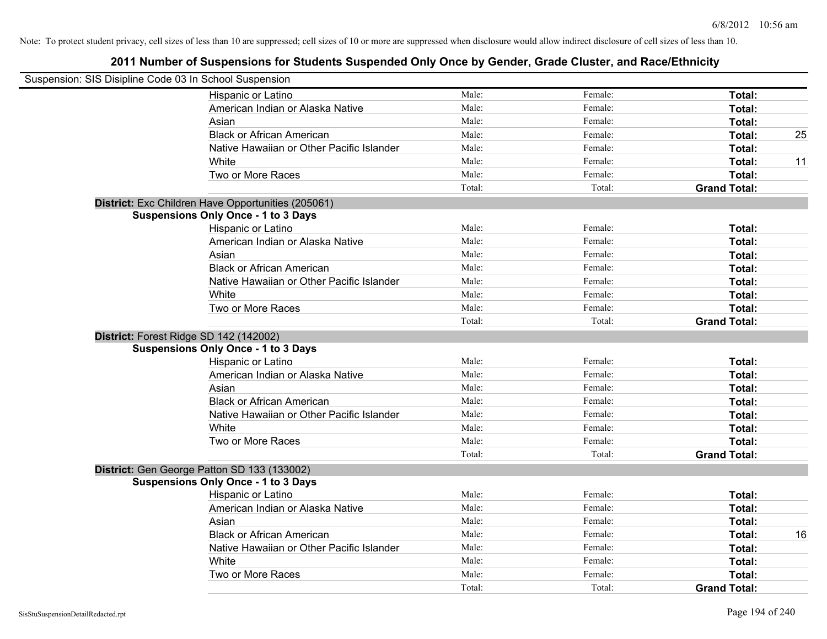| Suspension: SIS Disipline Code 03 In School Suspension |        |         |                     |    |
|--------------------------------------------------------|--------|---------|---------------------|----|
| Hispanic or Latino                                     | Male:  | Female: | Total:              |    |
| American Indian or Alaska Native                       | Male:  | Female: | Total:              |    |
| Asian                                                  | Male:  | Female: | Total:              |    |
| <b>Black or African American</b>                       | Male:  | Female: | Total:              | 25 |
| Native Hawaiian or Other Pacific Islander              | Male:  | Female: | Total:              |    |
| White                                                  | Male:  | Female: | Total:              | 11 |
| Two or More Races                                      | Male:  | Female: | Total:              |    |
|                                                        | Total: | Total:  | <b>Grand Total:</b> |    |
| District: Exc Children Have Opportunities (205061)     |        |         |                     |    |
| <b>Suspensions Only Once - 1 to 3 Days</b>             |        |         |                     |    |
| Hispanic or Latino                                     | Male:  | Female: | Total:              |    |
| American Indian or Alaska Native                       | Male:  | Female: | Total:              |    |
| Asian                                                  | Male:  | Female: | Total:              |    |
| <b>Black or African American</b>                       | Male:  | Female: | Total:              |    |
| Native Hawaiian or Other Pacific Islander              | Male:  | Female: | Total:              |    |
| White                                                  | Male:  | Female: | Total:              |    |
| Two or More Races                                      | Male:  | Female: | Total:              |    |
|                                                        | Total: | Total:  | <b>Grand Total:</b> |    |
| District: Forest Ridge SD 142 (142002)                 |        |         |                     |    |
| <b>Suspensions Only Once - 1 to 3 Days</b>             |        |         |                     |    |
| Hispanic or Latino                                     | Male:  | Female: | Total:              |    |
| American Indian or Alaska Native                       | Male:  | Female: | Total:              |    |
| Asian                                                  | Male:  | Female: | Total:              |    |
| <b>Black or African American</b>                       | Male:  | Female: | Total:              |    |
| Native Hawaiian or Other Pacific Islander              | Male:  | Female: | Total:              |    |
| White                                                  | Male:  | Female: | Total:              |    |
| Two or More Races                                      | Male:  | Female: | Total:              |    |
|                                                        | Total: | Total:  | <b>Grand Total:</b> |    |
| District: Gen George Patton SD 133 (133002)            |        |         |                     |    |
| <b>Suspensions Only Once - 1 to 3 Days</b>             |        |         |                     |    |
| Hispanic or Latino                                     | Male:  | Female: | Total:              |    |
| American Indian or Alaska Native                       | Male:  | Female: | Total:              |    |
| Asian                                                  | Male:  | Female: | Total:              |    |
| <b>Black or African American</b>                       | Male:  | Female: | Total:              | 16 |
| Native Hawaiian or Other Pacific Islander              | Male:  | Female: | Total:              |    |
| White                                                  | Male:  | Female: | Total:              |    |
| Two or More Races                                      | Male:  | Female: | Total:              |    |
|                                                        | Total: | Total:  | <b>Grand Total:</b> |    |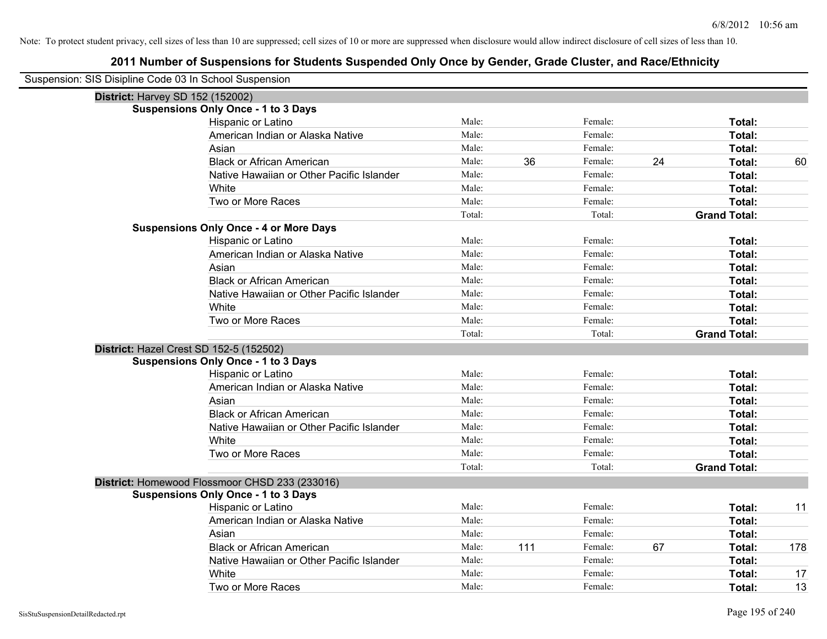| Suspension: SIS Disipline Code 03 In School Suspension |                                                |        |     |         |    |                     |     |
|--------------------------------------------------------|------------------------------------------------|--------|-----|---------|----|---------------------|-----|
| <b>District: Harvey SD 152 (152002)</b>                |                                                |        |     |         |    |                     |     |
|                                                        | <b>Suspensions Only Once - 1 to 3 Days</b>     |        |     |         |    |                     |     |
|                                                        | Hispanic or Latino                             | Male:  |     | Female: |    | Total:              |     |
|                                                        | American Indian or Alaska Native               | Male:  |     | Female: |    | Total:              |     |
|                                                        | Asian                                          | Male:  |     | Female: |    | Total:              |     |
|                                                        | <b>Black or African American</b>               | Male:  | 36  | Female: | 24 | Total:              | 60  |
|                                                        | Native Hawaiian or Other Pacific Islander      | Male:  |     | Female: |    | Total:              |     |
|                                                        | White                                          | Male:  |     | Female: |    | Total:              |     |
|                                                        | Two or More Races                              | Male:  |     | Female: |    | Total:              |     |
|                                                        |                                                | Total: |     | Total:  |    | <b>Grand Total:</b> |     |
|                                                        | <b>Suspensions Only Once - 4 or More Days</b>  |        |     |         |    |                     |     |
|                                                        | Hispanic or Latino                             | Male:  |     | Female: |    | Total:              |     |
|                                                        | American Indian or Alaska Native               | Male:  |     | Female: |    | Total:              |     |
|                                                        | Asian                                          | Male:  |     | Female: |    | Total:              |     |
|                                                        | <b>Black or African American</b>               | Male:  |     | Female: |    | Total:              |     |
|                                                        | Native Hawaiian or Other Pacific Islander      | Male:  |     | Female: |    | Total:              |     |
|                                                        | White                                          | Male:  |     | Female: |    | Total:              |     |
|                                                        | Two or More Races                              | Male:  |     | Female: |    | Total:              |     |
|                                                        |                                                | Total: |     | Total:  |    | <b>Grand Total:</b> |     |
| District: Hazel Crest SD 152-5 (152502)                |                                                |        |     |         |    |                     |     |
|                                                        | <b>Suspensions Only Once - 1 to 3 Days</b>     |        |     |         |    |                     |     |
|                                                        | Hispanic or Latino                             | Male:  |     | Female: |    | Total:              |     |
|                                                        | American Indian or Alaska Native               | Male:  |     | Female: |    | Total:              |     |
|                                                        | Asian                                          | Male:  |     | Female: |    | Total:              |     |
|                                                        | <b>Black or African American</b>               | Male:  |     | Female: |    | Total:              |     |
|                                                        | Native Hawaiian or Other Pacific Islander      | Male:  |     | Female: |    | Total:              |     |
|                                                        | White                                          | Male:  |     | Female: |    | Total:              |     |
|                                                        | Two or More Races                              | Male:  |     | Female: |    | Total:              |     |
|                                                        |                                                | Total: |     | Total:  |    | <b>Grand Total:</b> |     |
|                                                        | District: Homewood Flossmoor CHSD 233 (233016) |        |     |         |    |                     |     |
|                                                        | <b>Suspensions Only Once - 1 to 3 Days</b>     |        |     |         |    |                     |     |
|                                                        | Hispanic or Latino                             | Male:  |     | Female: |    | Total:              | 11  |
|                                                        | American Indian or Alaska Native               | Male:  |     | Female: |    | Total:              |     |
|                                                        | Asian                                          | Male:  |     | Female: |    | Total:              |     |
|                                                        | <b>Black or African American</b>               | Male:  | 111 | Female: | 67 | Total:              | 178 |
|                                                        | Native Hawaiian or Other Pacific Islander      | Male:  |     | Female: |    | Total:              |     |
|                                                        | White                                          | Male:  |     | Female: |    | Total:              | 17  |
|                                                        | Two or More Races                              | Male:  |     | Female: |    | Total:              | 13  |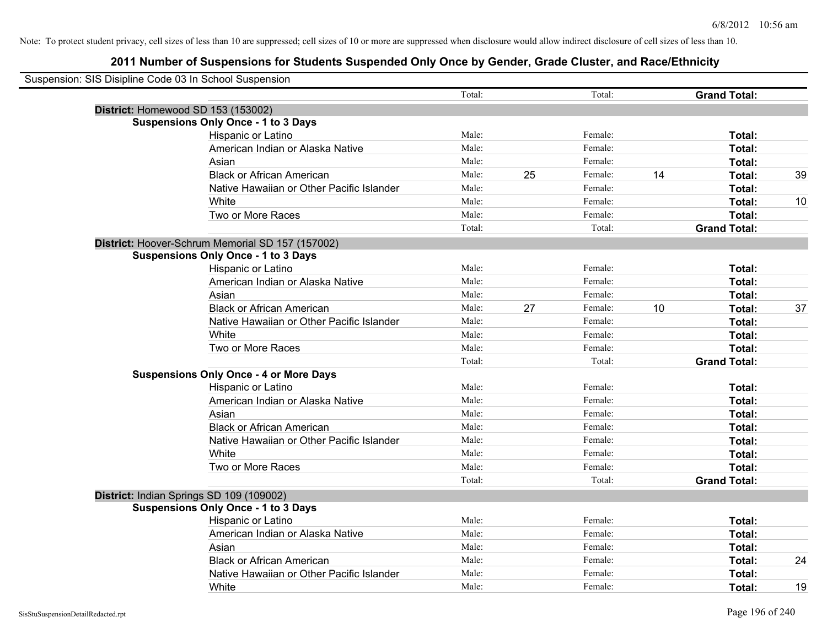| Suspension: SIS Disipline Code 03 In School Suspension |                                                  |        |    |         |    |                     |    |
|--------------------------------------------------------|--------------------------------------------------|--------|----|---------|----|---------------------|----|
|                                                        |                                                  | Total: |    | Total:  |    | <b>Grand Total:</b> |    |
|                                                        | District: Homewood SD 153 (153002)               |        |    |         |    |                     |    |
|                                                        | <b>Suspensions Only Once - 1 to 3 Days</b>       |        |    |         |    |                     |    |
|                                                        | Hispanic or Latino                               | Male:  |    | Female: |    | Total:              |    |
|                                                        | American Indian or Alaska Native                 | Male:  |    | Female: |    | Total:              |    |
|                                                        | Asian                                            | Male:  |    | Female: |    | Total:              |    |
|                                                        | <b>Black or African American</b>                 | Male:  | 25 | Female: | 14 | Total:              | 39 |
|                                                        | Native Hawaiian or Other Pacific Islander        | Male:  |    | Female: |    | Total:              |    |
|                                                        | White                                            | Male:  |    | Female: |    | Total:              | 10 |
|                                                        | Two or More Races                                | Male:  |    | Female: |    | Total:              |    |
|                                                        |                                                  | Total: |    | Total:  |    | <b>Grand Total:</b> |    |
|                                                        | District: Hoover-Schrum Memorial SD 157 (157002) |        |    |         |    |                     |    |
|                                                        | <b>Suspensions Only Once - 1 to 3 Days</b>       |        |    |         |    |                     |    |
|                                                        | Hispanic or Latino                               | Male:  |    | Female: |    | Total:              |    |
|                                                        | American Indian or Alaska Native                 | Male:  |    | Female: |    | Total:              |    |
|                                                        | Asian                                            | Male:  |    | Female: |    | Total:              |    |
|                                                        | <b>Black or African American</b>                 | Male:  | 27 | Female: | 10 | Total:              | 37 |
|                                                        | Native Hawaiian or Other Pacific Islander        | Male:  |    | Female: |    | Total:              |    |
|                                                        | White                                            | Male:  |    | Female: |    | Total:              |    |
|                                                        | Two or More Races                                | Male:  |    | Female: |    | Total:              |    |
|                                                        |                                                  | Total: |    | Total:  |    | <b>Grand Total:</b> |    |
|                                                        | <b>Suspensions Only Once - 4 or More Days</b>    |        |    |         |    |                     |    |
|                                                        | Hispanic or Latino                               | Male:  |    | Female: |    | Total:              |    |
|                                                        | American Indian or Alaska Native                 | Male:  |    | Female: |    | Total:              |    |
|                                                        | Asian                                            | Male:  |    | Female: |    | Total:              |    |
|                                                        | <b>Black or African American</b>                 | Male:  |    | Female: |    | Total:              |    |
|                                                        | Native Hawaiian or Other Pacific Islander        | Male:  |    | Female: |    | Total:              |    |
|                                                        | White                                            | Male:  |    | Female: |    | Total:              |    |
|                                                        | Two or More Races                                | Male:  |    | Female: |    | Total:              |    |
|                                                        |                                                  | Total: |    | Total:  |    | <b>Grand Total:</b> |    |
|                                                        | District: Indian Springs SD 109 (109002)         |        |    |         |    |                     |    |
|                                                        | <b>Suspensions Only Once - 1 to 3 Days</b>       |        |    |         |    |                     |    |
|                                                        | Hispanic or Latino                               | Male:  |    | Female: |    | Total:              |    |
|                                                        | American Indian or Alaska Native                 | Male:  |    | Female: |    | Total:              |    |
|                                                        | Asian                                            | Male:  |    | Female: |    | Total:              |    |
|                                                        | <b>Black or African American</b>                 | Male:  |    | Female: |    | Total:              | 24 |
|                                                        | Native Hawaiian or Other Pacific Islander        | Male:  |    | Female: |    | Total:              |    |
|                                                        | White                                            | Male:  |    | Female: |    | Total:              | 19 |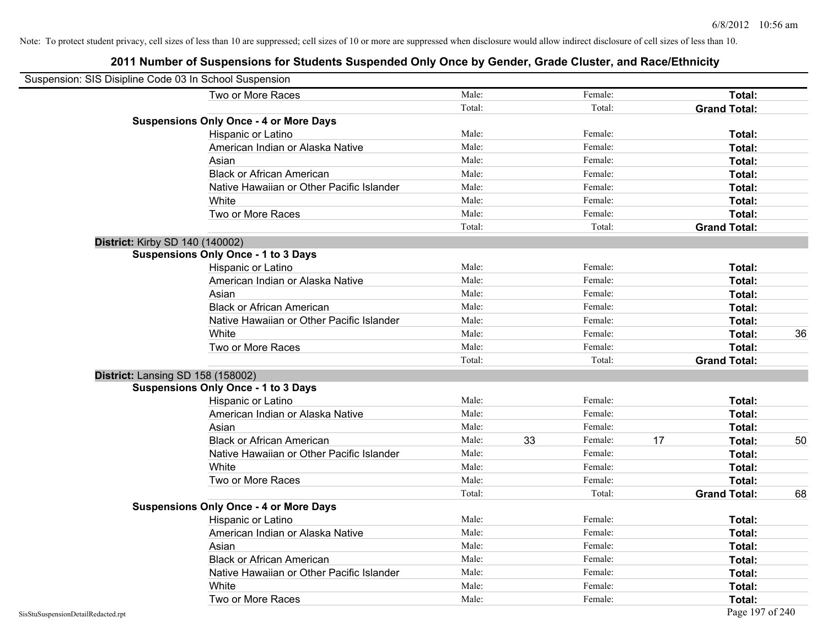| Suspension: SIS Disipline Code 03 In School Suspension |        |    |         |    |                     |    |
|--------------------------------------------------------|--------|----|---------|----|---------------------|----|
| Two or More Races                                      | Male:  |    | Female: |    | Total:              |    |
|                                                        | Total: |    | Total:  |    | <b>Grand Total:</b> |    |
| <b>Suspensions Only Once - 4 or More Days</b>          |        |    |         |    |                     |    |
| Hispanic or Latino                                     | Male:  |    | Female: |    | Total:              |    |
| American Indian or Alaska Native                       | Male:  |    | Female: |    | Total:              |    |
| Asian                                                  | Male:  |    | Female: |    | Total:              |    |
| <b>Black or African American</b>                       | Male:  |    | Female: |    | Total:              |    |
| Native Hawaiian or Other Pacific Islander              | Male:  |    | Female: |    | Total:              |    |
| White                                                  | Male:  |    | Female: |    | Total:              |    |
| Two or More Races                                      | Male:  |    | Female: |    | Total:              |    |
|                                                        | Total: |    | Total:  |    | <b>Grand Total:</b> |    |
| District: Kirby SD 140 (140002)                        |        |    |         |    |                     |    |
| <b>Suspensions Only Once - 1 to 3 Days</b>             |        |    |         |    |                     |    |
| Hispanic or Latino                                     | Male:  |    | Female: |    | Total:              |    |
| American Indian or Alaska Native                       | Male:  |    | Female: |    | Total:              |    |
| Asian                                                  | Male:  |    | Female: |    | Total:              |    |
| <b>Black or African American</b>                       | Male:  |    | Female: |    | Total:              |    |
| Native Hawaiian or Other Pacific Islander              | Male:  |    | Female: |    | Total:              |    |
| White                                                  | Male:  |    | Female: |    | Total:              | 36 |
| Two or More Races                                      | Male:  |    | Female: |    | Total:              |    |
|                                                        | Total: |    | Total:  |    | <b>Grand Total:</b> |    |
| District: Lansing SD 158 (158002)                      |        |    |         |    |                     |    |
| <b>Suspensions Only Once - 1 to 3 Days</b>             |        |    |         |    |                     |    |
| Hispanic or Latino                                     | Male:  |    | Female: |    | Total:              |    |
| American Indian or Alaska Native                       | Male:  |    | Female: |    | Total:              |    |
| Asian                                                  | Male:  |    | Female: |    | Total:              |    |
| <b>Black or African American</b>                       | Male:  | 33 | Female: | 17 | Total:              | 50 |
| Native Hawaiian or Other Pacific Islander              | Male:  |    | Female: |    | Total:              |    |
| White                                                  | Male:  |    | Female: |    | Total:              |    |
| Two or More Races                                      | Male:  |    | Female: |    | Total:              |    |
|                                                        | Total: |    | Total:  |    | <b>Grand Total:</b> | 68 |
| <b>Suspensions Only Once - 4 or More Days</b>          |        |    |         |    |                     |    |
| Hispanic or Latino                                     | Male:  |    | Female: |    | Total:              |    |
| American Indian or Alaska Native                       | Male:  |    | Female: |    | Total:              |    |
| Asian                                                  | Male:  |    | Female: |    | Total:              |    |
| <b>Black or African American</b>                       | Male:  |    | Female: |    | Total:              |    |
| Native Hawaiian or Other Pacific Islander              | Male:  |    | Female: |    | Total:              |    |
| White                                                  | Male:  |    | Female: |    | Total:              |    |
| Two or More Races                                      | Male:  |    | Female: |    | Total:              |    |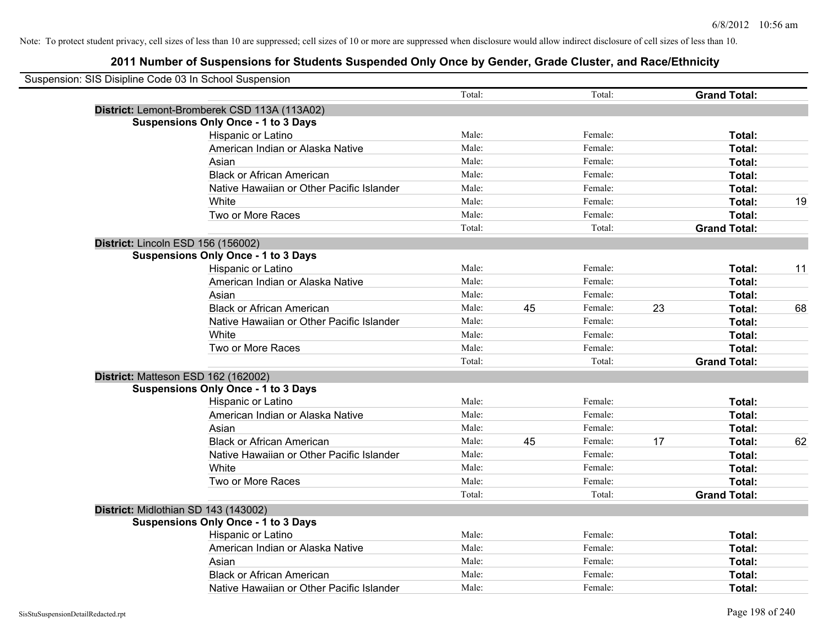| Suspension: SIS Disipline Code 03 In School Suspension |                                              |        |    |         |    |                     |    |
|--------------------------------------------------------|----------------------------------------------|--------|----|---------|----|---------------------|----|
|                                                        |                                              | Total: |    | Total:  |    | <b>Grand Total:</b> |    |
|                                                        | District: Lemont-Bromberek CSD 113A (113A02) |        |    |         |    |                     |    |
|                                                        | <b>Suspensions Only Once - 1 to 3 Days</b>   |        |    |         |    |                     |    |
|                                                        | Hispanic or Latino                           | Male:  |    | Female: |    | Total:              |    |
|                                                        | American Indian or Alaska Native             | Male:  |    | Female: |    | Total:              |    |
|                                                        | Asian                                        | Male:  |    | Female: |    | Total:              |    |
|                                                        | <b>Black or African American</b>             | Male:  |    | Female: |    | Total:              |    |
|                                                        | Native Hawaiian or Other Pacific Islander    | Male:  |    | Female: |    | Total:              |    |
|                                                        | White                                        | Male:  |    | Female: |    | Total:              | 19 |
|                                                        | Two or More Races                            | Male:  |    | Female: |    | Total:              |    |
|                                                        |                                              | Total: |    | Total:  |    | <b>Grand Total:</b> |    |
|                                                        | District: Lincoln ESD 156 (156002)           |        |    |         |    |                     |    |
|                                                        | <b>Suspensions Only Once - 1 to 3 Days</b>   |        |    |         |    |                     |    |
|                                                        | Hispanic or Latino                           | Male:  |    | Female: |    | Total:              | 11 |
|                                                        | American Indian or Alaska Native             | Male:  |    | Female: |    | Total:              |    |
|                                                        | Asian                                        | Male:  |    | Female: |    | Total:              |    |
|                                                        | <b>Black or African American</b>             | Male:  | 45 | Female: | 23 | Total:              | 68 |
|                                                        | Native Hawaiian or Other Pacific Islander    | Male:  |    | Female: |    | Total:              |    |
|                                                        | White                                        | Male:  |    | Female: |    | Total:              |    |
|                                                        | Two or More Races                            | Male:  |    | Female: |    | Total:              |    |
|                                                        |                                              | Total: |    | Total:  |    | <b>Grand Total:</b> |    |
|                                                        | District: Matteson ESD 162 (162002)          |        |    |         |    |                     |    |
|                                                        | <b>Suspensions Only Once - 1 to 3 Days</b>   |        |    |         |    |                     |    |
|                                                        | Hispanic or Latino                           | Male:  |    | Female: |    | Total:              |    |
|                                                        | American Indian or Alaska Native             | Male:  |    | Female: |    | Total:              |    |
|                                                        | Asian                                        | Male:  |    | Female: |    | Total:              |    |
|                                                        | <b>Black or African American</b>             | Male:  | 45 | Female: | 17 | Total:              | 62 |
|                                                        | Native Hawaiian or Other Pacific Islander    | Male:  |    | Female: |    | Total:              |    |
|                                                        | <b>White</b>                                 | Male:  |    | Female: |    | Total:              |    |
|                                                        | Two or More Races                            | Male:  |    | Female: |    | Total:              |    |
|                                                        |                                              | Total: |    | Total:  |    | <b>Grand Total:</b> |    |
|                                                        | District: Midlothian SD 143 (143002)         |        |    |         |    |                     |    |
|                                                        | <b>Suspensions Only Once - 1 to 3 Days</b>   |        |    |         |    |                     |    |
|                                                        | Hispanic or Latino                           | Male:  |    | Female: |    | Total:              |    |
|                                                        | American Indian or Alaska Native             | Male:  |    | Female: |    | Total:              |    |
|                                                        | Asian                                        | Male:  |    | Female: |    | Total:              |    |
|                                                        | <b>Black or African American</b>             | Male:  |    | Female: |    | Total:              |    |
|                                                        | Native Hawaiian or Other Pacific Islander    | Male:  |    | Female: |    | Total:              |    |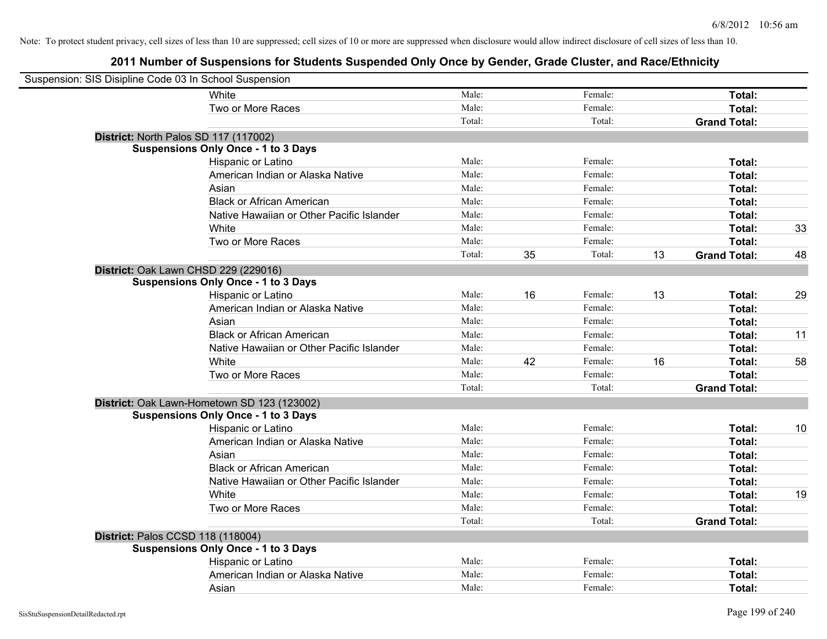| Suspension: SIS Disipline Code 03 In School Suspension |                                             |        |    |         |    |                     |    |
|--------------------------------------------------------|---------------------------------------------|--------|----|---------|----|---------------------|----|
|                                                        | <b>White</b>                                | Male:  |    | Female: |    | Total:              |    |
|                                                        | Two or More Races                           | Male:  |    | Female: |    | Total:              |    |
|                                                        |                                             | Total: |    | Total:  |    | <b>Grand Total:</b> |    |
| District: North Palos SD 117 (117002)                  |                                             |        |    |         |    |                     |    |
|                                                        | <b>Suspensions Only Once - 1 to 3 Days</b>  |        |    |         |    |                     |    |
|                                                        | Hispanic or Latino                          | Male:  |    | Female: |    | Total:              |    |
|                                                        | American Indian or Alaska Native            | Male:  |    | Female: |    | Total:              |    |
|                                                        | Asian                                       | Male:  |    | Female: |    | Total:              |    |
|                                                        | <b>Black or African American</b>            | Male:  |    | Female: |    | Total:              |    |
|                                                        | Native Hawaiian or Other Pacific Islander   | Male:  |    | Female: |    | Total:              |    |
|                                                        | White                                       | Male:  |    | Female: |    | Total:              | 33 |
|                                                        | Two or More Races                           | Male:  |    | Female: |    | Total:              |    |
|                                                        |                                             | Total: | 35 | Total:  | 13 | <b>Grand Total:</b> | 48 |
| District: Oak Lawn CHSD 229 (229016)                   |                                             |        |    |         |    |                     |    |
|                                                        | <b>Suspensions Only Once - 1 to 3 Days</b>  |        |    |         |    |                     |    |
|                                                        | Hispanic or Latino                          | Male:  | 16 | Female: | 13 | Total:              | 29 |
|                                                        | American Indian or Alaska Native            | Male:  |    | Female: |    | Total:              |    |
|                                                        | Asian                                       | Male:  |    | Female: |    | Total:              |    |
|                                                        | <b>Black or African American</b>            | Male:  |    | Female: |    | Total:              | 11 |
|                                                        | Native Hawaiian or Other Pacific Islander   | Male:  |    | Female: |    | Total:              |    |
|                                                        | White                                       | Male:  | 42 | Female: | 16 | Total:              | 58 |
|                                                        | Two or More Races                           | Male:  |    | Female: |    | Total:              |    |
|                                                        |                                             | Total: |    | Total:  |    | <b>Grand Total:</b> |    |
|                                                        | District: Oak Lawn-Hometown SD 123 (123002) |        |    |         |    |                     |    |
|                                                        | <b>Suspensions Only Once - 1 to 3 Days</b>  |        |    |         |    |                     |    |
|                                                        | Hispanic or Latino                          | Male:  |    | Female: |    | Total:              | 10 |
|                                                        | American Indian or Alaska Native            | Male:  |    | Female: |    | Total:              |    |
|                                                        | Asian                                       | Male:  |    | Female: |    | Total:              |    |
|                                                        | <b>Black or African American</b>            | Male:  |    | Female: |    | Total:              |    |
|                                                        | Native Hawaiian or Other Pacific Islander   | Male:  |    | Female: |    | Total:              |    |
|                                                        | White                                       | Male:  |    | Female: |    | Total:              | 19 |
|                                                        | Two or More Races                           | Male:  |    | Female: |    | Total:              |    |
|                                                        |                                             | Total: |    | Total:  |    | <b>Grand Total:</b> |    |
| District: Palos CCSD 118 (118004)                      |                                             |        |    |         |    |                     |    |
|                                                        | <b>Suspensions Only Once - 1 to 3 Days</b>  |        |    |         |    |                     |    |
|                                                        | Hispanic or Latino                          | Male:  |    | Female: |    | Total:              |    |
|                                                        | American Indian or Alaska Native            | Male:  |    | Female: |    | Total:              |    |
|                                                        | Asian                                       | Male:  |    | Female: |    | Total:              |    |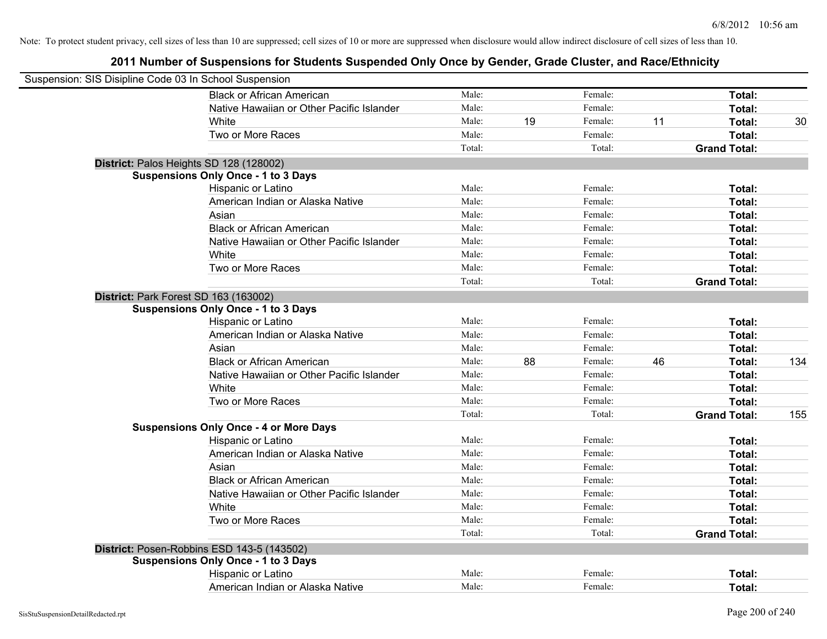| Suspension: SIS Disipline Code 03 In School Suspension |                                               |        |    |         |    |                     |     |
|--------------------------------------------------------|-----------------------------------------------|--------|----|---------|----|---------------------|-----|
|                                                        | <b>Black or African American</b>              | Male:  |    | Female: |    | Total:              |     |
|                                                        | Native Hawaiian or Other Pacific Islander     | Male:  |    | Female: |    | Total:              |     |
|                                                        | White                                         | Male:  | 19 | Female: | 11 | Total:              | 30  |
|                                                        | Two or More Races                             | Male:  |    | Female: |    | Total:              |     |
|                                                        |                                               | Total: |    | Total:  |    | <b>Grand Total:</b> |     |
|                                                        | District: Palos Heights SD 128 (128002)       |        |    |         |    |                     |     |
|                                                        | <b>Suspensions Only Once - 1 to 3 Days</b>    |        |    |         |    |                     |     |
|                                                        | Hispanic or Latino                            | Male:  |    | Female: |    | Total:              |     |
|                                                        | American Indian or Alaska Native              | Male:  |    | Female: |    | Total:              |     |
|                                                        | Asian                                         | Male:  |    | Female: |    | Total:              |     |
|                                                        | <b>Black or African American</b>              | Male:  |    | Female: |    | Total:              |     |
|                                                        | Native Hawaiian or Other Pacific Islander     | Male:  |    | Female: |    | Total:              |     |
|                                                        | White                                         | Male:  |    | Female: |    | Total:              |     |
|                                                        | Two or More Races                             | Male:  |    | Female: |    | Total:              |     |
|                                                        |                                               | Total: |    | Total:  |    | <b>Grand Total:</b> |     |
|                                                        | District: Park Forest SD 163 (163002)         |        |    |         |    |                     |     |
|                                                        | <b>Suspensions Only Once - 1 to 3 Days</b>    |        |    |         |    |                     |     |
|                                                        | Hispanic or Latino                            | Male:  |    | Female: |    | Total:              |     |
|                                                        | American Indian or Alaska Native              | Male:  |    | Female: |    | Total:              |     |
|                                                        | Asian                                         | Male:  |    | Female: |    | Total:              |     |
|                                                        | <b>Black or African American</b>              | Male:  | 88 | Female: | 46 | Total:              | 134 |
|                                                        | Native Hawaiian or Other Pacific Islander     | Male:  |    | Female: |    | Total:              |     |
|                                                        | White                                         | Male:  |    | Female: |    | Total:              |     |
|                                                        | Two or More Races                             | Male:  |    | Female: |    | Total:              |     |
|                                                        |                                               | Total: |    | Total:  |    | <b>Grand Total:</b> | 155 |
|                                                        | <b>Suspensions Only Once - 4 or More Days</b> |        |    |         |    |                     |     |
|                                                        | Hispanic or Latino                            | Male:  |    | Female: |    | Total:              |     |
|                                                        | American Indian or Alaska Native              | Male:  |    | Female: |    | Total:              |     |
|                                                        | Asian                                         | Male:  |    | Female: |    | Total:              |     |
|                                                        | <b>Black or African American</b>              | Male:  |    | Female: |    | Total:              |     |
|                                                        | Native Hawaiian or Other Pacific Islander     | Male:  |    | Female: |    | Total:              |     |
|                                                        | White                                         | Male:  |    | Female: |    | Total:              |     |
|                                                        | Two or More Races                             | Male:  |    | Female: |    | Total:              |     |
|                                                        |                                               | Total: |    | Total:  |    | <b>Grand Total:</b> |     |
|                                                        | District: Posen-Robbins ESD 143-5 (143502)    |        |    |         |    |                     |     |
|                                                        | <b>Suspensions Only Once - 1 to 3 Days</b>    |        |    |         |    |                     |     |
|                                                        | Hispanic or Latino                            | Male:  |    | Female: |    | Total:              |     |
|                                                        | American Indian or Alaska Native              | Male:  |    | Female: |    | Total:              |     |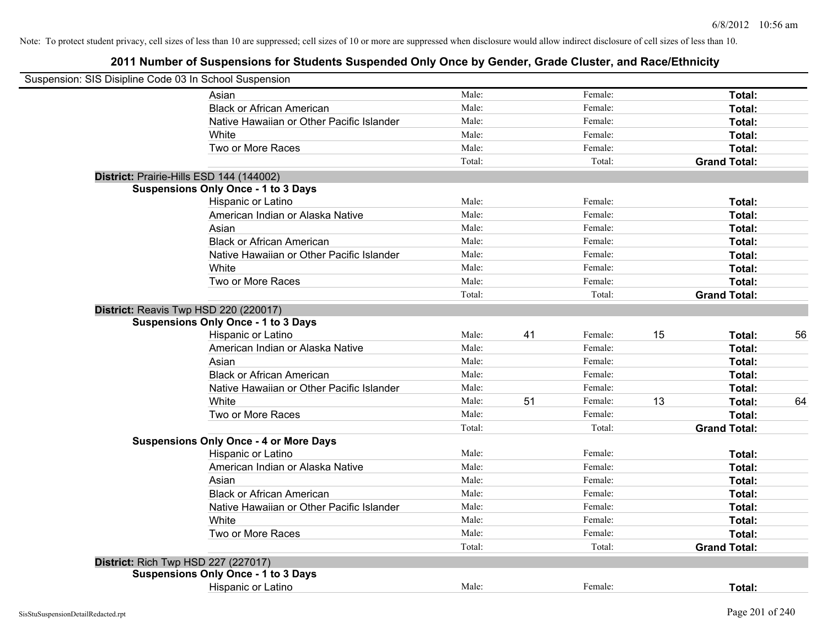| Suspension: SIS Disipline Code 03 In School Suspension |                                               |        |    |         |    |                     |    |
|--------------------------------------------------------|-----------------------------------------------|--------|----|---------|----|---------------------|----|
|                                                        | Asian                                         | Male:  |    | Female: |    | Total:              |    |
|                                                        | <b>Black or African American</b>              | Male:  |    | Female: |    | Total:              |    |
|                                                        | Native Hawaiian or Other Pacific Islander     | Male:  |    | Female: |    | Total:              |    |
|                                                        | White                                         | Male:  |    | Female: |    | Total:              |    |
|                                                        | Two or More Races                             | Male:  |    | Female: |    | Total:              |    |
|                                                        |                                               | Total: |    | Total:  |    | <b>Grand Total:</b> |    |
|                                                        |                                               |        |    |         |    |                     |    |
| District: Prairie-Hills ESD 144 (144002)               | <b>Suspensions Only Once - 1 to 3 Days</b>    |        |    |         |    |                     |    |
|                                                        | Hispanic or Latino                            | Male:  |    | Female: |    | Total:              |    |
|                                                        | American Indian or Alaska Native              | Male:  |    | Female: |    | Total:              |    |
|                                                        | Asian                                         | Male:  |    | Female: |    | Total:              |    |
|                                                        | <b>Black or African American</b>              | Male:  |    | Female: |    |                     |    |
|                                                        | Native Hawaiian or Other Pacific Islander     | Male:  |    | Female: |    | Total:              |    |
|                                                        | White                                         |        |    |         |    | Total:              |    |
|                                                        |                                               | Male:  |    | Female: |    | Total:              |    |
|                                                        | Two or More Races                             | Male:  |    | Female: |    | Total:              |    |
|                                                        |                                               | Total: |    | Total:  |    | <b>Grand Total:</b> |    |
| District: Reavis Twp HSD 220 (220017)                  |                                               |        |    |         |    |                     |    |
|                                                        | <b>Suspensions Only Once - 1 to 3 Days</b>    |        |    |         |    |                     |    |
|                                                        | Hispanic or Latino                            | Male:  | 41 | Female: | 15 | Total:              | 56 |
|                                                        | American Indian or Alaska Native              | Male:  |    | Female: |    | Total:              |    |
|                                                        | Asian                                         | Male:  |    | Female: |    | Total:              |    |
|                                                        | <b>Black or African American</b>              | Male:  |    | Female: |    | Total:              |    |
|                                                        | Native Hawaiian or Other Pacific Islander     | Male:  |    | Female: |    | Total:              |    |
|                                                        | White                                         | Male:  | 51 | Female: | 13 | Total:              | 64 |
|                                                        | Two or More Races                             | Male:  |    | Female: |    | Total:              |    |
|                                                        |                                               | Total: |    | Total:  |    | <b>Grand Total:</b> |    |
|                                                        | <b>Suspensions Only Once - 4 or More Days</b> |        |    |         |    |                     |    |
|                                                        | Hispanic or Latino                            | Male:  |    | Female: |    | Total:              |    |
|                                                        | American Indian or Alaska Native              | Male:  |    | Female: |    | Total:              |    |
|                                                        | Asian                                         | Male:  |    | Female: |    | Total:              |    |
|                                                        | <b>Black or African American</b>              | Male:  |    | Female: |    | Total:              |    |
|                                                        | Native Hawaiian or Other Pacific Islander     | Male:  |    | Female: |    | Total:              |    |
|                                                        | <b>White</b>                                  | Male:  |    | Female: |    | Total:              |    |
|                                                        | Two or More Races                             | Male:  |    | Female: |    | Total:              |    |
|                                                        |                                               | Total: |    | Total:  |    | <b>Grand Total:</b> |    |
| <b>District: Rich Twp HSD 227 (227017)</b>             |                                               |        |    |         |    |                     |    |
|                                                        | <b>Suspensions Only Once - 1 to 3 Days</b>    |        |    |         |    |                     |    |
|                                                        | Hispanic or Latino                            | Male:  |    | Female: |    | Total:              |    |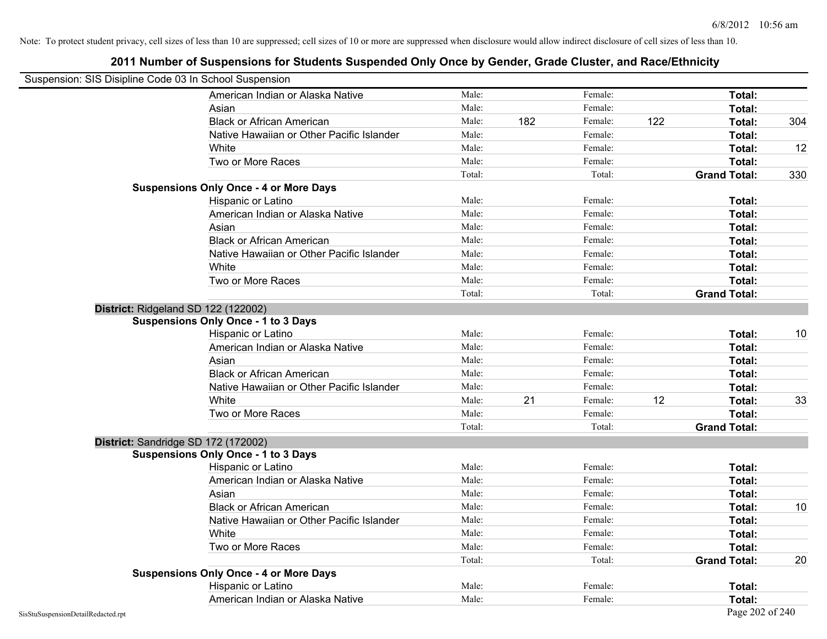| Suspension: SIS Disipline Code 03 In School Suspension |                                               |        |     |         |     |                     |     |
|--------------------------------------------------------|-----------------------------------------------|--------|-----|---------|-----|---------------------|-----|
|                                                        | American Indian or Alaska Native              | Male:  |     | Female: |     | Total:              |     |
|                                                        | Asian                                         | Male:  |     | Female: |     | Total:              |     |
|                                                        | <b>Black or African American</b>              | Male:  | 182 | Female: | 122 | Total:              | 304 |
|                                                        | Native Hawaiian or Other Pacific Islander     | Male:  |     | Female: |     | Total:              |     |
|                                                        | White                                         | Male:  |     | Female: |     | Total:              | 12  |
|                                                        | Two or More Races                             | Male:  |     | Female: |     | Total:              |     |
|                                                        |                                               | Total: |     | Total:  |     | <b>Grand Total:</b> | 330 |
|                                                        | <b>Suspensions Only Once - 4 or More Days</b> |        |     |         |     |                     |     |
|                                                        | Hispanic or Latino                            | Male:  |     | Female: |     | Total:              |     |
|                                                        | American Indian or Alaska Native              | Male:  |     | Female: |     | Total:              |     |
|                                                        | Asian                                         | Male:  |     | Female: |     | Total:              |     |
|                                                        | <b>Black or African American</b>              | Male:  |     | Female: |     | Total:              |     |
|                                                        | Native Hawaiian or Other Pacific Islander     | Male:  |     | Female: |     | Total:              |     |
|                                                        | White                                         | Male:  |     | Female: |     | Total:              |     |
|                                                        | Two or More Races                             | Male:  |     | Female: |     | Total:              |     |
|                                                        |                                               | Total: |     | Total:  |     | <b>Grand Total:</b> |     |
|                                                        | District: Ridgeland SD 122 (122002)           |        |     |         |     |                     |     |
|                                                        | <b>Suspensions Only Once - 1 to 3 Days</b>    |        |     |         |     |                     |     |
|                                                        | Hispanic or Latino                            | Male:  |     | Female: |     | Total:              | 10  |
|                                                        | American Indian or Alaska Native              | Male:  |     | Female: |     | Total:              |     |
|                                                        | Asian                                         | Male:  |     | Female: |     | Total:              |     |
|                                                        | <b>Black or African American</b>              | Male:  |     | Female: |     | Total:              |     |
|                                                        | Native Hawaiian or Other Pacific Islander     | Male:  |     | Female: |     | Total:              |     |
|                                                        | White                                         | Male:  | 21  | Female: | 12  | Total:              | 33  |
|                                                        | Two or More Races                             | Male:  |     | Female: |     | Total:              |     |
|                                                        |                                               | Total: |     | Total:  |     | <b>Grand Total:</b> |     |
|                                                        | District: Sandridge SD 172 (172002)           |        |     |         |     |                     |     |
|                                                        | <b>Suspensions Only Once - 1 to 3 Days</b>    |        |     |         |     |                     |     |
|                                                        | Hispanic or Latino                            | Male:  |     | Female: |     | Total:              |     |
|                                                        | American Indian or Alaska Native              | Male:  |     | Female: |     | Total:              |     |
|                                                        | Asian                                         | Male:  |     | Female: |     | Total:              |     |
|                                                        | <b>Black or African American</b>              | Male:  |     | Female: |     | Total:              | 10  |
|                                                        | Native Hawaiian or Other Pacific Islander     | Male:  |     | Female: |     | Total:              |     |
|                                                        | White                                         | Male:  |     | Female: |     | Total:              |     |
|                                                        | Two or More Races                             | Male:  |     | Female: |     | Total:              |     |
|                                                        |                                               | Total: |     | Total:  |     | <b>Grand Total:</b> | 20  |
|                                                        | <b>Suspensions Only Once - 4 or More Days</b> |        |     |         |     |                     |     |
|                                                        | Hispanic or Latino                            | Male:  |     | Female: |     | Total:              |     |
|                                                        | American Indian or Alaska Native              | Male:  |     | Female: |     | Total:              |     |
| SisStuSuspensionDetailRedacted.rpt                     |                                               |        |     |         |     | Page 202 of 240     |     |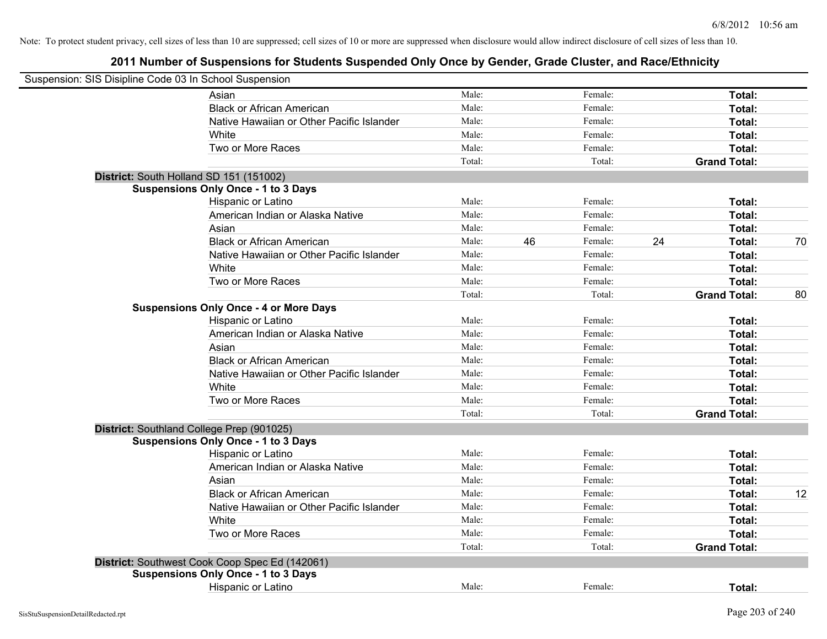| Suspension: SIS Disipline Code 03 In School Suspension |        |    |         |    |                     |    |
|--------------------------------------------------------|--------|----|---------|----|---------------------|----|
| Asian                                                  | Male:  |    | Female: |    | Total:              |    |
| <b>Black or African American</b>                       | Male:  |    | Female: |    | Total:              |    |
| Native Hawaiian or Other Pacific Islander              | Male:  |    | Female: |    | Total:              |    |
| White                                                  | Male:  |    | Female: |    | Total:              |    |
| Two or More Races                                      | Male:  |    | Female: |    | Total:              |    |
|                                                        | Total: |    | Total:  |    | <b>Grand Total:</b> |    |
| District: South Holland SD 151 (151002)                |        |    |         |    |                     |    |
| <b>Suspensions Only Once - 1 to 3 Days</b>             |        |    |         |    |                     |    |
| Hispanic or Latino                                     | Male:  |    | Female: |    | Total:              |    |
| American Indian or Alaska Native                       | Male:  |    | Female: |    | Total:              |    |
| Asian                                                  | Male:  |    | Female: |    | Total:              |    |
| <b>Black or African American</b>                       | Male:  | 46 | Female: | 24 | Total:              | 70 |
| Native Hawaiian or Other Pacific Islander              | Male:  |    | Female: |    | Total:              |    |
| White                                                  | Male:  |    | Female: |    | Total:              |    |
| Two or More Races                                      | Male:  |    | Female: |    | Total:              |    |
|                                                        | Total: |    | Total:  |    | <b>Grand Total:</b> | 80 |
| <b>Suspensions Only Once - 4 or More Days</b>          |        |    |         |    |                     |    |
| Hispanic or Latino                                     | Male:  |    | Female: |    | Total:              |    |
| American Indian or Alaska Native                       | Male:  |    | Female: |    | Total:              |    |
| Asian                                                  | Male:  |    | Female: |    | Total:              |    |
| <b>Black or African American</b>                       | Male:  |    | Female: |    | Total:              |    |
| Native Hawaiian or Other Pacific Islander              | Male:  |    | Female: |    | Total:              |    |
| White                                                  | Male:  |    | Female: |    | Total:              |    |
| Two or More Races                                      | Male:  |    | Female: |    | Total:              |    |
|                                                        | Total: |    | Total:  |    | <b>Grand Total:</b> |    |
| District: Southland College Prep (901025)              |        |    |         |    |                     |    |
| <b>Suspensions Only Once - 1 to 3 Days</b>             |        |    |         |    |                     |    |
| Hispanic or Latino                                     | Male:  |    | Female: |    | Total:              |    |
| American Indian or Alaska Native                       | Male:  |    | Female: |    | Total:              |    |
| Asian                                                  | Male:  |    | Female: |    | Total:              |    |
| <b>Black or African American</b>                       | Male:  |    | Female: |    | Total:              | 12 |
| Native Hawaiian or Other Pacific Islander              | Male:  |    | Female: |    | Total:              |    |
| White                                                  | Male:  |    | Female: |    | Total:              |    |
| Two or More Races                                      | Male:  |    | Female: |    | Total:              |    |
|                                                        | Total: |    | Total:  |    | <b>Grand Total:</b> |    |
| District: Southwest Cook Coop Spec Ed (142061)         |        |    |         |    |                     |    |
| <b>Suspensions Only Once - 1 to 3 Days</b>             |        |    |         |    |                     |    |
| <b>Hispanic or Latino</b>                              | Male:  |    | Female: |    | Total:              |    |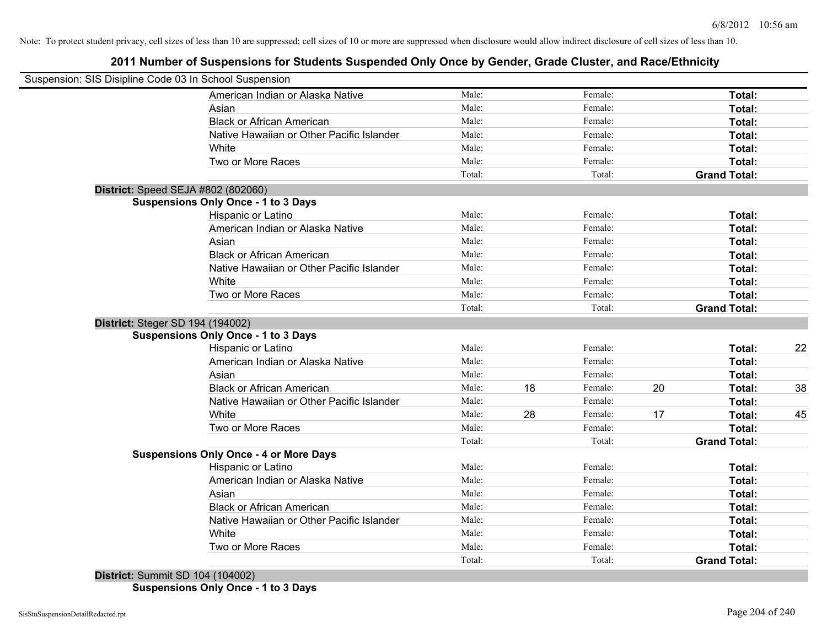# **2011 Number of Suspensions for Students Suspended Only Once by Gender, Grade Cluster, and Race/Ethnicity**

| Suspension: SIS Disipline Code 03 In School Suspension |                                               |        |    |         |    |                     |    |
|--------------------------------------------------------|-----------------------------------------------|--------|----|---------|----|---------------------|----|
|                                                        | American Indian or Alaska Native              | Male:  |    | Female: |    | Total:              |    |
|                                                        | Asian                                         | Male:  |    | Female: |    | Total:              |    |
|                                                        | <b>Black or African American</b>              | Male:  |    | Female: |    | Total:              |    |
|                                                        | Native Hawaiian or Other Pacific Islander     | Male:  |    | Female: |    | Total:              |    |
|                                                        | White                                         | Male:  |    | Female: |    | Total:              |    |
|                                                        | Two or More Races                             | Male:  |    | Female: |    | Total:              |    |
|                                                        |                                               | Total: |    | Total:  |    | <b>Grand Total:</b> |    |
| District: Speed SEJA #802 (802060)                     |                                               |        |    |         |    |                     |    |
|                                                        | <b>Suspensions Only Once - 1 to 3 Days</b>    |        |    |         |    |                     |    |
|                                                        | Hispanic or Latino                            | Male:  |    | Female: |    | Total:              |    |
|                                                        | American Indian or Alaska Native              | Male:  |    | Female: |    | Total:              |    |
|                                                        | Asian                                         | Male:  |    | Female: |    | Total:              |    |
|                                                        | <b>Black or African American</b>              | Male:  |    | Female: |    | Total:              |    |
|                                                        | Native Hawaiian or Other Pacific Islander     | Male:  |    | Female: |    | Total:              |    |
|                                                        | White                                         | Male:  |    | Female: |    | Total:              |    |
|                                                        | Two or More Races                             | Male:  |    | Female: |    | Total:              |    |
|                                                        |                                               | Total: |    | Total:  |    | <b>Grand Total:</b> |    |
| District: Steger SD 194 (194002)                       |                                               |        |    |         |    |                     |    |
|                                                        | <b>Suspensions Only Once - 1 to 3 Days</b>    |        |    |         |    |                     |    |
|                                                        | Hispanic or Latino                            | Male:  |    | Female: |    | Total:              | 22 |
|                                                        | American Indian or Alaska Native              | Male:  |    | Female: |    | Total:              |    |
| Asian                                                  |                                               | Male:  |    | Female: |    | Total:              |    |
|                                                        | <b>Black or African American</b>              | Male:  | 18 | Female: | 20 | Total:              | 38 |
|                                                        | Native Hawaiian or Other Pacific Islander     | Male:  |    | Female: |    | Total:              |    |
|                                                        | White                                         | Male:  | 28 | Female: | 17 | Total:              | 45 |
|                                                        | Two or More Races                             | Male:  |    | Female: |    | Total:              |    |
|                                                        |                                               | Total: |    | Total:  |    | <b>Grand Total:</b> |    |
|                                                        | <b>Suspensions Only Once - 4 or More Days</b> |        |    |         |    |                     |    |
|                                                        | <b>Hispanic or Latino</b>                     | Male:  |    | Female: |    | Total:              |    |
|                                                        | American Indian or Alaska Native              | Male:  |    | Female: |    | Total:              |    |
|                                                        | Asian                                         | Male:  |    | Female: |    | Total:              |    |
|                                                        | <b>Black or African American</b>              | Male:  |    | Female: |    | Total:              |    |
|                                                        | Native Hawaiian or Other Pacific Islander     | Male:  |    | Female: |    | Total:              |    |
|                                                        | White                                         | Male:  |    | Female: |    | Total:              |    |
|                                                        | Two or More Races                             | Male:  |    | Female: |    | Total:              |    |
| .                                                      | 1.1010000                                     | Total: |    | Total:  |    | <b>Grand Total:</b> |    |

**District:** Summit SD 104 (104002) **Suspensions Only Once - 1 to 3 Days**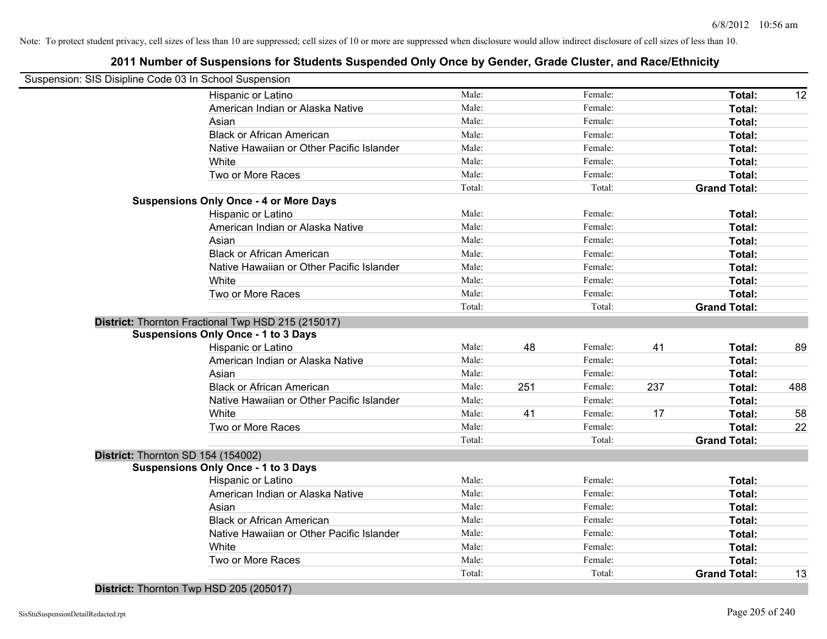# **2011 Number of Suspensions for Students Suspended Only Once by Gender, Grade Cluster, and Race/Ethnicity**

| Suspension: SIS Disipline Code 03 In School Suspension |                                           |        |     |         |     |                     |     |
|--------------------------------------------------------|-------------------------------------------|--------|-----|---------|-----|---------------------|-----|
| Hispanic or Latino                                     |                                           | Male:  |     | Female: |     | Total:              | 12  |
|                                                        | American Indian or Alaska Native          | Male:  |     | Female: |     | Total:              |     |
| Asian                                                  |                                           | Male:  |     | Female: |     | Total:              |     |
|                                                        | <b>Black or African American</b>          | Male:  |     | Female: |     | Total:              |     |
|                                                        | Native Hawaiian or Other Pacific Islander | Male:  |     | Female: |     | Total:              |     |
| White                                                  |                                           | Male:  |     | Female: |     | Total:              |     |
| Two or More Races                                      |                                           | Male:  |     | Female: |     | Total:              |     |
|                                                        |                                           | Total: |     | Total:  |     | <b>Grand Total:</b> |     |
| <b>Suspensions Only Once - 4 or More Days</b>          |                                           |        |     |         |     |                     |     |
| Hispanic or Latino                                     |                                           | Male:  |     | Female: |     | Total:              |     |
|                                                        | American Indian or Alaska Native          | Male:  |     | Female: |     | Total:              |     |
| Asian                                                  |                                           | Male:  |     | Female: |     | Total:              |     |
|                                                        | <b>Black or African American</b>          | Male:  |     | Female: |     | Total:              |     |
|                                                        | Native Hawaiian or Other Pacific Islander | Male:  |     | Female: |     | Total:              |     |
| White                                                  |                                           | Male:  |     | Female: |     | Total:              |     |
| Two or More Races                                      |                                           | Male:  |     | Female: |     | Total:              |     |
|                                                        |                                           | Total: |     | Total:  |     | <b>Grand Total:</b> |     |
| District: Thornton Fractional Twp HSD 215 (215017)     |                                           |        |     |         |     |                     |     |
| <b>Suspensions Only Once - 1 to 3 Days</b>             |                                           |        |     |         |     |                     |     |
| Hispanic or Latino                                     |                                           | Male:  | 48  | Female: | 41  | Total:              | 89  |
|                                                        | American Indian or Alaska Native          | Male:  |     | Female: |     | Total:              |     |
| Asian                                                  |                                           | Male:  |     | Female: |     | Total:              |     |
|                                                        | <b>Black or African American</b>          | Male:  | 251 | Female: | 237 | Total:              | 488 |
|                                                        | Native Hawaiian or Other Pacific Islander | Male:  |     | Female: |     | Total:              |     |
| White                                                  |                                           | Male:  | 41  | Female: | 17  | Total:              | 58  |
| Two or More Races                                      |                                           | Male:  |     | Female: |     | Total:              | 22  |
|                                                        |                                           | Total: |     | Total:  |     | <b>Grand Total:</b> |     |
| District: Thornton SD 154 (154002)                     |                                           |        |     |         |     |                     |     |
| <b>Suspensions Only Once - 1 to 3 Days</b>             |                                           |        |     |         |     |                     |     |
| Hispanic or Latino                                     |                                           | Male:  |     | Female: |     | Total:              |     |
|                                                        | American Indian or Alaska Native          | Male:  |     | Female: |     | Total:              |     |
| Asian                                                  |                                           | Male:  |     | Female: |     | Total:              |     |
|                                                        | <b>Black or African American</b>          | Male:  |     | Female: |     | Total:              |     |
|                                                        | Native Hawaiian or Other Pacific Islander | Male:  |     | Female: |     | Total:              |     |
| White                                                  |                                           | Male:  |     | Female: |     | Total:              |     |
| Two or More Races                                      |                                           | Male:  |     | Female: |     | Total:              |     |
|                                                        |                                           | Total: |     | Total:  |     | <b>Grand Total:</b> | 13  |

**District:** Thornton Twp HSD 205 (205017)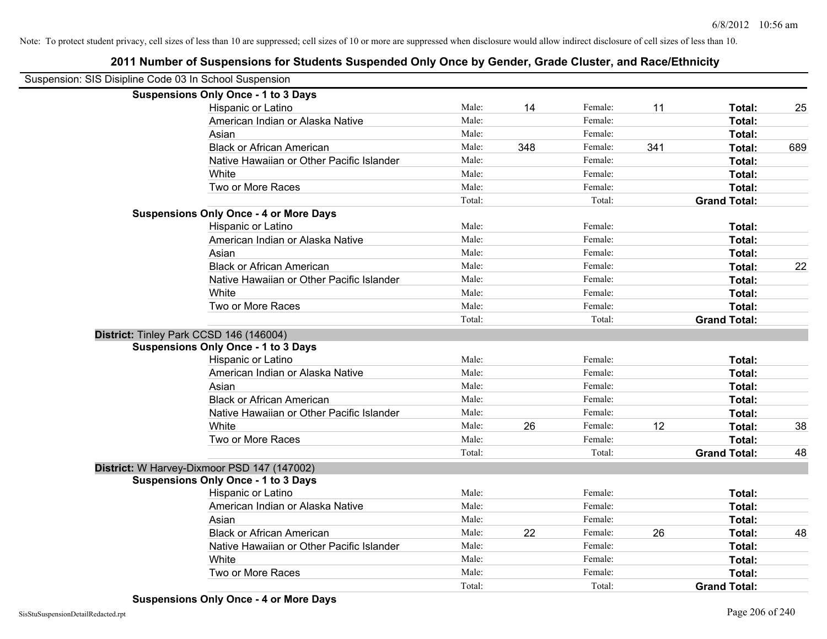| Suspension: SIS Disipline Code 03 In School Suspension |                                               |        |     |         |     |                     |     |
|--------------------------------------------------------|-----------------------------------------------|--------|-----|---------|-----|---------------------|-----|
|                                                        | <b>Suspensions Only Once - 1 to 3 Days</b>    |        |     |         |     |                     |     |
|                                                        | Hispanic or Latino                            | Male:  | 14  | Female: | 11  | Total:              | 25  |
|                                                        | American Indian or Alaska Native              | Male:  |     | Female: |     | Total:              |     |
|                                                        | Asian                                         | Male:  |     | Female: |     | Total:              |     |
|                                                        | <b>Black or African American</b>              | Male:  | 348 | Female: | 341 | Total:              | 689 |
|                                                        | Native Hawaiian or Other Pacific Islander     | Male:  |     | Female: |     | Total:              |     |
|                                                        | White                                         | Male:  |     | Female: |     | Total:              |     |
|                                                        | Two or More Races                             | Male:  |     | Female: |     | Total:              |     |
|                                                        |                                               | Total: |     | Total:  |     | <b>Grand Total:</b> |     |
|                                                        | <b>Suspensions Only Once - 4 or More Days</b> |        |     |         |     |                     |     |
|                                                        | Hispanic or Latino                            | Male:  |     | Female: |     | Total:              |     |
|                                                        | American Indian or Alaska Native              | Male:  |     | Female: |     | Total:              |     |
|                                                        | Asian                                         | Male:  |     | Female: |     | Total:              |     |
|                                                        | <b>Black or African American</b>              | Male:  |     | Female: |     | Total:              | 22  |
|                                                        | Native Hawaiian or Other Pacific Islander     | Male:  |     | Female: |     | Total:              |     |
|                                                        | White                                         | Male:  |     | Female: |     | Total:              |     |
|                                                        | Two or More Races                             | Male:  |     | Female: |     | Total:              |     |
|                                                        |                                               | Total: |     | Total:  |     | <b>Grand Total:</b> |     |
|                                                        | District: Tinley Park CCSD 146 (146004)       |        |     |         |     |                     |     |
|                                                        | <b>Suspensions Only Once - 1 to 3 Days</b>    |        |     |         |     |                     |     |
|                                                        | Hispanic or Latino                            | Male:  |     | Female: |     | Total:              |     |
|                                                        | American Indian or Alaska Native              | Male:  |     | Female: |     | Total:              |     |
|                                                        | Asian                                         | Male:  |     | Female: |     | Total:              |     |
|                                                        | <b>Black or African American</b>              | Male:  |     | Female: |     | Total:              |     |
|                                                        | Native Hawaiian or Other Pacific Islander     | Male:  |     | Female: |     | Total:              |     |
|                                                        | White                                         | Male:  | 26  | Female: | 12  | Total:              | 38  |
|                                                        | Two or More Races                             | Male:  |     | Female: |     | Total:              |     |
|                                                        |                                               | Total: |     | Total:  |     | <b>Grand Total:</b> | 48  |
|                                                        | District: W Harvey-Dixmoor PSD 147 (147002)   |        |     |         |     |                     |     |
|                                                        | <b>Suspensions Only Once - 1 to 3 Days</b>    |        |     |         |     |                     |     |
|                                                        | Hispanic or Latino                            | Male:  |     | Female: |     | Total:              |     |
|                                                        | American Indian or Alaska Native              | Male:  |     | Female: |     | Total:              |     |
|                                                        | Asian                                         | Male:  |     | Female: |     | Total:              |     |
|                                                        | <b>Black or African American</b>              | Male:  | 22  | Female: | 26  | Total:              | 48  |
|                                                        | Native Hawaiian or Other Pacific Islander     | Male:  |     | Female: |     | Total:              |     |
|                                                        | White                                         | Male:  |     | Female: |     | Total:              |     |
|                                                        | Two or More Races                             | Male:  |     | Female: |     | Total:              |     |

Total: Total: **Grand Total:**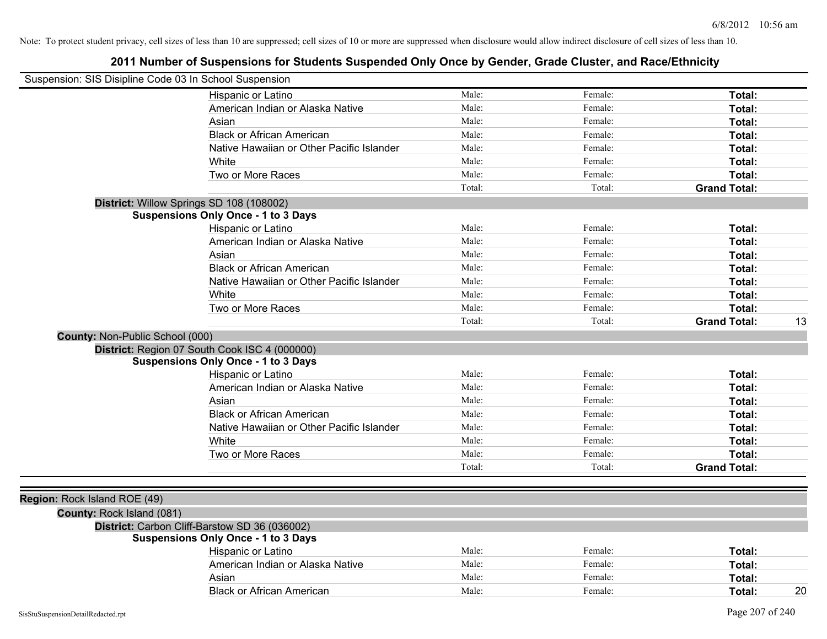| Suspension: SIS Disipline Code 03 In School Suspension |                                               |        |         |                     |    |
|--------------------------------------------------------|-----------------------------------------------|--------|---------|---------------------|----|
|                                                        | Hispanic or Latino                            | Male:  | Female: | Total:              |    |
|                                                        | American Indian or Alaska Native              | Male:  | Female: | Total:              |    |
|                                                        | Asian                                         | Male:  | Female: | Total:              |    |
|                                                        | <b>Black or African American</b>              | Male:  | Female: | Total:              |    |
|                                                        | Native Hawaiian or Other Pacific Islander     | Male:  | Female: | Total:              |    |
|                                                        | White                                         | Male:  | Female: | Total:              |    |
|                                                        | Two or More Races                             | Male:  | Female: | Total:              |    |
|                                                        |                                               | Total: | Total:  | <b>Grand Total:</b> |    |
|                                                        | District: Willow Springs SD 108 (108002)      |        |         |                     |    |
|                                                        | <b>Suspensions Only Once - 1 to 3 Days</b>    |        |         |                     |    |
|                                                        | Hispanic or Latino                            | Male:  | Female: | Total:              |    |
|                                                        | American Indian or Alaska Native              | Male:  | Female: | Total:              |    |
|                                                        | Asian                                         | Male:  | Female: | Total:              |    |
|                                                        | <b>Black or African American</b>              | Male:  | Female: | Total:              |    |
|                                                        | Native Hawaiian or Other Pacific Islander     | Male:  | Female: | Total:              |    |
|                                                        | White                                         | Male:  | Female: | Total:              |    |
|                                                        | Two or More Races                             | Male:  | Female: | Total:              |    |
|                                                        |                                               | Total: | Total:  | <b>Grand Total:</b> | 13 |
| County: Non-Public School (000)                        |                                               |        |         |                     |    |
|                                                        | District: Region 07 South Cook ISC 4 (000000) |        |         |                     |    |
|                                                        | <b>Suspensions Only Once - 1 to 3 Days</b>    |        |         |                     |    |
|                                                        | Hispanic or Latino                            | Male:  | Female: | Total:              |    |
|                                                        | American Indian or Alaska Native              | Male:  | Female: | Total:              |    |
|                                                        | Asian                                         | Male:  | Female: | Total:              |    |
|                                                        | <b>Black or African American</b>              | Male:  | Female: | Total:              |    |
|                                                        | Native Hawaiian or Other Pacific Islander     | Male:  | Female: | Total:              |    |
|                                                        | White                                         | Male:  | Female: | Total:              |    |
|                                                        | Two or More Races                             | Male:  | Female: | Total:              |    |
|                                                        |                                               | Total: | Total:  | <b>Grand Total:</b> |    |
|                                                        |                                               |        |         |                     |    |
| Region: Rock Island ROE (49)                           |                                               |        |         |                     |    |
| County: Rock Island (081)                              |                                               |        |         |                     |    |
|                                                        | District: Carbon Cliff-Barstow SD 36 (036002) |        |         |                     |    |
|                                                        | <b>Suspensions Only Once - 1 to 3 Days</b>    |        |         |                     |    |
|                                                        | Hispanic or Latino                            | Male:  | Female: | Total:              |    |
|                                                        | American Indian or Alaska Native              | Male:  | Female: | Total:              |    |
|                                                        | Asian                                         | Male:  | Female: | Total:              |    |
|                                                        | <b>Black or African American</b>              | Male:  | Female: | Total:              | 20 |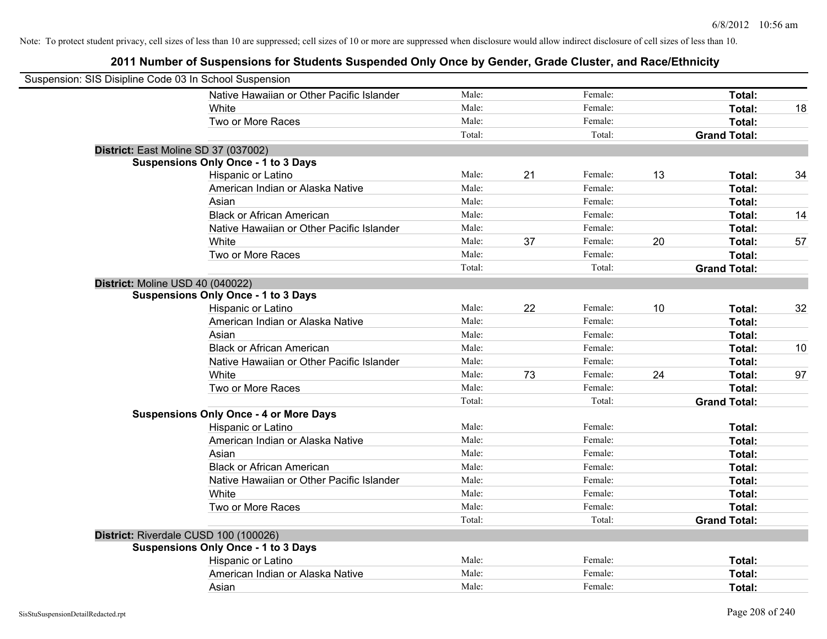| Suspension: SIS Disipline Code 03 In School Suspension |                                               |        |    |         |    |                     |    |
|--------------------------------------------------------|-----------------------------------------------|--------|----|---------|----|---------------------|----|
|                                                        | Native Hawaiian or Other Pacific Islander     | Male:  |    | Female: |    | Total:              |    |
|                                                        | White                                         | Male:  |    | Female: |    | Total:              | 18 |
|                                                        | Two or More Races                             | Male:  |    | Female: |    | Total:              |    |
|                                                        |                                               | Total: |    | Total:  |    | <b>Grand Total:</b> |    |
| District: East Moline SD 37 (037002)                   |                                               |        |    |         |    |                     |    |
|                                                        | <b>Suspensions Only Once - 1 to 3 Days</b>    |        |    |         |    |                     |    |
|                                                        | Hispanic or Latino                            | Male:  | 21 | Female: | 13 | Total:              | 34 |
|                                                        | American Indian or Alaska Native              | Male:  |    | Female: |    | Total:              |    |
|                                                        | Asian                                         | Male:  |    | Female: |    | Total:              |    |
|                                                        | <b>Black or African American</b>              | Male:  |    | Female: |    | Total:              | 14 |
|                                                        | Native Hawaiian or Other Pacific Islander     | Male:  |    | Female: |    | Total:              |    |
|                                                        | White                                         | Male:  | 37 | Female: | 20 | Total:              | 57 |
|                                                        | Two or More Races                             | Male:  |    | Female: |    | Total:              |    |
|                                                        |                                               | Total: |    | Total:  |    | <b>Grand Total:</b> |    |
| District: Moline USD 40 (040022)                       |                                               |        |    |         |    |                     |    |
|                                                        | <b>Suspensions Only Once - 1 to 3 Days</b>    |        |    |         |    |                     |    |
|                                                        | Hispanic or Latino                            | Male:  | 22 | Female: | 10 | Total:              | 32 |
|                                                        | American Indian or Alaska Native              | Male:  |    | Female: |    | Total:              |    |
|                                                        | Asian                                         | Male:  |    | Female: |    | Total:              |    |
|                                                        | <b>Black or African American</b>              | Male:  |    | Female: |    | Total:              | 10 |
|                                                        | Native Hawaiian or Other Pacific Islander     | Male:  |    | Female: |    | Total:              |    |
|                                                        | White                                         | Male:  | 73 | Female: | 24 | Total:              | 97 |
|                                                        | Two or More Races                             | Male:  |    | Female: |    | Total:              |    |
|                                                        |                                               | Total: |    | Total:  |    | <b>Grand Total:</b> |    |
|                                                        | <b>Suspensions Only Once - 4 or More Days</b> |        |    |         |    |                     |    |
|                                                        | Hispanic or Latino                            | Male:  |    | Female: |    | Total:              |    |
|                                                        | American Indian or Alaska Native              | Male:  |    | Female: |    | Total:              |    |
|                                                        | Asian                                         | Male:  |    | Female: |    | Total:              |    |
|                                                        | <b>Black or African American</b>              | Male:  |    | Female: |    | Total:              |    |
|                                                        | Native Hawaiian or Other Pacific Islander     | Male:  |    | Female: |    | Total:              |    |
|                                                        | White                                         | Male:  |    | Female: |    | Total:              |    |
|                                                        | Two or More Races                             | Male:  |    | Female: |    | Total:              |    |
|                                                        |                                               | Total: |    | Total:  |    | <b>Grand Total:</b> |    |
| District: Riverdale CUSD 100 (100026)                  |                                               |        |    |         |    |                     |    |
|                                                        | <b>Suspensions Only Once - 1 to 3 Days</b>    |        |    |         |    |                     |    |
|                                                        | Hispanic or Latino                            | Male:  |    | Female: |    | Total:              |    |
|                                                        | American Indian or Alaska Native              | Male:  |    | Female: |    | Total:              |    |
|                                                        | Asian                                         | Male:  |    | Female: |    | Total:              |    |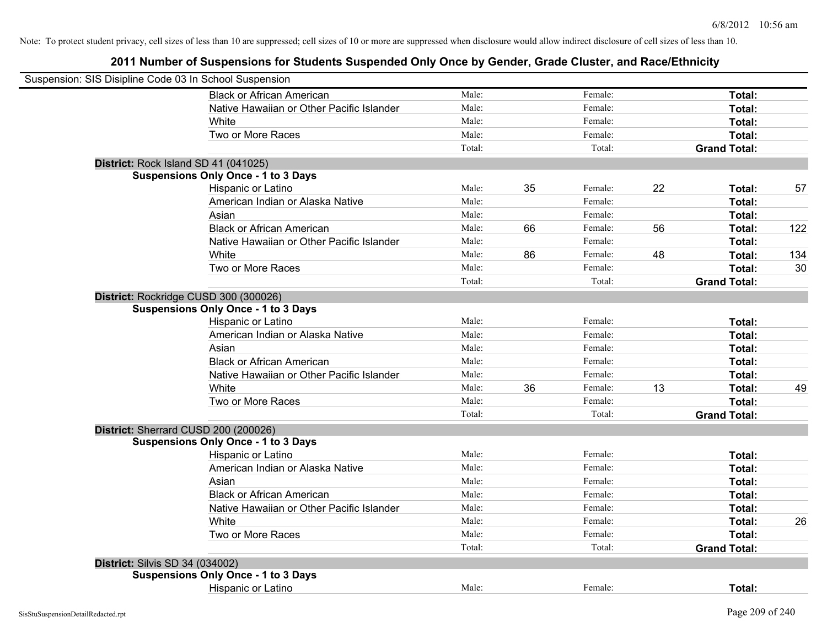|                                        | Suspension: SIS Disipline Code 03 In School Suspension |        |    |         |    |                     |     |
|----------------------------------------|--------------------------------------------------------|--------|----|---------|----|---------------------|-----|
|                                        | <b>Black or African American</b>                       | Male:  |    | Female: |    | Total:              |     |
|                                        | Native Hawaiian or Other Pacific Islander              | Male:  |    | Female: |    | Total:              |     |
|                                        | White                                                  | Male:  |    | Female: |    | Total:              |     |
|                                        | Two or More Races                                      | Male:  |    | Female: |    | Total:              |     |
|                                        |                                                        | Total: |    | Total:  |    | <b>Grand Total:</b> |     |
|                                        | District: Rock Island SD 41 (041025)                   |        |    |         |    |                     |     |
|                                        | <b>Suspensions Only Once - 1 to 3 Days</b>             |        |    |         |    |                     |     |
|                                        | Hispanic or Latino                                     | Male:  | 35 | Female: | 22 | Total:              | 57  |
|                                        | American Indian or Alaska Native                       | Male:  |    | Female: |    | Total:              |     |
|                                        | Asian                                                  | Male:  |    | Female: |    | Total:              |     |
|                                        | <b>Black or African American</b>                       | Male:  | 66 | Female: | 56 | Total:              | 122 |
|                                        | Native Hawaiian or Other Pacific Islander              | Male:  |    | Female: |    | Total:              |     |
|                                        | White                                                  | Male:  | 86 | Female: | 48 | Total:              | 134 |
|                                        | Two or More Races                                      | Male:  |    | Female: |    | Total:              | 30  |
|                                        |                                                        | Total: |    | Total:  |    | <b>Grand Total:</b> |     |
|                                        | District: Rockridge CUSD 300 (300026)                  |        |    |         |    |                     |     |
|                                        | <b>Suspensions Only Once - 1 to 3 Days</b>             |        |    |         |    |                     |     |
|                                        | Hispanic or Latino                                     | Male:  |    | Female: |    | Total:              |     |
|                                        | American Indian or Alaska Native                       | Male:  |    | Female: |    | Total:              |     |
|                                        | Asian                                                  | Male:  |    | Female: |    | Total:              |     |
|                                        | <b>Black or African American</b>                       | Male:  |    | Female: |    | Total:              |     |
|                                        | Native Hawaiian or Other Pacific Islander              | Male:  |    | Female: |    | Total:              |     |
|                                        | White                                                  | Male:  | 36 | Female: | 13 | Total:              | 49  |
|                                        | Two or More Races                                      | Male:  |    | Female: |    | Total:              |     |
|                                        |                                                        | Total: |    | Total:  |    | <b>Grand Total:</b> |     |
|                                        | District: Sherrard CUSD 200 (200026)                   |        |    |         |    |                     |     |
|                                        | <b>Suspensions Only Once - 1 to 3 Days</b>             |        |    |         |    |                     |     |
|                                        | Hispanic or Latino                                     | Male:  |    | Female: |    | Total:              |     |
|                                        | American Indian or Alaska Native                       | Male:  |    | Female: |    | Total:              |     |
|                                        | Asian                                                  | Male:  |    | Female: |    | Total:              |     |
|                                        | <b>Black or African American</b>                       | Male:  |    | Female: |    | Total:              |     |
|                                        | Native Hawaiian or Other Pacific Islander              | Male:  |    | Female: |    | Total:              |     |
|                                        | White                                                  | Male:  |    | Female: |    | Total:              | 26  |
|                                        | Two or More Races                                      | Male:  |    | Female: |    | Total:              |     |
|                                        |                                                        | Total: |    | Total:  |    | <b>Grand Total:</b> |     |
| <b>District: Silvis SD 34 (034002)</b> |                                                        |        |    |         |    |                     |     |
|                                        | <b>Suspensions Only Once - 1 to 3 Days</b>             |        |    |         |    |                     |     |
|                                        | Hispanic or Latino                                     | Male:  |    | Female: |    | Total:              |     |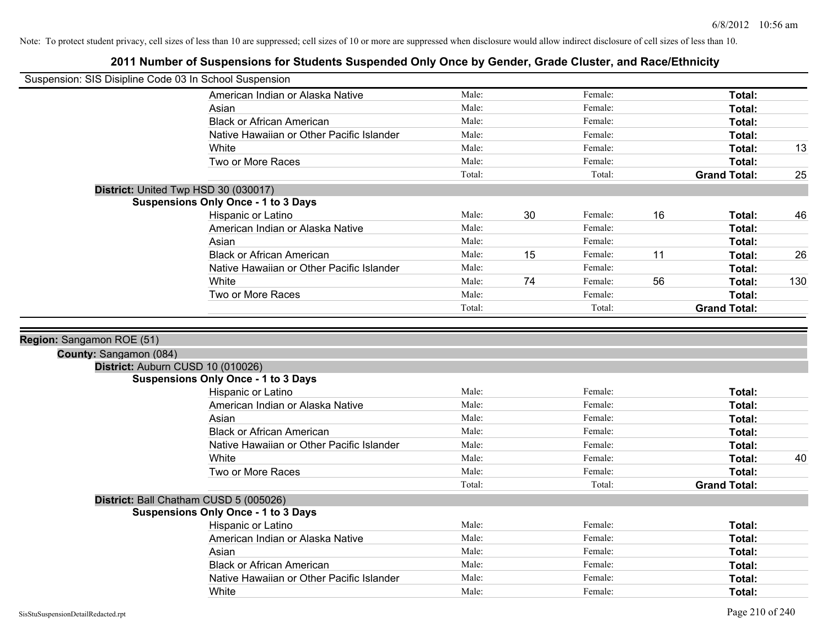| Suspension: SIS Disipline Code 03 In School Suspension |                                            |        |    |         |    |                     |     |
|--------------------------------------------------------|--------------------------------------------|--------|----|---------|----|---------------------|-----|
|                                                        | American Indian or Alaska Native           | Male:  |    | Female: |    | Total:              |     |
|                                                        | Asian                                      | Male:  |    | Female: |    | Total:              |     |
|                                                        | <b>Black or African American</b>           | Male:  |    | Female: |    | Total:              |     |
|                                                        | Native Hawaiian or Other Pacific Islander  | Male:  |    | Female: |    | Total:              |     |
|                                                        | White                                      | Male:  |    | Female: |    | Total:              | 13  |
|                                                        | Two or More Races                          | Male:  |    | Female: |    | Total:              |     |
|                                                        |                                            | Total: |    | Total:  |    | <b>Grand Total:</b> | 25  |
|                                                        | District: United Twp HSD 30 (030017)       |        |    |         |    |                     |     |
|                                                        | <b>Suspensions Only Once - 1 to 3 Days</b> |        |    |         |    |                     |     |
|                                                        | Hispanic or Latino                         | Male:  | 30 | Female: | 16 | Total:              | 46  |
|                                                        | American Indian or Alaska Native           | Male:  |    | Female: |    | Total:              |     |
|                                                        | Asian                                      | Male:  |    | Female: |    | Total:              |     |
|                                                        | <b>Black or African American</b>           | Male:  | 15 | Female: | 11 | Total:              | 26  |
|                                                        | Native Hawaiian or Other Pacific Islander  | Male:  |    | Female: |    | Total:              |     |
|                                                        | White                                      | Male:  | 74 | Female: | 56 | Total:              | 130 |
|                                                        | Two or More Races                          | Male:  |    | Female: |    | Total:              |     |
|                                                        |                                            | Total: |    | Total:  |    | <b>Grand Total:</b> |     |
|                                                        |                                            |        |    |         |    |                     |     |
| Region: Sangamon ROE (51)                              |                                            |        |    |         |    |                     |     |
| County: Sangamon (084)                                 |                                            |        |    |         |    |                     |     |
|                                                        | District: Auburn CUSD 10 (010026)          |        |    |         |    |                     |     |
|                                                        | <b>Suspensions Only Once - 1 to 3 Days</b> |        |    |         |    |                     |     |
|                                                        | Hispanic or Latino                         | Male:  |    | Female: |    | Total:              |     |
|                                                        | American Indian or Alaska Native           | Male:  |    | Female: |    | Total:              |     |
|                                                        | Asian                                      | Male:  |    | Female: |    | Total:              |     |
|                                                        | <b>Black or African American</b>           | Male:  |    | Female: |    | Total:              |     |
|                                                        | Native Hawaiian or Other Pacific Islander  | Male:  |    | Female: |    | Total:              |     |
|                                                        | White                                      | Male:  |    | Female: |    | Total:              | 40  |
|                                                        | Two or More Races                          | Male:  |    | Female: |    | Total:              |     |
|                                                        |                                            | Total: |    | Total:  |    | <b>Grand Total:</b> |     |
|                                                        | District: Ball Chatham CUSD 5 (005026)     |        |    |         |    |                     |     |
|                                                        | <b>Suspensions Only Once - 1 to 3 Days</b> |        |    |         |    |                     |     |
|                                                        | Hispanic or Latino                         | Male:  |    | Female: |    | Total:              |     |
|                                                        | American Indian or Alaska Native           | Male:  |    | Female: |    | Total:              |     |
|                                                        | Asian                                      | Male:  |    | Female: |    | Total:              |     |
|                                                        | <b>Black or African American</b>           | Male:  |    | Female: |    | Total:              |     |
|                                                        | Native Hawaiian or Other Pacific Islander  | Male:  |    | Female: |    | Total:              |     |
|                                                        | White                                      | Male:  |    | Female: |    | Total:              |     |
|                                                        |                                            |        |    |         |    |                     |     |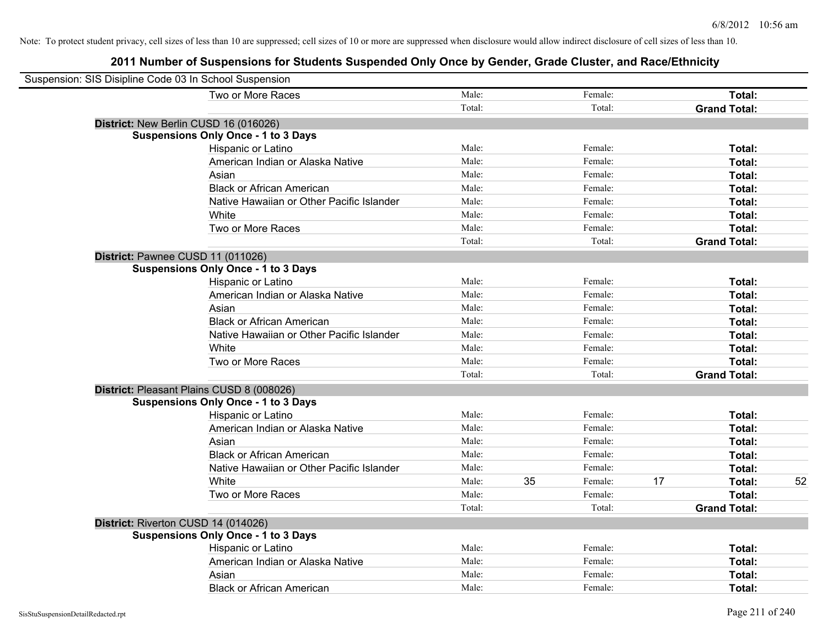| Suspension: SIS Disipline Code 03 In School Suspension |                                            |        |    |         |    |                     |    |
|--------------------------------------------------------|--------------------------------------------|--------|----|---------|----|---------------------|----|
|                                                        | Two or More Races                          | Male:  |    | Female: |    | Total:              |    |
|                                                        |                                            | Total: |    | Total:  |    | <b>Grand Total:</b> |    |
|                                                        | District: New Berlin CUSD 16 (016026)      |        |    |         |    |                     |    |
|                                                        | <b>Suspensions Only Once - 1 to 3 Days</b> |        |    |         |    |                     |    |
|                                                        | Hispanic or Latino                         | Male:  |    | Female: |    | Total:              |    |
|                                                        | American Indian or Alaska Native           | Male:  |    | Female: |    | Total:              |    |
|                                                        | Asian                                      | Male:  |    | Female: |    | Total:              |    |
|                                                        | <b>Black or African American</b>           | Male:  |    | Female: |    | Total:              |    |
|                                                        | Native Hawaiian or Other Pacific Islander  | Male:  |    | Female: |    | Total:              |    |
|                                                        | White                                      | Male:  |    | Female: |    | Total:              |    |
|                                                        | Two or More Races                          | Male:  |    | Female: |    | Total:              |    |
|                                                        |                                            | Total: |    | Total:  |    | <b>Grand Total:</b> |    |
| District: Pawnee CUSD 11 (011026)                      |                                            |        |    |         |    |                     |    |
|                                                        | <b>Suspensions Only Once - 1 to 3 Days</b> |        |    |         |    |                     |    |
|                                                        | Hispanic or Latino                         | Male:  |    | Female: |    | Total:              |    |
|                                                        | American Indian or Alaska Native           | Male:  |    | Female: |    | Total:              |    |
|                                                        | Asian                                      | Male:  |    | Female: |    | Total:              |    |
|                                                        | <b>Black or African American</b>           | Male:  |    | Female: |    | Total:              |    |
|                                                        | Native Hawaiian or Other Pacific Islander  | Male:  |    | Female: |    | Total:              |    |
|                                                        | White                                      | Male:  |    | Female: |    | Total:              |    |
|                                                        | Two or More Races                          | Male:  |    | Female: |    | Total:              |    |
|                                                        |                                            | Total: |    | Total:  |    | <b>Grand Total:</b> |    |
|                                                        | District: Pleasant Plains CUSD 8 (008026)  |        |    |         |    |                     |    |
|                                                        | <b>Suspensions Only Once - 1 to 3 Days</b> |        |    |         |    |                     |    |
|                                                        | Hispanic or Latino                         | Male:  |    | Female: |    | Total:              |    |
|                                                        | American Indian or Alaska Native           | Male:  |    | Female: |    | Total:              |    |
|                                                        | Asian                                      | Male:  |    | Female: |    | Total:              |    |
|                                                        | <b>Black or African American</b>           | Male:  |    | Female: |    | Total:              |    |
|                                                        | Native Hawaiian or Other Pacific Islander  | Male:  |    | Female: |    | Total:              |    |
|                                                        | White                                      | Male:  | 35 | Female: | 17 | Total:              | 52 |
|                                                        | Two or More Races                          | Male:  |    | Female: |    | Total:              |    |
|                                                        |                                            | Total: |    | Total:  |    | <b>Grand Total:</b> |    |
| District: Riverton CUSD 14 (014026)                    |                                            |        |    |         |    |                     |    |
|                                                        | <b>Suspensions Only Once - 1 to 3 Days</b> |        |    |         |    |                     |    |
|                                                        | Hispanic or Latino                         | Male:  |    | Female: |    | Total:              |    |
|                                                        | American Indian or Alaska Native           | Male:  |    | Female: |    | Total:              |    |
|                                                        | Asian                                      | Male:  |    | Female: |    | Total:              |    |
|                                                        | <b>Black or African American</b>           | Male:  |    | Female: |    | Total:              |    |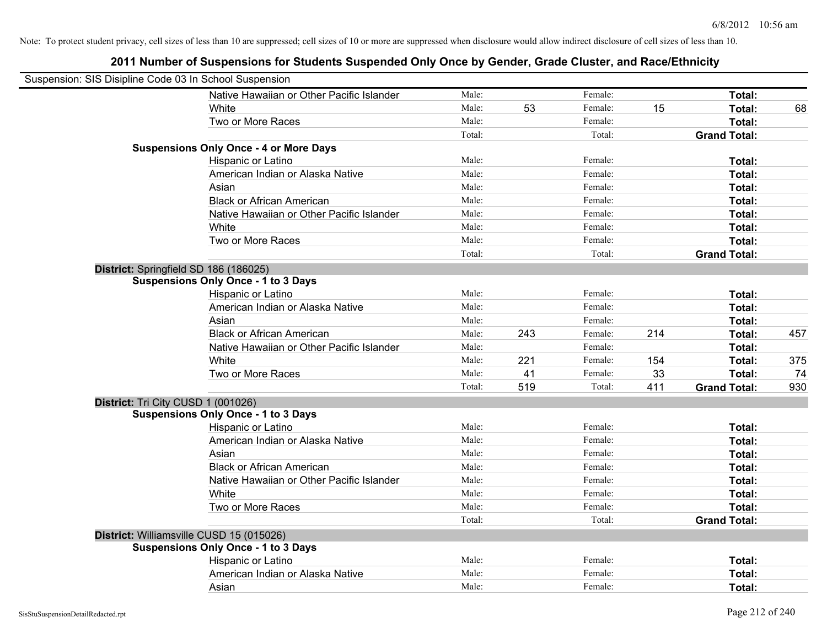| Suspension: SIS Disipline Code 03 In School Suspension |                                               |        |     |         |     |                     |     |
|--------------------------------------------------------|-----------------------------------------------|--------|-----|---------|-----|---------------------|-----|
|                                                        | Native Hawaiian or Other Pacific Islander     | Male:  |     | Female: |     | Total:              |     |
|                                                        | White                                         | Male:  | 53  | Female: | 15  | Total:              | 68  |
|                                                        | Two or More Races                             | Male:  |     | Female: |     | Total:              |     |
|                                                        |                                               | Total: |     | Total:  |     | <b>Grand Total:</b> |     |
|                                                        | <b>Suspensions Only Once - 4 or More Days</b> |        |     |         |     |                     |     |
|                                                        | Hispanic or Latino                            | Male:  |     | Female: |     | Total:              |     |
|                                                        | American Indian or Alaska Native              | Male:  |     | Female: |     | Total:              |     |
|                                                        | Asian                                         | Male:  |     | Female: |     | Total:              |     |
|                                                        | <b>Black or African American</b>              | Male:  |     | Female: |     | Total:              |     |
|                                                        | Native Hawaiian or Other Pacific Islander     | Male:  |     | Female: |     | Total:              |     |
|                                                        | White                                         | Male:  |     | Female: |     | Total:              |     |
|                                                        | Two or More Races                             | Male:  |     | Female: |     | Total:              |     |
|                                                        |                                               | Total: |     | Total:  |     | <b>Grand Total:</b> |     |
|                                                        | District: Springfield SD 186 (186025)         |        |     |         |     |                     |     |
|                                                        | <b>Suspensions Only Once - 1 to 3 Days</b>    |        |     |         |     |                     |     |
|                                                        | Hispanic or Latino                            | Male:  |     | Female: |     | Total:              |     |
|                                                        | American Indian or Alaska Native              | Male:  |     | Female: |     | Total:              |     |
|                                                        | Asian                                         | Male:  |     | Female: |     | Total:              |     |
|                                                        | <b>Black or African American</b>              | Male:  | 243 | Female: | 214 | Total:              | 457 |
|                                                        | Native Hawaiian or Other Pacific Islander     | Male:  |     | Female: |     | Total:              |     |
|                                                        | White                                         | Male:  | 221 | Female: | 154 | Total:              | 375 |
|                                                        | Two or More Races                             | Male:  | 41  | Female: | 33  | Total:              | 74  |
|                                                        |                                               | Total: | 519 | Total:  | 411 | <b>Grand Total:</b> | 930 |
| District: Tri City CUSD 1 (001026)                     |                                               |        |     |         |     |                     |     |
|                                                        | <b>Suspensions Only Once - 1 to 3 Days</b>    |        |     |         |     |                     |     |
|                                                        | Hispanic or Latino                            | Male:  |     | Female: |     | Total:              |     |
|                                                        | American Indian or Alaska Native              | Male:  |     | Female: |     | Total:              |     |
|                                                        | Asian                                         | Male:  |     | Female: |     | Total:              |     |
|                                                        | <b>Black or African American</b>              | Male:  |     | Female: |     | Total:              |     |
|                                                        | Native Hawaiian or Other Pacific Islander     | Male:  |     | Female: |     | Total:              |     |
|                                                        | White                                         | Male:  |     | Female: |     | Total:              |     |
|                                                        | Two or More Races                             | Male:  |     | Female: |     | Total:              |     |
|                                                        |                                               | Total: |     | Total:  |     | <b>Grand Total:</b> |     |
|                                                        | District: Williamsville CUSD 15 (015026)      |        |     |         |     |                     |     |
|                                                        | <b>Suspensions Only Once - 1 to 3 Days</b>    |        |     |         |     |                     |     |
|                                                        | Hispanic or Latino                            | Male:  |     | Female: |     | Total:              |     |
|                                                        | American Indian or Alaska Native              | Male:  |     | Female: |     | Total:              |     |
|                                                        | Asian                                         | Male:  |     | Female: |     | Total:              |     |
|                                                        |                                               |        |     |         |     |                     |     |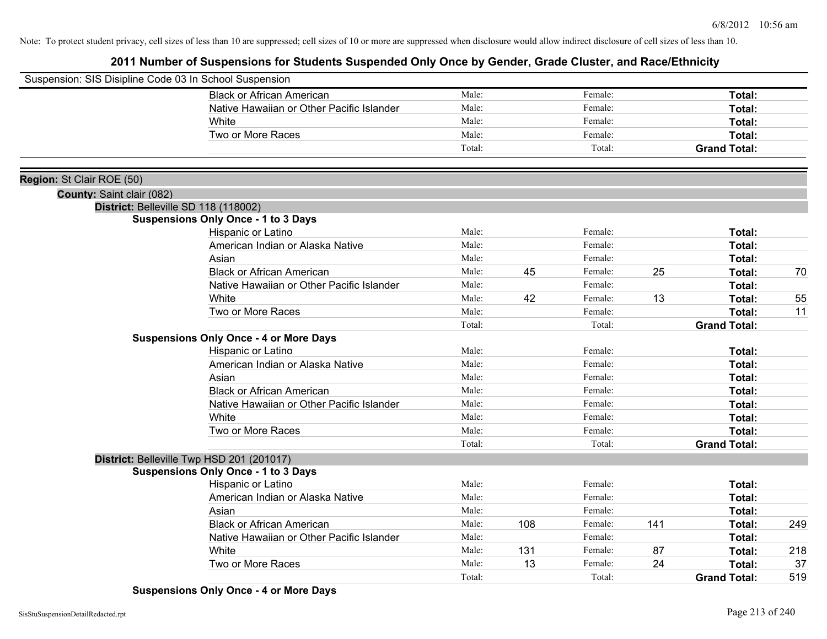|                           | Suspension: SIS Disipline Code 03 In School Suspension |        |     |         |     |                     |     |
|---------------------------|--------------------------------------------------------|--------|-----|---------|-----|---------------------|-----|
|                           | <b>Black or African American</b>                       | Male:  |     | Female: |     | Total:              |     |
|                           | Native Hawaiian or Other Pacific Islander              | Male:  |     | Female: |     | Total:              |     |
|                           | White                                                  | Male:  |     | Female: |     | Total:              |     |
|                           | Two or More Races                                      | Male:  |     | Female: |     | Total:              |     |
|                           |                                                        | Total: |     | Total:  |     | <b>Grand Total:</b> |     |
|                           |                                                        |        |     |         |     |                     |     |
| Region: St Clair ROE (50) |                                                        |        |     |         |     |                     |     |
| County: Saint clair (082) |                                                        |        |     |         |     |                     |     |
|                           | District: Belleville SD 118 (118002)                   |        |     |         |     |                     |     |
|                           | <b>Suspensions Only Once - 1 to 3 Days</b>             |        |     |         |     |                     |     |
|                           | Hispanic or Latino                                     | Male:  |     | Female: |     | Total:              |     |
|                           | American Indian or Alaska Native                       | Male:  |     | Female: |     | Total:              |     |
|                           | Asian                                                  | Male:  |     | Female: |     | Total:              |     |
|                           | <b>Black or African American</b>                       | Male:  | 45  | Female: | 25  | Total:              | 70  |
|                           | Native Hawaiian or Other Pacific Islander              | Male:  |     | Female: |     | Total:              |     |
|                           | White                                                  | Male:  | 42  | Female: | 13  | <b>Total:</b>       | 55  |
|                           | Two or More Races                                      | Male:  |     | Female: |     | Total:              | 11  |
|                           |                                                        | Total: |     | Total:  |     | <b>Grand Total:</b> |     |
|                           | <b>Suspensions Only Once - 4 or More Days</b>          |        |     |         |     |                     |     |
|                           | Hispanic or Latino                                     | Male:  |     | Female: |     | Total:              |     |
|                           | American Indian or Alaska Native                       | Male:  |     | Female: |     | Total:              |     |
|                           | Asian                                                  | Male:  |     | Female: |     | Total:              |     |
|                           | <b>Black or African American</b>                       | Male:  |     | Female: |     | Total:              |     |
|                           | Native Hawaiian or Other Pacific Islander              | Male:  |     | Female: |     | Total:              |     |
|                           | White                                                  | Male:  |     | Female: |     | Total:              |     |
|                           | Two or More Races                                      | Male:  |     | Female: |     | Total:              |     |
|                           |                                                        | Total: |     | Total:  |     | <b>Grand Total:</b> |     |
|                           | District: Belleville Twp HSD 201 (201017)              |        |     |         |     |                     |     |
|                           | <b>Suspensions Only Once - 1 to 3 Days</b>             |        |     |         |     |                     |     |
|                           | Hispanic or Latino                                     | Male:  |     | Female: |     | <b>Total:</b>       |     |
|                           | American Indian or Alaska Native                       | Male:  |     | Female: |     | Total:              |     |
|                           | Asian                                                  | Male:  |     | Female: |     | Total:              |     |
|                           | <b>Black or African American</b>                       | Male:  | 108 | Female: | 141 | Total:              | 249 |
|                           | Native Hawaiian or Other Pacific Islander              | Male:  |     | Female: |     | Total:              |     |
|                           | White                                                  | Male:  | 131 | Female: | 87  | <b>Total:</b>       | 218 |
|                           | Two or More Races                                      | Male:  | 13  | Female: | 24  | <b>Total:</b>       | 37  |
|                           |                                                        | Total: |     | Total:  |     | <b>Grand Total:</b> | 519 |

**Suspensions Only Once - 4 or More Days**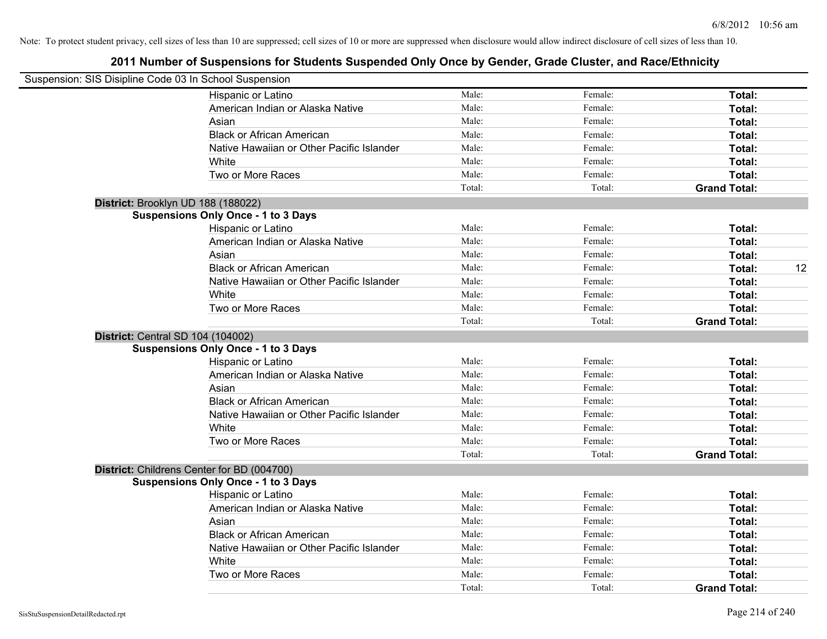| Suspension: SIS Disipline Code 03 In School Suspension |                                            |        |         |                     |
|--------------------------------------------------------|--------------------------------------------|--------|---------|---------------------|
|                                                        | Hispanic or Latino                         | Male:  | Female: | Total:              |
|                                                        | American Indian or Alaska Native           | Male:  | Female: | Total:              |
|                                                        | Asian                                      | Male:  | Female: | Total:              |
|                                                        | <b>Black or African American</b>           | Male:  | Female: | Total:              |
|                                                        | Native Hawaiian or Other Pacific Islander  | Male:  | Female: | Total:              |
|                                                        | White                                      | Male:  | Female: | Total:              |
|                                                        | Two or More Races                          | Male:  | Female: | Total:              |
|                                                        |                                            | Total: | Total:  | <b>Grand Total:</b> |
|                                                        | District: Brooklyn UD 188 (188022)         |        |         |                     |
|                                                        | <b>Suspensions Only Once - 1 to 3 Days</b> |        |         |                     |
|                                                        | Hispanic or Latino                         | Male:  | Female: | Total:              |
|                                                        | American Indian or Alaska Native           | Male:  | Female: | Total:              |
|                                                        | Asian                                      | Male:  | Female: | Total:              |
|                                                        | <b>Black or African American</b>           | Male:  | Female: | 12<br>Total:        |
|                                                        | Native Hawaiian or Other Pacific Islander  | Male:  | Female: | Total:              |
|                                                        | White                                      | Male:  | Female: | Total:              |
|                                                        | Two or More Races                          | Male:  | Female: | Total:              |
|                                                        |                                            | Total: | Total:  | <b>Grand Total:</b> |
| District: Central SD 104 (104002)                      |                                            |        |         |                     |
|                                                        | <b>Suspensions Only Once - 1 to 3 Days</b> |        |         |                     |
|                                                        | Hispanic or Latino                         | Male:  | Female: | Total:              |
|                                                        | American Indian or Alaska Native           | Male:  | Female: | Total:              |
|                                                        | Asian                                      | Male:  | Female: | Total:              |
|                                                        | <b>Black or African American</b>           | Male:  | Female: | Total:              |
|                                                        | Native Hawaiian or Other Pacific Islander  | Male:  | Female: | Total:              |
|                                                        | White                                      | Male:  | Female: | Total:              |
|                                                        | Two or More Races                          | Male:  | Female: | Total:              |
|                                                        |                                            | Total: | Total:  | <b>Grand Total:</b> |
|                                                        | District: Childrens Center for BD (004700) |        |         |                     |
|                                                        | <b>Suspensions Only Once - 1 to 3 Days</b> |        |         |                     |
|                                                        | Hispanic or Latino                         | Male:  | Female: | Total:              |
|                                                        | American Indian or Alaska Native           | Male:  | Female: | Total:              |
|                                                        | Asian                                      | Male:  | Female: | Total:              |
|                                                        | <b>Black or African American</b>           | Male:  | Female: | Total:              |
|                                                        | Native Hawaiian or Other Pacific Islander  | Male:  | Female: | Total:              |
|                                                        | White                                      | Male:  | Female: | Total:              |
|                                                        | Two or More Races                          | Male:  | Female: | Total:              |
|                                                        |                                            | Total: | Total:  | <b>Grand Total:</b> |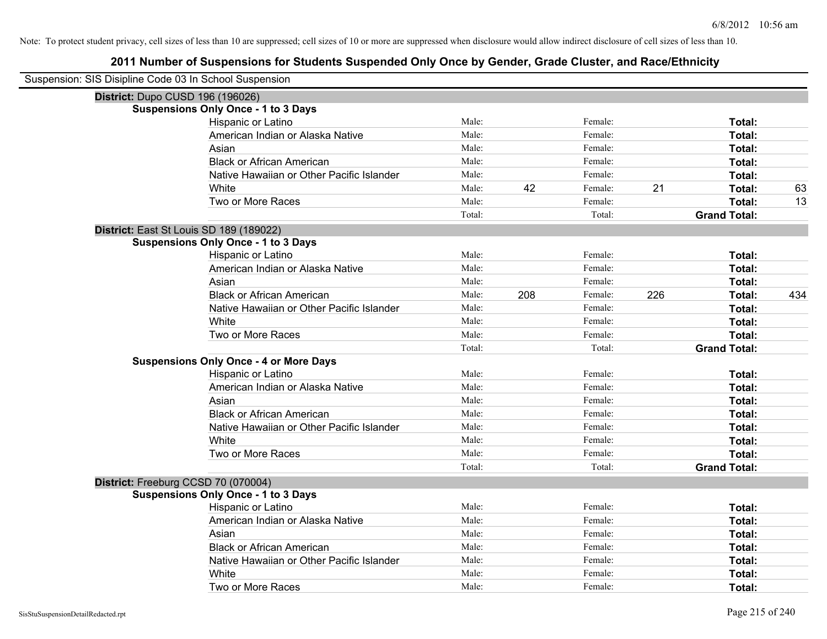| Suspension: SIS Disipline Code 03 In School Suspension |                                               |        |     |         |     |                     |     |
|--------------------------------------------------------|-----------------------------------------------|--------|-----|---------|-----|---------------------|-----|
| District: Dupo CUSD 196 (196026)                       |                                               |        |     |         |     |                     |     |
|                                                        | <b>Suspensions Only Once - 1 to 3 Days</b>    |        |     |         |     |                     |     |
|                                                        | <b>Hispanic or Latino</b>                     | Male:  |     | Female: |     | Total:              |     |
|                                                        | American Indian or Alaska Native              | Male:  |     | Female: |     | Total:              |     |
|                                                        | Asian                                         | Male:  |     | Female: |     | Total:              |     |
|                                                        | <b>Black or African American</b>              | Male:  |     | Female: |     | Total:              |     |
|                                                        | Native Hawaiian or Other Pacific Islander     | Male:  |     | Female: |     | Total:              |     |
|                                                        | White                                         | Male:  | 42  | Female: | 21  | Total:              | 63  |
|                                                        | Two or More Races                             | Male:  |     | Female: |     | Total:              | 13  |
|                                                        |                                               | Total: |     | Total:  |     | <b>Grand Total:</b> |     |
| District: East St Louis SD 189 (189022)                |                                               |        |     |         |     |                     |     |
|                                                        | <b>Suspensions Only Once - 1 to 3 Days</b>    |        |     |         |     |                     |     |
|                                                        | Hispanic or Latino                            | Male:  |     | Female: |     | Total:              |     |
|                                                        | American Indian or Alaska Native              | Male:  |     | Female: |     | Total:              |     |
|                                                        | Asian                                         | Male:  |     | Female: |     | Total:              |     |
|                                                        | <b>Black or African American</b>              | Male:  | 208 | Female: | 226 | Total:              | 434 |
|                                                        | Native Hawaiian or Other Pacific Islander     | Male:  |     | Female: |     | Total:              |     |
|                                                        | White                                         | Male:  |     | Female: |     | Total:              |     |
|                                                        | Two or More Races                             | Male:  |     | Female: |     | Total:              |     |
|                                                        |                                               | Total: |     | Total:  |     | <b>Grand Total:</b> |     |
|                                                        | <b>Suspensions Only Once - 4 or More Days</b> |        |     |         |     |                     |     |
|                                                        | Hispanic or Latino                            | Male:  |     | Female: |     | Total:              |     |
|                                                        | American Indian or Alaska Native              | Male:  |     | Female: |     | Total:              |     |
|                                                        | Asian                                         | Male:  |     | Female: |     | Total:              |     |
|                                                        | <b>Black or African American</b>              | Male:  |     | Female: |     | Total:              |     |
|                                                        | Native Hawaiian or Other Pacific Islander     | Male:  |     | Female: |     | Total:              |     |
|                                                        | White                                         | Male:  |     | Female: |     | Total:              |     |
|                                                        | Two or More Races                             | Male:  |     | Female: |     | Total:              |     |
|                                                        |                                               | Total: |     | Total:  |     | <b>Grand Total:</b> |     |
| District: Freeburg CCSD 70 (070004)                    |                                               |        |     |         |     |                     |     |
|                                                        | <b>Suspensions Only Once - 1 to 3 Days</b>    |        |     |         |     |                     |     |
|                                                        | Hispanic or Latino                            | Male:  |     | Female: |     | Total:              |     |
|                                                        | American Indian or Alaska Native              | Male:  |     | Female: |     | Total:              |     |
|                                                        | Asian                                         | Male:  |     | Female: |     | Total:              |     |
|                                                        | <b>Black or African American</b>              | Male:  |     | Female: |     | Total:              |     |
|                                                        | Native Hawaiian or Other Pacific Islander     | Male:  |     | Female: |     | Total:              |     |
|                                                        | White                                         | Male:  |     | Female: |     | Total:              |     |
|                                                        | Two or More Races                             | Male:  |     | Female: |     | Total:              |     |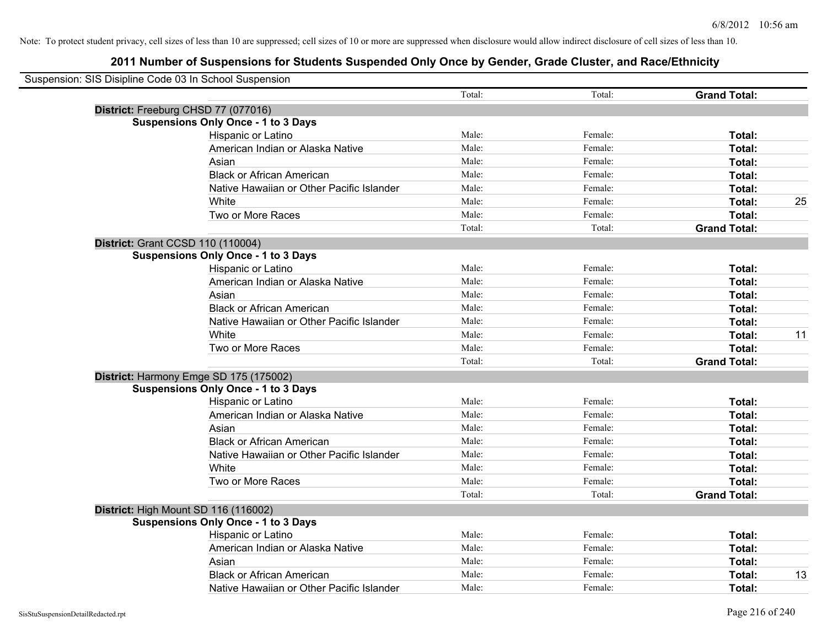| Suspension: SIS Disipline Code 03 In School Suspension |        |         |                     |    |
|--------------------------------------------------------|--------|---------|---------------------|----|
|                                                        | Total: | Total:  | <b>Grand Total:</b> |    |
| District: Freeburg CHSD 77 (077016)                    |        |         |                     |    |
| <b>Suspensions Only Once - 1 to 3 Days</b>             |        |         |                     |    |
| Hispanic or Latino                                     | Male:  | Female: | Total:              |    |
| American Indian or Alaska Native                       | Male:  | Female: | Total:              |    |
| Asian                                                  | Male:  | Female: | Total:              |    |
| <b>Black or African American</b>                       | Male:  | Female: | Total:              |    |
| Native Hawaiian or Other Pacific Islander              | Male:  | Female: | Total:              |    |
| White                                                  | Male:  | Female: | Total:              | 25 |
| Two or More Races                                      | Male:  | Female: | Total:              |    |
|                                                        | Total: | Total:  | <b>Grand Total:</b> |    |
| District: Grant CCSD 110 (110004)                      |        |         |                     |    |
| <b>Suspensions Only Once - 1 to 3 Days</b>             |        |         |                     |    |
| Hispanic or Latino                                     | Male:  | Female: | Total:              |    |
| American Indian or Alaska Native                       | Male:  | Female: | Total:              |    |
| Asian                                                  | Male:  | Female: | Total:              |    |
| <b>Black or African American</b>                       | Male:  | Female: | Total:              |    |
| Native Hawaiian or Other Pacific Islander              | Male:  | Female: | Total:              |    |
| White                                                  | Male:  | Female: | Total:              | 11 |
| Two or More Races                                      | Male:  | Female: | Total:              |    |
|                                                        | Total: | Total:  | <b>Grand Total:</b> |    |
| District: Harmony Emge SD 175 (175002)                 |        |         |                     |    |
| <b>Suspensions Only Once - 1 to 3 Days</b>             |        |         |                     |    |
| Hispanic or Latino                                     | Male:  | Female: | Total:              |    |
| American Indian or Alaska Native                       | Male:  | Female: | Total:              |    |
| Asian                                                  | Male:  | Female: | Total:              |    |
| <b>Black or African American</b>                       | Male:  | Female: | Total:              |    |
| Native Hawaiian or Other Pacific Islander              | Male:  | Female: | Total:              |    |
| White                                                  | Male:  | Female: | Total:              |    |
| Two or More Races                                      | Male:  | Female: | Total:              |    |
|                                                        | Total: | Total:  | <b>Grand Total:</b> |    |
| District: High Mount SD 116 (116002)                   |        |         |                     |    |
| <b>Suspensions Only Once - 1 to 3 Days</b>             |        |         |                     |    |
| Hispanic or Latino                                     | Male:  | Female: | Total:              |    |
| American Indian or Alaska Native                       | Male:  | Female: | Total:              |    |
| Asian                                                  | Male:  | Female: | Total:              |    |
| <b>Black or African American</b>                       | Male:  | Female: | Total:              | 13 |
| Native Hawaiian or Other Pacific Islander              | Male:  | Female: | Total:              |    |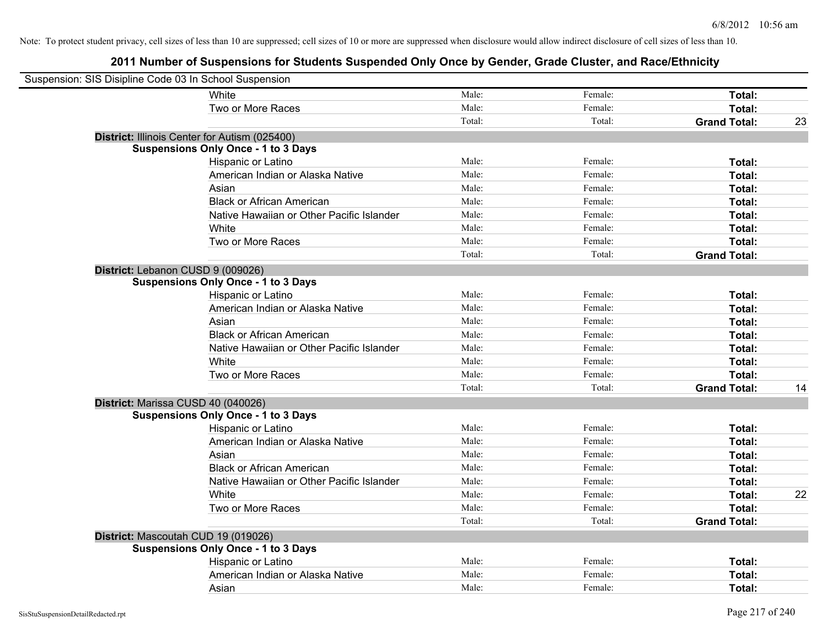| Suspension: SIS Disipline Code 03 In School Suspension |                                            |        |         |                     |    |
|--------------------------------------------------------|--------------------------------------------|--------|---------|---------------------|----|
|                                                        | White                                      | Male:  | Female: | Total:              |    |
|                                                        | Two or More Races                          | Male:  | Female: | Total:              |    |
|                                                        |                                            | Total: | Total:  | <b>Grand Total:</b> | 23 |
| District: Illinois Center for Autism (025400)          |                                            |        |         |                     |    |
|                                                        | <b>Suspensions Only Once - 1 to 3 Days</b> |        |         |                     |    |
|                                                        | Hispanic or Latino                         | Male:  | Female: | Total:              |    |
|                                                        | American Indian or Alaska Native           | Male:  | Female: | Total:              |    |
|                                                        | Asian                                      | Male:  | Female: | Total:              |    |
|                                                        | <b>Black or African American</b>           | Male:  | Female: | Total:              |    |
|                                                        | Native Hawaiian or Other Pacific Islander  | Male:  | Female: | Total:              |    |
|                                                        | White                                      | Male:  | Female: | Total:              |    |
|                                                        | Two or More Races                          | Male:  | Female: | Total:              |    |
|                                                        |                                            | Total: | Total:  | <b>Grand Total:</b> |    |
| District: Lebanon CUSD 9 (009026)                      |                                            |        |         |                     |    |
|                                                        | <b>Suspensions Only Once - 1 to 3 Days</b> |        |         |                     |    |
|                                                        | Hispanic or Latino                         | Male:  | Female: | Total:              |    |
|                                                        | American Indian or Alaska Native           | Male:  | Female: | Total:              |    |
|                                                        | Asian                                      | Male:  | Female: | Total:              |    |
|                                                        | <b>Black or African American</b>           | Male:  | Female: | Total:              |    |
|                                                        | Native Hawaiian or Other Pacific Islander  | Male:  | Female: | Total:              |    |
|                                                        | White                                      | Male:  | Female: | Total:              |    |
|                                                        | Two or More Races                          | Male:  | Female: | Total:              |    |
|                                                        |                                            | Total: | Total:  | <b>Grand Total:</b> | 14 |
| District: Marissa CUSD 40 (040026)                     |                                            |        |         |                     |    |
|                                                        | <b>Suspensions Only Once - 1 to 3 Days</b> |        |         |                     |    |
|                                                        | Hispanic or Latino                         | Male:  | Female: | Total:              |    |
|                                                        | American Indian or Alaska Native           | Male:  | Female: | Total:              |    |
|                                                        | Asian                                      | Male:  | Female: | Total:              |    |
|                                                        | <b>Black or African American</b>           | Male:  | Female: | Total:              |    |
|                                                        | Native Hawaiian or Other Pacific Islander  | Male:  | Female: | Total:              |    |
|                                                        | White                                      | Male:  | Female: | Total:              | 22 |
|                                                        | Two or More Races                          | Male:  | Female: | Total:              |    |
|                                                        |                                            | Total: | Total:  | <b>Grand Total:</b> |    |
| District: Mascoutah CUD 19 (019026)                    |                                            |        |         |                     |    |
|                                                        | <b>Suspensions Only Once - 1 to 3 Days</b> |        |         |                     |    |
|                                                        | Hispanic or Latino                         | Male:  | Female: | Total:              |    |
|                                                        | American Indian or Alaska Native           | Male:  | Female: | Total:              |    |
|                                                        | Asian                                      | Male:  | Female: | Total:              |    |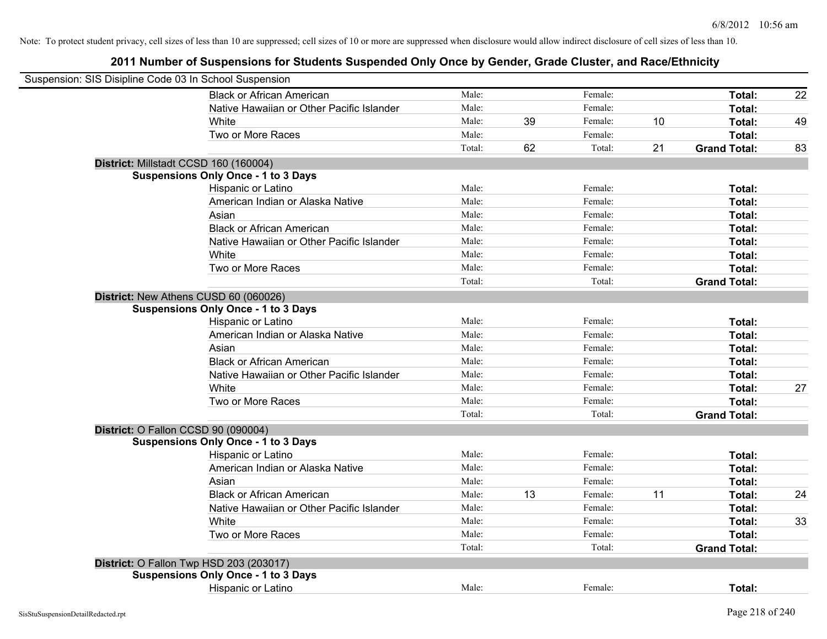| Suspension: SIS Disipline Code 03 In School Suspension |                                                |        |    |         |    |                     |    |
|--------------------------------------------------------|------------------------------------------------|--------|----|---------|----|---------------------|----|
|                                                        | <b>Black or African American</b>               | Male:  |    | Female: |    | Total:              | 22 |
|                                                        | Native Hawaiian or Other Pacific Islander      | Male:  |    | Female: |    | Total:              |    |
|                                                        | <b>White</b>                                   | Male:  | 39 | Female: | 10 | Total:              | 49 |
|                                                        | Two or More Races                              | Male:  |    | Female: |    | Total:              |    |
|                                                        |                                                | Total: | 62 | Total:  | 21 | <b>Grand Total:</b> | 83 |
|                                                        | District: Millstadt CCSD 160 (160004)          |        |    |         |    |                     |    |
|                                                        | <b>Suspensions Only Once - 1 to 3 Days</b>     |        |    |         |    |                     |    |
|                                                        | Hispanic or Latino                             | Male:  |    | Female: |    | Total:              |    |
|                                                        | American Indian or Alaska Native               | Male:  |    | Female: |    | Total:              |    |
|                                                        | Asian                                          | Male:  |    | Female: |    | Total:              |    |
|                                                        | <b>Black or African American</b>               | Male:  |    | Female: |    | Total:              |    |
|                                                        | Native Hawaiian or Other Pacific Islander      | Male:  |    | Female: |    | Total:              |    |
|                                                        | White                                          | Male:  |    | Female: |    | Total:              |    |
|                                                        | Two or More Races                              | Male:  |    | Female: |    | Total:              |    |
|                                                        |                                                | Total: |    | Total:  |    | <b>Grand Total:</b> |    |
|                                                        | District: New Athens CUSD 60 (060026)          |        |    |         |    |                     |    |
|                                                        | <b>Suspensions Only Once - 1 to 3 Days</b>     |        |    |         |    |                     |    |
|                                                        | Hispanic or Latino                             | Male:  |    | Female: |    | Total:              |    |
|                                                        | American Indian or Alaska Native               | Male:  |    | Female: |    | Total:              |    |
|                                                        | Asian                                          | Male:  |    | Female: |    | Total:              |    |
|                                                        | <b>Black or African American</b>               | Male:  |    | Female: |    | Total:              |    |
|                                                        | Native Hawaiian or Other Pacific Islander      | Male:  |    | Female: |    | Total:              |    |
|                                                        | White                                          | Male:  |    | Female: |    | Total:              | 27 |
|                                                        | Two or More Races                              | Male:  |    | Female: |    | Total:              |    |
|                                                        |                                                | Total: |    | Total:  |    | <b>Grand Total:</b> |    |
|                                                        | District: O Fallon CCSD 90 (090004)            |        |    |         |    |                     |    |
|                                                        | <b>Suspensions Only Once - 1 to 3 Days</b>     |        |    |         |    |                     |    |
|                                                        | <b>Hispanic or Latino</b>                      | Male:  |    | Female: |    | Total:              |    |
|                                                        | American Indian or Alaska Native               | Male:  |    | Female: |    | Total:              |    |
|                                                        | Asian                                          | Male:  |    | Female: |    | Total:              |    |
|                                                        | <b>Black or African American</b>               | Male:  | 13 | Female: | 11 | Total:              | 24 |
|                                                        | Native Hawaiian or Other Pacific Islander      | Male:  |    | Female: |    | Total:              |    |
|                                                        | White                                          | Male:  |    | Female: |    | Total:              | 33 |
|                                                        | Two or More Races                              | Male:  |    | Female: |    | Total:              |    |
|                                                        |                                                | Total: |    | Total:  |    | <b>Grand Total:</b> |    |
|                                                        | <b>District: O Fallon Twp HSD 203 (203017)</b> |        |    |         |    |                     |    |
|                                                        | <b>Suspensions Only Once - 1 to 3 Days</b>     |        |    |         |    |                     |    |
|                                                        | Hispanic or Latino                             | Male:  |    | Female: |    | Total:              |    |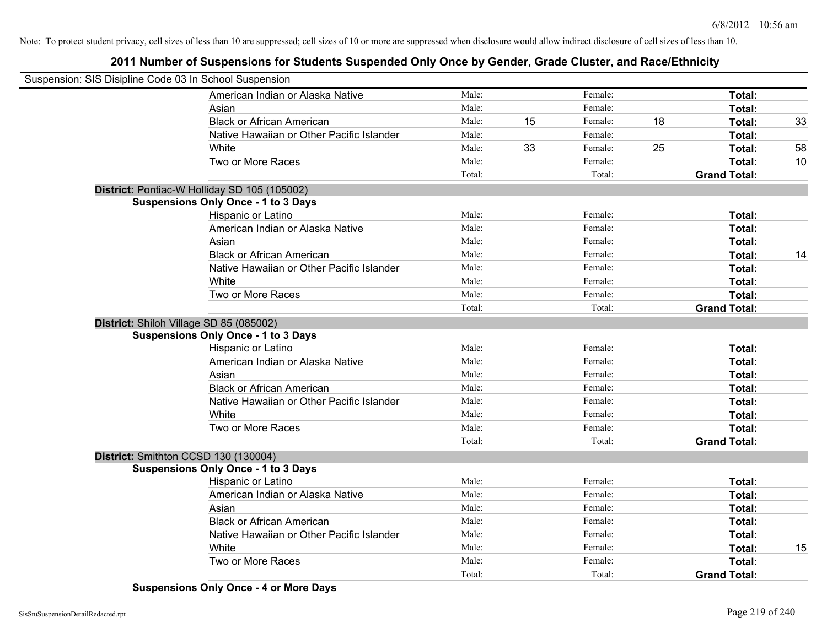# **2011 Number of Suspensions for Students Suspended Only Once by Gender, Grade Cluster, and Race/Ethnicity**

| Suspension: SIS Disipline Code 03 In School Suspension |                                              |        |    |         |    |                     |    |
|--------------------------------------------------------|----------------------------------------------|--------|----|---------|----|---------------------|----|
|                                                        | American Indian or Alaska Native             | Male:  |    | Female: |    | Total:              |    |
|                                                        | Asian                                        | Male:  |    | Female: |    | Total:              |    |
|                                                        | <b>Black or African American</b>             | Male:  | 15 | Female: | 18 | Total:              | 33 |
|                                                        | Native Hawaiian or Other Pacific Islander    | Male:  |    | Female: |    | Total:              |    |
|                                                        | White                                        | Male:  | 33 | Female: | 25 | Total:              | 58 |
|                                                        | Two or More Races                            | Male:  |    | Female: |    | Total:              | 10 |
|                                                        |                                              | Total: |    | Total:  |    | <b>Grand Total:</b> |    |
|                                                        | District: Pontiac-W Holliday SD 105 (105002) |        |    |         |    |                     |    |
|                                                        | <b>Suspensions Only Once - 1 to 3 Days</b>   |        |    |         |    |                     |    |
|                                                        | Hispanic or Latino                           | Male:  |    | Female: |    | Total:              |    |
|                                                        | American Indian or Alaska Native             | Male:  |    | Female: |    | Total:              |    |
|                                                        | Asian                                        | Male:  |    | Female: |    | Total:              |    |
|                                                        | <b>Black or African American</b>             | Male:  |    | Female: |    | Total:              | 14 |
|                                                        | Native Hawaiian or Other Pacific Islander    | Male:  |    | Female: |    | Total:              |    |
|                                                        | White                                        | Male:  |    | Female: |    | Total:              |    |
|                                                        | Two or More Races                            | Male:  |    | Female: |    | Total:              |    |
|                                                        |                                              | Total: |    | Total:  |    | <b>Grand Total:</b> |    |
|                                                        | District: Shiloh Village SD 85 (085002)      |        |    |         |    |                     |    |
|                                                        | <b>Suspensions Only Once - 1 to 3 Days</b>   |        |    |         |    |                     |    |
|                                                        | Hispanic or Latino                           | Male:  |    | Female: |    | Total:              |    |
|                                                        | American Indian or Alaska Native             | Male:  |    | Female: |    | Total:              |    |
|                                                        | Asian                                        | Male:  |    | Female: |    | Total:              |    |
|                                                        | <b>Black or African American</b>             | Male:  |    | Female: |    | Total:              |    |
|                                                        | Native Hawaiian or Other Pacific Islander    | Male:  |    | Female: |    | Total:              |    |
|                                                        | White                                        | Male:  |    | Female: |    | Total:              |    |
|                                                        | Two or More Races                            | Male:  |    | Female: |    | Total:              |    |
|                                                        |                                              | Total: |    | Total:  |    | <b>Grand Total:</b> |    |
|                                                        | District: Smithton CCSD 130 (130004)         |        |    |         |    |                     |    |
|                                                        | <b>Suspensions Only Once - 1 to 3 Days</b>   |        |    |         |    |                     |    |
|                                                        | Hispanic or Latino                           | Male:  |    | Female: |    | Total:              |    |
|                                                        | American Indian or Alaska Native             | Male:  |    | Female: |    | Total:              |    |
|                                                        | Asian                                        | Male:  |    | Female: |    | Total:              |    |
|                                                        | <b>Black or African American</b>             | Male:  |    | Female: |    | Total:              |    |
|                                                        | Native Hawaiian or Other Pacific Islander    | Male:  |    | Female: |    | Total:              |    |
|                                                        | White                                        | Male:  |    | Female: |    | Total:              | 15 |
|                                                        | Two or More Races                            | Male:  |    | Female: |    | Total:              |    |
|                                                        |                                              | Total: |    | Total:  |    | <b>Grand Total:</b> |    |

**Suspensions Only Once - 4 or More Days**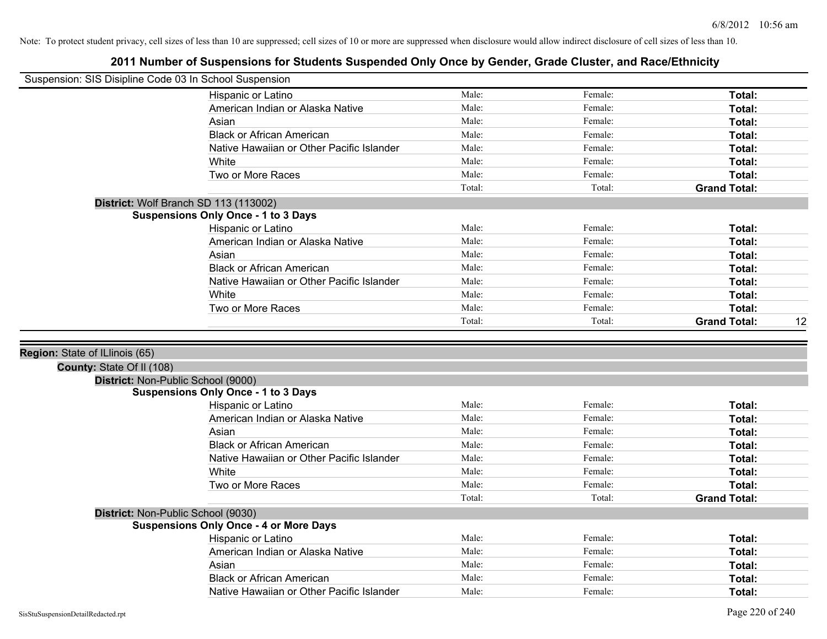| Suspension: SIS Disipline Code 03 In School Suspension |                                               |        |         |                     |    |
|--------------------------------------------------------|-----------------------------------------------|--------|---------|---------------------|----|
|                                                        | Hispanic or Latino                            | Male:  | Female: | Total:              |    |
|                                                        | American Indian or Alaska Native              | Male:  | Female: | Total:              |    |
|                                                        | Asian                                         | Male:  | Female: | Total:              |    |
|                                                        | <b>Black or African American</b>              | Male:  | Female: | Total:              |    |
|                                                        | Native Hawaiian or Other Pacific Islander     | Male:  | Female: | Total:              |    |
|                                                        | White                                         | Male:  | Female: | Total:              |    |
|                                                        | Two or More Races                             | Male:  | Female: | Total:              |    |
|                                                        |                                               | Total: | Total:  | <b>Grand Total:</b> |    |
|                                                        | District: Wolf Branch SD 113 (113002)         |        |         |                     |    |
|                                                        | <b>Suspensions Only Once - 1 to 3 Days</b>    |        |         |                     |    |
|                                                        | Hispanic or Latino                            | Male:  | Female: | Total:              |    |
|                                                        | American Indian or Alaska Native              | Male:  | Female: | Total:              |    |
|                                                        | Asian                                         | Male:  | Female: | Total:              |    |
|                                                        | <b>Black or African American</b>              | Male:  | Female: | Total:              |    |
|                                                        | Native Hawaiian or Other Pacific Islander     | Male:  | Female: | Total:              |    |
|                                                        | White                                         | Male:  | Female: | Total:              |    |
|                                                        | Two or More Races                             | Male:  | Female: | Total:              |    |
|                                                        |                                               | Total: | Total:  | <b>Grand Total:</b> | 12 |
|                                                        |                                               |        |         |                     |    |
| Region: State of ILlinois (65)                         |                                               |        |         |                     |    |
| County: State Of II (108)                              |                                               |        |         |                     |    |
|                                                        | District: Non-Public School (9000)            |        |         |                     |    |
|                                                        | <b>Suspensions Only Once - 1 to 3 Days</b>    |        |         |                     |    |
|                                                        | Hispanic or Latino                            | Male:  | Female: | Total:              |    |
|                                                        | American Indian or Alaska Native              | Male:  | Female: | Total:              |    |
|                                                        | Asian                                         | Male:  | Female: | Total:              |    |
|                                                        | <b>Black or African American</b>              | Male:  | Female: | Total:              |    |
|                                                        | Native Hawaiian or Other Pacific Islander     | Male:  | Female: | Total:              |    |
|                                                        | White                                         | Male:  | Female: | Total:              |    |
|                                                        | Two or More Races                             | Male:  | Female: | Total:              |    |
|                                                        |                                               | Total: | Total:  | <b>Grand Total:</b> |    |
|                                                        | District: Non-Public School (9030)            |        |         |                     |    |
|                                                        | <b>Suspensions Only Once - 4 or More Days</b> |        |         |                     |    |
|                                                        | Hispanic or Latino                            | Male:  | Female: | Total:              |    |
|                                                        | American Indian or Alaska Native              | Male:  | Female: | Total:              |    |
|                                                        | Asian                                         | Male:  | Female: | Total:              |    |
|                                                        | <b>Black or African American</b>              | Male:  | Female: | <b>Total:</b>       |    |
|                                                        |                                               |        | Female: | Total:              |    |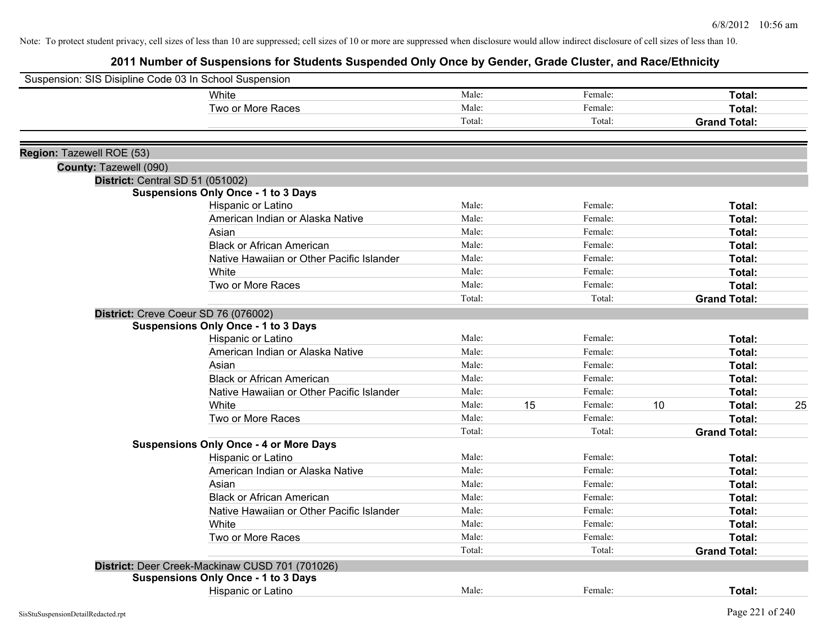| Suspension: SIS Disipline Code 03 In School Suspension |                                                 |        |    |         |    |                     |    |
|--------------------------------------------------------|-------------------------------------------------|--------|----|---------|----|---------------------|----|
|                                                        | <b>White</b>                                    | Male:  |    | Female: |    | Total:              |    |
|                                                        | Two or More Races                               | Male:  |    | Female: |    | Total:              |    |
|                                                        |                                                 | Total: |    | Total:  |    | <b>Grand Total:</b> |    |
| Region: Tazewell ROE (53)                              |                                                 |        |    |         |    |                     |    |
| County: Tazewell (090)                                 |                                                 |        |    |         |    |                     |    |
| District: Central SD 51 (051002)                       |                                                 |        |    |         |    |                     |    |
|                                                        | <b>Suspensions Only Once - 1 to 3 Days</b>      |        |    |         |    |                     |    |
|                                                        | Hispanic or Latino                              | Male:  |    | Female: |    | Total:              |    |
|                                                        | American Indian or Alaska Native                | Male:  |    | Female: |    | Total:              |    |
|                                                        | Asian                                           | Male:  |    | Female: |    | Total:              |    |
|                                                        | <b>Black or African American</b>                | Male:  |    | Female: |    | Total:              |    |
|                                                        | Native Hawaiian or Other Pacific Islander       | Male:  |    | Female: |    | Total:              |    |
|                                                        | White                                           | Male:  |    | Female: |    | Total:              |    |
|                                                        | Two or More Races                               | Male:  |    | Female: |    | Total:              |    |
|                                                        |                                                 | Total: |    | Total:  |    | <b>Grand Total:</b> |    |
|                                                        | District: Creve Coeur SD 76 (076002)            |        |    |         |    |                     |    |
|                                                        | <b>Suspensions Only Once - 1 to 3 Days</b>      |        |    |         |    |                     |    |
|                                                        | Hispanic or Latino                              | Male:  |    | Female: |    | Total:              |    |
|                                                        | American Indian or Alaska Native                | Male:  |    | Female: |    | Total:              |    |
|                                                        | Asian                                           | Male:  |    | Female: |    | Total:              |    |
|                                                        | <b>Black or African American</b>                | Male:  |    | Female: |    | Total:              |    |
|                                                        | Native Hawaiian or Other Pacific Islander       | Male:  |    | Female: |    | Total:              |    |
|                                                        | White                                           | Male:  | 15 | Female: | 10 | Total:              | 25 |
|                                                        | Two or More Races                               | Male:  |    | Female: |    | Total:              |    |
|                                                        |                                                 | Total: |    | Total:  |    | <b>Grand Total:</b> |    |
|                                                        | <b>Suspensions Only Once - 4 or More Days</b>   |        |    |         |    |                     |    |
|                                                        | Hispanic or Latino                              | Male:  |    | Female: |    | Total:              |    |
|                                                        | American Indian or Alaska Native                | Male:  |    | Female: |    | Total:              |    |
|                                                        | Asian                                           | Male:  |    | Female: |    | Total:              |    |
|                                                        | <b>Black or African American</b>                | Male:  |    | Female: |    | Total:              |    |
|                                                        | Native Hawaiian or Other Pacific Islander       | Male:  |    | Female: |    | Total:              |    |
|                                                        | White                                           | Male:  |    | Female: |    | Total:              |    |
|                                                        | Two or More Races                               | Male:  |    | Female: |    | Total:              |    |
|                                                        |                                                 | Total: |    | Total:  |    | <b>Grand Total:</b> |    |
|                                                        | District: Deer Creek-Mackinaw CUSD 701 (701026) |        |    |         |    |                     |    |
|                                                        | <b>Suspensions Only Once - 1 to 3 Days</b>      |        |    |         |    |                     |    |
|                                                        | Hispanic or Latino                              | Male:  |    | Female: |    | Total:              |    |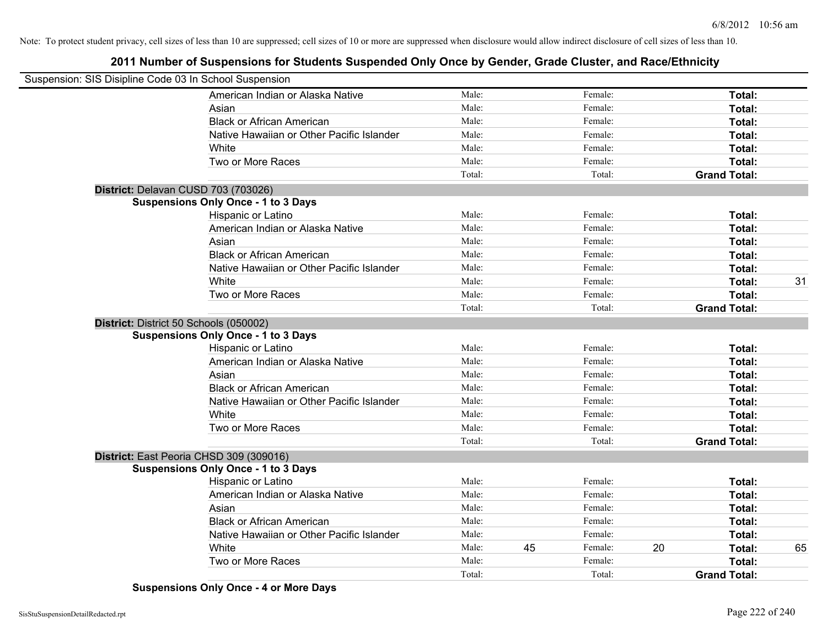# **2011 Number of Suspensions for Students Suspended Only Once by Gender, Grade Cluster, and Race/Ethnicity**

| Suspension: SIS Disipline Code 03 In School Suspension |        |    |         |    |                     |    |
|--------------------------------------------------------|--------|----|---------|----|---------------------|----|
| American Indian or Alaska Native                       | Male:  |    | Female: |    | Total:              |    |
| Asian                                                  | Male:  |    | Female: |    | Total:              |    |
| <b>Black or African American</b>                       | Male:  |    | Female: |    | Total:              |    |
| Native Hawaiian or Other Pacific Islander              | Male:  |    | Female: |    | Total:              |    |
| White                                                  | Male:  |    | Female: |    | Total:              |    |
| Two or More Races                                      | Male:  |    | Female: |    | Total:              |    |
|                                                        | Total: |    | Total:  |    | <b>Grand Total:</b> |    |
| District: Delavan CUSD 703 (703026)                    |        |    |         |    |                     |    |
| <b>Suspensions Only Once - 1 to 3 Days</b>             |        |    |         |    |                     |    |
| Hispanic or Latino                                     | Male:  |    | Female: |    | Total:              |    |
| American Indian or Alaska Native                       | Male:  |    | Female: |    | Total:              |    |
| Asian                                                  | Male:  |    | Female: |    | Total:              |    |
| <b>Black or African American</b>                       | Male:  |    | Female: |    | Total:              |    |
| Native Hawaiian or Other Pacific Islander              | Male:  |    | Female: |    | Total:              |    |
| White                                                  | Male:  |    | Female: |    | Total:              | 31 |
| Two or More Races                                      | Male:  |    | Female: |    | Total:              |    |
|                                                        | Total: |    | Total:  |    | <b>Grand Total:</b> |    |
| District: District 50 Schools (050002)                 |        |    |         |    |                     |    |
| <b>Suspensions Only Once - 1 to 3 Days</b>             |        |    |         |    |                     |    |
| Hispanic or Latino                                     | Male:  |    | Female: |    | Total:              |    |
| American Indian or Alaska Native                       | Male:  |    | Female: |    | Total:              |    |
| Asian                                                  | Male:  |    | Female: |    | Total:              |    |
| <b>Black or African American</b>                       | Male:  |    | Female: |    | Total:              |    |
| Native Hawaiian or Other Pacific Islander              | Male:  |    | Female: |    | Total:              |    |
| White                                                  | Male:  |    | Female: |    | Total:              |    |
| Two or More Races                                      | Male:  |    | Female: |    | <b>Total:</b>       |    |
|                                                        | Total: |    | Total:  |    | <b>Grand Total:</b> |    |
| District: East Peoria CHSD 309 (309016)                |        |    |         |    |                     |    |
| <b>Suspensions Only Once - 1 to 3 Days</b>             |        |    |         |    |                     |    |
| Hispanic or Latino                                     | Male:  |    | Female: |    | Total:              |    |
| American Indian or Alaska Native                       | Male:  |    | Female: |    | Total:              |    |
| Asian                                                  | Male:  |    | Female: |    | Total:              |    |
| <b>Black or African American</b>                       | Male:  |    | Female: |    | Total:              |    |
| Native Hawaiian or Other Pacific Islander              | Male:  |    | Female: |    | Total:              |    |
| White                                                  | Male:  | 45 | Female: | 20 | Total:              | 65 |
| Two or More Races                                      | Male:  |    | Female: |    | Total:              |    |
|                                                        | Total: |    | Total:  |    | <b>Grand Total:</b> |    |

**Suspensions Only Once - 4 or More Days**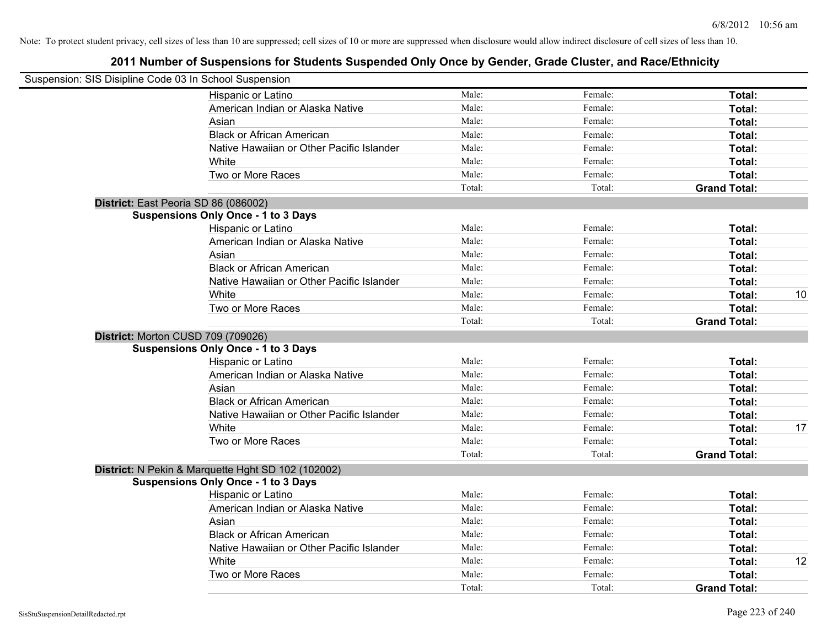| Suspension: SIS Disipline Code 03 In School Suspension |                                                    |        |         |                     |    |
|--------------------------------------------------------|----------------------------------------------------|--------|---------|---------------------|----|
|                                                        | Hispanic or Latino                                 | Male:  | Female: | Total:              |    |
|                                                        | American Indian or Alaska Native                   | Male:  | Female: | Total:              |    |
|                                                        | Asian                                              | Male:  | Female: | Total:              |    |
|                                                        | <b>Black or African American</b>                   | Male:  | Female: | Total:              |    |
|                                                        | Native Hawaiian or Other Pacific Islander          | Male:  | Female: | Total:              |    |
|                                                        | White                                              | Male:  | Female: | Total:              |    |
|                                                        | Two or More Races                                  | Male:  | Female: | Total:              |    |
|                                                        |                                                    | Total: | Total:  | <b>Grand Total:</b> |    |
|                                                        | District: East Peoria SD 86 (086002)               |        |         |                     |    |
|                                                        | <b>Suspensions Only Once - 1 to 3 Days</b>         |        |         |                     |    |
|                                                        | Hispanic or Latino                                 | Male:  | Female: | Total:              |    |
|                                                        | American Indian or Alaska Native                   | Male:  | Female: | Total:              |    |
|                                                        | Asian                                              | Male:  | Female: | Total:              |    |
|                                                        | <b>Black or African American</b>                   | Male:  | Female: | Total:              |    |
|                                                        | Native Hawaiian or Other Pacific Islander          | Male:  | Female: | Total:              |    |
|                                                        | White                                              | Male:  | Female: | Total:              | 10 |
|                                                        | Two or More Races                                  | Male:  | Female: | Total:              |    |
|                                                        |                                                    | Total: | Total:  | <b>Grand Total:</b> |    |
|                                                        | District: Morton CUSD 709 (709026)                 |        |         |                     |    |
|                                                        | <b>Suspensions Only Once - 1 to 3 Days</b>         |        |         |                     |    |
|                                                        | Hispanic or Latino                                 | Male:  | Female: | Total:              |    |
|                                                        | American Indian or Alaska Native                   | Male:  | Female: | Total:              |    |
|                                                        | Asian                                              | Male:  | Female: | Total:              |    |
|                                                        | <b>Black or African American</b>                   | Male:  | Female: | Total:              |    |
|                                                        | Native Hawaiian or Other Pacific Islander          | Male:  | Female: | Total:              |    |
|                                                        | White                                              | Male:  | Female: | Total:              | 17 |
|                                                        | Two or More Races                                  | Male:  | Female: | Total:              |    |
|                                                        |                                                    | Total: | Total:  | <b>Grand Total:</b> |    |
|                                                        | District: N Pekin & Marquette Hght SD 102 (102002) |        |         |                     |    |
|                                                        | <b>Suspensions Only Once - 1 to 3 Days</b>         |        |         |                     |    |
|                                                        | Hispanic or Latino                                 | Male:  | Female: | Total:              |    |
|                                                        | American Indian or Alaska Native                   | Male:  | Female: | Total:              |    |
|                                                        | Asian                                              | Male:  | Female: | Total:              |    |
|                                                        | <b>Black or African American</b>                   | Male:  | Female: | Total:              |    |
|                                                        | Native Hawaiian or Other Pacific Islander          | Male:  | Female: | Total:              |    |
|                                                        | White                                              | Male:  | Female: | Total:              | 12 |
|                                                        | Two or More Races                                  | Male:  | Female: | Total:              |    |
|                                                        |                                                    | Total: | Total:  | <b>Grand Total:</b> |    |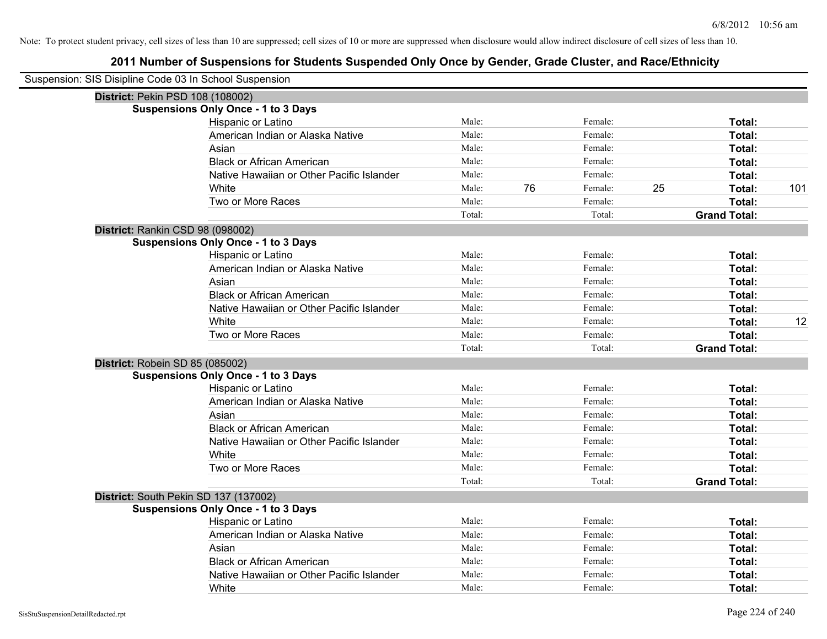| Suspension: SIS Disipline Code 03 In School Suspension |        |    |         |    |                     |     |
|--------------------------------------------------------|--------|----|---------|----|---------------------|-----|
| District: Pekin PSD 108 (108002)                       |        |    |         |    |                     |     |
| <b>Suspensions Only Once - 1 to 3 Days</b>             |        |    |         |    |                     |     |
| Hispanic or Latino                                     | Male:  |    | Female: |    | Total:              |     |
| American Indian or Alaska Native                       | Male:  |    | Female: |    | Total:              |     |
| Asian                                                  | Male:  |    | Female: |    | Total:              |     |
| <b>Black or African American</b>                       | Male:  |    | Female: |    | Total:              |     |
| Native Hawaiian or Other Pacific Islander              | Male:  |    | Female: |    | Total:              |     |
| White                                                  | Male:  | 76 | Female: | 25 | Total:              | 101 |
| Two or More Races                                      | Male:  |    | Female: |    | Total:              |     |
|                                                        | Total: |    | Total:  |    | <b>Grand Total:</b> |     |
| District: Rankin CSD 98 (098002)                       |        |    |         |    |                     |     |
| <b>Suspensions Only Once - 1 to 3 Days</b>             |        |    |         |    |                     |     |
| Hispanic or Latino                                     | Male:  |    | Female: |    | Total:              |     |
| American Indian or Alaska Native                       | Male:  |    | Female: |    | Total:              |     |
| Asian                                                  | Male:  |    | Female: |    | Total:              |     |
| <b>Black or African American</b>                       | Male:  |    | Female: |    | Total:              |     |
| Native Hawaiian or Other Pacific Islander              | Male:  |    | Female: |    | Total:              |     |
| White                                                  | Male:  |    | Female: |    | Total:              | 12  |
| Two or More Races                                      | Male:  |    | Female: |    | Total:              |     |
|                                                        | Total: |    | Total:  |    | <b>Grand Total:</b> |     |
| District: Robein SD 85 (085002)                        |        |    |         |    |                     |     |
| <b>Suspensions Only Once - 1 to 3 Days</b>             |        |    |         |    |                     |     |
| Hispanic or Latino                                     | Male:  |    | Female: |    | Total:              |     |
| American Indian or Alaska Native                       | Male:  |    | Female: |    | Total:              |     |
| Asian                                                  | Male:  |    | Female: |    | Total:              |     |
| <b>Black or African American</b>                       | Male:  |    | Female: |    | Total:              |     |
| Native Hawaiian or Other Pacific Islander              | Male:  |    | Female: |    | Total:              |     |
| White                                                  | Male:  |    | Female: |    | Total:              |     |
| Two or More Races                                      | Male:  |    | Female: |    | Total:              |     |
|                                                        | Total: |    | Total:  |    | <b>Grand Total:</b> |     |
| District: South Pekin SD 137 (137002)                  |        |    |         |    |                     |     |
| <b>Suspensions Only Once - 1 to 3 Days</b>             |        |    |         |    |                     |     |
| Hispanic or Latino                                     | Male:  |    | Female: |    | Total:              |     |
| American Indian or Alaska Native                       | Male:  |    | Female: |    | Total:              |     |
| Asian                                                  | Male:  |    | Female: |    | Total:              |     |
| <b>Black or African American</b>                       | Male:  |    | Female: |    | Total:              |     |
| Native Hawaiian or Other Pacific Islander              | Male:  |    | Female: |    | Total:              |     |
| White                                                  | Male:  |    | Female: |    | Total:              |     |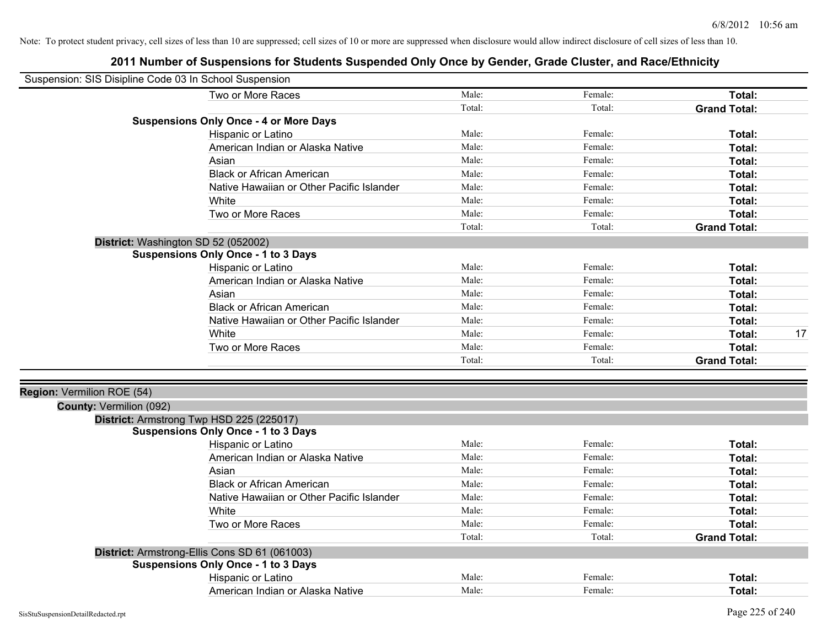| Two or More Races<br>Male:<br>Female:<br>Total:<br>Total:<br>Total:<br><b>Grand Total:</b><br><b>Suspensions Only Once - 4 or More Days</b><br>Male:<br>Female:<br>Hispanic or Latino<br>Total:<br>Male:<br>American Indian or Alaska Native<br>Female:<br>Total:<br>Male:<br>Female:<br>Asian<br>Total:<br><b>Black or African American</b><br>Male:<br>Female:<br>Total:<br>Male:<br>Native Hawaiian or Other Pacific Islander<br>Female:<br>Total:<br>Male:<br>Female:<br>Total:<br>White<br>Male:<br>Female:<br>Two or More Races<br>Total:<br>Total:<br>Total:<br><b>Grand Total:</b><br>District: Washington SD 52 (052002)<br><b>Suspensions Only Once - 1 to 3 Days</b><br>Hispanic or Latino<br>Male:<br>Female:<br>Total:<br>American Indian or Alaska Native<br>Male:<br>Female:<br>Total:<br>Male:<br>Female:<br>Asian<br>Total:<br><b>Black or African American</b><br>Male:<br>Female:<br>Total:<br>Male:<br>Native Hawaiian or Other Pacific Islander<br>Female:<br>Total:<br>White<br>Male:<br>Female:<br>Total:<br>Two or More Races<br>Male:<br>Female:<br>Total:<br>Total:<br>Total:<br><b>Grand Total:</b><br>Region: Vermilion ROE (54)<br>County: Vermilion (092)<br>District: Armstrong Twp HSD 225 (225017)<br><b>Suspensions Only Once - 1 to 3 Days</b><br>Hispanic or Latino<br>Male:<br>Female:<br>Total:<br>American Indian or Alaska Native<br>Male:<br>Female:<br>Total:<br>Male:<br>Female:<br>Asian<br>Total:<br><b>Black or African American</b><br>Male:<br>Female:<br>Total:<br>Male:<br>Native Hawaiian or Other Pacific Islander<br>Female:<br>Total:<br>Male:<br>White<br>Female:<br>Total:<br>Two or More Races<br>Male:<br>Female:<br>Total:<br>Total:<br>Total:<br><b>Grand Total:</b><br>District: Armstrong-Ellis Cons SD 61 (061003)<br><b>Suspensions Only Once - 1 to 3 Days</b><br>Male:<br>Hispanic or Latino<br>Female:<br>Total:<br>Male:<br>Female:<br>American Indian or Alaska Native<br>Total: | Suspension: SIS Disipline Code 03 In School Suspension |  |  |  |
|-------------------------------------------------------------------------------------------------------------------------------------------------------------------------------------------------------------------------------------------------------------------------------------------------------------------------------------------------------------------------------------------------------------------------------------------------------------------------------------------------------------------------------------------------------------------------------------------------------------------------------------------------------------------------------------------------------------------------------------------------------------------------------------------------------------------------------------------------------------------------------------------------------------------------------------------------------------------------------------------------------------------------------------------------------------------------------------------------------------------------------------------------------------------------------------------------------------------------------------------------------------------------------------------------------------------------------------------------------------------------------------------------------------------------------------------------------------------------------------------------------------------------------------------------------------------------------------------------------------------------------------------------------------------------------------------------------------------------------------------------------------------------------------------------------------------------------------------------------------------------------------------------------------------------------------------------------|--------------------------------------------------------|--|--|--|
| 17                                                                                                                                                                                                                                                                                                                                                                                                                                                                                                                                                                                                                                                                                                                                                                                                                                                                                                                                                                                                                                                                                                                                                                                                                                                                                                                                                                                                                                                                                                                                                                                                                                                                                                                                                                                                                                                                                                                                                    |                                                        |  |  |  |
|                                                                                                                                                                                                                                                                                                                                                                                                                                                                                                                                                                                                                                                                                                                                                                                                                                                                                                                                                                                                                                                                                                                                                                                                                                                                                                                                                                                                                                                                                                                                                                                                                                                                                                                                                                                                                                                                                                                                                       |                                                        |  |  |  |
|                                                                                                                                                                                                                                                                                                                                                                                                                                                                                                                                                                                                                                                                                                                                                                                                                                                                                                                                                                                                                                                                                                                                                                                                                                                                                                                                                                                                                                                                                                                                                                                                                                                                                                                                                                                                                                                                                                                                                       |                                                        |  |  |  |
|                                                                                                                                                                                                                                                                                                                                                                                                                                                                                                                                                                                                                                                                                                                                                                                                                                                                                                                                                                                                                                                                                                                                                                                                                                                                                                                                                                                                                                                                                                                                                                                                                                                                                                                                                                                                                                                                                                                                                       |                                                        |  |  |  |
|                                                                                                                                                                                                                                                                                                                                                                                                                                                                                                                                                                                                                                                                                                                                                                                                                                                                                                                                                                                                                                                                                                                                                                                                                                                                                                                                                                                                                                                                                                                                                                                                                                                                                                                                                                                                                                                                                                                                                       |                                                        |  |  |  |
|                                                                                                                                                                                                                                                                                                                                                                                                                                                                                                                                                                                                                                                                                                                                                                                                                                                                                                                                                                                                                                                                                                                                                                                                                                                                                                                                                                                                                                                                                                                                                                                                                                                                                                                                                                                                                                                                                                                                                       |                                                        |  |  |  |
|                                                                                                                                                                                                                                                                                                                                                                                                                                                                                                                                                                                                                                                                                                                                                                                                                                                                                                                                                                                                                                                                                                                                                                                                                                                                                                                                                                                                                                                                                                                                                                                                                                                                                                                                                                                                                                                                                                                                                       |                                                        |  |  |  |
|                                                                                                                                                                                                                                                                                                                                                                                                                                                                                                                                                                                                                                                                                                                                                                                                                                                                                                                                                                                                                                                                                                                                                                                                                                                                                                                                                                                                                                                                                                                                                                                                                                                                                                                                                                                                                                                                                                                                                       |                                                        |  |  |  |
|                                                                                                                                                                                                                                                                                                                                                                                                                                                                                                                                                                                                                                                                                                                                                                                                                                                                                                                                                                                                                                                                                                                                                                                                                                                                                                                                                                                                                                                                                                                                                                                                                                                                                                                                                                                                                                                                                                                                                       |                                                        |  |  |  |
|                                                                                                                                                                                                                                                                                                                                                                                                                                                                                                                                                                                                                                                                                                                                                                                                                                                                                                                                                                                                                                                                                                                                                                                                                                                                                                                                                                                                                                                                                                                                                                                                                                                                                                                                                                                                                                                                                                                                                       |                                                        |  |  |  |
|                                                                                                                                                                                                                                                                                                                                                                                                                                                                                                                                                                                                                                                                                                                                                                                                                                                                                                                                                                                                                                                                                                                                                                                                                                                                                                                                                                                                                                                                                                                                                                                                                                                                                                                                                                                                                                                                                                                                                       |                                                        |  |  |  |
|                                                                                                                                                                                                                                                                                                                                                                                                                                                                                                                                                                                                                                                                                                                                                                                                                                                                                                                                                                                                                                                                                                                                                                                                                                                                                                                                                                                                                                                                                                                                                                                                                                                                                                                                                                                                                                                                                                                                                       |                                                        |  |  |  |
|                                                                                                                                                                                                                                                                                                                                                                                                                                                                                                                                                                                                                                                                                                                                                                                                                                                                                                                                                                                                                                                                                                                                                                                                                                                                                                                                                                                                                                                                                                                                                                                                                                                                                                                                                                                                                                                                                                                                                       |                                                        |  |  |  |
|                                                                                                                                                                                                                                                                                                                                                                                                                                                                                                                                                                                                                                                                                                                                                                                                                                                                                                                                                                                                                                                                                                                                                                                                                                                                                                                                                                                                                                                                                                                                                                                                                                                                                                                                                                                                                                                                                                                                                       |                                                        |  |  |  |
|                                                                                                                                                                                                                                                                                                                                                                                                                                                                                                                                                                                                                                                                                                                                                                                                                                                                                                                                                                                                                                                                                                                                                                                                                                                                                                                                                                                                                                                                                                                                                                                                                                                                                                                                                                                                                                                                                                                                                       |                                                        |  |  |  |
|                                                                                                                                                                                                                                                                                                                                                                                                                                                                                                                                                                                                                                                                                                                                                                                                                                                                                                                                                                                                                                                                                                                                                                                                                                                                                                                                                                                                                                                                                                                                                                                                                                                                                                                                                                                                                                                                                                                                                       |                                                        |  |  |  |
|                                                                                                                                                                                                                                                                                                                                                                                                                                                                                                                                                                                                                                                                                                                                                                                                                                                                                                                                                                                                                                                                                                                                                                                                                                                                                                                                                                                                                                                                                                                                                                                                                                                                                                                                                                                                                                                                                                                                                       |                                                        |  |  |  |
|                                                                                                                                                                                                                                                                                                                                                                                                                                                                                                                                                                                                                                                                                                                                                                                                                                                                                                                                                                                                                                                                                                                                                                                                                                                                                                                                                                                                                                                                                                                                                                                                                                                                                                                                                                                                                                                                                                                                                       |                                                        |  |  |  |
|                                                                                                                                                                                                                                                                                                                                                                                                                                                                                                                                                                                                                                                                                                                                                                                                                                                                                                                                                                                                                                                                                                                                                                                                                                                                                                                                                                                                                                                                                                                                                                                                                                                                                                                                                                                                                                                                                                                                                       |                                                        |  |  |  |
|                                                                                                                                                                                                                                                                                                                                                                                                                                                                                                                                                                                                                                                                                                                                                                                                                                                                                                                                                                                                                                                                                                                                                                                                                                                                                                                                                                                                                                                                                                                                                                                                                                                                                                                                                                                                                                                                                                                                                       |                                                        |  |  |  |
|                                                                                                                                                                                                                                                                                                                                                                                                                                                                                                                                                                                                                                                                                                                                                                                                                                                                                                                                                                                                                                                                                                                                                                                                                                                                                                                                                                                                                                                                                                                                                                                                                                                                                                                                                                                                                                                                                                                                                       |                                                        |  |  |  |
|                                                                                                                                                                                                                                                                                                                                                                                                                                                                                                                                                                                                                                                                                                                                                                                                                                                                                                                                                                                                                                                                                                                                                                                                                                                                                                                                                                                                                                                                                                                                                                                                                                                                                                                                                                                                                                                                                                                                                       |                                                        |  |  |  |
|                                                                                                                                                                                                                                                                                                                                                                                                                                                                                                                                                                                                                                                                                                                                                                                                                                                                                                                                                                                                                                                                                                                                                                                                                                                                                                                                                                                                                                                                                                                                                                                                                                                                                                                                                                                                                                                                                                                                                       |                                                        |  |  |  |
|                                                                                                                                                                                                                                                                                                                                                                                                                                                                                                                                                                                                                                                                                                                                                                                                                                                                                                                                                                                                                                                                                                                                                                                                                                                                                                                                                                                                                                                                                                                                                                                                                                                                                                                                                                                                                                                                                                                                                       |                                                        |  |  |  |
|                                                                                                                                                                                                                                                                                                                                                                                                                                                                                                                                                                                                                                                                                                                                                                                                                                                                                                                                                                                                                                                                                                                                                                                                                                                                                                                                                                                                                                                                                                                                                                                                                                                                                                                                                                                                                                                                                                                                                       |                                                        |  |  |  |
|                                                                                                                                                                                                                                                                                                                                                                                                                                                                                                                                                                                                                                                                                                                                                                                                                                                                                                                                                                                                                                                                                                                                                                                                                                                                                                                                                                                                                                                                                                                                                                                                                                                                                                                                                                                                                                                                                                                                                       |                                                        |  |  |  |
|                                                                                                                                                                                                                                                                                                                                                                                                                                                                                                                                                                                                                                                                                                                                                                                                                                                                                                                                                                                                                                                                                                                                                                                                                                                                                                                                                                                                                                                                                                                                                                                                                                                                                                                                                                                                                                                                                                                                                       |                                                        |  |  |  |
|                                                                                                                                                                                                                                                                                                                                                                                                                                                                                                                                                                                                                                                                                                                                                                                                                                                                                                                                                                                                                                                                                                                                                                                                                                                                                                                                                                                                                                                                                                                                                                                                                                                                                                                                                                                                                                                                                                                                                       |                                                        |  |  |  |
|                                                                                                                                                                                                                                                                                                                                                                                                                                                                                                                                                                                                                                                                                                                                                                                                                                                                                                                                                                                                                                                                                                                                                                                                                                                                                                                                                                                                                                                                                                                                                                                                                                                                                                                                                                                                                                                                                                                                                       |                                                        |  |  |  |
|                                                                                                                                                                                                                                                                                                                                                                                                                                                                                                                                                                                                                                                                                                                                                                                                                                                                                                                                                                                                                                                                                                                                                                                                                                                                                                                                                                                                                                                                                                                                                                                                                                                                                                                                                                                                                                                                                                                                                       |                                                        |  |  |  |
|                                                                                                                                                                                                                                                                                                                                                                                                                                                                                                                                                                                                                                                                                                                                                                                                                                                                                                                                                                                                                                                                                                                                                                                                                                                                                                                                                                                                                                                                                                                                                                                                                                                                                                                                                                                                                                                                                                                                                       |                                                        |  |  |  |
|                                                                                                                                                                                                                                                                                                                                                                                                                                                                                                                                                                                                                                                                                                                                                                                                                                                                                                                                                                                                                                                                                                                                                                                                                                                                                                                                                                                                                                                                                                                                                                                                                                                                                                                                                                                                                                                                                                                                                       |                                                        |  |  |  |
|                                                                                                                                                                                                                                                                                                                                                                                                                                                                                                                                                                                                                                                                                                                                                                                                                                                                                                                                                                                                                                                                                                                                                                                                                                                                                                                                                                                                                                                                                                                                                                                                                                                                                                                                                                                                                                                                                                                                                       |                                                        |  |  |  |
|                                                                                                                                                                                                                                                                                                                                                                                                                                                                                                                                                                                                                                                                                                                                                                                                                                                                                                                                                                                                                                                                                                                                                                                                                                                                                                                                                                                                                                                                                                                                                                                                                                                                                                                                                                                                                                                                                                                                                       |                                                        |  |  |  |
|                                                                                                                                                                                                                                                                                                                                                                                                                                                                                                                                                                                                                                                                                                                                                                                                                                                                                                                                                                                                                                                                                                                                                                                                                                                                                                                                                                                                                                                                                                                                                                                                                                                                                                                                                                                                                                                                                                                                                       |                                                        |  |  |  |
|                                                                                                                                                                                                                                                                                                                                                                                                                                                                                                                                                                                                                                                                                                                                                                                                                                                                                                                                                                                                                                                                                                                                                                                                                                                                                                                                                                                                                                                                                                                                                                                                                                                                                                                                                                                                                                                                                                                                                       |                                                        |  |  |  |
|                                                                                                                                                                                                                                                                                                                                                                                                                                                                                                                                                                                                                                                                                                                                                                                                                                                                                                                                                                                                                                                                                                                                                                                                                                                                                                                                                                                                                                                                                                                                                                                                                                                                                                                                                                                                                                                                                                                                                       |                                                        |  |  |  |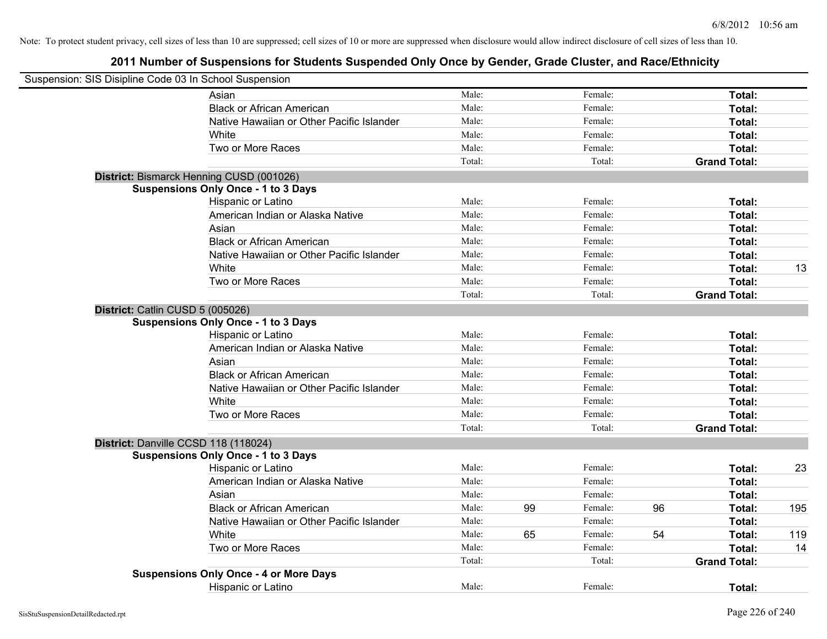| Suspension: SIS Disipline Code 03 In School Suspension |                                               |        |    |         |    |                     |     |
|--------------------------------------------------------|-----------------------------------------------|--------|----|---------|----|---------------------|-----|
|                                                        | Asian                                         | Male:  |    | Female: |    | Total:              |     |
|                                                        | <b>Black or African American</b>              | Male:  |    | Female: |    | Total:              |     |
|                                                        | Native Hawaiian or Other Pacific Islander     | Male:  |    | Female: |    | Total:              |     |
|                                                        | White                                         | Male:  |    | Female: |    | Total:              |     |
|                                                        | Two or More Races                             | Male:  |    | Female: |    | Total:              |     |
|                                                        |                                               | Total: |    | Total:  |    | <b>Grand Total:</b> |     |
|                                                        | District: Bismarck Henning CUSD (001026)      |        |    |         |    |                     |     |
|                                                        | <b>Suspensions Only Once - 1 to 3 Days</b>    |        |    |         |    |                     |     |
|                                                        | Hispanic or Latino                            | Male:  |    | Female: |    | Total:              |     |
|                                                        | American Indian or Alaska Native              | Male:  |    | Female: |    | Total:              |     |
|                                                        | Asian                                         | Male:  |    | Female: |    | Total:              |     |
|                                                        | <b>Black or African American</b>              | Male:  |    | Female: |    | Total:              |     |
|                                                        | Native Hawaiian or Other Pacific Islander     | Male:  |    | Female: |    | Total:              |     |
|                                                        | White                                         | Male:  |    | Female: |    | Total:              | 13  |
|                                                        | Two or More Races                             | Male:  |    | Female: |    | Total:              |     |
|                                                        |                                               | Total: |    | Total:  |    | <b>Grand Total:</b> |     |
|                                                        | District: Catlin CUSD 5 (005026)              |        |    |         |    |                     |     |
|                                                        | <b>Suspensions Only Once - 1 to 3 Days</b>    |        |    |         |    |                     |     |
|                                                        | Hispanic or Latino                            | Male:  |    | Female: |    | Total:              |     |
|                                                        | American Indian or Alaska Native              | Male:  |    | Female: |    | Total:              |     |
|                                                        | Asian                                         | Male:  |    | Female: |    | Total:              |     |
|                                                        | <b>Black or African American</b>              | Male:  |    | Female: |    | Total:              |     |
|                                                        | Native Hawaiian or Other Pacific Islander     | Male:  |    | Female: |    | Total:              |     |
|                                                        | White                                         | Male:  |    | Female: |    | Total:              |     |
|                                                        | Two or More Races                             | Male:  |    | Female: |    | Total:              |     |
|                                                        |                                               | Total: |    | Total:  |    | <b>Grand Total:</b> |     |
|                                                        | District: Danville CCSD 118 (118024)          |        |    |         |    |                     |     |
|                                                        | <b>Suspensions Only Once - 1 to 3 Days</b>    |        |    |         |    |                     |     |
|                                                        | Hispanic or Latino                            | Male:  |    | Female: |    | Total:              | 23  |
|                                                        | American Indian or Alaska Native              | Male:  |    | Female: |    | Total:              |     |
|                                                        | Asian                                         | Male:  |    | Female: |    | Total:              |     |
|                                                        | <b>Black or African American</b>              | Male:  | 99 | Female: | 96 | Total:              | 195 |
|                                                        | Native Hawaiian or Other Pacific Islander     | Male:  |    | Female: |    | Total:              |     |
|                                                        | White                                         | Male:  | 65 | Female: | 54 | Total:              | 119 |
|                                                        | Two or More Races                             | Male:  |    | Female: |    | Total:              | 14  |
|                                                        |                                               | Total: |    | Total:  |    | <b>Grand Total:</b> |     |
|                                                        | <b>Suspensions Only Once - 4 or More Days</b> |        |    |         |    |                     |     |
|                                                        | <b>Hispanic or Latino</b>                     | Male:  |    | Female: |    | Total:              |     |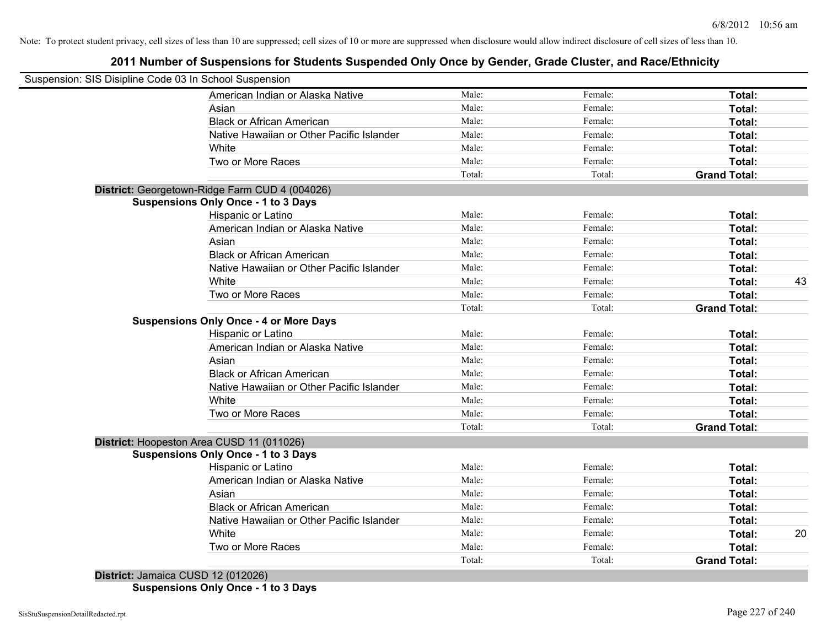# **2011 Number of Suspensions for Students Suspended Only Once by Gender, Grade Cluster, and Race/Ethnicity**

| Suspension: SIS Disipline Code 03 In School Suspension |        |         |                     |    |
|--------------------------------------------------------|--------|---------|---------------------|----|
| American Indian or Alaska Native                       | Male:  | Female: | Total:              |    |
| Asian                                                  | Male:  | Female: | Total:              |    |
| <b>Black or African American</b>                       | Male:  | Female: | Total:              |    |
| Native Hawaiian or Other Pacific Islander              | Male:  | Female: | Total:              |    |
| White                                                  | Male:  | Female: | Total:              |    |
| Two or More Races                                      | Male:  | Female: | Total:              |    |
|                                                        | Total: | Total:  | <b>Grand Total:</b> |    |
| District: Georgetown-Ridge Farm CUD 4 (004026)         |        |         |                     |    |
| <b>Suspensions Only Once - 1 to 3 Days</b>             |        |         |                     |    |
| Hispanic or Latino                                     | Male:  | Female: | Total:              |    |
| American Indian or Alaska Native                       | Male:  | Female: | Total:              |    |
| Asian                                                  | Male:  | Female: | Total:              |    |
| <b>Black or African American</b>                       | Male:  | Female: | Total:              |    |
| Native Hawaiian or Other Pacific Islander              | Male:  | Female: | Total:              |    |
| White                                                  | Male:  | Female: | Total:              | 43 |
| Two or More Races                                      | Male:  | Female: | Total:              |    |
|                                                        | Total: | Total:  | <b>Grand Total:</b> |    |
| <b>Suspensions Only Once - 4 or More Days</b>          |        |         |                     |    |
| Hispanic or Latino                                     | Male:  | Female: | Total:              |    |
| American Indian or Alaska Native                       | Male:  | Female: | Total:              |    |
| Asian                                                  | Male:  | Female: | Total:              |    |
| <b>Black or African American</b>                       | Male:  | Female: | Total:              |    |
| Native Hawaiian or Other Pacific Islander              | Male:  | Female: | Total:              |    |
| White                                                  | Male:  | Female: | Total:              |    |
| Two or More Races                                      | Male:  | Female: | Total:              |    |
|                                                        | Total: | Total:  | <b>Grand Total:</b> |    |
| District: Hoopeston Area CUSD 11 (011026)              |        |         |                     |    |
| <b>Suspensions Only Once - 1 to 3 Days</b>             |        |         |                     |    |
| Hispanic or Latino                                     | Male:  | Female: | Total:              |    |
| American Indian or Alaska Native                       | Male:  | Female: | Total:              |    |
| Asian                                                  | Male:  | Female: | Total:              |    |
| <b>Black or African American</b>                       | Male:  | Female: | Total:              |    |
| Native Hawaiian or Other Pacific Islander              | Male:  | Female: | Total:              |    |
| White                                                  | Male:  | Female: | Total:              | 20 |
| Two or More Races                                      | Male:  | Female: | <b>Total:</b>       |    |
|                                                        | Total: | Total:  | <b>Grand Total:</b> |    |
| District: Jamaica CUSD 12 (012026)                     |        |         |                     |    |

**Suspensions Only Once - 1 to 3 Days**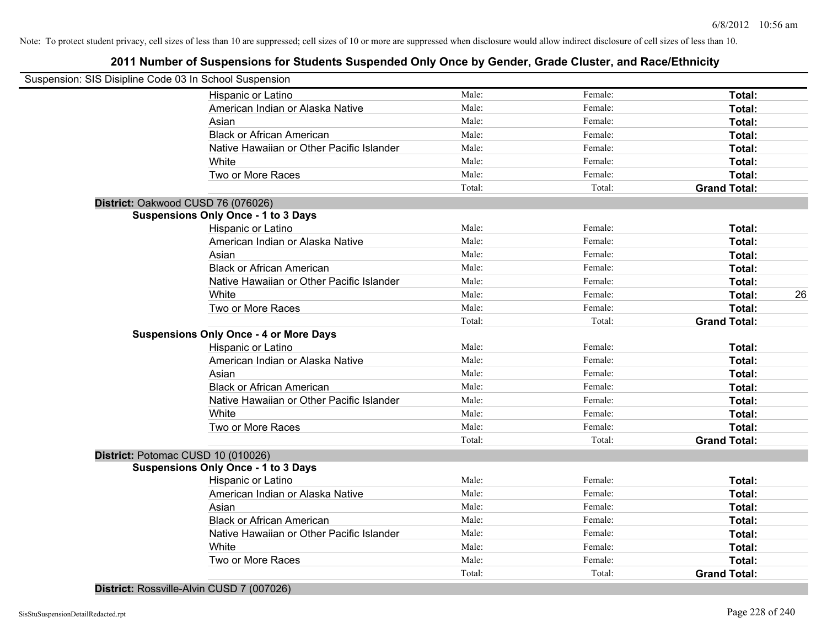| District: Rossville-Alvin CUSD 7 (007026)     |                 | Total:  | <b>Grand Total:</b> |
|-----------------------------------------------|-----------------|---------|---------------------|
| Two or More Races                             | Male:<br>Total: | Female: | Total:              |
| White                                         | Male:           | Female: | Total:              |
| Native Hawaiian or Other Pacific Islander     | Male:           | Female: | Total:              |
| <b>Black or African American</b>              | Male:           | Female: | Total:              |
| Asian                                         | Male:           | Female: | Total:              |
| American Indian or Alaska Native              | Male:           | Female: | Total:              |
| Hispanic or Latino                            | Male:           | Female: | Total:              |
| <b>Suspensions Only Once - 1 to 3 Days</b>    |                 |         |                     |
| District: Potomac CUSD 10 (010026)            |                 |         |                     |
|                                               | Total:          | Total:  | <b>Grand Total:</b> |
| Two or More Races                             | Male:           | Female: | Total:              |
| White                                         | Male:           | Female: | Total:              |
| Native Hawaiian or Other Pacific Islander     | Male:           | Female: | Total:              |
| <b>Black or African American</b>              | Male:           | Female: | Total:              |
| Asian                                         | Male:           | Female: | Total:              |
| American Indian or Alaska Native              | Male:           | Female: | Total:              |
| Hispanic or Latino                            | Male:           | Female: | Total:              |
| <b>Suspensions Only Once - 4 or More Days</b> |                 |         |                     |
|                                               | Total:          | Total:  | <b>Grand Total:</b> |
| Two or More Races                             | Male:           | Female: | Total:              |
| White                                         | Male:           | Female: | Total:              |
| Native Hawaiian or Other Pacific Islander     | Male:           | Female: | Total:              |
| <b>Black or African American</b>              | Male:           | Female: | Total:              |
| Asian                                         | Male:           | Female: | Total:              |
| American Indian or Alaska Native              | Male:           | Female: | Total:              |
| Hispanic or Latino                            | Male:           | Female: | Total:              |
| <b>Suspensions Only Once - 1 to 3 Days</b>    |                 |         |                     |
| District: Oakwood CUSD 76 (076026)            |                 |         |                     |
|                                               | Total:          | Total:  | <b>Grand Total:</b> |
| Two or More Races                             | Male:           | Female: | Total:              |
| White                                         | Male:           | Female: | Total:              |
| Native Hawaiian or Other Pacific Islander     | Male:           | Female: | Total:              |
| <b>Black or African American</b>              | Male:           | Female: | Total:              |
| Asian                                         | Male:           | Female: | Total:              |
| American Indian or Alaska Native              | Male:           | Female: | Total:              |
| Hispanic or Latino                            | Male:           | Female: | Total:              |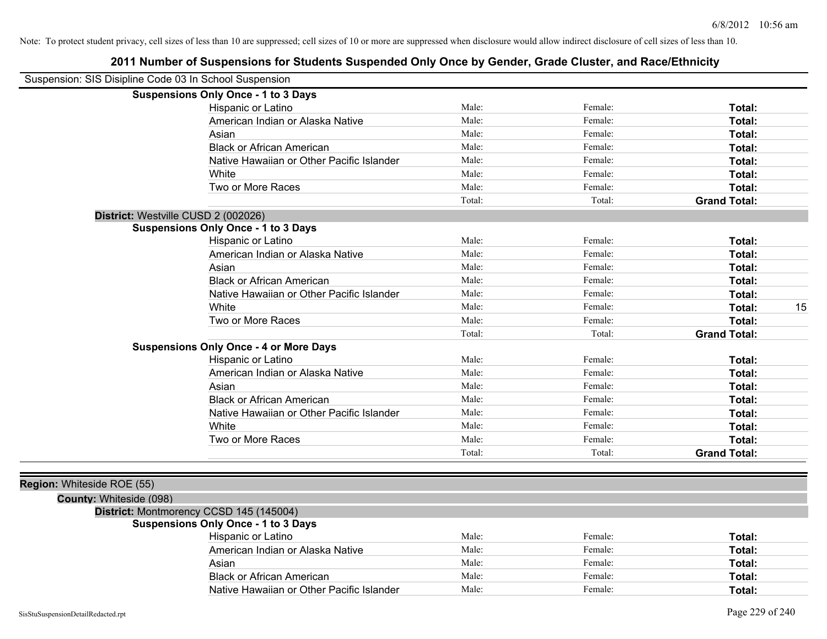|                            | Suspension: SIS Disipline Code 03 In School Suspension |        |         |                     |
|----------------------------|--------------------------------------------------------|--------|---------|---------------------|
|                            | <b>Suspensions Only Once - 1 to 3 Days</b>             |        |         |                     |
|                            | Hispanic or Latino                                     | Male:  | Female: | Total:              |
|                            | American Indian or Alaska Native                       | Male:  | Female: | Total:              |
|                            | Asian                                                  | Male:  | Female: | Total:              |
|                            | <b>Black or African American</b>                       | Male:  | Female: | Total:              |
|                            | Native Hawaiian or Other Pacific Islander              | Male:  | Female: | Total:              |
|                            | White                                                  | Male:  | Female: | Total:              |
|                            | Two or More Races                                      | Male:  | Female: | Total:              |
|                            |                                                        | Total: | Total:  | <b>Grand Total:</b> |
|                            | District: Westville CUSD 2 (002026)                    |        |         |                     |
|                            | <b>Suspensions Only Once - 1 to 3 Days</b>             |        |         |                     |
|                            | Hispanic or Latino                                     | Male:  | Female: | Total:              |
|                            | American Indian or Alaska Native                       | Male:  | Female: | Total:              |
|                            | Asian                                                  | Male:  | Female: | Total:              |
|                            | <b>Black or African American</b>                       | Male:  | Female: | Total:              |
|                            | Native Hawaiian or Other Pacific Islander              | Male:  | Female: | Total:              |
|                            | White                                                  | Male:  | Female: | 15<br>Total:        |
|                            | Two or More Races                                      | Male:  | Female: | Total:              |
|                            |                                                        | Total: | Total:  | <b>Grand Total:</b> |
|                            | <b>Suspensions Only Once - 4 or More Days</b>          |        |         |                     |
|                            | Hispanic or Latino                                     | Male:  | Female: | Total:              |
|                            | American Indian or Alaska Native                       | Male:  | Female: | Total:              |
|                            | Asian                                                  | Male:  | Female: | Total:              |
|                            | <b>Black or African American</b>                       | Male:  | Female: | Total:              |
|                            | Native Hawaiian or Other Pacific Islander              | Male:  | Female: | Total:              |
|                            | White                                                  | Male:  | Female: | Total:              |
|                            | Two or More Races                                      | Male:  | Female: | Total:              |
|                            |                                                        | Total: | Total:  | <b>Grand Total:</b> |
|                            |                                                        |        |         |                     |
| Region: Whiteside ROE (55) |                                                        |        |         |                     |
| County: Whiteside (098)    |                                                        |        |         |                     |
|                            | District: Montmorency CCSD 145 (145004)                |        |         |                     |
|                            | <b>Suspensions Only Once - 1 to 3 Days</b>             |        |         |                     |
|                            | Hispanic or Latino                                     | Male:  | Female: | Total:              |
|                            | American Indian or Alaska Native                       | Male:  | Female: | Total:              |
|                            | Asian                                                  | Male:  | Female: | Total:              |
|                            | <b>Black or African American</b>                       | Male:  | Female: | Total:              |
|                            | Native Hawaiian or Other Pacific Islander              | Male:  | Female: | Total:              |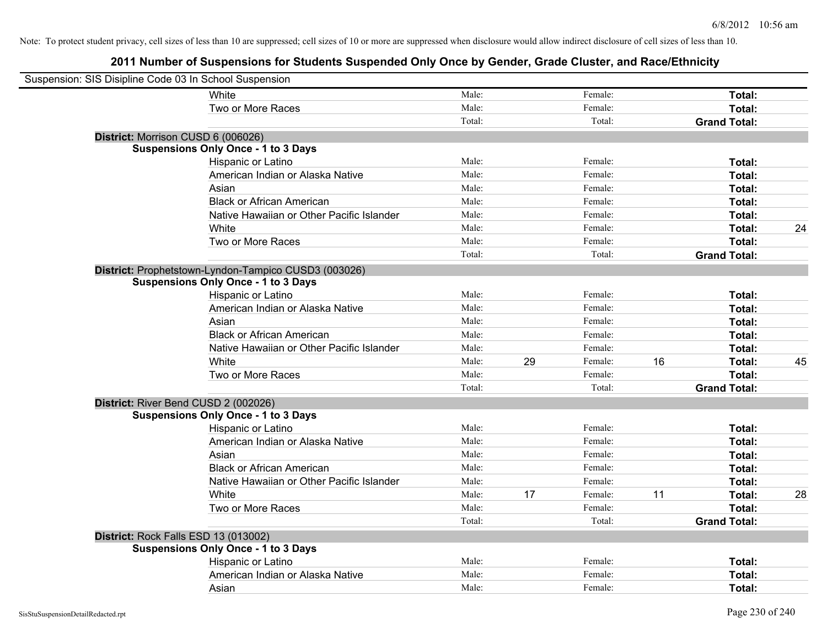| Suspension: SIS Disipline Code 03 In School Suspension |                                                      |        |    |         |    |                     |    |
|--------------------------------------------------------|------------------------------------------------------|--------|----|---------|----|---------------------|----|
|                                                        | White                                                | Male:  |    | Female: |    | Total:              |    |
|                                                        | Two or More Races                                    | Male:  |    | Female: |    | Total:              |    |
|                                                        |                                                      | Total: |    | Total:  |    | <b>Grand Total:</b> |    |
| District: Morrison CUSD 6 (006026)                     |                                                      |        |    |         |    |                     |    |
|                                                        | <b>Suspensions Only Once - 1 to 3 Days</b>           |        |    |         |    |                     |    |
|                                                        | Hispanic or Latino                                   | Male:  |    | Female: |    | Total:              |    |
|                                                        | American Indian or Alaska Native                     | Male:  |    | Female: |    | Total:              |    |
|                                                        | Asian                                                | Male:  |    | Female: |    | Total:              |    |
|                                                        | <b>Black or African American</b>                     | Male:  |    | Female: |    | Total:              |    |
|                                                        | Native Hawaiian or Other Pacific Islander            | Male:  |    | Female: |    | Total:              |    |
|                                                        | White                                                | Male:  |    | Female: |    | Total:              | 24 |
|                                                        | Two or More Races                                    | Male:  |    | Female: |    | Total:              |    |
|                                                        |                                                      | Total: |    | Total:  |    | <b>Grand Total:</b> |    |
|                                                        | District: Prophetstown-Lyndon-Tampico CUSD3 (003026) |        |    |         |    |                     |    |
|                                                        | <b>Suspensions Only Once - 1 to 3 Days</b>           |        |    |         |    |                     |    |
|                                                        | Hispanic or Latino                                   | Male:  |    | Female: |    | Total:              |    |
|                                                        | American Indian or Alaska Native                     | Male:  |    | Female: |    | Total:              |    |
|                                                        | Asian                                                | Male:  |    | Female: |    | Total:              |    |
|                                                        | <b>Black or African American</b>                     | Male:  |    | Female: |    | Total:              |    |
|                                                        | Native Hawaiian or Other Pacific Islander            | Male:  |    | Female: |    | Total:              |    |
|                                                        | White                                                | Male:  | 29 | Female: | 16 | Total:              | 45 |
|                                                        | Two or More Races                                    | Male:  |    | Female: |    | Total:              |    |
|                                                        |                                                      | Total: |    | Total:  |    | <b>Grand Total:</b> |    |
| District: River Bend CUSD 2 (002026)                   |                                                      |        |    |         |    |                     |    |
|                                                        | <b>Suspensions Only Once - 1 to 3 Days</b>           |        |    |         |    |                     |    |
|                                                        | Hispanic or Latino                                   | Male:  |    | Female: |    | Total:              |    |
|                                                        | American Indian or Alaska Native                     | Male:  |    | Female: |    | Total:              |    |
|                                                        | Asian                                                | Male:  |    | Female: |    | Total:              |    |
|                                                        | <b>Black or African American</b>                     | Male:  |    | Female: |    | Total:              |    |
|                                                        | Native Hawaiian or Other Pacific Islander            | Male:  |    | Female: |    | Total:              |    |
|                                                        | White                                                | Male:  | 17 | Female: | 11 | Total:              | 28 |
|                                                        | Two or More Races                                    | Male:  |    | Female: |    | Total:              |    |
|                                                        |                                                      | Total: |    | Total:  |    | <b>Grand Total:</b> |    |
| District: Rock Falls ESD 13 (013002)                   |                                                      |        |    |         |    |                     |    |
|                                                        | <b>Suspensions Only Once - 1 to 3 Days</b>           |        |    |         |    |                     |    |
|                                                        | Hispanic or Latino                                   | Male:  |    | Female: |    | Total:              |    |
|                                                        | American Indian or Alaska Native                     | Male:  |    | Female: |    | Total:              |    |
|                                                        | Asian                                                | Male:  |    | Female: |    | Total:              |    |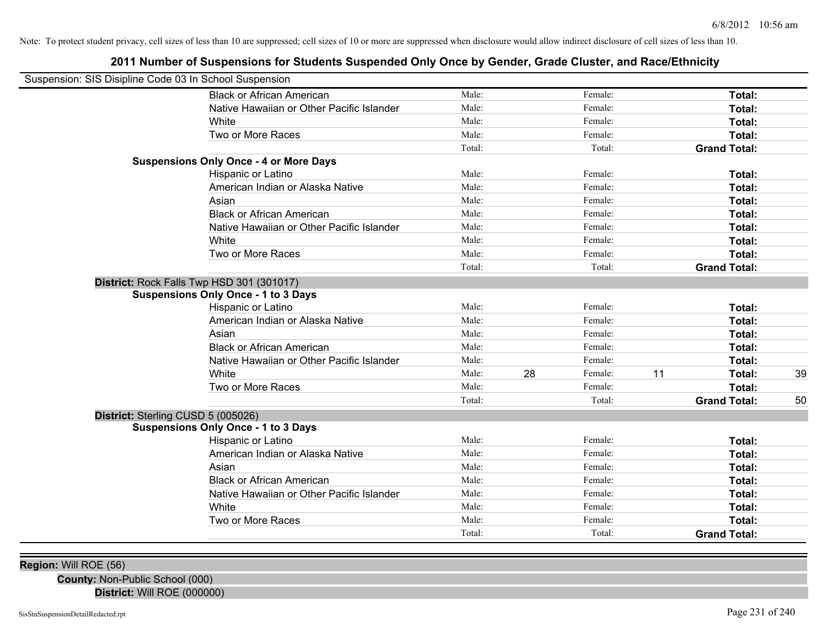# **2011 Number of Suspensions for Students Suspended Only Once by Gender, Grade Cluster, and Race/Ethnicity**

| Suspension: SIS Disipline Code 03 In School Suspension |                                               |        |    |         |    |                     |    |
|--------------------------------------------------------|-----------------------------------------------|--------|----|---------|----|---------------------|----|
|                                                        | <b>Black or African American</b>              | Male:  |    | Female: |    | Total:              |    |
|                                                        | Native Hawaiian or Other Pacific Islander     | Male:  |    | Female: |    | Total:              |    |
|                                                        | White                                         | Male:  |    | Female: |    | Total:              |    |
|                                                        | Two or More Races                             | Male:  |    | Female: |    | Total:              |    |
|                                                        |                                               | Total: |    | Total:  |    | <b>Grand Total:</b> |    |
|                                                        | <b>Suspensions Only Once - 4 or More Days</b> |        |    |         |    |                     |    |
|                                                        | Hispanic or Latino                            | Male:  |    | Female: |    | Total:              |    |
|                                                        | American Indian or Alaska Native              | Male:  |    | Female: |    | Total:              |    |
|                                                        | Asian                                         | Male:  |    | Female: |    | Total:              |    |
|                                                        | <b>Black or African American</b>              | Male:  |    | Female: |    | Total:              |    |
|                                                        | Native Hawaiian or Other Pacific Islander     | Male:  |    | Female: |    | Total:              |    |
|                                                        | White                                         | Male:  |    | Female: |    | Total:              |    |
|                                                        | Two or More Races                             | Male:  |    | Female: |    | Total:              |    |
|                                                        |                                               | Total: |    | Total:  |    | <b>Grand Total:</b> |    |
|                                                        | District: Rock Falls Twp HSD 301 (301017)     |        |    |         |    |                     |    |
|                                                        | <b>Suspensions Only Once - 1 to 3 Days</b>    |        |    |         |    |                     |    |
|                                                        | Hispanic or Latino                            | Male:  |    | Female: |    | Total:              |    |
|                                                        | American Indian or Alaska Native              | Male:  |    | Female: |    | Total:              |    |
|                                                        | Asian                                         | Male:  |    | Female: |    | Total:              |    |
|                                                        | <b>Black or African American</b>              | Male:  |    | Female: |    | Total:              |    |
|                                                        | Native Hawaiian or Other Pacific Islander     | Male:  |    | Female: |    | Total:              |    |
|                                                        | White                                         | Male:  | 28 | Female: | 11 | Total:              | 39 |
|                                                        | Two or More Races                             | Male:  |    | Female: |    | Total:              |    |
|                                                        |                                               | Total: |    | Total:  |    | <b>Grand Total:</b> | 50 |
| District: Sterling CUSD 5 (005026)                     |                                               |        |    |         |    |                     |    |
|                                                        | <b>Suspensions Only Once - 1 to 3 Days</b>    |        |    |         |    |                     |    |
|                                                        | Hispanic or Latino                            | Male:  |    | Female: |    | Total:              |    |
|                                                        | American Indian or Alaska Native              | Male:  |    | Female: |    | Total:              |    |
|                                                        | Asian                                         | Male:  |    | Female: |    | Total:              |    |
|                                                        | <b>Black or African American</b>              | Male:  |    | Female: |    | Total:              |    |
|                                                        | Native Hawaiian or Other Pacific Islander     | Male:  |    | Female: |    | Total:              |    |
|                                                        | White                                         | Male:  |    | Female: |    | Total:              |    |
|                                                        | Two or More Races                             | Male:  |    | Female: |    | Total:              |    |
|                                                        |                                               | Total: |    | Total:  |    | <b>Grand Total:</b> |    |
|                                                        |                                               |        |    |         |    |                     |    |

**Region:** Will ROE (56)

**County:** Non-Public School (000) **District:** Will ROE (000000)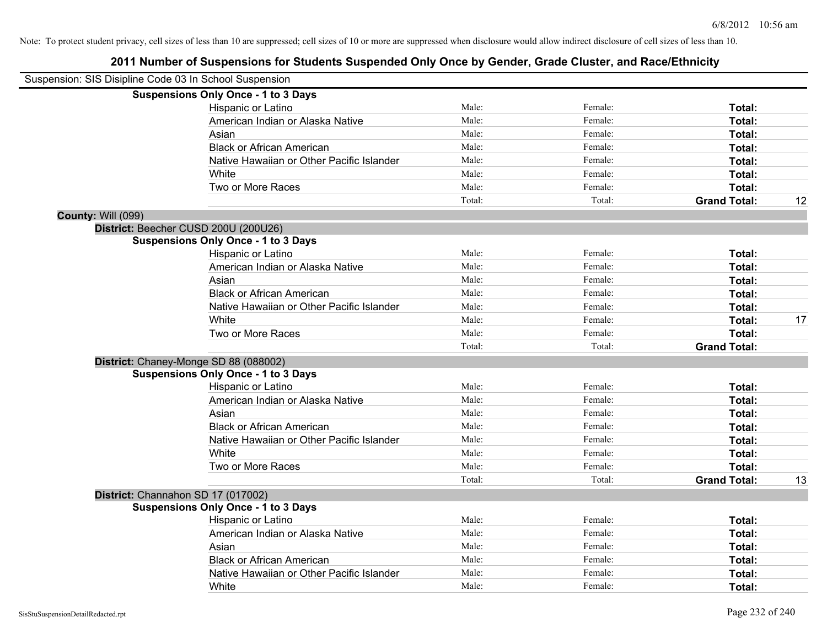| Suspension: SIS Disipline Code 03 In School Suspension |                                            |        |         |                     |    |
|--------------------------------------------------------|--------------------------------------------|--------|---------|---------------------|----|
|                                                        | <b>Suspensions Only Once - 1 to 3 Days</b> |        |         |                     |    |
|                                                        | Hispanic or Latino                         | Male:  | Female: | Total:              |    |
|                                                        | American Indian or Alaska Native           | Male:  | Female: | Total:              |    |
|                                                        | Asian                                      | Male:  | Female: | Total:              |    |
|                                                        | <b>Black or African American</b>           | Male:  | Female: | Total:              |    |
|                                                        | Native Hawaiian or Other Pacific Islander  | Male:  | Female: | Total:              |    |
|                                                        | White                                      | Male:  | Female: | Total:              |    |
|                                                        | Two or More Races                          | Male:  | Female: | Total:              |    |
|                                                        |                                            | Total: | Total:  | <b>Grand Total:</b> | 12 |
| County: Will (099)                                     |                                            |        |         |                     |    |
|                                                        | District: Beecher CUSD 200U (200U26)       |        |         |                     |    |
|                                                        | <b>Suspensions Only Once - 1 to 3 Days</b> |        |         |                     |    |
|                                                        | Hispanic or Latino                         | Male:  | Female: | Total:              |    |
|                                                        | American Indian or Alaska Native           | Male:  | Female: | Total:              |    |
|                                                        | Asian                                      | Male:  | Female: | Total:              |    |
|                                                        | <b>Black or African American</b>           | Male:  | Female: | Total:              |    |
|                                                        | Native Hawaiian or Other Pacific Islander  | Male:  | Female: | Total:              |    |
|                                                        | White                                      | Male:  | Female: | Total:              | 17 |
|                                                        | Two or More Races                          | Male:  | Female: | Total:              |    |
|                                                        |                                            | Total: | Total:  | <b>Grand Total:</b> |    |
|                                                        | District: Chaney-Monge SD 88 (088002)      |        |         |                     |    |
|                                                        | <b>Suspensions Only Once - 1 to 3 Days</b> |        |         |                     |    |
|                                                        | Hispanic or Latino                         | Male:  | Female: | Total:              |    |
|                                                        | American Indian or Alaska Native           | Male:  | Female: | Total:              |    |
|                                                        | Asian                                      | Male:  | Female: | Total:              |    |
|                                                        | <b>Black or African American</b>           | Male:  | Female: | Total:              |    |
|                                                        | Native Hawaiian or Other Pacific Islander  | Male:  | Female: | Total:              |    |
|                                                        | White                                      | Male:  | Female: | Total:              |    |
|                                                        | Two or More Races                          | Male:  | Female: | Total:              |    |
|                                                        |                                            | Total: | Total:  | <b>Grand Total:</b> | 13 |
|                                                        | District: Channahon SD 17 (017002)         |        |         |                     |    |
|                                                        | <b>Suspensions Only Once - 1 to 3 Days</b> |        |         |                     |    |
|                                                        | Hispanic or Latino                         | Male:  | Female: | Total:              |    |
|                                                        | American Indian or Alaska Native           | Male:  | Female: | Total:              |    |
|                                                        | Asian                                      | Male:  | Female: | Total:              |    |
|                                                        | <b>Black or African American</b>           | Male:  | Female: | Total:              |    |
|                                                        | Native Hawaiian or Other Pacific Islander  | Male:  | Female: | Total:              |    |
|                                                        | White                                      | Male:  | Female: | Total:              |    |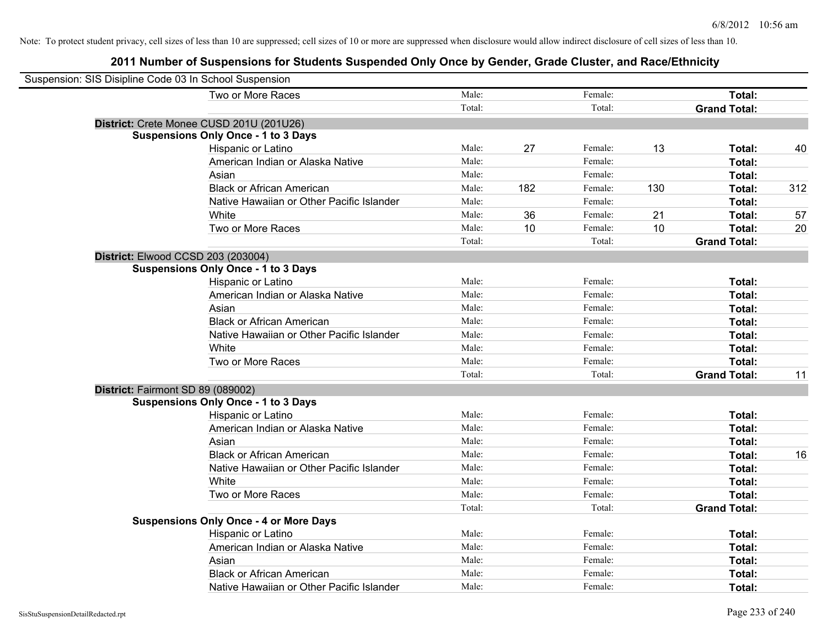| Suspension: SIS Disipline Code 03 In School Suspension |                                               |        |     |         |     |                     |     |
|--------------------------------------------------------|-----------------------------------------------|--------|-----|---------|-----|---------------------|-----|
|                                                        | Two or More Races                             | Male:  |     | Female: |     | Total:              |     |
|                                                        |                                               | Total: |     | Total:  |     | <b>Grand Total:</b> |     |
|                                                        | District: Crete Monee CUSD 201U (201U26)      |        |     |         |     |                     |     |
|                                                        | <b>Suspensions Only Once - 1 to 3 Days</b>    |        |     |         |     |                     |     |
|                                                        | Hispanic or Latino                            | Male:  | 27  | Female: | 13  | Total:              | 40  |
|                                                        | American Indian or Alaska Native              | Male:  |     | Female: |     | Total:              |     |
|                                                        | Asian                                         | Male:  |     | Female: |     | Total:              |     |
|                                                        | <b>Black or African American</b>              | Male:  | 182 | Female: | 130 | Total:              | 312 |
|                                                        | Native Hawaiian or Other Pacific Islander     | Male:  |     | Female: |     | Total:              |     |
|                                                        | White                                         | Male:  | 36  | Female: | 21  | Total:              | 57  |
|                                                        | Two or More Races                             | Male:  | 10  | Female: | 10  | Total:              | 20  |
|                                                        |                                               | Total: |     | Total:  |     | <b>Grand Total:</b> |     |
|                                                        | District: Elwood CCSD 203 (203004)            |        |     |         |     |                     |     |
|                                                        | <b>Suspensions Only Once - 1 to 3 Days</b>    |        |     |         |     |                     |     |
|                                                        | Hispanic or Latino                            | Male:  |     | Female: |     | Total:              |     |
|                                                        | American Indian or Alaska Native              | Male:  |     | Female: |     | Total:              |     |
|                                                        | Asian                                         | Male:  |     | Female: |     | Total:              |     |
|                                                        | <b>Black or African American</b>              | Male:  |     | Female: |     | Total:              |     |
|                                                        | Native Hawaiian or Other Pacific Islander     | Male:  |     | Female: |     | Total:              |     |
|                                                        | White                                         | Male:  |     | Female: |     | Total:              |     |
|                                                        | Two or More Races                             | Male:  |     | Female: |     | Total:              |     |
|                                                        |                                               | Total: |     | Total:  |     | <b>Grand Total:</b> | 11  |
| District: Fairmont SD 89 (089002)                      |                                               |        |     |         |     |                     |     |
|                                                        | <b>Suspensions Only Once - 1 to 3 Days</b>    |        |     |         |     |                     |     |
|                                                        | Hispanic or Latino                            | Male:  |     | Female: |     | Total:              |     |
|                                                        | American Indian or Alaska Native              | Male:  |     | Female: |     | Total:              |     |
|                                                        | Asian                                         | Male:  |     | Female: |     | Total:              |     |
|                                                        | <b>Black or African American</b>              | Male:  |     | Female: |     | Total:              | 16  |
|                                                        | Native Hawaiian or Other Pacific Islander     | Male:  |     | Female: |     | Total:              |     |
|                                                        | White                                         | Male:  |     | Female: |     | Total:              |     |
|                                                        | Two or More Races                             | Male:  |     | Female: |     | Total:              |     |
|                                                        |                                               | Total: |     | Total:  |     | <b>Grand Total:</b> |     |
|                                                        | <b>Suspensions Only Once - 4 or More Days</b> |        |     |         |     |                     |     |
|                                                        | Hispanic or Latino                            | Male:  |     | Female: |     | Total:              |     |
|                                                        | American Indian or Alaska Native              | Male:  |     | Female: |     | Total:              |     |
|                                                        | Asian                                         | Male:  |     | Female: |     | Total:              |     |
|                                                        | <b>Black or African American</b>              | Male:  |     | Female: |     | Total:              |     |
|                                                        | Native Hawaiian or Other Pacific Islander     | Male:  |     | Female: |     | Total:              |     |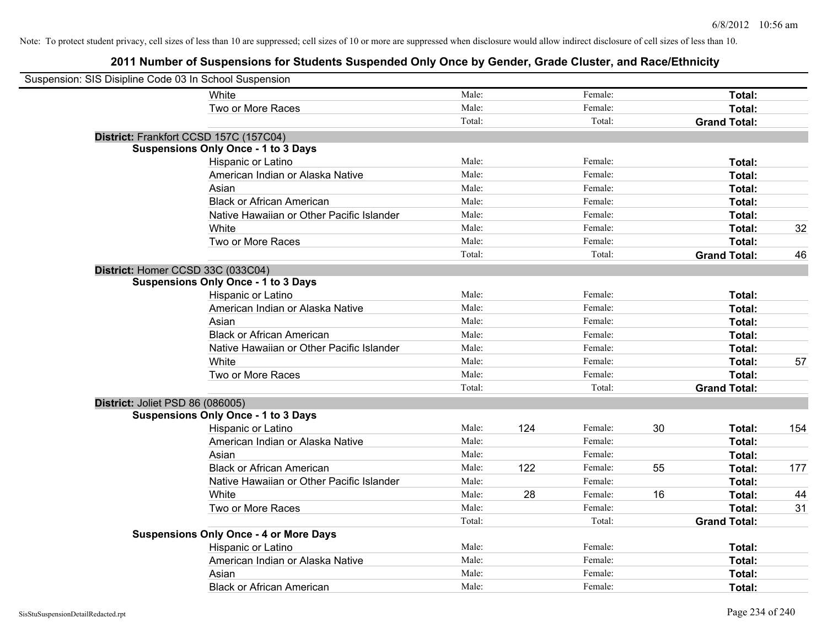| Suspension: SIS Disipline Code 03 In School Suspension |                                               |        |     |         |    |                     |     |
|--------------------------------------------------------|-----------------------------------------------|--------|-----|---------|----|---------------------|-----|
|                                                        | White                                         | Male:  |     | Female: |    | Total:              |     |
|                                                        | Two or More Races                             | Male:  |     | Female: |    | Total:              |     |
|                                                        |                                               | Total: |     | Total:  |    | <b>Grand Total:</b> |     |
| District: Frankfort CCSD 157C (157C04)                 |                                               |        |     |         |    |                     |     |
|                                                        | <b>Suspensions Only Once - 1 to 3 Days</b>    |        |     |         |    |                     |     |
|                                                        | Hispanic or Latino                            | Male:  |     | Female: |    | Total:              |     |
|                                                        | American Indian or Alaska Native              | Male:  |     | Female: |    | Total:              |     |
|                                                        | Asian                                         | Male:  |     | Female: |    | Total:              |     |
|                                                        | <b>Black or African American</b>              | Male:  |     | Female: |    | Total:              |     |
|                                                        | Native Hawaiian or Other Pacific Islander     | Male:  |     | Female: |    | Total:              |     |
|                                                        | White                                         | Male:  |     | Female: |    | Total:              | 32  |
|                                                        | Two or More Races                             | Male:  |     | Female: |    | Total:              |     |
|                                                        |                                               | Total: |     | Total:  |    | <b>Grand Total:</b> | 46  |
| District: Homer CCSD 33C (033C04)                      |                                               |        |     |         |    |                     |     |
|                                                        | <b>Suspensions Only Once - 1 to 3 Days</b>    |        |     |         |    |                     |     |
|                                                        | Hispanic or Latino                            | Male:  |     | Female: |    | Total:              |     |
|                                                        | American Indian or Alaska Native              | Male:  |     | Female: |    | Total:              |     |
|                                                        | Asian                                         | Male:  |     | Female: |    | Total:              |     |
|                                                        | <b>Black or African American</b>              | Male:  |     | Female: |    | Total:              |     |
|                                                        | Native Hawaiian or Other Pacific Islander     | Male:  |     | Female: |    | Total:              |     |
|                                                        | White                                         | Male:  |     | Female: |    | Total:              | 57  |
|                                                        | Two or More Races                             | Male:  |     | Female: |    | Total:              |     |
|                                                        |                                               | Total: |     | Total:  |    | <b>Grand Total:</b> |     |
| District: Joliet PSD 86 (086005)                       |                                               |        |     |         |    |                     |     |
|                                                        | <b>Suspensions Only Once - 1 to 3 Days</b>    |        |     |         |    |                     |     |
|                                                        | Hispanic or Latino                            | Male:  | 124 | Female: | 30 | Total:              | 154 |
|                                                        | American Indian or Alaska Native              | Male:  |     | Female: |    | Total:              |     |
|                                                        | Asian                                         | Male:  |     | Female: |    | Total:              |     |
|                                                        | <b>Black or African American</b>              | Male:  | 122 | Female: | 55 | Total:              | 177 |
|                                                        | Native Hawaiian or Other Pacific Islander     | Male:  |     | Female: |    | Total:              |     |
|                                                        | White                                         | Male:  | 28  | Female: | 16 | Total:              | 44  |
|                                                        | Two or More Races                             | Male:  |     | Female: |    | Total:              | 31  |
|                                                        |                                               | Total: |     | Total:  |    | <b>Grand Total:</b> |     |
|                                                        | <b>Suspensions Only Once - 4 or More Days</b> |        |     |         |    |                     |     |
|                                                        | Hispanic or Latino                            | Male:  |     | Female: |    | Total:              |     |
|                                                        | American Indian or Alaska Native              | Male:  |     | Female: |    | Total:              |     |
|                                                        | Asian                                         | Male:  |     | Female: |    | Total:              |     |
|                                                        | <b>Black or African American</b>              | Male:  |     | Female: |    | Total:              |     |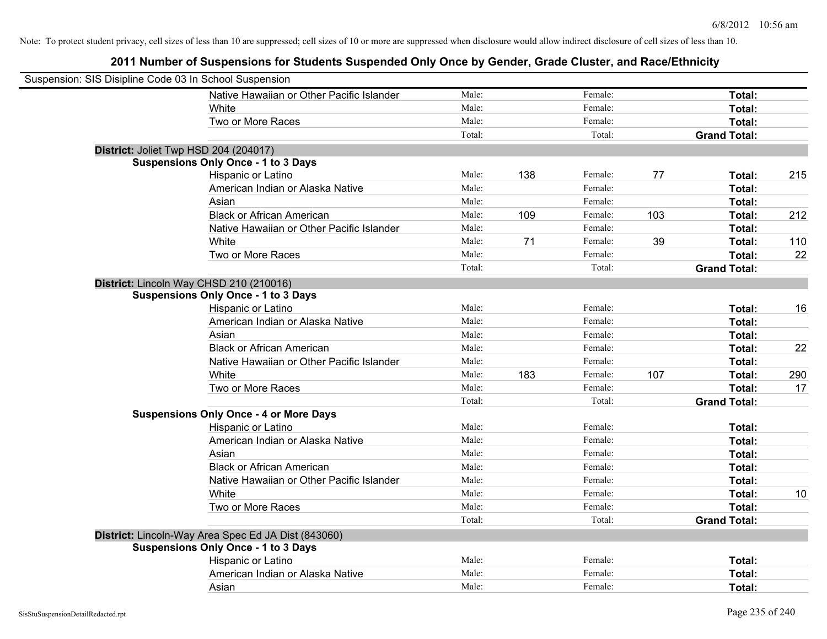| Suspension: SIS Disipline Code 03 In School Suspension |                                                     |        |     |         |     |                     |     |
|--------------------------------------------------------|-----------------------------------------------------|--------|-----|---------|-----|---------------------|-----|
|                                                        | Native Hawaiian or Other Pacific Islander           | Male:  |     | Female: |     | Total:              |     |
|                                                        | White                                               | Male:  |     | Female: |     | Total:              |     |
|                                                        | Two or More Races                                   | Male:  |     | Female: |     | Total:              |     |
|                                                        |                                                     | Total: |     | Total:  |     | <b>Grand Total:</b> |     |
| District: Joliet Twp HSD 204 (204017)                  |                                                     |        |     |         |     |                     |     |
|                                                        | <b>Suspensions Only Once - 1 to 3 Days</b>          |        |     |         |     |                     |     |
|                                                        | Hispanic or Latino                                  | Male:  | 138 | Female: | 77  | Total:              | 215 |
|                                                        | American Indian or Alaska Native                    | Male:  |     | Female: |     | Total:              |     |
|                                                        | Asian                                               | Male:  |     | Female: |     | Total:              |     |
|                                                        | <b>Black or African American</b>                    | Male:  | 109 | Female: | 103 | Total:              | 212 |
|                                                        | Native Hawaiian or Other Pacific Islander           | Male:  |     | Female: |     | Total:              |     |
|                                                        | White                                               | Male:  | 71  | Female: | 39  | Total:              | 110 |
|                                                        | Two or More Races                                   | Male:  |     | Female: |     | Total:              | 22  |
|                                                        |                                                     | Total: |     | Total:  |     | <b>Grand Total:</b> |     |
| District: Lincoln Way CHSD 210 (210016)                |                                                     |        |     |         |     |                     |     |
|                                                        | <b>Suspensions Only Once - 1 to 3 Days</b>          |        |     |         |     |                     |     |
|                                                        | Hispanic or Latino                                  | Male:  |     | Female: |     | Total:              | 16  |
|                                                        | American Indian or Alaska Native                    | Male:  |     | Female: |     | Total:              |     |
|                                                        | Asian                                               | Male:  |     | Female: |     | Total:              |     |
|                                                        | <b>Black or African American</b>                    | Male:  |     | Female: |     | Total:              | 22  |
|                                                        | Native Hawaiian or Other Pacific Islander           | Male:  |     | Female: |     | Total:              |     |
|                                                        | White                                               | Male:  | 183 | Female: | 107 | Total:              | 290 |
|                                                        | Two or More Races                                   | Male:  |     | Female: |     | Total:              | 17  |
|                                                        |                                                     | Total: |     | Total:  |     | <b>Grand Total:</b> |     |
|                                                        | <b>Suspensions Only Once - 4 or More Days</b>       |        |     |         |     |                     |     |
|                                                        | Hispanic or Latino                                  | Male:  |     | Female: |     | Total:              |     |
|                                                        | American Indian or Alaska Native                    | Male:  |     | Female: |     | Total:              |     |
|                                                        | Asian                                               | Male:  |     | Female: |     | Total:              |     |
|                                                        | <b>Black or African American</b>                    | Male:  |     | Female: |     | Total:              |     |
|                                                        | Native Hawaiian or Other Pacific Islander           | Male:  |     | Female: |     | Total:              |     |
|                                                        | White                                               | Male:  |     | Female: |     | Total:              | 10  |
|                                                        | Two or More Races                                   | Male:  |     | Female: |     | Total:              |     |
|                                                        |                                                     | Total: |     | Total:  |     | <b>Grand Total:</b> |     |
|                                                        | District: Lincoln-Way Area Spec Ed JA Dist (843060) |        |     |         |     |                     |     |
|                                                        | <b>Suspensions Only Once - 1 to 3 Days</b>          |        |     |         |     |                     |     |
|                                                        | Hispanic or Latino                                  | Male:  |     | Female: |     | Total:              |     |
|                                                        | American Indian or Alaska Native                    | Male:  |     | Female: |     | Total:              |     |
|                                                        | Asian                                               | Male:  |     | Female: |     | Total:              |     |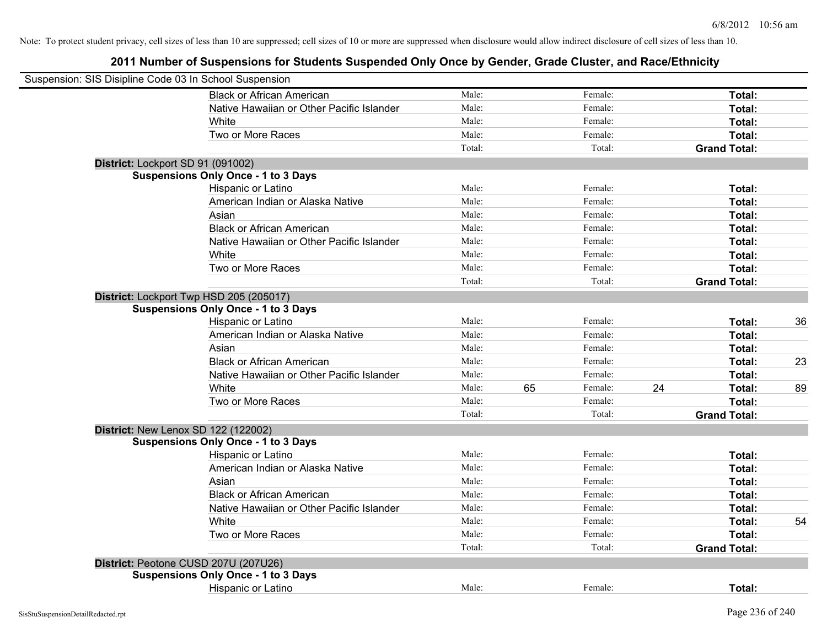| Suspension: SIS Disipline Code 03 In School Suspension |                                            |        |    |         |    |                     |    |
|--------------------------------------------------------|--------------------------------------------|--------|----|---------|----|---------------------|----|
|                                                        | <b>Black or African American</b>           | Male:  |    | Female: |    | Total:              |    |
|                                                        | Native Hawaiian or Other Pacific Islander  | Male:  |    | Female: |    | Total:              |    |
|                                                        | White                                      | Male:  |    | Female: |    | Total:              |    |
|                                                        | Two or More Races                          | Male:  |    | Female: |    | Total:              |    |
|                                                        |                                            | Total: |    | Total:  |    | <b>Grand Total:</b> |    |
| District: Lockport SD 91 (091002)                      |                                            |        |    |         |    |                     |    |
|                                                        | <b>Suspensions Only Once - 1 to 3 Days</b> |        |    |         |    |                     |    |
|                                                        | Hispanic or Latino                         | Male:  |    | Female: |    | Total:              |    |
|                                                        | American Indian or Alaska Native           | Male:  |    | Female: |    | Total:              |    |
|                                                        | Asian                                      | Male:  |    | Female: |    | Total:              |    |
|                                                        | <b>Black or African American</b>           | Male:  |    | Female: |    | Total:              |    |
|                                                        | Native Hawaiian or Other Pacific Islander  | Male:  |    | Female: |    | Total:              |    |
|                                                        | White                                      | Male:  |    | Female: |    | Total:              |    |
|                                                        | Two or More Races                          | Male:  |    | Female: |    | Total:              |    |
|                                                        |                                            | Total: |    | Total:  |    | <b>Grand Total:</b> |    |
|                                                        | District: Lockport Twp HSD 205 (205017)    |        |    |         |    |                     |    |
|                                                        | <b>Suspensions Only Once - 1 to 3 Days</b> |        |    |         |    |                     |    |
|                                                        | Hispanic or Latino                         | Male:  |    | Female: |    | Total:              | 36 |
|                                                        | American Indian or Alaska Native           | Male:  |    | Female: |    | Total:              |    |
|                                                        | Asian                                      | Male:  |    | Female: |    | Total:              |    |
|                                                        | <b>Black or African American</b>           | Male:  |    | Female: |    | Total:              | 23 |
|                                                        | Native Hawaiian or Other Pacific Islander  | Male:  |    | Female: |    | Total:              |    |
|                                                        | White                                      | Male:  | 65 | Female: | 24 | Total:              | 89 |
|                                                        | Two or More Races                          | Male:  |    | Female: |    | Total:              |    |
|                                                        |                                            | Total: |    | Total:  |    | <b>Grand Total:</b> |    |
| <b>District: New Lenox SD 122 (122002)</b>             |                                            |        |    |         |    |                     |    |
|                                                        | <b>Suspensions Only Once - 1 to 3 Days</b> |        |    |         |    |                     |    |
|                                                        | Hispanic or Latino                         | Male:  |    | Female: |    | Total:              |    |
|                                                        | American Indian or Alaska Native           | Male:  |    | Female: |    | Total:              |    |
|                                                        | Asian                                      | Male:  |    | Female: |    | Total:              |    |
|                                                        | <b>Black or African American</b>           | Male:  |    | Female: |    | Total:              |    |
|                                                        | Native Hawaiian or Other Pacific Islander  | Male:  |    | Female: |    | Total:              |    |
|                                                        | White                                      | Male:  |    | Female: |    | Total:              | 54 |
|                                                        | Two or More Races                          | Male:  |    | Female: |    | Total:              |    |
|                                                        |                                            | Total: |    | Total:  |    | <b>Grand Total:</b> |    |
|                                                        | District: Peotone CUSD 207U (207U26)       |        |    |         |    |                     |    |
|                                                        | <b>Suspensions Only Once - 1 to 3 Days</b> |        |    |         |    |                     |    |
|                                                        | Hispanic or Latino                         | Male:  |    | Female: |    | Total:              |    |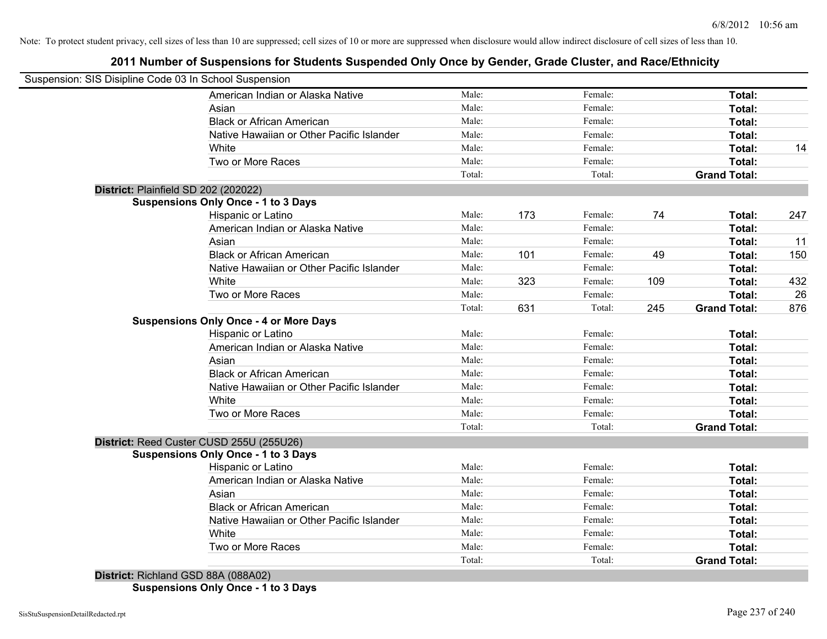# **2011 Number of Suspensions for Students Suspended Only Once by Gender, Grade Cluster, and Race/Ethnicity**

| Suspension: SIS Disipline Code 03 In School Suspension |        |     |         |     |                     |     |
|--------------------------------------------------------|--------|-----|---------|-----|---------------------|-----|
| American Indian or Alaska Native                       | Male:  |     | Female: |     | Total:              |     |
| Asian                                                  | Male:  |     | Female: |     | Total:              |     |
| <b>Black or African American</b>                       | Male:  |     | Female: |     | Total:              |     |
| Native Hawaiian or Other Pacific Islander              | Male:  |     | Female: |     | Total:              |     |
| White                                                  | Male:  |     | Female: |     | Total:              | 14  |
| Two or More Races                                      | Male:  |     | Female: |     | Total:              |     |
|                                                        | Total: |     | Total:  |     | <b>Grand Total:</b> |     |
| District: Plainfield SD 202 (202022)                   |        |     |         |     |                     |     |
| <b>Suspensions Only Once - 1 to 3 Days</b>             |        |     |         |     |                     |     |
| Hispanic or Latino                                     | Male:  | 173 | Female: | 74  | Total:              | 247 |
| American Indian or Alaska Native                       | Male:  |     | Female: |     | Total:              |     |
| Asian                                                  | Male:  |     | Female: |     | Total:              | 11  |
| <b>Black or African American</b>                       | Male:  | 101 | Female: | 49  | Total:              | 150 |
| Native Hawaiian or Other Pacific Islander              | Male:  |     | Female: |     | Total:              |     |
| White                                                  | Male:  | 323 | Female: | 109 | Total:              | 432 |
| Two or More Races                                      | Male:  |     | Female: |     | Total:              | 26  |
|                                                        | Total: | 631 | Total:  | 245 | <b>Grand Total:</b> | 876 |
| <b>Suspensions Only Once - 4 or More Days</b>          |        |     |         |     |                     |     |
| Hispanic or Latino                                     | Male:  |     | Female: |     | Total:              |     |
| American Indian or Alaska Native                       | Male:  |     | Female: |     | Total:              |     |
| Asian                                                  | Male:  |     | Female: |     | Total:              |     |
| <b>Black or African American</b>                       | Male:  |     | Female: |     | Total:              |     |
| Native Hawaiian or Other Pacific Islander              | Male:  |     | Female: |     | Total:              |     |
| White                                                  | Male:  |     | Female: |     | Total:              |     |
| Two or More Races                                      | Male:  |     | Female: |     | Total:              |     |
|                                                        | Total: |     | Total:  |     | <b>Grand Total:</b> |     |
| District: Reed Custer CUSD 255U (255U26)               |        |     |         |     |                     |     |
| <b>Suspensions Only Once - 1 to 3 Days</b>             |        |     |         |     |                     |     |
| Hispanic or Latino                                     | Male:  |     | Female: |     | Total:              |     |
| American Indian or Alaska Native                       | Male:  |     | Female: |     | Total:              |     |
| Asian                                                  | Male:  |     | Female: |     | Total:              |     |
| <b>Black or African American</b>                       | Male:  |     | Female: |     | Total:              |     |
| Native Hawaiian or Other Pacific Islander              | Male:  |     | Female: |     | Total:              |     |
| White                                                  | Male:  |     | Female: |     | Total:              |     |
| Two or More Races                                      | Male:  |     | Female: |     | <b>Total:</b>       |     |
|                                                        | Total: |     | Total:  |     | <b>Grand Total:</b> |     |
| District: Richland GSD 88A (088A02)                    |        |     |         |     |                     |     |

**Suspensions Only Once - 1 to 3 Days**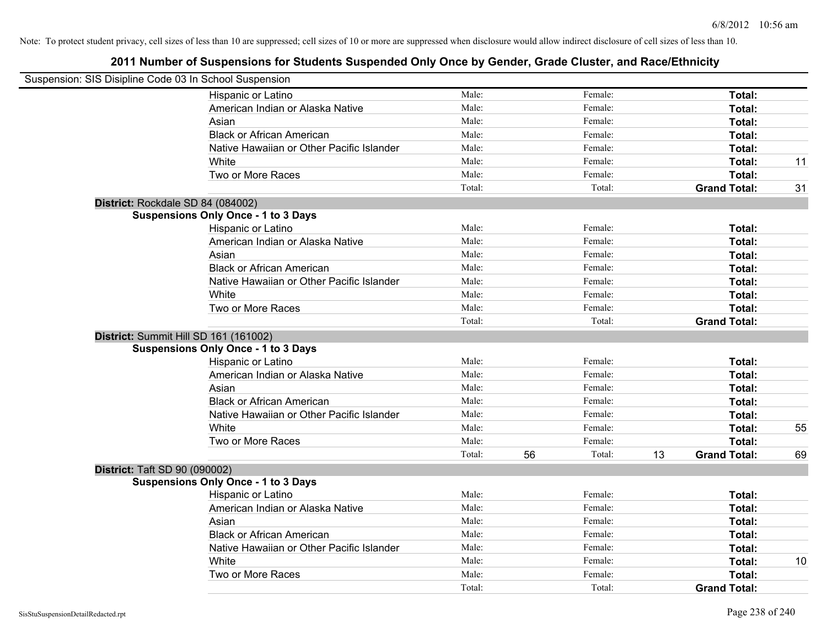| Suspension: SIS Disipline Code 03 In School Suspension |                                            |        |              |    |                     |    |
|--------------------------------------------------------|--------------------------------------------|--------|--------------|----|---------------------|----|
|                                                        | Hispanic or Latino                         | Male:  | Female:      |    | Total:              |    |
|                                                        | American Indian or Alaska Native           | Male:  | Female:      |    | Total:              |    |
|                                                        | Asian                                      | Male:  | Female:      |    | Total:              |    |
|                                                        | <b>Black or African American</b>           | Male:  | Female:      |    | Total:              |    |
|                                                        | Native Hawaiian or Other Pacific Islander  | Male:  | Female:      |    | Total:              |    |
|                                                        | White                                      | Male:  | Female:      |    | Total:              | 11 |
|                                                        | Two or More Races                          | Male:  | Female:      |    | Total:              |    |
|                                                        |                                            | Total: | Total:       |    | <b>Grand Total:</b> | 31 |
| District: Rockdale SD 84 (084002)                      |                                            |        |              |    |                     |    |
|                                                        | <b>Suspensions Only Once - 1 to 3 Days</b> |        |              |    |                     |    |
|                                                        | Hispanic or Latino                         | Male:  | Female:      |    | Total:              |    |
|                                                        | American Indian or Alaska Native           | Male:  | Female:      |    | Total:              |    |
|                                                        | Asian                                      | Male:  | Female:      |    | Total:              |    |
|                                                        | <b>Black or African American</b>           | Male:  | Female:      |    | Total:              |    |
|                                                        | Native Hawaiian or Other Pacific Islander  | Male:  | Female:      |    | Total:              |    |
|                                                        | White                                      | Male:  | Female:      |    | Total:              |    |
|                                                        | Two or More Races                          | Male:  | Female:      |    | Total:              |    |
|                                                        |                                            | Total: | Total:       |    | <b>Grand Total:</b> |    |
| District: Summit Hill SD 161 (161002)                  |                                            |        |              |    |                     |    |
|                                                        | <b>Suspensions Only Once - 1 to 3 Days</b> |        |              |    |                     |    |
|                                                        | Hispanic or Latino                         | Male:  | Female:      |    | Total:              |    |
|                                                        | American Indian or Alaska Native           | Male:  | Female:      |    | Total:              |    |
|                                                        | Asian                                      | Male:  | Female:      |    | Total:              |    |
|                                                        | <b>Black or African American</b>           | Male:  | Female:      |    | Total:              |    |
|                                                        | Native Hawaiian or Other Pacific Islander  | Male:  | Female:      |    | Total:              |    |
|                                                        | White                                      | Male:  | Female:      |    | Total:              | 55 |
|                                                        | Two or More Races                          | Male:  | Female:      |    | Total:              |    |
|                                                        |                                            | Total: | 56<br>Total: | 13 | <b>Grand Total:</b> | 69 |
| <b>District: Taft SD 90 (090002)</b>                   |                                            |        |              |    |                     |    |
|                                                        | <b>Suspensions Only Once - 1 to 3 Days</b> |        |              |    |                     |    |
|                                                        | Hispanic or Latino                         | Male:  | Female:      |    | Total:              |    |
|                                                        | American Indian or Alaska Native           | Male:  | Female:      |    | Total:              |    |
|                                                        | Asian                                      | Male:  | Female:      |    | Total:              |    |
|                                                        | <b>Black or African American</b>           | Male:  | Female:      |    | Total:              |    |
|                                                        | Native Hawaiian or Other Pacific Islander  | Male:  | Female:      |    | Total:              |    |
|                                                        | White                                      | Male:  | Female:      |    | Total:              | 10 |
|                                                        | Two or More Races                          | Male:  | Female:      |    | Total:              |    |
|                                                        |                                            | Total: | Total:       |    | <b>Grand Total:</b> |    |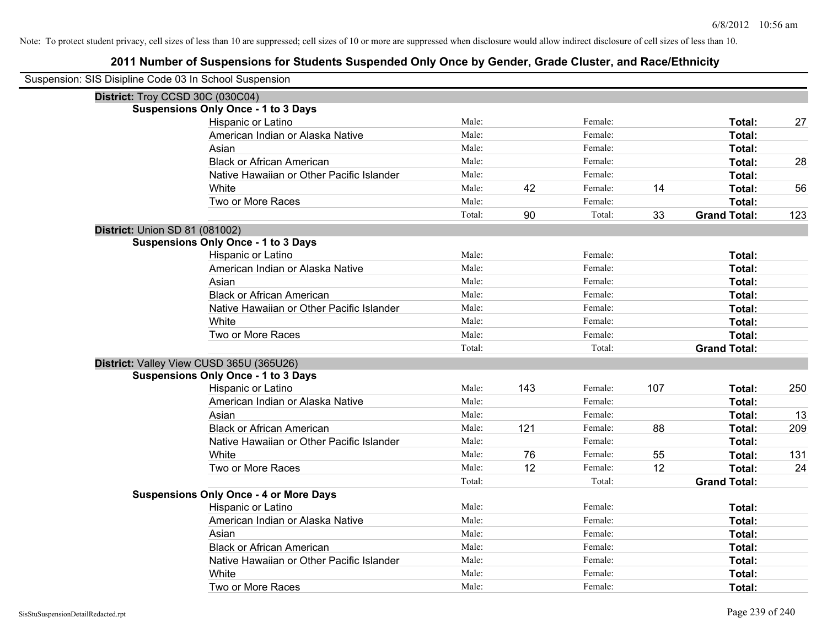| Suspension: SIS Disipline Code 03 In School Suspension |                                               |        |     |         |     |                     |     |
|--------------------------------------------------------|-----------------------------------------------|--------|-----|---------|-----|---------------------|-----|
| District: Troy CCSD 30C (030C04)                       |                                               |        |     |         |     |                     |     |
|                                                        | <b>Suspensions Only Once - 1 to 3 Days</b>    |        |     |         |     |                     |     |
|                                                        | Hispanic or Latino                            | Male:  |     | Female: |     | Total:              | 27  |
|                                                        | American Indian or Alaska Native              | Male:  |     | Female: |     | Total:              |     |
|                                                        | Asian                                         | Male:  |     | Female: |     | Total:              |     |
|                                                        | <b>Black or African American</b>              | Male:  |     | Female: |     | Total:              | 28  |
|                                                        | Native Hawaiian or Other Pacific Islander     | Male:  |     | Female: |     | Total:              |     |
|                                                        | White                                         | Male:  | 42  | Female: | 14  | Total:              | 56  |
|                                                        | Two or More Races                             | Male:  |     | Female: |     | Total:              |     |
|                                                        |                                               | Total: | 90  | Total:  | 33  | <b>Grand Total:</b> | 123 |
| <b>District: Union SD 81 (081002)</b>                  |                                               |        |     |         |     |                     |     |
|                                                        | <b>Suspensions Only Once - 1 to 3 Days</b>    |        |     |         |     |                     |     |
|                                                        | Hispanic or Latino                            | Male:  |     | Female: |     | Total:              |     |
|                                                        | American Indian or Alaska Native              | Male:  |     | Female: |     | Total:              |     |
|                                                        | Asian                                         | Male:  |     | Female: |     | Total:              |     |
|                                                        | <b>Black or African American</b>              | Male:  |     | Female: |     | Total:              |     |
|                                                        | Native Hawaiian or Other Pacific Islander     | Male:  |     | Female: |     | Total:              |     |
|                                                        | White                                         | Male:  |     | Female: |     | Total:              |     |
|                                                        | Two or More Races                             | Male:  |     | Female: |     | Total:              |     |
|                                                        |                                               | Total: |     | Total:  |     | <b>Grand Total:</b> |     |
|                                                        | District: Valley View CUSD 365U (365U26)      |        |     |         |     |                     |     |
|                                                        | <b>Suspensions Only Once - 1 to 3 Days</b>    |        |     |         |     |                     |     |
|                                                        | Hispanic or Latino                            | Male:  | 143 | Female: | 107 | Total:              | 250 |
|                                                        | American Indian or Alaska Native              | Male:  |     | Female: |     | Total:              |     |
|                                                        | Asian                                         | Male:  |     | Female: |     | Total:              | 13  |
|                                                        | <b>Black or African American</b>              | Male:  | 121 | Female: | 88  | Total:              | 209 |
|                                                        | Native Hawaiian or Other Pacific Islander     | Male:  |     | Female: |     | Total:              |     |
|                                                        | White                                         | Male:  | 76  | Female: | 55  | Total:              | 131 |
|                                                        | Two or More Races                             | Male:  | 12  | Female: | 12  | Total:              | 24  |
|                                                        |                                               | Total: |     | Total:  |     | <b>Grand Total:</b> |     |
|                                                        | <b>Suspensions Only Once - 4 or More Days</b> |        |     |         |     |                     |     |
|                                                        | Hispanic or Latino                            | Male:  |     | Female: |     | Total:              |     |
|                                                        | American Indian or Alaska Native              | Male:  |     | Female: |     | Total:              |     |
|                                                        | Asian                                         | Male:  |     | Female: |     | Total:              |     |
|                                                        | <b>Black or African American</b>              | Male:  |     | Female: |     | Total:              |     |
|                                                        | Native Hawaiian or Other Pacific Islander     | Male:  |     | Female: |     | Total:              |     |
|                                                        | White                                         | Male:  |     | Female: |     | Total:              |     |
|                                                        | Two or More Races                             | Male:  |     | Female: |     | Total:              |     |